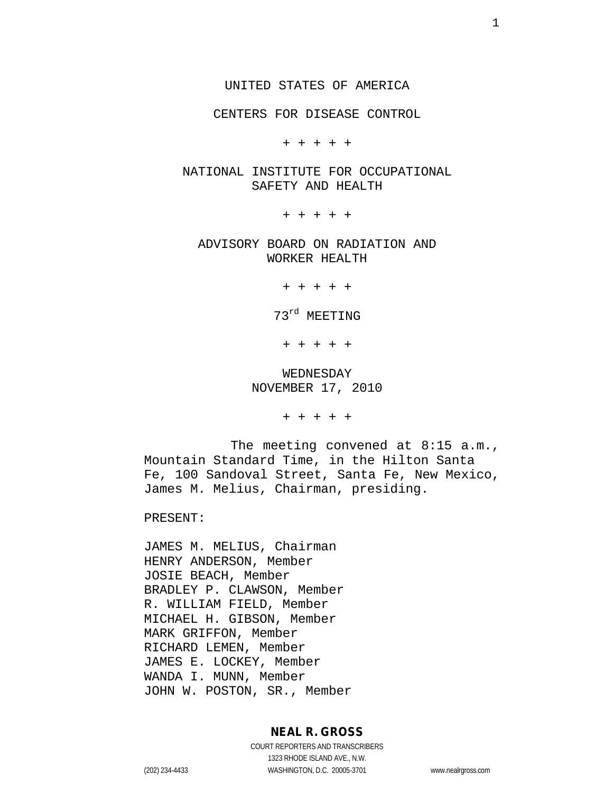CENTERS FOR DISEASE CONTROL

+ + + + +

#### NATIONAL INSTITUTE FOR OCCUPATIONAL SAFETY AND HEALTH

+ + + + +

ADVISORY BOARD ON RADIATION AND WORKER HEALTH

+ + + + +

73rd MEETING

+ + + + +

WEDNESDAY NOVEMBER 17, 2010

+ + + + +

The meeting convened at 8:15 a.m., Mountain Standard Time, in the Hilton Santa Fe, 100 Sandoval Street, Santa Fe, New Mexico, James M. Melius, Chairman, presiding.

PRESENT:

JAMES M. MELIUS, Chairman HENRY ANDERSON, Member JOSIE BEACH, Member BRADLEY P. CLAWSON, Member R. WILLIAM FIELD, Member MICHAEL H. GIBSON, Member MARK GRIFFON, Member RICHARD LEMEN, Member JAMES E. LOCKEY, Member WANDA I. MUNN, Member JOHN W. POSTON, SR., Member

#### **NEAL R. GROSS**

COURT REPORTERS AND TRANSCRIBERS 1323 RHODE ISLAND AVE., N.W. (202) 234-4433 WASHINGTON, D.C. 20005-3701 www.nealrgross.com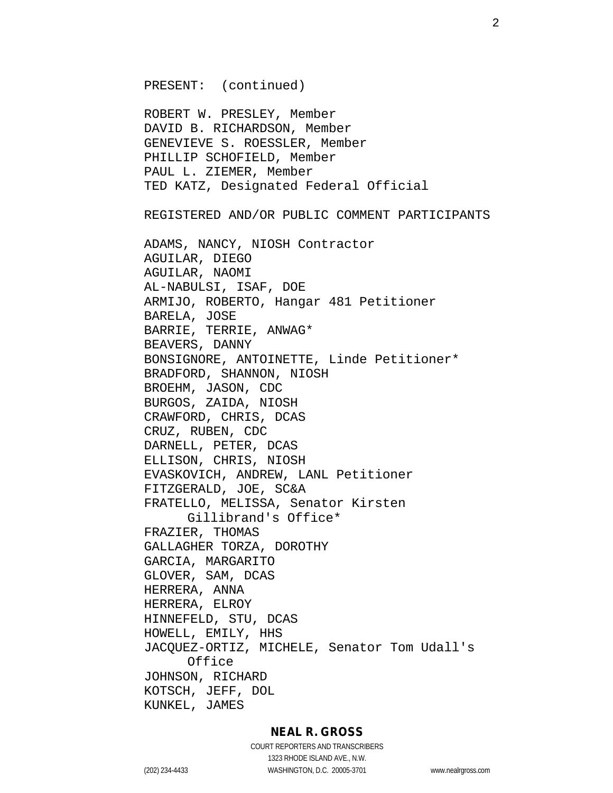PRESENT: (continued)

ROBERT W. PRESLEY, Member DAVID B. RICHARDSON, Member GENEVIEVE S. ROESSLER, Member PHILLIP SCHOFIELD, Member PAUL L. ZIEMER, Member TED KATZ, Designated Federal Official

REGISTERED AND/OR PUBLIC COMMENT PARTICIPANTS

ADAMS, NANCY, NIOSH Contractor AGUILAR, DIEGO AGUILAR, NAOMI AL-NABULSI, ISAF, DOE ARMIJO, ROBERTO, Hangar 481 Petitioner BARELA, JOSE BARRIE, TERRIE, ANWAG\* BEAVERS, DANNY BONSIGNORE, ANTOINETTE, Linde Petitioner\* BRADFORD, SHANNON, NIOSH BROEHM, JASON, CDC BURGOS, ZAIDA, NIOSH CRAWFORD, CHRIS, DCAS CRUZ, RUBEN, CDC DARNELL, PETER, DCAS ELLISON, CHRIS, NIOSH EVASKOVICH, ANDREW, LANL Petitioner FITZGERALD, JOE, SC&A FRATELLO, MELISSA, Senator Kirsten Gillibrand's Office\* FRAZIER, THOMAS GALLAGHER TORZA, DOROTHY GARCIA, MARGARITO GLOVER, SAM, DCAS HERRERA, ANNA HERRERA, ELROY HINNEFELD, STU, DCAS HOWELL, EMILY, HHS JACQUEZ-ORTIZ, MICHELE, Senator Tom Udall's Office JOHNSON, RICHARD KOTSCH, JEFF, DOL KUNKEL, JAMES

#### **NEAL R. GROSS**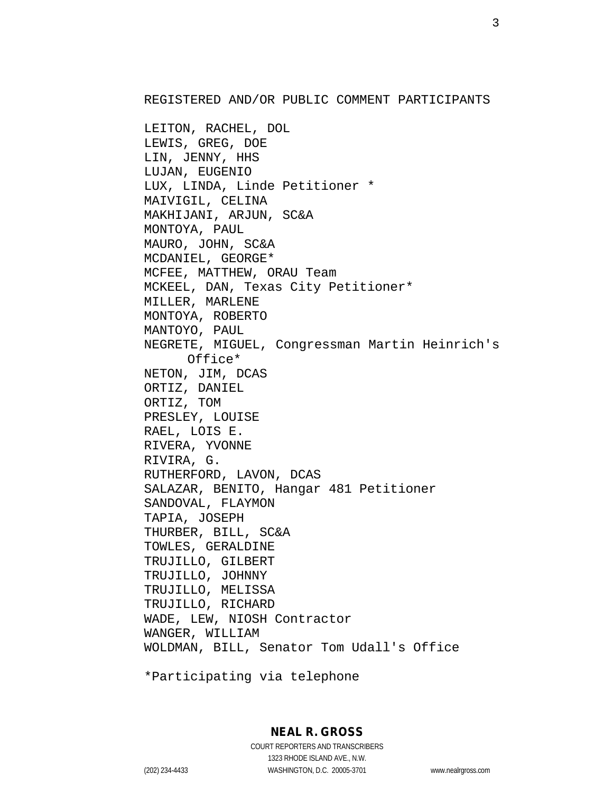REGISTERED AND/OR PUBLIC COMMENT PARTICIPANTS

LEITON, RACHEL, DOL LEWIS, GREG, DOE LIN, JENNY, HHS LUJAN, EUGENIO LUX, LINDA, Linde Petitioner \* MAIVIGIL, CELINA MAKHIJANI, ARJUN, SC&A MONTOYA, PAUL MAURO, JOHN, SC&A MCDANIEL, GEORGE\* MCFEE, MATTHEW, ORAU Team MCKEEL, DAN, Texas City Petitioner\* MILLER, MARLENE MONTOYA, ROBERTO MANTOYO, PAUL NEGRETE, MIGUEL, Congressman Martin Heinrich's Office\* NETON, JIM, DCAS ORTIZ, DANIEL ORTIZ, TOM PRESLEY, LOUISE RAEL, LOIS E. RIVERA, YVONNE RIVIRA, G. RUTHERFORD, LAVON, DCAS SALAZAR, BENITO, Hangar 481 Petitioner SANDOVAL, FLAYMON TAPIA, JOSEPH THURBER, BILL, SC&A TOWLES, GERALDINE TRUJILLO, GILBERT TRUJILLO, JOHNNY TRUJILLO, MELISSA TRUJILLO, RICHARD WADE, LEW, NIOSH Contractor WANGER, WILLIAM WOLDMAN, BILL, Senator Tom Udall's Office

\*Participating via telephone

## **NEAL R. GROSS**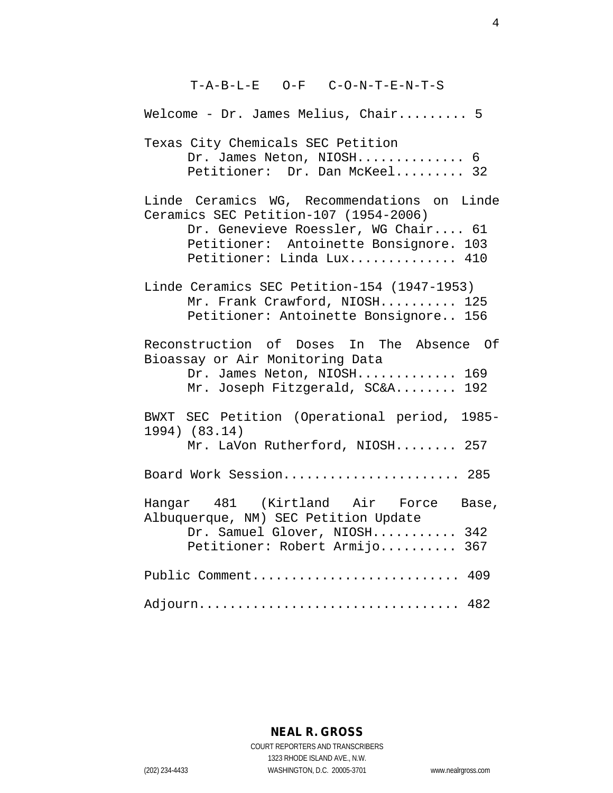T-A-B-L-E O-F C-O-N-T-E-N-T-S Welcome - Dr. James Melius, Chair......... 5 Texas City Chemicals SEC Petition Dr. James Neton, NIOSH.............. 6 Petitioner: Dr. Dan McKeel......... 32 Linde Ceramics WG, Recommendations on Linde Ceramics SEC Petition-107 (1954-2006) Dr. Genevieve Roessler, WG Chair.... 61 Petitioner: Antoinette Bonsignore. 103 Petitioner: Linda Lux.............. 410 Linde Ceramics SEC Petition-154 (1947-1953) Mr. Frank Crawford, NIOSH.......... 125 Petitioner: Antoinette Bonsignore.. 156 Reconstruction of Doses In The Absence Of Bioassay or Air Monitoring Data Dr. James Neton, NIOSH.............. 169 Mr. Joseph Fitzgerald, SC&A........ 192 BWXT SEC Petition (Operational period, 1985- 1994) (83.14) Mr. LaVon Rutherford, NIOSH........ 257 Board Work Session......................... 285 Hangar 481 (Kirtland Air Force Base, Albuquerque, NM) SEC Petition Update Dr. Samuel Glover, NIOSH........... 342 Petitioner: Robert Armijo.......... 367 Public Comment............................. 409 Adjourn.................................. 482

## **NEAL R. GROSS**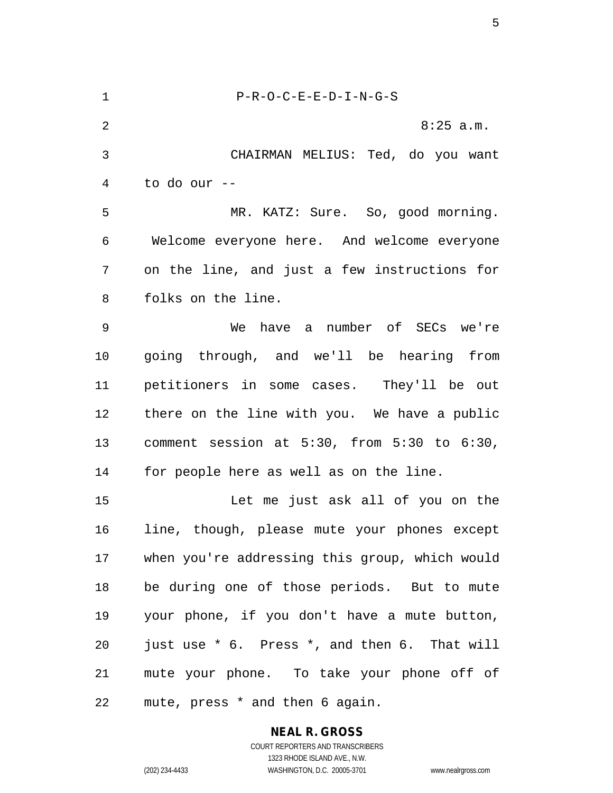1 P-R-O-C-E-E-D-I-N-G-S 2 8:25 a.m. 3 CHAIRMAN MELIUS: Ted, do you want 4 to do our -- 5 MR. KATZ: Sure. So, good morning. 6 Welcome everyone here. And welcome everyone 7 on the line, and just a few instructions for 8 folks on the line. 9 We have a number of SECs we're 10 going through, and we'll be hearing from 11 petitioners in some cases. They'll be out 12 there on the line with you. We have a public 13 comment session at 5:30, from 5:30 to 6:30, 14 for people here as well as on the line. 15 Let me just ask all of you on the 16 line, though, please mute your phones except 17 when you're addressing this group, which would 18 be during one of those periods. But to mute 19 your phone, if you don't have a mute button, 20 just use \* 6. Press \*, and then 6. That will 21 mute your phone. To take your phone off of 22 mute, press \* and then 6 again.

**NEAL R. GROSS**

COURT REPORTERS AND TRANSCRIBERS 1323 RHODE ISLAND AVE., N.W. (202) 234-4433 WASHINGTON, D.C. 20005-3701 www.nealrgross.com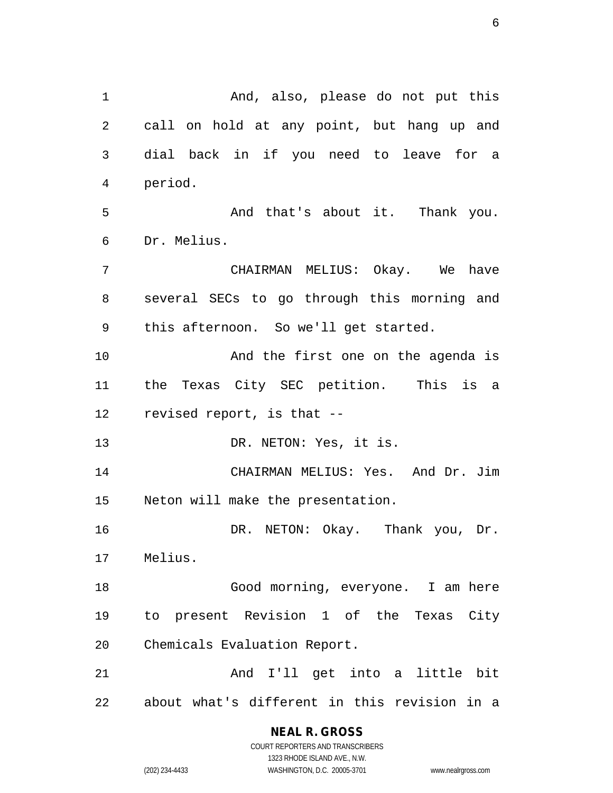1 And, also, please do not put this 2 call on hold at any point, but hang up and 3 dial back in if you need to leave for a 4 period. 5 And that's about it. Thank you. 6 Dr. Melius. 7 CHAIRMAN MELIUS: Okay. We have 8 several SECs to go through this morning and 9 this afternoon. So we'll get started. 10 And the first one on the agenda is 11 the Texas City SEC petition. This is a 12 revised report, is that -- 13 DR. NETON: Yes, it is. 14 CHAIRMAN MELIUS: Yes. And Dr. Jim 15 Neton will make the presentation. 16 DR. NETON: Okay. Thank you, Dr. 17 Melius. 18 Good morning, everyone. I am here 19 to present Revision 1 of the Texas City 20 Chemicals Evaluation Report. 21 And I'll get into a little bit 22 about what's different in this revision in a

## **NEAL R. GROSS**

COURT REPORTERS AND TRANSCRIBERS 1323 RHODE ISLAND AVE., N.W. (202) 234-4433 WASHINGTON, D.C. 20005-3701 www.nealrgross.com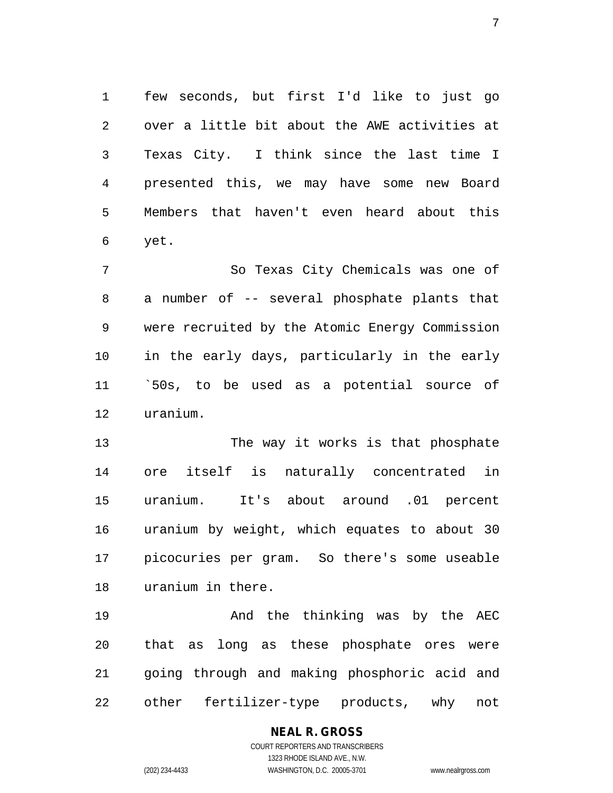1 few seconds, but first I'd like to just go 2 over a little bit about the AWE activities at 3 Texas City. I think since the last time I 4 presented this, we may have some new Board 5 Members that haven't even heard about this 6 yet.

7 So Texas City Chemicals was one of 8 a number of -- several phosphate plants that 9 were recruited by the Atomic Energy Commission 10 in the early days, particularly in the early 11 `50s, to be used as a potential source of 12 uranium.

13 The way it works is that phosphate 14 ore itself is naturally concentrated in 15 uranium. It's about around .01 percent 16 uranium by weight, which equates to about 30 17 picocuries per gram. So there's some useable 18 uranium in there.

19 And the thinking was by the AEC 20 that as long as these phosphate ores were 21 going through and making phosphoric acid and 22 other fertilizer-type products, why not

## **NEAL R. GROSS**

COURT REPORTERS AND TRANSCRIBERS 1323 RHODE ISLAND AVE., N.W. (202) 234-4433 WASHINGTON, D.C. 20005-3701 www.nealrgross.com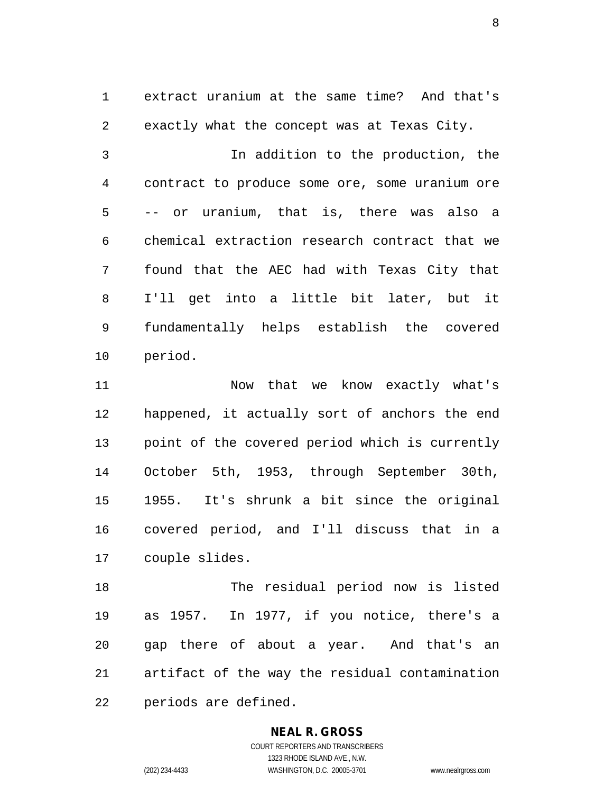1 extract uranium at the same time? And that's 2 exactly what the concept was at Texas City.

3 In addition to the production, the 4 contract to produce some ore, some uranium ore 5 -- or uranium, that is, there was also a 6 chemical extraction research contract that we 7 found that the AEC had with Texas City that 8 I'll get into a little bit later, but it 9 fundamentally helps establish the covered 10 period.

11 Now that we know exactly what's 12 happened, it actually sort of anchors the end 13 point of the covered period which is currently 14 October 5th, 1953, through September 30th, 15 1955. It's shrunk a bit since the original 16 covered period, and I'll discuss that in a 17 couple slides.

18 The residual period now is listed 19 as 1957. In 1977, if you notice, there's a 20 gap there of about a year. And that's an 21 artifact of the way the residual contamination 22 periods are defined.

## **NEAL R. GROSS**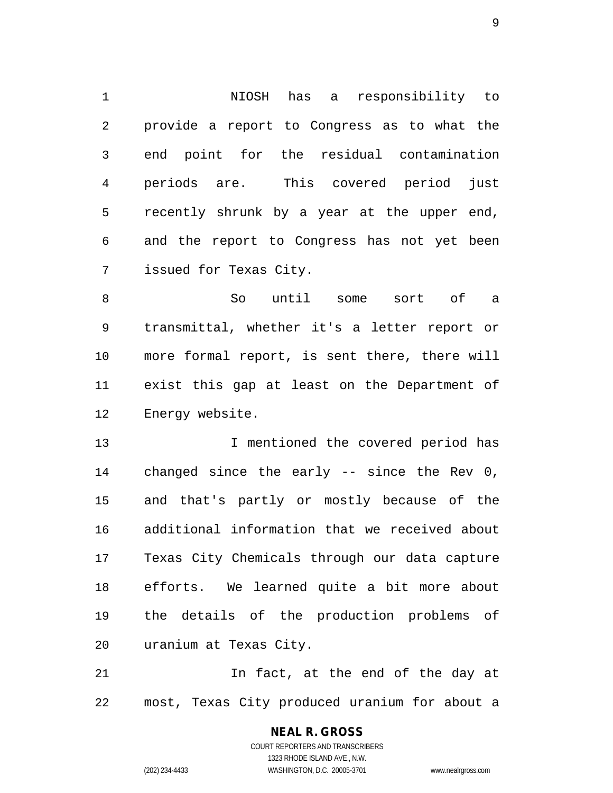1 NIOSH has a responsibility to 2 provide a report to Congress as to what the 3 end point for the residual contamination 4 periods are. This covered period just 5 recently shrunk by a year at the upper end, 6 and the report to Congress has not yet been 7 issued for Texas City.

8 So until some sort of a 9 transmittal, whether it's a letter report or 10 more formal report, is sent there, there will 11 exist this gap at least on the Department of 12 Energy website.

13 I mentioned the covered period has 14 changed since the early -- since the Rev 0, 15 and that's partly or mostly because of the 16 additional information that we received about 17 Texas City Chemicals through our data capture 18 efforts. We learned quite a bit more about 19 the details of the production problems of 20 uranium at Texas City.

21 In fact, at the end of the day at 22 most, Texas City produced uranium for about a

# **NEAL R. GROSS**

COURT REPORTERS AND TRANSCRIBERS 1323 RHODE ISLAND AVE., N.W. (202) 234-4433 WASHINGTON, D.C. 20005-3701 www.nealrgross.com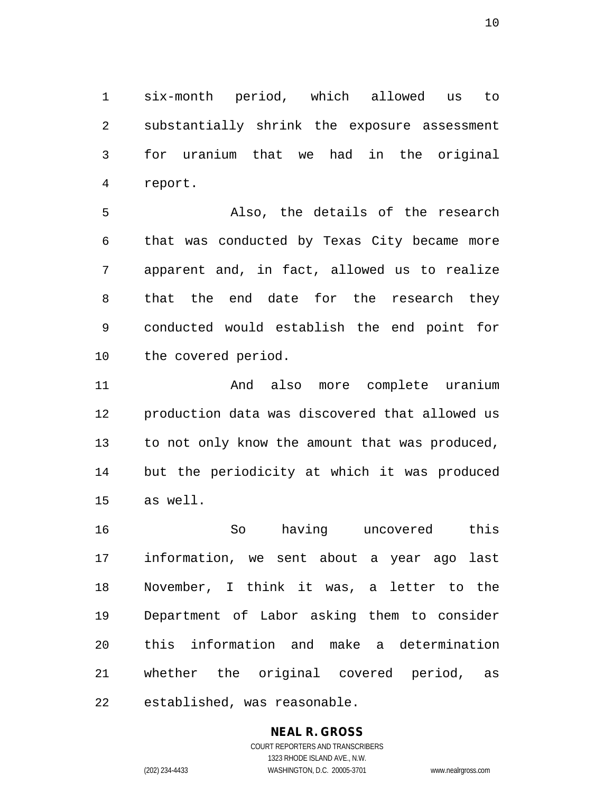1 six-month period, which allowed us to 2 substantially shrink the exposure assessment 3 for uranium that we had in the original 4 report.

5 Also, the details of the research 6 that was conducted by Texas City became more 7 apparent and, in fact, allowed us to realize 8 that the end date for the research they 9 conducted would establish the end point for 10 the covered period.

11 And also more complete uranium 12 production data was discovered that allowed us 13 to not only know the amount that was produced, 14 but the periodicity at which it was produced 15 as well.

16 So having uncovered this 17 information, we sent about a year ago last 18 November, I think it was, a letter to the 19 Department of Labor asking them to consider 20 this information and make a determination 21 whether the original covered period, as 22 established, was reasonable.

# **NEAL R. GROSS**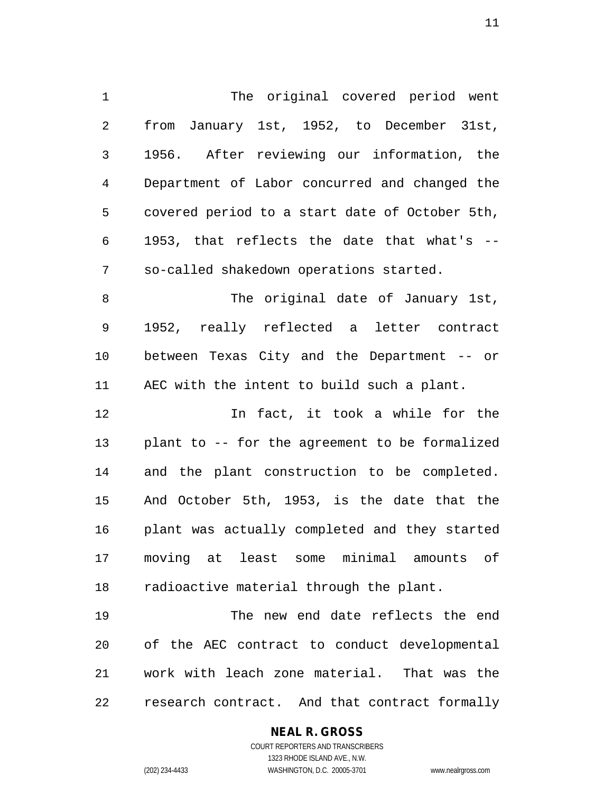1 The original covered period went 2 from January 1st, 1952, to December 31st, 3 1956. After reviewing our information, the 4 Department of Labor concurred and changed the 5 covered period to a start date of October 5th, 6 1953, that reflects the date that what's -- 7 so-called shakedown operations started. 8 The original date of January 1st, 9 1952, really reflected a letter contract 10 between Texas City and the Department -- or 11 AEC with the intent to build such a plant. 12 In fact, it took a while for the 13 plant to -- for the agreement to be formalized 14 and the plant construction to be completed. 15 And October 5th, 1953, is the date that the 16 plant was actually completed and they started 17 moving at least some minimal amounts of 18 radioactive material through the plant. 19 The new end date reflects the end 20 of the AEC contract to conduct developmental

22 research contract. And that contract formally

21 work with leach zone material. That was the

## **NEAL R. GROSS**

COURT REPORTERS AND TRANSCRIBERS 1323 RHODE ISLAND AVE., N.W. (202) 234-4433 WASHINGTON, D.C. 20005-3701 www.nealrgross.com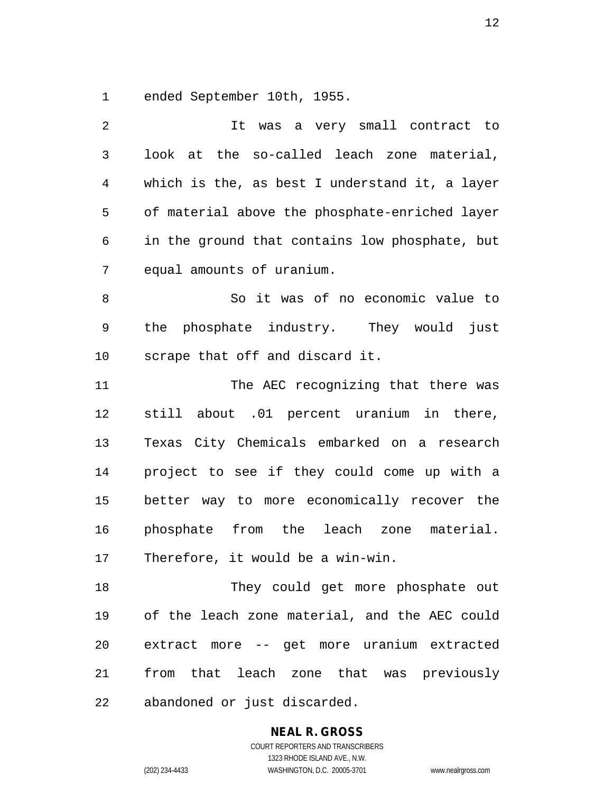1 ended September 10th, 1955.

| 2  | It was a very small contract to                |
|----|------------------------------------------------|
| 3  | look at the so-called leach zone material,     |
| 4  | which is the, as best I understand it, a layer |
| 5  | of material above the phosphate-enriched layer |
| 6  | in the ground that contains low phosphate, but |
| 7  | equal amounts of uranium.                      |
| 8  | So it was of no economic value to              |
| 9  | phosphate industry. They would<br>the<br>just  |
| 10 | scrape that off and discard it.                |
| 11 | The AEC recognizing that there was             |
| 12 | still about .01 percent uranium in there,      |
| 13 | Texas City Chemicals embarked on a research    |
| 14 | project to see if they could come up with a    |
| 15 | better way to more economically recover the    |
| 16 | phosphate from the leach zone<br>material.     |
| 17 | Therefore, it would be a win-win.              |
| 18 | They could get more phosphate out              |
| 19 | of the leach zone material, and the AEC could  |
| 20 | extract more -- get more uranium extracted     |
| 21 | from that leach zone that was previously       |
| 22 | abandoned or just discarded.                   |

**NEAL R. GROSS**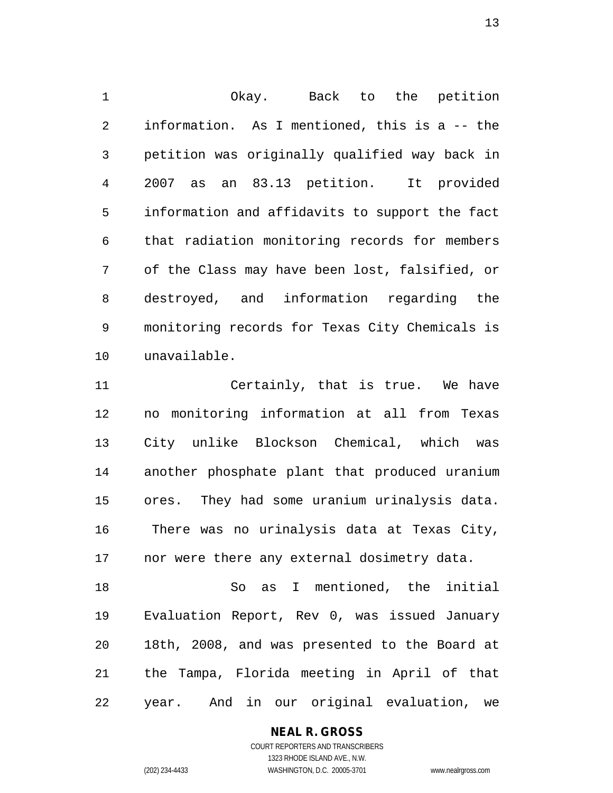1 Okay. Back to the petition 2 information. As I mentioned, this is a -- the 3 petition was originally qualified way back in 4 2007 as an 83.13 petition. It provided 5 information and affidavits to support the fact 6 that radiation monitoring records for members 7 of the Class may have been lost, falsified, or 8 destroyed, and information regarding the 9 monitoring records for Texas City Chemicals is 10 unavailable.

11 Certainly, that is true. We have 12 no monitoring information at all from Texas 13 City unlike Blockson Chemical, which was 14 another phosphate plant that produced uranium 15 ores. They had some uranium urinalysis data. 16 There was no urinalysis data at Texas City, 17 nor were there any external dosimetry data.

18 So as I mentioned, the initial 19 Evaluation Report, Rev 0, was issued January 20 18th, 2008, and was presented to the Board at 21 the Tampa, Florida meeting in April of that 22 year. And in our original evaluation, we

#### **NEAL R. GROSS**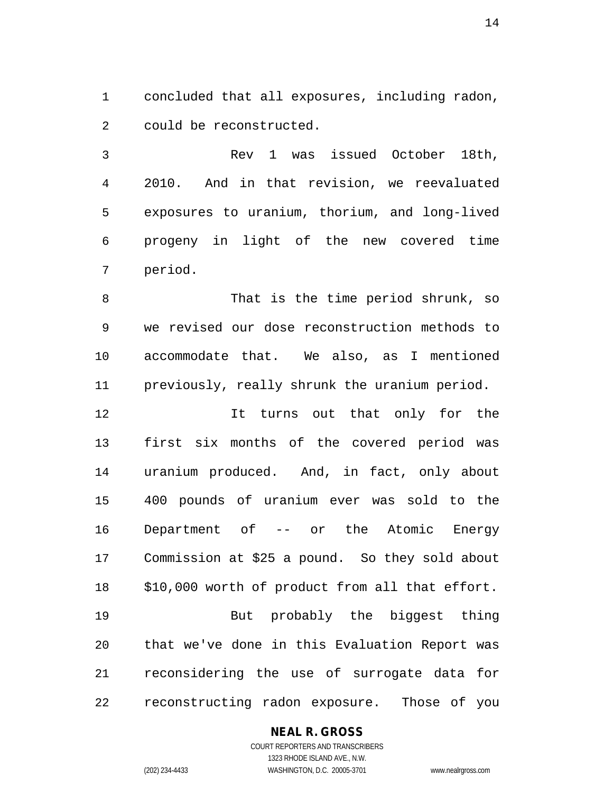1 concluded that all exposures, including radon, 2 could be reconstructed.

3 Rev 1 was issued October 18th, 4 2010. And in that revision, we reevaluated 5 exposures to uranium, thorium, and long-lived 6 progeny in light of the new covered time 7 period.

8 That is the time period shrunk, so 9 we revised our dose reconstruction methods to 10 accommodate that. We also, as I mentioned 11 previously, really shrunk the uranium period.

12 It turns out that only for the 13 first six months of the covered period was 14 uranium produced. And, in fact, only about 15 400 pounds of uranium ever was sold to the 16 Department of -- or the Atomic Energy 17 Commission at \$25 a pound. So they sold about 18 \$10,000 worth of product from all that effort. 19 But probably the biggest thing 20 that we've done in this Evaluation Report was 21 reconsidering the use of surrogate data for

22 reconstructing radon exposure. Those of you

## **NEAL R. GROSS**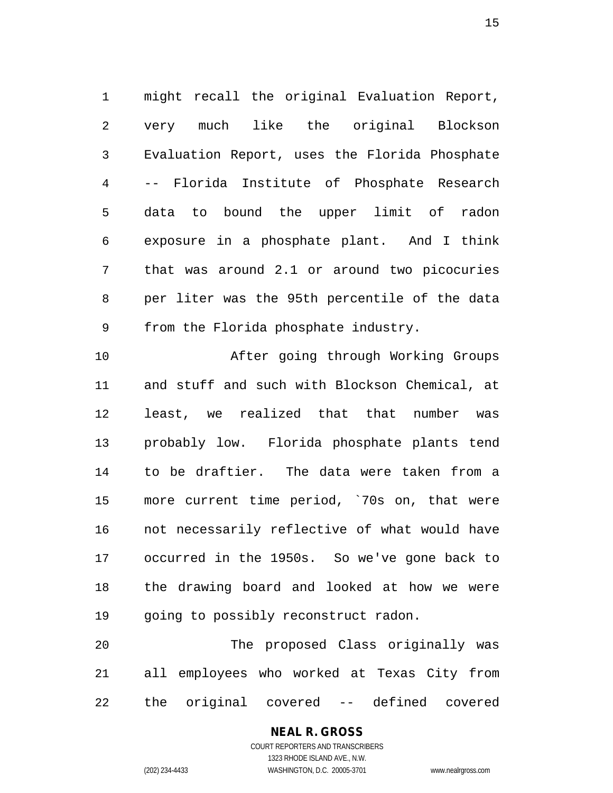1 might recall the original Evaluation Report, 2 very much like the original Blockson 3 Evaluation Report, uses the Florida Phosphate 4 -- Florida Institute of Phosphate Research 5 data to bound the upper limit of radon 6 exposure in a phosphate plant. And I think 7 that was around 2.1 or around two picocuries 8 per liter was the 95th percentile of the data 9 from the Florida phosphate industry.

10 After going through Working Groups 11 and stuff and such with Blockson Chemical, at 12 least, we realized that that number was 13 probably low. Florida phosphate plants tend 14 to be draftier. The data were taken from a 15 more current time period, `70s on, that were 16 not necessarily reflective of what would have 17 occurred in the 1950s. So we've gone back to 18 the drawing board and looked at how we were 19 going to possibly reconstruct radon.

20 The proposed Class originally was 21 all employees who worked at Texas City from 22 the original covered -- defined covered

# **NEAL R. GROSS**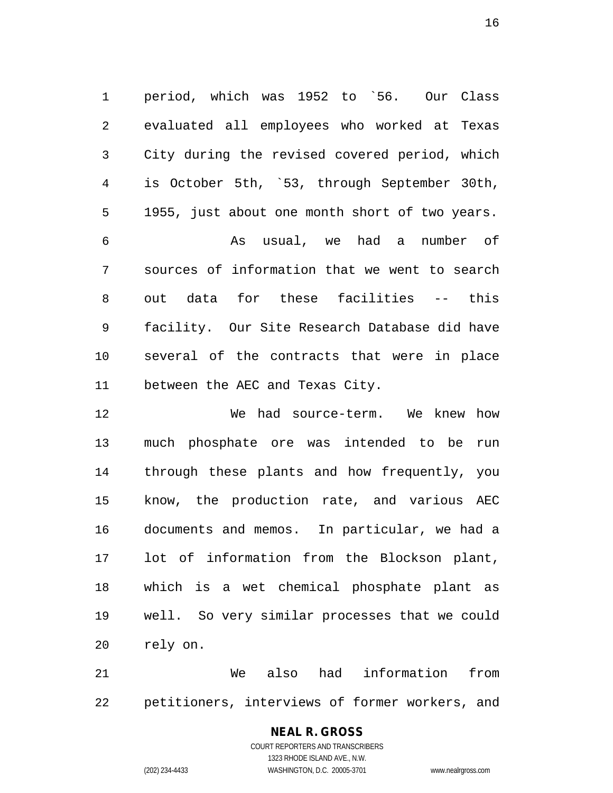1 period, which was 1952 to `56. Our Class 2 evaluated all employees who worked at Texas 3 City during the revised covered period, which 4 is October 5th, `53, through September 30th, 5 1955, just about one month short of two years. 6 As usual, we had a number of 7 sources of information that we went to search 8 out data for these facilities -- this 9 facility. Our Site Research Database did have 10 several of the contracts that were in place 11 between the AEC and Texas City.

12 We had source-term. We knew how 13 much phosphate ore was intended to be run 14 through these plants and how frequently, you 15 know, the production rate, and various AEC 16 documents and memos. In particular, we had a 17 lot of information from the Blockson plant, 18 which is a wet chemical phosphate plant as 19 well. So very similar processes that we could 20 rely on.

21 We also had information from 22 petitioners, interviews of former workers, and

## **NEAL R. GROSS**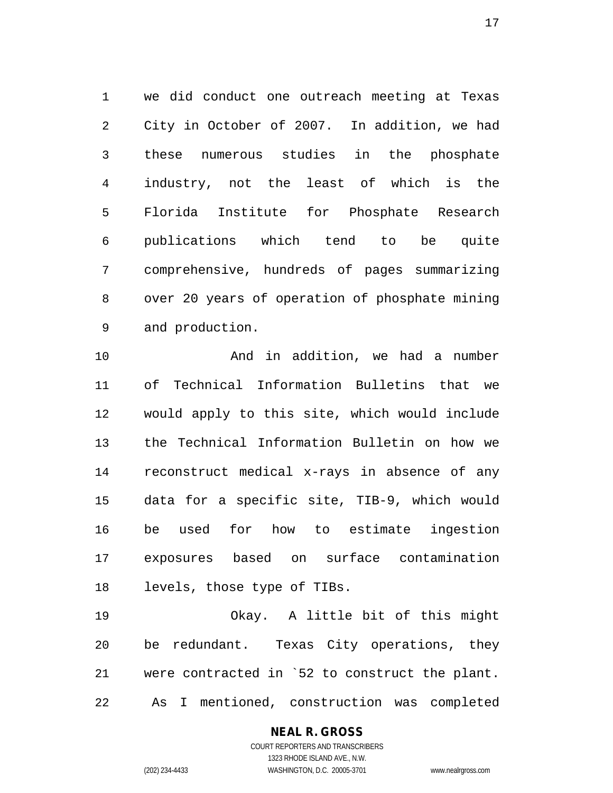1 we did conduct one outreach meeting at Texas 2 City in October of 2007. In addition, we had 3 these numerous studies in the phosphate 4 industry, not the least of which is the 5 Florida Institute for Phosphate Research 6 publications which tend to be quite 7 comprehensive, hundreds of pages summarizing 8 over 20 years of operation of phosphate mining 9 and production.

10 And in addition, we had a number 11 of Technical Information Bulletins that we 12 would apply to this site, which would include 13 the Technical Information Bulletin on how we 14 reconstruct medical x-rays in absence of any 15 data for a specific site, TIB-9, which would 16 be used for how to estimate ingestion 17 exposures based on surface contamination 18 levels, those type of TIBs.

19 Okay. A little bit of this might 20 be redundant. Texas City operations, they 21 were contracted in `52 to construct the plant. 22 As I mentioned, construction was completed

## **NEAL R. GROSS**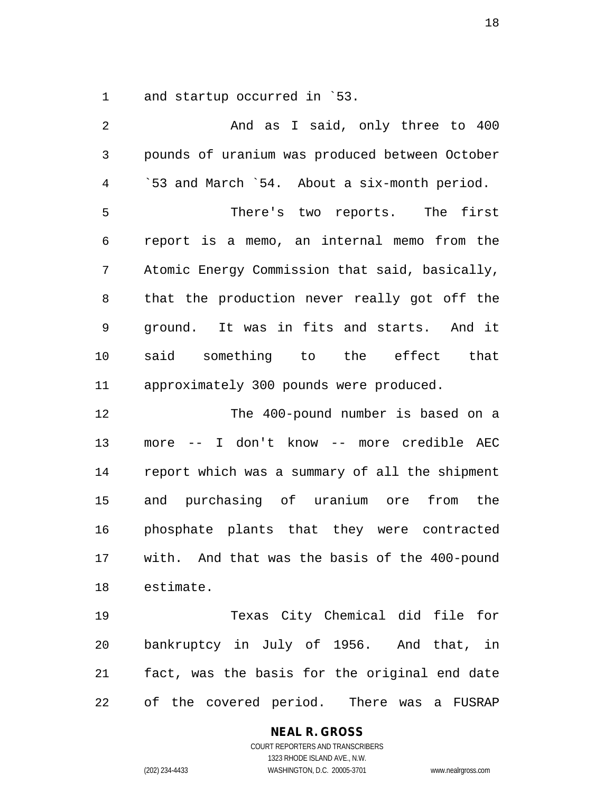1 and startup occurred in `53.

| 2              | And as I said, only three to 400                   |
|----------------|----------------------------------------------------|
| $\mathfrak{Z}$ | pounds of uranium was produced between October     |
| $\overline{4}$ | '53 and March '54. About a six-month period.       |
| 5              | There's two reports. The first                     |
| 6              | report is a memo, an internal memo from the        |
| 7              | Atomic Energy Commission that said, basically,     |
| 8              | that the production never really got off the       |
| 9              | ground. It was in fits and starts. And it          |
| 10             | said something to the effect that                  |
| 11             | approximately 300 pounds were produced.            |
| 12             | The 400-pound number is based on a                 |
| 13             | more -- I don't know -- more credible AEC          |
| 14             | report which was a summary of all the shipment     |
| 15             | and purchasing of uranium ore from the             |
| 16             | phosphate plants that they were contracted         |
| 17             | with. And that was the basis of the 400-pound      |
| 18             | estimate.                                          |
| 19             | Texas City Chemical did file for                   |
| 20             | bankruptcy in July of 1956. And that, in           |
| 21             | fact, was the basis for the original end date      |
| 22             | of the covered period.<br>There was<br>FUSRAP<br>a |

**NEAL R. GROSS**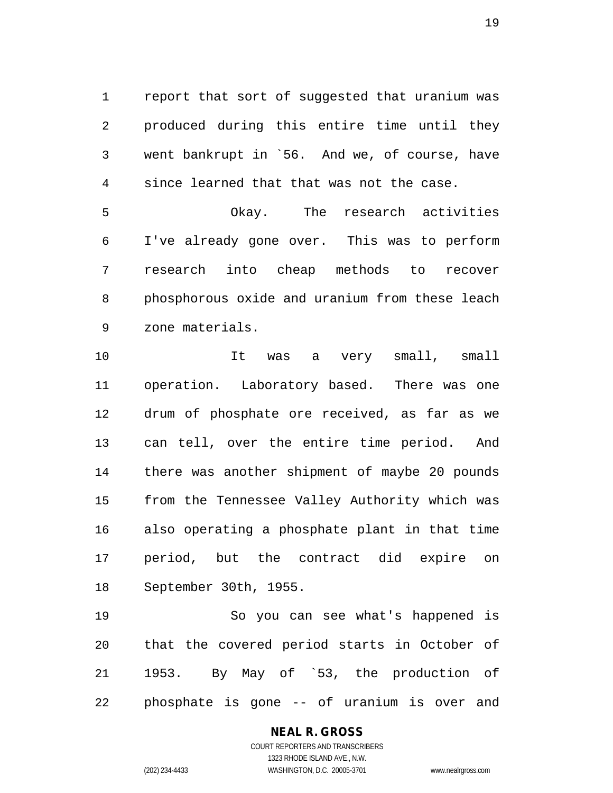1 report that sort of suggested that uranium was 2 produced during this entire time until they 3 went bankrupt in `56. And we, of course, have 4 since learned that that was not the case.

5 Okay. The research activities 6 I've already gone over. This was to perform 7 research into cheap methods to recover 8 phosphorous oxide and uranium from these leach 9 zone materials.

10 It was a very small, small 11 operation. Laboratory based. There was one 12 drum of phosphate ore received, as far as we 13 can tell, over the entire time period. And 14 there was another shipment of maybe 20 pounds 15 from the Tennessee Valley Authority which was 16 also operating a phosphate plant in that time 17 period, but the contract did expire on 18 September 30th, 1955.

19 So you can see what's happened is 20 that the covered period starts in October of 21 1953. By May of `53, the production of 22 phosphate is gone -- of uranium is over and

#### **NEAL R. GROSS** COURT REPORTERS AND TRANSCRIBERS

1323 RHODE ISLAND AVE., N.W. (202) 234-4433 WASHINGTON, D.C. 20005-3701 www.nealrgross.com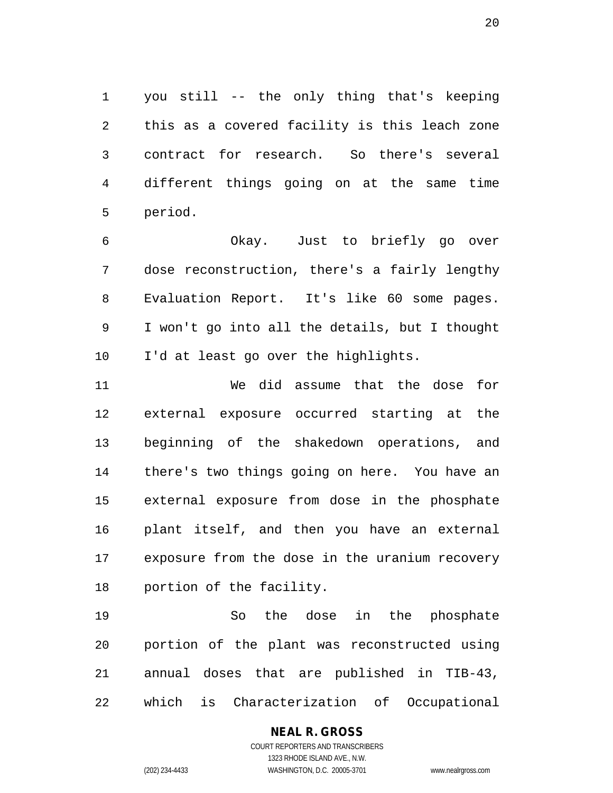1 you still -- the only thing that's keeping 2 this as a covered facility is this leach zone 3 contract for research. So there's several 4 different things going on at the same time 5 period.

6 Okay. Just to briefly go over 7 dose reconstruction, there's a fairly lengthy 8 Evaluation Report. It's like 60 some pages. 9 I won't go into all the details, but I thought 10 I'd at least go over the highlights.

11 We did assume that the dose for 12 external exposure occurred starting at the 13 beginning of the shakedown operations, and 14 there's two things going on here. You have an 15 external exposure from dose in the phosphate 16 plant itself, and then you have an external 17 exposure from the dose in the uranium recovery 18 portion of the facility.

19 So the dose in the phosphate 20 portion of the plant was reconstructed using 21 annual doses that are published in TIB-43, 22 which is Characterization of Occupational

## **NEAL R. GROSS**

COURT REPORTERS AND TRANSCRIBERS 1323 RHODE ISLAND AVE., N.W. (202) 234-4433 WASHINGTON, D.C. 20005-3701 www.nealrgross.com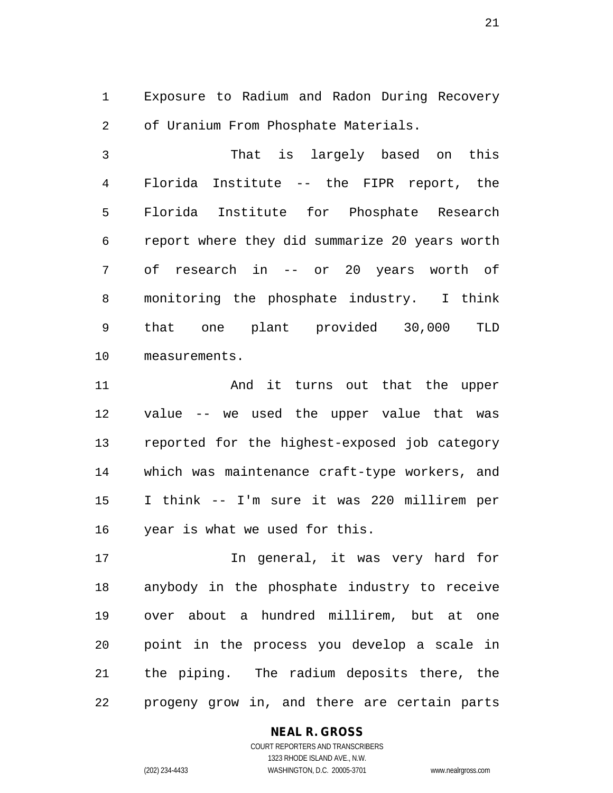1 Exposure to Radium and Radon During Recovery 2 of Uranium From Phosphate Materials.

3 That is largely based on this 4 Florida Institute -- the FIPR report, the 5 Florida Institute for Phosphate Research 6 report where they did summarize 20 years worth 7 of research in -- or 20 years worth of 8 monitoring the phosphate industry. I think 9 that one plant provided 30,000 TLD 10 measurements.

11 And it turns out that the upper 12 value -- we used the upper value that was 13 reported for the highest-exposed job category 14 which was maintenance craft-type workers, and 15 I think -- I'm sure it was 220 millirem per 16 year is what we used for this.

17 In general, it was very hard for 18 anybody in the phosphate industry to receive 19 over about a hundred millirem, but at one 20 point in the process you develop a scale in 21 the piping. The radium deposits there, the 22 progeny grow in, and there are certain parts

#### **NEAL R. GROSS** COURT REPORTERS AND TRANSCRIBERS

1323 RHODE ISLAND AVE., N.W. (202) 234-4433 WASHINGTON, D.C. 20005-3701 www.nealrgross.com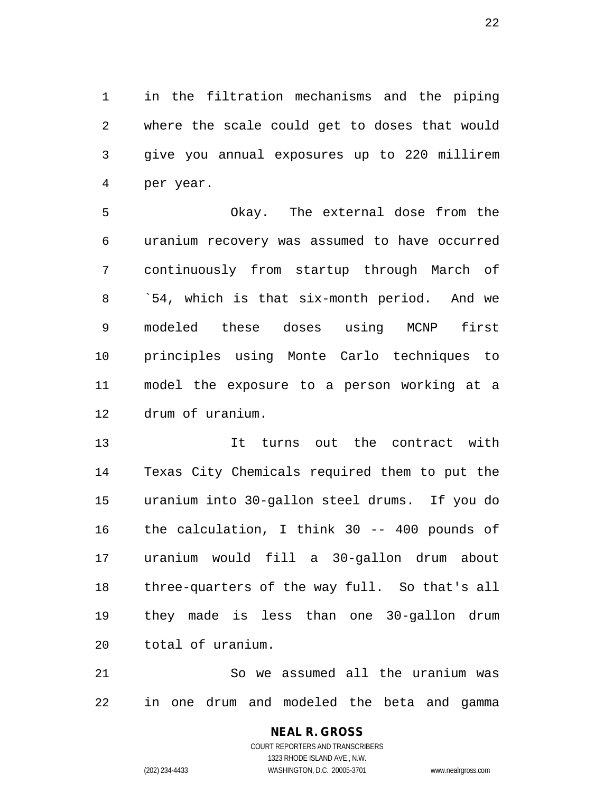1 in the filtration mechanisms and the piping 2 where the scale could get to doses that would 3 give you annual exposures up to 220 millirem 4 per year.

5 Okay. The external dose from the 6 uranium recovery was assumed to have occurred 7 continuously from startup through March of 8 `54, which is that six-month period. And we 9 modeled these doses using MCNP first 10 principles using Monte Carlo techniques to 11 model the exposure to a person working at a 12 drum of uranium.

13 It turns out the contract with 14 Texas City Chemicals required them to put the 15 uranium into 30-gallon steel drums. If you do 16 the calculation, I think 30 -- 400 pounds of 17 uranium would fill a 30-gallon drum about 18 three-quarters of the way full. So that's all 19 they made is less than one 30-gallon drum 20 total of uranium.

21 So we assumed all the uranium was 22 in one drum and modeled the beta and gamma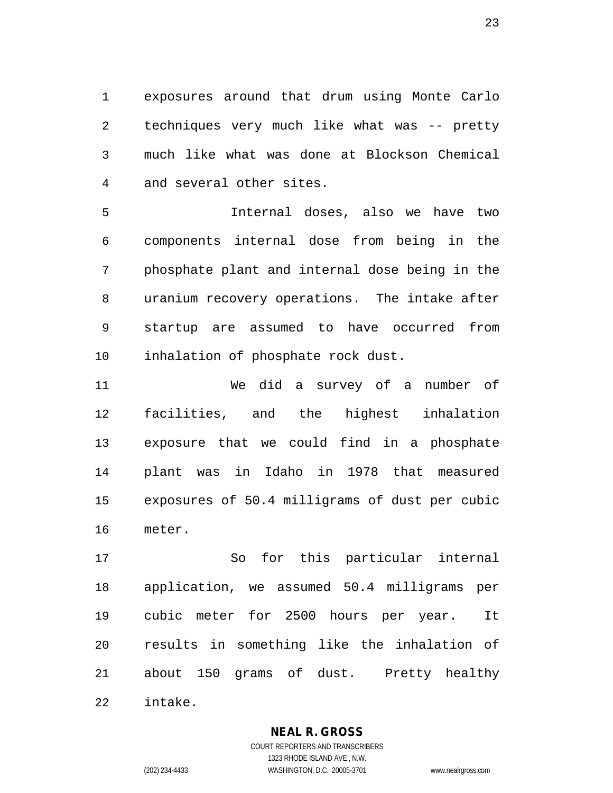1 exposures around that drum using Monte Carlo 2 techniques very much like what was -- pretty 3 much like what was done at Blockson Chemical 4 and several other sites.

5 Internal doses, also we have two 6 components internal dose from being in the 7 phosphate plant and internal dose being in the 8 uranium recovery operations. The intake after 9 startup are assumed to have occurred from 10 inhalation of phosphate rock dust.

11 We did a survey of a number of 12 facilities, and the highest inhalation 13 exposure that we could find in a phosphate 14 plant was in Idaho in 1978 that measured 15 exposures of 50.4 milligrams of dust per cubic 16 meter.

17 So for this particular internal 18 application, we assumed 50.4 milligrams per 19 cubic meter for 2500 hours per year. It 20 results in something like the inhalation of 21 about 150 grams of dust. Pretty healthy 22 intake.

**NEAL R. GROSS**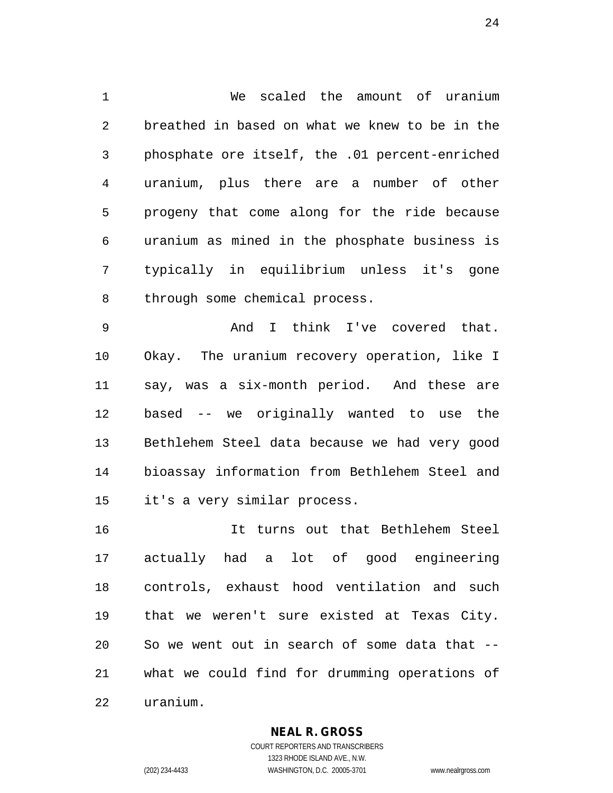1 We scaled the amount of uranium 2 breathed in based on what we knew to be in the 3 phosphate ore itself, the .01 percent-enriched 4 uranium, plus there are a number of other 5 progeny that come along for the ride because 6 uranium as mined in the phosphate business is 7 typically in equilibrium unless it's gone 8 through some chemical process.

9 And I think I've covered that. 10 Okay. The uranium recovery operation, like I 11 say, was a six-month period. And these are 12 based -- we originally wanted to use the 13 Bethlehem Steel data because we had very good 14 bioassay information from Bethlehem Steel and 15 it's a very similar process.

16 It turns out that Bethlehem Steel 17 actually had a lot of good engineering 18 controls, exhaust hood ventilation and such 19 that we weren't sure existed at Texas City. 20 So we went out in search of some data that -- 21 what we could find for drumming operations of 22 uranium.

## **NEAL R. GROSS**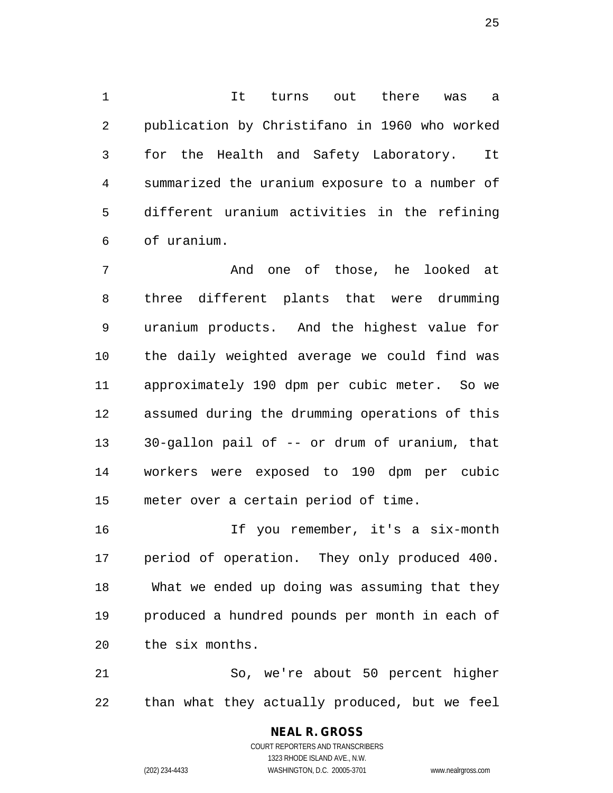1 It turns out there was a 2 publication by Christifano in 1960 who worked 3 for the Health and Safety Laboratory. It 4 summarized the uranium exposure to a number of 5 different uranium activities in the refining 6 of uranium.

7 And one of those, he looked at 8 three different plants that were drumming 9 uranium products. And the highest value for 10 the daily weighted average we could find was 11 approximately 190 dpm per cubic meter. So we 12 assumed during the drumming operations of this 13 30-gallon pail of -- or drum of uranium, that 14 workers were exposed to 190 dpm per cubic 15 meter over a certain period of time.

16 If you remember, it's a six-month 17 period of operation. They only produced 400. 18 What we ended up doing was assuming that they 19 produced a hundred pounds per month in each of 20 the six months.

21 So, we're about 50 percent higher 22 than what they actually produced, but we feel

> COURT REPORTERS AND TRANSCRIBERS 1323 RHODE ISLAND AVE., N.W. (202) 234-4433 WASHINGTON, D.C. 20005-3701 www.nealrgross.com

**NEAL R. GROSS**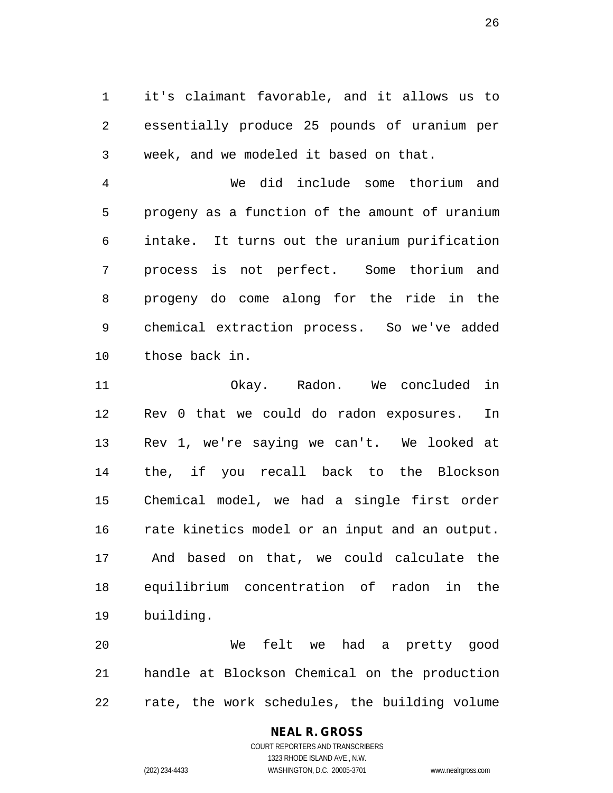1 it's claimant favorable, and it allows us to 2 essentially produce 25 pounds of uranium per 3 week, and we modeled it based on that.

4 We did include some thorium and 5 progeny as a function of the amount of uranium 6 intake. It turns out the uranium purification 7 process is not perfect. Some thorium and 8 progeny do come along for the ride in the 9 chemical extraction process. So we've added 10 those back in.

11 Okay. Radon. We concluded in 12 Rev 0 that we could do radon exposures. In 13 Rev 1, we're saying we can't. We looked at 14 the, if you recall back to the Blockson 15 Chemical model, we had a single first order 16 rate kinetics model or an input and an output. 17 And based on that, we could calculate the 18 equilibrium concentration of radon in the 19 building.

20 We felt we had a pretty good 21 handle at Blockson Chemical on the production 22 rate, the work schedules, the building volume

## **NEAL R. GROSS**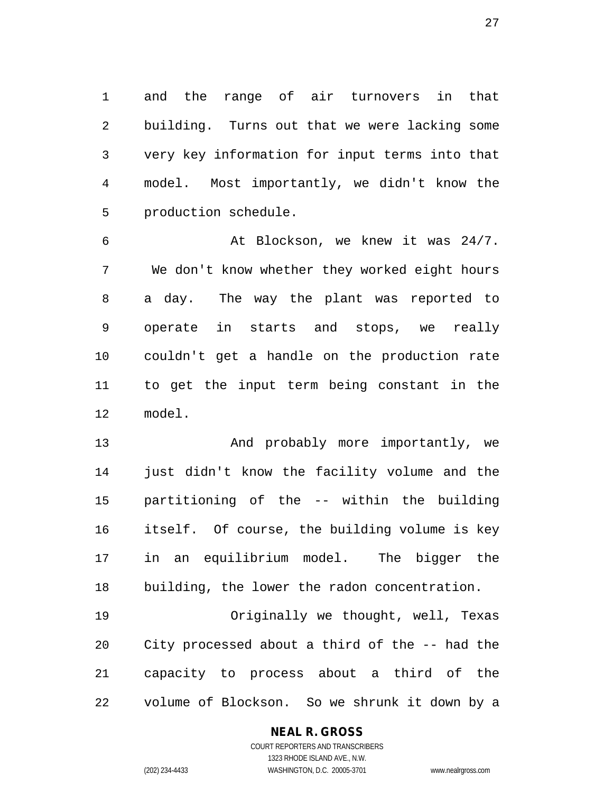1 and the range of air turnovers in that 2 building. Turns out that we were lacking some 3 very key information for input terms into that 4 model. Most importantly, we didn't know the 5 production schedule.

6 At Blockson, we knew it was 24/7. 7 We don't know whether they worked eight hours 8 a day. The way the plant was reported to 9 operate in starts and stops, we really 10 couldn't get a handle on the production rate 11 to get the input term being constant in the 12 model.

13 And probably more importantly, we 14 just didn't know the facility volume and the 15 partitioning of the -- within the building 16 itself. Of course, the building volume is key 17 in an equilibrium model. The bigger the 18 building, the lower the radon concentration.

19 Originally we thought, well, Texas 20 City processed about a third of the -- had the 21 capacity to process about a third of the 22 volume of Blockson. So we shrunk it down by a

## **NEAL R. GROSS**

COURT REPORTERS AND TRANSCRIBERS 1323 RHODE ISLAND AVE., N.W. (202) 234-4433 WASHINGTON, D.C. 20005-3701 www.nealrgross.com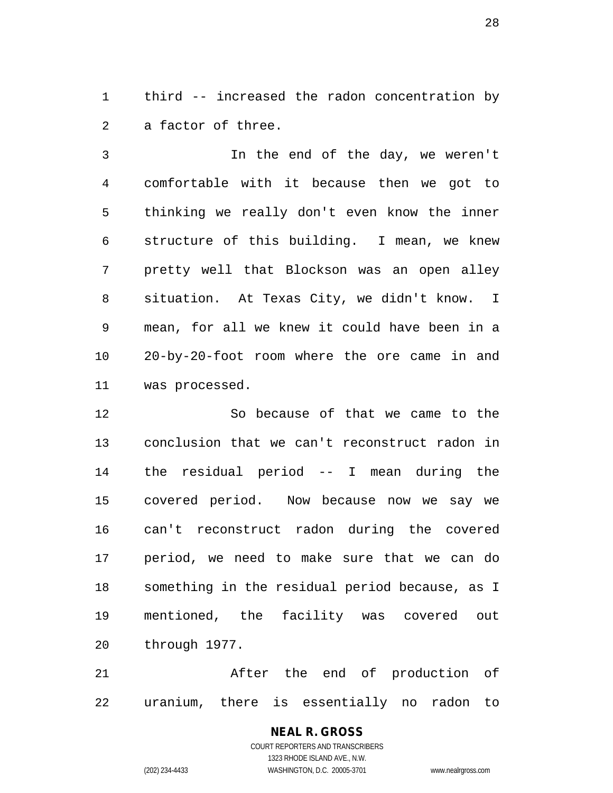1 third -- increased the radon concentration by 2 a factor of three.

3 In the end of the day, we weren't 4 comfortable with it because then we got to 5 thinking we really don't even know the inner 6 structure of this building. I mean, we knew 7 pretty well that Blockson was an open alley 8 situation. At Texas City, we didn't know. I 9 mean, for all we knew it could have been in a 10 20-by-20-foot room where the ore came in and 11 was processed.

12 So because of that we came to the 13 conclusion that we can't reconstruct radon in 14 the residual period -- I mean during the 15 covered period. Now because now we say we 16 can't reconstruct radon during the covered 17 period, we need to make sure that we can do 18 something in the residual period because, as I 19 mentioned, the facility was covered out 20 through 1977.

21 After the end of production of 22 uranium, there is essentially no radon to

# **NEAL R. GROSS**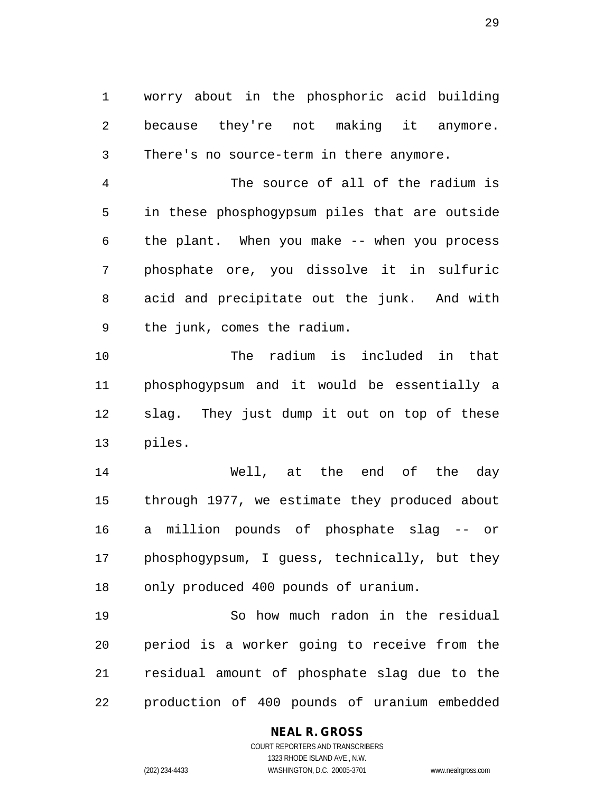1 worry about in the phosphoric acid building 2 because they're not making it anymore. 3 There's no source-term in there anymore.

4 The source of all of the radium is 5 in these phosphogypsum piles that are outside 6 the plant. When you make -- when you process 7 phosphate ore, you dissolve it in sulfuric 8 acid and precipitate out the junk. And with 9 the junk, comes the radium.

10 The radium is included in that 11 phosphogypsum and it would be essentially a 12 slag. They just dump it out on top of these 13 piles.

14 Well, at the end of the day 15 through 1977, we estimate they produced about 16 a million pounds of phosphate slag -- or 17 phosphogypsum, I guess, technically, but they 18 only produced 400 pounds of uranium.

19 So how much radon in the residual 20 period is a worker going to receive from the 21 residual amount of phosphate slag due to the 22 production of 400 pounds of uranium embedded

## **NEAL R. GROSS**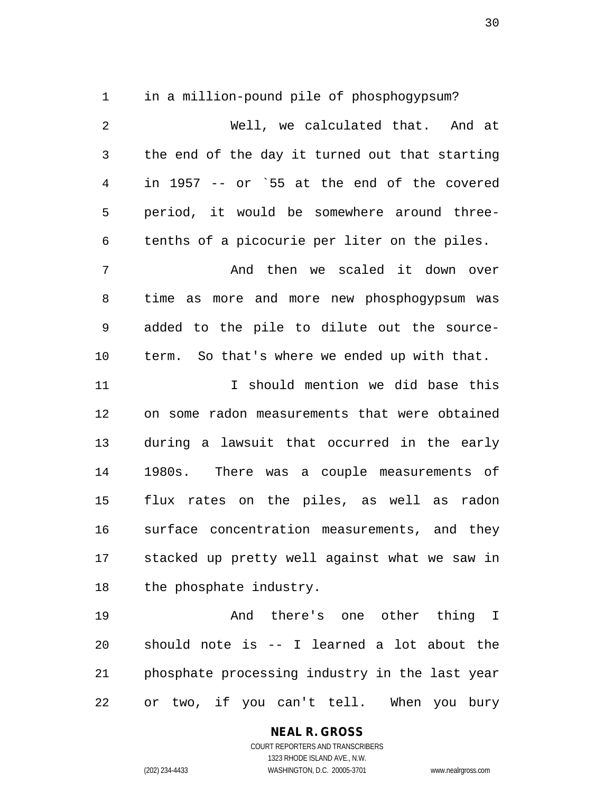1 in a million-pound pile of phosphogypsum?

2 Well, we calculated that. And at 3 the end of the day it turned out that starting 4 in 1957 -- or `55 at the end of the covered 5 period, it would be somewhere around three-6 tenths of a picocurie per liter on the piles. 7 And then we scaled it down over 8 time as more and more new phosphogypsum was 9 added to the pile to dilute out the source-10 term. So that's where we ended up with that. 11 I should mention we did base this 12 on some radon measurements that were obtained 13 during a lawsuit that occurred in the early 14 1980s. There was a couple measurements of 15 flux rates on the piles, as well as radon 16 surface concentration measurements, and they 17 stacked up pretty well against what we saw in 18 the phosphate industry. 19 And there's one other thing I 20 should note is -- I learned a lot about the 21 phosphate processing industry in the last year

22 or two, if you can't tell. When you bury

**NEAL R. GROSS**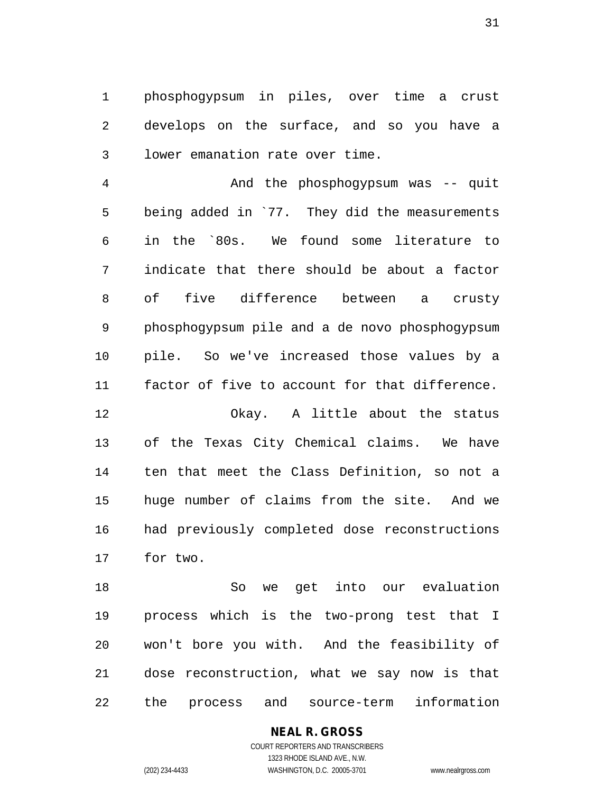1 phosphogypsum in piles, over time a crust 2 develops on the surface, and so you have a 3 lower emanation rate over time.

4 And the phosphogypsum was -- quit 5 being added in `77. They did the measurements 6 in the `80s. We found some literature to 7 indicate that there should be about a factor 8 of five difference between a crusty 9 phosphogypsum pile and a de novo phosphogypsum 10 pile. So we've increased those values by a 11 factor of five to account for that difference.

12 Okay. A little about the status 13 of the Texas City Chemical claims. We have 14 ten that meet the Class Definition, so not a 15 huge number of claims from the site. And we 16 had previously completed dose reconstructions 17 for two.

18 So we get into our evaluation 19 process which is the two-prong test that I 20 won't bore you with. And the feasibility of 21 dose reconstruction, what we say now is that 22 the process and source-term information

**NEAL R. GROSS**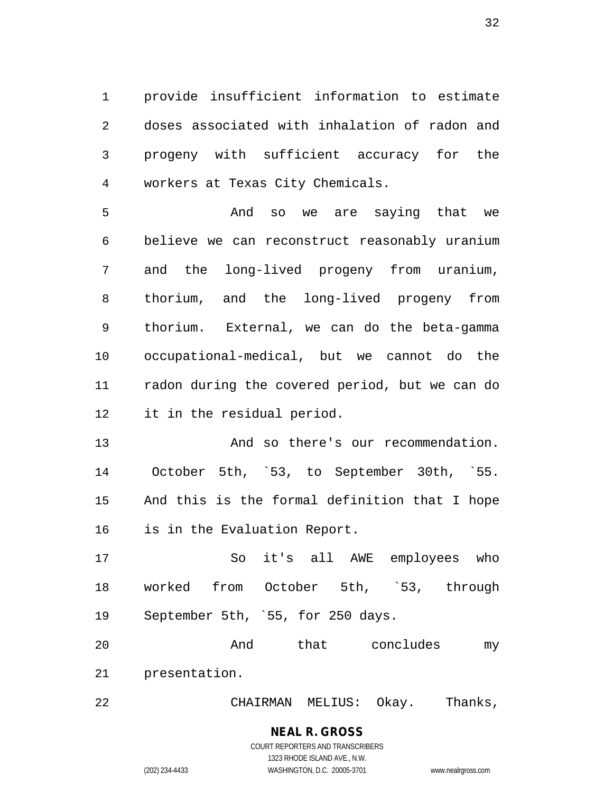1 provide insufficient information to estimate 2 doses associated with inhalation of radon and 3 progeny with sufficient accuracy for the 4 workers at Texas City Chemicals.

5 And so we are saying that we 6 believe we can reconstruct reasonably uranium 7 and the long-lived progeny from uranium, 8 thorium, and the long-lived progeny from 9 thorium. External, we can do the beta-gamma 10 occupational-medical, but we cannot do the 11 radon during the covered period, but we can do 12 it in the residual period.

13 And so there's our recommendation. 14 October 5th, `53, to September 30th, `55. 15 And this is the formal definition that I hope 16 is in the Evaluation Report.

17 So it's all AWE employees who 18 worked from October 5th, `53, through 19 September 5th, `55, for 250 days.

20 And that concludes my 21 presentation.

22 CHAIRMAN MELIUS: Okay. Thanks,

## **NEAL R. GROSS** COURT REPORTERS AND TRANSCRIBERS

1323 RHODE ISLAND AVE., N.W. (202) 234-4433 WASHINGTON, D.C. 20005-3701 www.nealrgross.com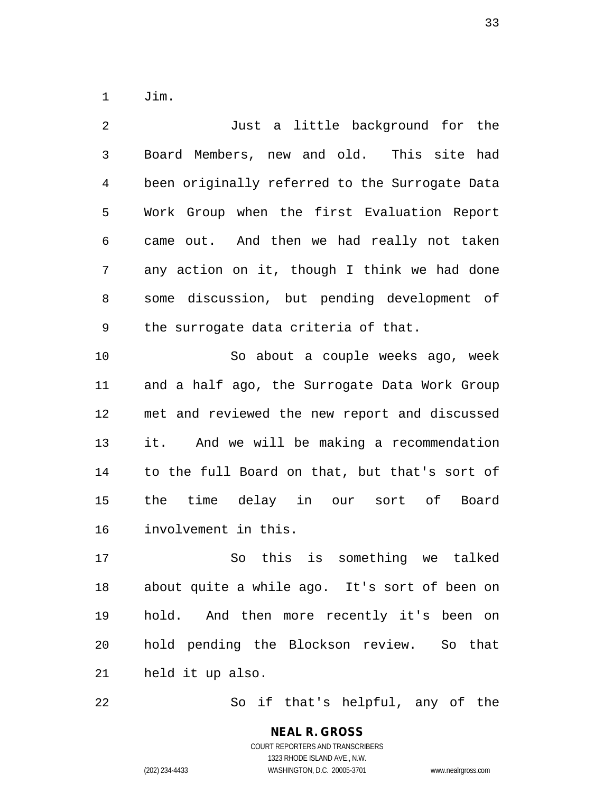1 Jim.

2 Just a little background for the 3 Board Members, new and old. This site had 4 been originally referred to the Surrogate Data 5 Work Group when the first Evaluation Report 6 came out. And then we had really not taken 7 any action on it, though I think we had done 8 some discussion, but pending development of 9 the surrogate data criteria of that. 10 So about a couple weeks ago, week 11 and a half ago, the Surrogate Data Work Group 12 met and reviewed the new report and discussed 13 it. And we will be making a recommendation 14 to the full Board on that, but that's sort of 15 the time delay in our sort of Board 16 involvement in this. 17 So this is something we talked 18 about quite a while ago. It's sort of been on

19 hold. And then more recently it's been on 20 hold pending the Blockson review. So that 21 held it up also.

22 So if that's helpful, any of the

**NEAL R. GROSS** COURT REPORTERS AND TRANSCRIBERS 1323 RHODE ISLAND AVE., N.W. (202) 234-4433 WASHINGTON, D.C. 20005-3701 www.nealrgross.com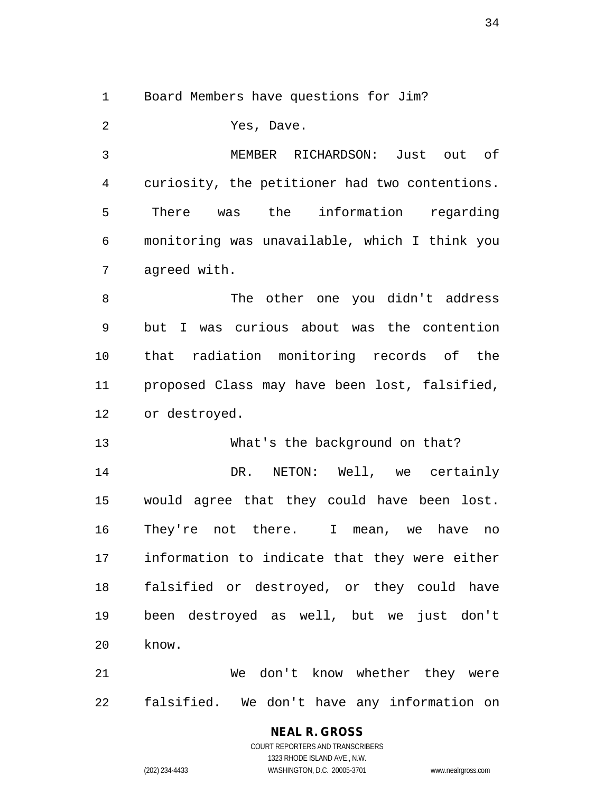1 Board Members have questions for Jim?

2 Yes, Dave. 3 MEMBER RICHARDSON: Just out of 4 curiosity, the petitioner had two contentions. 5 There was the information regarding 6 monitoring was unavailable, which I think you 7 agreed with. 8 The other one you didn't address 9 but I was curious about was the contention 10 that radiation monitoring records of the 11 proposed Class may have been lost, falsified, 12 or destroyed. 13 What's the background on that? 14 DR. NETON: Well, we certainly 15 would agree that they could have been lost. 16 They're not there. I mean, we have no 17 information to indicate that they were either 18 falsified or destroyed, or they could have 19 been destroyed as well, but we just don't 20 know. 21 We don't know whether they were

22 falsified. We don't have any information on

#### **NEAL R. GROSS** COURT REPORTERS AND TRANSCRIBERS

1323 RHODE ISLAND AVE., N.W. (202) 234-4433 WASHINGTON, D.C. 20005-3701 www.nealrgross.com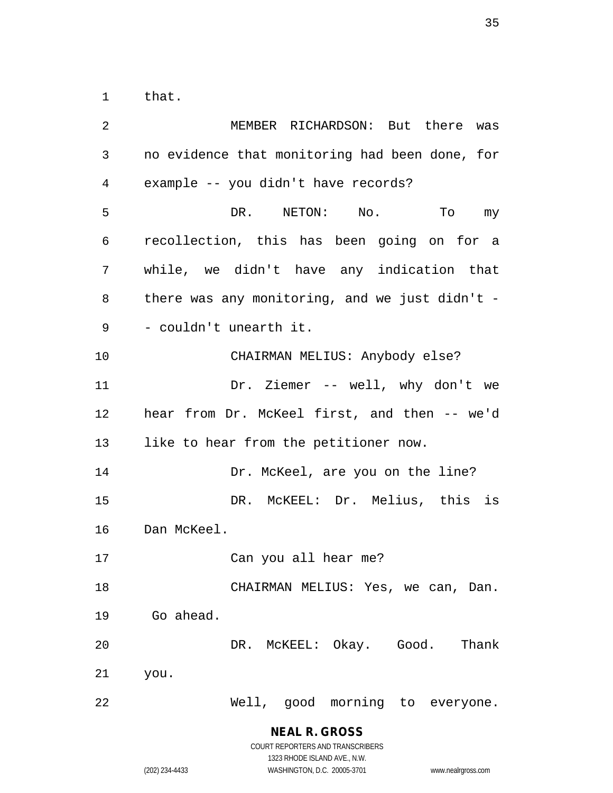1 that.

2 MEMBER RICHARDSON: But there was 3 no evidence that monitoring had been done, for 4 example -- you didn't have records? 5 DR. NETON: No. To my 6 recollection, this has been going on for a 7 while, we didn't have any indication that 8 there was any monitoring, and we just didn't - 9 - couldn't unearth it. 10 CHAIRMAN MELIUS: Anybody else? 11 Dr. Ziemer -- well, why don't we 12 hear from Dr. McKeel first, and then -- we'd 13 like to hear from the petitioner now. 14 Dr. McKeel, are you on the line? 15 DR. McKEEL: Dr. Melius, this is 16 Dan McKeel. 17 Can you all hear me? 18 CHAIRMAN MELIUS: Yes, we can, Dan. 19 Go ahead. 20 DR. McKEEL: Okay. Good. Thank 21 you. 22 Well, good morning to everyone.

> **NEAL R. GROSS** COURT REPORTERS AND TRANSCRIBERS

> > 1323 RHODE ISLAND AVE., N.W.

(202) 234-4433 WASHINGTON, D.C. 20005-3701 www.nealrgross.com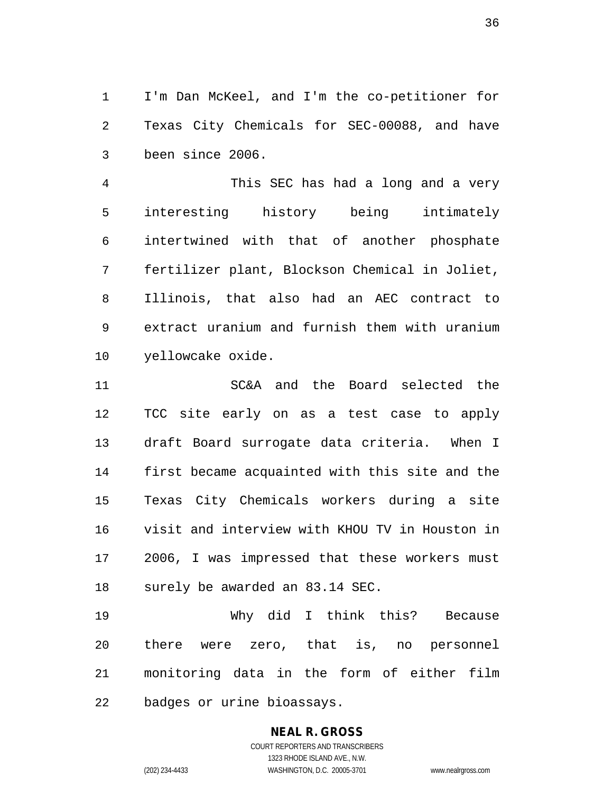1 I'm Dan McKeel, and I'm the co-petitioner for 2 Texas City Chemicals for SEC-00088, and have 3 been since 2006.

4 This SEC has had a long and a very 5 interesting history being intimately 6 intertwined with that of another phosphate 7 fertilizer plant, Blockson Chemical in Joliet, 8 Illinois, that also had an AEC contract to 9 extract uranium and furnish them with uranium 10 yellowcake oxide.

11 SC&A and the Board selected the 12 TCC site early on as a test case to apply 13 draft Board surrogate data criteria. When I 14 first became acquainted with this site and the 15 Texas City Chemicals workers during a site 16 visit and interview with KHOU TV in Houston in 17 2006, I was impressed that these workers must 18 surely be awarded an 83.14 SEC.

19 Why did I think this? Because 20 there were zero, that is, no personnel 21 monitoring data in the form of either film 22 badges or urine bioassays.

## **NEAL R. GROSS** COURT REPORTERS AND TRANSCRIBERS

1323 RHODE ISLAND AVE., N.W. (202) 234-4433 WASHINGTON, D.C. 20005-3701 www.nealrgross.com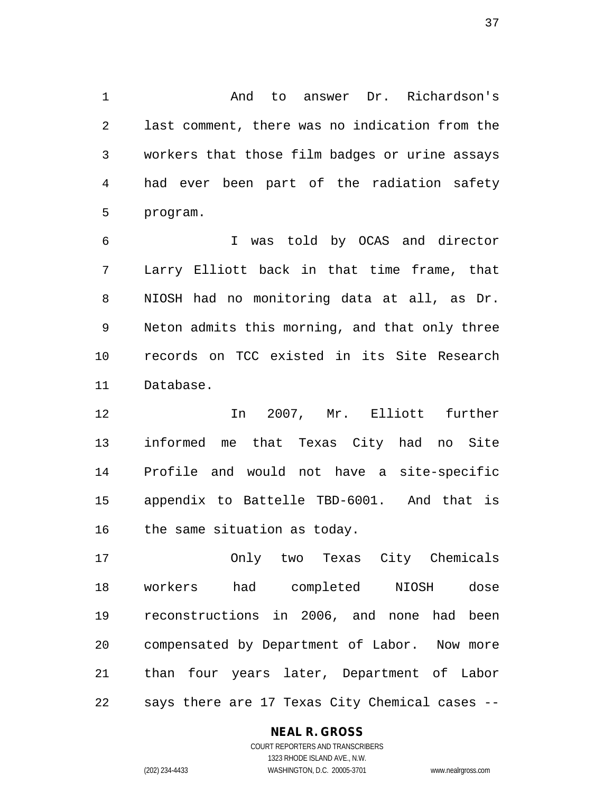1 And to answer Dr. Richardson's 2 last comment, there was no indication from the 3 workers that those film badges or urine assays 4 had ever been part of the radiation safety 5 program.

6 I was told by OCAS and director 7 Larry Elliott back in that time frame, that 8 NIOSH had no monitoring data at all, as Dr. 9 Neton admits this morning, and that only three 10 records on TCC existed in its Site Research 11 Database.

12 In 2007, Mr. Elliott further 13 informed me that Texas City had no Site 14 Profile and would not have a site-specific 15 appendix to Battelle TBD-6001. And that is 16 the same situation as today.

17 Only two Texas City Chemicals 18 workers had completed NIOSH dose 19 reconstructions in 2006, and none had been 20 compensated by Department of Labor. Now more 21 than four years later, Department of Labor 22 says there are 17 Texas City Chemical cases --

### **NEAL R. GROSS**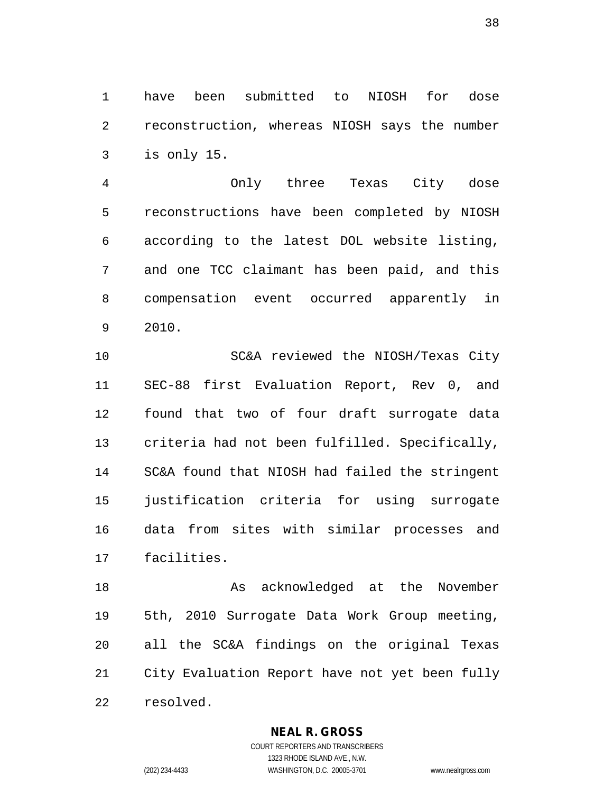1 have been submitted to NIOSH for dose 2 reconstruction, whereas NIOSH says the number 3 is only 15.

4 Only three Texas City dose 5 reconstructions have been completed by NIOSH 6 according to the latest DOL website listing, 7 and one TCC claimant has been paid, and this 8 compensation event occurred apparently in 9 2010.

10 SC&A reviewed the NIOSH/Texas City 11 SEC-88 first Evaluation Report, Rev 0, and 12 found that two of four draft surrogate data 13 criteria had not been fulfilled. Specifically, 14 SC&A found that NIOSH had failed the stringent 15 justification criteria for using surrogate 16 data from sites with similar processes and 17 facilities.

18 As acknowledged at the November 19 5th, 2010 Surrogate Data Work Group meeting, 20 all the SC&A findings on the original Texas 21 City Evaluation Report have not yet been fully 22 resolved.

**NEAL R. GROSS**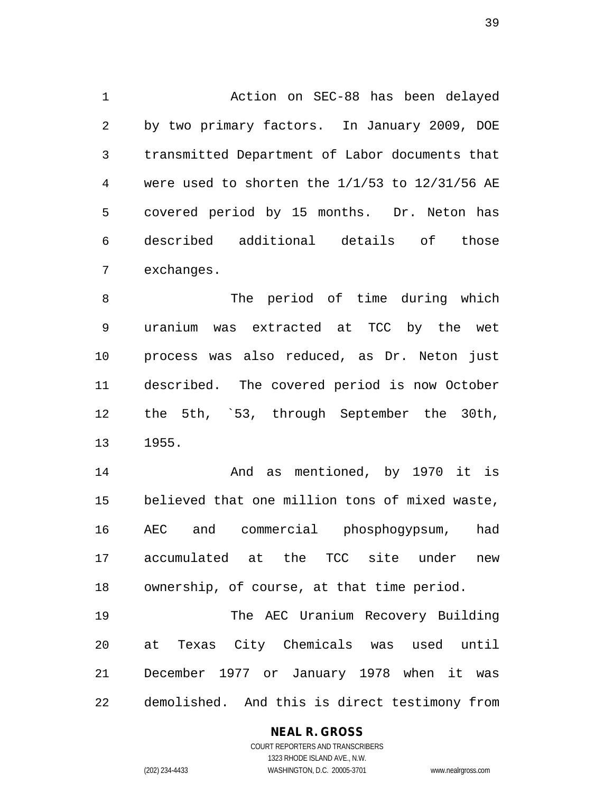1 Action on SEC-88 has been delayed 2 by two primary factors. In January 2009, DOE 3 transmitted Department of Labor documents that 4 were used to shorten the 1/1/53 to 12/31/56 AE 5 covered period by 15 months. Dr. Neton has 6 described additional details of those 7 exchanges.

8 The period of time during which 9 uranium was extracted at TCC by the wet 10 process was also reduced, as Dr. Neton just 11 described. The covered period is now October 12 the 5th, `53, through September the 30th, 13 1955.

14 And as mentioned, by 1970 it is 15 believed that one million tons of mixed waste, 16 AEC and commercial phosphogypsum, had 17 accumulated at the TCC site under new 18 ownership, of course, at that time period.

19 The AEC Uranium Recovery Building 20 at Texas City Chemicals was used until 21 December 1977 or January 1978 when it was 22 demolished. And this is direct testimony from

### **NEAL R. GROSS**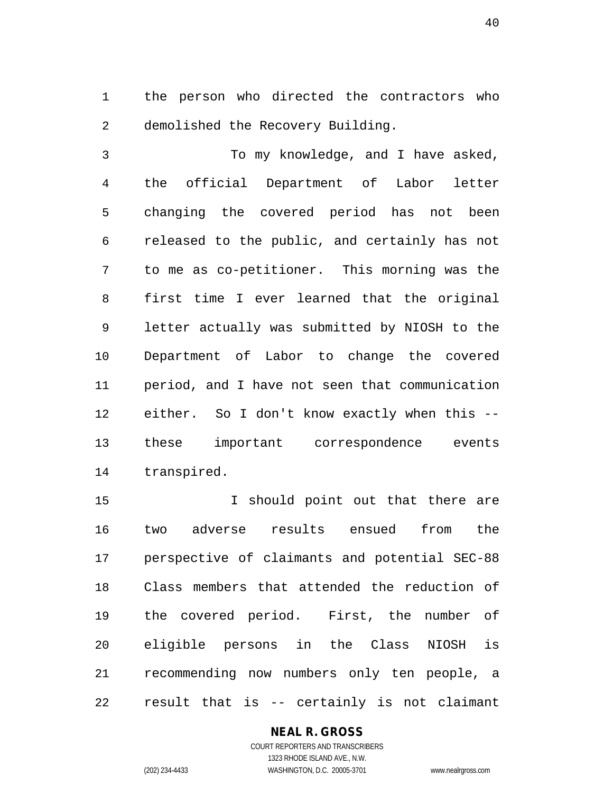1 the person who directed the contractors who 2 demolished the Recovery Building.

3 To my knowledge, and I have asked, 4 the official Department of Labor letter 5 changing the covered period has not been 6 released to the public, and certainly has not 7 to me as co-petitioner. This morning was the 8 first time I ever learned that the original 9 letter actually was submitted by NIOSH to the 10 Department of Labor to change the covered 11 period, and I have not seen that communication 12 either. So I don't know exactly when this -- 13 these important correspondence events 14 transpired.

15 15 I should point out that there are 16 two adverse results ensued from the 17 perspective of claimants and potential SEC-88 18 Class members that attended the reduction of 19 the covered period. First, the number of 20 eligible persons in the Class NIOSH is 21 recommending now numbers only ten people, a 22 result that is -- certainly is not claimant

#### **NEAL R. GROSS** COURT REPORTERS AND TRANSCRIBERS

1323 RHODE ISLAND AVE., N.W. (202) 234-4433 WASHINGTON, D.C. 20005-3701 www.nealrgross.com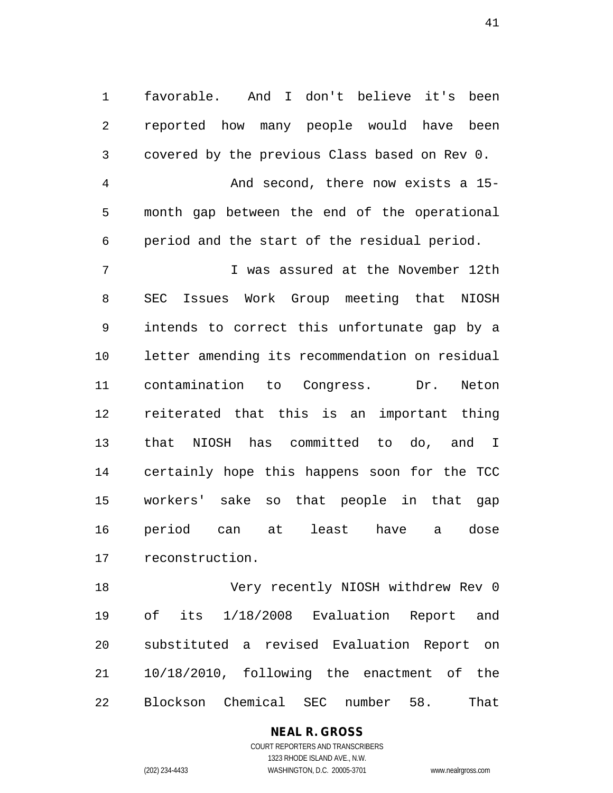1 favorable. And I don't believe it's been 2 reported how many people would have been 3 covered by the previous Class based on Rev 0.

4 And second, there now exists a 15- 5 month gap between the end of the operational 6 period and the start of the residual period.

7 I was assured at the November 12th 8 SEC Issues Work Group meeting that NIOSH 9 intends to correct this unfortunate gap by a 10 letter amending its recommendation on residual 11 contamination to Congress. Dr. Neton 12 reiterated that this is an important thing 13 that NIOSH has committed to do, and I 14 certainly hope this happens soon for the TCC 15 workers' sake so that people in that gap 16 period can at least have a dose 17 reconstruction.

18 Very recently NIOSH withdrew Rev 0 19 of its 1/18/2008 Evaluation Report and 20 substituted a revised Evaluation Report on 21 10/18/2010, following the enactment of the 22 Blockson Chemical SEC number 58. That

> **NEAL R. GROSS** COURT REPORTERS AND TRANSCRIBERS

> > 1323 RHODE ISLAND AVE., N.W.

(202) 234-4433 WASHINGTON, D.C. 20005-3701 www.nealrgross.com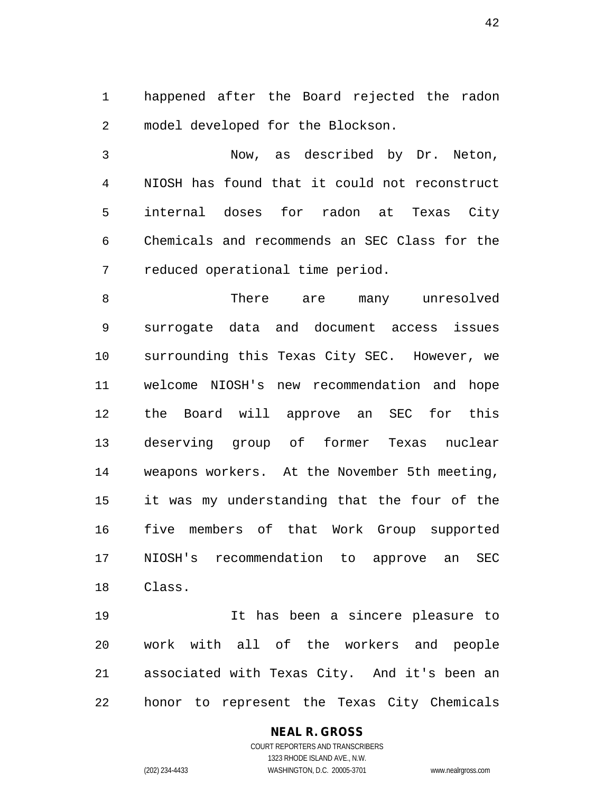1 happened after the Board rejected the radon 2 model developed for the Blockson.

3 Now, as described by Dr. Neton, 4 NIOSH has found that it could not reconstruct 5 internal doses for radon at Texas City 6 Chemicals and recommends an SEC Class for the 7 reduced operational time period.

8 There are many unresolved 9 surrogate data and document access issues 10 surrounding this Texas City SEC. However, we 11 welcome NIOSH's new recommendation and hope 12 the Board will approve an SEC for this 13 deserving group of former Texas nuclear 14 weapons workers. At the November 5th meeting, 15 it was my understanding that the four of the 16 five members of that Work Group supported 17 NIOSH's recommendation to approve an SEC 18 Class.

19 It has been a sincere pleasure to 20 work with all of the workers and people 21 associated with Texas City. And it's been an 22 honor to represent the Texas City Chemicals

## **NEAL R. GROSS**

COURT REPORTERS AND TRANSCRIBERS 1323 RHODE ISLAND AVE., N.W. (202) 234-4433 WASHINGTON, D.C. 20005-3701 www.nealrgross.com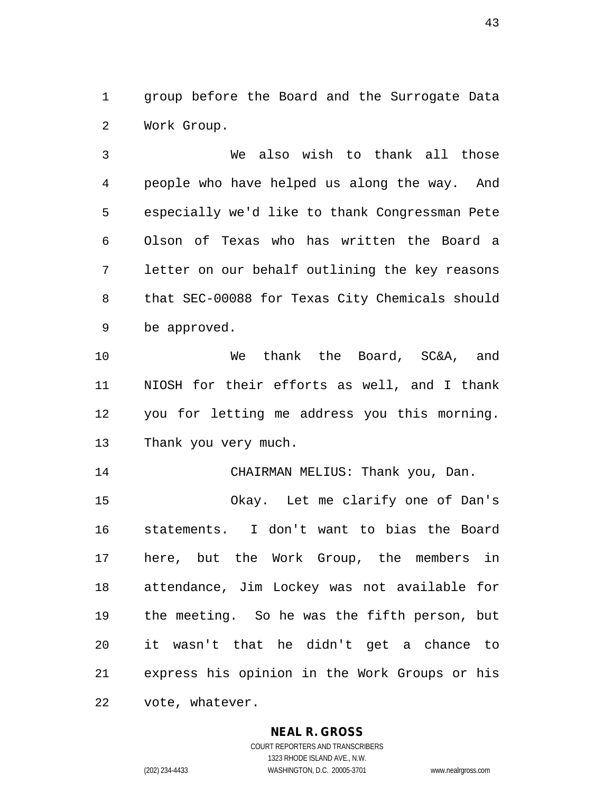1 group before the Board and the Surrogate Data 2 Work Group.

3 We also wish to thank all those 4 people who have helped us along the way. And 5 especially we'd like to thank Congressman Pete 6 Olson of Texas who has written the Board a 7 letter on our behalf outlining the key reasons 8 that SEC-00088 for Texas City Chemicals should 9 be approved.

10 We thank the Board, SC&A, and 11 NIOSH for their efforts as well, and I thank 12 you for letting me address you this morning. 13 Thank you very much.

14 CHAIRMAN MELIUS: Thank you, Dan.

15 Okay. Let me clarify one of Dan's 16 statements. I don't want to bias the Board 17 here, but the Work Group, the members in 18 attendance, Jim Lockey was not available for 19 the meeting. So he was the fifth person, but 20 it wasn't that he didn't get a chance to 21 express his opinion in the Work Groups or his 22 vote, whatever.

#### **NEAL R. GROSS**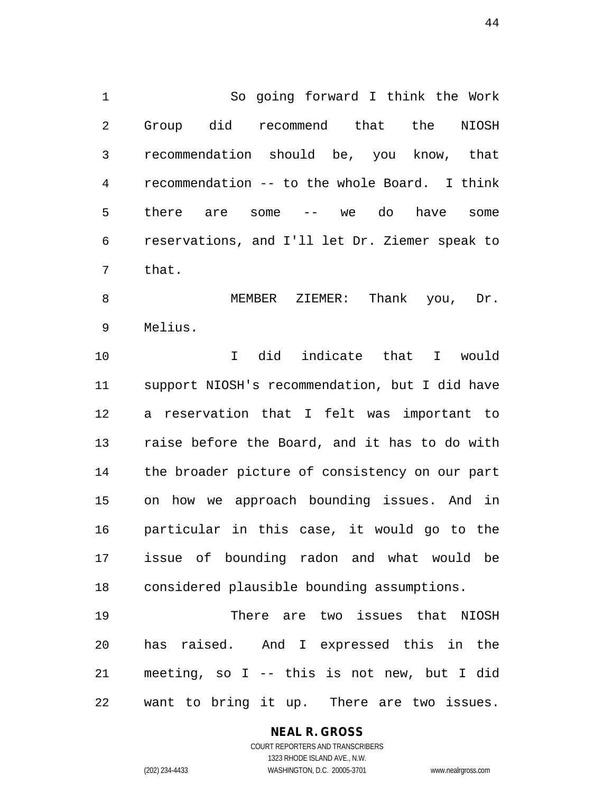1 So going forward I think the Work 2 Group did recommend that the NIOSH 3 recommendation should be, you know, that 4 recommendation -- to the whole Board. I think 5 there are some -- we do have some 6 reservations, and I'll let Dr. Ziemer speak to 7 that.

8 MEMBER ZIEMER: Thank you, Dr. 9 Melius.

10 I did indicate that I would 11 support NIOSH's recommendation, but I did have 12 a reservation that I felt was important to 13 raise before the Board, and it has to do with 14 the broader picture of consistency on our part 15 on how we approach bounding issues. And in 16 particular in this case, it would go to the 17 issue of bounding radon and what would be 18 considered plausible bounding assumptions.

19 There are two issues that NIOSH 20 has raised. And I expressed this in the 21 meeting, so I -- this is not new, but I did 22 want to bring it up. There are two issues.

## **NEAL R. GROSS**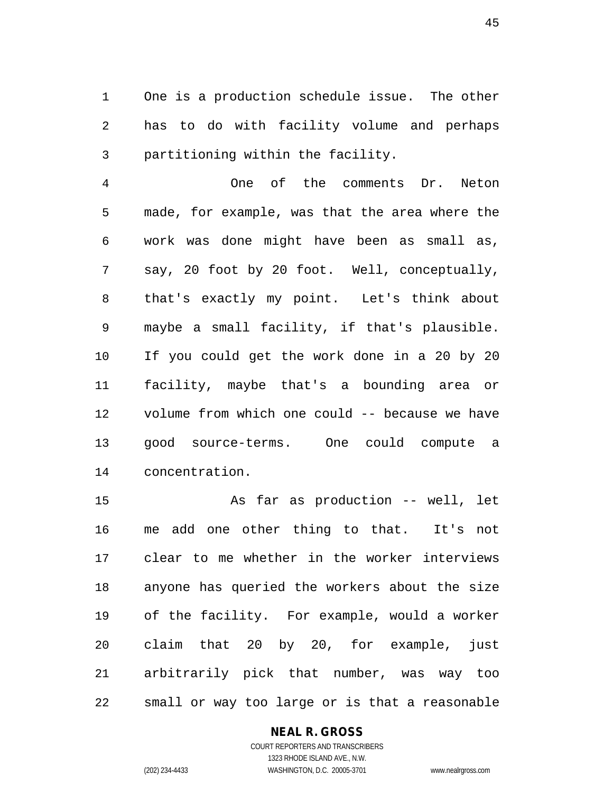1 One is a production schedule issue. The other 2 has to do with facility volume and perhaps 3 partitioning within the facility.

4 One of the comments Dr. Neton 5 made, for example, was that the area where the 6 work was done might have been as small as, 7 say, 20 foot by 20 foot. Well, conceptually, 8 that's exactly my point. Let's think about 9 maybe a small facility, if that's plausible. 10 If you could get the work done in a 20 by 20 11 facility, maybe that's a bounding area or 12 volume from which one could -- because we have 13 good source-terms. One could compute a 14 concentration.

15 As far as production -- well, let 16 me add one other thing to that. It's not 17 clear to me whether in the worker interviews 18 anyone has queried the workers about the size 19 of the facility. For example, would a worker 20 claim that 20 by 20, for example, just 21 arbitrarily pick that number, was way too 22 small or way too large or is that a reasonable

### **NEAL R. GROSS**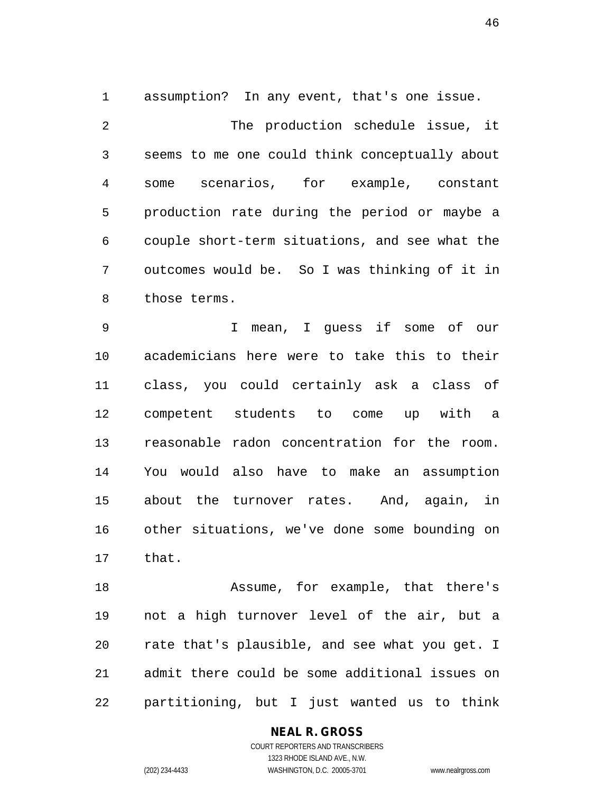1 assumption? In any event, that's one issue.

2 The production schedule issue, it 3 seems to me one could think conceptually about 4 some scenarios, for example, constant 5 production rate during the period or maybe a 6 couple short-term situations, and see what the 7 outcomes would be. So I was thinking of it in 8 those terms.

9 I mean, I guess if some of our 10 academicians here were to take this to their 11 class, you could certainly ask a class of 12 competent students to come up with a 13 reasonable radon concentration for the room. 14 You would also have to make an assumption 15 about the turnover rates. And, again, in 16 other situations, we've done some bounding on 17 that.

18 Assume, for example, that there's 19 not a high turnover level of the air, but a 20 rate that's plausible, and see what you get. I 21 admit there could be some additional issues on 22 partitioning, but I just wanted us to think

### **NEAL R. GROSS**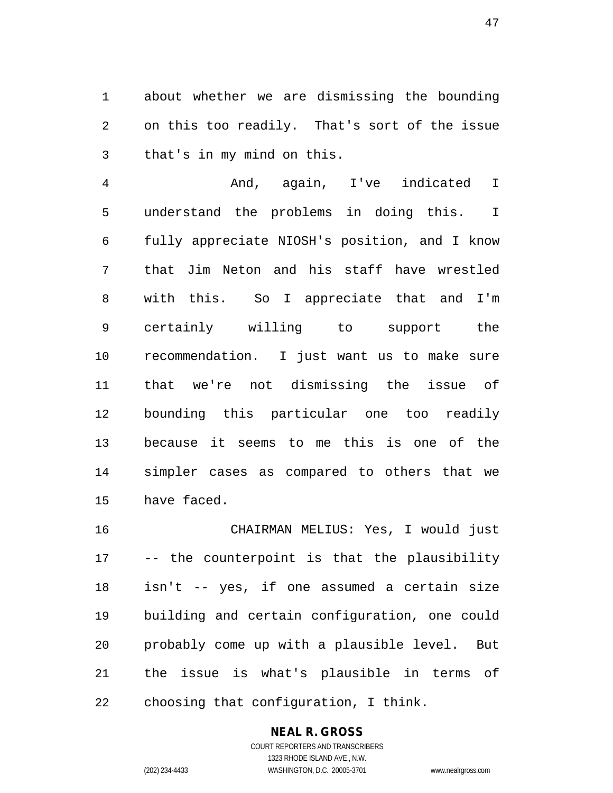1 about whether we are dismissing the bounding 2 on this too readily. That's sort of the issue 3 that's in my mind on this.

4 And, again, I've indicated I 5 understand the problems in doing this. I 6 fully appreciate NIOSH's position, and I know 7 that Jim Neton and his staff have wrestled 8 with this. So I appreciate that and I'm 9 certainly willing to support the 10 recommendation. I just want us to make sure 11 that we're not dismissing the issue of 12 bounding this particular one too readily 13 because it seems to me this is one of the 14 simpler cases as compared to others that we 15 have faced.

16 CHAIRMAN MELIUS: Yes, I would just 17 -- the counterpoint is that the plausibility 18 isn't -- yes, if one assumed a certain size 19 building and certain configuration, one could 20 probably come up with a plausible level. But 21 the issue is what's plausible in terms of 22 choosing that configuration, I think.

## **NEAL R. GROSS**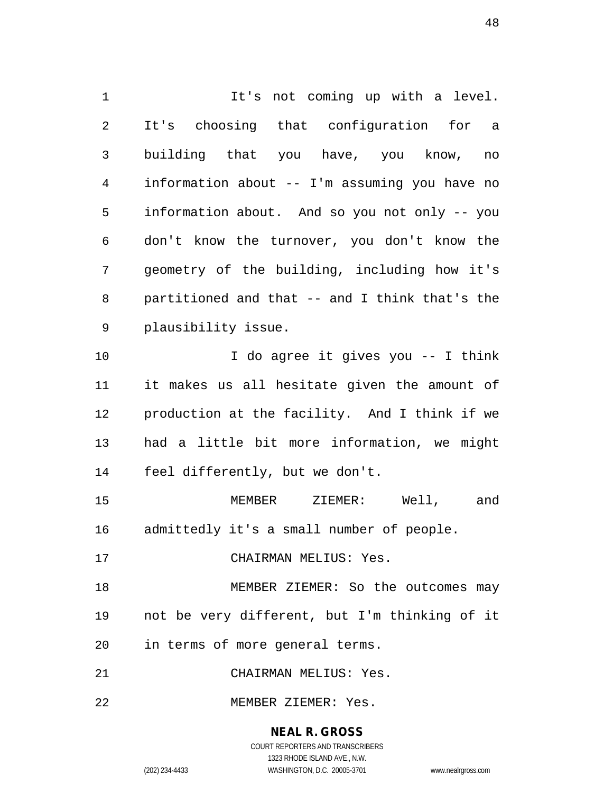1 It's not coming up with a level. 2 It's choosing that configuration for a 3 building that you have, you know, no 4 information about -- I'm assuming you have no 5 information about. And so you not only -- you 6 don't know the turnover, you don't know the 7 geometry of the building, including how it's 8 partitioned and that -- and I think that's the 9 plausibility issue. 10 I do agree it gives you -- I think 11 it makes us all hesitate given the amount of 12 production at the facility. And I think if we 13 had a little bit more information, we might 14 feel differently, but we don't. 15 MEMBER ZIEMER: Well, and 16 admittedly it's a small number of people. 17 CHAIRMAN MELIUS: Yes. 18 MEMBER ZIEMER: So the outcomes may 19 not be very different, but I'm thinking of it 20 in terms of more general terms. 21 CHAIRMAN MELIUS: Yes. 22 MEMBER ZIEMER: Yes.

> **NEAL R. GROSS** COURT REPORTERS AND TRANSCRIBERS

> > 1323 RHODE ISLAND AVE., N.W.

(202) 234-4433 WASHINGTON, D.C. 20005-3701 www.nealrgross.com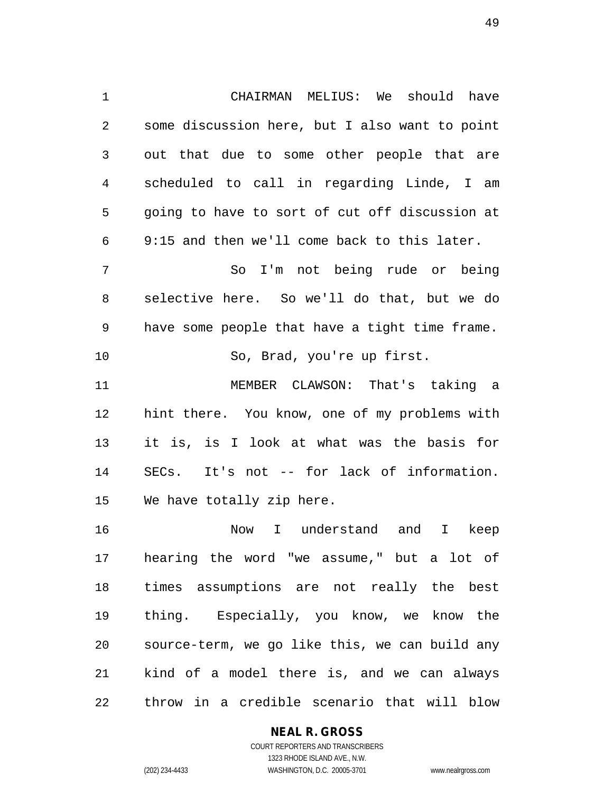1 CHAIRMAN MELIUS: We should have 2 some discussion here, but I also want to point 3 out that due to some other people that are 4 scheduled to call in regarding Linde, I am 5 going to have to sort of cut off discussion at 6 9:15 and then we'll come back to this later. 7 So I'm not being rude or being 8 selective here. So we'll do that, but we do 9 have some people that have a tight time frame. 10 So, Brad, you're up first. 11 MEMBER CLAWSON: That's taking a 12 hint there. You know, one of my problems with 13 it is, is I look at what was the basis for 14 SECs. It's not -- for lack of information. 15 We have totally zip here. 16 Now I understand and I keep 17 hearing the word "we assume," but a lot of

18 times assumptions are not really the best 19 thing. Especially, you know, we know the 20 source-term, we go like this, we can build any 21 kind of a model there is, and we can always 22 throw in a credible scenario that will blow

#### **NEAL R. GROSS**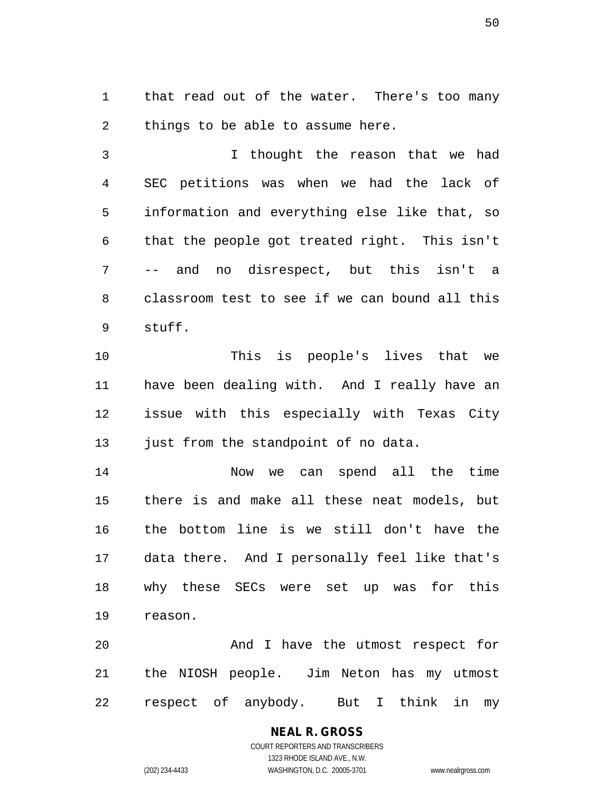1 that read out of the water. There's too many 2 things to be able to assume here.

3 I thought the reason that we had 4 SEC petitions was when we had the lack of 5 information and everything else like that, so 6 that the people got treated right. This isn't 7 -- and no disrespect, but this isn't a 8 classroom test to see if we can bound all this 9 stuff.

10 This is people's lives that we 11 have been dealing with. And I really have an 12 issue with this especially with Texas City 13 just from the standpoint of no data.

14 Now we can spend all the time 15 there is and make all these neat models, but 16 the bottom line is we still don't have the 17 data there. And I personally feel like that's 18 why these SECs were set up was for this 19 reason.

20 And I have the utmost respect for 21 the NIOSH people. Jim Neton has my utmost 22 respect of anybody. But I think in my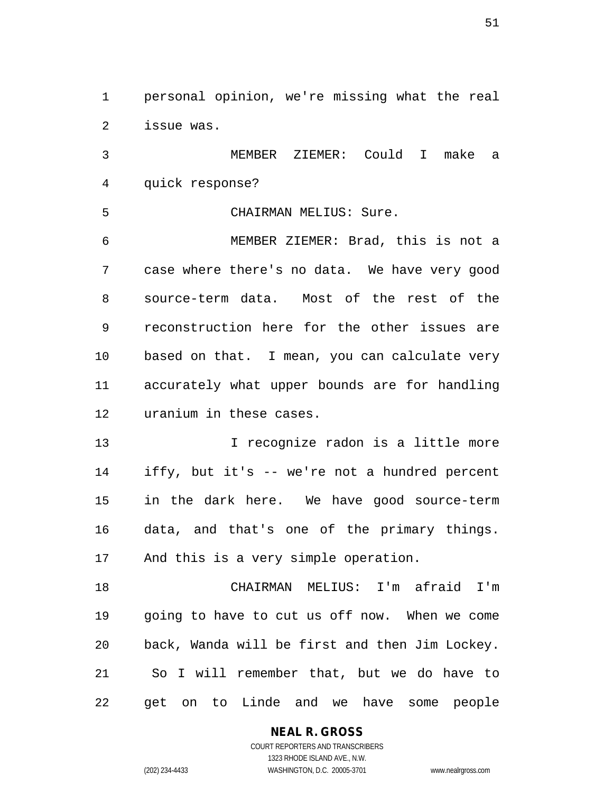1 personal opinion, we're missing what the real 2 issue was.

3 MEMBER ZIEMER: Could I make a 4 quick response?

5 CHAIRMAN MELIUS: Sure.

6 MEMBER ZIEMER: Brad, this is not a 7 case where there's no data. We have very good 8 source-term data. Most of the rest of the 9 reconstruction here for the other issues are 10 based on that. I mean, you can calculate very 11 accurately what upper bounds are for handling 12 uranium in these cases.

13 13 I recognize radon is a little more 14 iffy, but it's -- we're not a hundred percent 15 in the dark here. We have good source-term 16 data, and that's one of the primary things. 17 And this is a very simple operation.

18 CHAIRMAN MELIUS: I'm afraid I'm 19 going to have to cut us off now. When we come 20 back, Wanda will be first and then Jim Lockey. 21 So I will remember that, but we do have to 22 get on to Linde and we have some people

#### **NEAL R. GROSS**

COURT REPORTERS AND TRANSCRIBERS 1323 RHODE ISLAND AVE., N.W. (202) 234-4433 WASHINGTON, D.C. 20005-3701 www.nealrgross.com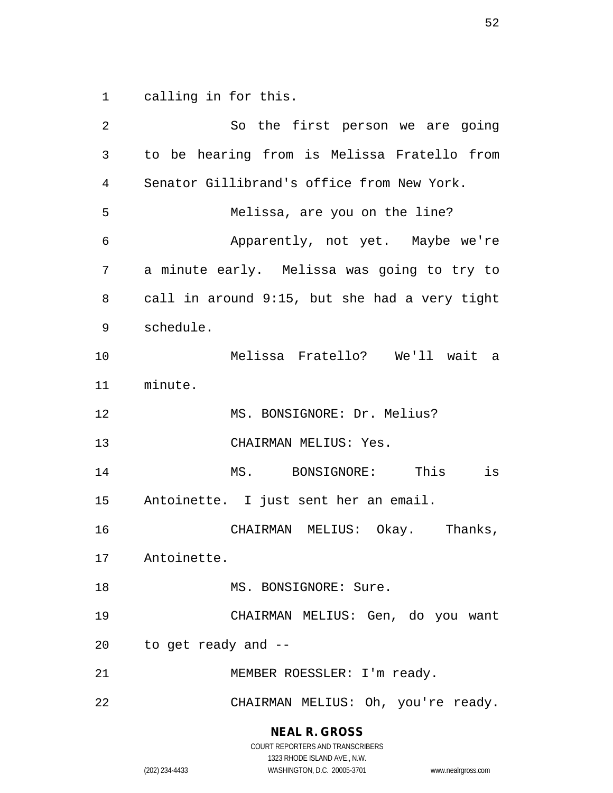1 calling in for this.

2 So the first person we are going 3 to be hearing from is Melissa Fratello from 4 Senator Gillibrand's office from New York. 5 Melissa, are you on the line? 6 Apparently, not yet. Maybe we're 7 a minute early. Melissa was going to try to 8 call in around 9:15, but she had a very tight 9 schedule. 10 Melissa Fratello? We'll wait a 11 minute. 12 MS. BONSIGNORE: Dr. Melius? 13 CHAIRMAN MELIUS: Yes. 14 MS. BONSIGNORE: This is 15 Antoinette. I just sent her an email. 16 CHAIRMAN MELIUS: Okay. Thanks, 17 Antoinette. 18 MS. BONSIGNORE: Sure. 19 CHAIRMAN MELIUS: Gen, do you want 20 to get ready and -- 21 MEMBER ROESSLER: I'm ready. 22 CHAIRMAN MELIUS: Oh, you're ready.

> **NEAL R. GROSS** COURT REPORTERS AND TRANSCRIBERS

1323 RHODE ISLAND AVE., N.W. (202) 234-4433 WASHINGTON, D.C. 20005-3701 www.nealrgross.com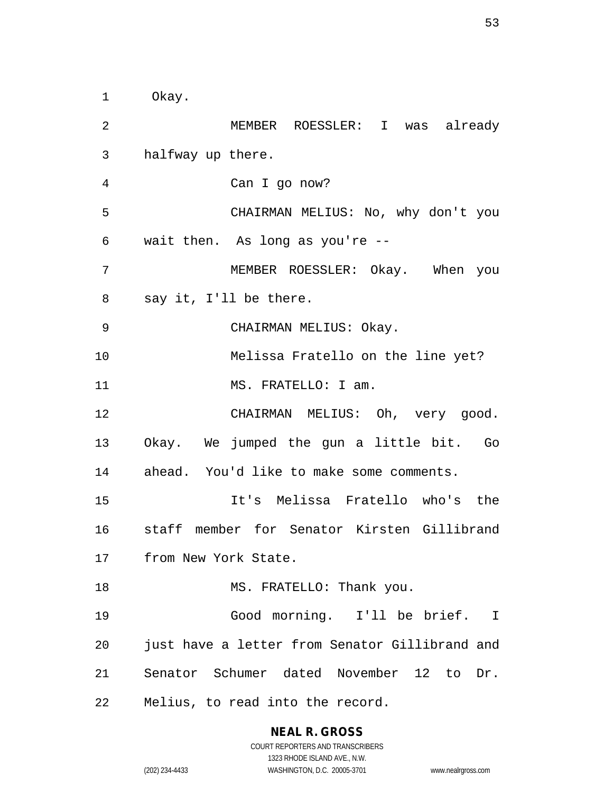1 Okay. 2 MEMBER ROESSLER: I was already 3 halfway up there. 4 Can I go now? 5 CHAIRMAN MELIUS: No, why don't you 6 wait then. As long as you're -- 7 MEMBER ROESSLER: Okay. When you 8 say it, I'll be there. 9 CHAIRMAN MELIUS: Okay. 10 Melissa Fratello on the line yet? 11 MS. FRATELLO: I am. 12 CHAIRMAN MELIUS: Oh, very good. 13 Okay. We jumped the gun a little bit. Go 14 ahead. You'd like to make some comments. 15 It's Melissa Fratello who's the 16 staff member for Senator Kirsten Gillibrand 17 from New York State. 18 MS. FRATELLO: Thank you. 19 Good morning. I'll be brief. I 20 just have a letter from Senator Gillibrand and 21 Senator Schumer dated November 12 to Dr. 22 Melius, to read into the record.

## **NEAL R. GROSS**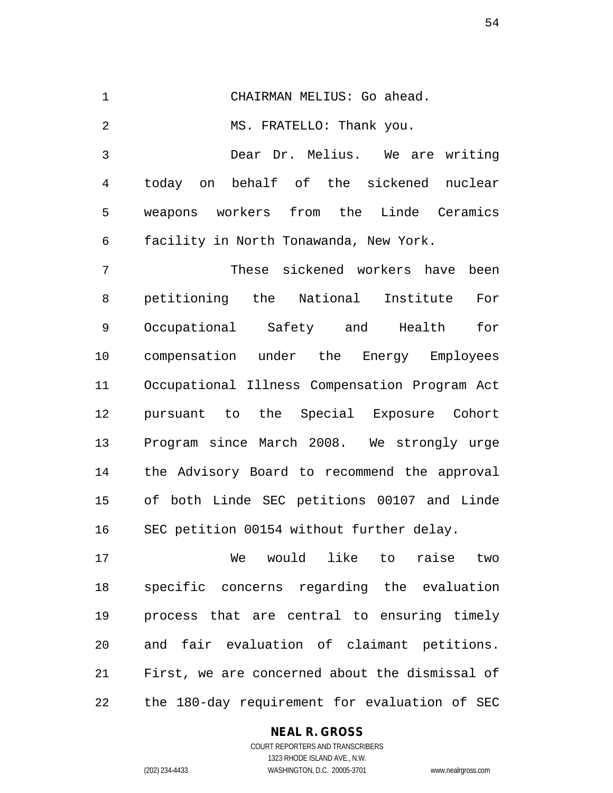1 CHAIRMAN MELIUS: Go ahead. 2 MS. FRATELLO: Thank you. 3 Dear Dr. Melius. We are writing 4 today on behalf of the sickened nuclear 5 weapons workers from the Linde Ceramics 6 facility in North Tonawanda, New York. 7 These sickened workers have been 8 petitioning the National Institute For 9 Occupational Safety and Health for 10 compensation under the Energy Employees 11 Occupational Illness Compensation Program Act 12 pursuant to the Special Exposure Cohort 13 Program since March 2008. We strongly urge 14 the Advisory Board to recommend the approval 15 of both Linde SEC petitions 00107 and Linde 16 SEC petition 00154 without further delay.

17 We would like to raise two 18 specific concerns regarding the evaluation 19 process that are central to ensuring timely 20 and fair evaluation of claimant petitions. 21 First, we are concerned about the dismissal of 22 the 180-day requirement for evaluation of SEC

### **NEAL R. GROSS**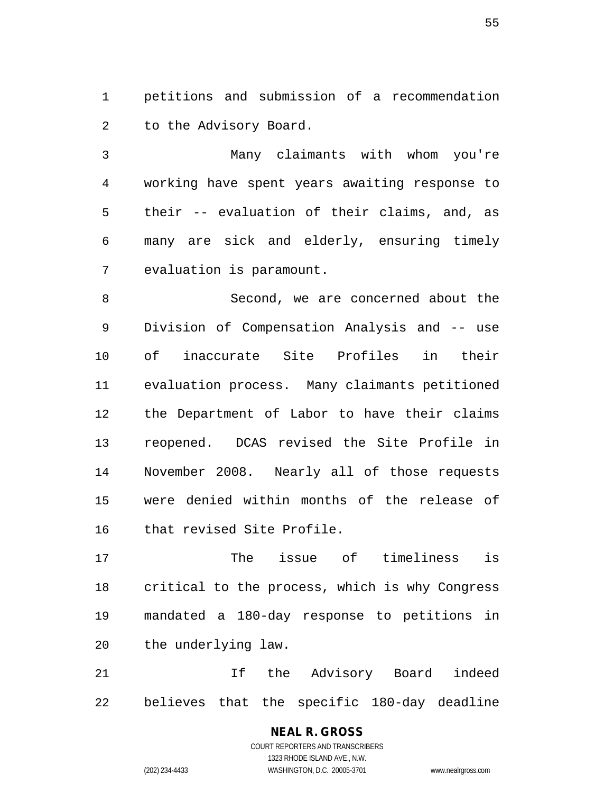1 petitions and submission of a recommendation 2 to the Advisory Board.

3 Many claimants with whom you're 4 working have spent years awaiting response to 5 their -- evaluation of their claims, and, as 6 many are sick and elderly, ensuring timely 7 evaluation is paramount.

8 Second, we are concerned about the 9 Division of Compensation Analysis and -- use 10 of inaccurate Site Profiles in their 11 evaluation process. Many claimants petitioned 12 the Department of Labor to have their claims 13 reopened. DCAS revised the Site Profile in 14 November 2008. Nearly all of those requests 15 were denied within months of the release of 16 that revised Site Profile.

17 The issue of timeliness is 18 critical to the process, which is why Congress 19 mandated a 180-day response to petitions in 20 the underlying law.

21 If the Advisory Board indeed 22 believes that the specific 180-day deadline

### **NEAL R. GROSS** COURT REPORTERS AND TRANSCRIBERS

1323 RHODE ISLAND AVE., N.W. (202) 234-4433 WASHINGTON, D.C. 20005-3701 www.nealrgross.com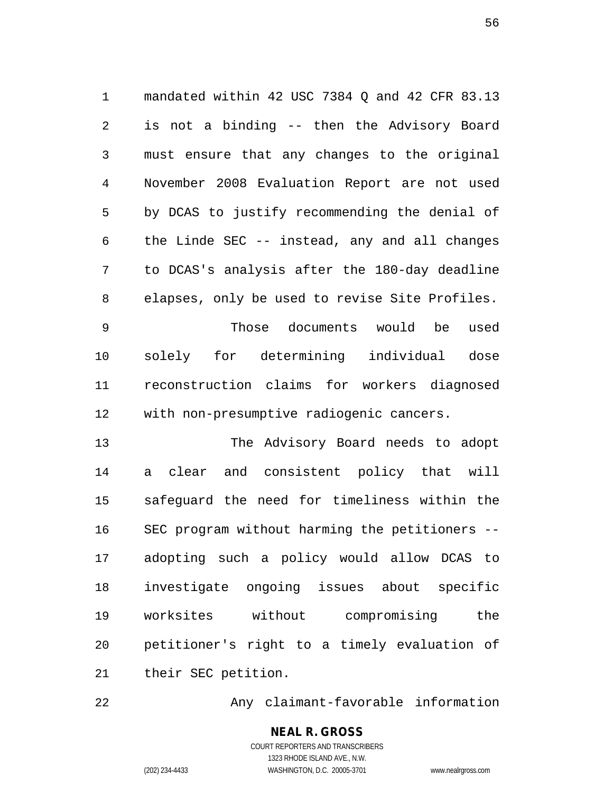1 mandated within 42 USC 7384 Q and 42 CFR 83.13 2 is not a binding -- then the Advisory Board 3 must ensure that any changes to the original 4 November 2008 Evaluation Report are not used 5 by DCAS to justify recommending the denial of 6 the Linde SEC -- instead, any and all changes 7 to DCAS's analysis after the 180-day deadline 8 elapses, only be used to revise Site Profiles.

9 Those documents would be used 10 solely for determining individual dose 11 reconstruction claims for workers diagnosed 12 with non-presumptive radiogenic cancers.

13 The Advisory Board needs to adopt 14 a clear and consistent policy that will 15 safeguard the need for timeliness within the 16 SEC program without harming the petitioners -- 17 adopting such a policy would allow DCAS to 18 investigate ongoing issues about specific 19 worksites without compromising the 20 petitioner's right to a timely evaluation of 21 their SEC petition.

22 Any claimant-favorable information

**NEAL R. GROSS** COURT REPORTERS AND TRANSCRIBERS 1323 RHODE ISLAND AVE., N.W. (202) 234-4433 WASHINGTON, D.C. 20005-3701 www.nealrgross.com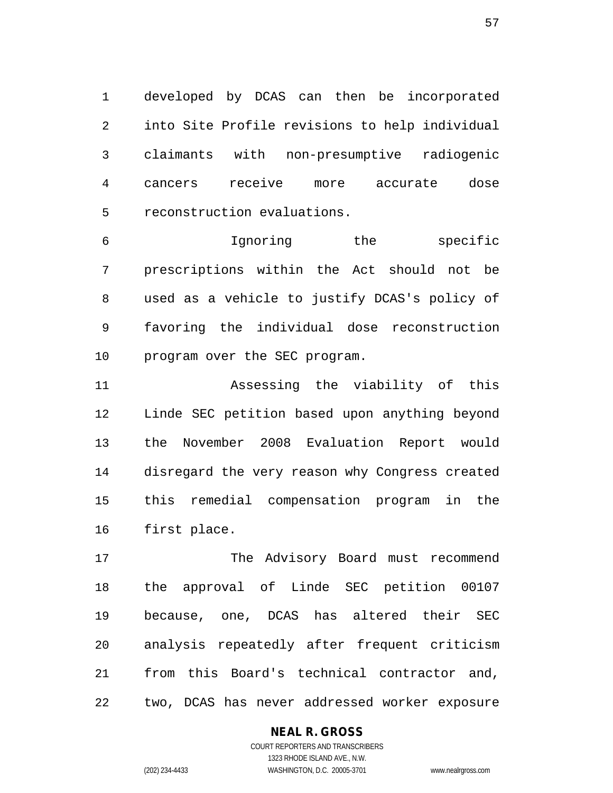1 developed by DCAS can then be incorporated 2 into Site Profile revisions to help individual 3 claimants with non-presumptive radiogenic 4 cancers receive more accurate dose 5 reconstruction evaluations.

6 Ignoring the specific 7 prescriptions within the Act should not be 8 used as a vehicle to justify DCAS's policy of 9 favoring the individual dose reconstruction 10 program over the SEC program.

11 Assessing the viability of this 12 Linde SEC petition based upon anything beyond 13 the November 2008 Evaluation Report would 14 disregard the very reason why Congress created 15 this remedial compensation program in the 16 first place.

17 The Advisory Board must recommend 18 the approval of Linde SEC petition 00107 19 because, one, DCAS has altered their SEC 20 analysis repeatedly after frequent criticism 21 from this Board's technical contractor and, 22 two, DCAS has never addressed worker exposure

### **NEAL R. GROSS**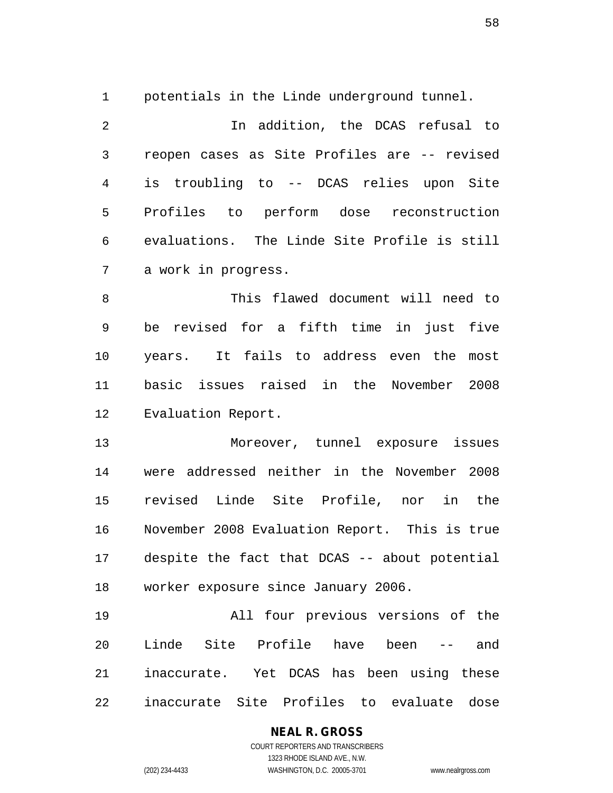1 potentials in the Linde underground tunnel.

2 In addition, the DCAS refusal to 3 reopen cases as Site Profiles are -- revised 4 is troubling to -- DCAS relies upon Site 5 Profiles to perform dose reconstruction 6 evaluations. The Linde Site Profile is still 7 a work in progress.

8 This flawed document will need to 9 be revised for a fifth time in just five 10 years. It fails to address even the most 11 basic issues raised in the November 2008 12 Evaluation Report.

13 Moreover, tunnel exposure issues 14 were addressed neither in the November 2008 15 revised Linde Site Profile, nor in the 16 November 2008 Evaluation Report. This is true 17 despite the fact that DCAS -- about potential 18 worker exposure since January 2006.

19 All four previous versions of the 20 Linde Site Profile have been -- and 21 inaccurate. Yet DCAS has been using these 22 inaccurate Site Profiles to evaluate dose

# **NEAL R. GROSS**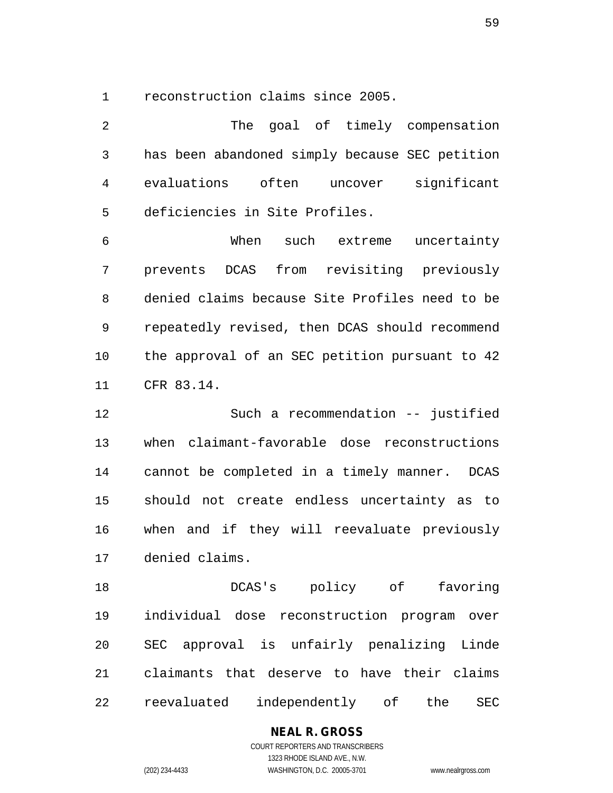1 reconstruction claims since 2005.

2 The goal of timely compensation 3 has been abandoned simply because SEC petition 4 evaluations often uncover significant 5 deficiencies in Site Profiles.

6 When such extreme uncertainty 7 prevents DCAS from revisiting previously 8 denied claims because Site Profiles need to be 9 repeatedly revised, then DCAS should recommend 10 the approval of an SEC petition pursuant to 42 11 CFR 83.14.

12 Such a recommendation -- justified 13 when claimant-favorable dose reconstructions 14 cannot be completed in a timely manner. DCAS 15 should not create endless uncertainty as to 16 when and if they will reevaluate previously 17 denied claims.

18 DCAS's policy of favoring 19 individual dose reconstruction program over 20 SEC approval is unfairly penalizing Linde 21 claimants that deserve to have their claims 22 reevaluated independently of the SEC

## **NEAL R. GROSS**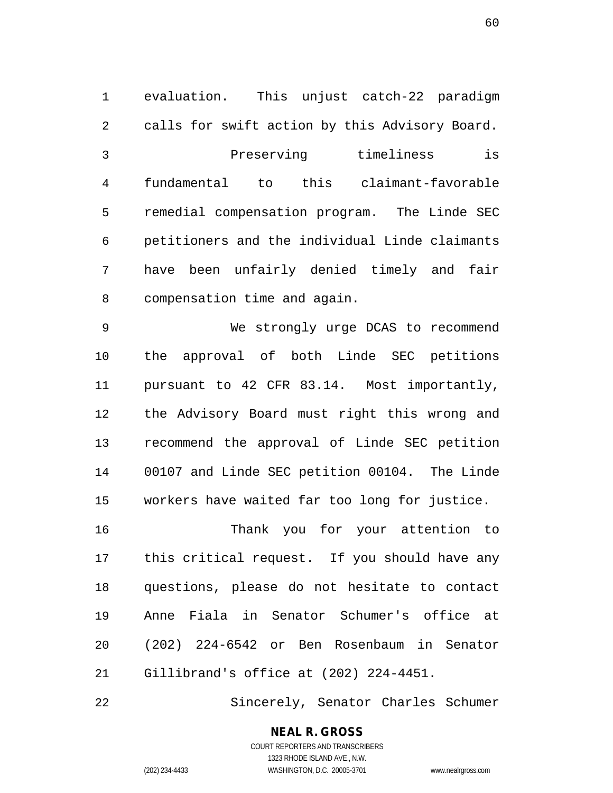1 evaluation. This unjust catch-22 paradigm 2 calls for swift action by this Advisory Board. 3 Preserving timeliness is 4 fundamental to this claimant-favorable 5 remedial compensation program. The Linde SEC 6 petitioners and the individual Linde claimants 7 have been unfairly denied timely and fair 8 compensation time and again.

9 We strongly urge DCAS to recommend 10 the approval of both Linde SEC petitions 11 pursuant to 42 CFR 83.14. Most importantly, 12 the Advisory Board must right this wrong and 13 recommend the approval of Linde SEC petition 14 00107 and Linde SEC petition 00104. The Linde 15 workers have waited far too long for justice.

16 Thank you for your attention to 17 this critical request. If you should have any 18 questions, please do not hesitate to contact 19 Anne Fiala in Senator Schumer's office at 20 (202) 224-6542 or Ben Rosenbaum in Senator 21 Gillibrand's office at (202) 224-4451.

22 Sincerely, Senator Charles Schumer

# **NEAL R. GROSS**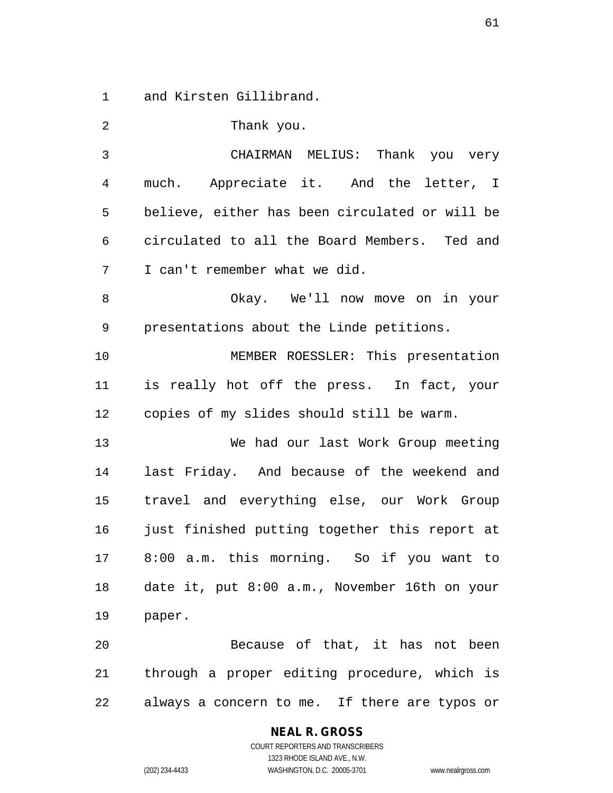1 and Kirsten Gillibrand.

2 Thank you.

| 3  | CHAIRMAN MELIUS: Thank you very                |
|----|------------------------------------------------|
| 4  | much. Appreciate it. And the letter, I         |
| 5  | believe, either has been circulated or will be |
| 6  | circulated to all the Board Members. Ted and   |
| 7  | I can't remember what we did.                  |
| 8  | Okay. We'll now move on in your                |
| 9  | presentations about the Linde petitions.       |
| 10 | MEMBER ROESSLER: This presentation             |
| 11 | is really hot off the press. In fact, your     |
| 12 | copies of my slides should still be warm.      |
| 13 | We had our last Work Group meeting             |
| 14 | last Friday. And because of the weekend and    |
| 15 | travel and everything else, our Work Group     |
| 16 | just finished putting together this report at  |
| 17 | 8:00 a.m. this morning. So if you want to      |
| 18 | date it, put 8:00 a.m., November 16th on your  |
| 19 | paper.                                         |
| 20 | Because of that, it has not been               |
| 21 | through a proper editing procedure, which is   |
| 22 | always a concern to me. If there are typos or  |

**NEAL R. GROSS** COURT REPORTERS AND TRANSCRIBERS

1323 RHODE ISLAND AVE., N.W. (202) 234-4433 WASHINGTON, D.C. 20005-3701 www.nealrgross.com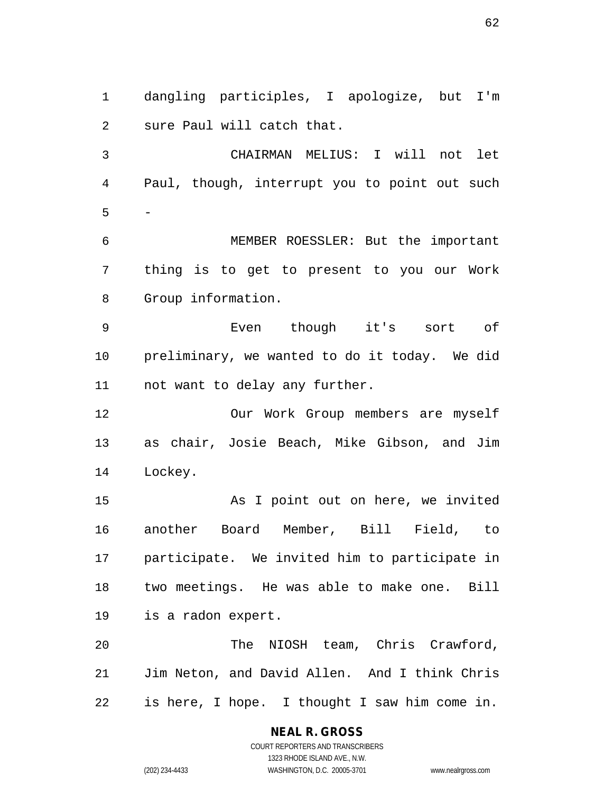1 dangling participles, I apologize, but I'm 2 sure Paul will catch that.

3 CHAIRMAN MELIUS: I will not let 4 Paul, though, interrupt you to point out such  $5 -$ 

6 MEMBER ROESSLER: But the important 7 thing is to get to present to you our Work 8 Group information.

9 Even though it's sort of 10 preliminary, we wanted to do it today. We did 11 not want to delay any further.

12 Our Work Group members are myself 13 as chair, Josie Beach, Mike Gibson, and Jim 14 Lockey.

15 As I point out on here, we invited 16 another Board Member, Bill Field, to 17 participate. We invited him to participate in 18 two meetings. He was able to make one. Bill 19 is a radon expert.

20 The NIOSH team, Chris Crawford, 21 Jim Neton, and David Allen. And I think Chris 22 is here, I hope. I thought I saw him come in.

# **NEAL R. GROSS**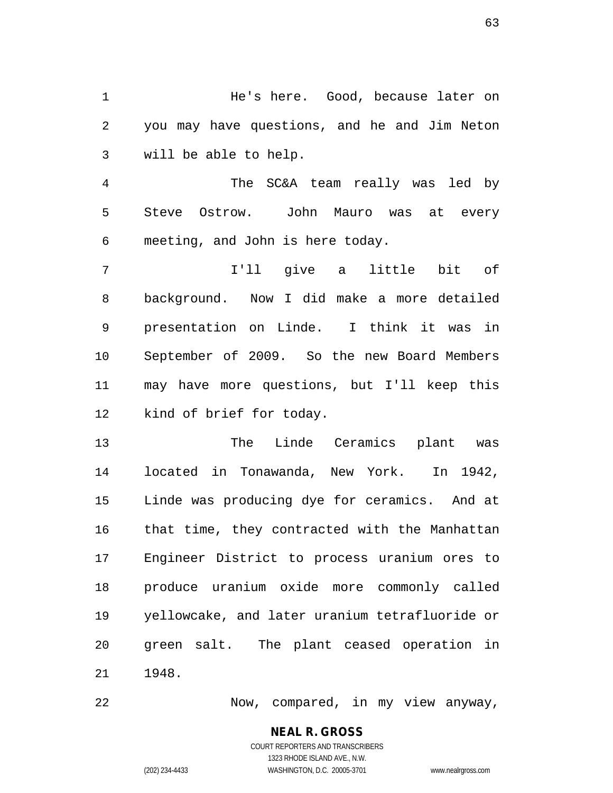1 He's here. Good, because later on 2 you may have questions, and he and Jim Neton 3 will be able to help.

4 The SC&A team really was led by 5 Steve Ostrow. John Mauro was at every 6 meeting, and John is here today.

7 I'll give a little bit of 8 background. Now I did make a more detailed 9 presentation on Linde. I think it was in 10 September of 2009. So the new Board Members 11 may have more questions, but I'll keep this 12 kind of brief for today.

13 The Linde Ceramics plant was 14 located in Tonawanda, New York. In 1942, 15 Linde was producing dye for ceramics. And at 16 that time, they contracted with the Manhattan 17 Engineer District to process uranium ores to 18 produce uranium oxide more commonly called 19 yellowcake, and later uranium tetrafluoride or 20 green salt. The plant ceased operation in 21 1948.

22 Now, compared, in my view anyway,

**NEAL R. GROSS** COURT REPORTERS AND TRANSCRIBERS

1323 RHODE ISLAND AVE., N.W. (202) 234-4433 WASHINGTON, D.C. 20005-3701 www.nealrgross.com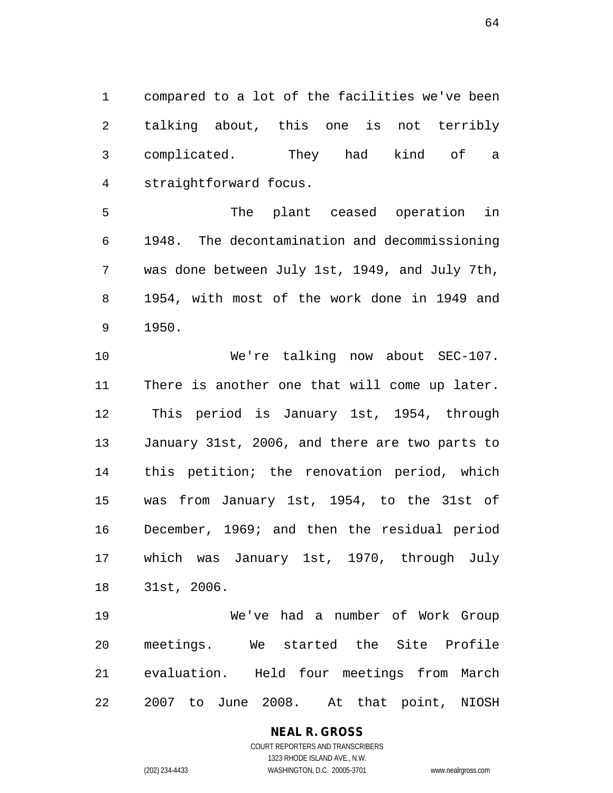1 compared to a lot of the facilities we've been 2 talking about, this one is not terribly 3 complicated. They had kind of a 4 straightforward focus.

5 The plant ceased operation in 6 1948. The decontamination and decommissioning 7 was done between July 1st, 1949, and July 7th, 8 1954, with most of the work done in 1949 and 9 1950.

10 We're talking now about SEC-107. 11 There is another one that will come up later. 12 This period is January 1st, 1954, through 13 January 31st, 2006, and there are two parts to 14 this petition; the renovation period, which 15 was from January 1st, 1954, to the 31st of 16 December, 1969; and then the residual period 17 which was January 1st, 1970, through July 18 31st, 2006.

19 We've had a number of Work Group 20 meetings. We started the Site Profile 21 evaluation. Held four meetings from March 22 2007 to June 2008. At that point, NIOSH

**NEAL R. GROSS**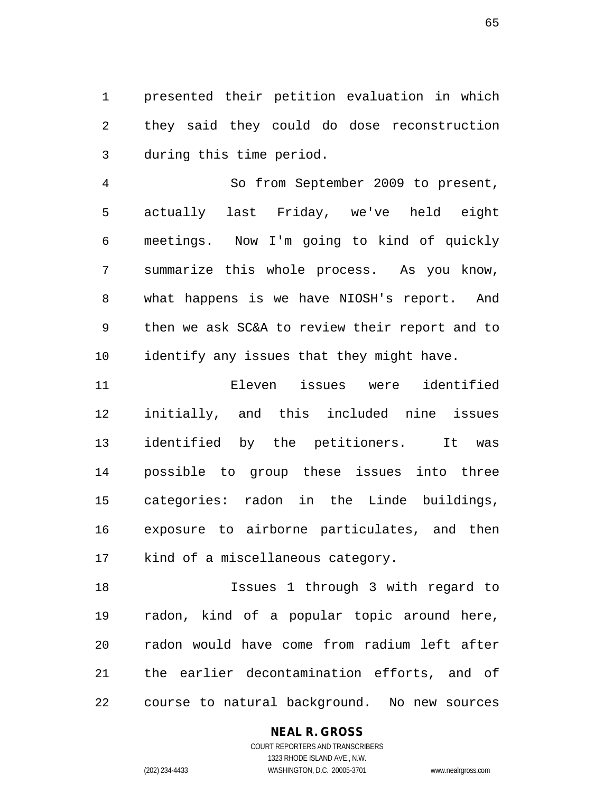1 presented their petition evaluation in which 2 they said they could do dose reconstruction 3 during this time period.

4 So from September 2009 to present, 5 actually last Friday, we've held eight 6 meetings. Now I'm going to kind of quickly 7 summarize this whole process. As you know, 8 what happens is we have NIOSH's report. And 9 then we ask SC&A to review their report and to 10 identify any issues that they might have.

11 Eleven issues were identified 12 initially, and this included nine issues 13 identified by the petitioners. It was 14 possible to group these issues into three 15 categories: radon in the Linde buildings, 16 exposure to airborne particulates, and then 17 kind of a miscellaneous category.

18 Issues 1 through 3 with regard to 19 radon, kind of a popular topic around here, 20 radon would have come from radium left after 21 the earlier decontamination efforts, and of 22 course to natural background. No new sources

### **NEAL R. GROSS**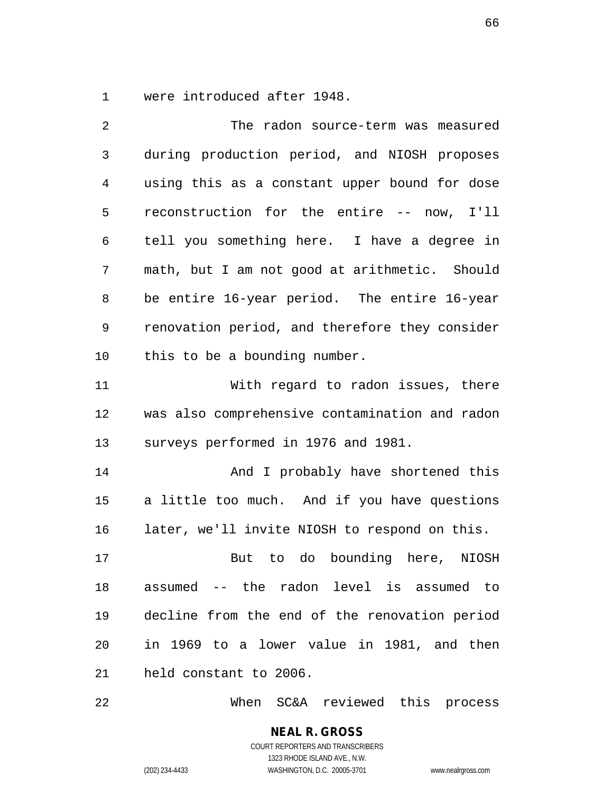1 were introduced after 1948.

| 2    | The radon source-term was measured             |
|------|------------------------------------------------|
| 3    | during production period, and NIOSH proposes   |
| 4    | using this as a constant upper bound for dose  |
| 5    | reconstruction for the entire -- now, I'll     |
| 6    | tell you something here. I have a degree in    |
| 7    | math, but I am not good at arithmetic. Should  |
| 8    | be entire 16-year period. The entire 16-year   |
| 9    | renovation period, and therefore they consider |
| 10   | this to be a bounding number.                  |
| 11   | With regard to radon issues, there             |
| 12   | was also comprehensive contamination and radon |
| 13   | surveys performed in 1976 and 1981.            |
| 14   | And I probably have shortened this             |
| 15   | a little too much. And if you have questions   |
| 16   | later, we'll invite NIOSH to respond on this.  |
| $17$ | But to do bounding here, NIOSH                 |
| 18   | assumed -- the radon level is assumed to       |
| 19   | decline from the end of the renovation period  |
| 20   | in 1969 to a lower value in 1981, and then     |
| 21   | held constant to 2006.                         |
|      |                                                |

22 When SC&A reviewed this process

**NEAL R. GROSS** COURT REPORTERS AND TRANSCRIBERS 1323 RHODE ISLAND AVE., N.W. (202) 234-4433 WASHINGTON, D.C. 20005-3701 www.nealrgross.com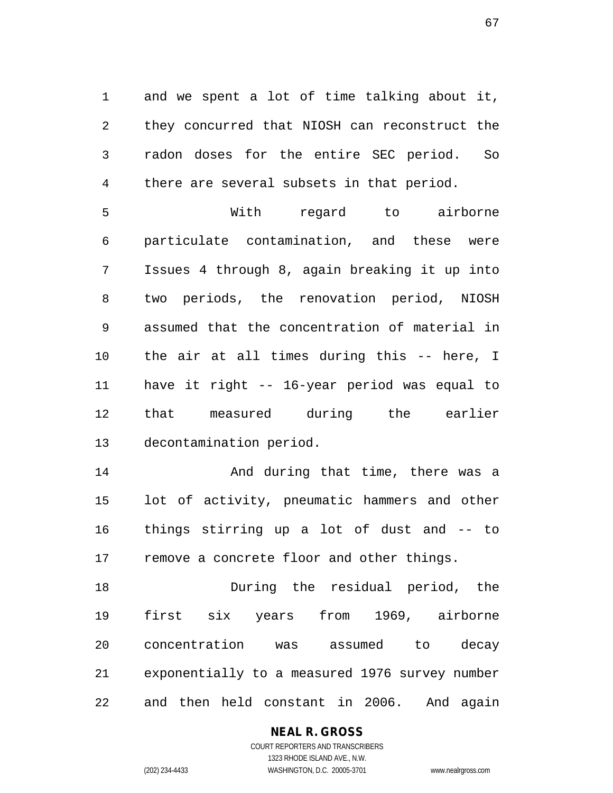1 and we spent a lot of time talking about it, 2 they concurred that NIOSH can reconstruct the 3 radon doses for the entire SEC period. So 4 there are several subsets in that period.

5 With regard to airborne 6 particulate contamination, and these were 7 Issues 4 through 8, again breaking it up into 8 two periods, the renovation period, NIOSH 9 assumed that the concentration of material in 10 the air at all times during this -- here, I 11 have it right -- 16-year period was equal to 12 that measured during the earlier 13 decontamination period.

14 And during that time, there was a 15 lot of activity, pneumatic hammers and other 16 things stirring up a lot of dust and -- to 17 remove a concrete floor and other things.

18 During the residual period, the 19 first six years from 1969, airborne 20 concentration was assumed to decay 21 exponentially to a measured 1976 survey number 22 and then held constant in 2006. And again

## **NEAL R. GROSS**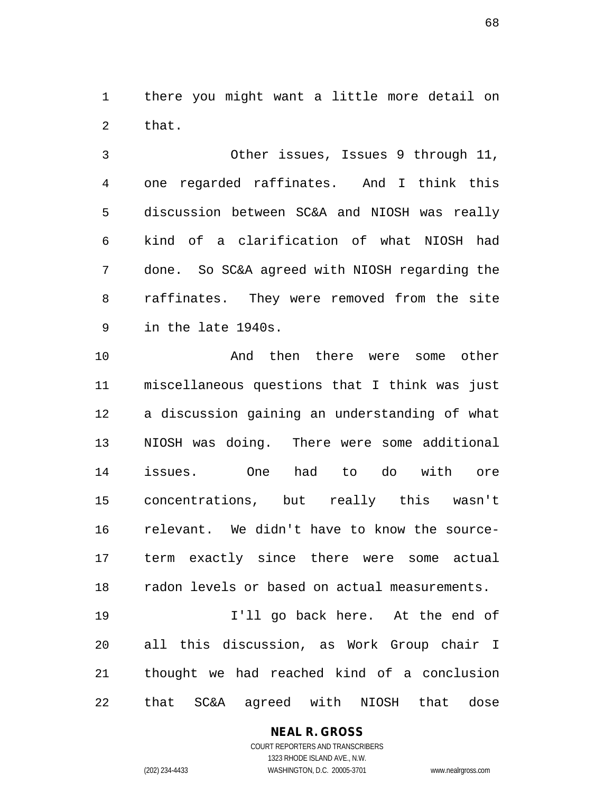1 there you might want a little more detail on 2 that.

3 Other issues, Issues 9 through 11, 4 one regarded raffinates. And I think this 5 discussion between SC&A and NIOSH was really 6 kind of a clarification of what NIOSH had 7 done. So SC&A agreed with NIOSH regarding the 8 raffinates. They were removed from the site 9 in the late 1940s.

10 And then there were some other 11 miscellaneous questions that I think was just 12 a discussion gaining an understanding of what 13 NIOSH was doing. There were some additional 14 issues. One had to do with ore 15 concentrations, but really this wasn't 16 relevant. We didn't have to know the source-17 term exactly since there were some actual 18 radon levels or based on actual measurements. 19 I'll go back here. At the end of

20 all this discussion, as Work Group chair I 21 thought we had reached kind of a conclusion 22 that SC&A agreed with NIOSH that dose

## **NEAL R. GROSS**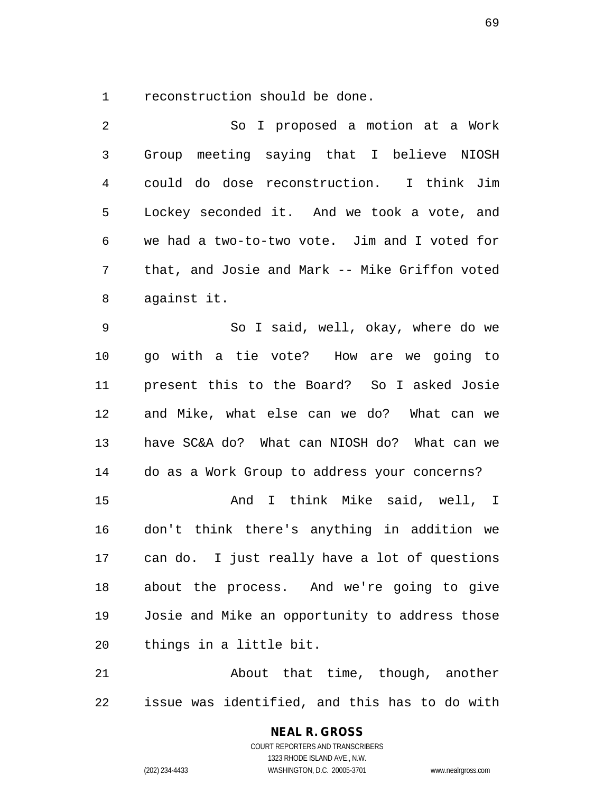1 reconstruction should be done.

2 So I proposed a motion at a Work 3 Group meeting saying that I believe NIOSH 4 could do dose reconstruction. I think Jim 5 Lockey seconded it. And we took a vote, and 6 we had a two-to-two vote. Jim and I voted for 7 that, and Josie and Mark -- Mike Griffon voted 8 against it.

9 So I said, well, okay, where do we 10 go with a tie vote? How are we going to 11 present this to the Board? So I asked Josie 12 and Mike, what else can we do? What can we 13 have SC&A do? What can NIOSH do? What can we 14 do as a Work Group to address your concerns?

15 And I think Mike said, well, I 16 don't think there's anything in addition we 17 can do. I just really have a lot of questions 18 about the process. And we're going to give 19 Josie and Mike an opportunity to address those 20 things in a little bit.

21 About that time, though, another 22 issue was identified, and this has to do with

> COURT REPORTERS AND TRANSCRIBERS 1323 RHODE ISLAND AVE., N.W. (202) 234-4433 WASHINGTON, D.C. 20005-3701 www.nealrgross.com

**NEAL R. GROSS**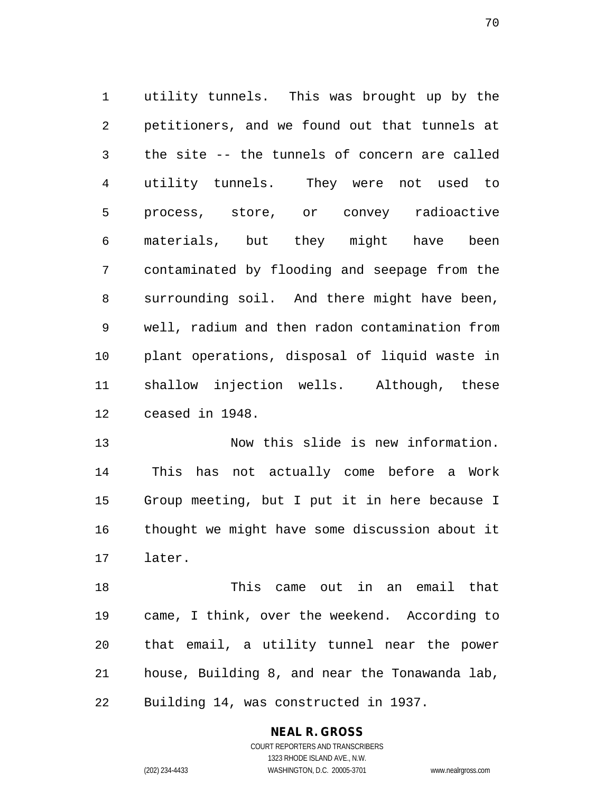1 utility tunnels. This was brought up by the 2 petitioners, and we found out that tunnels at 3 the site -- the tunnels of concern are called 4 utility tunnels. They were not used to 5 process, store, or convey radioactive 6 materials, but they might have been 7 contaminated by flooding and seepage from the 8 surrounding soil. And there might have been, 9 well, radium and then radon contamination from 10 plant operations, disposal of liquid waste in 11 shallow injection wells. Although, these 12 ceased in 1948.

13 Now this slide is new information. 14 This has not actually come before a Work 15 Group meeting, but I put it in here because I 16 thought we might have some discussion about it 17 later.

18 This came out in an email that 19 came, I think, over the weekend. According to 20 that email, a utility tunnel near the power 21 house, Building 8, and near the Tonawanda lab, 22 Building 14, was constructed in 1937.

## **NEAL R. GROSS**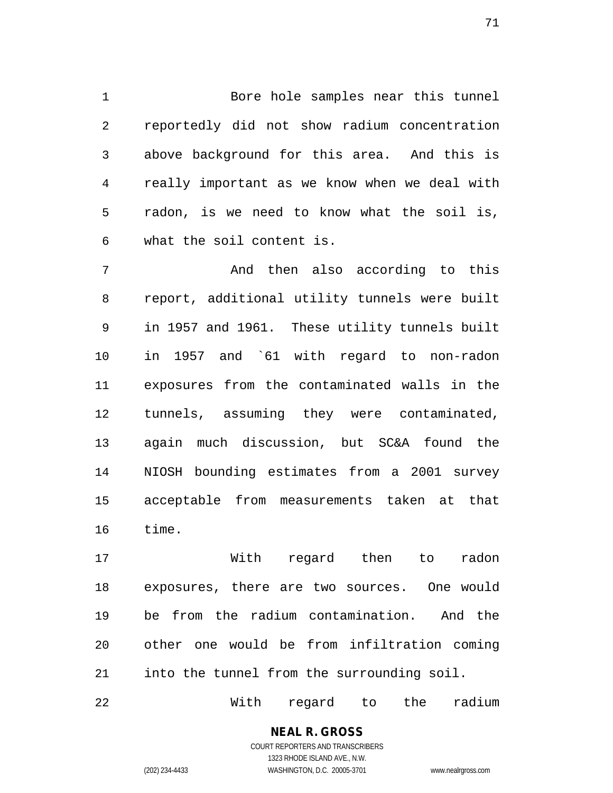1 Bore hole samples near this tunnel 2 reportedly did not show radium concentration 3 above background for this area. And this is 4 really important as we know when we deal with 5 radon, is we need to know what the soil is, 6 what the soil content is.

7 And then also according to this 8 report, additional utility tunnels were built 9 in 1957 and 1961. These utility tunnels built 10 in 1957 and `61 with regard to non-radon 11 exposures from the contaminated walls in the 12 tunnels, assuming they were contaminated, 13 again much discussion, but SC&A found the 14 NIOSH bounding estimates from a 2001 survey 15 acceptable from measurements taken at that 16 time.

17 With regard then to radon 18 exposures, there are two sources. One would 19 be from the radium contamination. And the 20 other one would be from infiltration coming 21 into the tunnel from the surrounding soil.

22 With regard to the radium

### **NEAL R. GROSS** COURT REPORTERS AND TRANSCRIBERS

1323 RHODE ISLAND AVE., N.W. (202) 234-4433 WASHINGTON, D.C. 20005-3701 www.nealrgross.com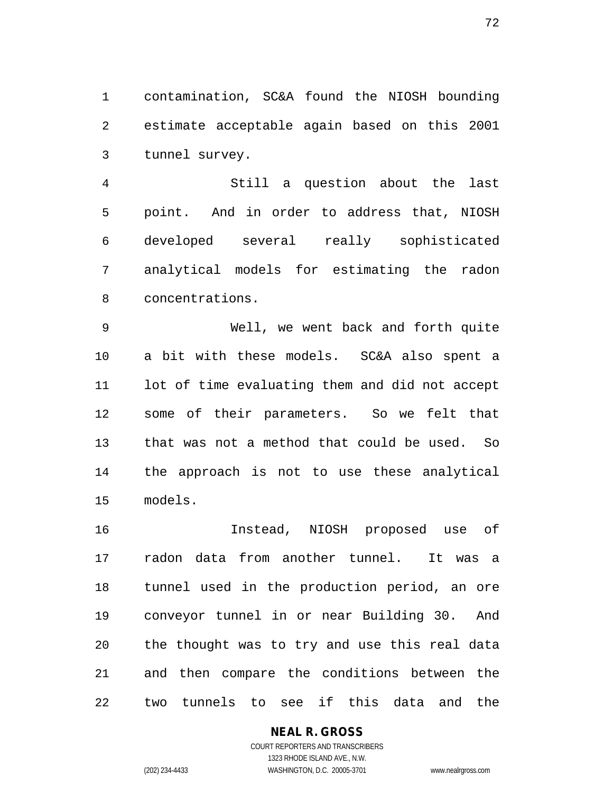1 contamination, SC&A found the NIOSH bounding 2 estimate acceptable again based on this 2001 3 tunnel survey.

4 Still a question about the last 5 point. And in order to address that, NIOSH 6 developed several really sophisticated 7 analytical models for estimating the radon 8 concentrations.

9 Well, we went back and forth quite 10 a bit with these models. SC&A also spent a 11 lot of time evaluating them and did not accept 12 some of their parameters. So we felt that 13 that was not a method that could be used. So 14 the approach is not to use these analytical 15 models.

16 Instead, NIOSH proposed use of 17 radon data from another tunnel. It was a 18 tunnel used in the production period, an ore 19 conveyor tunnel in or near Building 30. And 20 the thought was to try and use this real data 21 and then compare the conditions between the 22 two tunnels to see if this data and the

### **NEAL R. GROSS**

COURT REPORTERS AND TRANSCRIBERS 1323 RHODE ISLAND AVE., N.W. (202) 234-4433 WASHINGTON, D.C. 20005-3701 www.nealrgross.com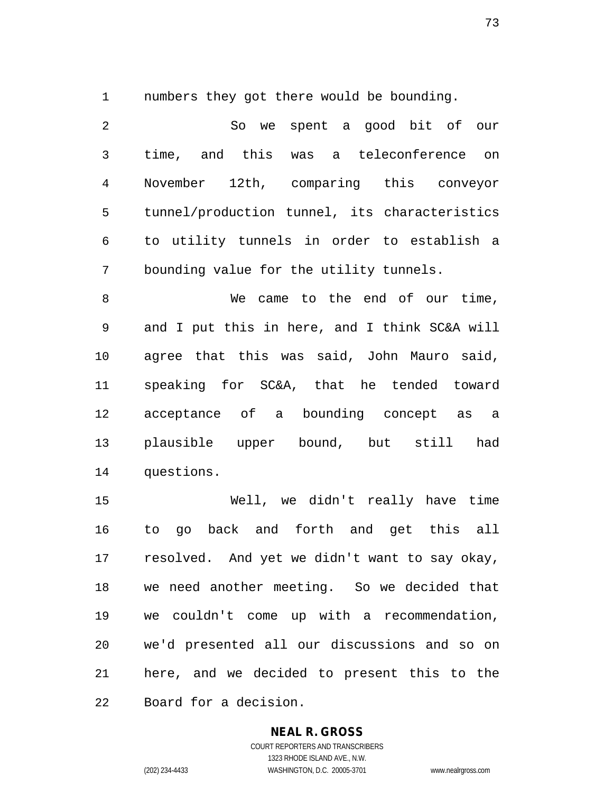1 numbers they got there would be bounding.

2 So we spent a good bit of our 3 time, and this was a teleconference on 4 November 12th, comparing this conveyor 5 tunnel/production tunnel, its characteristics 6 to utility tunnels in order to establish a 7 bounding value for the utility tunnels.

8 We came to the end of our time, 9 and I put this in here, and I think SC&A will 10 agree that this was said, John Mauro said, 11 speaking for SC&A, that he tended toward 12 acceptance of a bounding concept as a 13 plausible upper bound, but still had 14 questions.

15 Well, we didn't really have time 16 to go back and forth and get this all 17 resolved. And yet we didn't want to say okay, 18 we need another meeting. So we decided that 19 we couldn't come up with a recommendation, 20 we'd presented all our discussions and so on 21 here, and we decided to present this to the 22 Board for a decision.

#### **NEAL R. GROSS**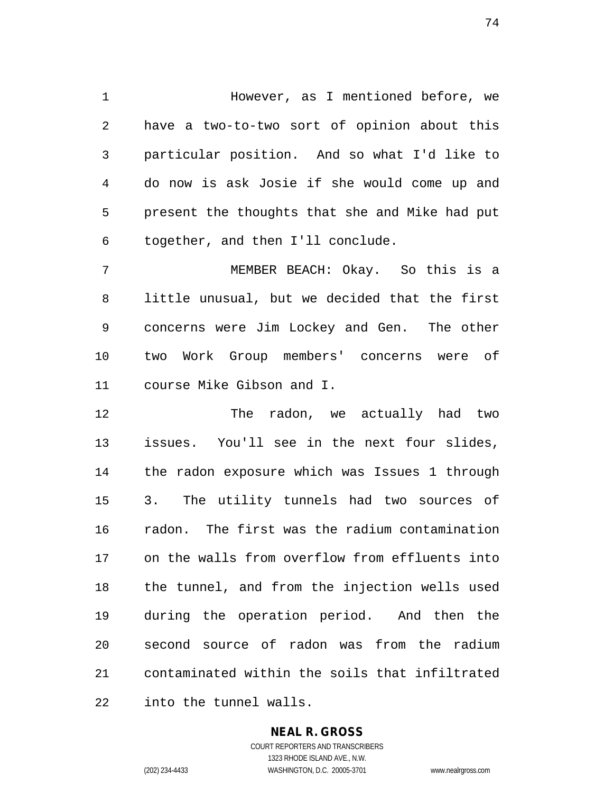1 However, as I mentioned before, we 2 have a two-to-two sort of opinion about this 3 particular position. And so what I'd like to 4 do now is ask Josie if she would come up and 5 present the thoughts that she and Mike had put 6 together, and then I'll conclude.

7 MEMBER BEACH: Okay. So this is a 8 little unusual, but we decided that the first 9 concerns were Jim Lockey and Gen. The other 10 two Work Group members' concerns were of 11 course Mike Gibson and I.

12 The radon, we actually had two 13 issues. You'll see in the next four slides, 14 the radon exposure which was Issues 1 through 15 3. The utility tunnels had two sources of 16 radon. The first was the radium contamination 17 on the walls from overflow from effluents into 18 the tunnel, and from the injection wells used 19 during the operation period. And then the 20 second source of radon was from the radium 21 contaminated within the soils that infiltrated 22 into the tunnel walls.

#### **NEAL R. GROSS**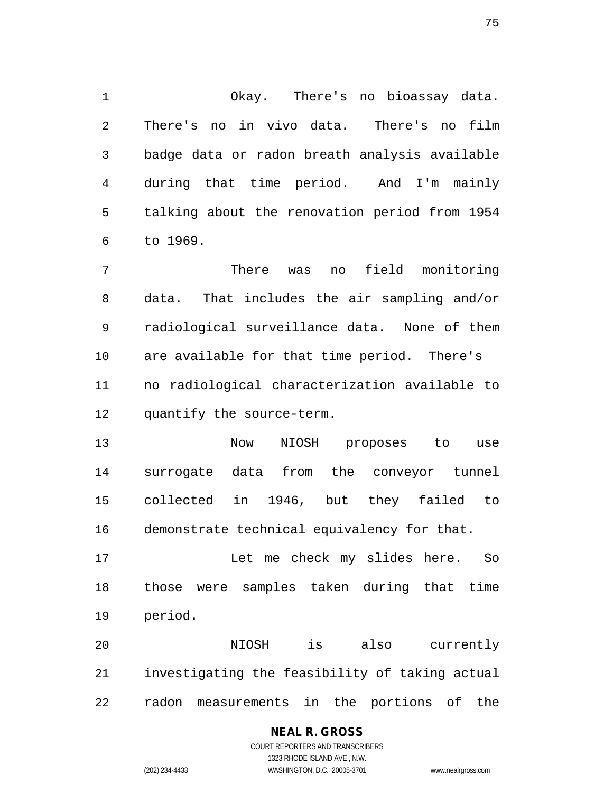1 Okay. There's no bioassay data. 2 There's no in vivo data. There's no film 3 badge data or radon breath analysis available 4 during that time period. And I'm mainly 5 talking about the renovation period from 1954 6 to 1969.

7 There was no field monitoring 8 data. That includes the air sampling and/or 9 radiological surveillance data. None of them 10 are available for that time period. There's 11 no radiological characterization available to 12 quantify the source-term.

13 Now NIOSH proposes to use 14 surrogate data from the conveyor tunnel 15 collected in 1946, but they failed to 16 demonstrate technical equivalency for that.

17 Let me check my slides here. So 18 those were samples taken during that time 19 period.

20 NIOSH is also currently 21 investigating the feasibility of taking actual 22 radon measurements in the portions of the

## **NEAL R. GROSS**

COURT REPORTERS AND TRANSCRIBERS 1323 RHODE ISLAND AVE., N.W. (202) 234-4433 WASHINGTON, D.C. 20005-3701 www.nealrgross.com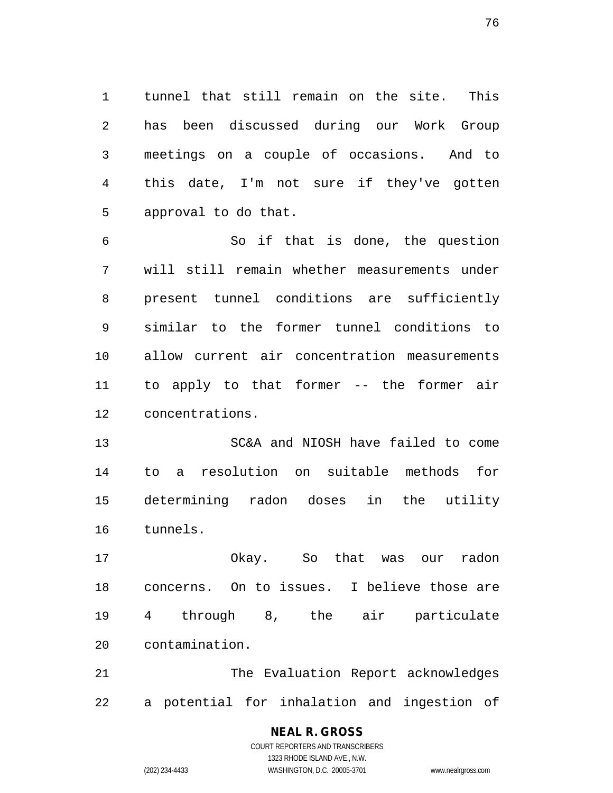1 tunnel that still remain on the site. This 2 has been discussed during our Work Group 3 meetings on a couple of occasions. And to 4 this date, I'm not sure if they've gotten 5 approval to do that.

6 So if that is done, the question 7 will still remain whether measurements under 8 present tunnel conditions are sufficiently 9 similar to the former tunnel conditions to 10 allow current air concentration measurements 11 to apply to that former -- the former air 12 concentrations.

13 SC&A and NIOSH have failed to come 14 to a resolution on suitable methods for 15 determining radon doses in the utility 16 tunnels.

17 Okay. So that was our radon 18 concerns. On to issues. I believe those are 19 4 through 8, the air particulate 20 contamination.

21 The Evaluation Report acknowledges 22 a potential for inhalation and ingestion of

### **NEAL R. GROSS** COURT REPORTERS AND TRANSCRIBERS

1323 RHODE ISLAND AVE., N.W. (202) 234-4433 WASHINGTON, D.C. 20005-3701 www.nealrgross.com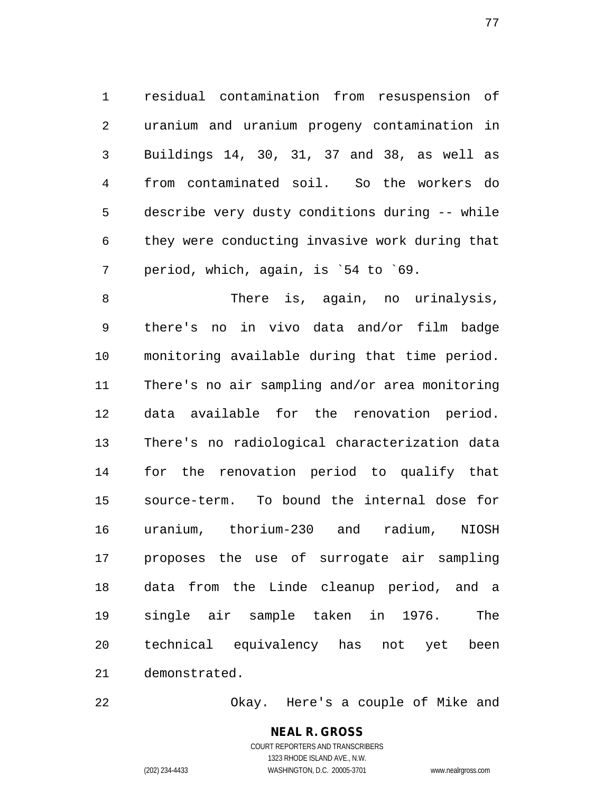1 residual contamination from resuspension of 2 uranium and uranium progeny contamination in 3 Buildings 14, 30, 31, 37 and 38, as well as 4 from contaminated soil. So the workers do 5 describe very dusty conditions during -- while 6 they were conducting invasive work during that 7 period, which, again, is `54 to `69.

8 There is, again, no urinalysis, 9 there's no in vivo data and/or film badge 10 monitoring available during that time period. 11 There's no air sampling and/or area monitoring 12 data available for the renovation period. 13 There's no radiological characterization data 14 for the renovation period to qualify that 15 source-term. To bound the internal dose for 16 uranium, thorium-230 and radium, NIOSH 17 proposes the use of surrogate air sampling 18 data from the Linde cleanup period, and a 19 single air sample taken in 1976. The 20 technical equivalency has not yet been 21 demonstrated.

22 Okay. Here's a couple of Mike and

**NEAL R. GROSS** COURT REPORTERS AND TRANSCRIBERS 1323 RHODE ISLAND AVE., N.W. (202) 234-4433 WASHINGTON, D.C. 20005-3701 www.nealrgross.com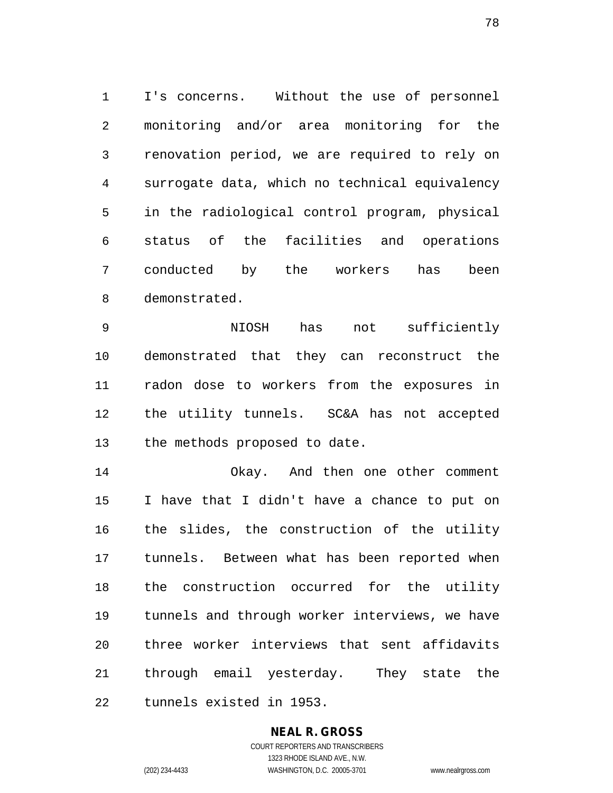1 I's concerns. Without the use of personnel 2 monitoring and/or area monitoring for the 3 renovation period, we are required to rely on 4 surrogate data, which no technical equivalency 5 in the radiological control program, physical 6 status of the facilities and operations 7 conducted by the workers has been 8 demonstrated.

9 NIOSH has not sufficiently 10 demonstrated that they can reconstruct the 11 radon dose to workers from the exposures in 12 the utility tunnels. SC&A has not accepted 13 the methods proposed to date.

14 Okay. And then one other comment 15 I have that I didn't have a chance to put on 16 the slides, the construction of the utility 17 tunnels. Between what has been reported when 18 the construction occurred for the utility 19 tunnels and through worker interviews, we have 20 three worker interviews that sent affidavits 21 through email yesterday. They state the 22 tunnels existed in 1953.

## **NEAL R. GROSS**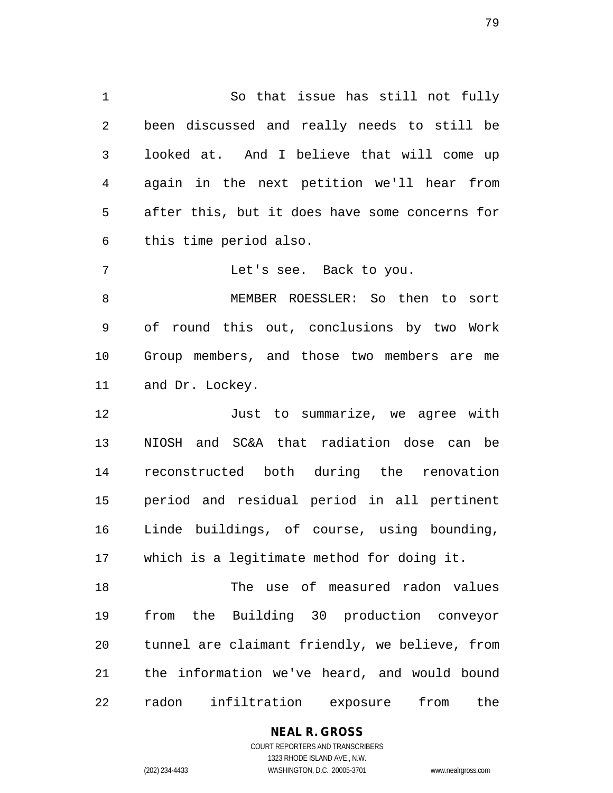1 So that issue has still not fully 2 been discussed and really needs to still be 3 looked at. And I believe that will come up 4 again in the next petition we'll hear from 5 after this, but it does have some concerns for 6 this time period also.

7 Let's see. Back to you.

8 MEMBER ROESSLER: So then to sort 9 of round this out, conclusions by two Work 10 Group members, and those two members are me 11 and Dr. Lockey.

12 Just to summarize, we agree with 13 NIOSH and SC&A that radiation dose can be 14 reconstructed both during the renovation 15 period and residual period in all pertinent 16 Linde buildings, of course, using bounding, 17 which is a legitimate method for doing it.

18 The use of measured radon values 19 from the Building 30 production conveyor 20 tunnel are claimant friendly, we believe, from 21 the information we've heard, and would bound 22 radon infiltration exposure from the

#### **NEAL R. GROSS**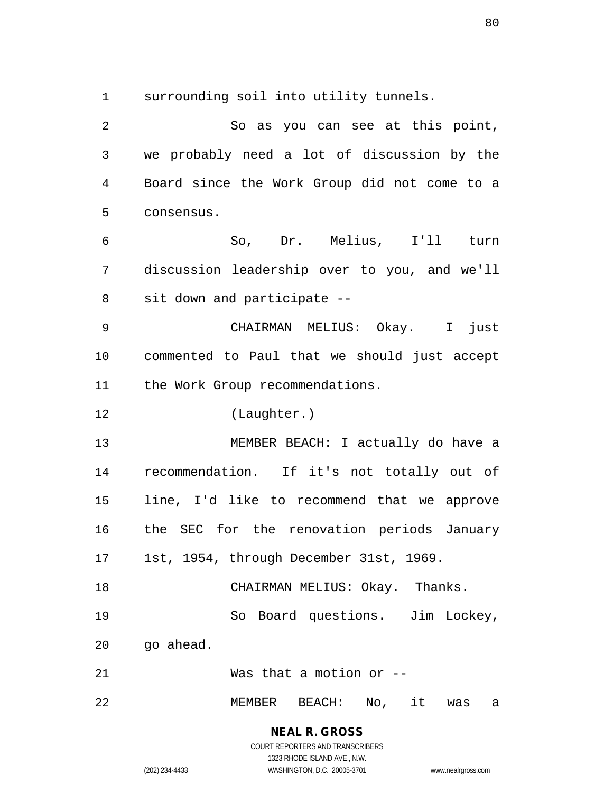1 surrounding soil into utility tunnels.

2 So as you can see at this point, 3 we probably need a lot of discussion by the 4 Board since the Work Group did not come to a 5 consensus. 6 So, Dr. Melius, I'll turn 7 discussion leadership over to you, and we'll 8 sit down and participate -- 9 CHAIRMAN MELIUS: Okay. I just 10 commented to Paul that we should just accept 11 the Work Group recommendations. 12 (Laughter.) 13 MEMBER BEACH: I actually do have a 14 recommendation. If it's not totally out of 15 line, I'd like to recommend that we approve 16 the SEC for the renovation periods January 17 1st, 1954, through December 31st, 1969. 18 CHAIRMAN MELIUS: Okay. Thanks. 19 So Board questions. Jim Lockey, 20 go ahead. 21 Was that a motion or -- 22 MEMBER BEACH: No, it was a

> **NEAL R. GROSS** COURT REPORTERS AND TRANSCRIBERS

1323 RHODE ISLAND AVE., N.W. (202) 234-4433 WASHINGTON, D.C. 20005-3701 www.nealrgross.com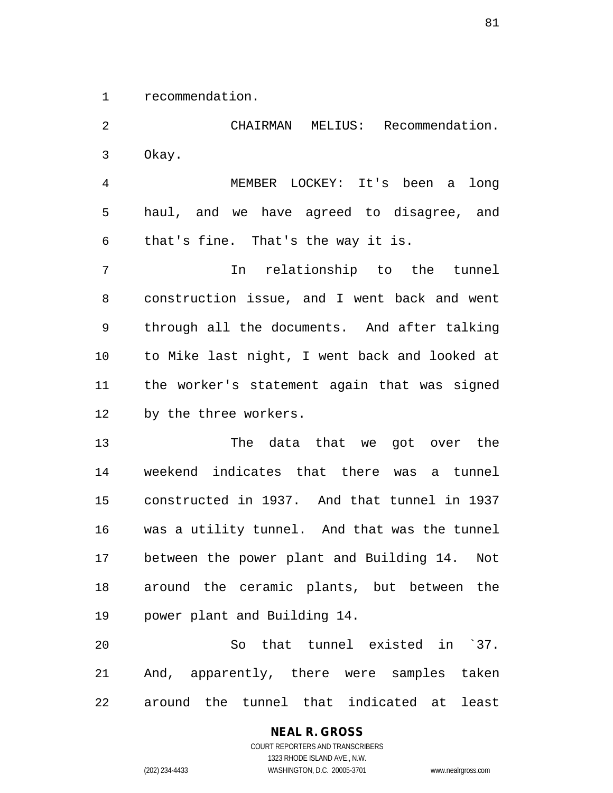1 recommendation.

2 CHAIRMAN MELIUS: Recommendation. 3 Okay. 4 MEMBER LOCKEY: It's been a long 5 haul, and we have agreed to disagree, and 6 that's fine. That's the way it is. 7 In relationship to the tunnel 8 construction issue, and I went back and went 9 through all the documents. And after talking 10 to Mike last night, I went back and looked at 11 the worker's statement again that was signed 12 by the three workers. 13 The data that we got over the 14 weekend indicates that there was a tunnel 15 constructed in 1937. And that tunnel in 1937 16 was a utility tunnel. And that was the tunnel 17 between the power plant and Building 14. Not 18 around the ceramic plants, but between the 19 power plant and Building 14. 20 So that tunnel existed in `37. 21 And, apparently, there were samples taken

22 around the tunnel that indicated at least

COURT REPORTERS AND TRANSCRIBERS 1323 RHODE ISLAND AVE., N.W. (202) 234-4433 WASHINGTON, D.C. 20005-3701 www.nealrgross.com

**NEAL R. GROSS**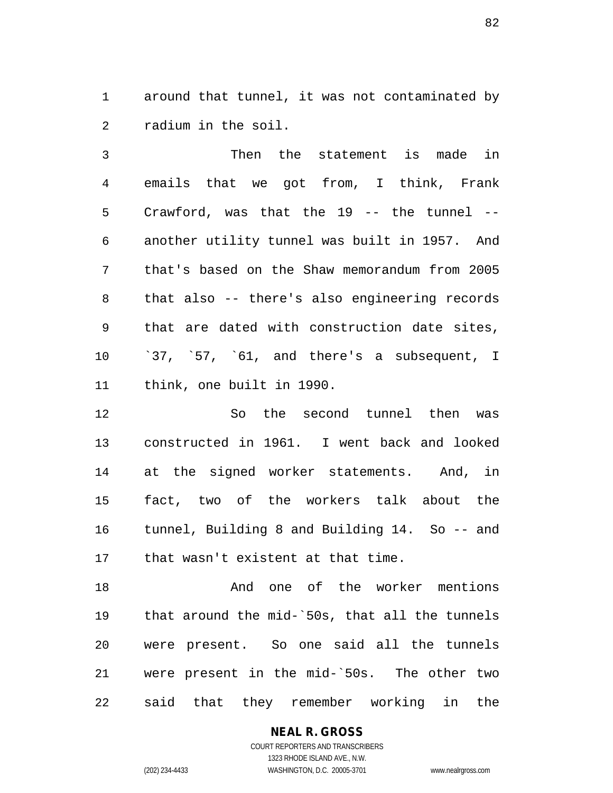1 around that tunnel, it was not contaminated by 2 radium in the soil.

3 Then the statement is made in 4 emails that we got from, I think, Frank 5 Crawford, was that the 19 -- the tunnel -- 6 another utility tunnel was built in 1957. And 7 that's based on the Shaw memorandum from 2005 8 that also -- there's also engineering records 9 that are dated with construction date sites, 10 `37, `57, `61, and there's a subsequent, I 11 think, one built in 1990.

12 So the second tunnel then was 13 constructed in 1961. I went back and looked 14 at the signed worker statements. And, in 15 fact, two of the workers talk about the 16 tunnel, Building 8 and Building 14. So -- and 17 that wasn't existent at that time.

18 And one of the worker mentions 19 that around the mid-`50s, that all the tunnels 20 were present. So one said all the tunnels 21 were present in the mid-`50s. The other two 22 said that they remember working in the

#### **NEAL R. GROSS** COURT REPORTERS AND TRANSCRIBERS

1323 RHODE ISLAND AVE., N.W. (202) 234-4433 WASHINGTON, D.C. 20005-3701 www.nealrgross.com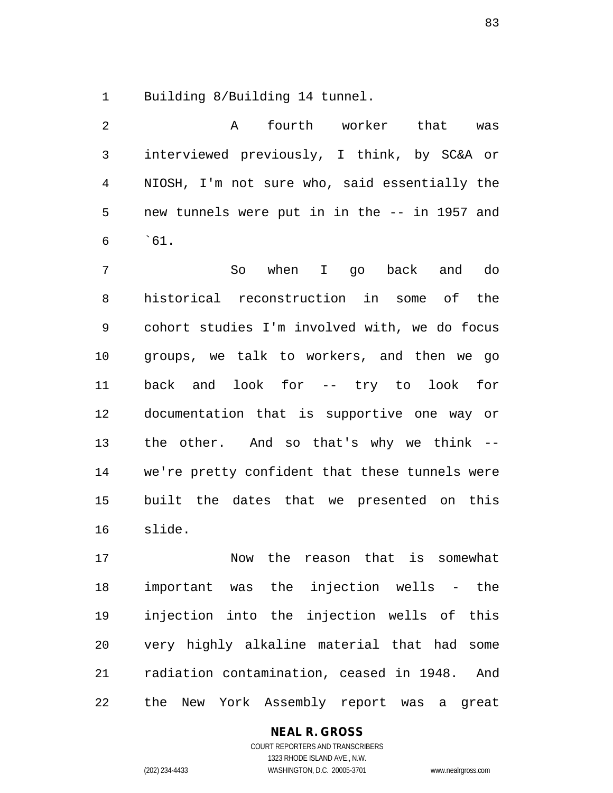1 Building 8/Building 14 tunnel.

| $\overline{2}$ |                                               | A fourth worker that was |  |  |
|----------------|-----------------------------------------------|--------------------------|--|--|
| $\mathbf{3}$   | interviewed previously, I think, by SC&A or   |                          |  |  |
| 4              | NIOSH, I'm not sure who, said essentially the |                          |  |  |
| $5 -$          | new tunnels were put in in the -- in 1957 and |                          |  |  |
|                | $6 \t\t 61.$                                  |                          |  |  |

7 So when I go back and do 8 historical reconstruction in some of the 9 cohort studies I'm involved with, we do focus 10 groups, we talk to workers, and then we go 11 back and look for -- try to look for 12 documentation that is supportive one way or 13 the other. And so that's why we think -- 14 we're pretty confident that these tunnels were 15 built the dates that we presented on this 16 slide.

17 Now the reason that is somewhat 18 important was the injection wells - the 19 injection into the injection wells of this 20 very highly alkaline material that had some 21 radiation contamination, ceased in 1948. And 22 the New York Assembly report was a great

## **NEAL R. GROSS**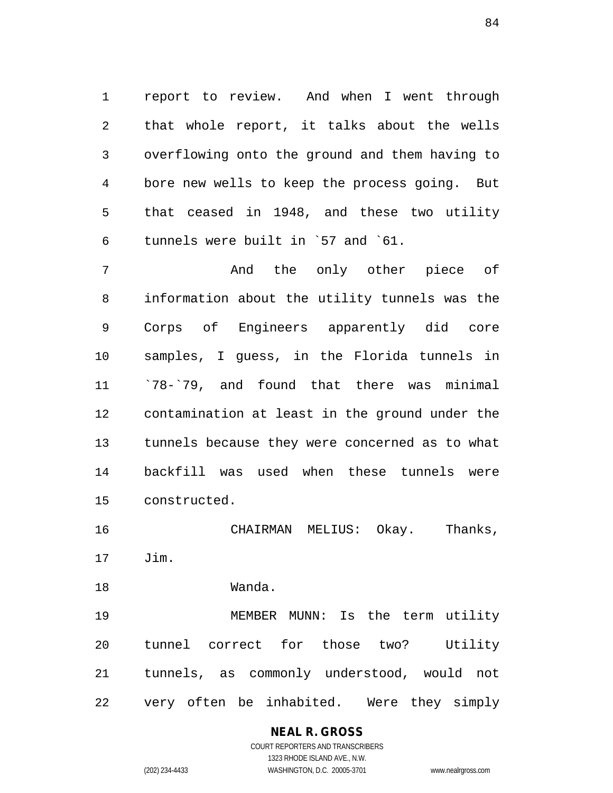1 report to review. And when I went through 2 that whole report, it talks about the wells 3 overflowing onto the ground and them having to 4 bore new wells to keep the process going. But 5 that ceased in 1948, and these two utility 6 tunnels were built in `57 and `61.

7 And the only other piece of 8 information about the utility tunnels was the 9 Corps of Engineers apparently did core 10 samples, I guess, in the Florida tunnels in 11 `78-`79, and found that there was minimal 12 contamination at least in the ground under the 13 tunnels because they were concerned as to what 14 backfill was used when these tunnels were 15 constructed.

16 CHAIRMAN MELIUS: Okay. Thanks, 17 Jim.

18 Wanda.

19 MEMBER MUNN: Is the term utility 20 tunnel correct for those two? Utility 21 tunnels, as commonly understood, would not 22 very often be inhabited. Were they simply

## **NEAL R. GROSS**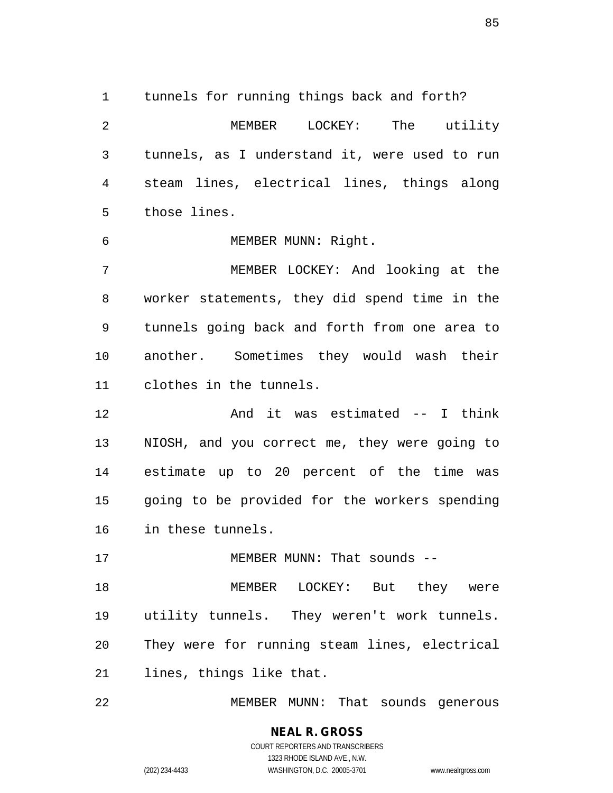1 tunnels for running things back and forth? 2 MEMBER LOCKEY: The utility 3 tunnels, as I understand it, were used to run 4 steam lines, electrical lines, things along 5 those lines.

6 MEMBER MUNN: Right.

7 MEMBER LOCKEY: And looking at the 8 worker statements, they did spend time in the 9 tunnels going back and forth from one area to 10 another. Sometimes they would wash their 11 clothes in the tunnels.

12 And it was estimated -- I think 13 NIOSH, and you correct me, they were going to 14 estimate up to 20 percent of the time was 15 going to be provided for the workers spending 16 in these tunnels.

17 MEMBER MUNN: That sounds --

18 MEMBER LOCKEY: But they were 19 utility tunnels. They weren't work tunnels. 20 They were for running steam lines, electrical 21 lines, things like that.

22 MEMBER MUNN: That sounds generous

## **NEAL R. GROSS** COURT REPORTERS AND TRANSCRIBERS

1323 RHODE ISLAND AVE., N.W. (202) 234-4433 WASHINGTON, D.C. 20005-3701 www.nealrgross.com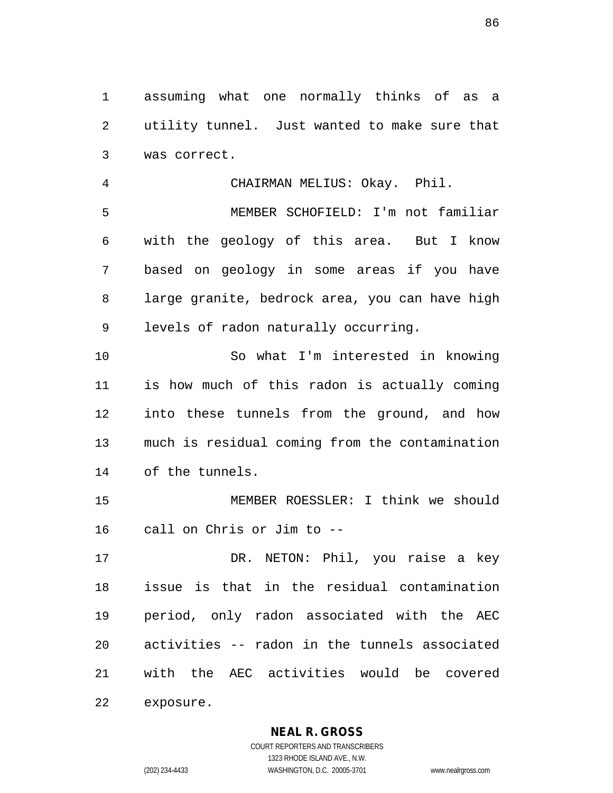1 assuming what one normally thinks of as a 2 utility tunnel. Just wanted to make sure that 3 was correct.

4 CHAIRMAN MELIUS: Okay. Phil. 5 MEMBER SCHOFIELD: I'm not familiar 6 with the geology of this area. But I know 7 based on geology in some areas if you have 8 large granite, bedrock area, you can have high 9 levels of radon naturally occurring.

10 So what I'm interested in knowing 11 is how much of this radon is actually coming 12 into these tunnels from the ground, and how 13 much is residual coming from the contamination 14 of the tunnels.

15 MEMBER ROESSLER: I think we should 16 call on Chris or Jim to --

17 DR. NETON: Phil, you raise a key 18 issue is that in the residual contamination 19 period, only radon associated with the AEC 20 activities -- radon in the tunnels associated 21 with the AEC activities would be covered 22 exposure.

**NEAL R. GROSS**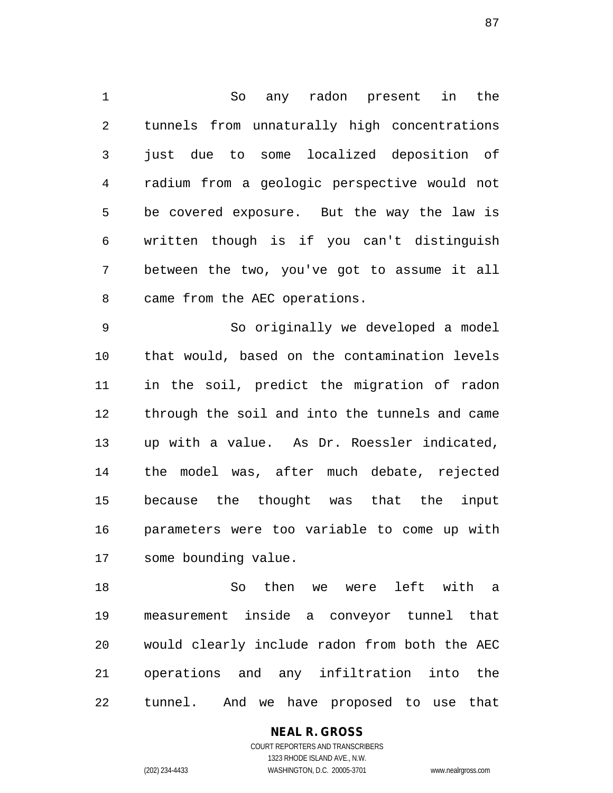1 So any radon present in the 2 tunnels from unnaturally high concentrations 3 just due to some localized deposition of 4 radium from a geologic perspective would not 5 be covered exposure. But the way the law is 6 written though is if you can't distinguish 7 between the two, you've got to assume it all 8 came from the AEC operations.

9 So originally we developed a model 10 that would, based on the contamination levels 11 in the soil, predict the migration of radon 12 through the soil and into the tunnels and came 13 up with a value. As Dr. Roessler indicated, 14 the model was, after much debate, rejected 15 because the thought was that the input 16 parameters were too variable to come up with 17 some bounding value.

18 So then we were left with a 19 measurement inside a conveyor tunnel that 20 would clearly include radon from both the AEC 21 operations and any infiltration into the 22 tunnel. And we have proposed to use that

#### **NEAL R. GROSS**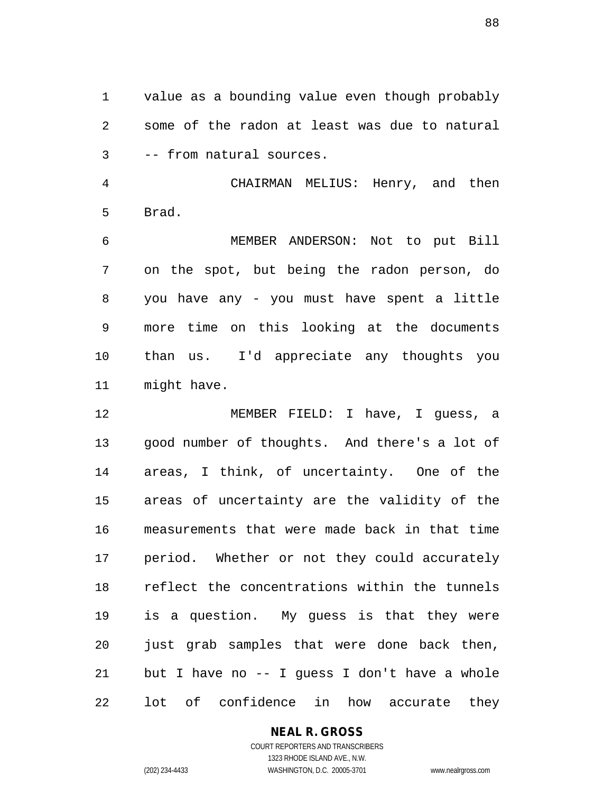1 value as a bounding value even though probably 2 some of the radon at least was due to natural 3 -- from natural sources.

4 CHAIRMAN MELIUS: Henry, and then 5 Brad.

6 MEMBER ANDERSON: Not to put Bill 7 on the spot, but being the radon person, do 8 you have any - you must have spent a little 9 more time on this looking at the documents 10 than us. I'd appreciate any thoughts you 11 might have.

12 MEMBER FIELD: I have, I guess, a 13 good number of thoughts. And there's a lot of 14 areas, I think, of uncertainty. One of the 15 areas of uncertainty are the validity of the 16 measurements that were made back in that time 17 period. Whether or not they could accurately 18 reflect the concentrations within the tunnels 19 is a question. My guess is that they were 20 just grab samples that were done back then, 21 but I have no -- I guess I don't have a whole 22 lot of confidence in how accurate they

## **NEAL R. GROSS**

COURT REPORTERS AND TRANSCRIBERS 1323 RHODE ISLAND AVE., N.W. (202) 234-4433 WASHINGTON, D.C. 20005-3701 www.nealrgross.com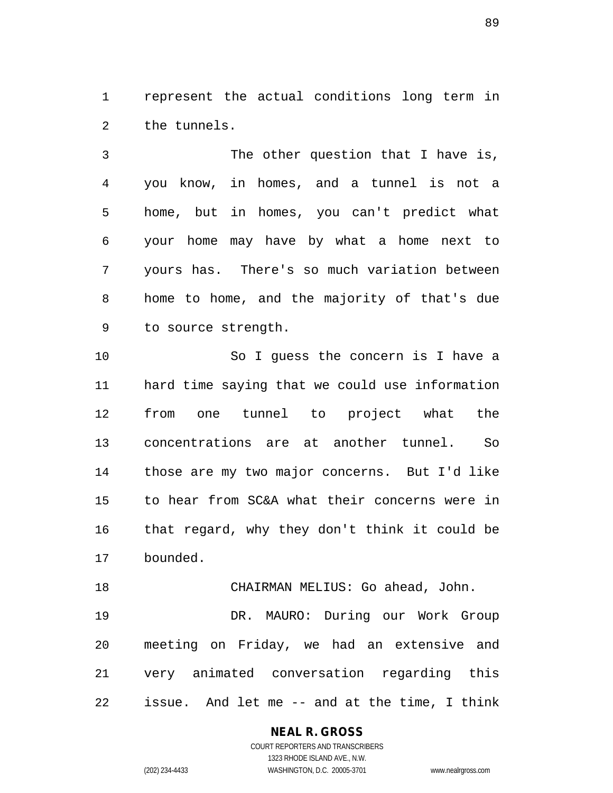1 represent the actual conditions long term in 2 the tunnels.

3 The other question that I have is, 4 you know, in homes, and a tunnel is not a 5 home, but in homes, you can't predict what 6 your home may have by what a home next to 7 yours has. There's so much variation between 8 home to home, and the majority of that's due 9 to source strength.

10 So I guess the concern is I have a 11 hard time saying that we could use information 12 from one tunnel to project what the 13 concentrations are at another tunnel. So 14 those are my two major concerns. But I'd like 15 to hear from SC&A what their concerns were in 16 that regard, why they don't think it could be 17 bounded.

18 CHAIRMAN MELIUS: Go ahead, John. 19 DR. MAURO: During our Work Group 20 meeting on Friday, we had an extensive and 21 very animated conversation regarding this 22 issue. And let me -- and at the time, I think

#### **NEAL R. GROSS**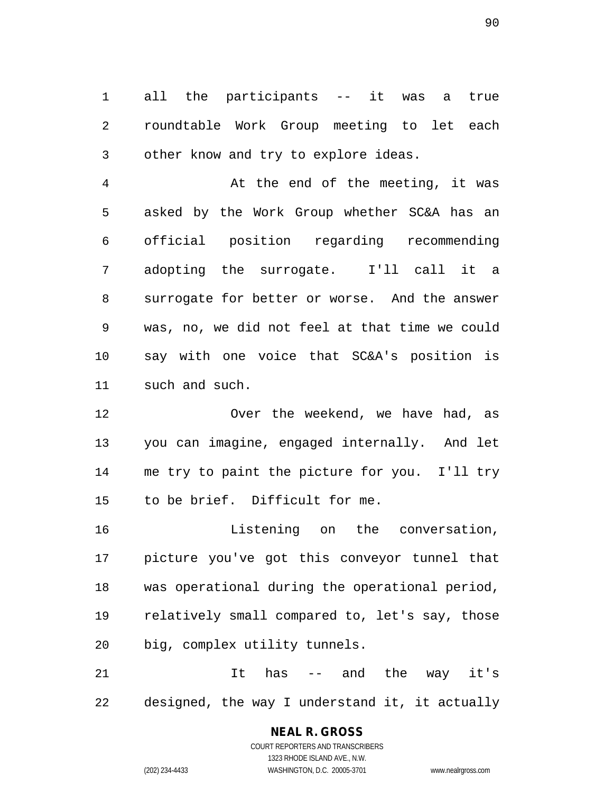1 all the participants -- it was a true 2 roundtable Work Group meeting to let each 3 other know and try to explore ideas.

4 At the end of the meeting, it was 5 asked by the Work Group whether SC&A has an 6 official position regarding recommending 7 adopting the surrogate. I'll call it a 8 surrogate for better or worse. And the answer 9 was, no, we did not feel at that time we could 10 say with one voice that SC&A's position is 11 such and such.

12 Over the weekend, we have had, as 13 you can imagine, engaged internally. And let 14 me try to paint the picture for you. I'll try 15 to be brief. Difficult for me.

16 Listening on the conversation, 17 picture you've got this conveyor tunnel that 18 was operational during the operational period, 19 relatively small compared to, let's say, those 20 big, complex utility tunnels.

21 It has -- and the way it's 22 designed, the way I understand it, it actually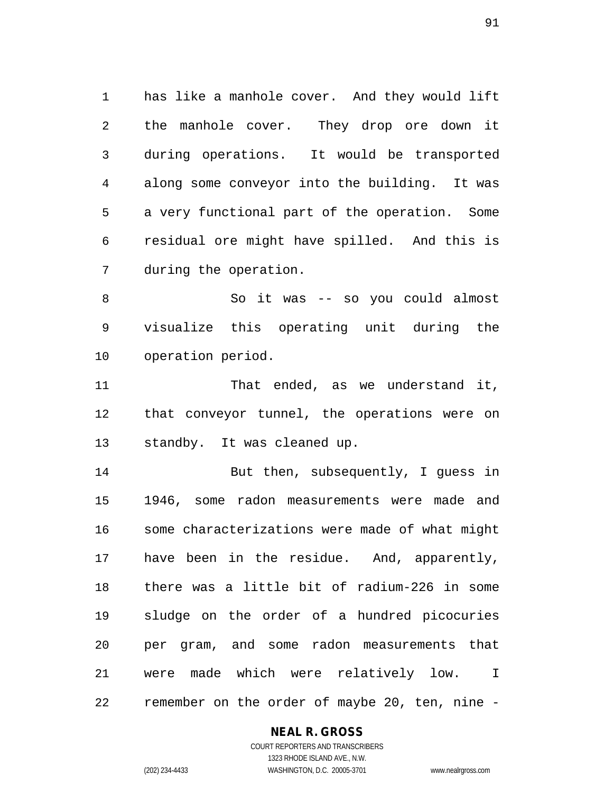1 has like a manhole cover. And they would lift 2 the manhole cover. They drop ore down it 3 during operations. It would be transported 4 along some conveyor into the building. It was 5 a very functional part of the operation. Some 6 residual ore might have spilled. And this is 7 during the operation.

8 So it was -- so you could almost 9 visualize this operating unit during the 10 operation period.

11 That ended, as we understand it, 12 that conveyor tunnel, the operations were on 13 standby. It was cleaned up.

14 But then, subsequently, I guess in 15 1946, some radon measurements were made and 16 some characterizations were made of what might 17 have been in the residue. And, apparently, 18 there was a little bit of radium-226 in some 19 sludge on the order of a hundred picocuries 20 per gram, and some radon measurements that 21 were made which were relatively low. I 22 remember on the order of maybe 20, ten, nine -

#### **NEAL R. GROSS** COURT REPORTERS AND TRANSCRIBERS

1323 RHODE ISLAND AVE., N.W.

(202) 234-4433 WASHINGTON, D.C. 20005-3701 www.nealrgross.com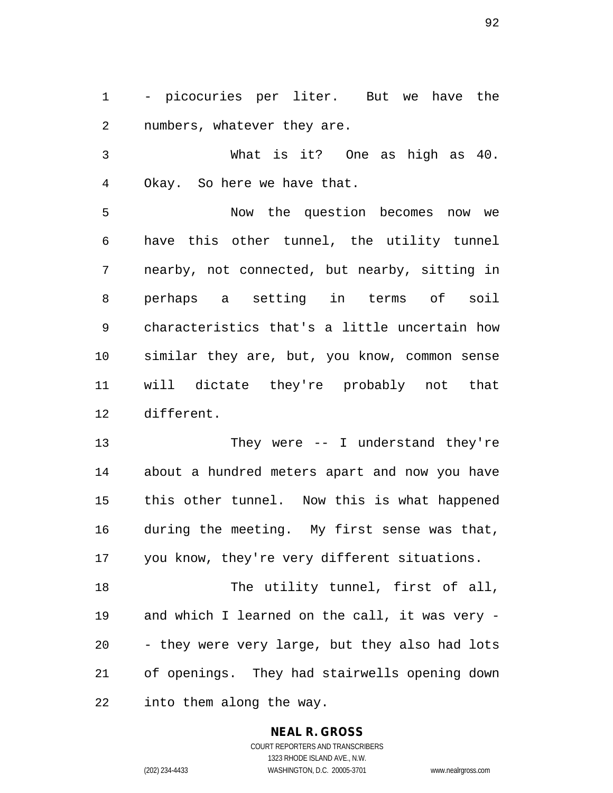1 - picocuries per liter. But we have the 2 numbers, whatever they are.

3 What is it? One as high as 40. 4 Okay. So here we have that.

5 Now the question becomes now we 6 have this other tunnel, the utility tunnel 7 nearby, not connected, but nearby, sitting in 8 perhaps a setting in terms of soil 9 characteristics that's a little uncertain how 10 similar they are, but, you know, common sense 11 will dictate they're probably not that 12 different.

13 They were -- I understand they're 14 about a hundred meters apart and now you have 15 this other tunnel. Now this is what happened 16 during the meeting. My first sense was that, 17 you know, they're very different situations.

18 The utility tunnel, first of all, 19 and which I learned on the call, it was very - 20 - they were very large, but they also had lots 21 of openings. They had stairwells opening down 22 into them along the way.

#### **NEAL R. GROSS**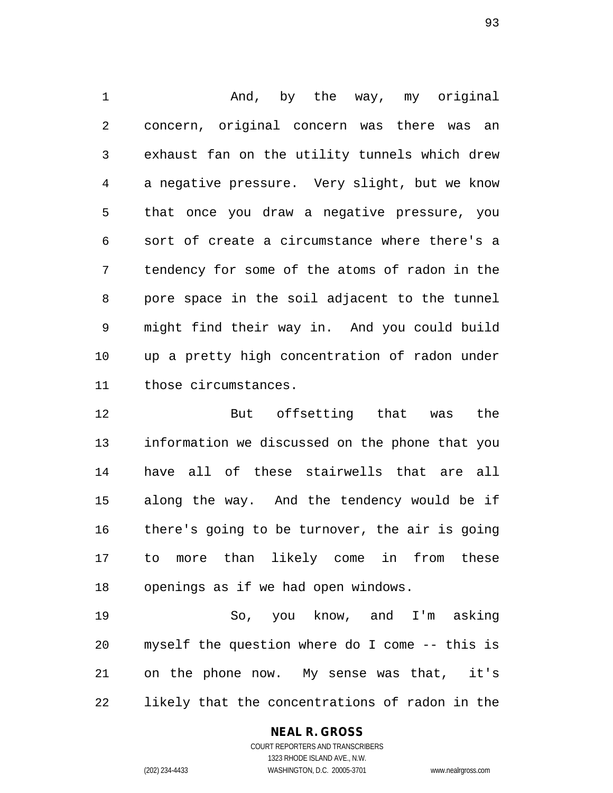1 and, by the way, my original 2 concern, original concern was there was an 3 exhaust fan on the utility tunnels which drew 4 a negative pressure. Very slight, but we know 5 that once you draw a negative pressure, you 6 sort of create a circumstance where there's a 7 tendency for some of the atoms of radon in the 8 pore space in the soil adjacent to the tunnel 9 might find their way in. And you could build 10 up a pretty high concentration of radon under 11 those circumstances.

12 But offsetting that was the 13 information we discussed on the phone that you 14 have all of these stairwells that are all 15 along the way. And the tendency would be if 16 there's going to be turnover, the air is going 17 to more than likely come in from these 18 openings as if we had open windows.

19 So, you know, and I'm asking 20 myself the question where do I come -- this is 21 on the phone now. My sense was that, it's 22 likely that the concentrations of radon in the

#### **NEAL R. GROSS**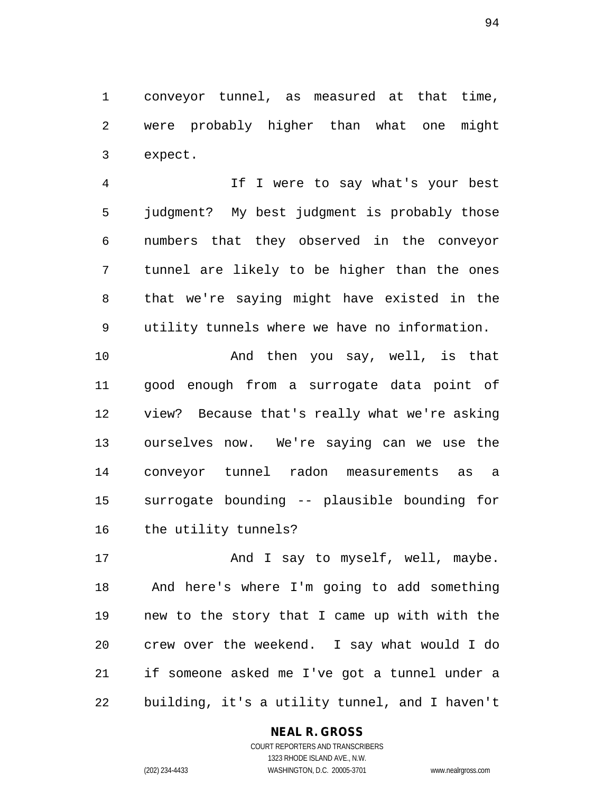1 conveyor tunnel, as measured at that time, 2 were probably higher than what one might 3 expect.

4 If I were to say what's your best 5 judgment? My best judgment is probably those 6 numbers that they observed in the conveyor 7 tunnel are likely to be higher than the ones 8 that we're saying might have existed in the 9 utility tunnels where we have no information.

10 And then you say, well, is that 11 good enough from a surrogate data point of 12 view? Because that's really what we're asking 13 ourselves now. We're saying can we use the 14 conveyor tunnel radon measurements as a 15 surrogate bounding -- plausible bounding for 16 the utility tunnels?

17 And I say to myself, well, maybe. 18 And here's where I'm going to add something 19 new to the story that I came up with with the 20 crew over the weekend. I say what would I do 21 if someone asked me I've got a tunnel under a 22 building, it's a utility tunnel, and I haven't

## **NEAL R. GROSS**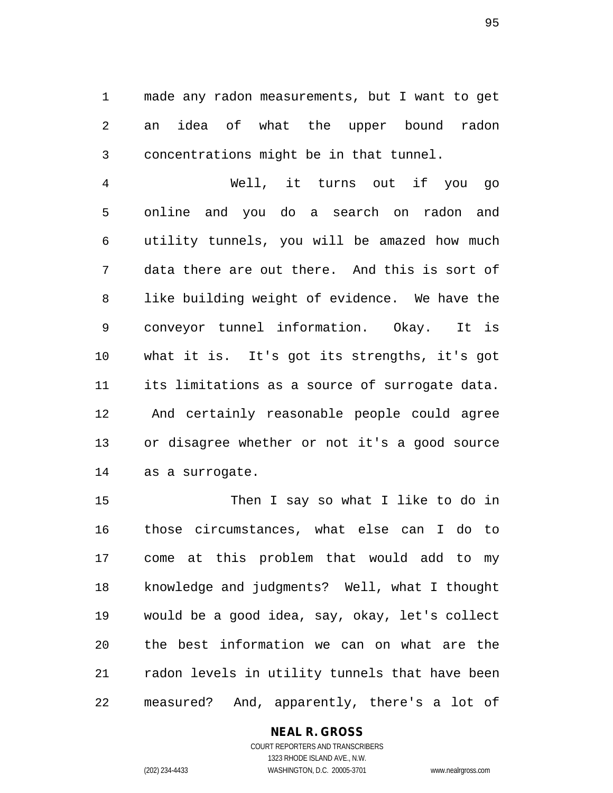1 made any radon measurements, but I want to get 2 an idea of what the upper bound radon 3 concentrations might be in that tunnel.

4 Well, it turns out if you go 5 online and you do a search on radon and 6 utility tunnels, you will be amazed how much 7 data there are out there. And this is sort of 8 like building weight of evidence. We have the 9 conveyor tunnel information. Okay. It is 10 what it is. It's got its strengths, it's got 11 its limitations as a source of surrogate data. 12 And certainly reasonable people could agree 13 or disagree whether or not it's a good source 14 as a surrogate.

15 Then I say so what I like to do in 16 those circumstances, what else can I do to 17 come at this problem that would add to my 18 knowledge and judgments? Well, what I thought 19 would be a good idea, say, okay, let's collect 20 the best information we can on what are the 21 radon levels in utility tunnels that have been 22 measured? And, apparently, there's a lot of

#### **NEAL R. GROSS**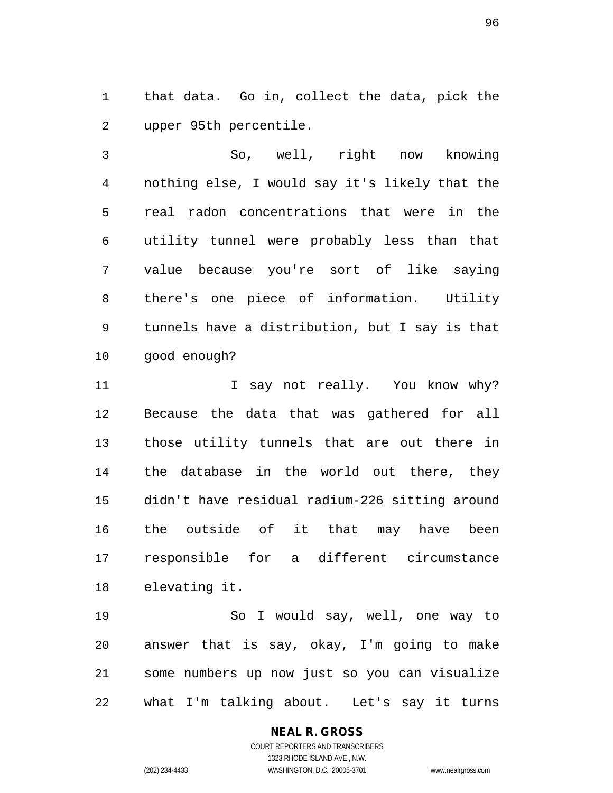1 that data. Go in, collect the data, pick the 2 upper 95th percentile.

3 So, well, right now knowing 4 nothing else, I would say it's likely that the 5 real radon concentrations that were in the 6 utility tunnel were probably less than that 7 value because you're sort of like saying 8 there's one piece of information. Utility 9 tunnels have a distribution, but I say is that 10 good enough?

11 1 I say not really. You know why? 12 Because the data that was gathered for all 13 those utility tunnels that are out there in 14 the database in the world out there, they 15 didn't have residual radium-226 sitting around 16 the outside of it that may have been 17 responsible for a different circumstance 18 elevating it.

19 So I would say, well, one way to 20 answer that is say, okay, I'm going to make 21 some numbers up now just so you can visualize 22 what I'm talking about. Let's say it turns

# **NEAL R. GROSS**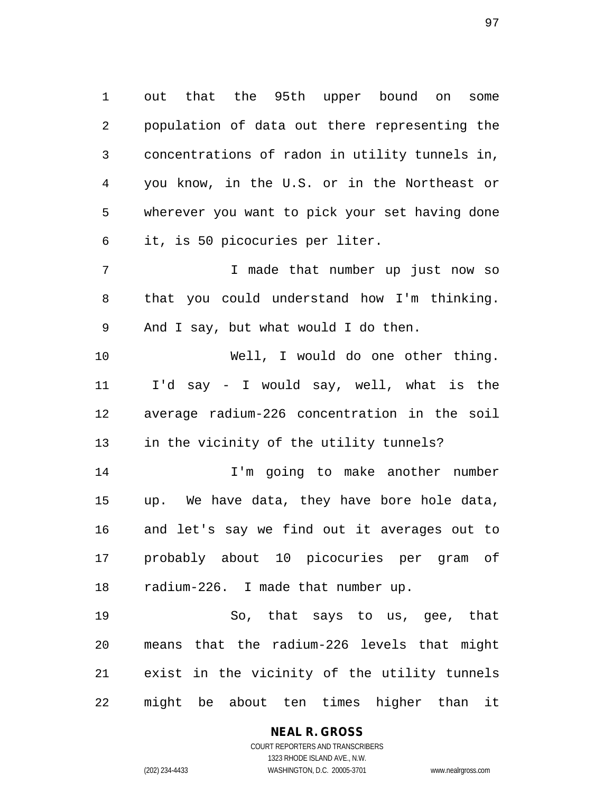1 out that the 95th upper bound on some 2 population of data out there representing the 3 concentrations of radon in utility tunnels in, 4 you know, in the U.S. or in the Northeast or 5 wherever you want to pick your set having done 6 it, is 50 picocuries per liter.

7 T made that number up just now so 8 that you could understand how I'm thinking. 9 And I say, but what would I do then.

10 Well, I would do one other thing. 11 I'd say - I would say, well, what is the 12 average radium-226 concentration in the soil 13 in the vicinity of the utility tunnels?

14 I'm going to make another number 15 up. We have data, they have bore hole data, 16 and let's say we find out it averages out to 17 probably about 10 picocuries per gram of 18 radium-226. I made that number up.

19 So, that says to us, gee, that 20 means that the radium-226 levels that might 21 exist in the vicinity of the utility tunnels 22 might be about ten times higher than it

## **NEAL R. GROSS**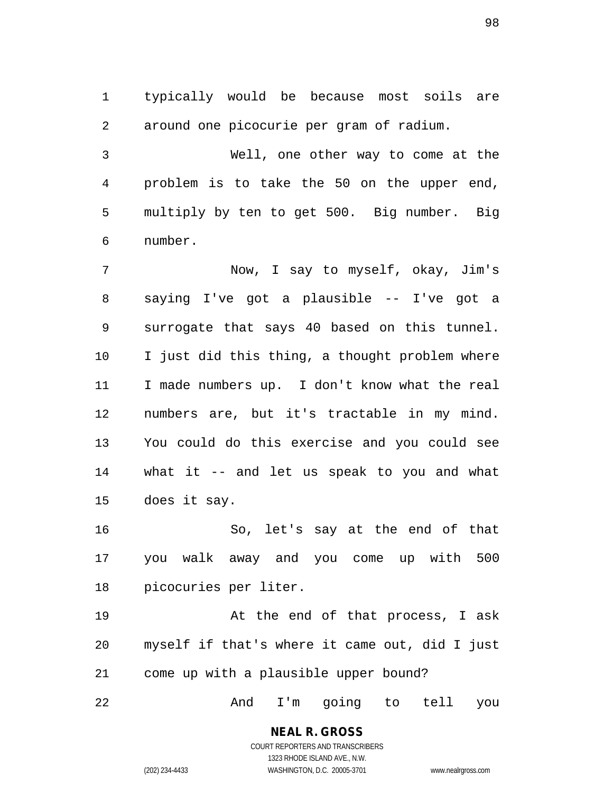1 typically would be because most soils are 2 around one picocurie per gram of radium.

3 Well, one other way to come at the 4 problem is to take the 50 on the upper end, 5 multiply by ten to get 500. Big number. Big 6 number.

7 Now, I say to myself, okay, Jim's 8 saying I've got a plausible -- I've got a 9 surrogate that says 40 based on this tunnel. 10 I just did this thing, a thought problem where 11 I made numbers up. I don't know what the real 12 numbers are, but it's tractable in my mind. 13 You could do this exercise and you could see 14 what it -- and let us speak to you and what 15 does it say.

16 So, let's say at the end of that 17 you walk away and you come up with 500 18 picocuries per liter.

19 At the end of that process, I ask 20 myself if that's where it came out, did I just 21 come up with a plausible upper bound?

22 And I'm going to tell you

## **NEAL R. GROSS**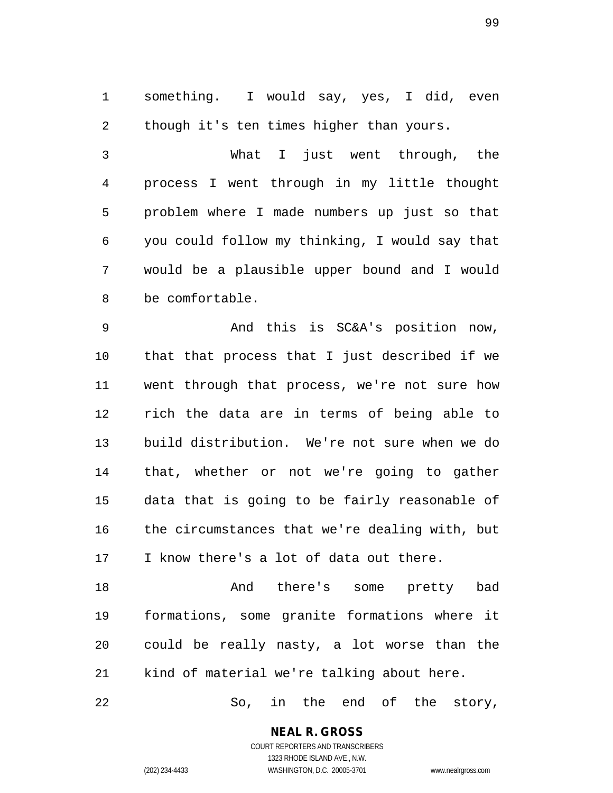1 something. I would say, yes, I did, even 2 though it's ten times higher than yours.

3 What I just went through, the 4 process I went through in my little thought 5 problem where I made numbers up just so that 6 you could follow my thinking, I would say that 7 would be a plausible upper bound and I would 8 be comfortable.

9 And this is SC&A's position now, 10 that that process that I just described if we 11 went through that process, we're not sure how 12 rich the data are in terms of being able to 13 build distribution. We're not sure when we do 14 that, whether or not we're going to gather 15 data that is going to be fairly reasonable of 16 the circumstances that we're dealing with, but 17 I know there's a lot of data out there.

18 And there's some pretty bad 19 formations, some granite formations where it 20 could be really nasty, a lot worse than the 21 kind of material we're talking about here.

22 So, in the end of the story,

**NEAL R. GROSS** COURT REPORTERS AND TRANSCRIBERS

1323 RHODE ISLAND AVE., N.W. (202) 234-4433 WASHINGTON, D.C. 20005-3701 www.nealrgross.com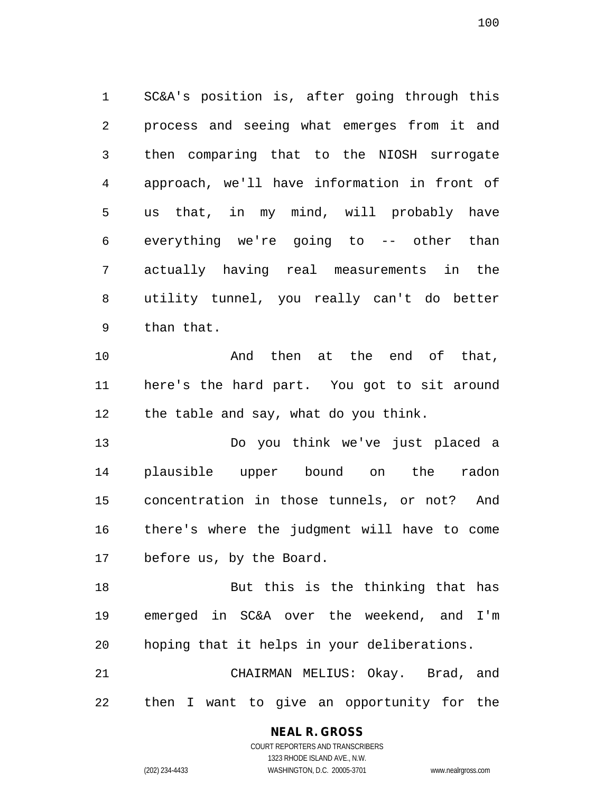1 SC&A's position is, after going through this 2 process and seeing what emerges from it and 3 then comparing that to the NIOSH surrogate 4 approach, we'll have information in front of 5 us that, in my mind, will probably have 6 everything we're going to -- other than 7 actually having real measurements in the 8 utility tunnel, you really can't do better 9 than that.

10 And then at the end of that, 11 here's the hard part. You got to sit around 12 the table and say, what do you think.

13 Do you think we've just placed a 14 plausible upper bound on the radon 15 concentration in those tunnels, or not? And 16 there's where the judgment will have to come 17 before us, by the Board.

18 But this is the thinking that has 19 emerged in SC&A over the weekend, and I'm 20 hoping that it helps in your deliberations.

21 CHAIRMAN MELIUS: Okay. Brad, and 22 then I want to give an opportunity for the

#### **NEAL R. GROSS**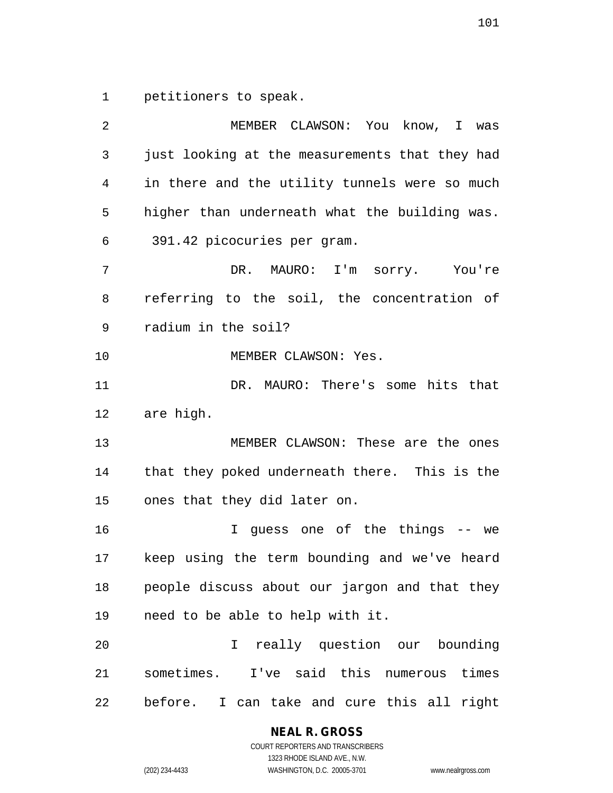1 petitioners to speak.

| 2  | MEMBER CLAWSON: You know, I was                |  |  |  |  |
|----|------------------------------------------------|--|--|--|--|
| 3  | just looking at the measurements that they had |  |  |  |  |
| 4  | in there and the utility tunnels were so much  |  |  |  |  |
| 5  | higher than underneath what the building was.  |  |  |  |  |
| 6  | 391.42 picocuries per gram.                    |  |  |  |  |
| 7  | DR. MAURO: I'm sorry. You're                   |  |  |  |  |
| 8  | referring to the soil, the concentration of    |  |  |  |  |
| 9  | radium in the soil?                            |  |  |  |  |
| 10 | MEMBER CLAWSON: Yes.                           |  |  |  |  |
| 11 | DR. MAURO: There's some hits that              |  |  |  |  |
| 12 | are high.                                      |  |  |  |  |
| 13 | MEMBER CLAWSON: These are the ones             |  |  |  |  |
| 14 | that they poked underneath there. This is the  |  |  |  |  |
| 15 | ones that they did later on.                   |  |  |  |  |
| 16 | I guess one of the things -- we                |  |  |  |  |
| 17 | keep using the term bounding and we've heard   |  |  |  |  |
| 18 | people discuss about our jargon and that they  |  |  |  |  |
| 19 | need to be able to help with it.               |  |  |  |  |
| 20 | I really question our bounding                 |  |  |  |  |
| 21 | sometimes. I've said this numerous times       |  |  |  |  |
| 22 | before. I can take and cure this all right     |  |  |  |  |

**NEAL R. GROSS**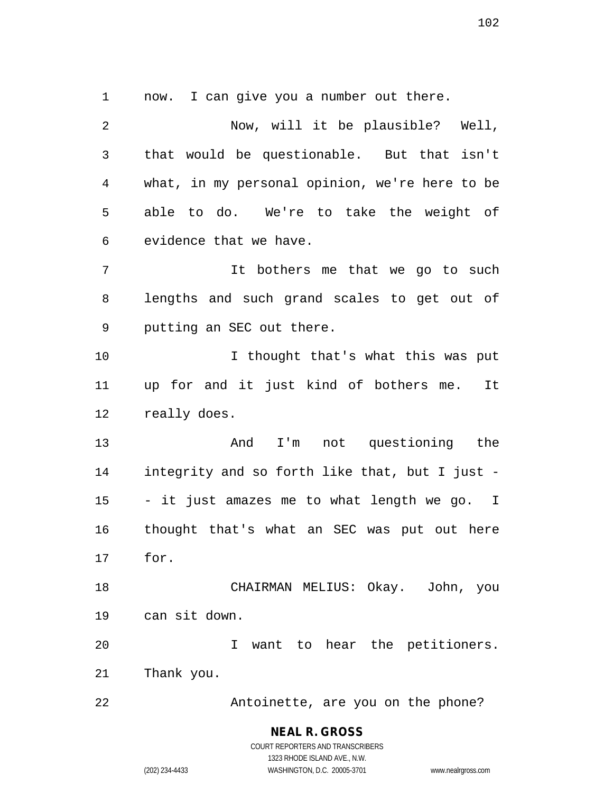1 now. I can give you a number out there.

2 Now, will it be plausible? Well, 3 that would be questionable. But that isn't 4 what, in my personal opinion, we're here to be 5 able to do. We're to take the weight of 6 evidence that we have. 7 It bothers me that we go to such 8 lengths and such grand scales to get out of 9 putting an SEC out there. 10 I thought that's what this was put 11 up for and it just kind of bothers me. It 12 really does. 13 And I'm not questioning the 14 integrity and so forth like that, but I just - 15 - it just amazes me to what length we go. I 16 thought that's what an SEC was put out here 17 for. 18 CHAIRMAN MELIUS: Okay. John, you 19 can sit down. 20 I want to hear the petitioners. 21 Thank you. 22 Antoinette, are you on the phone?

1323 RHODE ISLAND AVE., N.W. (202) 234-4433 WASHINGTON, D.C. 20005-3701 www.nealrgross.com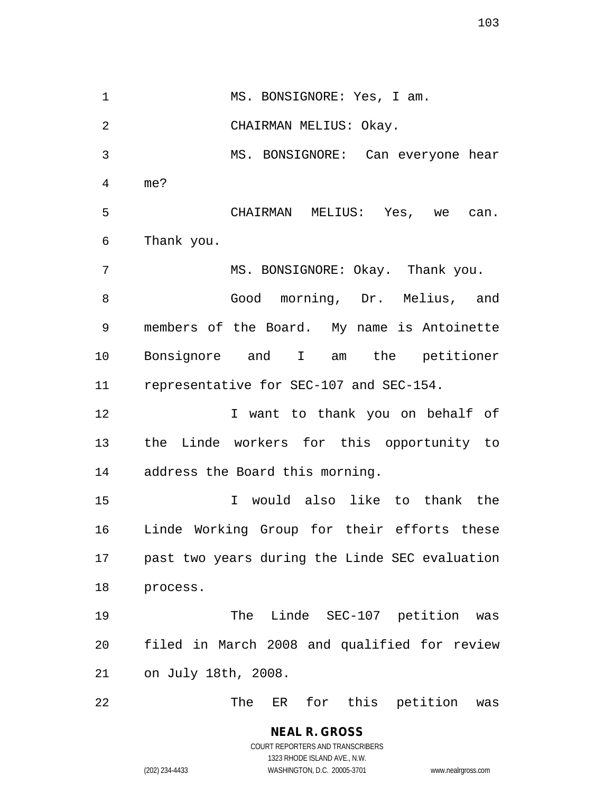1 MS. BONSIGNORE: Yes, I am. 2 CHAIRMAN MELIUS: Okay. 3 MS. BONSIGNORE: Can everyone hear 4 me? 5 CHAIRMAN MELIUS: Yes, we can. 6 Thank you. 7 MS. BONSIGNORE: Okay. Thank you. 8 Good morning, Dr. Melius, and 9 members of the Board. My name is Antoinette 10 Bonsignore and I am the petitioner 11 representative for SEC-107 and SEC-154. 12 I want to thank you on behalf of 13 the Linde workers for this opportunity to 14 address the Board this morning. 15 I would also like to thank the 16 Linde Working Group for their efforts these 17 past two years during the Linde SEC evaluation 18 process. 19 The Linde SEC-107 petition was 20 filed in March 2008 and qualified for review 21 on July 18th, 2008. 22 The ER for this petition was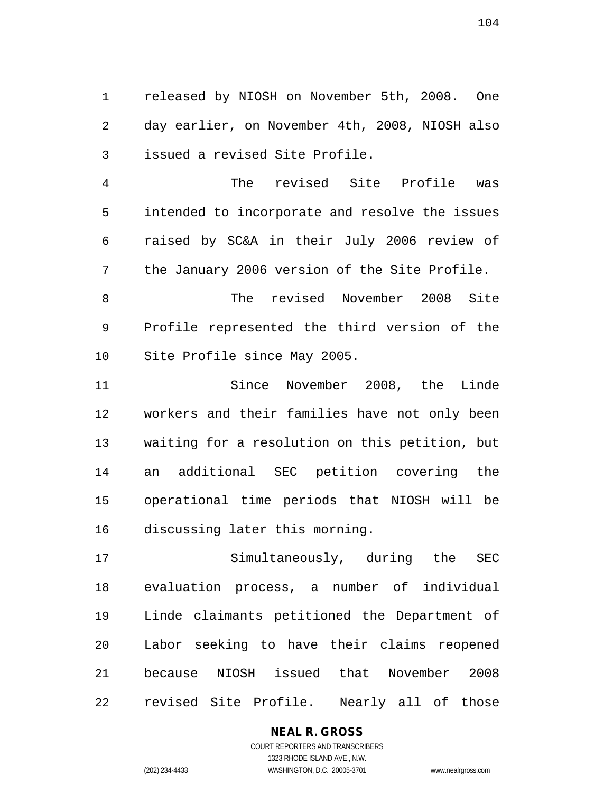1 released by NIOSH on November 5th, 2008. One 2 day earlier, on November 4th, 2008, NIOSH also 3 issued a revised Site Profile.

4 The revised Site Profile was 5 intended to incorporate and resolve the issues 6 raised by SC&A in their July 2006 review of 7 the January 2006 version of the Site Profile.

8 The revised November 2008 Site 9 Profile represented the third version of the 10 Site Profile since May 2005.

11 Since November 2008, the Linde 12 workers and their families have not only been 13 waiting for a resolution on this petition, but 14 an additional SEC petition covering the 15 operational time periods that NIOSH will be 16 discussing later this morning.

17 Simultaneously, during the SEC 18 evaluation process, a number of individual 19 Linde claimants petitioned the Department of 20 Labor seeking to have their claims reopened 21 because NIOSH issued that November 2008 22 revised Site Profile. Nearly all of those

#### **NEAL R. GROSS** COURT REPORTERS AND TRANSCRIBERS

1323 RHODE ISLAND AVE., N.W. (202) 234-4433 WASHINGTON, D.C. 20005-3701 www.nealrgross.com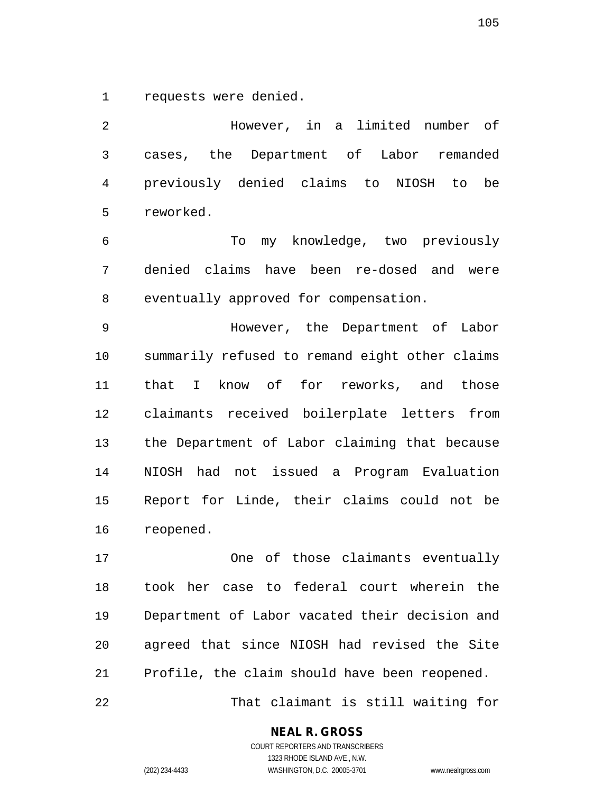1 requests were denied.

2 However, in a limited number of 3 cases, the Department of Labor remanded 4 previously denied claims to NIOSH to be 5 reworked.

6 To my knowledge, two previously 7 denied claims have been re-dosed and were 8 eventually approved for compensation.

9 However, the Department of Labor 10 summarily refused to remand eight other claims 11 that I know of for reworks, and those 12 claimants received boilerplate letters from 13 the Department of Labor claiming that because 14 NIOSH had not issued a Program Evaluation 15 Report for Linde, their claims could not be 16 reopened.

17 One of those claimants eventually 18 took her case to federal court wherein the 19 Department of Labor vacated their decision and 20 agreed that since NIOSH had revised the Site 21 Profile, the claim should have been reopened.

22 That claimant is still waiting for

## **NEAL R. GROSS**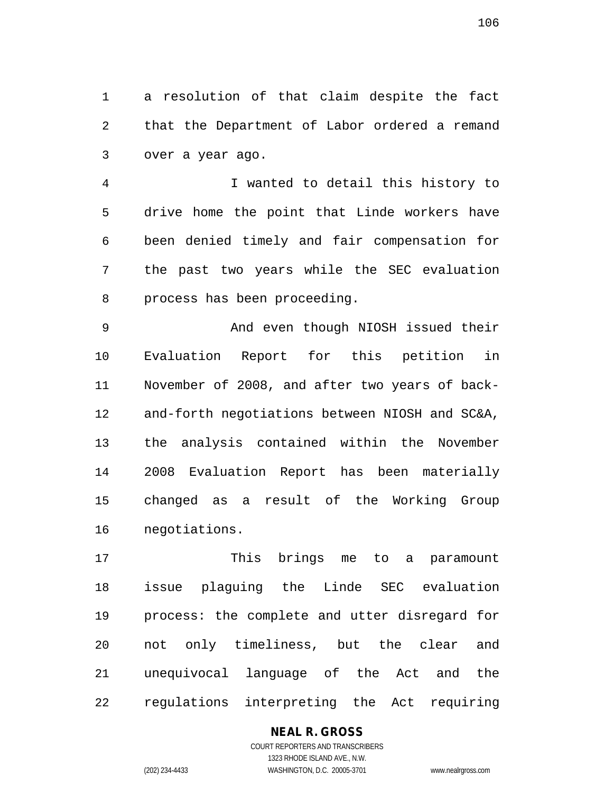1 a resolution of that claim despite the fact 2 that the Department of Labor ordered a remand 3 over a year ago.

4 I wanted to detail this history to 5 drive home the point that Linde workers have 6 been denied timely and fair compensation for 7 the past two years while the SEC evaluation 8 process has been proceeding.

9 And even though NIOSH issued their 10 Evaluation Report for this petition in 11 November of 2008, and after two years of back-12 and-forth negotiations between NIOSH and SC&A, 13 the analysis contained within the November 14 2008 Evaluation Report has been materially 15 changed as a result of the Working Group 16 negotiations.

17 This brings me to a paramount 18 issue plaguing the Linde SEC evaluation 19 process: the complete and utter disregard for 20 not only timeliness, but the clear and 21 unequivocal language of the Act and the 22 regulations interpreting the Act requiring

# **NEAL R. GROSS**

COURT REPORTERS AND TRANSCRIBERS 1323 RHODE ISLAND AVE., N.W. (202) 234-4433 WASHINGTON, D.C. 20005-3701 www.nealrgross.com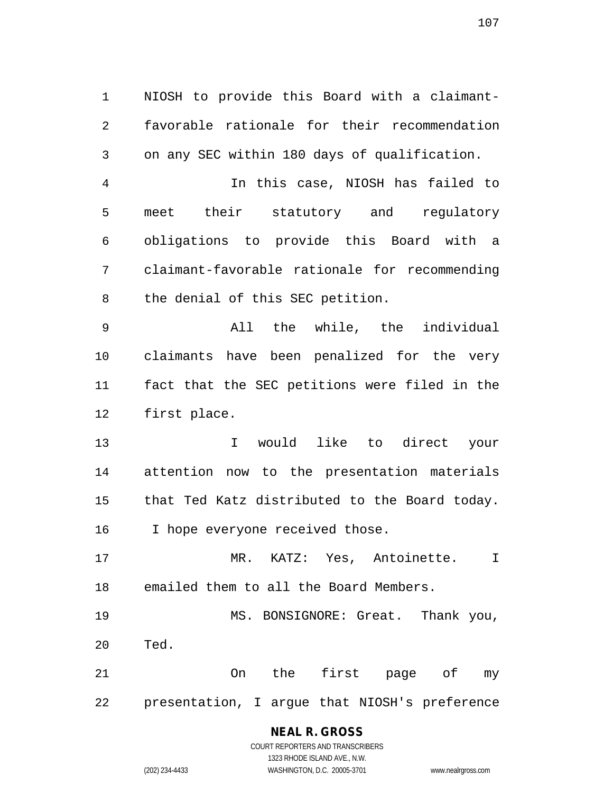1 NIOSH to provide this Board with a claimant-2 favorable rationale for their recommendation 3 on any SEC within 180 days of qualification.

4 In this case, NIOSH has failed to 5 meet their statutory and regulatory 6 obligations to provide this Board with a 7 claimant-favorable rationale for recommending 8 the denial of this SEC petition.

9 All the while, the individual 10 claimants have been penalized for the very 11 fact that the SEC petitions were filed in the 12 first place.

13 I would like to direct your 14 attention now to the presentation materials 15 that Ted Katz distributed to the Board today. 16 I hope everyone received those.

17 MR. KATZ: Yes, Antoinette. I 18 emailed them to all the Board Members.

19 MS. BONSIGNORE: Great. Thank you, 20 Ted.

21 On the first page of my 22 presentation, I argue that NIOSH's preference

# **NEAL R. GROSS**

COURT REPORTERS AND TRANSCRIBERS 1323 RHODE ISLAND AVE., N.W. (202) 234-4433 WASHINGTON, D.C. 20005-3701 www.nealrgross.com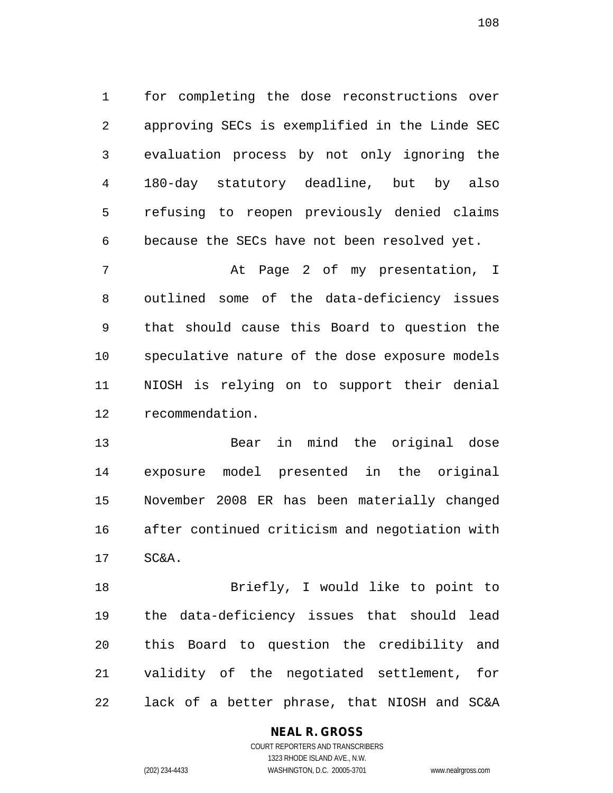1 for completing the dose reconstructions over 2 approving SECs is exemplified in the Linde SEC 3 evaluation process by not only ignoring the 4 180-day statutory deadline, but by also 5 refusing to reopen previously denied claims 6 because the SECs have not been resolved yet.

7 At Page 2 of my presentation, I 8 outlined some of the data-deficiency issues 9 that should cause this Board to question the 10 speculative nature of the dose exposure models 11 NIOSH is relying on to support their denial 12 recommendation.

13 Bear in mind the original dose 14 exposure model presented in the original 15 November 2008 ER has been materially changed 16 after continued criticism and negotiation with 17 SC&A.

18 Briefly, I would like to point to 19 the data-deficiency issues that should lead 20 this Board to question the credibility and 21 validity of the negotiated settlement, for 22 lack of a better phrase, that NIOSH and SC&A

## **NEAL R. GROSS**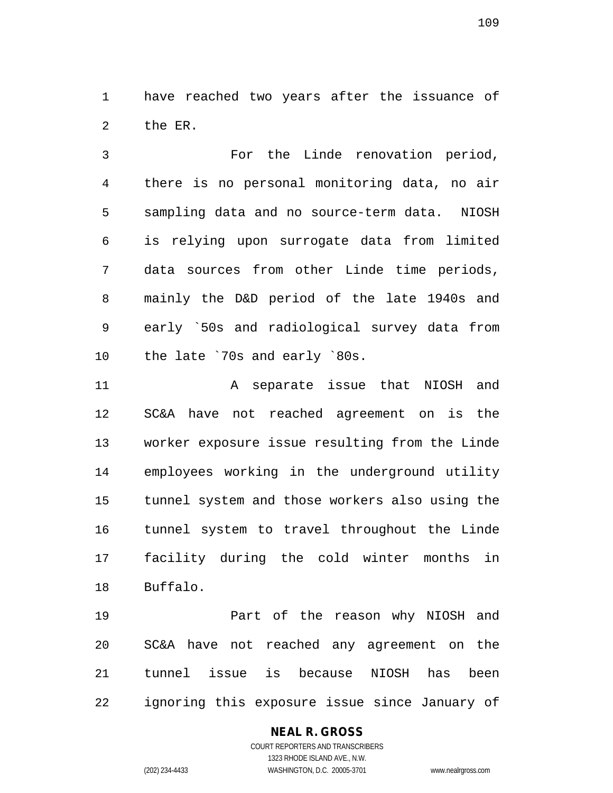1 have reached two years after the issuance of 2 the ER.

3 For the Linde renovation period, 4 there is no personal monitoring data, no air 5 sampling data and no source-term data. NIOSH 6 is relying upon surrogate data from limited 7 data sources from other Linde time periods, 8 mainly the D&D period of the late 1940s and 9 early `50s and radiological survey data from 10 the late `70s and early `80s.

11 A separate issue that NIOSH and 12 SC&A have not reached agreement on is the 13 worker exposure issue resulting from the Linde 14 employees working in the underground utility 15 tunnel system and those workers also using the 16 tunnel system to travel throughout the Linde 17 facility during the cold winter months in 18 Buffalo.

19 Part of the reason why NIOSH and 20 SC&A have not reached any agreement on the 21 tunnel issue is because NIOSH has been 22 ignoring this exposure issue since January of

#### **NEAL R. GROSS**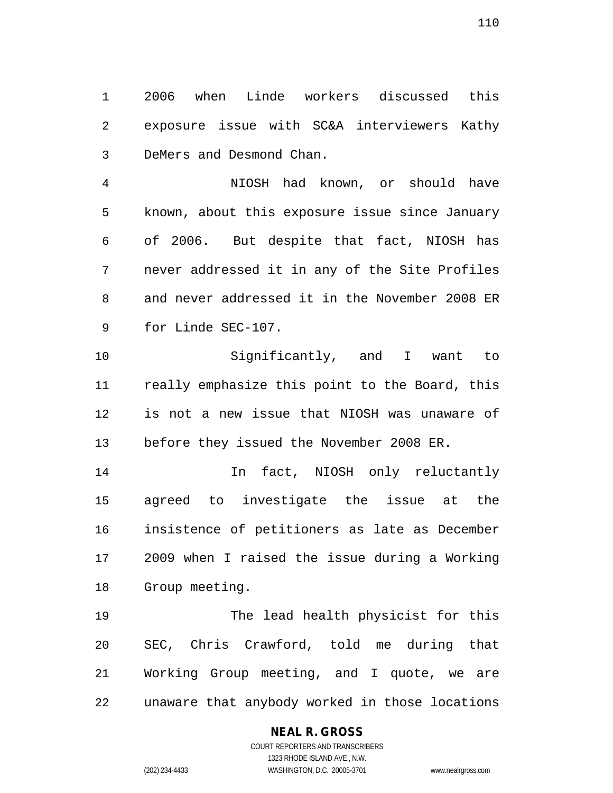1 2006 when Linde workers discussed this 2 exposure issue with SC&A interviewers Kathy 3 DeMers and Desmond Chan.

4 NIOSH had known, or should have 5 known, about this exposure issue since January 6 of 2006. But despite that fact, NIOSH has 7 never addressed it in any of the Site Profiles 8 and never addressed it in the November 2008 ER 9 for Linde SEC-107.

10 Significantly, and I want to 11 really emphasize this point to the Board, this 12 is not a new issue that NIOSH was unaware of 13 before they issued the November 2008 ER.

14 In fact, NIOSH only reluctantly 15 agreed to investigate the issue at the 16 insistence of petitioners as late as December 17 2009 when I raised the issue during a Working 18 Group meeting.

19 The lead health physicist for this 20 SEC, Chris Crawford, told me during that 21 Working Group meeting, and I quote, we are 22 unaware that anybody worked in those locations

#### **NEAL R. GROSS**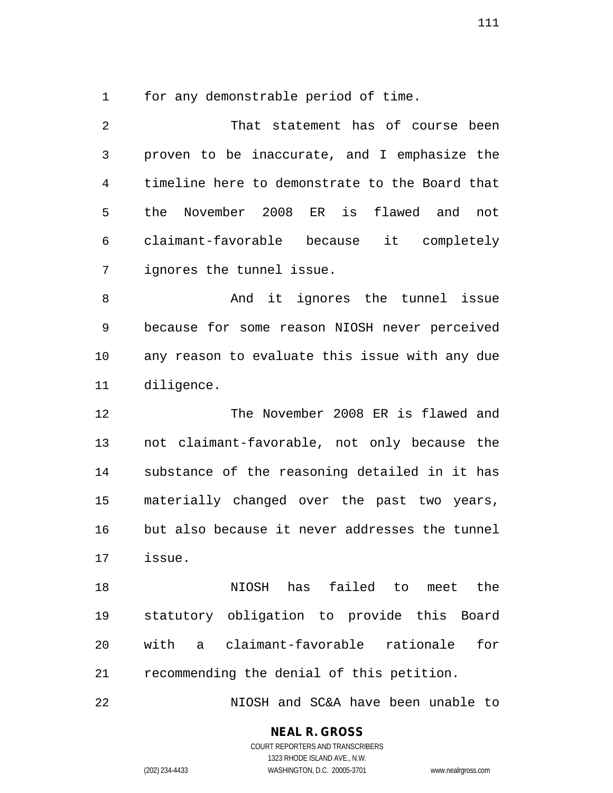1 for any demonstrable period of time.

2 That statement has of course been 3 proven to be inaccurate, and I emphasize the 4 timeline here to demonstrate to the Board that 5 the November 2008 ER is flawed and not 6 claimant-favorable because it completely 7 ignores the tunnel issue. 8 And it ignores the tunnel issue 9 because for some reason NIOSH never perceived 10 any reason to evaluate this issue with any due 11 diligence. 12 The November 2008 ER is flawed and 13 not claimant-favorable, not only because the 14 substance of the reasoning detailed in it has 15 materially changed over the past two years, 16 but also because it never addresses the tunnel 17 issue. 18 NIOSH has failed to meet the 19 statutory obligation to provide this Board 20 with a claimant-favorable rationale for 21 recommending the denial of this petition.

22 NIOSH and SC&A have been unable to

**NEAL R. GROSS**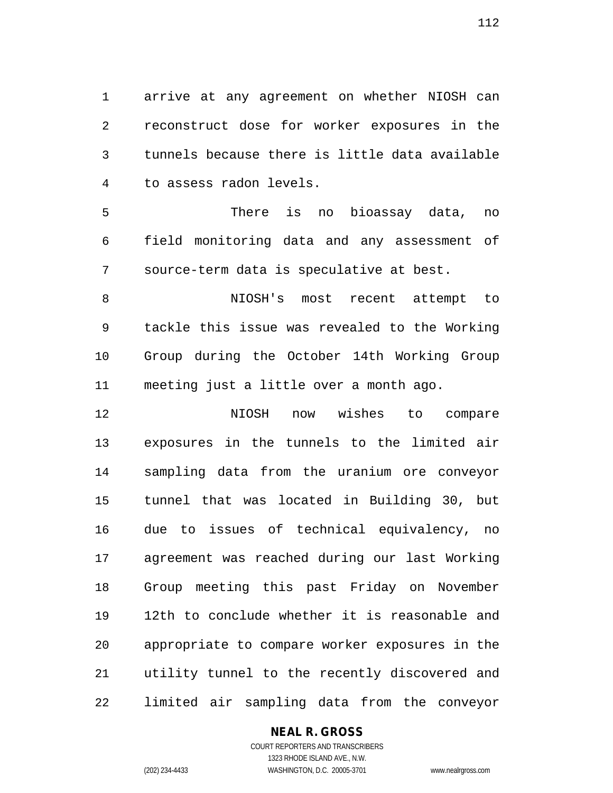1 arrive at any agreement on whether NIOSH can 2 reconstruct dose for worker exposures in the 3 tunnels because there is little data available 4 to assess radon levels.

5 There is no bioassay data, no 6 field monitoring data and any assessment of 7 source-term data is speculative at best.

8 NIOSH's most recent attempt to 9 tackle this issue was revealed to the Working 10 Group during the October 14th Working Group 11 meeting just a little over a month ago.

12 NIOSH now wishes to compare 13 exposures in the tunnels to the limited air 14 sampling data from the uranium ore conveyor 15 tunnel that was located in Building 30, but 16 due to issues of technical equivalency, no 17 agreement was reached during our last Working 18 Group meeting this past Friday on November 19 12th to conclude whether it is reasonable and 20 appropriate to compare worker exposures in the 21 utility tunnel to the recently discovered and 22 limited air sampling data from the conveyor

#### **NEAL R. GROSS**

COURT REPORTERS AND TRANSCRIBERS 1323 RHODE ISLAND AVE., N.W. (202) 234-4433 WASHINGTON, D.C. 20005-3701 www.nealrgross.com

112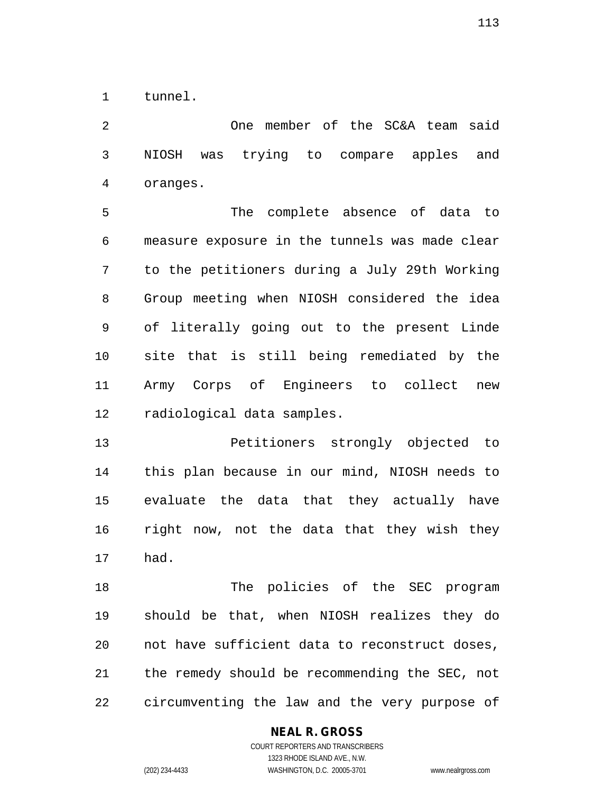1 tunnel.

2 One member of the SC&A team said 3 NIOSH was trying to compare apples and 4 oranges.

5 The complete absence of data to 6 measure exposure in the tunnels was made clear 7 to the petitioners during a July 29th Working 8 Group meeting when NIOSH considered the idea 9 of literally going out to the present Linde 10 site that is still being remediated by the 11 Army Corps of Engineers to collect new 12 radiological data samples.

13 Petitioners strongly objected to 14 this plan because in our mind, NIOSH needs to 15 evaluate the data that they actually have 16 right now, not the data that they wish they 17 had.

18 The policies of the SEC program 19 should be that, when NIOSH realizes they do 20 not have sufficient data to reconstruct doses, 21 the remedy should be recommending the SEC, not 22 circumventing the law and the very purpose of

#### **NEAL R. GROSS**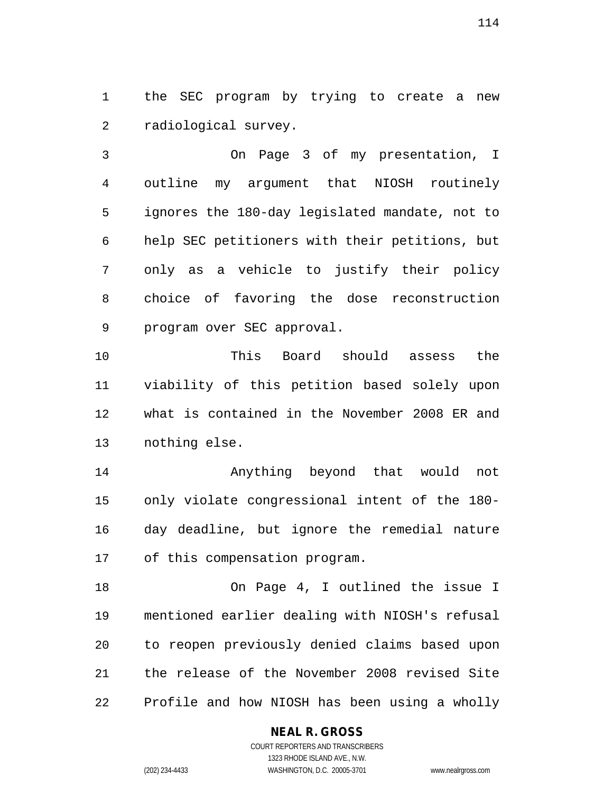1 the SEC program by trying to create a new 2 radiological survey.

3 On Page 3 of my presentation, I 4 outline my argument that NIOSH routinely 5 ignores the 180-day legislated mandate, not to 6 help SEC petitioners with their petitions, but 7 only as a vehicle to justify their policy 8 choice of favoring the dose reconstruction 9 program over SEC approval.

10 This Board should assess the 11 viability of this petition based solely upon 12 what is contained in the November 2008 ER and 13 nothing else.

14 Anything beyond that would not 15 only violate congressional intent of the 180- 16 day deadline, but ignore the remedial nature 17 of this compensation program.

18 On Page 4, I outlined the issue I 19 mentioned earlier dealing with NIOSH's refusal 20 to reopen previously denied claims based upon 21 the release of the November 2008 revised Site 22 Profile and how NIOSH has been using a wholly

#### **NEAL R. GROSS**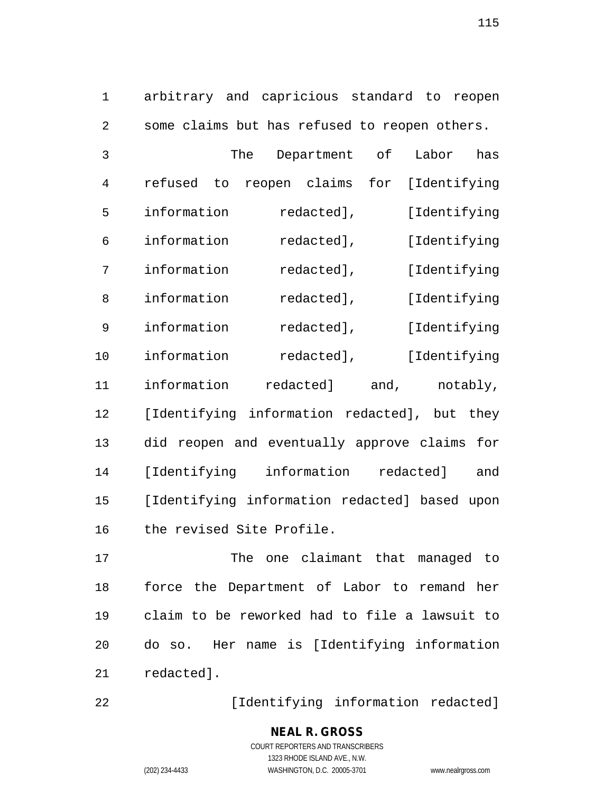1 arbitrary and capricious standard to reopen 2 some claims but has refused to reopen others.

| 3  | The                                          | Department                           | оf           | Labor        | has      |
|----|----------------------------------------------|--------------------------------------|--------------|--------------|----------|
| 4  | refused<br>to                                | reopen claims                        | for          | [Identifying |          |
| 5  | information                                  | redacted],                           |              | [Identifying |          |
| 6  | information                                  | redacted],                           |              | [Identifying |          |
| 7  | information                                  | redacted],                           | [Identifying |              |          |
| 8  | information                                  | redacted],                           |              | [Identifying |          |
| 9  | information                                  | redacted],                           |              | [Identifying |          |
| 10 | information<br>redacted],<br>[Identifying    |                                      |              |              |          |
| 11 | information                                  | redacted]                            | and,         |              | notably, |
| 12 | [Identifying information redacted], but they |                                      |              |              |          |
| 13 | did                                          | reopen and eventually approve claims |              |              | for      |
| 14 | [Identifying                                 | information                          |              | redacted]    | and      |
| 15 | [Identifying information redacted] based     |                                      |              |              | upon     |
| 16 | the revised Site Profile.                    |                                      |              |              |          |

17 The one claimant that managed to 18 force the Department of Labor to remand her 19 claim to be reworked had to file a lawsuit to 20 do so. Her name is [Identifying information 21 redacted].

22 [Identifying information redacted]

115

COURT REPORTERS AND TRANSCRIBERS 1323 RHODE ISLAND AVE., N.W. (202) 234-4433 WASHINGTON, D.C. 20005-3701 www.nealrgross.com

**NEAL R. GROSS**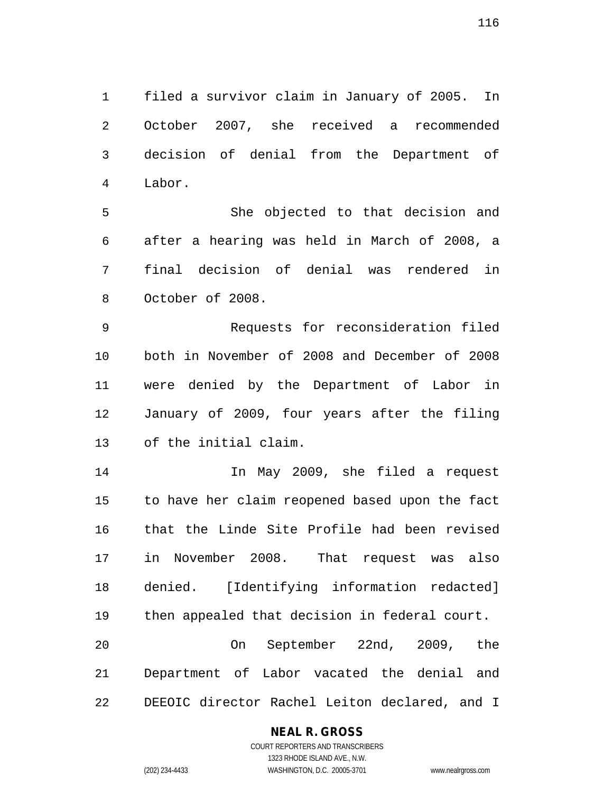1 filed a survivor claim in January of 2005. In 2 October 2007, she received a recommended 3 decision of denial from the Department of 4 Labor.

5 She objected to that decision and 6 after a hearing was held in March of 2008, a 7 final decision of denial was rendered in 8 October of 2008.

9 Requests for reconsideration filed 10 both in November of 2008 and December of 2008 11 were denied by the Department of Labor in 12 January of 2009, four years after the filing 13 of the initial claim.

14 In May 2009, she filed a request 15 to have her claim reopened based upon the fact 16 that the Linde Site Profile had been revised 17 in November 2008. That request was also 18 denied. [Identifying information redacted] 19 then appealed that decision in federal court. 20 On September 22nd, 2009, the 21 Department of Labor vacated the denial and

22 DEEOIC director Rachel Leiton declared, and I

#### **NEAL R. GROSS**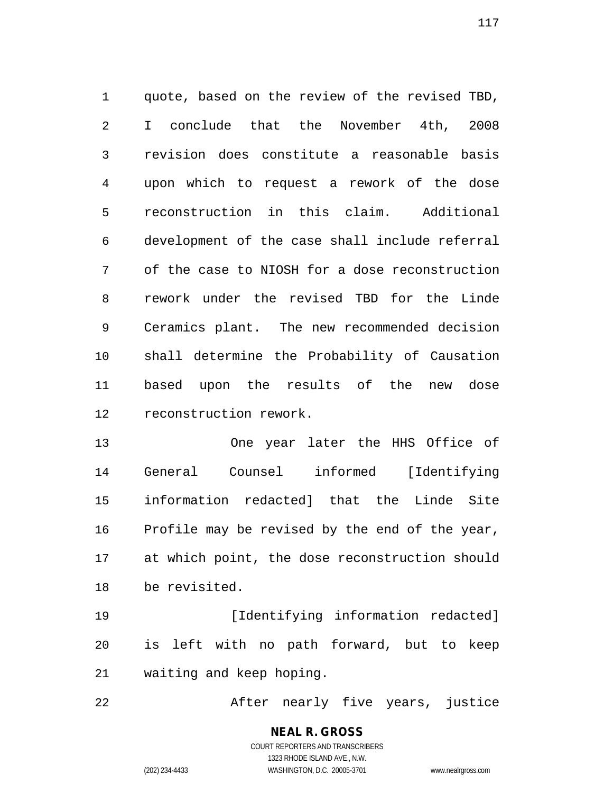1 quote, based on the review of the revised TBD, 2 I conclude that the November 4th, 2008 3 revision does constitute a reasonable basis 4 upon which to request a rework of the dose 5 reconstruction in this claim. Additional 6 development of the case shall include referral 7 of the case to NIOSH for a dose reconstruction 8 rework under the revised TBD for the Linde 9 Ceramics plant. The new recommended decision 10 shall determine the Probability of Causation 11 based upon the results of the new dose 12 reconstruction rework.

13 One year later the HHS Office of 14 General Counsel informed [Identifying 15 information redacted] that the Linde Site 16 Profile may be revised by the end of the year, 17 at which point, the dose reconstruction should 18 be revisited.

19 **[Identifying information redacted]** 20 is left with no path forward, but to keep 21 waiting and keep hoping.

22 After nearly five years, justice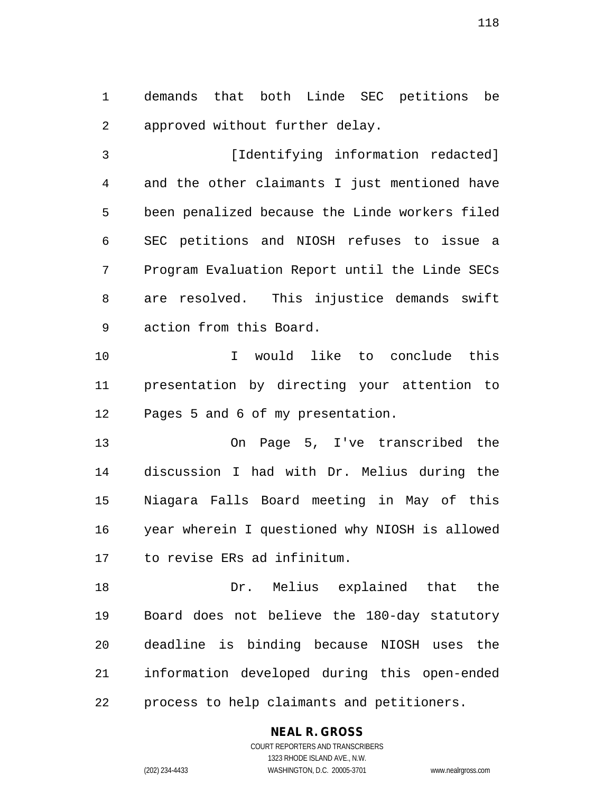1 demands that both Linde SEC petitions be 2 approved without further delay.

3 [Identifying information redacted] 4 and the other claimants I just mentioned have 5 been penalized because the Linde workers filed 6 SEC petitions and NIOSH refuses to issue a 7 Program Evaluation Report until the Linde SECs 8 are resolved. This injustice demands swift 9 action from this Board.

10 I would like to conclude this 11 presentation by directing your attention to 12 Pages 5 and 6 of my presentation.

13 On Page 5, I've transcribed the 14 discussion I had with Dr. Melius during the 15 Niagara Falls Board meeting in May of this 16 year wherein I questioned why NIOSH is allowed 17 to revise ERs ad infinitum.

18 Dr. Melius explained that the 19 Board does not believe the 180-day statutory 20 deadline is binding because NIOSH uses the 21 information developed during this open-ended 22 process to help claimants and petitioners.

#### **NEAL R. GROSS** COURT REPORTERS AND TRANSCRIBERS

1323 RHODE ISLAND AVE., N.W.

(202) 234-4433 WASHINGTON, D.C. 20005-3701 www.nealrgross.com

118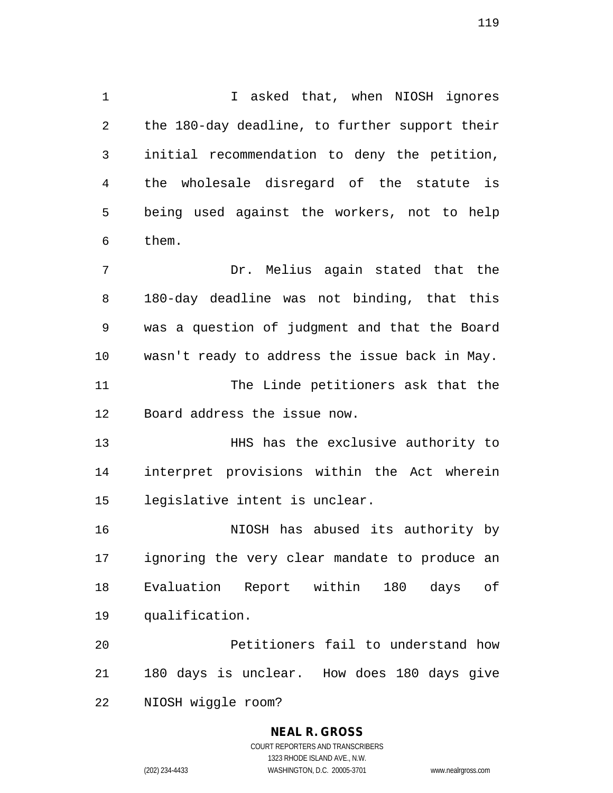1 I asked that, when NIOSH ignores 2 the 180-day deadline, to further support their 3 initial recommendation to deny the petition, 4 the wholesale disregard of the statute is 5 being used against the workers, not to help 6 them.

7 Dr. Melius again stated that the 8 180-day deadline was not binding, that this 9 was a question of judgment and that the Board 10 wasn't ready to address the issue back in May. 11 The Linde petitioners ask that the 12 Board address the issue now.

13 HHS has the exclusive authority to 14 interpret provisions within the Act wherein 15 legislative intent is unclear.

16 NIOSH has abused its authority by 17 ignoring the very clear mandate to produce an 18 Evaluation Report within 180 days of 19 qualification.

20 Petitioners fail to understand how 21 180 days is unclear. How does 180 days give 22 NIOSH wiggle room?

#### **NEAL R. GROSS**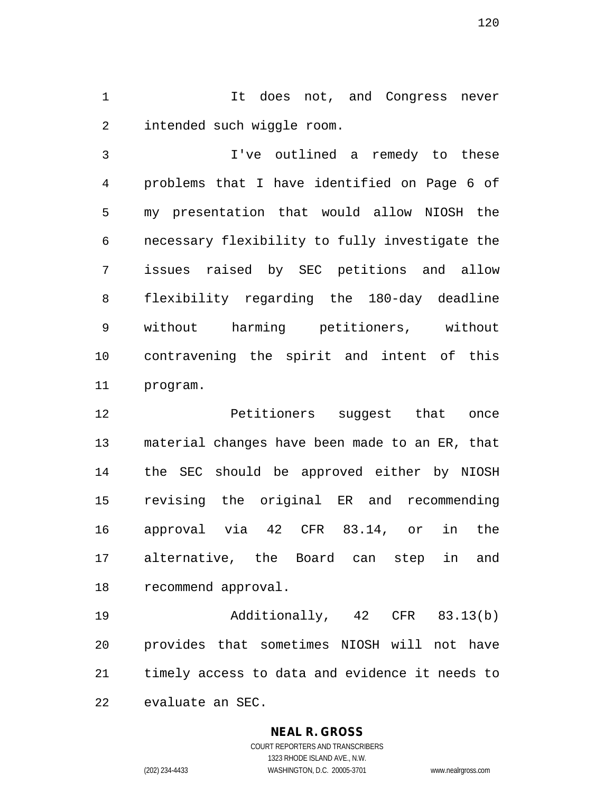1 1 It does not, and Congress never 2 intended such wiggle room.

3 I've outlined a remedy to these 4 problems that I have identified on Page 6 of 5 my presentation that would allow NIOSH the 6 necessary flexibility to fully investigate the 7 issues raised by SEC petitions and allow 8 flexibility regarding the 180-day deadline 9 without harming petitioners, without 10 contravening the spirit and intent of this 11 program.

12 **Petitioners** suggest that once 13 material changes have been made to an ER, that 14 the SEC should be approved either by NIOSH 15 revising the original ER and recommending 16 approval via 42 CFR 83.14, or in the 17 alternative, the Board can step in and 18 recommend approval.

19 Additionally, 42 CFR 83.13(b) 20 provides that sometimes NIOSH will not have 21 timely access to data and evidence it needs to 22 evaluate an SEC.

#### **NEAL R. GROSS**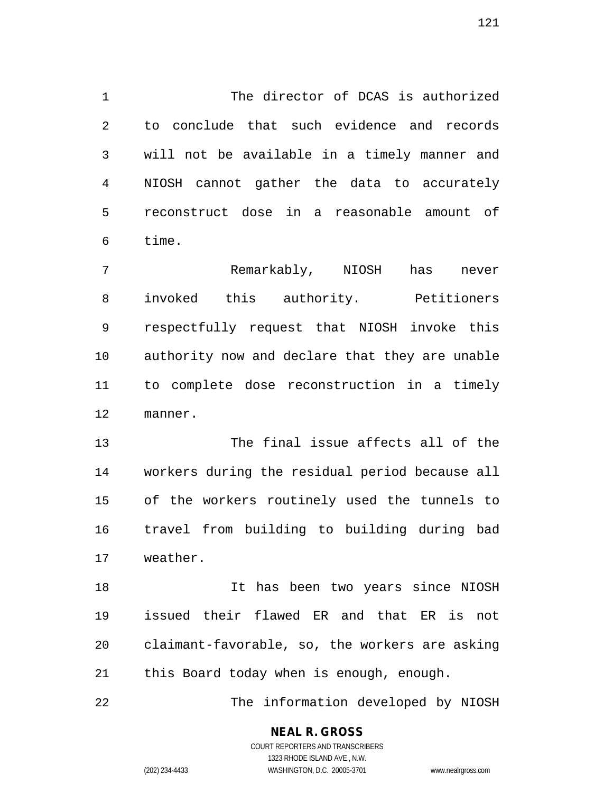1 The director of DCAS is authorized 2 to conclude that such evidence and records 3 will not be available in a timely manner and 4 NIOSH cannot gather the data to accurately 5 reconstruct dose in a reasonable amount of 6 time.

7 Remarkably, NIOSH has never 8 invoked this authority. Petitioners 9 respectfully request that NIOSH invoke this 10 authority now and declare that they are unable 11 to complete dose reconstruction in a timely 12 manner.

13 The final issue affects all of the 14 workers during the residual period because all 15 of the workers routinely used the tunnels to 16 travel from building to building during bad 17 weather.

18 It has been two years since NIOSH 19 issued their flawed ER and that ER is not 20 claimant-favorable, so, the workers are asking 21 this Board today when is enough, enough.

22 The information developed by NIOSH

## **NEAL R. GROSS**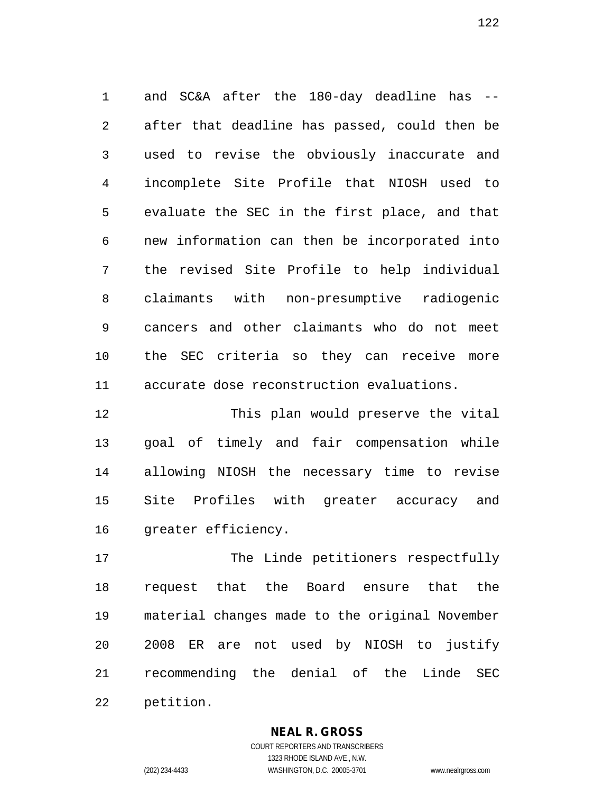1 and SC&A after the 180-day deadline has -- 2 after that deadline has passed, could then be 3 used to revise the obviously inaccurate and 4 incomplete Site Profile that NIOSH used to 5 evaluate the SEC in the first place, and that 6 new information can then be incorporated into 7 the revised Site Profile to help individual 8 claimants with non-presumptive radiogenic 9 cancers and other claimants who do not meet 10 the SEC criteria so they can receive more 11 accurate dose reconstruction evaluations.

12 This plan would preserve the vital 13 goal of timely and fair compensation while 14 allowing NIOSH the necessary time to revise 15 Site Profiles with greater accuracy and 16 greater efficiency.

17 The Linde petitioners respectfully 18 request that the Board ensure that the 19 material changes made to the original November 20 2008 ER are not used by NIOSH to justify 21 recommending the denial of the Linde SEC 22 petition.

**NEAL R. GROSS**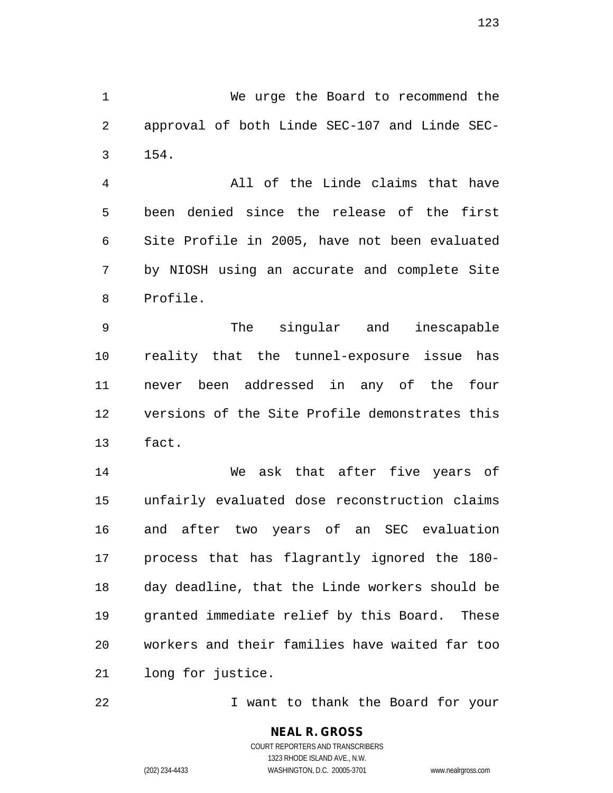1 We urge the Board to recommend the 2 approval of both Linde SEC-107 and Linde SEC-3 154.

4 All of the Linde claims that have 5 been denied since the release of the first 6 Site Profile in 2005, have not been evaluated 7 by NIOSH using an accurate and complete Site 8 Profile.

9 The singular and inescapable 10 reality that the tunnel-exposure issue has 11 never been addressed in any of the four 12 versions of the Site Profile demonstrates this 13 fact.

14 We ask that after five years of 15 unfairly evaluated dose reconstruction claims 16 and after two years of an SEC evaluation 17 process that has flagrantly ignored the 180- 18 day deadline, that the Linde workers should be 19 granted immediate relief by this Board. These 20 workers and their families have waited far too 21 long for justice.

22 I want to thank the Board for your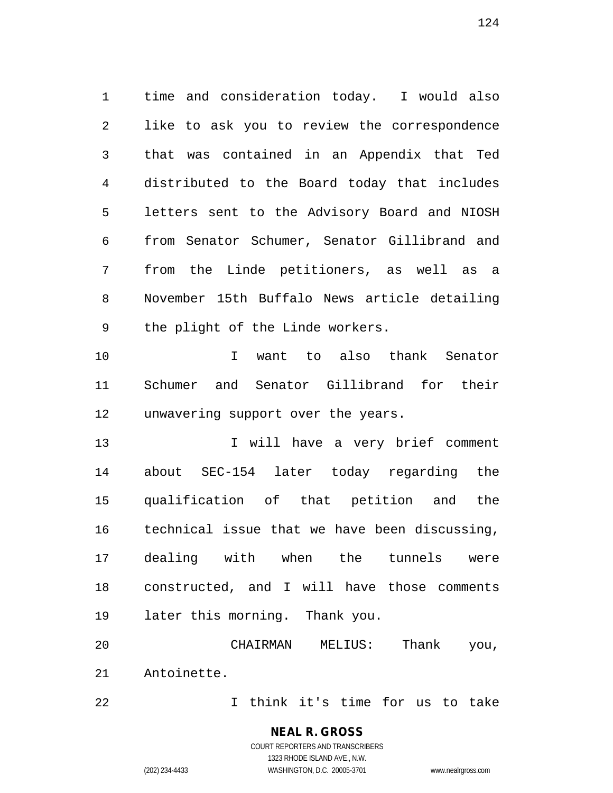1 time and consideration today. I would also 2 like to ask you to review the correspondence 3 that was contained in an Appendix that Ted 4 distributed to the Board today that includes 5 letters sent to the Advisory Board and NIOSH 6 from Senator Schumer, Senator Gillibrand and 7 from the Linde petitioners, as well as a 8 November 15th Buffalo News article detailing 9 the plight of the Linde workers.

10 I want to also thank Senator 11 Schumer and Senator Gillibrand for their 12 unwavering support over the years.

13 13 I will have a very brief comment 14 about SEC-154 later today regarding the 15 qualification of that petition and the 16 technical issue that we have been discussing, 17 dealing with when the tunnels were 18 constructed, and I will have those comments 19 later this morning. Thank you.

20 CHAIRMAN MELIUS: Thank you, 21 Antoinette.

22 I think it's time for us to take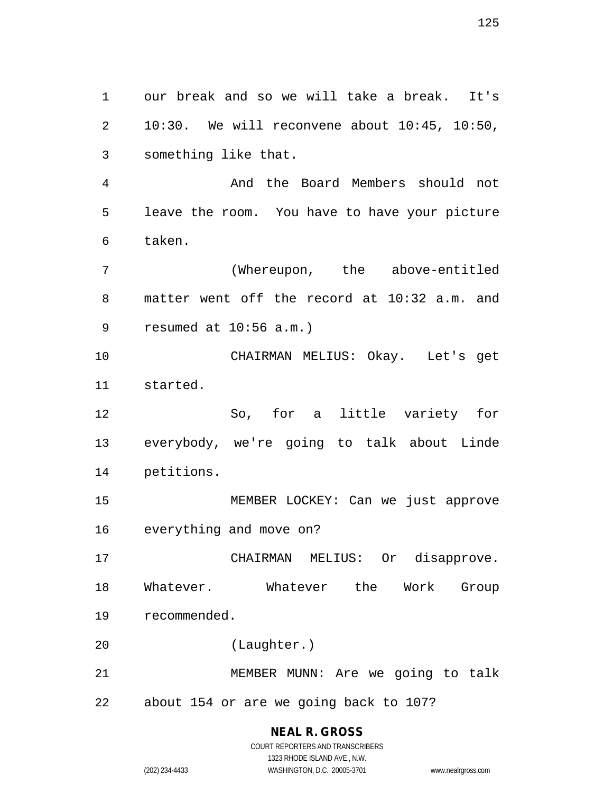1 our break and so we will take a break. It's 2 10:30. We will reconvene about 10:45, 10:50, 3 something like that.

4 And the Board Members should not 5 leave the room. You have to have your picture 6 taken.

7 (Whereupon, the above-entitled 8 matter went off the record at 10:32 a.m. and 9 resumed at 10:56 a.m.)

10 CHAIRMAN MELIUS: Okay. Let's get 11 started.

12 So, for a little variety for 13 everybody, we're going to talk about Linde 14 petitions.

15 MEMBER LOCKEY: Can we just approve 16 everything and move on?

17 CHAIRMAN MELIUS: Or disapprove. 18 Whatever. Whatever the Work Group 19 recommended.

20 (Laughter.)

21 MEMBER MUNN: Are we going to talk 22 about 154 or are we going back to 107?

# **NEAL R. GROSS**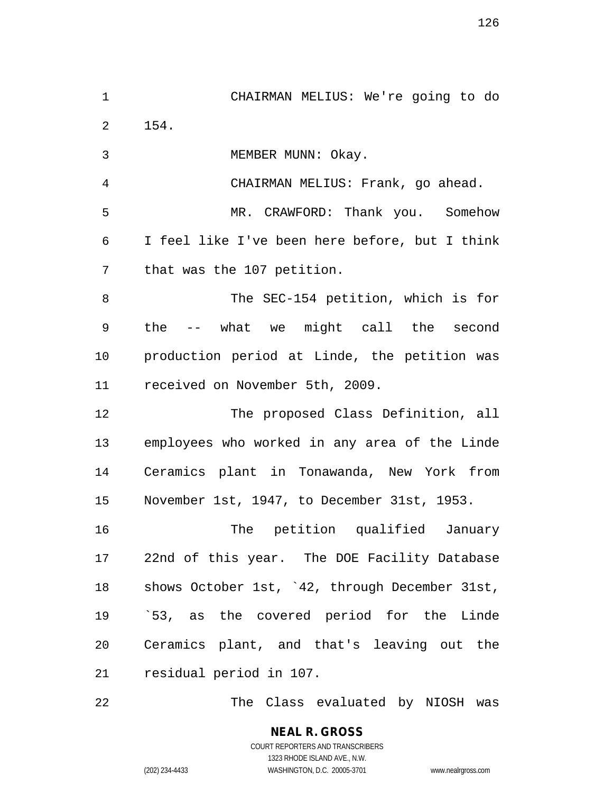1 CHAIRMAN MELIUS: We're going to do 2 154.

3 MEMBER MUNN: Okay.

4 CHAIRMAN MELIUS: Frank, go ahead.

5 MR. CRAWFORD: Thank you. Somehow 6 I feel like I've been here before, but I think 7 that was the 107 petition.

8 The SEC-154 petition, which is for 9 the -- what we might call the second 10 production period at Linde, the petition was 11 received on November 5th, 2009.

12 The proposed Class Definition, all 13 employees who worked in any area of the Linde 14 Ceramics plant in Tonawanda, New York from 15 November 1st, 1947, to December 31st, 1953.

16 The petition qualified January 17 22nd of this year. The DOE Facility Database 18 shows October 1st, `42, through December 31st, 19 `53, as the covered period for the Linde 20 Ceramics plant, and that's leaving out the 21 residual period in 107.

22 The Class evaluated by NIOSH was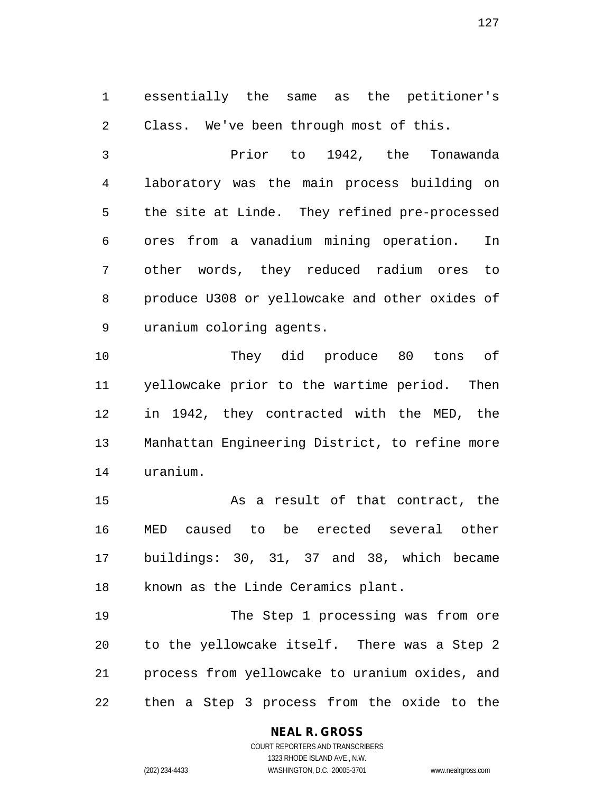1 essentially the same as the petitioner's 2 Class. We've been through most of this.

3 Prior to 1942, the Tonawanda 4 laboratory was the main process building on 5 the site at Linde. They refined pre-processed 6 ores from a vanadium mining operation. In 7 other words, they reduced radium ores to 8 produce U308 or yellowcake and other oxides of 9 uranium coloring agents.

10 They did produce 80 tons of 11 yellowcake prior to the wartime period. Then 12 in 1942, they contracted with the MED, the 13 Manhattan Engineering District, to refine more 14 uranium.

15 As a result of that contract, the 16 MED caused to be erected several other 17 buildings: 30, 31, 37 and 38, which became 18 known as the Linde Ceramics plant.

19 The Step 1 processing was from ore 20 to the yellowcake itself. There was a Step 2 21 process from yellowcake to uranium oxides, and 22 then a Step 3 process from the oxide to the

### **NEAL R. GROSS**

COURT REPORTERS AND TRANSCRIBERS 1323 RHODE ISLAND AVE., N.W. (202) 234-4433 WASHINGTON, D.C. 20005-3701 www.nealrgross.com

127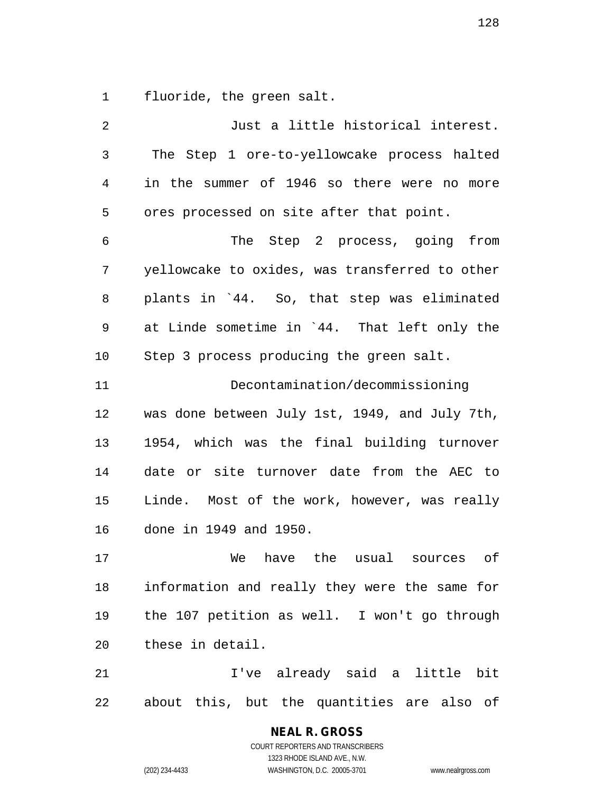1 fluoride, the green salt.

| $\overline{2}$ | Just a little historical interest.             |  |  |  |
|----------------|------------------------------------------------|--|--|--|
| 3              | The Step 1 ore-to-yellowcake process halted    |  |  |  |
| 4              | in the summer of 1946 so there were no more    |  |  |  |
| 5              | ores processed on site after that point.       |  |  |  |
| 6              | The Step 2 process, going from                 |  |  |  |
| 7              | yellowcake to oxides, was transferred to other |  |  |  |
| 8              | plants in '44. So, that step was eliminated    |  |  |  |
| 9              | at Linde sometime in `44. That left only the   |  |  |  |
| 10             | Step 3 process producing the green salt.       |  |  |  |
| 11             | Decontamination/decommissioning                |  |  |  |
| 12             | was done between July 1st, 1949, and July 7th, |  |  |  |
| 13             | 1954, which was the final building turnover    |  |  |  |
| 14             | date or site turnover date from the AEC to     |  |  |  |
| 15             | Linde. Most of the work, however, was really   |  |  |  |
| 16             | done in 1949 and 1950.                         |  |  |  |
| 17             | of<br>We have the usual sources                |  |  |  |
| 18             | information and really they were the same for  |  |  |  |
| 19             | the 107 petition as well. I won't go through   |  |  |  |
| 20             | these in detail.                               |  |  |  |
| 21             | I've already said a little bit                 |  |  |  |
| 22             | about this, but the quantities are also of     |  |  |  |

**NEAL R. GROSS** COURT REPORTERS AND TRANSCRIBERS 1323 RHODE ISLAND AVE., N.W.

(202) 234-4433 WASHINGTON, D.C. 20005-3701 www.nealrgross.com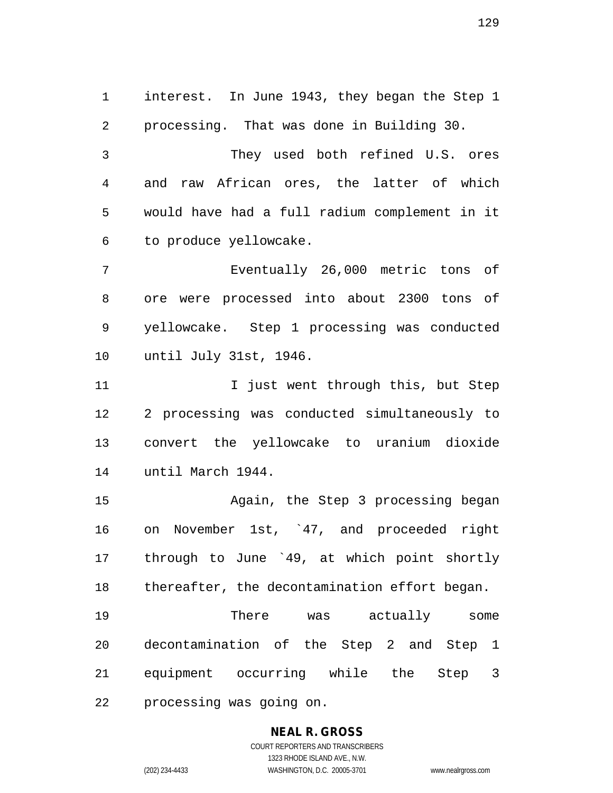1 interest. In June 1943, they began the Step 1 2 processing. That was done in Building 30. 3 They used both refined U.S. ores 4 and raw African ores, the latter of which 5 would have had a full radium complement in it 6 to produce yellowcake. 7 Eventually 26,000 metric tons of 8 ore were processed into about 2300 tons of 9 yellowcake. Step 1 processing was conducted 10 until July 31st, 1946. 11 12 I just went through this, but Step

12 2 processing was conducted simultaneously to 13 convert the yellowcake to uranium dioxide 14 until March 1944.

15 Again, the Step 3 processing began 16 on November 1st, `47, and proceeded right 17 through to June `49, at which point shortly 18 thereafter, the decontamination effort began.

19 There was actually some 20 decontamination of the Step 2 and Step 1 21 equipment occurring while the Step 3 22 processing was going on.

#### **NEAL R. GROSS** COURT REPORTERS AND TRANSCRIBERS

1323 RHODE ISLAND AVE., N.W.

(202) 234-4433 WASHINGTON, D.C. 20005-3701 www.nealrgross.com

129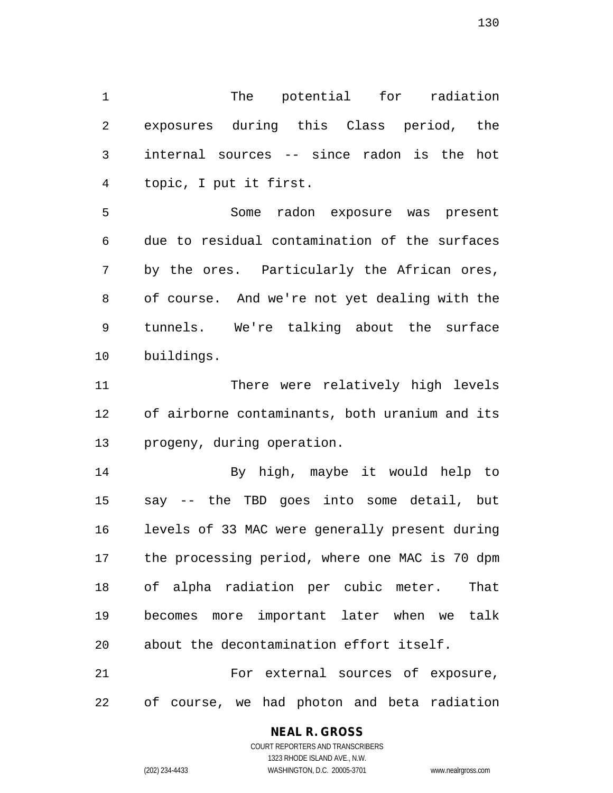1 The potential for radiation 2 exposures during this Class period, the 3 internal sources -- since radon is the hot 4 topic, I put it first.

5 Some radon exposure was present 6 due to residual contamination of the surfaces 7 by the ores. Particularly the African ores, 8 of course. And we're not yet dealing with the 9 tunnels. We're talking about the surface 10 buildings.

11 There were relatively high levels 12 of airborne contaminants, both uranium and its 13 progeny, during operation.

14 By high, maybe it would help to 15 say -- the TBD goes into some detail, but 16 levels of 33 MAC were generally present during 17 the processing period, where one MAC is 70 dpm 18 of alpha radiation per cubic meter. That 19 becomes more important later when we talk 20 about the decontamination effort itself.

21 For external sources of exposure, 22 of course, we had photon and beta radiation

#### **NEAL R. GROSS**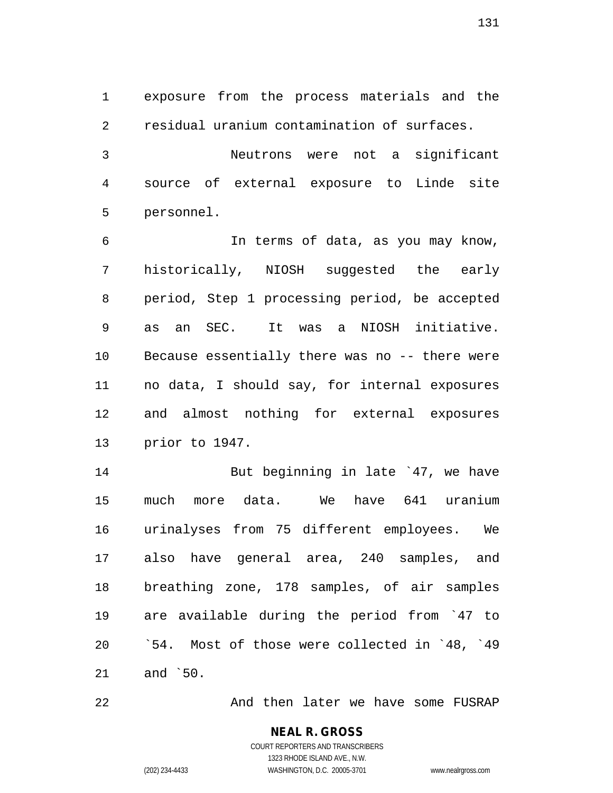1 exposure from the process materials and the 2 residual uranium contamination of surfaces.

3 Neutrons were not a significant 4 source of external exposure to Linde site 5 personnel.

6 In terms of data, as you may know, 7 historically, NIOSH suggested the early 8 period, Step 1 processing period, be accepted 9 as an SEC. It was a NIOSH initiative. 10 Because essentially there was no -- there were 11 no data, I should say, for internal exposures 12 and almost nothing for external exposures 13 prior to 1947.

14 But beginning in late `47, we have 15 much more data. We have 641 uranium 16 urinalyses from 75 different employees. We 17 also have general area, 240 samples, and 18 breathing zone, 178 samples, of air samples 19 are available during the period from `47 to 20 `54. Most of those were collected in `48, `49 21 and `50.

22 And then later we have some FUSRAP

**NEAL R. GROSS** COURT REPORTERS AND TRANSCRIBERS

1323 RHODE ISLAND AVE., N.W.

(202) 234-4433 WASHINGTON, D.C. 20005-3701 www.nealrgross.com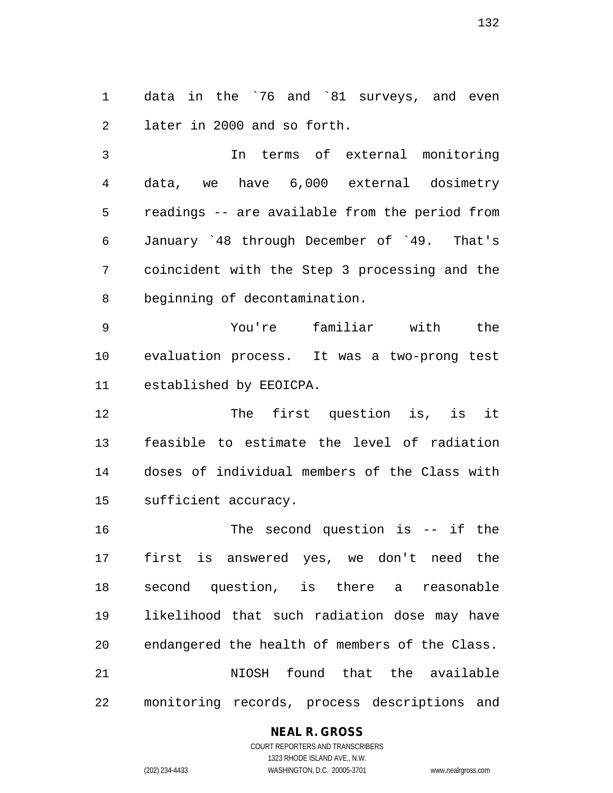1 data in the `76 and `81 surveys, and even 2 later in 2000 and so forth.

3 In terms of external monitoring 4 data, we have 6,000 external dosimetry 5 readings -- are available from the period from 6 January `48 through December of `49. That's 7 coincident with the Step 3 processing and the 8 beginning of decontamination.

9 You're familiar with the 10 evaluation process. It was a two-prong test 11 established by EEOICPA.

12 The first question is, is it 13 feasible to estimate the level of radiation 14 doses of individual members of the Class with 15 sufficient accuracy.

16 The second question is -- if the 17 first is answered yes, we don't need the 18 second question, is there a reasonable 19 likelihood that such radiation dose may have 20 endangered the health of members of the Class. 21 NIOSH found that the available 22 monitoring records, process descriptions and

#### **NEAL R. GROSS** COURT REPORTERS AND TRANSCRIBERS

1323 RHODE ISLAND AVE., N.W. (202) 234-4433 WASHINGTON, D.C. 20005-3701 www.nealrgross.com

132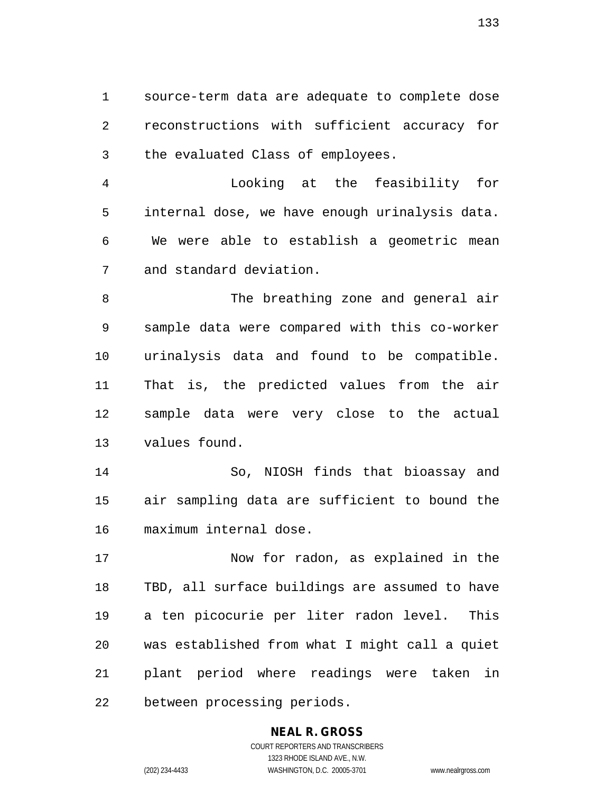1 source-term data are adequate to complete dose 2 reconstructions with sufficient accuracy for 3 the evaluated Class of employees.

4 Looking at the feasibility for 5 internal dose, we have enough urinalysis data. 6 We were able to establish a geometric mean 7 and standard deviation.

8 The breathing zone and general air 9 sample data were compared with this co-worker 10 urinalysis data and found to be compatible. 11 That is, the predicted values from the air 12 sample data were very close to the actual 13 values found.

14 So, NIOSH finds that bioassay and 15 air sampling data are sufficient to bound the 16 maximum internal dose.

17 Now for radon, as explained in the 18 TBD, all surface buildings are assumed to have 19 a ten picocurie per liter radon level. This 20 was established from what I might call a quiet 21 plant period where readings were taken in 22 between processing periods.

#### **NEAL R. GROSS**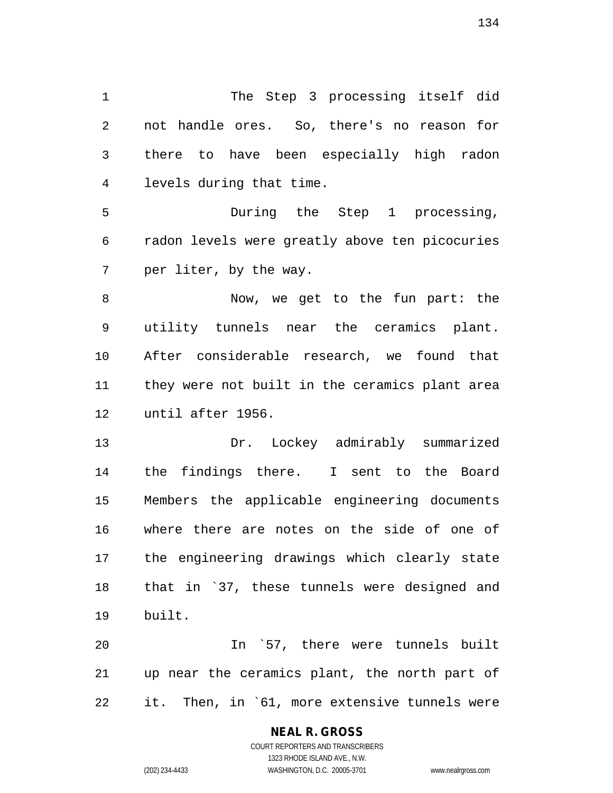1 The Step 3 processing itself did 2 not handle ores. So, there's no reason for 3 there to have been especially high radon 4 levels during that time.

5 During the Step 1 processing, 6 radon levels were greatly above ten picocuries 7 per liter, by the way.

8 Now, we get to the fun part: the 9 utility tunnels near the ceramics plant. 10 After considerable research, we found that 11 they were not built in the ceramics plant area 12 until after 1956.

13 Dr. Lockey admirably summarized 14 the findings there. I sent to the Board 15 Members the applicable engineering documents 16 where there are notes on the side of one of 17 the engineering drawings which clearly state 18 that in `37, these tunnels were designed and 19 built.

20 In `57, there were tunnels built 21 up near the ceramics plant, the north part of 22 it. Then, in `61, more extensive tunnels were

#### **NEAL R. GROSS**

COURT REPORTERS AND TRANSCRIBERS 1323 RHODE ISLAND AVE., N.W. (202) 234-4433 WASHINGTON, D.C. 20005-3701 www.nealrgross.com

134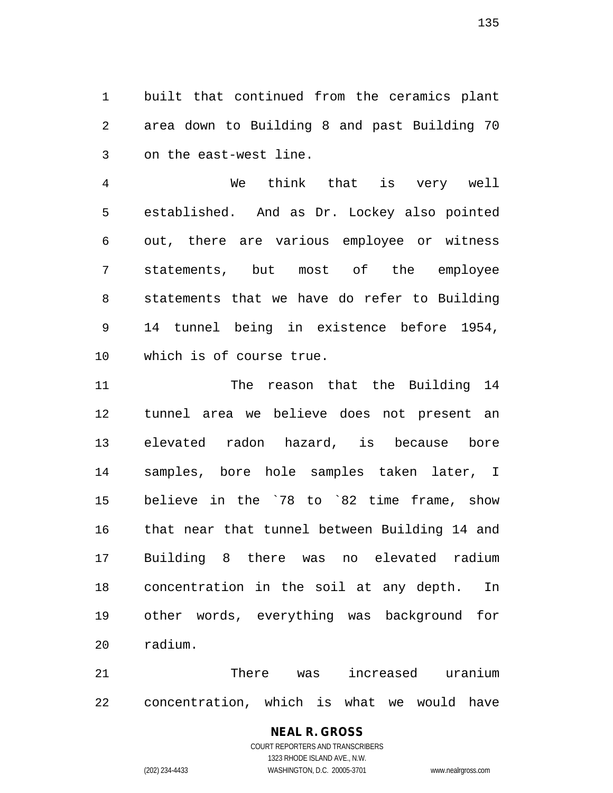1 built that continued from the ceramics plant 2 area down to Building 8 and past Building 70 3 on the east-west line.

4 We think that is very well 5 established. And as Dr. Lockey also pointed 6 out, there are various employee or witness 7 statements, but most of the employee 8 statements that we have do refer to Building 9 14 tunnel being in existence before 1954, 10 which is of course true.

11 The reason that the Building 14 12 tunnel area we believe does not present an 13 elevated radon hazard, is because bore 14 samples, bore hole samples taken later, I 15 believe in the `78 to `82 time frame, show 16 that near that tunnel between Building 14 and 17 Building 8 there was no elevated radium 18 concentration in the soil at any depth. In 19 other words, everything was background for 20 radium.

21 There was increased uranium 22 concentration, which is what we would have

#### **NEAL R. GROSS** COURT REPORTERS AND TRANSCRIBERS 1323 RHODE ISLAND AVE., N.W. (202) 234-4433 WASHINGTON, D.C. 20005-3701 www.nealrgross.com

135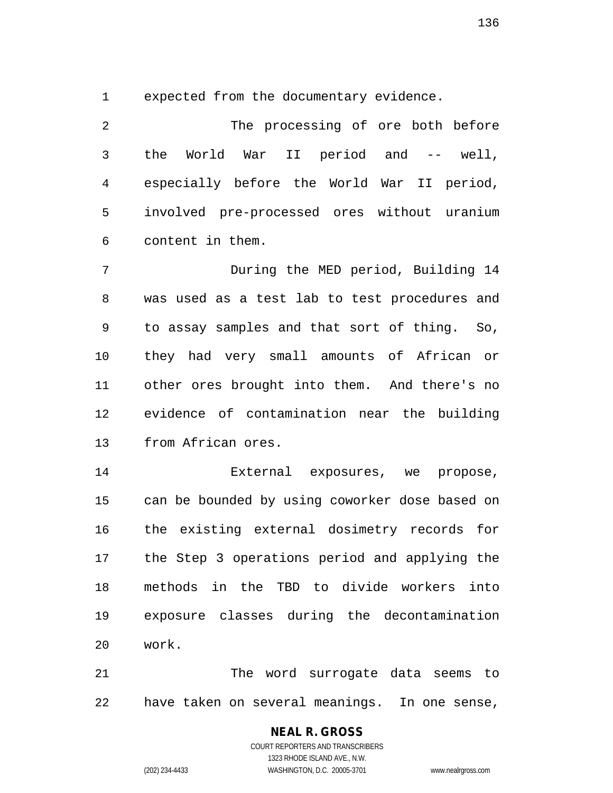1 expected from the documentary evidence.

2 The processing of ore both before 3 the World War II period and -- well, 4 especially before the World War II period, 5 involved pre-processed ores without uranium 6 content in them.

7 During the MED period, Building 14 8 was used as a test lab to test procedures and 9 to assay samples and that sort of thing. So, 10 they had very small amounts of African or 11 other ores brought into them. And there's no 12 evidence of contamination near the building 13 from African ores.

14 External exposures, we propose, 15 can be bounded by using coworker dose based on 16 the existing external dosimetry records for 17 the Step 3 operations period and applying the 18 methods in the TBD to divide workers into 19 exposure classes during the decontamination 20 work.

21 The word surrogate data seems to 22 have taken on several meanings. In one sense,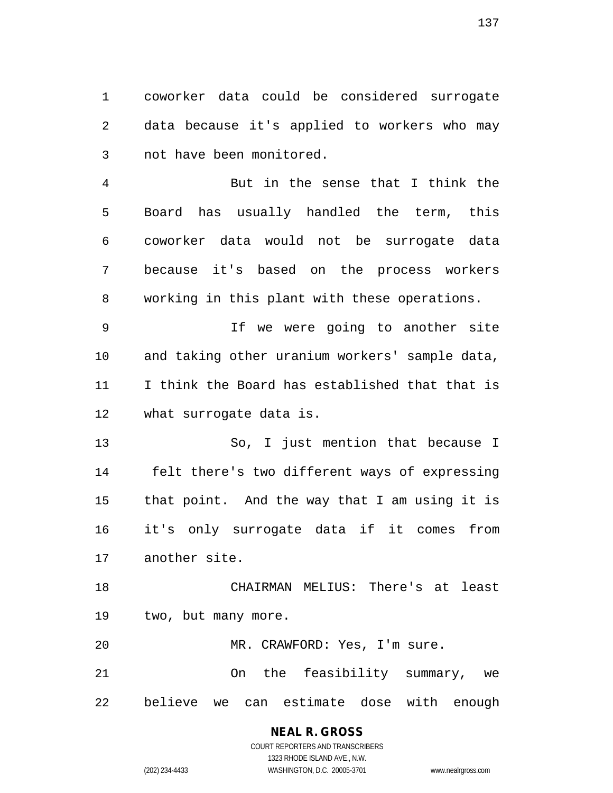1 coworker data could be considered surrogate 2 data because it's applied to workers who may 3 not have been monitored.

4 But in the sense that I think the 5 Board has usually handled the term, this 6 coworker data would not be surrogate data 7 because it's based on the process workers 8 working in this plant with these operations.

9 If we were going to another site 10 and taking other uranium workers' sample data, 11 I think the Board has established that that is 12 what surrogate data is.

13 So, I just mention that because I 14 felt there's two different ways of expressing 15 that point. And the way that I am using it is 16 it's only surrogate data if it comes from 17 another site.

18 CHAIRMAN MELIUS: There's at least 19 two, but many more.

20 MR. CRAWFORD: Yes, I'm sure. 21 On the feasibility summary, we

22 believe we can estimate dose with enough

## **NEAL R. GROSS**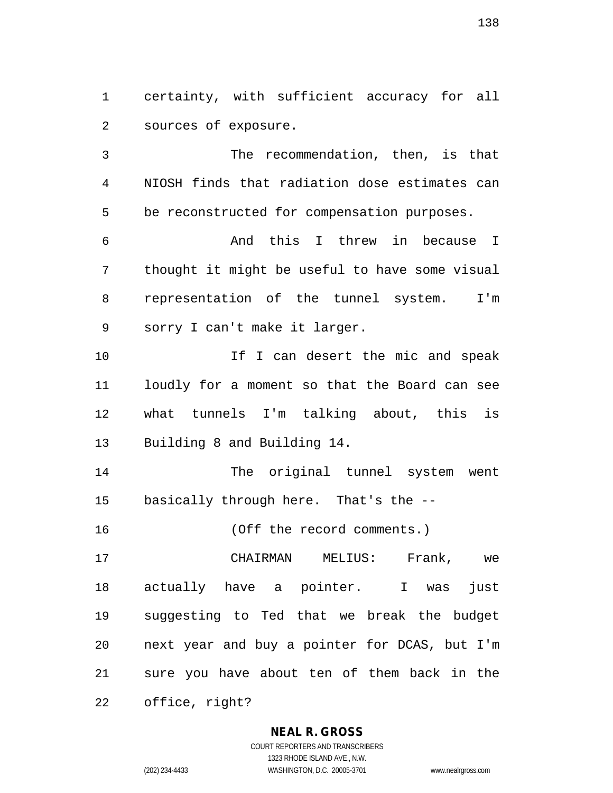1 certainty, with sufficient accuracy for all 2 sources of exposure.

3 The recommendation, then, is that 4 NIOSH finds that radiation dose estimates can 5 be reconstructed for compensation purposes.

6 And this I threw in because I 7 thought it might be useful to have some visual 8 representation of the tunnel system. I'm 9 sorry I can't make it larger.

10 10 If I can desert the mic and speak 11 loudly for a moment so that the Board can see 12 what tunnels I'm talking about, this is 13 Building 8 and Building 14.

14 The original tunnel system went 15 basically through here. That's the --

16 (Off the record comments.)

17 CHAIRMAN MELIUS: Frank, we 18 actually have a pointer. I was just 19 suggesting to Ted that we break the budget 20 next year and buy a pointer for DCAS, but I'm 21 sure you have about ten of them back in the 22 office, right?

**NEAL R. GROSS**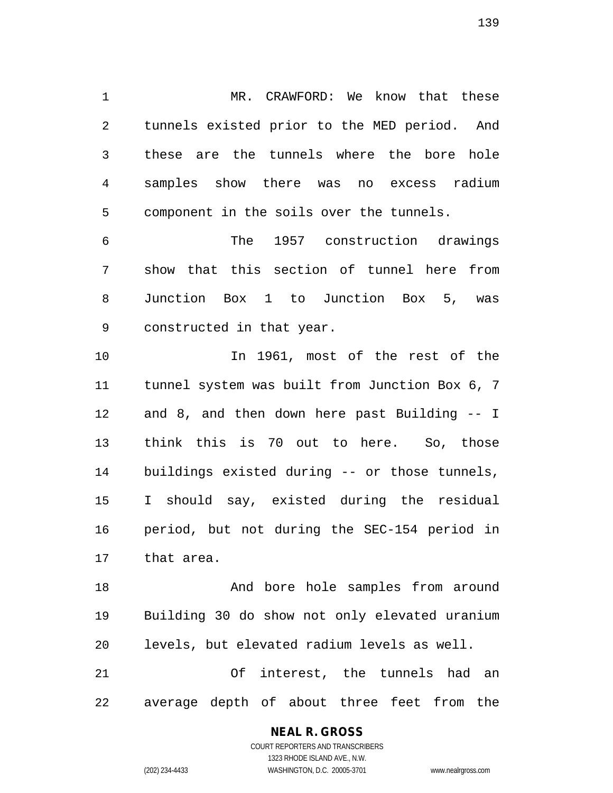1 MR. CRAWFORD: We know that these 2 tunnels existed prior to the MED period. And 3 these are the tunnels where the bore hole 4 samples show there was no excess radium 5 component in the soils over the tunnels.

6 The 1957 construction drawings 7 show that this section of tunnel here from 8 Junction Box 1 to Junction Box 5, was 9 constructed in that year.

10 In 1961, most of the rest of the 11 tunnel system was built from Junction Box 6, 7 12 and 8, and then down here past Building -- I 13 think this is 70 out to here. So, those 14 buildings existed during -- or those tunnels, 15 I should say, existed during the residual 16 period, but not during the SEC-154 period in 17 that area.

18 And bore hole samples from around 19 Building 30 do show not only elevated uranium 20 levels, but elevated radium levels as well. 21 Of interest, the tunnels had an 22 average depth of about three feet from the

> COURT REPORTERS AND TRANSCRIBERS 1323 RHODE ISLAND AVE., N.W. (202) 234-4433 WASHINGTON, D.C. 20005-3701 www.nealrgross.com

**NEAL R. GROSS**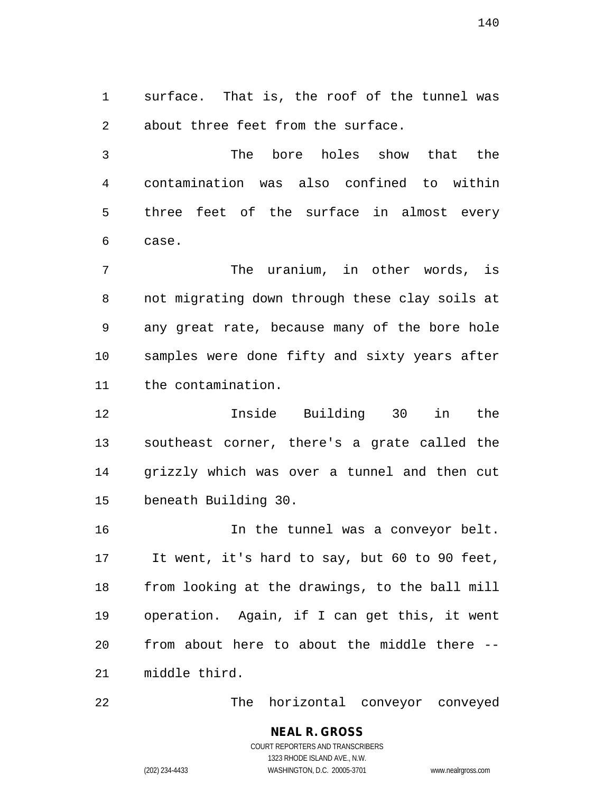1 surface. That is, the roof of the tunnel was 2 about three feet from the surface.

3 The bore holes show that the 4 contamination was also confined to within 5 three feet of the surface in almost every 6 case.

7 The uranium, in other words, is 8 not migrating down through these clay soils at 9 any great rate, because many of the bore hole 10 samples were done fifty and sixty years after 11 the contamination.

12 Inside Building 30 in the 13 southeast corner, there's a grate called the 14 grizzly which was over a tunnel and then cut 15 beneath Building 30.

16 In the tunnel was a conveyor belt. 17 It went, it's hard to say, but 60 to 90 feet, 18 from looking at the drawings, to the ball mill 19 operation. Again, if I can get this, it went 20 from about here to about the middle there -- 21 middle third.

22 The horizontal conveyor conveyed

**NEAL R. GROSS** COURT REPORTERS AND TRANSCRIBERS 1323 RHODE ISLAND AVE., N.W.

(202) 234-4433 WASHINGTON, D.C. 20005-3701 www.nealrgross.com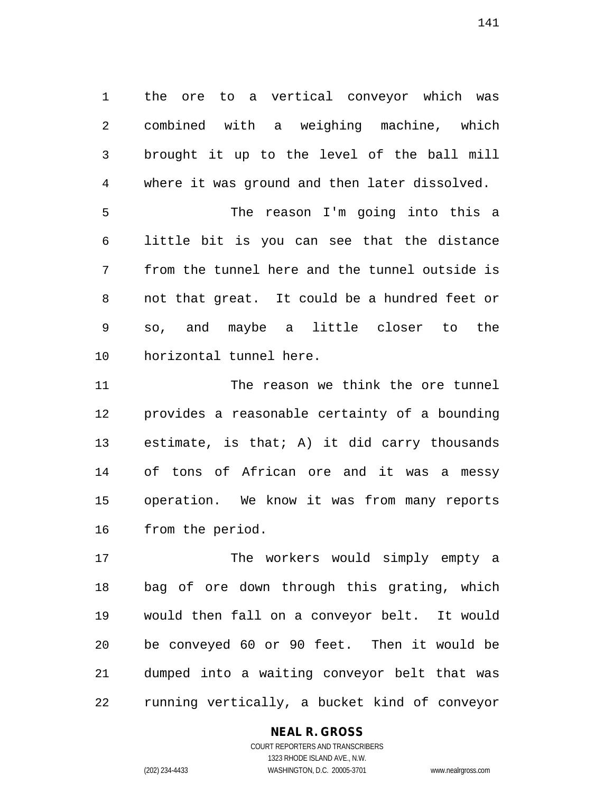1 the ore to a vertical conveyor which was 2 combined with a weighing machine, which 3 brought it up to the level of the ball mill 4 where it was ground and then later dissolved.

5 The reason I'm going into this a 6 little bit is you can see that the distance 7 from the tunnel here and the tunnel outside is 8 not that great. It could be a hundred feet or 9 so, and maybe a little closer to the 10 horizontal tunnel here.

11 The reason we think the ore tunnel 12 provides a reasonable certainty of a bounding 13 estimate, is that; A) it did carry thousands 14 of tons of African ore and it was a messy 15 operation. We know it was from many reports 16 from the period.

17 The workers would simply empty a 18 bag of ore down through this grating, which 19 would then fall on a conveyor belt. It would 20 be conveyed 60 or 90 feet. Then it would be 21 dumped into a waiting conveyor belt that was 22 running vertically, a bucket kind of conveyor

#### **NEAL R. GROSS**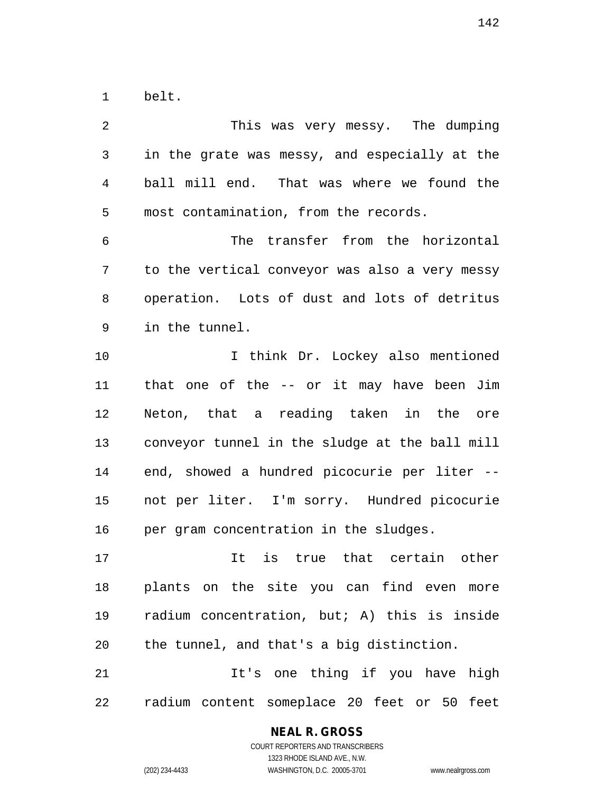1 belt.

2 This was very messy. The dumping 3 in the grate was messy, and especially at the 4 ball mill end. That was where we found the 5 most contamination, from the records. 6 The transfer from the horizontal 7 to the vertical conveyor was also a very messy 8 operation. Lots of dust and lots of detritus 9 in the tunnel. 10 I think Dr. Lockey also mentioned 11 that one of the -- or it may have been Jim 12 Neton, that a reading taken in the ore 13 conveyor tunnel in the sludge at the ball mill 14 end, showed a hundred picocurie per liter -- 15 not per liter. I'm sorry. Hundred picocurie 16 per gram concentration in the sludges. 17 It is true that certain other 18 plants on the site you can find even more 19 radium concentration, but; A) this is inside 20 the tunnel, and that's a big distinction. 21 11's one thing if you have high 22 radium content someplace 20 feet or 50 feet

#### **NEAL R. GROSS**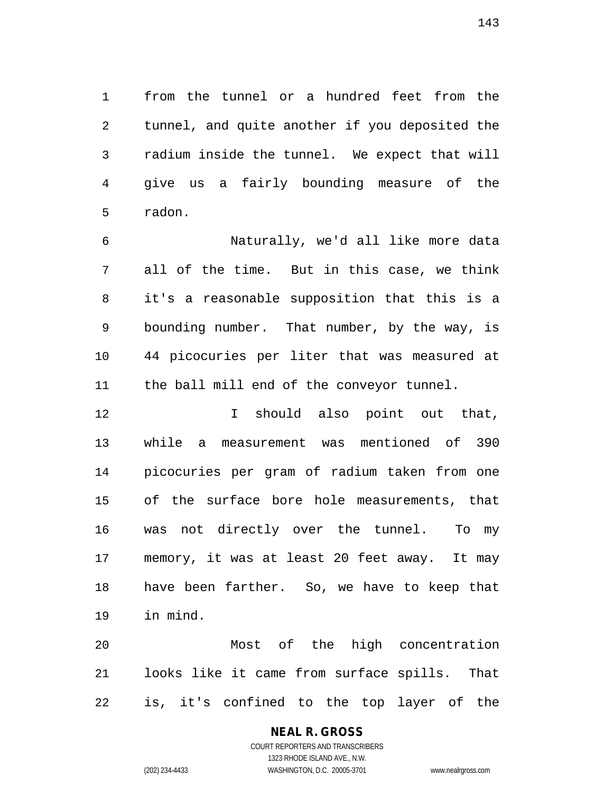1 from the tunnel or a hundred feet from the 2 tunnel, and quite another if you deposited the 3 radium inside the tunnel. We expect that will 4 give us a fairly bounding measure of the 5 radon.

6 Naturally, we'd all like more data 7 all of the time. But in this case, we think 8 it's a reasonable supposition that this is a 9 bounding number. That number, by the way, is 10 44 picocuries per liter that was measured at 11 the ball mill end of the conveyor tunnel.

12 I should also point out that, 13 while a measurement was mentioned of 390 14 picocuries per gram of radium taken from one 15 of the surface bore hole measurements, that 16 was not directly over the tunnel. To my 17 memory, it was at least 20 feet away. It may 18 have been farther. So, we have to keep that 19 in mind.

20 Most of the high concentration 21 looks like it came from surface spills. That 22 is, it's confined to the top layer of the

# **NEAL R. GROSS**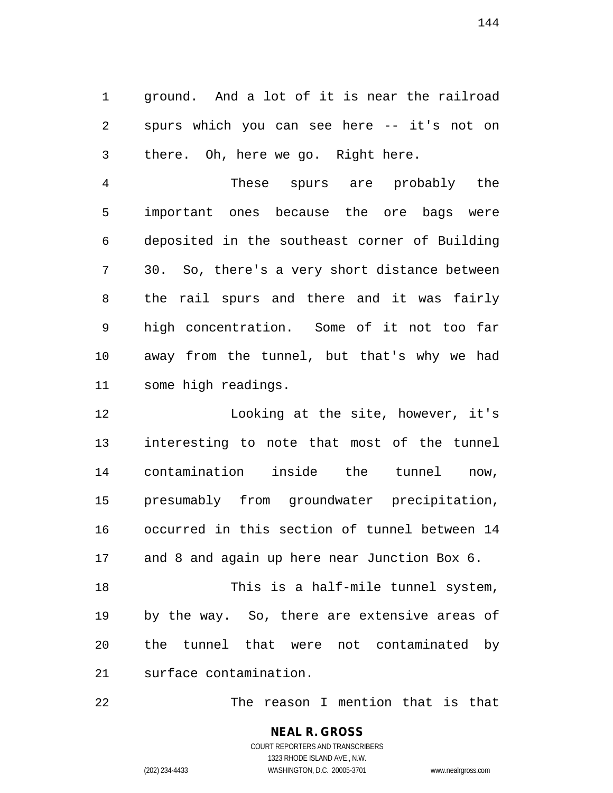1 ground. And a lot of it is near the railroad 2 spurs which you can see here -- it's not on 3 there. Oh, here we go. Right here.

4 These spurs are probably the 5 important ones because the ore bags were 6 deposited in the southeast corner of Building 7 30. So, there's a very short distance between 8 the rail spurs and there and it was fairly 9 high concentration. Some of it not too far 10 away from the tunnel, but that's why we had 11 some high readings.

12 Looking at the site, however, it's 13 interesting to note that most of the tunnel 14 contamination inside the tunnel now, 15 presumably from groundwater precipitation, 16 occurred in this section of tunnel between 14 17 and 8 and again up here near Junction Box 6. 18 This is a half-mile tunnel system,

20 the tunnel that were not contaminated by 21 surface contamination.

19 by the way. So, there are extensive areas of

22 The reason I mention that is that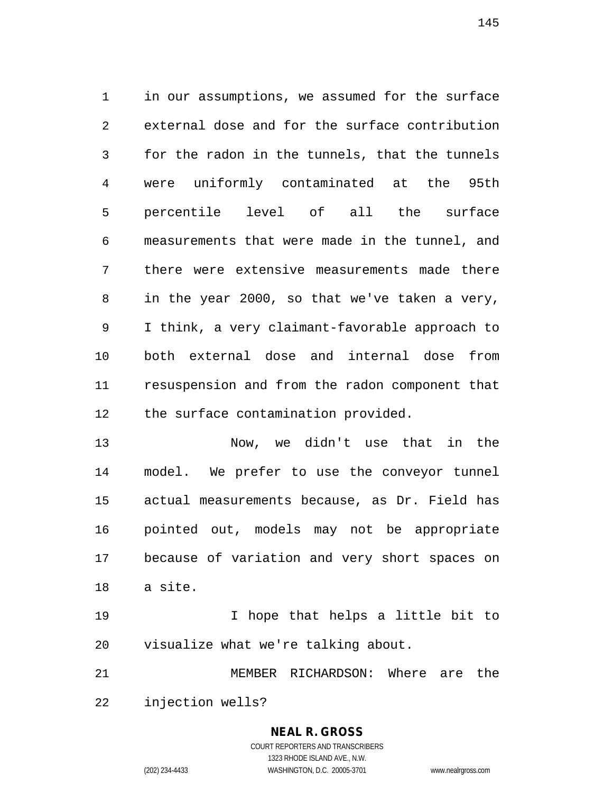1 in our assumptions, we assumed for the surface 2 external dose and for the surface contribution 3 for the radon in the tunnels, that the tunnels 4 were uniformly contaminated at the 95th 5 percentile level of all the surface 6 measurements that were made in the tunnel, and 7 there were extensive measurements made there 8 in the year 2000, so that we've taken a very, 9 I think, a very claimant-favorable approach to 10 both external dose and internal dose from 11 resuspension and from the radon component that 12 the surface contamination provided.

13 Now, we didn't use that in the 14 model. We prefer to use the conveyor tunnel 15 actual measurements because, as Dr. Field has 16 pointed out, models may not be appropriate 17 because of variation and very short spaces on 18 a site.

19 I hope that helps a little bit to 20 visualize what we're talking about.

21 MEMBER RICHARDSON: Where are the 22 injection wells?

## **NEAL R. GROSS**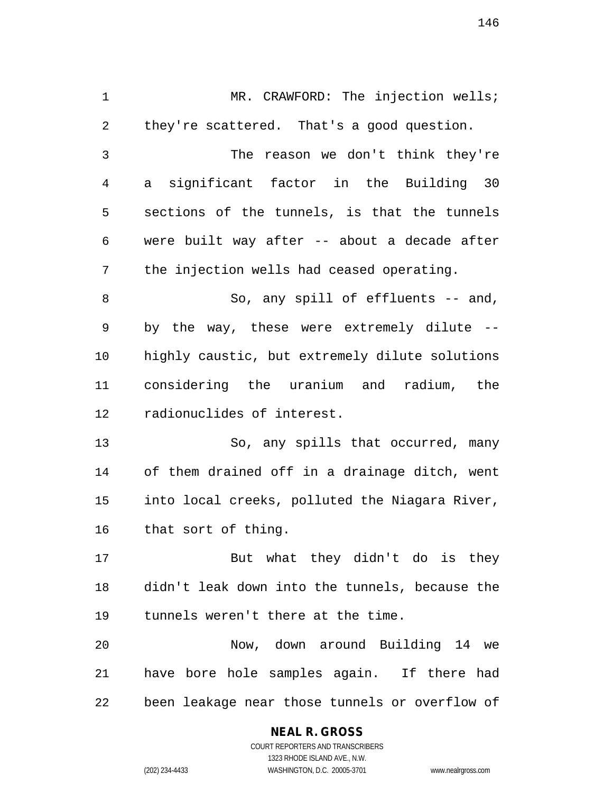1 MR. CRAWFORD: The injection wells; 2 they're scattered. That's a good question. 3 The reason we don't think they're 4 a significant factor in the Building 30 5 sections of the tunnels, is that the tunnels 6 were built way after -- about a decade after 7 the injection wells had ceased operating. 8 So, any spill of effluents -- and, 9 by the way, these were extremely dilute -- 10 highly caustic, but extremely dilute solutions 11 considering the uranium and radium, the 12 radionuclides of interest. 13 So, any spills that occurred, many 14 of them drained off in a drainage ditch, went 15 into local creeks, polluted the Niagara River, 16 that sort of thing. 17 But what they didn't do is they 18 didn't leak down into the tunnels, because the 19 tunnels weren't there at the time. 20 Now, down around Building 14 we 21 have bore hole samples again. If there had 22 been leakage near those tunnels or overflow of

## **NEAL R. GROSS**

COURT REPORTERS AND TRANSCRIBERS 1323 RHODE ISLAND AVE., N.W. (202) 234-4433 WASHINGTON, D.C. 20005-3701 www.nealrgross.com

146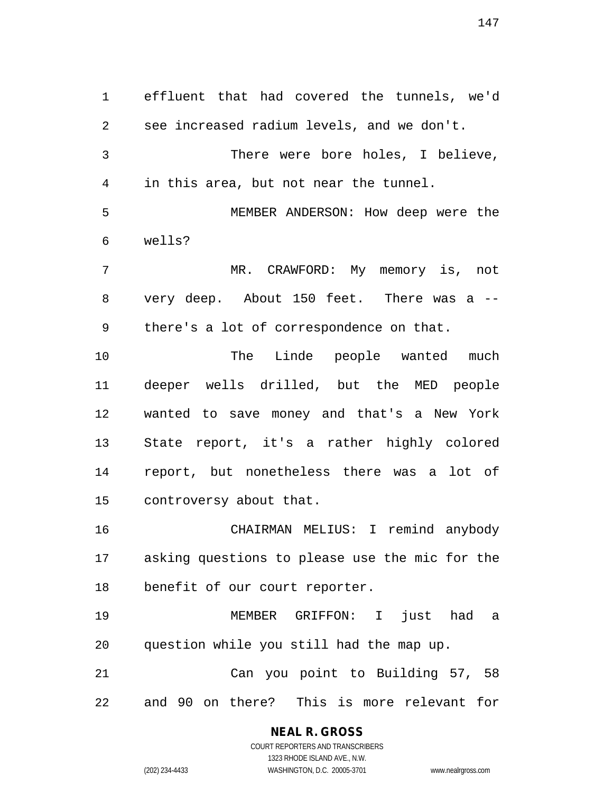1 effluent that had covered the tunnels, we'd 2 see increased radium levels, and we don't. 3 There were bore holes, I believe, 4 in this area, but not near the tunnel. 5 MEMBER ANDERSON: How deep were the 6 wells? 7 MR. CRAWFORD: My memory is, not 8 very deep. About 150 feet. There was a -- 9 there's a lot of correspondence on that. 10 The Linde people wanted much 11 deeper wells drilled, but the MED people 12 wanted to save money and that's a New York 13 State report, it's a rather highly colored 14 report, but nonetheless there was a lot of 15 controversy about that. 16 CHAIRMAN MELIUS: I remind anybody 17 asking questions to please use the mic for the 18 benefit of our court reporter. 19 MEMBER GRIFFON: I just had a 20 question while you still had the map up. 21 Can you point to Building 57, 58 22 and 90 on there? This is more relevant for

## **NEAL R. GROSS**

COURT REPORTERS AND TRANSCRIBERS 1323 RHODE ISLAND AVE., N.W. (202) 234-4433 WASHINGTON, D.C. 20005-3701 www.nealrgross.com

147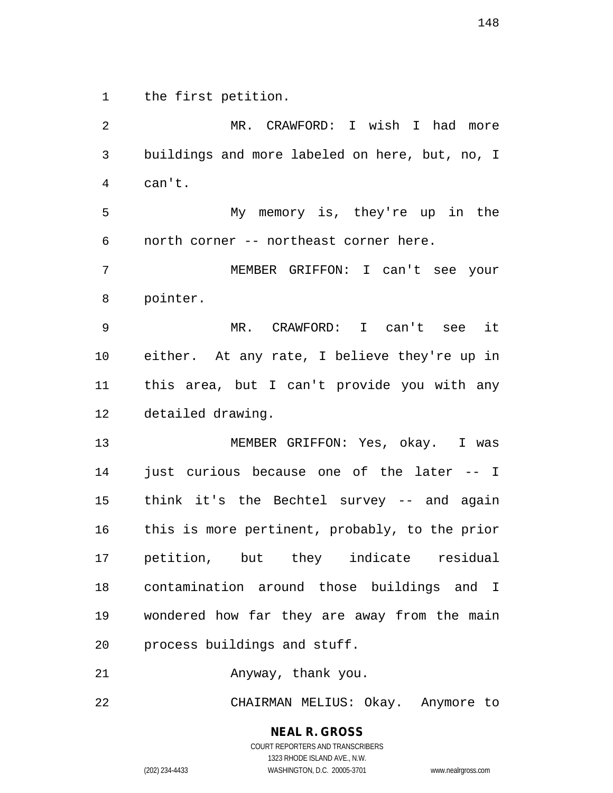1 the first petition.

2 MR. CRAWFORD: I wish I had more 3 buildings and more labeled on here, but, no, I 4 can't. 5 My memory is, they're up in the 6 north corner -- northeast corner here. 7 MEMBER GRIFFON: I can't see your 8 pointer. 9 MR. CRAWFORD: I can't see it 10 either. At any rate, I believe they're up in 11 this area, but I can't provide you with any 12 detailed drawing. 13 MEMBER GRIFFON: Yes, okay. I was 14 just curious because one of the later -- I 15 think it's the Bechtel survey -- and again 16 this is more pertinent, probably, to the prior 17 petition, but they indicate residual 18 contamination around those buildings and I 19 wondered how far they are away from the main 20 process buildings and stuff. 21 Anyway, thank you. 22 CHAIRMAN MELIUS: Okay. Anymore to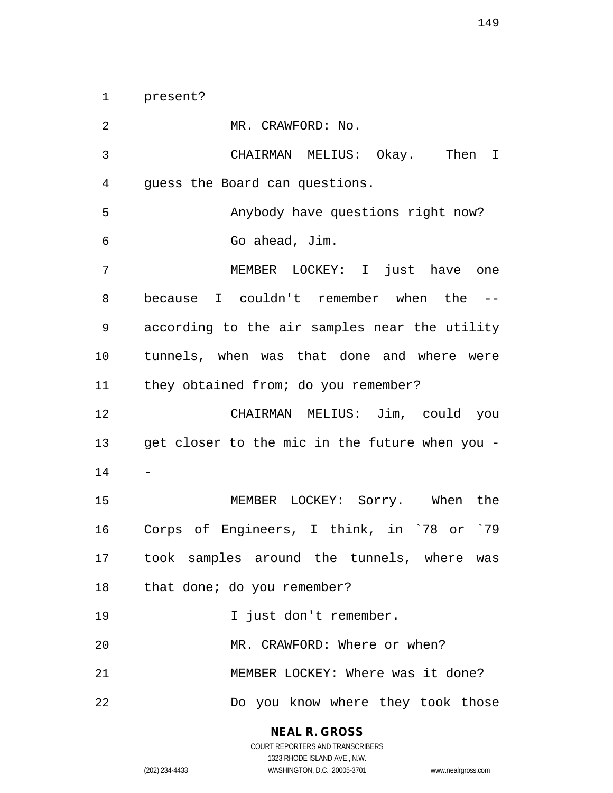1 present?

2 MR. CRAWFORD: No. 3 CHAIRMAN MELIUS: Okay. Then I 4 guess the Board can questions. 5 Anybody have questions right now? 6 Go ahead, Jim. 7 MEMBER LOCKEY: I just have one 8 because I couldn't remember when the -- 9 according to the air samples near the utility 10 tunnels, when was that done and where were 11 they obtained from; do you remember? 12 CHAIRMAN MELIUS: Jim, could you 13 get closer to the mic in the future when you - 14 - 15 MEMBER LOCKEY: Sorry. When the 16 Corps of Engineers, I think, in `78 or `79 17 took samples around the tunnels, where was 18 that done; do you remember? 19 I just don't remember. 20 MR. CRAWFORD: Where or when? 21 MEMBER LOCKEY: Where was it done? 22 Do you know where they took those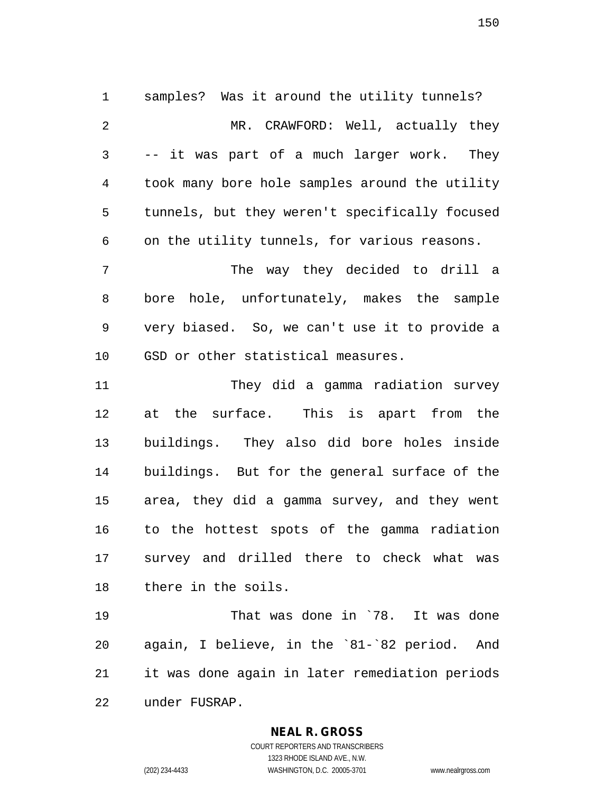1 samples? Was it around the utility tunnels? 2 MR. CRAWFORD: Well, actually they 3 -- it was part of a much larger work. They 4 took many bore hole samples around the utility 5 tunnels, but they weren't specifically focused 6 on the utility tunnels, for various reasons. 7 The way they decided to drill a 8 bore hole, unfortunately, makes the sample 9 very biased. So, we can't use it to provide a 10 GSD or other statistical measures. 11 They did a gamma radiation survey 12 at the surface. This is apart from the 13 buildings. They also did bore holes inside 14 buildings. But for the general surface of the 15 area, they did a gamma survey, and they went 16 to the hottest spots of the gamma radiation 17 survey and drilled there to check what was 18 there in the soils.

19 That was done in `78. It was done 20 again, I believe, in the `81-`82 period. And 21 it was done again in later remediation periods 22 under FUSRAP.

**NEAL R. GROSS**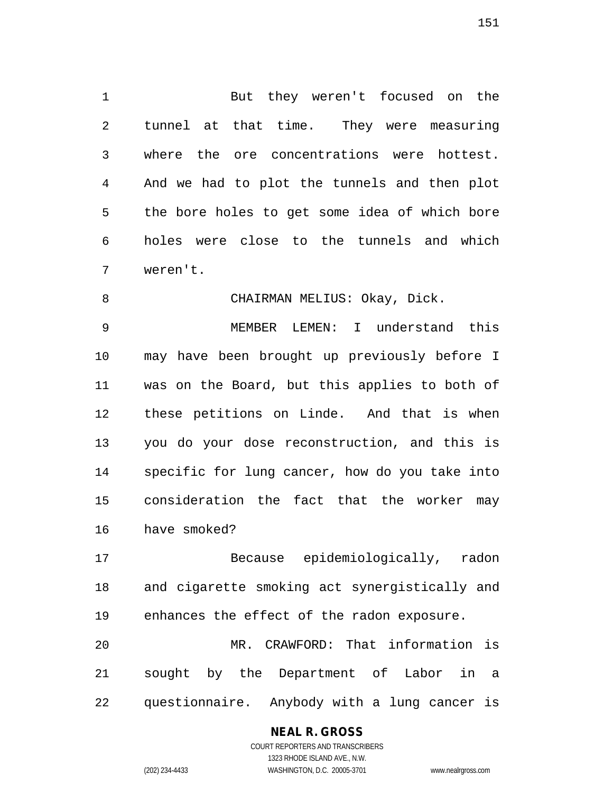1 But they weren't focused on the 2 tunnel at that time. They were measuring 3 where the ore concentrations were hottest. 4 And we had to plot the tunnels and then plot 5 the bore holes to get some idea of which bore 6 holes were close to the tunnels and which 7 weren't.

8 CHAIRMAN MELIUS: Okay, Dick.

9 MEMBER LEMEN: I understand this 10 may have been brought up previously before I 11 was on the Board, but this applies to both of 12 these petitions on Linde. And that is when 13 you do your dose reconstruction, and this is 14 specific for lung cancer, how do you take into 15 consideration the fact that the worker may 16 have smoked?

17 Because epidemiologically, radon 18 and cigarette smoking act synergistically and 19 enhances the effect of the radon exposure.

20 MR. CRAWFORD: That information is 21 sought by the Department of Labor in a 22 questionnaire. Anybody with a lung cancer is

## **NEAL R. GROSS**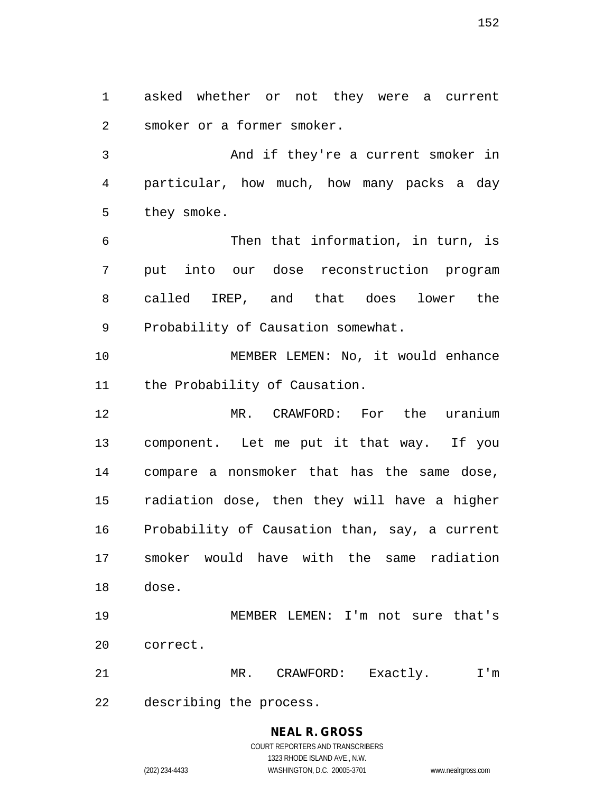1 asked whether or not they were a current 2 smoker or a former smoker.

3 And if they're a current smoker in 4 particular, how much, how many packs a day 5 they smoke.

6 Then that information, in turn, is 7 put into our dose reconstruction program 8 called IREP, and that does lower the 9 Probability of Causation somewhat.

10 MEMBER LEMEN: No, it would enhance 11 the Probability of Causation.

12 MR. CRAWFORD: For the uranium 13 component. Let me put it that way. If you 14 compare a nonsmoker that has the same dose, 15 radiation dose, then they will have a higher 16 Probability of Causation than, say, a current 17 smoker would have with the same radiation 18 dose.

19 MEMBER LEMEN: I'm not sure that's 20 correct.

21 MR. CRAWFORD: Exactly. I'm 22 describing the process.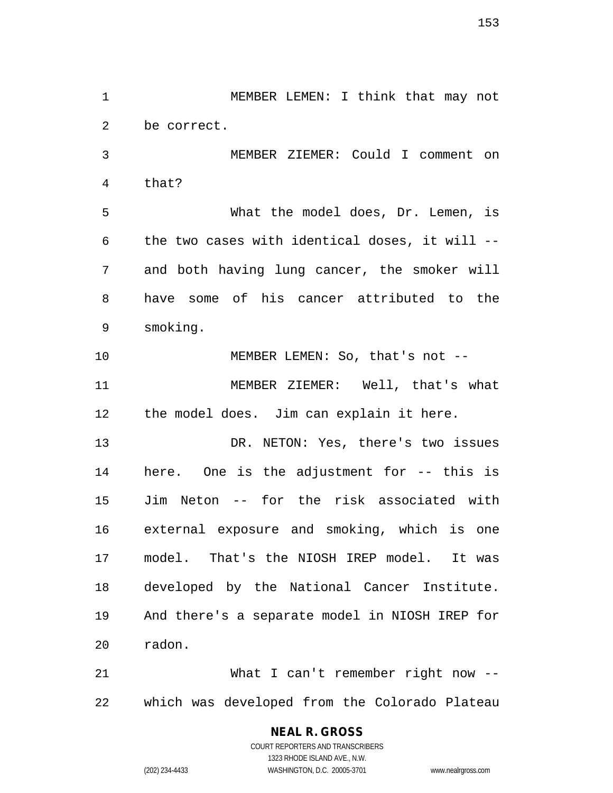1 MEMBER LEMEN: I think that may not 2 be correct. 3 MEMBER ZIEMER: Could I comment on 4 that? 5 What the model does, Dr. Lemen, is 6 the two cases with identical doses, it will -- 7 and both having lung cancer, the smoker will 8 have some of his cancer attributed to the 9 smoking. 10 MEMBER LEMEN: So, that's not --11 MEMBER ZIEMER: Well, that's what 12 the model does. Jim can explain it here. 13 DR. NETON: Yes, there's two issues 14 here. One is the adjustment for -- this is 15 Jim Neton -- for the risk associated with 16 external exposure and smoking, which is one 17 model. That's the NIOSH IREP model. It was 18 developed by the National Cancer Institute. 19 And there's a separate model in NIOSH IREP for 20 radon.

21 What I can't remember right now -- 22 which was developed from the Colorado Plateau

# **NEAL R. GROSS**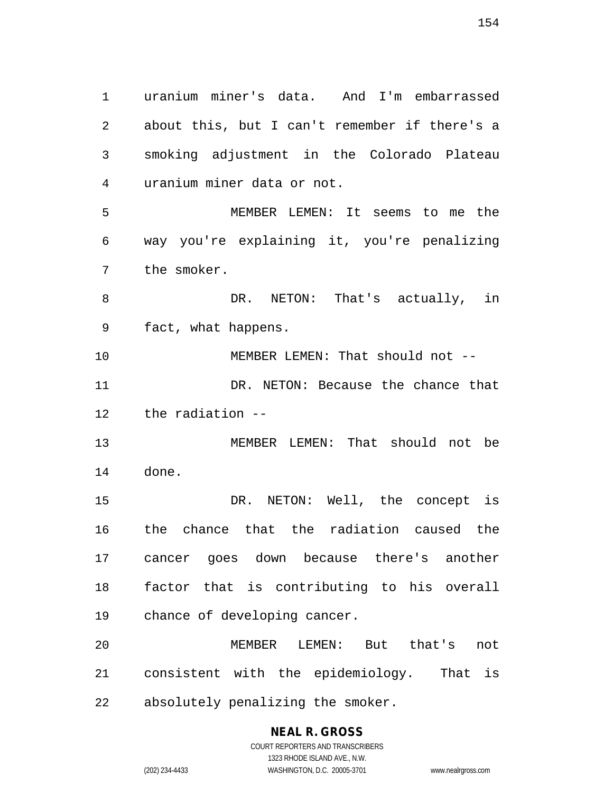1 uranium miner's data. And I'm embarrassed 2 about this, but I can't remember if there's a 3 smoking adjustment in the Colorado Plateau 4 uranium miner data or not. 5 MEMBER LEMEN: It seems to me the 6 way you're explaining it, you're penalizing 7 the smoker. 8 BR. NETON: That's actually, in 9 fact, what happens. 10 MEMBER LEMEN: That should not --11 DR. NETON: Because the chance that 12 the radiation -- 13 MEMBER LEMEN: That should not be 14 done. 15 DR. NETON: Well, the concept is 16 the chance that the radiation caused the 17 cancer goes down because there's another 18 factor that is contributing to his overall 19 chance of developing cancer. 20 MEMBER LEMEN: But that's not 21 consistent with the epidemiology. That is 22 absolutely penalizing the smoker.

**NEAL R. GROSS** COURT REPORTERS AND TRANSCRIBERS

1323 RHODE ISLAND AVE., N.W. (202) 234-4433 WASHINGTON, D.C. 20005-3701 www.nealrgross.com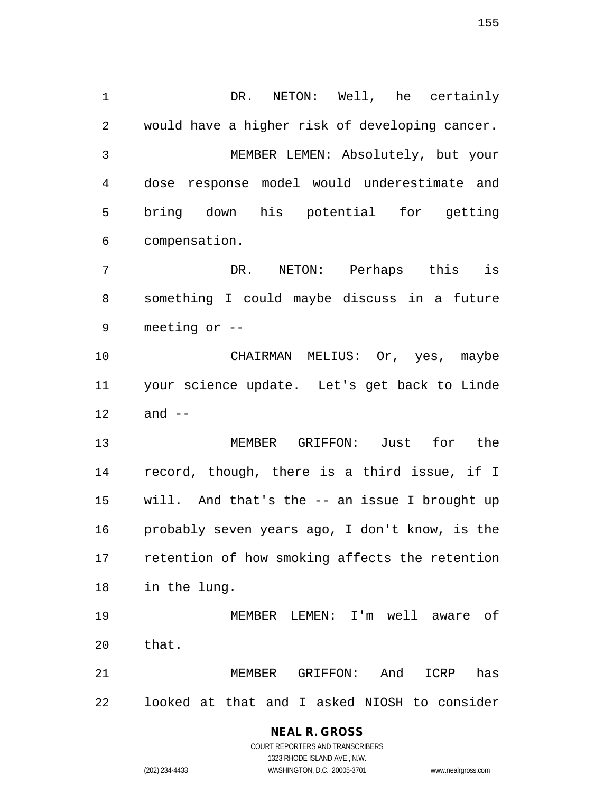1 DR. NETON: Well, he certainly 2 would have a higher risk of developing cancer. 3 MEMBER LEMEN: Absolutely, but your 4 dose response model would underestimate and 5 bring down his potential for getting 6 compensation. 7 DR. NETON: Perhaps this is 8 something I could maybe discuss in a future 9 meeting or -- 10 CHAIRMAN MELIUS: Or, yes, maybe 11 your science update. Let's get back to Linde 12 and -- 13 MEMBER GRIFFON: Just for the 14 record, though, there is a third issue, if I 15 will. And that's the -- an issue I brought up 16 probably seven years ago, I don't know, is the 17 retention of how smoking affects the retention 18 in the lung. 19 MEMBER LEMEN: I'm well aware of 20 that. 21 MEMBER GRIFFON: And ICRP has

22 looked at that and I asked NIOSH to consider

#### **NEAL R. GROSS** COURT REPORTERS AND TRANSCRIBERS

1323 RHODE ISLAND AVE., N.W.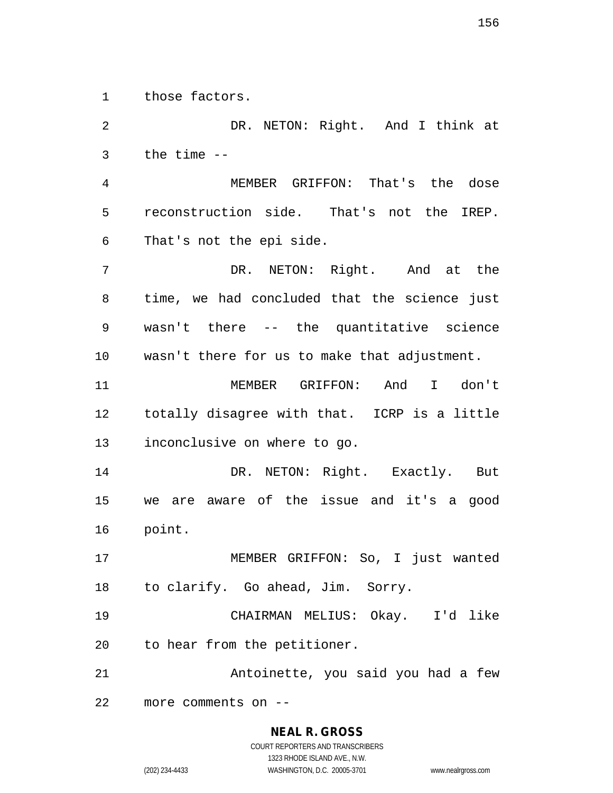1 those factors.

2 DR. NETON: Right. And I think at 3 the time -- 4 MEMBER GRIFFON: That's the dose 5 reconstruction side. That's not the IREP. 6 That's not the epi side. 7 DR. NETON: Right. And at the 8 time, we had concluded that the science just 9 wasn't there -- the quantitative science 10 wasn't there for us to make that adjustment. 11 MEMBER GRIFFON: And I don't 12 totally disagree with that. ICRP is a little 13 inconclusive on where to go. 14 DR. NETON: Right. Exactly. But 15 we are aware of the issue and it's a good 16 point. 17 MEMBER GRIFFON: So, I just wanted 18 to clarify. Go ahead, Jim. Sorry. 19 CHAIRMAN MELIUS: Okay. I'd like 20 to hear from the petitioner. 21 Antoinette, you said you had a few 22 more comments on --

(202) 234-4433 WASHINGTON, D.C. 20005-3701 www.nealrgross.com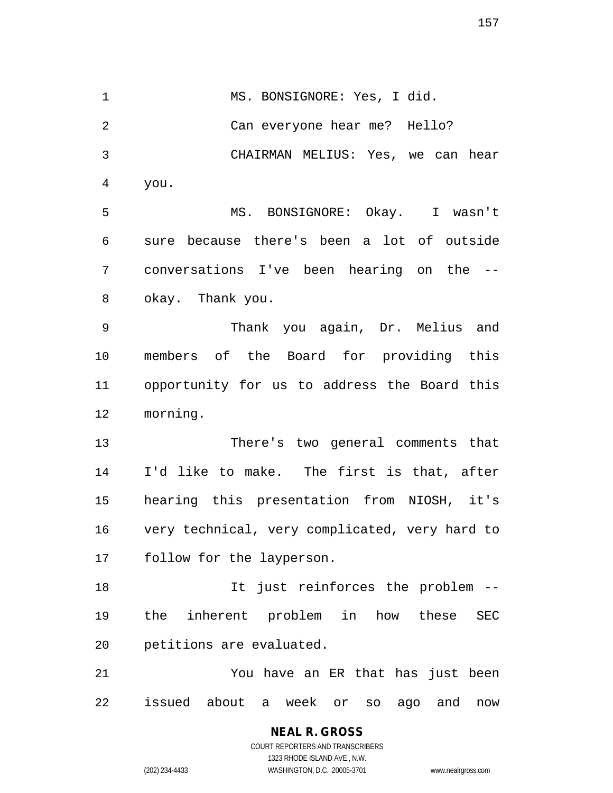1 MS. BONSIGNORE: Yes, I did. 2 Can everyone hear me? Hello? 3 CHAIRMAN MELIUS: Yes, we can hear 4 you. 5 MS. BONSIGNORE: Okay. I wasn't 6 sure because there's been a lot of outside 7 conversations I've been hearing on the -- 8 okay. Thank you. 9 Thank you again, Dr. Melius and 10 members of the Board for providing this 11 opportunity for us to address the Board this 12 morning. 13 There's two general comments that 14 I'd like to make. The first is that, after 15 hearing this presentation from NIOSH, it's 16 very technical, very complicated, very hard to 17 follow for the layperson. 18 It just reinforces the problem -- 19 the inherent problem in how these SEC 20 petitions are evaluated. 21 You have an ER that has just been 22 issued about a week or so ago and now

157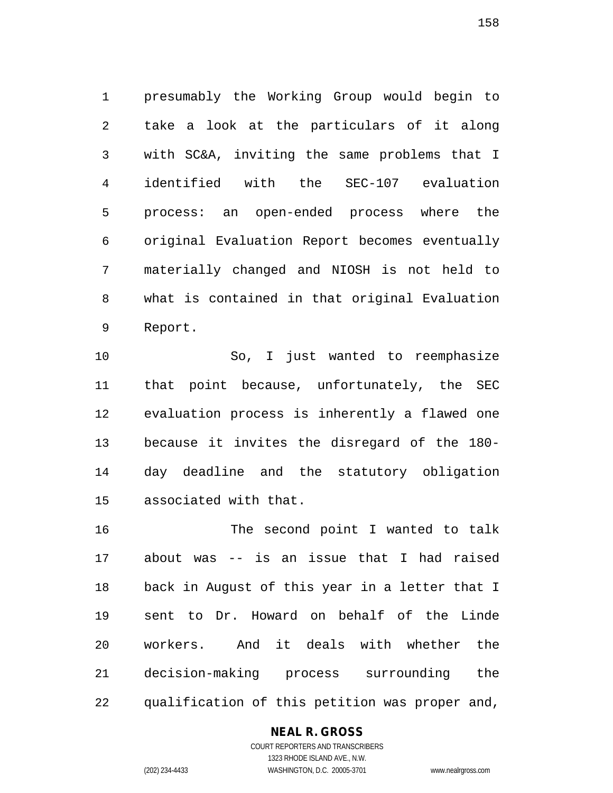1 presumably the Working Group would begin to 2 take a look at the particulars of it along 3 with SC&A, inviting the same problems that I 4 identified with the SEC-107 evaluation 5 process: an open-ended process where the 6 original Evaluation Report becomes eventually 7 materially changed and NIOSH is not held to 8 what is contained in that original Evaluation 9 Report.

10 So, I just wanted to reemphasize 11 that point because, unfortunately, the SEC 12 evaluation process is inherently a flawed one 13 because it invites the disregard of the 180- 14 day deadline and the statutory obligation 15 associated with that.

16 The second point I wanted to talk 17 about was -- is an issue that I had raised 18 back in August of this year in a letter that I 19 sent to Dr. Howard on behalf of the Linde 20 workers. And it deals with whether the 21 decision-making process surrounding the 22 qualification of this petition was proper and,

#### **NEAL R. GROSS**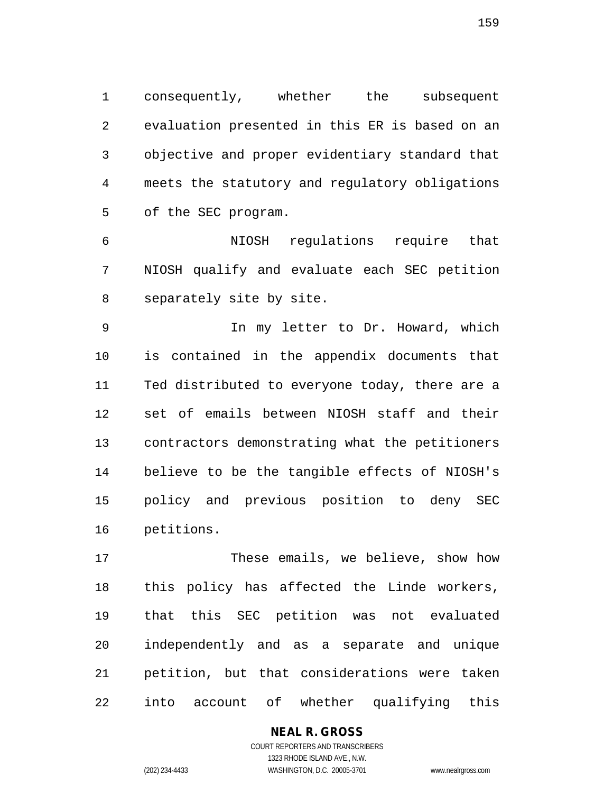1 consequently, whether the subsequent 2 evaluation presented in this ER is based on an 3 objective and proper evidentiary standard that 4 meets the statutory and regulatory obligations 5 of the SEC program.

6 NIOSH regulations require that 7 NIOSH qualify and evaluate each SEC petition 8 separately site by site.

9 In my letter to Dr. Howard, which 10 is contained in the appendix documents that 11 Ted distributed to everyone today, there are a 12 set of emails between NIOSH staff and their 13 contractors demonstrating what the petitioners 14 believe to be the tangible effects of NIOSH's 15 policy and previous position to deny SEC 16 petitions.

17 These emails, we believe, show how 18 this policy has affected the Linde workers, 19 that this SEC petition was not evaluated 20 independently and as a separate and unique 21 petition, but that considerations were taken 22 into account of whether qualifying this

## **NEAL R. GROSS**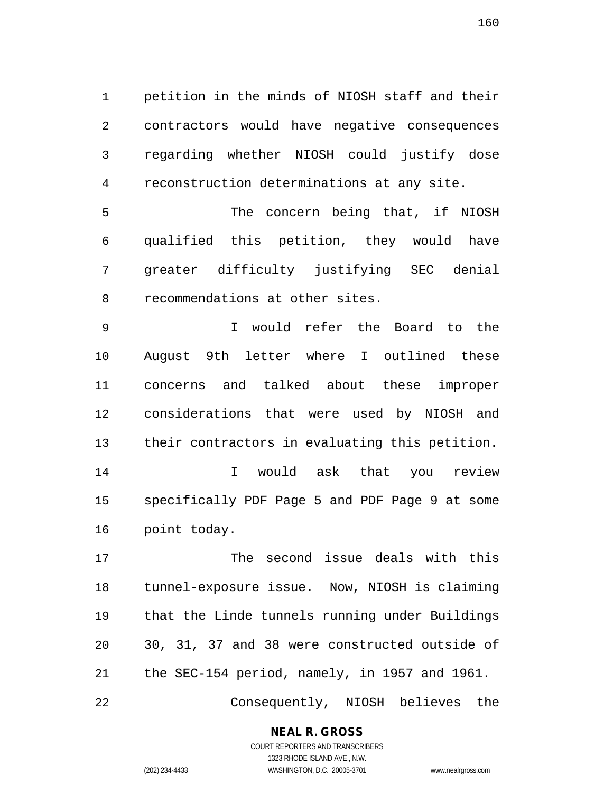1 petition in the minds of NIOSH staff and their 2 contractors would have negative consequences 3 regarding whether NIOSH could justify dose 4 reconstruction determinations at any site.

5 The concern being that, if NIOSH 6 qualified this petition, they would have 7 greater difficulty justifying SEC denial 8 recommendations at other sites.

9 I would refer the Board to the 10 August 9th letter where I outlined these 11 concerns and talked about these improper 12 considerations that were used by NIOSH and 13 their contractors in evaluating this petition. 14 I would ask that you review 15 specifically PDF Page 5 and PDF Page 9 at some 16 point today.

17 The second issue deals with this 18 tunnel-exposure issue. Now, NIOSH is claiming 19 that the Linde tunnels running under Buildings 20 30, 31, 37 and 38 were constructed outside of 21 the SEC-154 period, namely, in 1957 and 1961.

22 Consequently, NIOSH believes the

## **NEAL R. GROSS**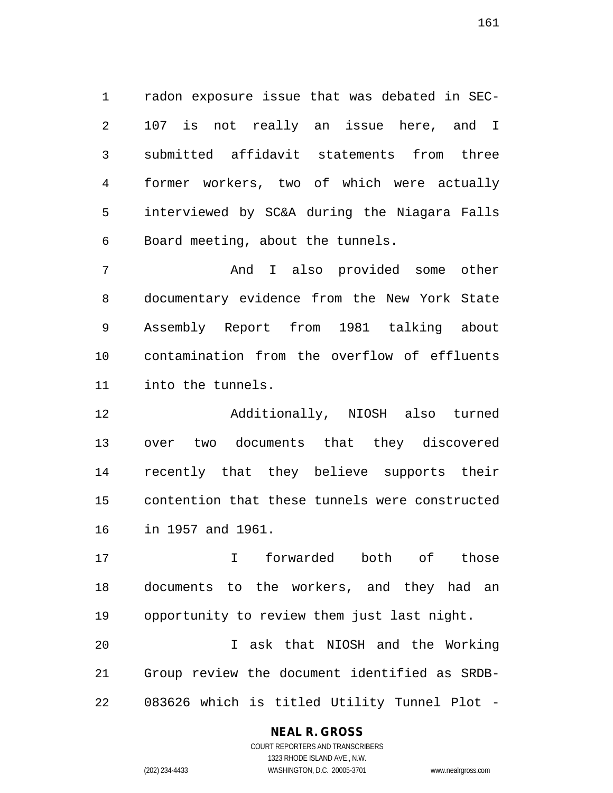1 radon exposure issue that was debated in SEC-2 107 is not really an issue here, and I 3 submitted affidavit statements from three 4 former workers, two of which were actually 5 interviewed by SC&A during the Niagara Falls 6 Board meeting, about the tunnels.

7 And I also provided some other 8 documentary evidence from the New York State 9 Assembly Report from 1981 talking about 10 contamination from the overflow of effluents 11 into the tunnels.

12 Additionally, NIOSH also turned 13 over two documents that they discovered 14 recently that they believe supports their 15 contention that these tunnels were constructed 16 in 1957 and 1961.

17 I forwarded both of those 18 documents to the workers, and they had an 19 opportunity to review them just last night.

20 I ask that NIOSH and the Working 21 Group review the document identified as SRDB-22 083626 which is titled Utility Tunnel Plot -

#### **NEAL R. GROSS**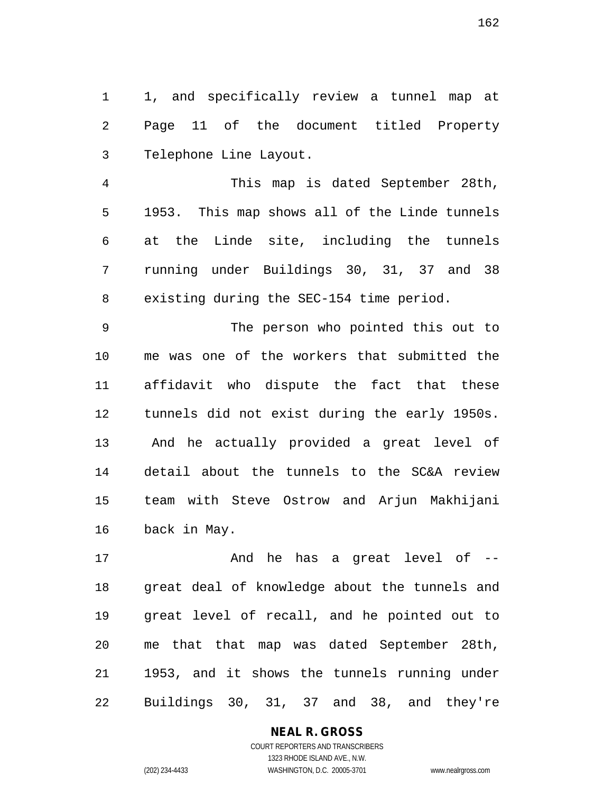1 1, and specifically review a tunnel map at 2 Page 11 of the document titled Property 3 Telephone Line Layout.

4 This map is dated September 28th, 5 1953. This map shows all of the Linde tunnels 6 at the Linde site, including the tunnels 7 running under Buildings 30, 31, 37 and 38 8 existing during the SEC-154 time period.

9 The person who pointed this out to 10 me was one of the workers that submitted the 11 affidavit who dispute the fact that these 12 tunnels did not exist during the early 1950s. 13 And he actually provided a great level of 14 detail about the tunnels to the SC&A review 15 team with Steve Ostrow and Arjun Makhijani 16 back in May.

17 And he has a great level of -- 18 great deal of knowledge about the tunnels and 19 great level of recall, and he pointed out to 20 me that that map was dated September 28th, 21 1953, and it shows the tunnels running under 22 Buildings 30, 31, 37 and 38, and they're

#### **NEAL R. GROSS**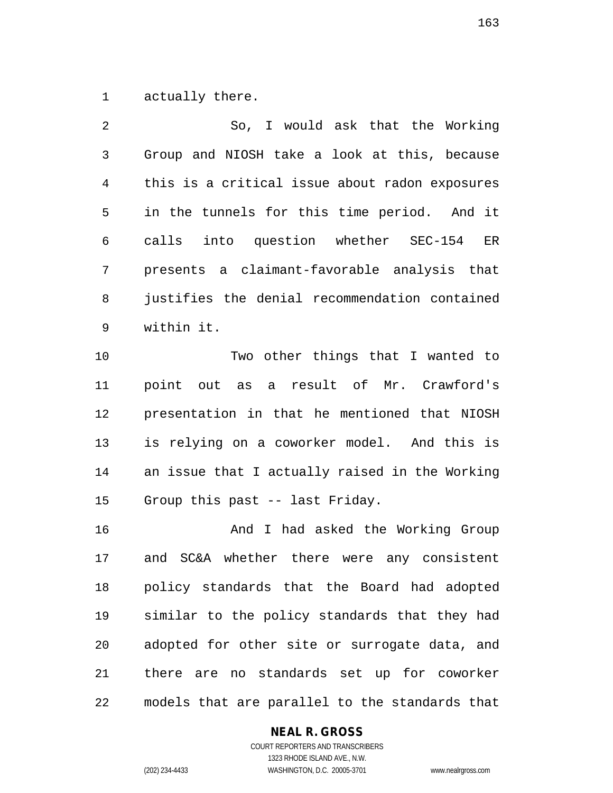1 actually there.

2 So, I would ask that the Working 3 Group and NIOSH take a look at this, because 4 this is a critical issue about radon exposures 5 in the tunnels for this time period. And it 6 calls into question whether SEC-154 ER 7 presents a claimant-favorable analysis that 8 justifies the denial recommendation contained 9 within it.

10 Two other things that I wanted to 11 point out as a result of Mr. Crawford's 12 presentation in that he mentioned that NIOSH 13 is relying on a coworker model. And this is 14 an issue that I actually raised in the Working 15 Group this past -- last Friday.

16 And I had asked the Working Group 17 and SC&A whether there were any consistent 18 policy standards that the Board had adopted 19 similar to the policy standards that they had 20 adopted for other site or surrogate data, and 21 there are no standards set up for coworker 22 models that are parallel to the standards that

#### **NEAL R. GROSS**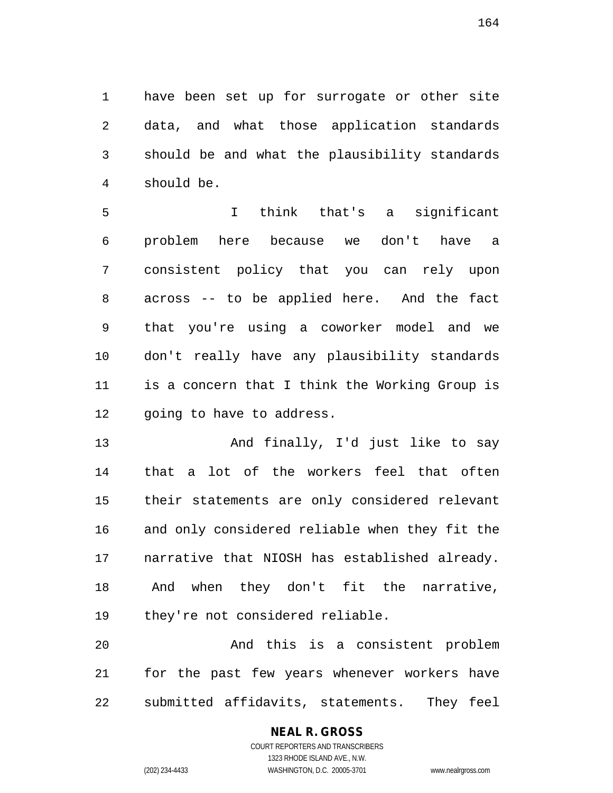1 have been set up for surrogate or other site 2 data, and what those application standards 3 should be and what the plausibility standards 4 should be.

5 I think that's a significant 6 problem here because we don't have a 7 consistent policy that you can rely upon 8 across -- to be applied here. And the fact 9 that you're using a coworker model and we 10 don't really have any plausibility standards 11 is a concern that I think the Working Group is 12 going to have to address.

13 And finally, I'd just like to say 14 that a lot of the workers feel that often 15 their statements are only considered relevant 16 and only considered reliable when they fit the 17 narrative that NIOSH has established already. 18 And when they don't fit the narrative, 19 they're not considered reliable.

20 And this is a consistent problem 21 for the past few years whenever workers have 22 submitted affidavits, statements. They feel

#### **NEAL R. GROSS** COURT REPORTERS AND TRANSCRIBERS

1323 RHODE ISLAND AVE., N.W. (202) 234-4433 WASHINGTON, D.C. 20005-3701 www.nealrgross.com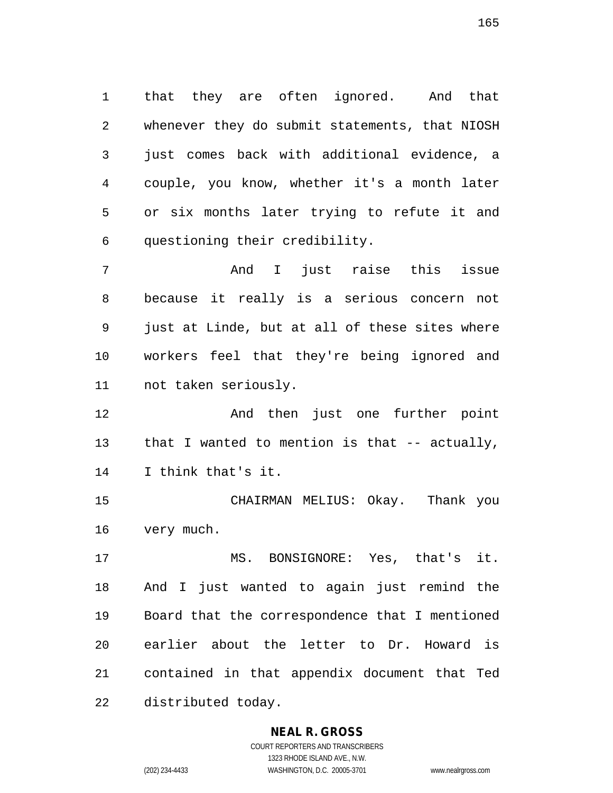1 that they are often ignored. And that 2 whenever they do submit statements, that NIOSH 3 just comes back with additional evidence, a 4 couple, you know, whether it's a month later 5 or six months later trying to refute it and 6 questioning their credibility.

7 And I just raise this issue 8 because it really is a serious concern not 9 just at Linde, but at all of these sites where 10 workers feel that they're being ignored and 11 not taken seriously.

12 And then just one further point 13 that I wanted to mention is that -- actually, 14 I think that's it.

15 CHAIRMAN MELIUS: Okay. Thank you 16 very much.

17 MS. BONSIGNORE: Yes, that's it. 18 And I just wanted to again just remind the 19 Board that the correspondence that I mentioned 20 earlier about the letter to Dr. Howard is 21 contained in that appendix document that Ted 22 distributed today.

#### **NEAL R. GROSS** COURT REPORTERS AND TRANSCRIBERS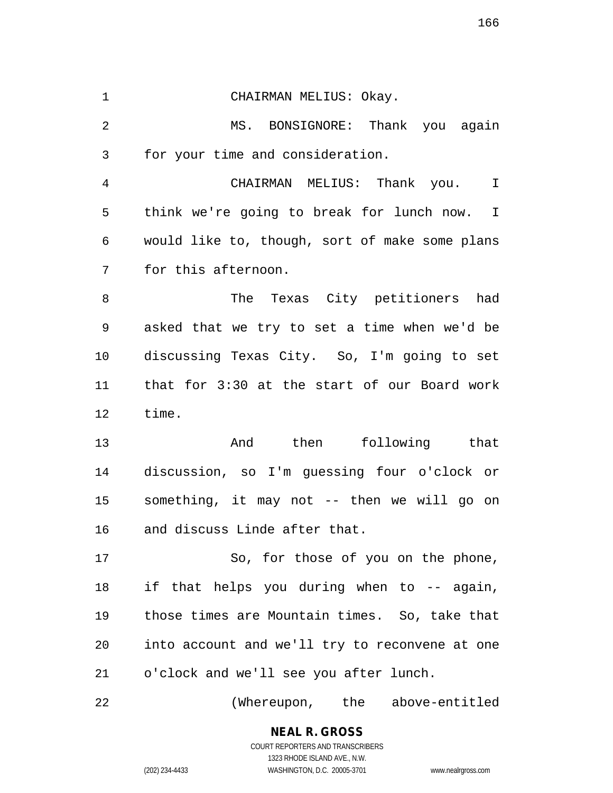1 CHAIRMAN MELIUS: Okay. 2 MS. BONSIGNORE: Thank you again 3 for your time and consideration. 4 CHAIRMAN MELIUS: Thank you. I 5 think we're going to break for lunch now. I 6 would like to, though, sort of make some plans 7 for this afternoon. 8 The Texas City petitioners had 9 asked that we try to set a time when we'd be 10 discussing Texas City. So, I'm going to set 11 that for 3:30 at the start of our Board work 12 time. 13 And then following that 14 discussion, so I'm guessing four o'clock or 15 something, it may not -- then we will go on 16 and discuss Linde after that. 17 So, for those of you on the phone, 18 if that helps you during when to -- again, 19 those times are Mountain times. So, take that 20 into account and we'll try to reconvene at one 21 o'clock and we'll see you after lunch. 22 (Whereupon, the above-entitled

> COURT REPORTERS AND TRANSCRIBERS 1323 RHODE ISLAND AVE., N.W. (202) 234-4433 WASHINGTON, D.C. 20005-3701 www.nealrgross.com

**NEAL R. GROSS**

166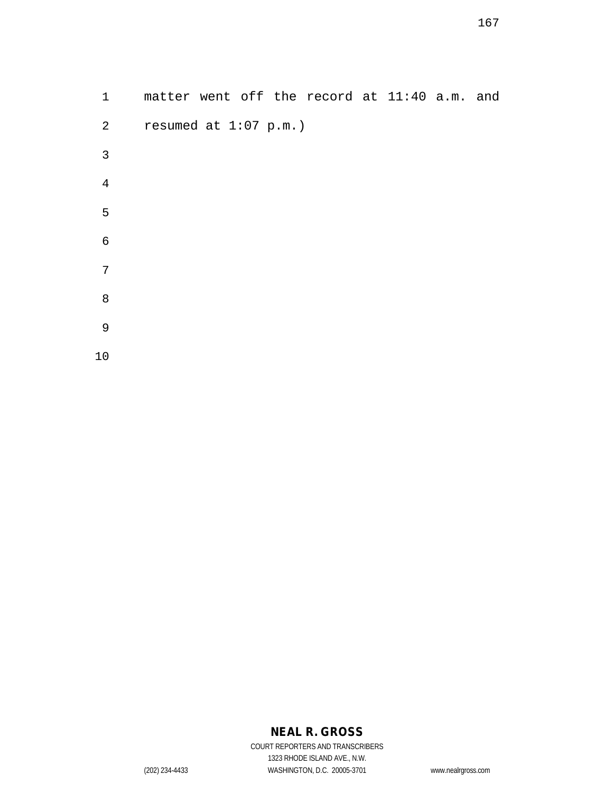| $\mathbf{1}$   | matter went off the record at 11:40 a.m. and |  |
|----------------|----------------------------------------------|--|
| $\overline{2}$ | resumed at $1:07$ p.m.)                      |  |
| 3              |                                              |  |
| $\overline{4}$ |                                              |  |
| 5              |                                              |  |
| $\epsilon$     |                                              |  |
| 7              |                                              |  |
| 8              |                                              |  |
| 9              |                                              |  |
| 10             |                                              |  |

## **NEAL R. GROSS**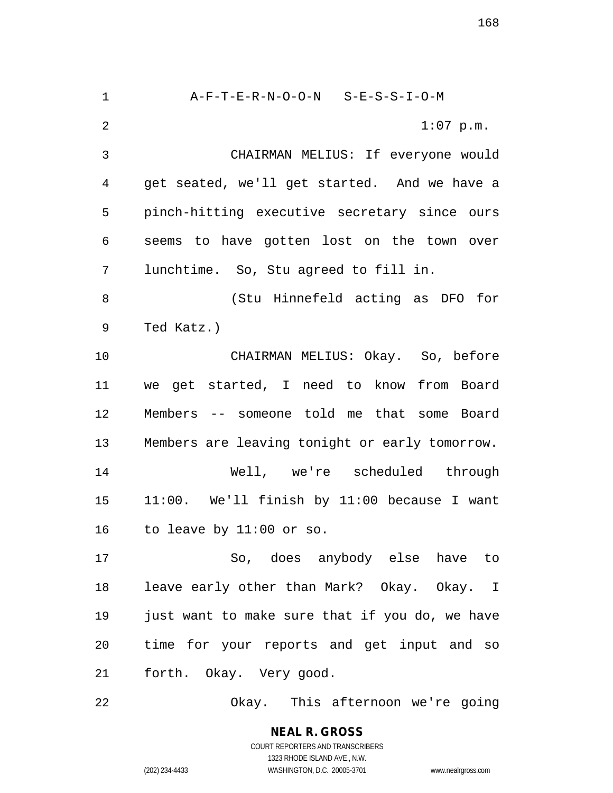1 A-F-T-E-R-N-O-O-N S-E-S-S-I-O-M 2 1:07 p.m. 3 CHAIRMAN MELIUS: If everyone would 4 get seated, we'll get started. And we have a 5 pinch-hitting executive secretary since ours 6 seems to have gotten lost on the town over 7 lunchtime. So, Stu agreed to fill in. 8 (Stu Hinnefeld acting as DFO for 9 Ted Katz.) 10 CHAIRMAN MELIUS: Okay. So, before 11 we get started, I need to know from Board 12 Members -- someone told me that some Board 13 Members are leaving tonight or early tomorrow. 14 Well, we're scheduled through 15 11:00. We'll finish by 11:00 because I want 16 to leave by 11:00 or so. 17 So, does anybody else have to 18 leave early other than Mark? Okay. Okay. I 19 just want to make sure that if you do, we have 20 time for your reports and get input and so 21 forth. Okay. Very good. 22 Okay. This afternoon we're going

168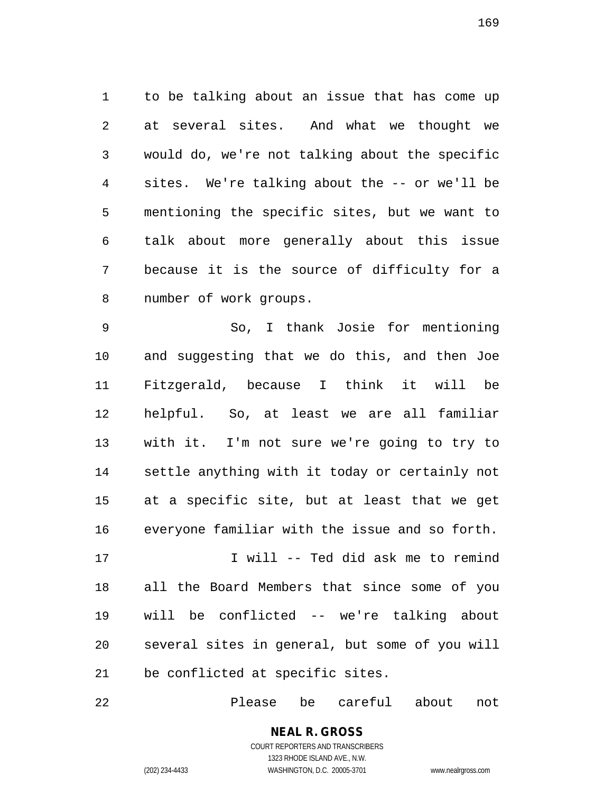1 to be talking about an issue that has come up 2 at several sites. And what we thought we 3 would do, we're not talking about the specific 4 sites. We're talking about the -- or we'll be 5 mentioning the specific sites, but we want to 6 talk about more generally about this issue 7 because it is the source of difficulty for a 8 number of work groups.

9 So, I thank Josie for mentioning 10 and suggesting that we do this, and then Joe 11 Fitzgerald, because I think it will be 12 helpful. So, at least we are all familiar 13 with it. I'm not sure we're going to try to 14 settle anything with it today or certainly not 15 at a specific site, but at least that we get 16 everyone familiar with the issue and so forth. 17 I will -- Ted did ask me to remind 18 all the Board Members that since some of you 19 will be conflicted -- we're talking about

20 several sites in general, but some of you will 21 be conflicted at specific sites.

22 Please be careful about not

**NEAL R. GROSS** COURT REPORTERS AND TRANSCRIBERS 1323 RHODE ISLAND AVE., N.W.

(202) 234-4433 WASHINGTON, D.C. 20005-3701 www.nealrgross.com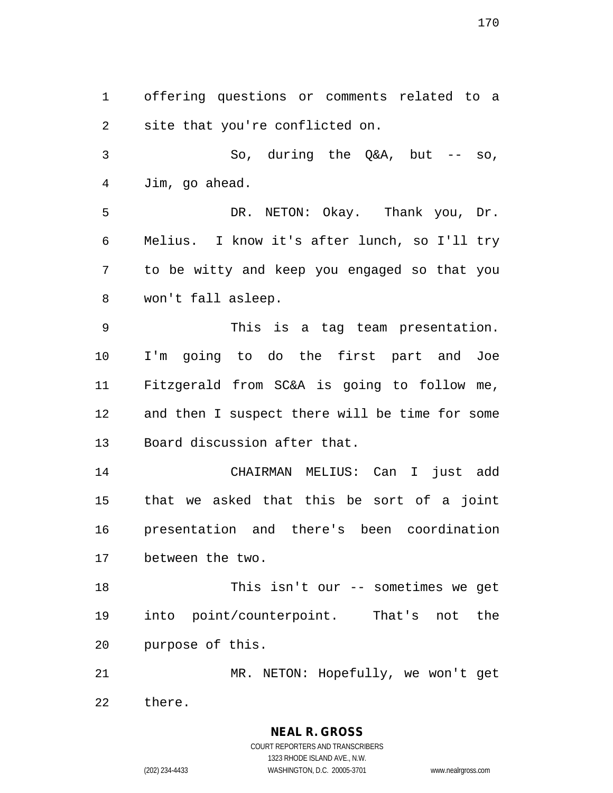1 offering questions or comments related to a 2 site that you're conflicted on.

3 So, during the Q&A, but -- so, 4 Jim, go ahead.

5 DR. NETON: Okay. Thank you, Dr. 6 Melius. I know it's after lunch, so I'll try 7 to be witty and keep you engaged so that you 8 won't fall asleep.

9 This is a tag team presentation. 10 I'm going to do the first part and Joe 11 Fitzgerald from SC&A is going to follow me, 12 and then I suspect there will be time for some 13 Board discussion after that.

14 CHAIRMAN MELIUS: Can I just add 15 that we asked that this be sort of a joint 16 presentation and there's been coordination 17 between the two.

18 This isn't our -- sometimes we get 19 into point/counterpoint. That's not the 20 purpose of this.

21 MR. NETON: Hopefully, we won't get 22 there.

> COURT REPORTERS AND TRANSCRIBERS 1323 RHODE ISLAND AVE., N.W. (202) 234-4433 WASHINGTON, D.C. 20005-3701 www.nealrgross.com

**NEAL R. GROSS**

```
170
```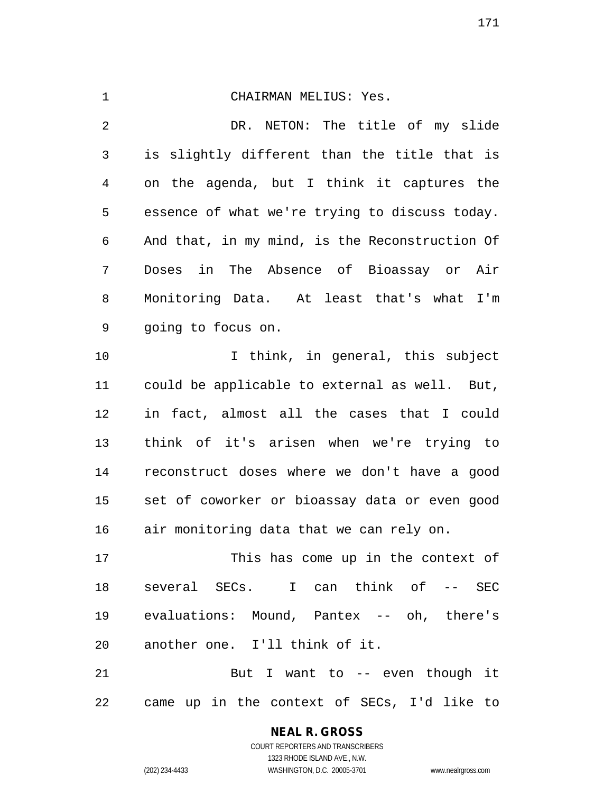1 CHAIRMAN MELIUS: Yes. 2 DR. NETON: The title of my slide 3 is slightly different than the title that is 4 on the agenda, but I think it captures the 5 essence of what we're trying to discuss today. 6 And that, in my mind, is the Reconstruction Of 7 Doses in The Absence of Bioassay or Air 8 Monitoring Data. At least that's what I'm 9 going to focus on. 10 I think, in general, this subject 11 could be applicable to external as well. But, 12 in fact, almost all the cases that I could 13 think of it's arisen when we're trying to 14 reconstruct doses where we don't have a good 15 set of coworker or bioassay data or even good 16 air monitoring data that we can rely on. 17 This has come up in the context of 18 several SECs. I can think of -- SEC 19 evaluations: Mound, Pantex -- oh, there's

20 another one. I'll think of it.

21 But I want to -- even though it 22 came up in the context of SECs, I'd like to

# **NEAL R. GROSS**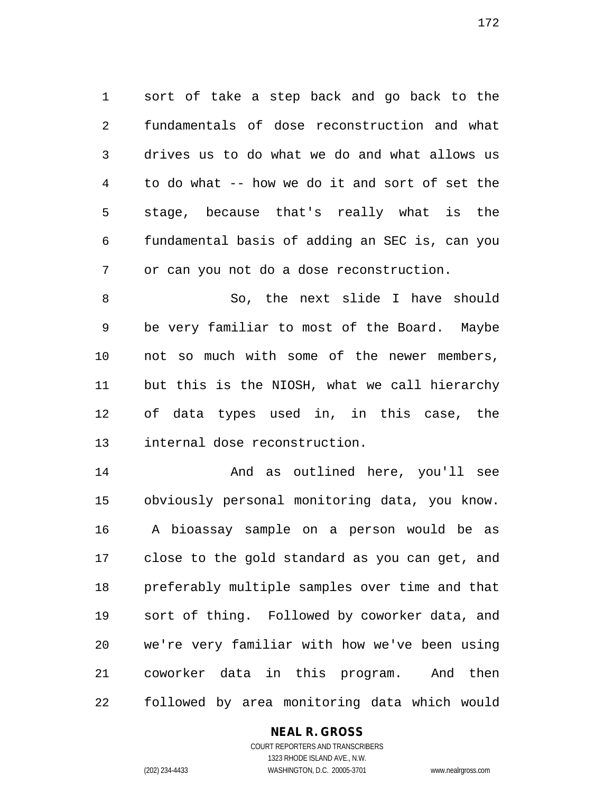1 sort of take a step back and go back to the 2 fundamentals of dose reconstruction and what 3 drives us to do what we do and what allows us 4 to do what -- how we do it and sort of set the 5 stage, because that's really what is the 6 fundamental basis of adding an SEC is, can you 7 or can you not do a dose reconstruction.

8 So, the next slide I have should 9 be very familiar to most of the Board. Maybe 10 not so much with some of the newer members, 11 but this is the NIOSH, what we call hierarchy 12 of data types used in, in this case, the 13 internal dose reconstruction.

14 And as outlined here, you'll see 15 obviously personal monitoring data, you know. 16 A bioassay sample on a person would be as 17 close to the gold standard as you can get, and 18 preferably multiple samples over time and that 19 sort of thing. Followed by coworker data, and 20 we're very familiar with how we've been using 21 coworker data in this program. And then 22 followed by area monitoring data which would

#### **NEAL R. GROSS**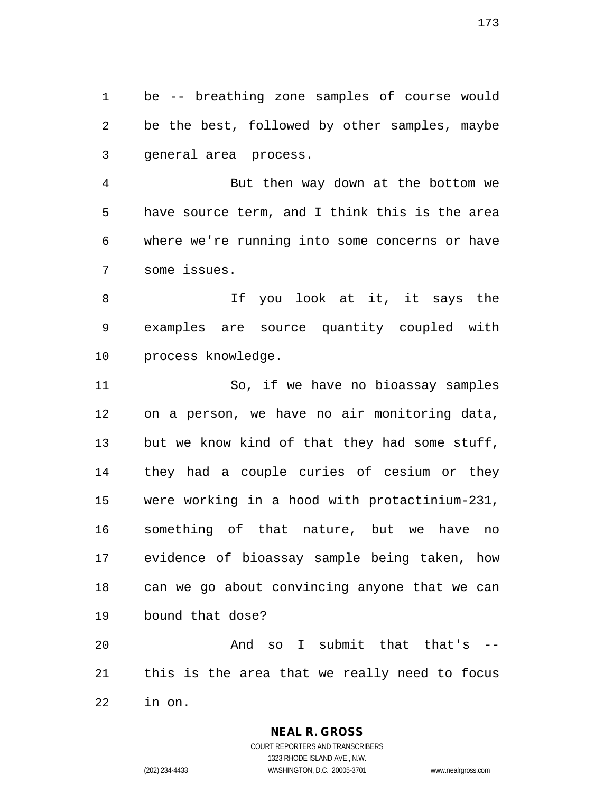1 be -- breathing zone samples of course would 2 be the best, followed by other samples, maybe 3 general area process.

4 But then way down at the bottom we 5 have source term, and I think this is the area 6 where we're running into some concerns or have 7 some issues.

8 and 11 If you look at it, it says the 9 examples are source quantity coupled with 10 process knowledge.

11 So, if we have no bioassay samples 12 on a person, we have no air monitoring data, 13 but we know kind of that they had some stuff, 14 they had a couple curies of cesium or they 15 were working in a hood with protactinium-231, 16 something of that nature, but we have no 17 evidence of bioassay sample being taken, how 18 can we go about convincing anyone that we can 19 bound that dose?

20 And so I submit that that's -- 21 this is the area that we really need to focus 22 in on.

**NEAL R. GROSS**

COURT REPORTERS AND TRANSCRIBERS 1323 RHODE ISLAND AVE., N.W. (202) 234-4433 WASHINGTON, D.C. 20005-3701 www.nealrgross.com

173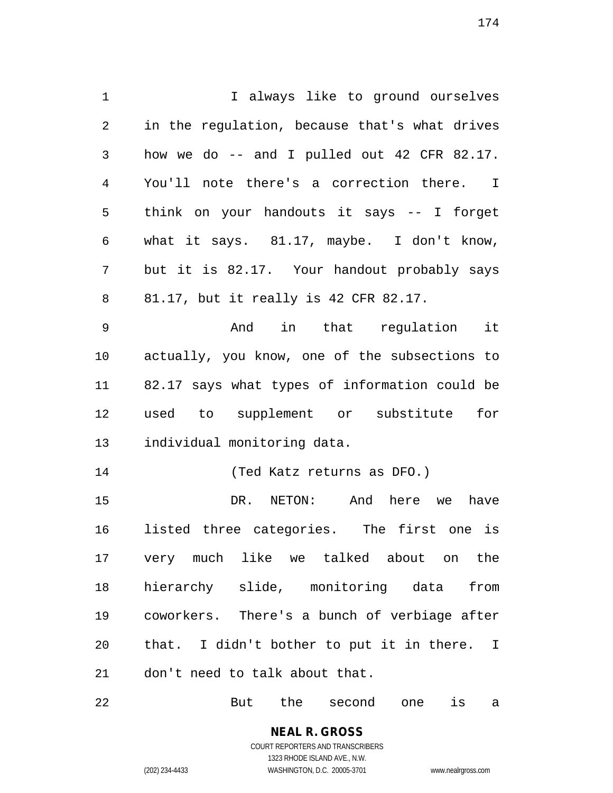1 I always like to ground ourselves 2 in the regulation, because that's what drives 3 how we do -- and I pulled out 42 CFR 82.17. 4 You'll note there's a correction there. I 5 think on your handouts it says -- I forget 6 what it says. 81.17, maybe. I don't know, 7 but it is 82.17. Your handout probably says 8 81.17, but it really is 42 CFR 82.17. 9 And in that regulation it 10 actually, you know, one of the subsections to 11 82.17 says what types of information could be 12 used to supplement or substitute for 13 individual monitoring data. 14 (Ted Katz returns as DFO.) 15 DR. NETON: And here we have 16 listed three categories. The first one is 17 very much like we talked about on the 18 hierarchy slide, monitoring data from 19 coworkers. There's a bunch of verbiage after 20 that. I didn't bother to put it in there. I 21 don't need to talk about that.

22 But the second one is a

**NEAL R. GROSS** COURT REPORTERS AND TRANSCRIBERS

1323 RHODE ISLAND AVE., N.W.

(202) 234-4433 WASHINGTON, D.C. 20005-3701 www.nealrgross.com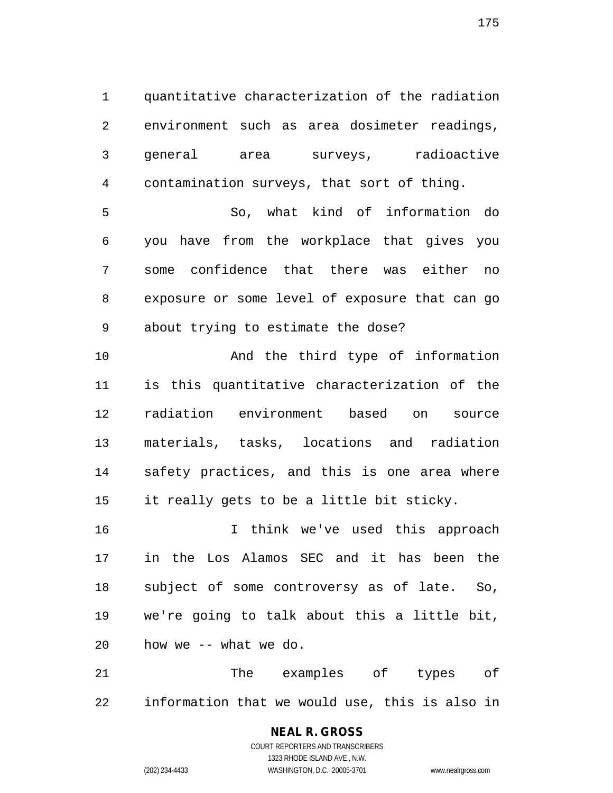1 quantitative characterization of the radiation 2 environment such as area dosimeter readings, 3 general area surveys, radioactive 4 contamination surveys, that sort of thing.

5 So, what kind of information do 6 you have from the workplace that gives you 7 some confidence that there was either no 8 exposure or some level of exposure that can go 9 about trying to estimate the dose?

10 And the third type of information 11 is this quantitative characterization of the 12 radiation environment based on source 13 materials, tasks, locations and radiation 14 safety practices, and this is one area where 15 it really gets to be a little bit sticky.

16 I think we've used this approach 17 in the Los Alamos SEC and it has been the 18 subject of some controversy as of late. So, 19 we're going to talk about this a little bit, 20 how we -- what we do.

21 The examples of types of 22 information that we would use, this is also in

## **NEAL R. GROSS**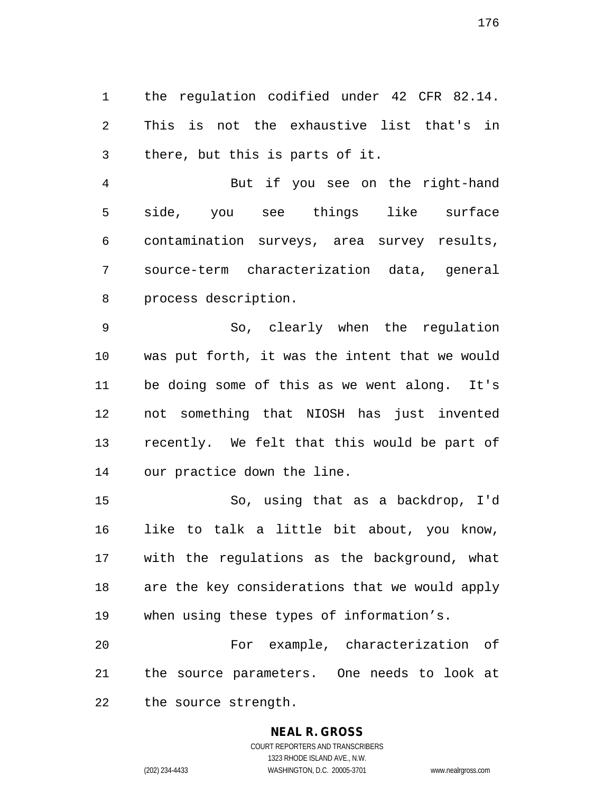1 the regulation codified under 42 CFR 82.14. 2 This is not the exhaustive list that's in 3 there, but this is parts of it.

4 But if you see on the right-hand 5 side, you see things like surface 6 contamination surveys, area survey results, 7 source-term characterization data, general 8 process description.

9 So, clearly when the regulation 10 was put forth, it was the intent that we would 11 be doing some of this as we went along. It's 12 not something that NIOSH has just invented 13 recently. We felt that this would be part of 14 our practice down the line.

15 So, using that as a backdrop, I'd 16 like to talk a little bit about, you know, 17 with the regulations as the background, what 18 are the key considerations that we would apply 19 when using these types of information's.

20 For example, characterization of 21 the source parameters. One needs to look at 22 the source strength.

## **NEAL R. GROSS**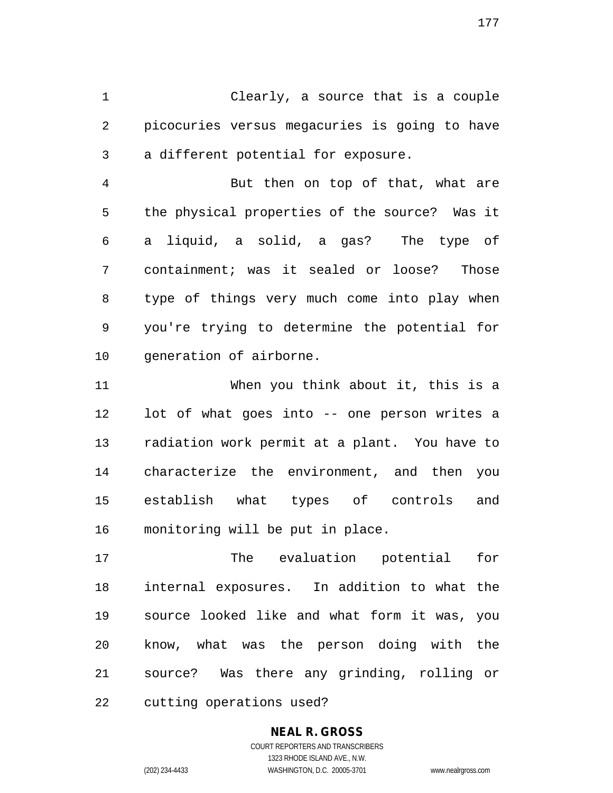1 Clearly, a source that is a couple 2 picocuries versus megacuries is going to have 3 a different potential for exposure.

4 But then on top of that, what are 5 the physical properties of the source? Was it 6 a liquid, a solid, a gas? The type of 7 containment; was it sealed or loose? Those 8 type of things very much come into play when 9 you're trying to determine the potential for 10 generation of airborne.

11 When you think about it, this is a 12 lot of what goes into -- one person writes a 13 radiation work permit at a plant. You have to 14 characterize the environment, and then you 15 establish what types of controls and 16 monitoring will be put in place.

17 The evaluation potential for 18 internal exposures. In addition to what the 19 source looked like and what form it was, you 20 know, what was the person doing with the 21 source? Was there any grinding, rolling or 22 cutting operations used?

#### **NEAL R. GROSS** COURT REPORTERS AND TRANSCRIBERS

1323 RHODE ISLAND AVE., N.W. (202) 234-4433 WASHINGTON, D.C. 20005-3701 www.nealrgross.com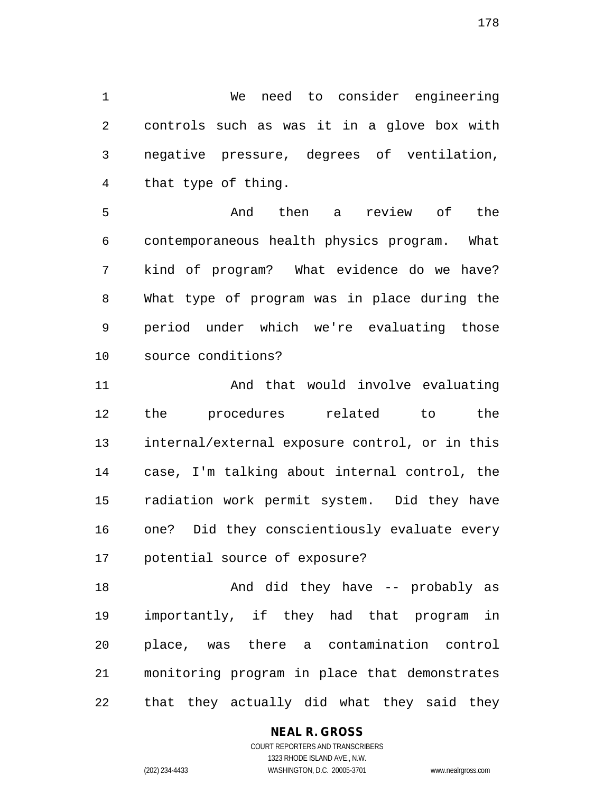1 We need to consider engineering 2 controls such as was it in a glove box with 3 negative pressure, degrees of ventilation, 4 that type of thing.

5 And then a review of the 6 contemporaneous health physics program. What 7 kind of program? What evidence do we have? 8 What type of program was in place during the 9 period under which we're evaluating those 10 source conditions?

11 And that would involve evaluating 12 the procedures related to the 13 internal/external exposure control, or in this 14 case, I'm talking about internal control, the 15 radiation work permit system. Did they have 16 one? Did they conscientiously evaluate every 17 potential source of exposure?

18 And did they have -- probably as 19 importantly, if they had that program in 20 place, was there a contamination control 21 monitoring program in place that demonstrates 22 that they actually did what they said they

#### **NEAL R. GROSS**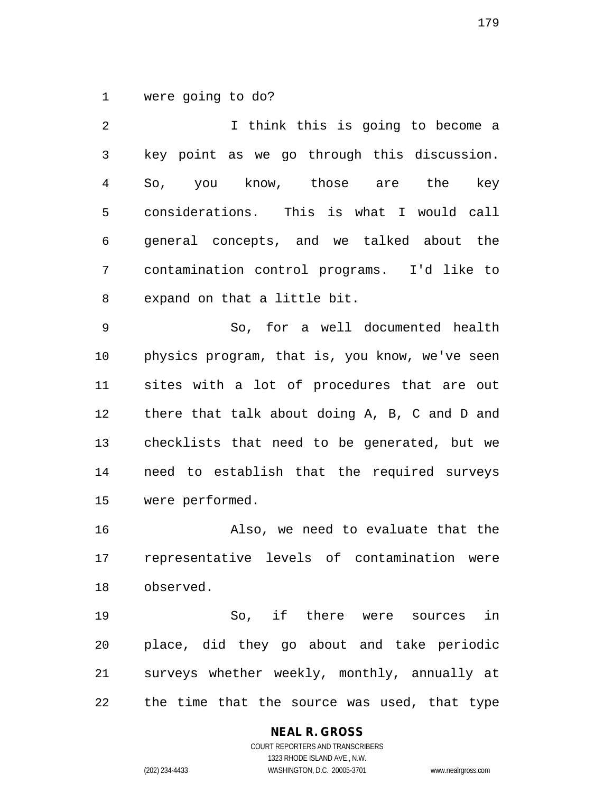1 were going to do?

2 I think this is going to become a 3 key point as we go through this discussion. 4 So, you know, those are the key 5 considerations. This is what I would call 6 general concepts, and we talked about the 7 contamination control programs. I'd like to 8 expand on that a little bit.

9 So, for a well documented health 10 physics program, that is, you know, we've seen 11 sites with a lot of procedures that are out 12 there that talk about doing A, B, C and D and 13 checklists that need to be generated, but we 14 need to establish that the required surveys 15 were performed.

16 Also, we need to evaluate that the 17 representative levels of contamination were 18 observed.

19 So, if there were sources in 20 place, did they go about and take periodic 21 surveys whether weekly, monthly, annually at 22 the time that the source was used, that type

## **NEAL R. GROSS**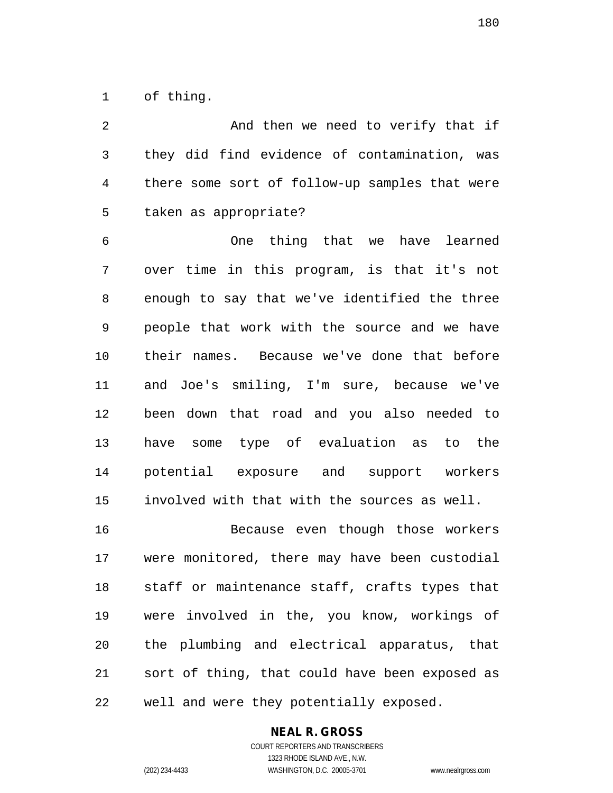1 of thing.

2 And then we need to verify that if 3 they did find evidence of contamination, was 4 there some sort of follow-up samples that were 5 taken as appropriate? 6 One thing that we have learned 7 over time in this program, is that it's not 8 enough to say that we've identified the three 9 people that work with the source and we have 10 their names. Because we've done that before 11 and Joe's smiling, I'm sure, because we've 12 been down that road and you also needed to 13 have some type of evaluation as to the 14 potential exposure and support workers 15 involved with that with the sources as well. 16 Because even though those workers 17 were monitored, there may have been custodial 18 staff or maintenance staff, crafts types that 19 were involved in the, you know, workings of

20 the plumbing and electrical apparatus, that 21 sort of thing, that could have been exposed as 22 well and were they potentially exposed.

#### **NEAL R. GROSS**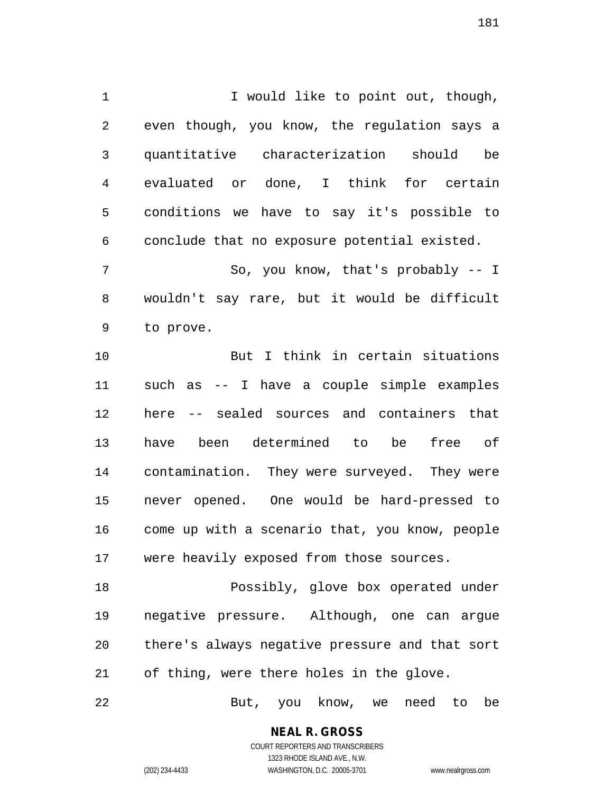1 I would like to point out, though, 2 even though, you know, the regulation says a 3 quantitative characterization should be 4 evaluated or done, I think for certain 5 conditions we have to say it's possible to 6 conclude that no exposure potential existed.

7 So, you know, that's probably -- I 8 wouldn't say rare, but it would be difficult 9 to prove.

10 But I think in certain situations 11 such as -- I have a couple simple examples 12 here -- sealed sources and containers that 13 have been determined to be free of 14 contamination. They were surveyed. They were 15 never opened. One would be hard-pressed to 16 come up with a scenario that, you know, people 17 were heavily exposed from those sources.

18 Possibly, glove box operated under 19 negative pressure. Although, one can argue 20 there's always negative pressure and that sort 21 of thing, were there holes in the glove.

22 But, you know, we need to be

**NEAL R. GROSS** COURT REPORTERS AND TRANSCRIBERS

1323 RHODE ISLAND AVE., N.W. (202) 234-4433 WASHINGTON, D.C. 20005-3701 www.nealrgross.com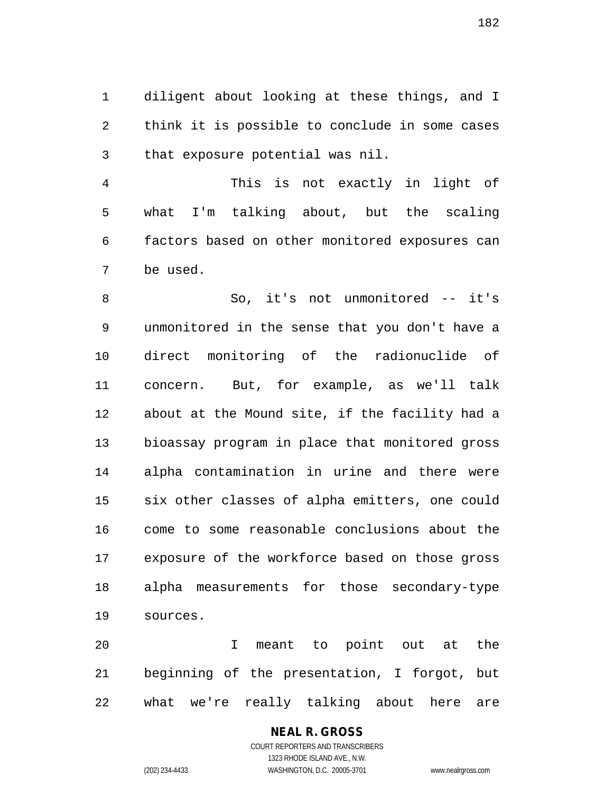1 diligent about looking at these things, and I 2 think it is possible to conclude in some cases 3 that exposure potential was nil.

4 This is not exactly in light of 5 what I'm talking about, but the scaling 6 factors based on other monitored exposures can 7 be used.

8 So, it's not unmonitored -- it's 9 unmonitored in the sense that you don't have a 10 direct monitoring of the radionuclide of 11 concern. But, for example, as we'll talk 12 about at the Mound site, if the facility had a 13 bioassay program in place that monitored gross 14 alpha contamination in urine and there were 15 six other classes of alpha emitters, one could 16 come to some reasonable conclusions about the 17 exposure of the workforce based on those gross 18 alpha measurements for those secondary-type 19 sources.

20 I meant to point out at the 21 beginning of the presentation, I forgot, but 22 what we're really talking about here are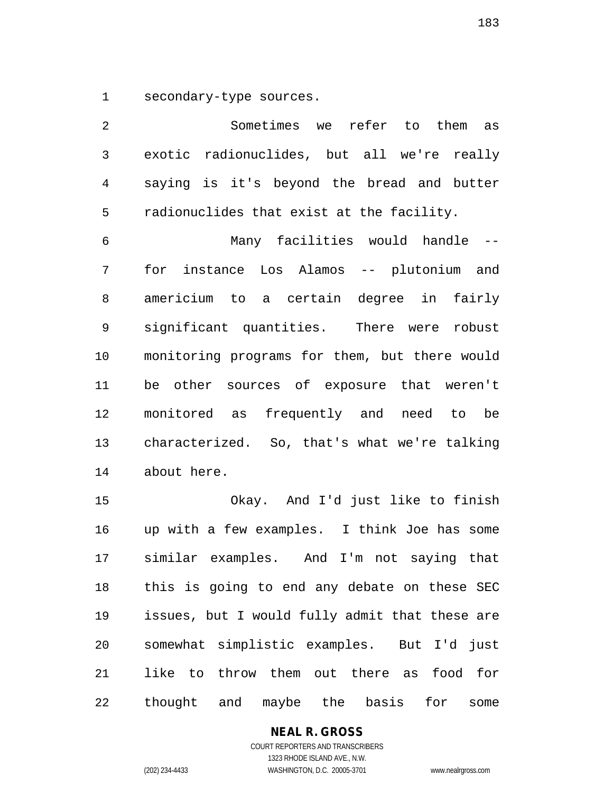1 secondary-type sources.

2 Sometimes we refer to them as 3 exotic radionuclides, but all we're really 4 saying is it's beyond the bread and butter 5 radionuclides that exist at the facility. 6 Many facilities would handle -- 7 for instance Los Alamos -- plutonium and 8 americium to a certain degree in fairly 9 significant quantities. There were robust 10 monitoring programs for them, but there would 11 be other sources of exposure that weren't 12 monitored as frequently and need to be 13 characterized. So, that's what we're talking 14 about here. 15 Okay. And I'd just like to finish 16 up with a few examples. I think Joe has some 17 similar examples. And I'm not saying that 18 this is going to end any debate on these SEC 19 issues, but I would fully admit that these are 20 somewhat simplistic examples. But I'd just

21 like to throw them out there as food for 22 thought and maybe the basis for some

#### **NEAL R. GROSS**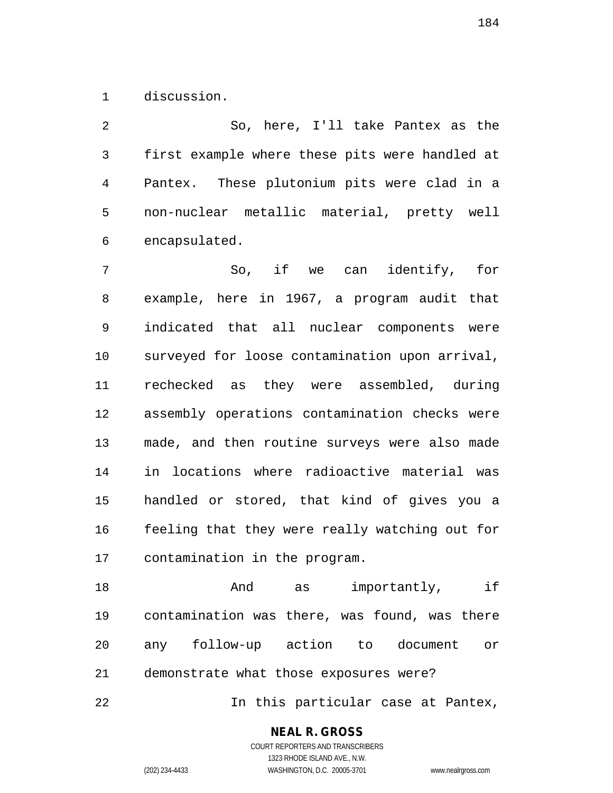1 discussion.

2 So, here, I'll take Pantex as the 3 first example where these pits were handled at 4 Pantex. These plutonium pits were clad in a 5 non-nuclear metallic material, pretty well 6 encapsulated.

7 So, if we can identify, for 8 example, here in 1967, a program audit that 9 indicated that all nuclear components were 10 surveyed for loose contamination upon arrival, 11 rechecked as they were assembled, during 12 assembly operations contamination checks were 13 made, and then routine surveys were also made 14 in locations where radioactive material was 15 handled or stored, that kind of gives you a 16 feeling that they were really watching out for 17 contamination in the program.

18 **And** as importantly, if 19 contamination was there, was found, was there 20 any follow-up action to document or 21 demonstrate what those exposures were?

22 In this particular case at Pantex,

#### **NEAL R. GROSS**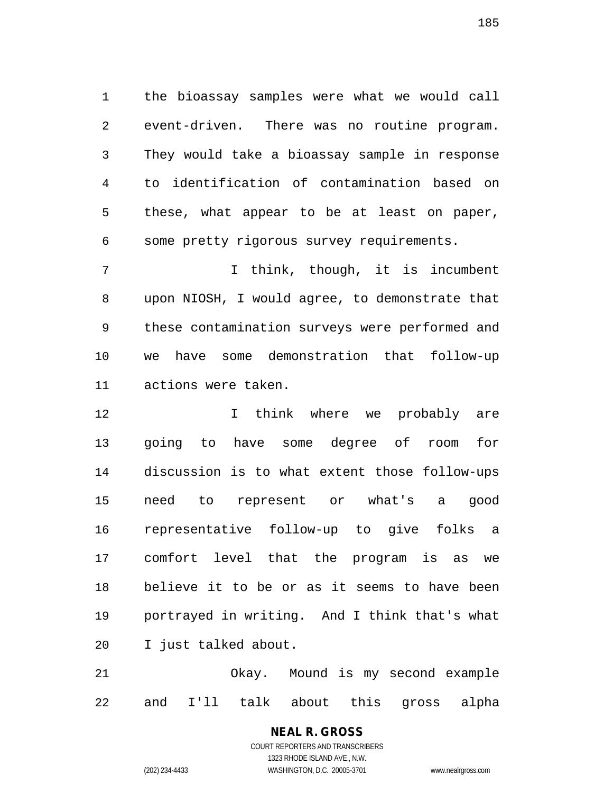1 the bioassay samples were what we would call 2 event-driven. There was no routine program. 3 They would take a bioassay sample in response 4 to identification of contamination based on 5 these, what appear to be at least on paper, 6 some pretty rigorous survey requirements.

7 1 I think, though, it is incumbent 8 upon NIOSH, I would agree, to demonstrate that 9 these contamination surveys were performed and 10 we have some demonstration that follow-up 11 actions were taken.

12 12 I think where we probably are 13 going to have some degree of room for 14 discussion is to what extent those follow-ups 15 need to represent or what's a good 16 representative follow-up to give folks a 17 comfort level that the program is as we 18 believe it to be or as it seems to have been 19 portrayed in writing. And I think that's what 20 I just talked about.

21 Okay. Mound is my second example 22 and I'll talk about this gross alpha

# **NEAL R. GROSS**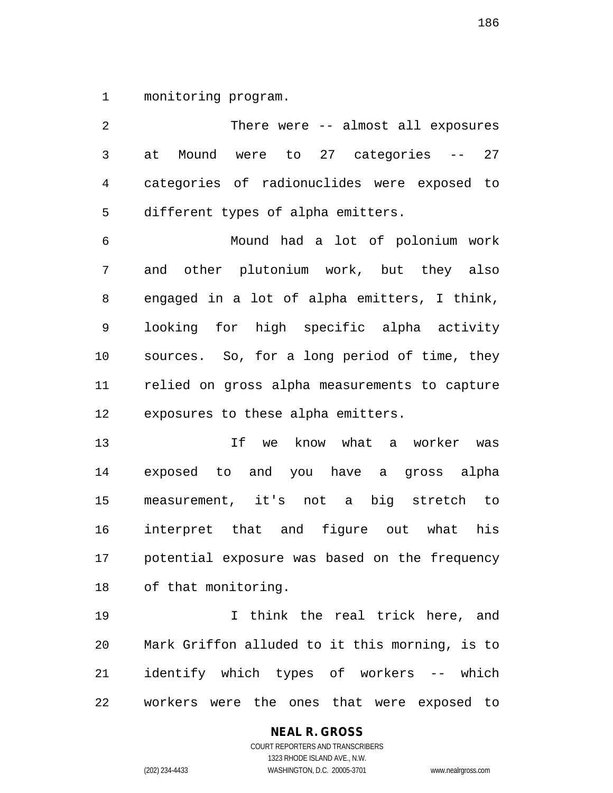1 monitoring program.

2 There were -- almost all exposures 3 at Mound were to 27 categories -- 27 4 categories of radionuclides were exposed to 5 different types of alpha emitters. 6 Mound had a lot of polonium work 7 and other plutonium work, but they also 8 engaged in a lot of alpha emitters, I think, 9 looking for high specific alpha activity 10 sources. So, for a long period of time, they 11 relied on gross alpha measurements to capture 12 exposures to these alpha emitters. 13 If we know what a worker was 14 exposed to and you have a gross alpha

19 I think the real trick here, and 20 Mark Griffon alluded to it this morning, is to 21 identify which types of workers -- which 22 workers were the ones that were exposed to

15 measurement, it's not a big stretch to

16 interpret that and figure out what his

17 potential exposure was based on the frequency

# **NEAL R. GROSS**

18 of that monitoring.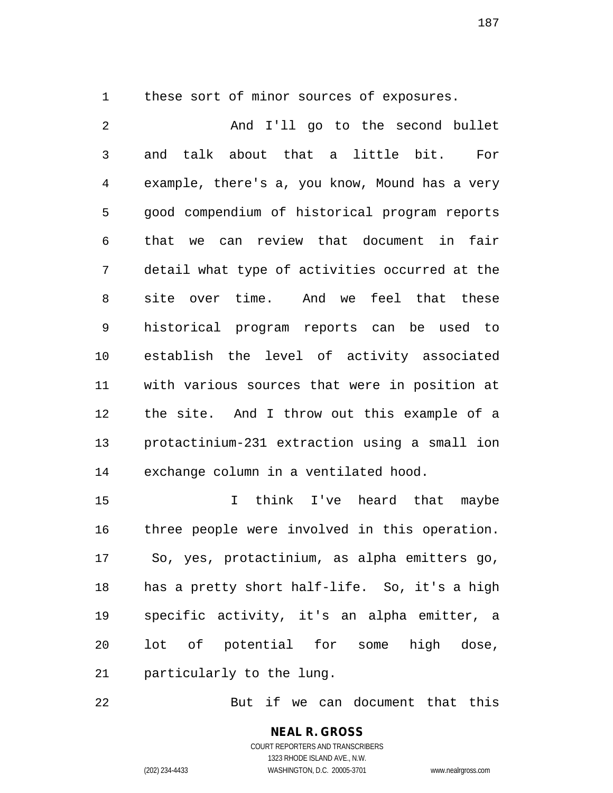1 these sort of minor sources of exposures.

2 And I'll go to the second bullet 3 and talk about that a little bit. For 4 example, there's a, you know, Mound has a very 5 good compendium of historical program reports 6 that we can review that document in fair 7 detail what type of activities occurred at the 8 site over time. And we feel that these 9 historical program reports can be used to 10 establish the level of activity associated 11 with various sources that were in position at 12 the site. And I throw out this example of a 13 protactinium-231 extraction using a small ion 14 exchange column in a ventilated hood.

15 I think I've heard that maybe 16 three people were involved in this operation. 17 So, yes, protactinium, as alpha emitters go, 18 has a pretty short half-life. So, it's a high 19 specific activity, it's an alpha emitter, a 20 lot of potential for some high dose, 21 particularly to the lung.

22 But if we can document that this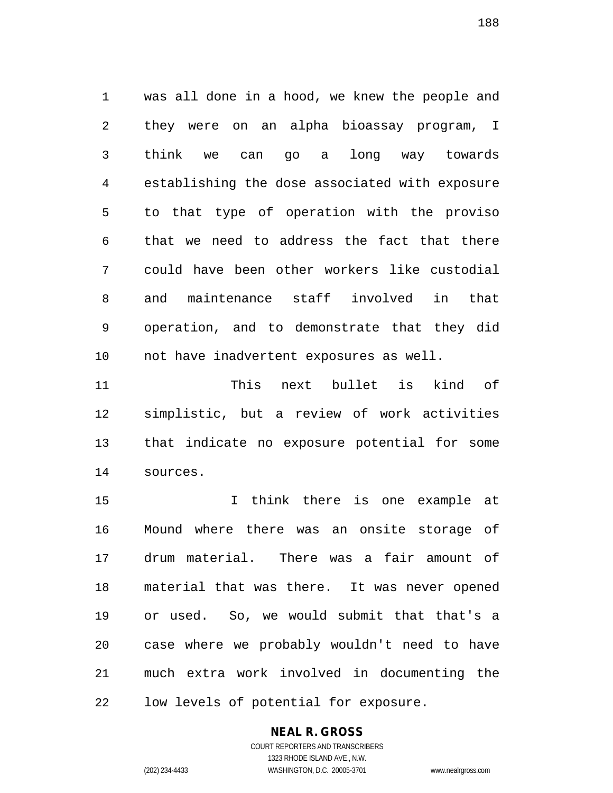1 was all done in a hood, we knew the people and 2 they were on an alpha bioassay program, I 3 think we can go a long way towards 4 establishing the dose associated with exposure 5 to that type of operation with the proviso 6 that we need to address the fact that there 7 could have been other workers like custodial 8 and maintenance staff involved in that 9 operation, and to demonstrate that they did 10 not have inadvertent exposures as well.

11 This next bullet is kind of 12 simplistic, but a review of work activities 13 that indicate no exposure potential for some 14 sources.

15 I think there is one example at 16 Mound where there was an onsite storage of 17 drum material. There was a fair amount of 18 material that was there. It was never opened 19 or used. So, we would submit that that's a 20 case where we probably wouldn't need to have 21 much extra work involved in documenting the 22 low levels of potential for exposure.

### **NEAL R. GROSS**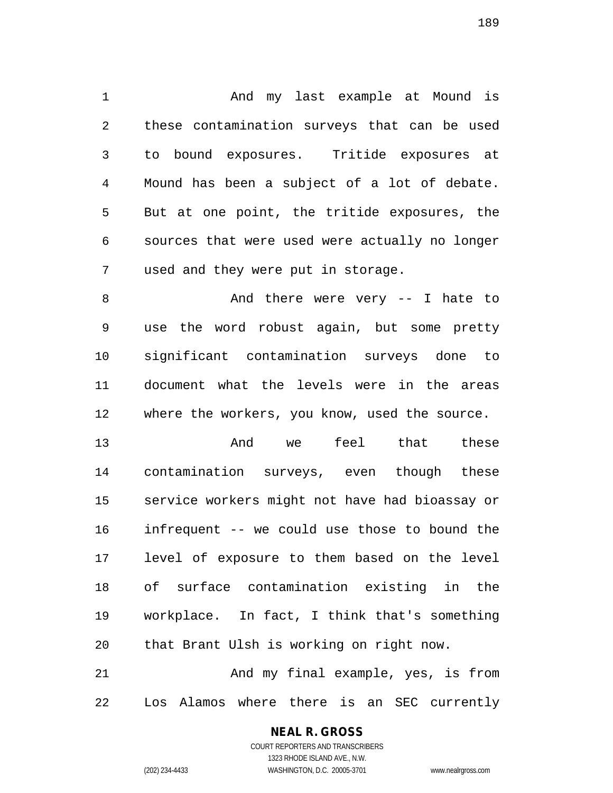1 And my last example at Mound is 2 these contamination surveys that can be used 3 to bound exposures. Tritide exposures at 4 Mound has been a subject of a lot of debate. 5 But at one point, the tritide exposures, the 6 sources that were used were actually no longer 7 used and they were put in storage.

8 And there were very -- I hate to 9 use the word robust again, but some pretty 10 significant contamination surveys done to 11 document what the levels were in the areas 12 where the workers, you know, used the source.

13 And we feel that these 14 contamination surveys, even though these 15 service workers might not have had bioassay or 16 infrequent -- we could use those to bound the 17 level of exposure to them based on the level 18 of surface contamination existing in the 19 workplace. In fact, I think that's something 20 that Brant Ulsh is working on right now.

21 And my final example, yes, is from 22 Los Alamos where there is an SEC currently

## **NEAL R. GROSS**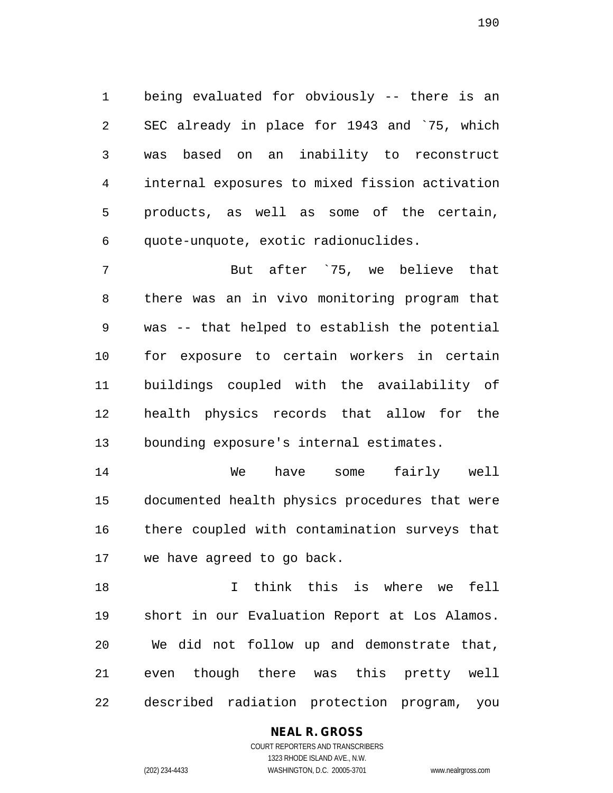1 being evaluated for obviously -- there is an 2 SEC already in place for 1943 and `75, which 3 was based on an inability to reconstruct 4 internal exposures to mixed fission activation 5 products, as well as some of the certain, 6 quote-unquote, exotic radionuclides.

7 But after `75, we believe that 8 there was an in vivo monitoring program that 9 was -- that helped to establish the potential 10 for exposure to certain workers in certain 11 buildings coupled with the availability of 12 health physics records that allow for the 13 bounding exposure's internal estimates.

14 We have some fairly well 15 documented health physics procedures that were 16 there coupled with contamination surveys that 17 we have agreed to go back.

18 I think this is where we fell 19 short in our Evaluation Report at Los Alamos. 20 We did not follow up and demonstrate that, 21 even though there was this pretty well 22 described radiation protection program, you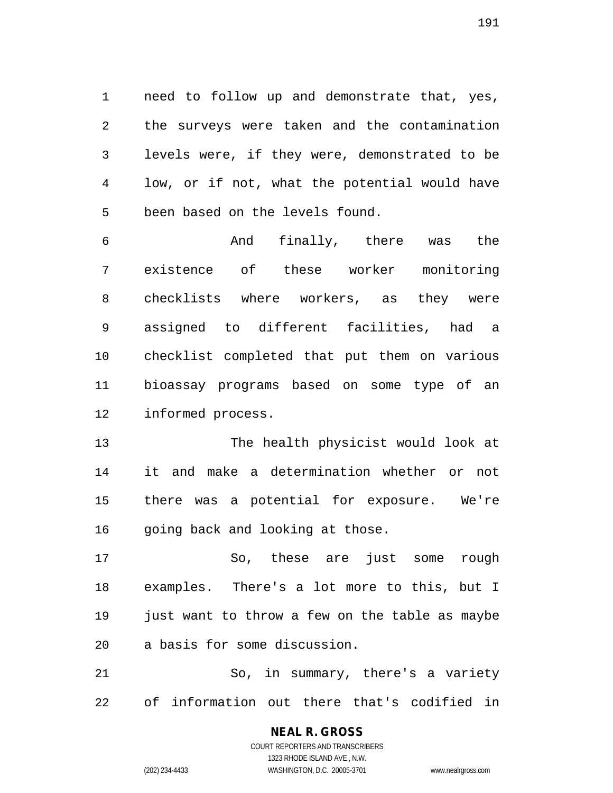1 need to follow up and demonstrate that, yes, 2 the surveys were taken and the contamination 3 levels were, if they were, demonstrated to be 4 low, or if not, what the potential would have 5 been based on the levels found.

6 And finally, there was the 7 existence of these worker monitoring 8 checklists where workers, as they were 9 assigned to different facilities, had a 10 checklist completed that put them on various 11 bioassay programs based on some type of an 12 informed process.

13 The health physicist would look at 14 it and make a determination whether or not 15 there was a potential for exposure. We're 16 going back and looking at those.

17 So, these are just some rough 18 examples. There's a lot more to this, but I 19 just want to throw a few on the table as maybe 20 a basis for some discussion.

21 So, in summary, there's a variety 22 of information out there that's codified in

> COURT REPORTERS AND TRANSCRIBERS 1323 RHODE ISLAND AVE., N.W. (202) 234-4433 WASHINGTON, D.C. 20005-3701 www.nealrgross.com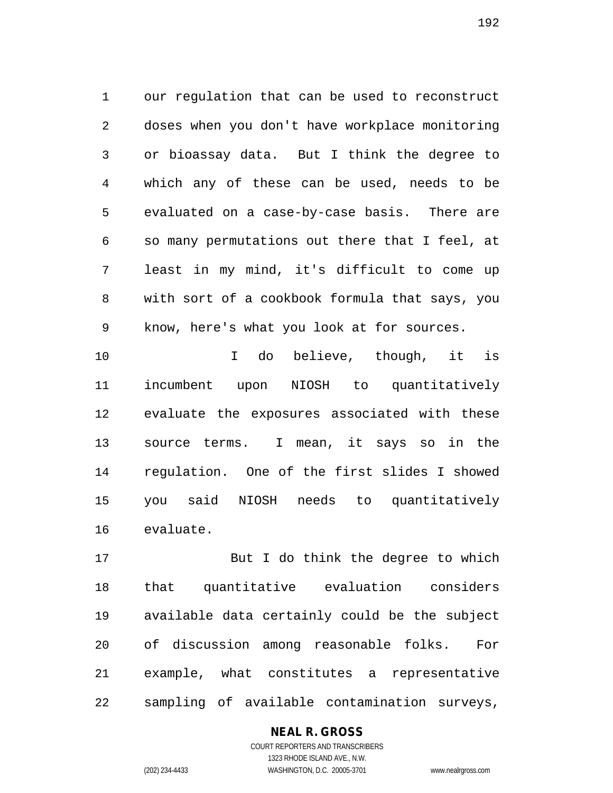1 our regulation that can be used to reconstruct 2 doses when you don't have workplace monitoring 3 or bioassay data. But I think the degree to 4 which any of these can be used, needs to be 5 evaluated on a case-by-case basis. There are 6 so many permutations out there that I feel, at 7 least in my mind, it's difficult to come up 8 with sort of a cookbook formula that says, you 9 know, here's what you look at for sources.

10 I do believe, though, it is 11 incumbent upon NIOSH to quantitatively 12 evaluate the exposures associated with these 13 source terms. I mean, it says so in the 14 regulation. One of the first slides I showed 15 you said NIOSH needs to quantitatively 16 evaluate.

17 But I do think the degree to which 18 that quantitative evaluation considers 19 available data certainly could be the subject 20 of discussion among reasonable folks. For 21 example, what constitutes a representative 22 sampling of available contamination surveys,

#### **NEAL R. GROSS**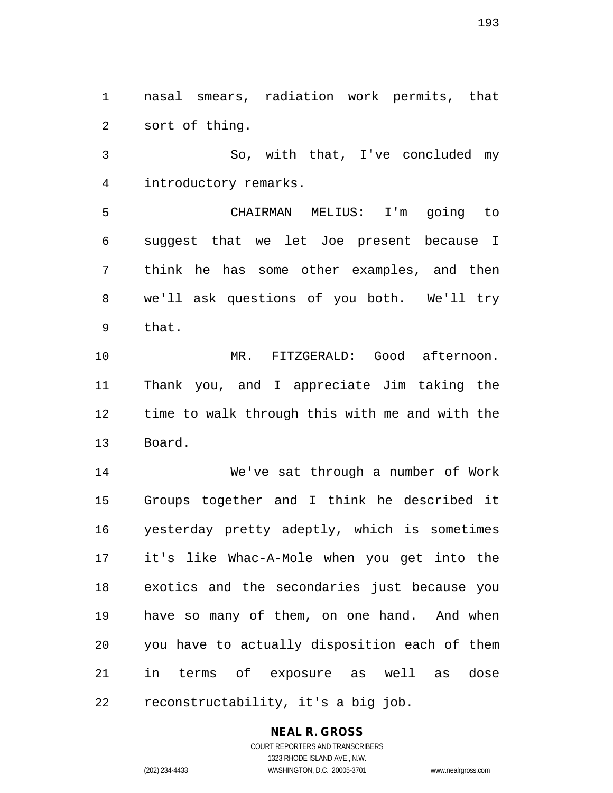1 nasal smears, radiation work permits, that 2 sort of thing.

3 So, with that, I've concluded my 4 introductory remarks.

5 CHAIRMAN MELIUS: I'm going to 6 suggest that we let Joe present because I 7 think he has some other examples, and then 8 we'll ask questions of you both. We'll try 9 that.

10 MR. FITZGERALD: Good afternoon. 11 Thank you, and I appreciate Jim taking the 12 time to walk through this with me and with the 13 Board.

14 We've sat through a number of Work 15 Groups together and I think he described it 16 yesterday pretty adeptly, which is sometimes 17 it's like Whac-A-Mole when you get into the 18 exotics and the secondaries just because you 19 have so many of them, on one hand. And when 20 you have to actually disposition each of them 21 in terms of exposure as well as dose 22 reconstructability, it's a big job.

#### **NEAL R. GROSS** COURT REPORTERS AND TRANSCRIBERS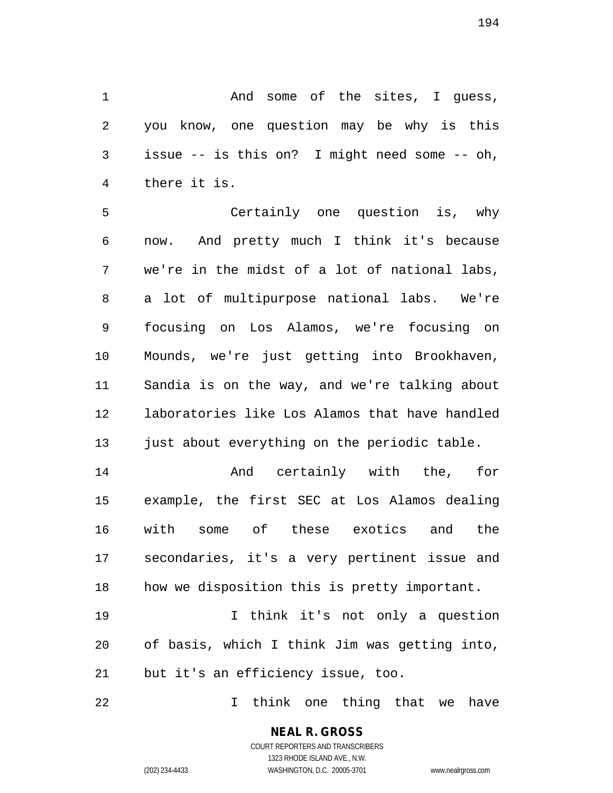1 and some of the sites, I guess, 2 you know, one question may be why is this 3 issue -- is this on? I might need some -- oh, 4 there it is.

5 Certainly one question is, why 6 now. And pretty much I think it's because 7 we're in the midst of a lot of national labs, 8 a lot of multipurpose national labs. We're 9 focusing on Los Alamos, we're focusing on 10 Mounds, we're just getting into Brookhaven, 11 Sandia is on the way, and we're talking about 12 laboratories like Los Alamos that have handled 13 just about everything on the periodic table.

14 And certainly with the, for 15 example, the first SEC at Los Alamos dealing 16 with some of these exotics and the 17 secondaries, it's a very pertinent issue and 18 how we disposition this is pretty important.

19 I think it's not only a question 20 of basis, which I think Jim was getting into, 21 but it's an efficiency issue, too.

22 I think one thing that we have

**NEAL R. GROSS** COURT REPORTERS AND TRANSCRIBERS

1323 RHODE ISLAND AVE., N.W.

(202) 234-4433 WASHINGTON, D.C. 20005-3701 www.nealrgross.com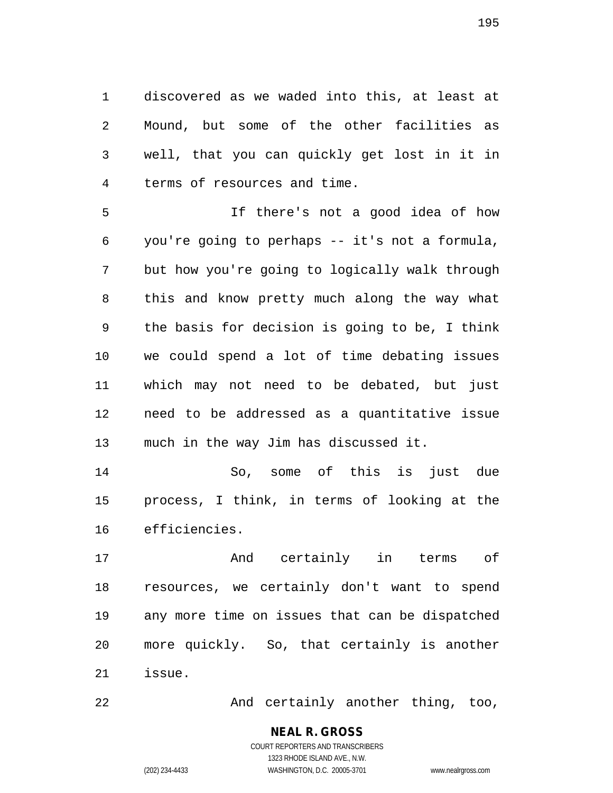1 discovered as we waded into this, at least at 2 Mound, but some of the other facilities as 3 well, that you can quickly get lost in it in 4 terms of resources and time.

5 If there's not a good idea of how 6 you're going to perhaps -- it's not a formula, 7 but how you're going to logically walk through 8 this and know pretty much along the way what 9 the basis for decision is going to be, I think 10 we could spend a lot of time debating issues 11 which may not need to be debated, but just 12 need to be addressed as a quantitative issue 13 much in the way Jim has discussed it.

14 So, some of this is just due 15 process, I think, in terms of looking at the 16 efficiencies.

17 And certainly in terms of 18 resources, we certainly don't want to spend 19 any more time on issues that can be dispatched 20 more quickly. So, that certainly is another 21 issue.

22 And certainly another thing, too,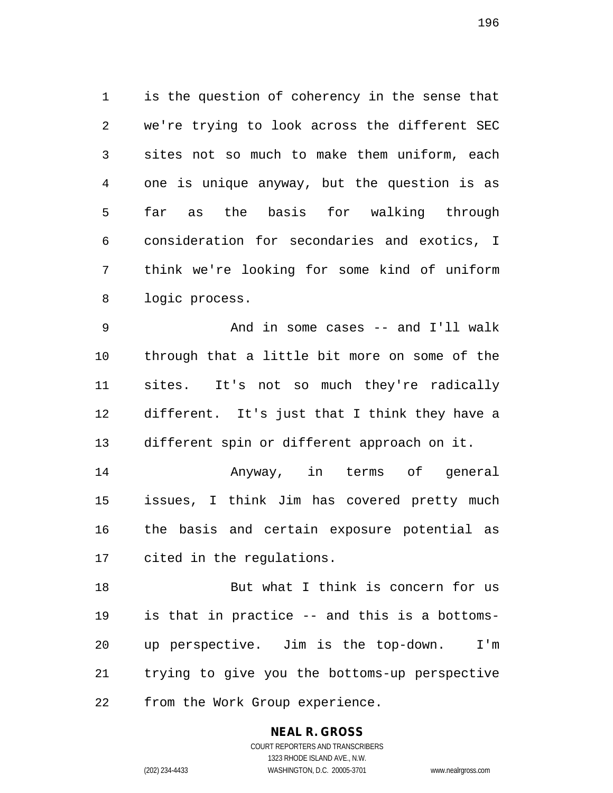1 is the question of coherency in the sense that 2 we're trying to look across the different SEC 3 sites not so much to make them uniform, each 4 one is unique anyway, but the question is as 5 far as the basis for walking through 6 consideration for secondaries and exotics, I 7 think we're looking for some kind of uniform 8 logic process.

9 And in some cases -- and I'll walk 10 through that a little bit more on some of the 11 sites. It's not so much they're radically 12 different. It's just that I think they have a 13 different spin or different approach on it.

14 Anyway, in terms of general 15 issues, I think Jim has covered pretty much 16 the basis and certain exposure potential as 17 cited in the regulations.

18 But what I think is concern for us 19 is that in practice -- and this is a bottoms-20 up perspective. Jim is the top-down. I'm 21 trying to give you the bottoms-up perspective 22 from the Work Group experience.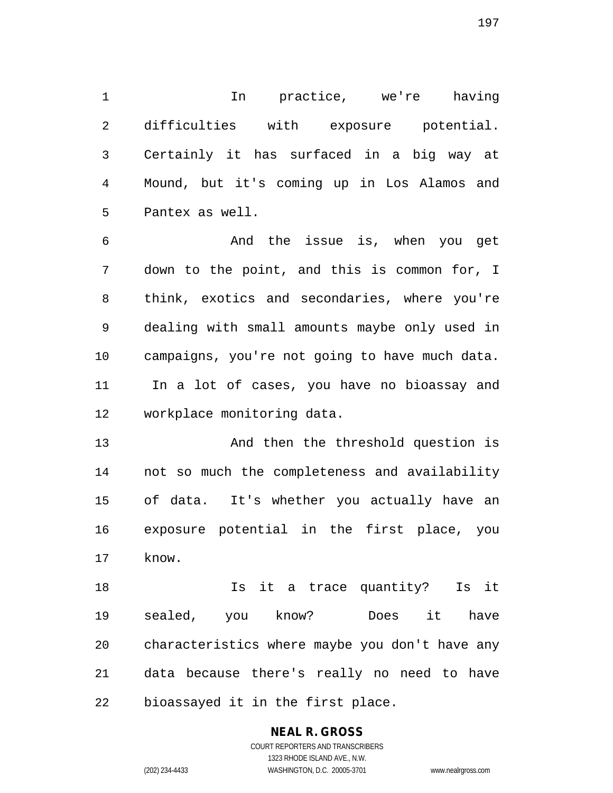1 In practice, we're having 2 difficulties with exposure potential. 3 Certainly it has surfaced in a big way at 4 Mound, but it's coming up in Los Alamos and 5 Pantex as well.

6 And the issue is, when you get 7 down to the point, and this is common for, I 8 think, exotics and secondaries, where you're 9 dealing with small amounts maybe only used in 10 campaigns, you're not going to have much data. 11 In a lot of cases, you have no bioassay and 12 workplace monitoring data.

13 And then the threshold question is 14 not so much the completeness and availability 15 of data. It's whether you actually have an 16 exposure potential in the first place, you 17 know.

18 Is it a trace quantity? Is it 19 sealed, you know? Does it have 20 characteristics where maybe you don't have any 21 data because there's really no need to have 22 bioassayed it in the first place.

# **NEAL R. GROSS**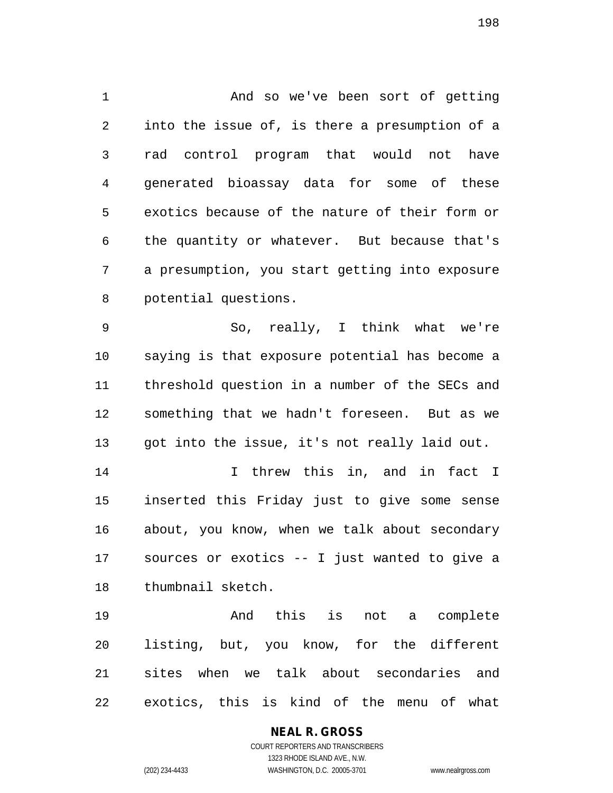1 And so we've been sort of getting 2 into the issue of, is there a presumption of a 3 rad control program that would not have 4 generated bioassay data for some of these 5 exotics because of the nature of their form or 6 the quantity or whatever. But because that's 7 a presumption, you start getting into exposure 8 potential questions.

9 So, really, I think what we're 10 saying is that exposure potential has become a 11 threshold question in a number of the SECs and 12 something that we hadn't foreseen. But as we 13 got into the issue, it's not really laid out.

14 I threw this in, and in fact I 15 inserted this Friday just to give some sense 16 about, you know, when we talk about secondary 17 sources or exotics -- I just wanted to give a 18 thumbnail sketch.

19 And this is not a complete 20 listing, but, you know, for the different 21 sites when we talk about secondaries and 22 exotics, this is kind of the menu of what

#### **NEAL R. GROSS** COURT REPORTERS AND TRANSCRIBERS

1323 RHODE ISLAND AVE., N.W. (202) 234-4433 WASHINGTON, D.C. 20005-3701 www.nealrgross.com

198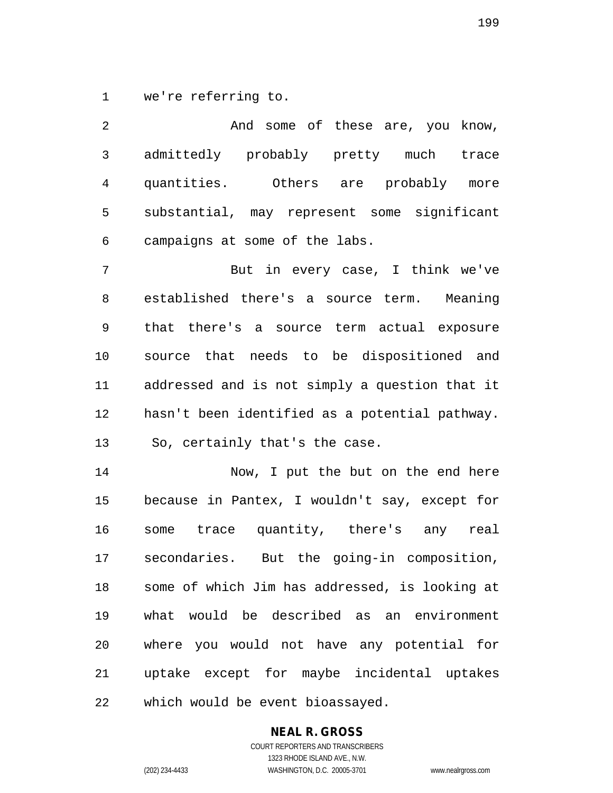1 we're referring to.

2 And some of these are, you know, 3 admittedly probably pretty much trace 4 quantities. Others are probably more 5 substantial, may represent some significant 6 campaigns at some of the labs.

7 But in every case, I think we've 8 established there's a source term. Meaning 9 that there's a source term actual exposure 10 source that needs to be dispositioned and 11 addressed and is not simply a question that it 12 hasn't been identified as a potential pathway. 13 So, certainly that's the case.

14 Now, I put the but on the end here 15 because in Pantex, I wouldn't say, except for 16 some trace quantity, there's any real 17 secondaries. But the going-in composition, 18 some of which Jim has addressed, is looking at 19 what would be described as an environment 20 where you would not have any potential for 21 uptake except for maybe incidental uptakes 22 which would be event bioassayed.

#### **NEAL R. GROSS**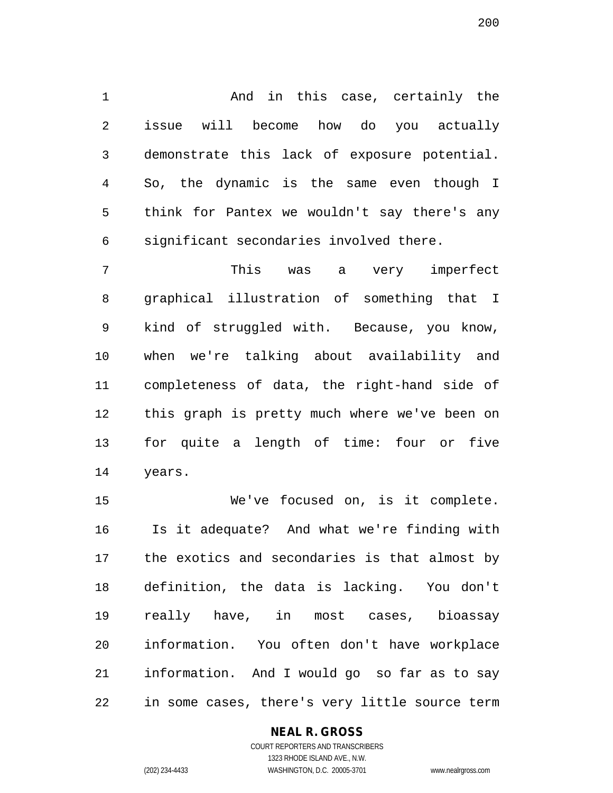1 And in this case, certainly the 2 issue will become how do you actually 3 demonstrate this lack of exposure potential. 4 So, the dynamic is the same even though I 5 think for Pantex we wouldn't say there's any 6 significant secondaries involved there.

7 This was a very imperfect 8 graphical illustration of something that I 9 kind of struggled with. Because, you know, 10 when we're talking about availability and 11 completeness of data, the right-hand side of 12 this graph is pretty much where we've been on 13 for quite a length of time: four or five 14 years.

15 We've focused on, is it complete. 16 Is it adequate? And what we're finding with 17 the exotics and secondaries is that almost by 18 definition, the data is lacking. You don't 19 really have, in most cases, bioassay 20 information. You often don't have workplace 21 information. And I would go so far as to say 22 in some cases, there's very little source term

#### **NEAL R. GROSS**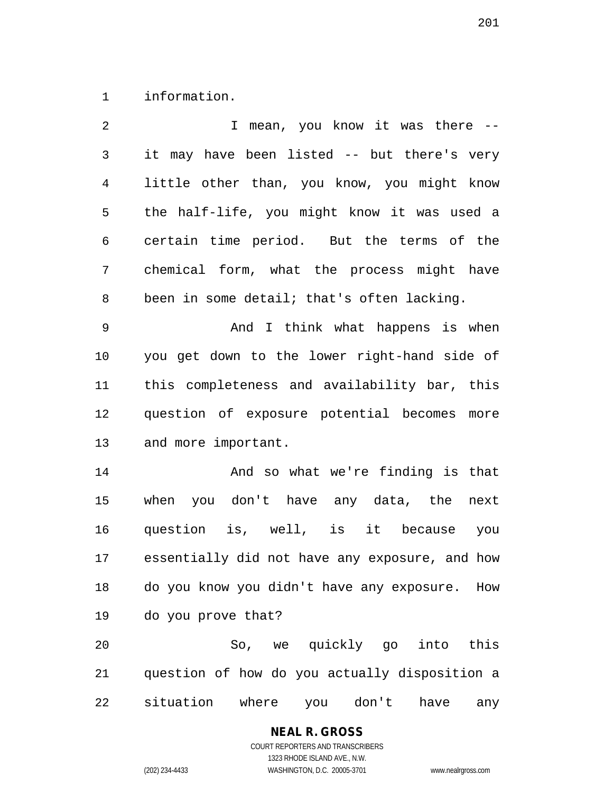1 information.

| 2            | I mean, you know it was there --               |
|--------------|------------------------------------------------|
| $\mathsf{3}$ | it may have been listed -- but there's very    |
| 4            | little other than, you know, you might know    |
| 5            | the half-life, you might know it was used a    |
| 6            | certain time period. But the terms of the      |
| 7            | chemical form, what the process might have     |
| 8            | been in some detail; that's often lacking.     |
| 9            | And I think what happens is when               |
| 10           | you get down to the lower right-hand side of   |
| 11           | this completeness and availability bar, this   |
| 12           | question of exposure potential becomes<br>more |
| 13           | and more important.                            |
| 14           | And so what we're finding is that              |
| 15           | when you don't have any data, the<br>next      |
| 16           | question is, well, is it because you           |
| 17           | essentially did not have any exposure, and how |
| 18           | do you know you didn't have any exposure. How  |
| 19           | do you prove that?                             |
| 20           | So, we quickly go into this                    |
| 21           | question of how do you actually disposition a  |
| 22           | situation<br>where<br>you don't<br>have<br>any |

**NEAL R. GROSS**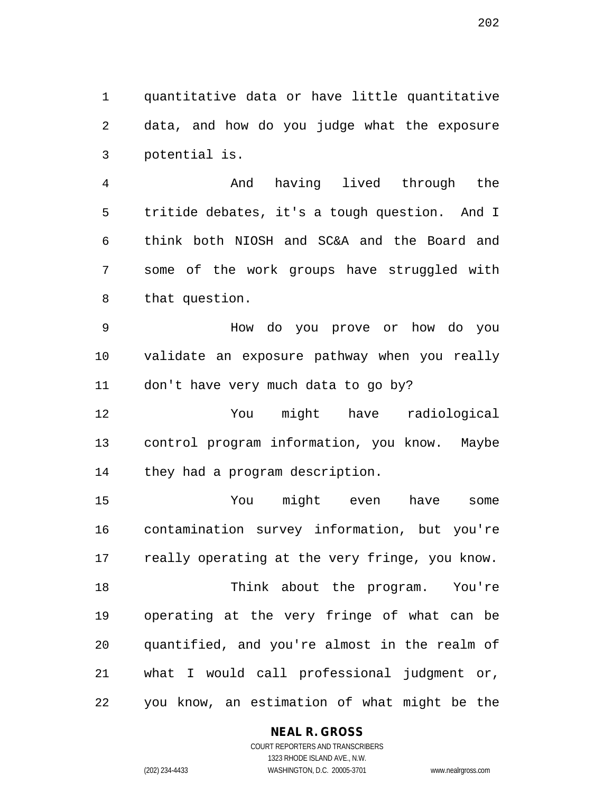1 quantitative data or have little quantitative 2 data, and how do you judge what the exposure 3 potential is.

4 And having lived through the 5 tritide debates, it's a tough question. And I 6 think both NIOSH and SC&A and the Board and 7 some of the work groups have struggled with 8 that question.

9 How do you prove or how do you 10 validate an exposure pathway when you really 11 don't have very much data to go by?

12 You might have radiological 13 control program information, you know. Maybe 14 they had a program description.

15 You might even have some 16 contamination survey information, but you're 17 really operating at the very fringe, you know. 18 Think about the program. You're 19 operating at the very fringe of what can be 20 quantified, and you're almost in the realm of 21 what I would call professional judgment or, 22 you know, an estimation of what might be the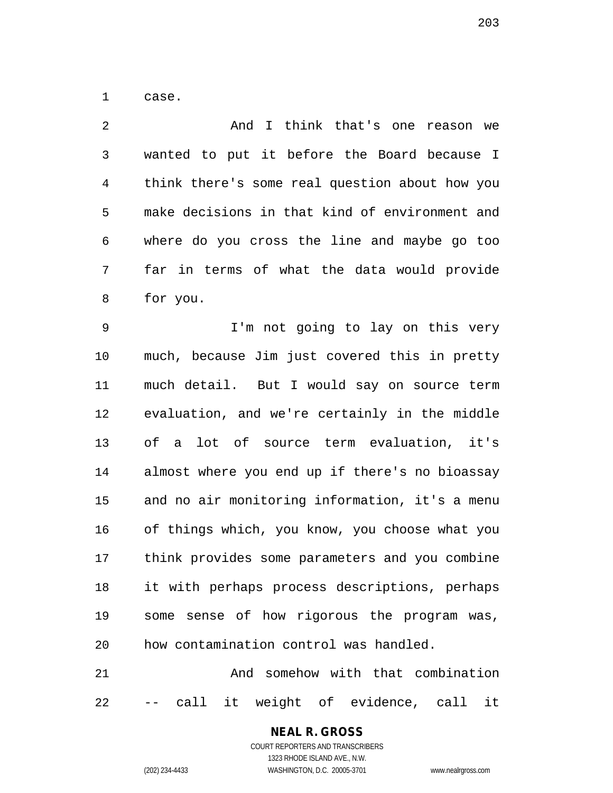1 case.

2 And I think that's one reason we 3 wanted to put it before the Board because I 4 think there's some real question about how you 5 make decisions in that kind of environment and 6 where do you cross the line and maybe go too 7 far in terms of what the data would provide 8 for you. 9 I'm not going to lay on this very 10 much, because Jim just covered this in pretty 11 much detail. But I would say on source term 12 evaluation, and we're certainly in the middle 13 of a lot of source term evaluation, it's 14 almost where you end up if there's no bioassay 15 and no air monitoring information, it's a menu 16 of things which, you know, you choose what you 17 think provides some parameters and you combine 18 it with perhaps process descriptions, perhaps 19 some sense of how rigorous the program was, 20 how contamination control was handled. 21 And somehow with that combination

22 -- call it weight of evidence, call it

## **NEAL R. GROSS**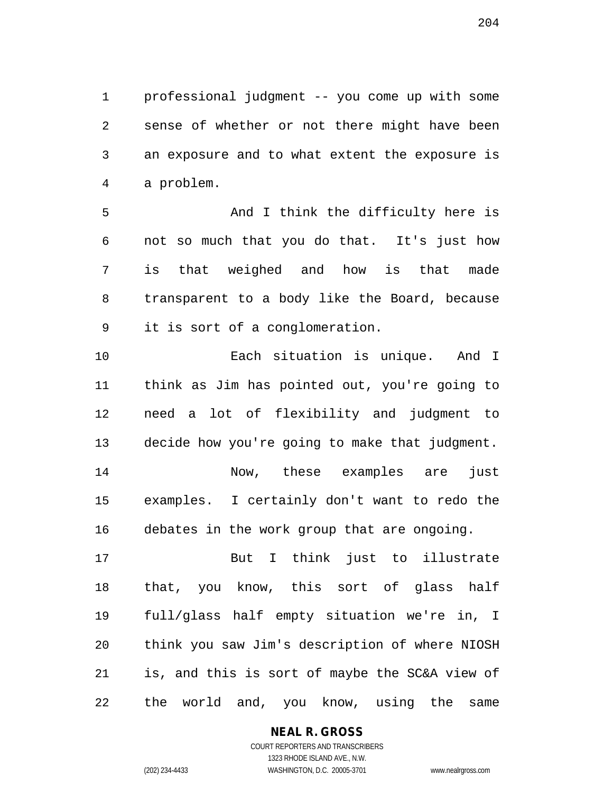1 professional judgment -- you come up with some 2 sense of whether or not there might have been 3 an exposure and to what extent the exposure is 4 a problem.

5 And I think the difficulty here is 6 not so much that you do that. It's just how 7 is that weighed and how is that made 8 transparent to a body like the Board, because 9 it is sort of a conglomeration.

10 Each situation is unique. And I 11 think as Jim has pointed out, you're going to 12 need a lot of flexibility and judgment to 13 decide how you're going to make that judgment. 14 Now, these examples are just 15 examples. I certainly don't want to redo the 16 debates in the work group that are ongoing.

17 But I think just to illustrate 18 that, you know, this sort of glass half 19 full/glass half empty situation we're in, I 20 think you saw Jim's description of where NIOSH 21 is, and this is sort of maybe the SC&A view of 22 the world and, you know, using the same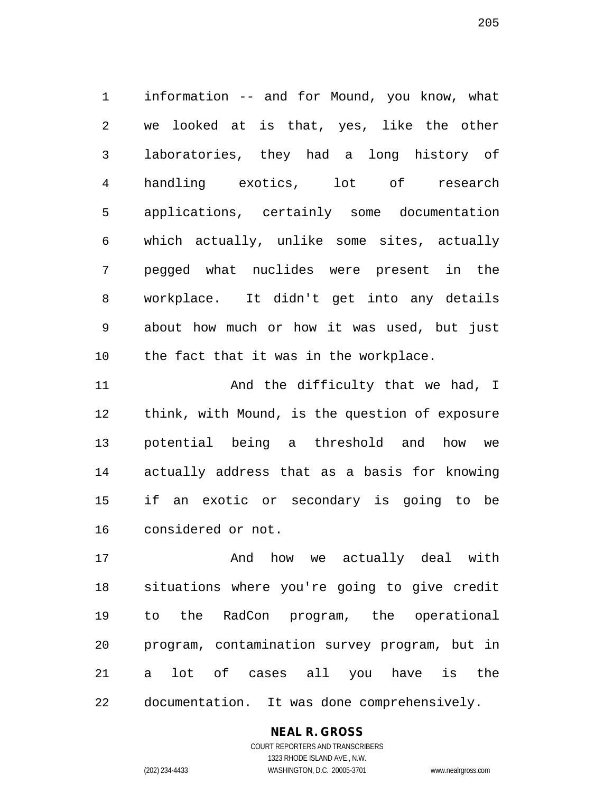1 information -- and for Mound, you know, what 2 we looked at is that, yes, like the other 3 laboratories, they had a long history of 4 handling exotics, lot of research 5 applications, certainly some documentation 6 which actually, unlike some sites, actually 7 pegged what nuclides were present in the 8 workplace. It didn't get into any details 9 about how much or how it was used, but just 10 the fact that it was in the workplace.

11 And the difficulty that we had, I 12 think, with Mound, is the question of exposure 13 potential being a threshold and how we 14 actually address that as a basis for knowing 15 if an exotic or secondary is going to be 16 considered or not.

17 and how we actually deal with 18 situations where you're going to give credit 19 to the RadCon program, the operational 20 program, contamination survey program, but in 21 a lot of cases all you have is the 22 documentation. It was done comprehensively.

#### **NEAL R. GROSS**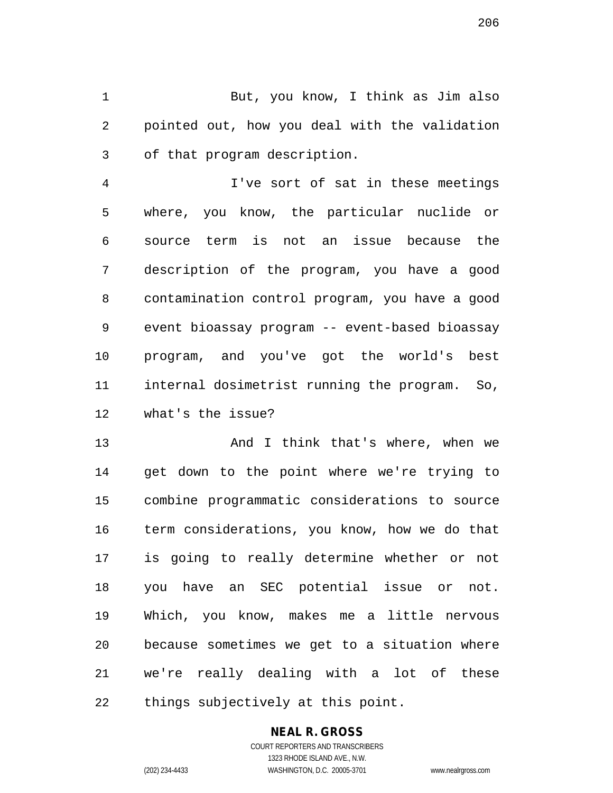1 But, you know, I think as Jim also 2 pointed out, how you deal with the validation 3 of that program description.

4 I've sort of sat in these meetings 5 where, you know, the particular nuclide or 6 source term is not an issue because the 7 description of the program, you have a good 8 contamination control program, you have a good 9 event bioassay program -- event-based bioassay 10 program, and you've got the world's best 11 internal dosimetrist running the program. So, 12 what's the issue?

13 And I think that's where, when we 14 get down to the point where we're trying to 15 combine programmatic considerations to source 16 term considerations, you know, how we do that 17 is going to really determine whether or not 18 you have an SEC potential issue or not. 19 Which, you know, makes me a little nervous 20 because sometimes we get to a situation where 21 we're really dealing with a lot of these 22 things subjectively at this point.

#### **NEAL R. GROSS**

COURT REPORTERS AND TRANSCRIBERS 1323 RHODE ISLAND AVE., N.W. (202) 234-4433 WASHINGTON, D.C. 20005-3701 www.nealrgross.com

206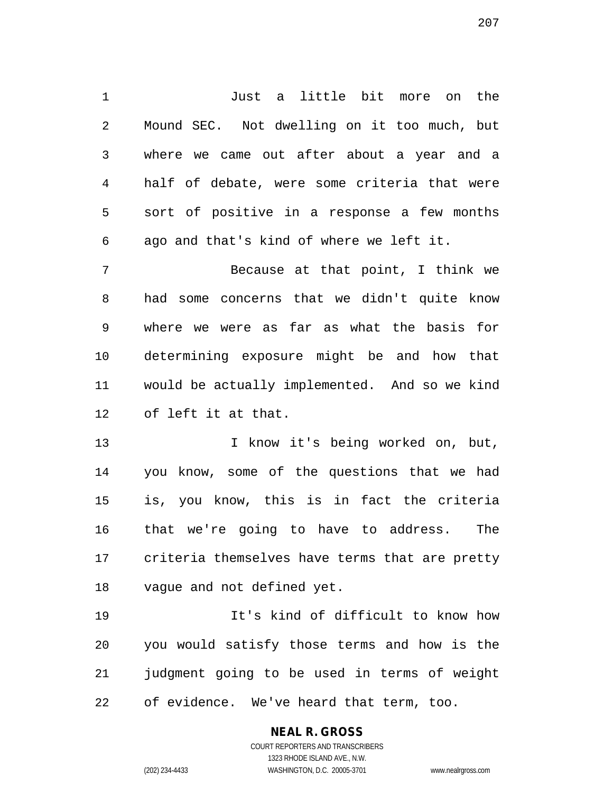1 Just a little bit more on the 2 Mound SEC. Not dwelling on it too much, but 3 where we came out after about a year and a 4 half of debate, were some criteria that were 5 sort of positive in a response a few months 6 ago and that's kind of where we left it.

7 Because at that point, I think we 8 had some concerns that we didn't quite know 9 where we were as far as what the basis for 10 determining exposure might be and how that 11 would be actually implemented. And so we kind 12 of left it at that.

13 I know it's being worked on, but, 14 you know, some of the questions that we had 15 is, you know, this is in fact the criteria 16 that we're going to have to address. The 17 criteria themselves have terms that are pretty 18 vague and not defined yet.

19 It's kind of difficult to know how 20 you would satisfy those terms and how is the 21 judgment going to be used in terms of weight 22 of evidence. We've heard that term, too.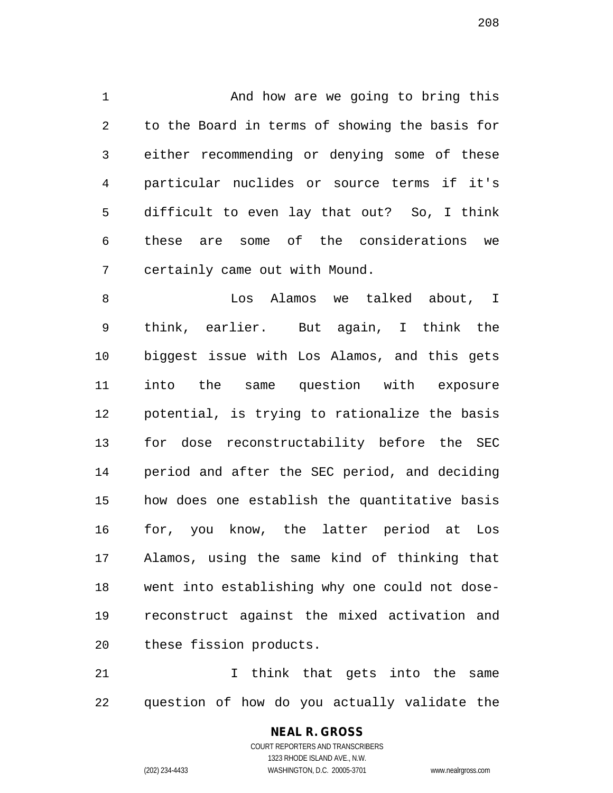1 And how are we going to bring this 2 to the Board in terms of showing the basis for 3 either recommending or denying some of these 4 particular nuclides or source terms if it's 5 difficult to even lay that out? So, I think 6 these are some of the considerations we 7 certainly came out with Mound.

8 about, I know the Manus we talked about, I 9 think, earlier. But again, I think the 10 biggest issue with Los Alamos, and this gets 11 into the same question with exposure 12 potential, is trying to rationalize the basis 13 for dose reconstructability before the SEC 14 period and after the SEC period, and deciding 15 how does one establish the quantitative basis 16 for, you know, the latter period at Los 17 Alamos, using the same kind of thinking that 18 went into establishing why one could not dose-19 reconstruct against the mixed activation and 20 these fission products.

21 1 I think that gets into the same 22 question of how do you actually validate the

> COURT REPORTERS AND TRANSCRIBERS 1323 RHODE ISLAND AVE., N.W. (202) 234-4433 WASHINGTON, D.C. 20005-3701 www.nealrgross.com

**NEAL R. GROSS**

208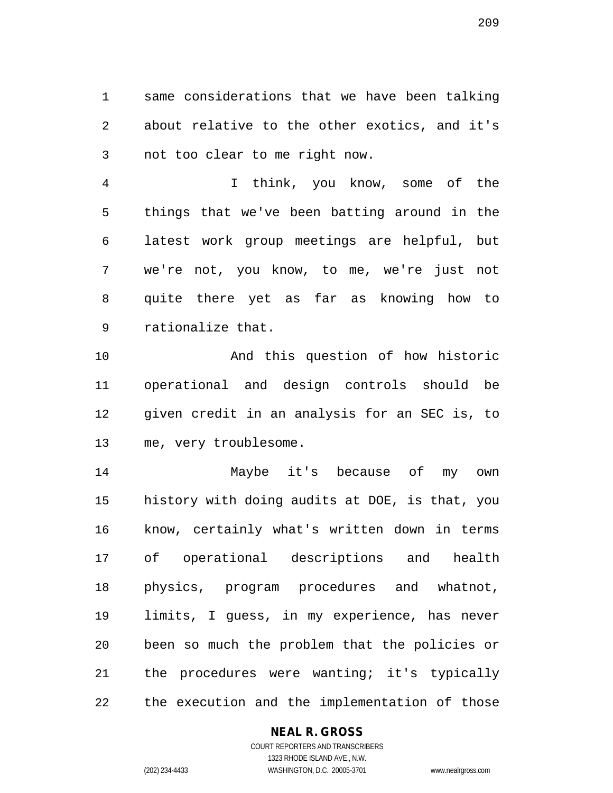1 same considerations that we have been talking 2 about relative to the other exotics, and it's 3 not too clear to me right now.

4 I think, you know, some of the 5 things that we've been batting around in the 6 latest work group meetings are helpful, but 7 we're not, you know, to me, we're just not 8 quite there yet as far as knowing how to 9 rationalize that.

10 And this question of how historic 11 operational and design controls should be 12 given credit in an analysis for an SEC is, to 13 me, very troublesome.

14 Maybe it's because of my own 15 history with doing audits at DOE, is that, you 16 know, certainly what's written down in terms 17 of operational descriptions and health 18 physics, program procedures and whatnot, 19 limits, I guess, in my experience, has never 20 been so much the problem that the policies or 21 the procedures were wanting; it's typically 22 the execution and the implementation of those

#### **NEAL R. GROSS**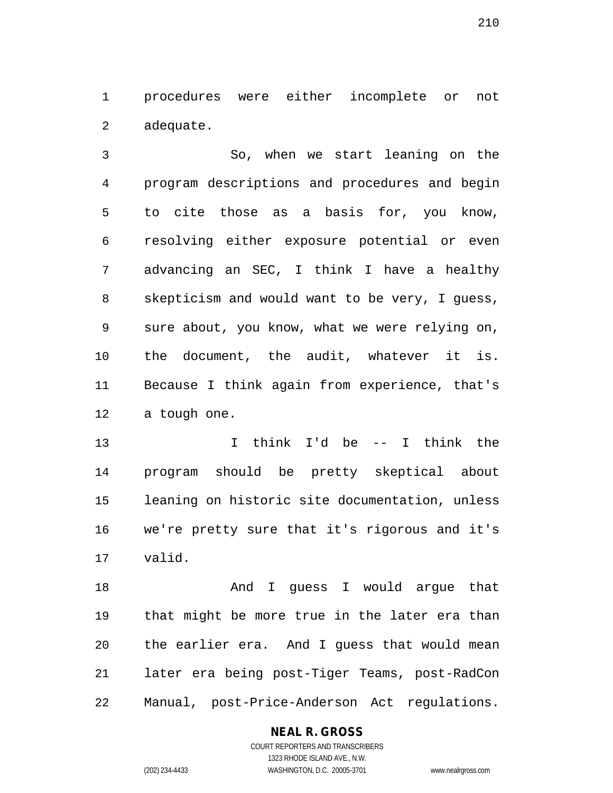1 procedures were either incomplete or not 2 adequate.

3 So, when we start leaning on the 4 program descriptions and procedures and begin 5 to cite those as a basis for, you know, 6 resolving either exposure potential or even 7 advancing an SEC, I think I have a healthy 8 skepticism and would want to be very, I guess, 9 sure about, you know, what we were relying on, 10 the document, the audit, whatever it is. 11 Because I think again from experience, that's 12 a tough one.

13 I think I'd be -- I think the 14 program should be pretty skeptical about 15 leaning on historic site documentation, unless 16 we're pretty sure that it's rigorous and it's 17 valid.

18 And I guess I would argue that 19 that might be more true in the later era than 20 the earlier era. And I guess that would mean 21 later era being post-Tiger Teams, post-RadCon 22 Manual, post-Price-Anderson Act regulations.

#### **NEAL R. GROSS**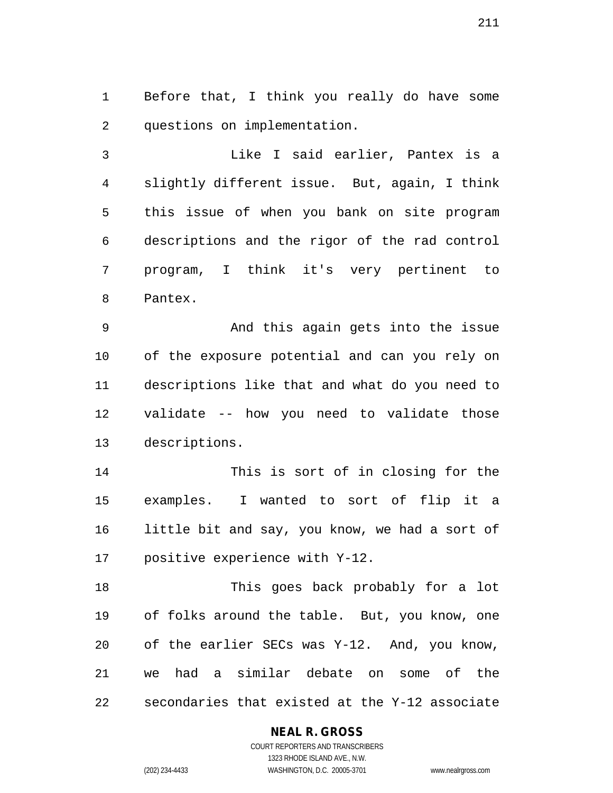1 Before that, I think you really do have some 2 questions on implementation.

3 Like I said earlier, Pantex is a 4 slightly different issue. But, again, I think 5 this issue of when you bank on site program 6 descriptions and the rigor of the rad control 7 program, I think it's very pertinent to 8 Pantex.

9 And this again gets into the issue 10 of the exposure potential and can you rely on 11 descriptions like that and what do you need to 12 validate -- how you need to validate those 13 descriptions.

14 This is sort of in closing for the 15 examples. I wanted to sort of flip it a 16 little bit and say, you know, we had a sort of 17 positive experience with Y-12.

18 This goes back probably for a lot 19 of folks around the table. But, you know, one 20 of the earlier SECs was Y-12. And, you know, 21 we had a similar debate on some of the 22 secondaries that existed at the Y-12 associate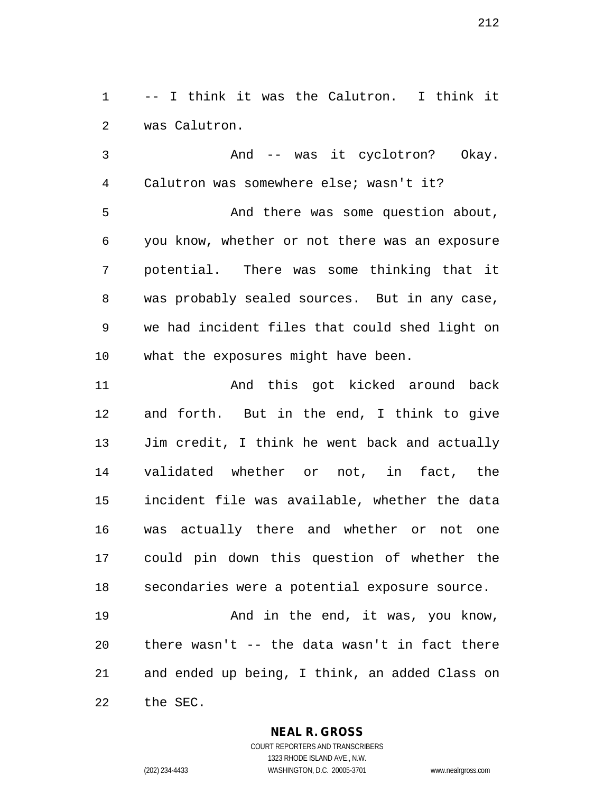1 -- I think it was the Calutron. I think it 2 was Calutron.

3 And -- was it cyclotron? Okay. 4 Calutron was somewhere else; wasn't it? 5 And there was some question about, 6 you know, whether or not there was an exposure 7 potential. There was some thinking that it 8 was probably sealed sources. But in any case, 9 we had incident files that could shed light on 10 what the exposures might have been.

11 And this got kicked around back 12 and forth. But in the end, I think to give 13 Jim credit, I think he went back and actually 14 validated whether or not, in fact, the 15 incident file was available, whether the data 16 was actually there and whether or not one 17 could pin down this question of whether the 18 secondaries were a potential exposure source.

19 And in the end, it was, you know, 20 there wasn't -- the data wasn't in fact there 21 and ended up being, I think, an added Class on 22 the SEC.

**NEAL R. GROSS**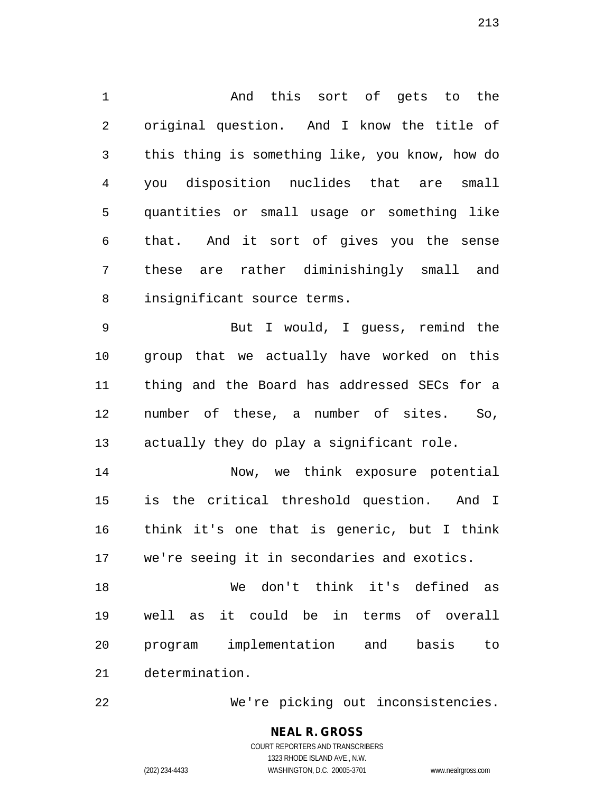1 And this sort of gets to the 2 original question. And I know the title of 3 this thing is something like, you know, how do 4 you disposition nuclides that are small 5 quantities or small usage or something like 6 that. And it sort of gives you the sense 7 these are rather diminishingly small and 8 insignificant source terms.

9 But I would, I guess, remind the 10 group that we actually have worked on this 11 thing and the Board has addressed SECs for a 12 number of these, a number of sites. So, 13 actually they do play a significant role.

14 Now, we think exposure potential 15 is the critical threshold question. And I 16 think it's one that is generic, but I think 17 we're seeing it in secondaries and exotics.

18 We don't think it's defined as 19 well as it could be in terms of overall 20 program implementation and basis to 21 determination.

22 We're picking out inconsistencies.

**NEAL R. GROSS** COURT REPORTERS AND TRANSCRIBERS 1323 RHODE ISLAND AVE., N.W. (202) 234-4433 WASHINGTON, D.C. 20005-3701 www.nealrgross.com

213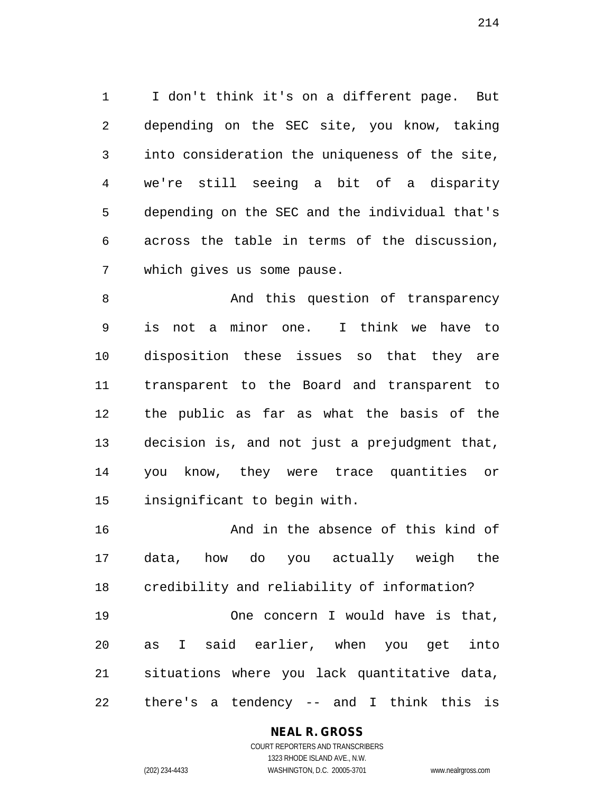1 I don't think it's on a different page. But 2 depending on the SEC site, you know, taking 3 into consideration the uniqueness of the site, 4 we're still seeing a bit of a disparity 5 depending on the SEC and the individual that's 6 across the table in terms of the discussion, 7 which gives us some pause.

8 And this question of transparency 9 is not a minor one. I think we have to 10 disposition these issues so that they are 11 transparent to the Board and transparent to 12 the public as far as what the basis of the 13 decision is, and not just a prejudgment that, 14 you know, they were trace quantities or 15 insignificant to begin with.

16 And in the absence of this kind of 17 data, how do you actually weigh the 18 credibility and reliability of information? 19 One concern I would have is that, 20 as I said earlier, when you get into 21 situations where you lack quantitative data, 22 there's a tendency -- and I think this is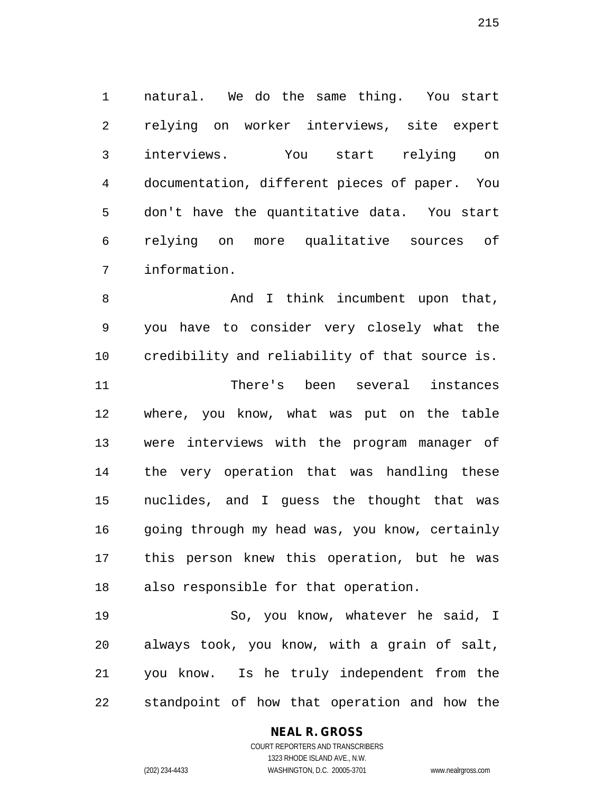1 natural. We do the same thing. You start 2 relying on worker interviews, site expert 3 interviews. You start relying on 4 documentation, different pieces of paper. You 5 don't have the quantitative data. You start 6 relying on more qualitative sources of 7 information.

8 And I think incumbent upon that, 9 you have to consider very closely what the 10 credibility and reliability of that source is. 11 There's been several instances 12 where, you know, what was put on the table 13 were interviews with the program manager of 14 the very operation that was handling these 15 nuclides, and I guess the thought that was 16 going through my head was, you know, certainly 17 this person knew this operation, but he was 18 also responsible for that operation. 19 So, you know, whatever he said, I

20 always took, you know, with a grain of salt, 21 you know. Is he truly independent from the 22 standpoint of how that operation and how the

#### **NEAL R. GROSS** COURT REPORTERS AND TRANSCRIBERS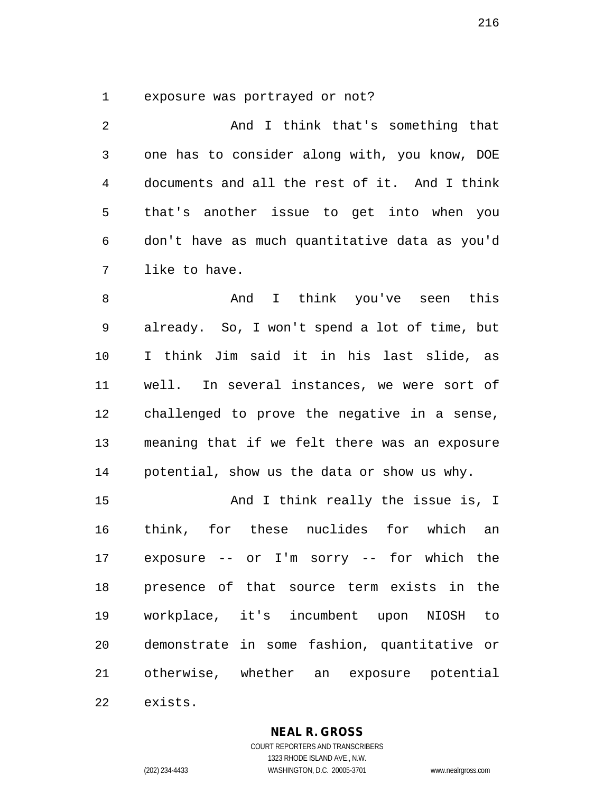1 exposure was portrayed or not?

2 And I think that's something that 3 one has to consider along with, you know, DOE 4 documents and all the rest of it. And I think 5 that's another issue to get into when you 6 don't have as much quantitative data as you'd 7 like to have.

8 And I think you've seen this 9 already. So, I won't spend a lot of time, but 10 I think Jim said it in his last slide, as 11 well. In several instances, we were sort of 12 challenged to prove the negative in a sense, 13 meaning that if we felt there was an exposure 14 potential, show us the data or show us why.

15 And I think really the issue is, I 16 think, for these nuclides for which an 17 exposure -- or I'm sorry -- for which the 18 presence of that source term exists in the 19 workplace, it's incumbent upon NIOSH to 20 demonstrate in some fashion, quantitative or 21 otherwise, whether an exposure potential

22 exists.

#### **NEAL R. GROSS**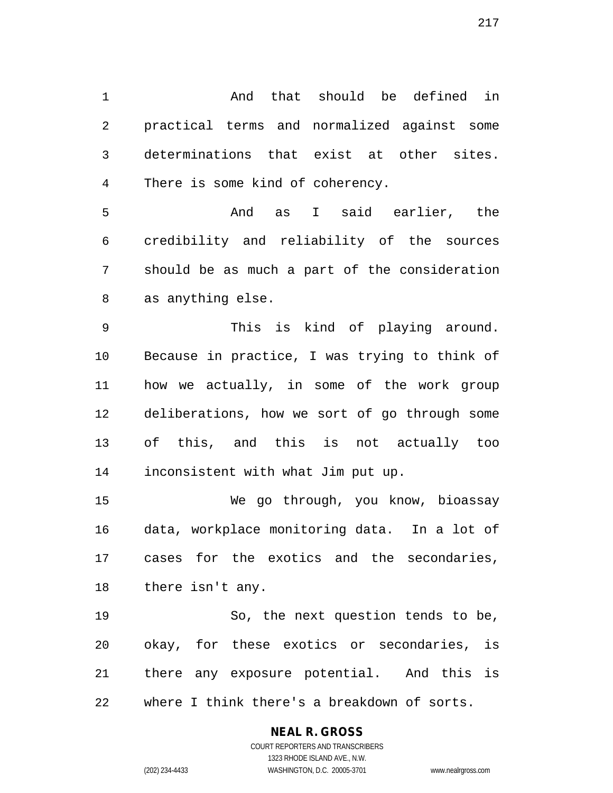1 And that should be defined in 2 practical terms and normalized against some 3 determinations that exist at other sites. 4 There is some kind of coherency.

5 And as I said earlier, the 6 credibility and reliability of the sources 7 should be as much a part of the consideration 8 as anything else.

9 This is kind of playing around. 10 Because in practice, I was trying to think of 11 how we actually, in some of the work group 12 deliberations, how we sort of go through some 13 of this, and this is not actually too 14 inconsistent with what Jim put up.

15 We go through, you know, bioassay 16 data, workplace monitoring data. In a lot of 17 cases for the exotics and the secondaries, 18 there isn't any.

19 So, the next question tends to be, 20 okay, for these exotics or secondaries, is 21 there any exposure potential. And this is 22 where I think there's a breakdown of sorts.

### **NEAL R. GROSS**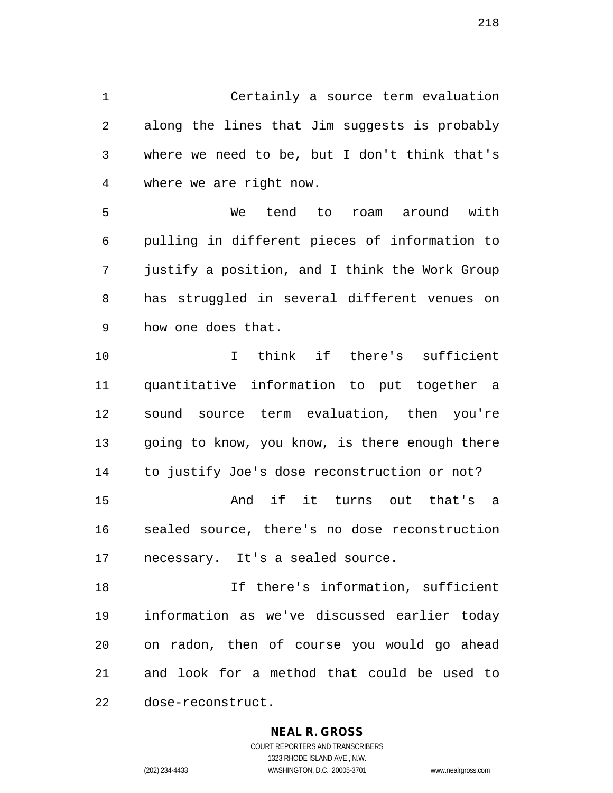1 Certainly a source term evaluation 2 along the lines that Jim suggests is probably 3 where we need to be, but I don't think that's 4 where we are right now.

5 We tend to roam around with 6 pulling in different pieces of information to 7 justify a position, and I think the Work Group 8 has struggled in several different venues on 9 how one does that.

10 I think if there's sufficient 11 quantitative information to put together a 12 sound source term evaluation, then you're 13 going to know, you know, is there enough there 14 to justify Joe's dose reconstruction or not? 15 And if it turns out that's a 16 sealed source, there's no dose reconstruction 17 necessary. It's a sealed source.

18 If there's information, sufficient 19 information as we've discussed earlier today 20 on radon, then of course you would go ahead 21 and look for a method that could be used to 22 dose-reconstruct.

### **NEAL R. GROSS**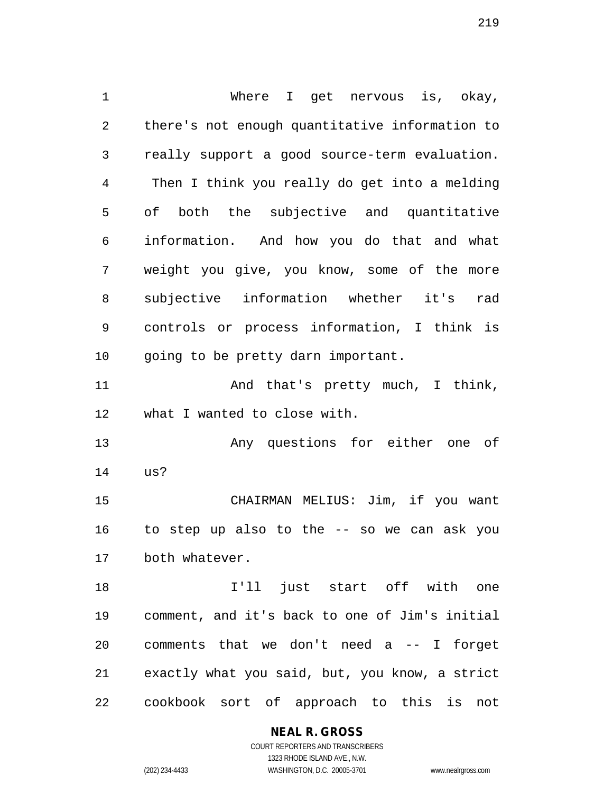1 Where I get nervous is, okay, 2 there's not enough quantitative information to 3 really support a good source-term evaluation. 4 Then I think you really do get into a melding 5 of both the subjective and quantitative 6 information. And how you do that and what 7 weight you give, you know, some of the more 8 subjective information whether it's rad 9 controls or process information, I think is 10 going to be pretty darn important. 11 And that's pretty much, I think, 12 what I wanted to close with. 13 Any questions for either one of 14 us? 15 CHAIRMAN MELIUS: Jim, if you want 16 to step up also to the -- so we can ask you 17 both whatever. 18 I'll just start off with one 19 comment, and it's back to one of Jim's initial 20 comments that we don't need a -- I forget 21 exactly what you said, but, you know, a strict 22 cookbook sort of approach to this is not

**NEAL R. GROSS**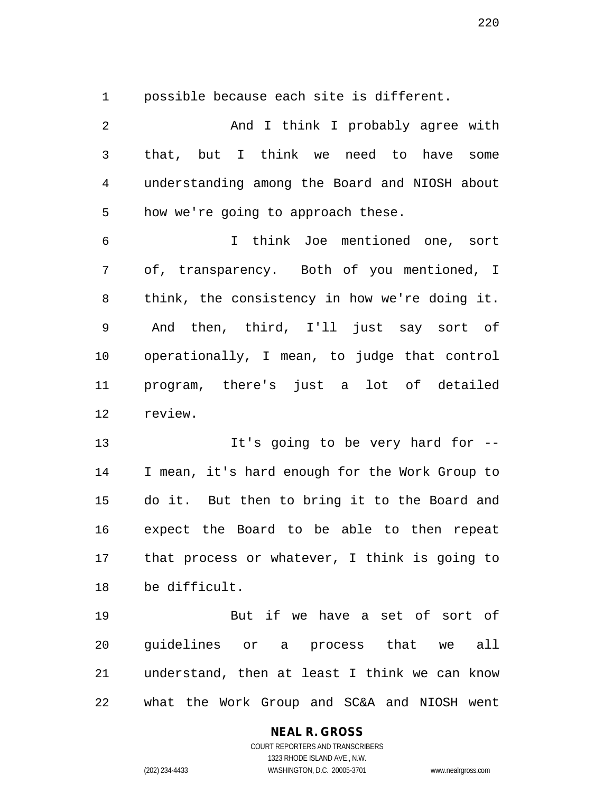1 possible because each site is different.

2 And I think I probably agree with 3 that, but I think we need to have some 4 understanding among the Board and NIOSH about 5 how we're going to approach these. 6 I think Joe mentioned one, sort 7 of, transparency. Both of you mentioned, I 8 think, the consistency in how we're doing it. 9 And then, third, I'll just say sort of 10 operationally, I mean, to judge that control 11 program, there's just a lot of detailed 12 review. 13 It's going to be very hard for --14 I mean, it's hard enough for the Work Group to 15 do it. But then to bring it to the Board and 16 expect the Board to be able to then repeat 17 that process or whatever, I think is going to 18 be difficult. 19 But if we have a set of sort of 20 guidelines or a process that we all

21 understand, then at least I think we can know 22 what the Work Group and SC&A and NIOSH went

### **NEAL R. GROSS**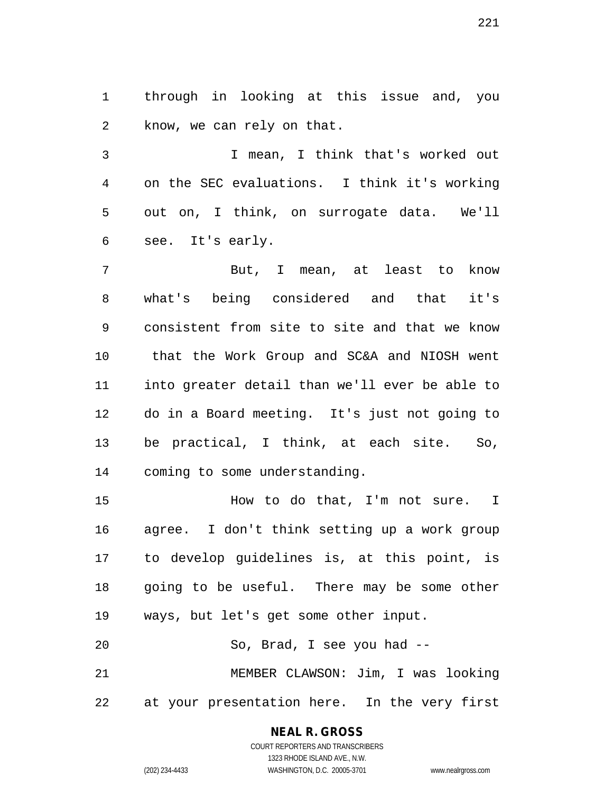1 through in looking at this issue and, you 2 know, we can rely on that.

3 I mean, I think that's worked out 4 on the SEC evaluations. I think it's working 5 out on, I think, on surrogate data. We'll 6 see. It's early.

7 But, I mean, at least to know 8 what's being considered and that it's 9 consistent from site to site and that we know 10 that the Work Group and SC&A and NIOSH went 11 into greater detail than we'll ever be able to 12 do in a Board meeting. It's just not going to 13 be practical, I think, at each site. So, 14 coming to some understanding.

15 How to do that, I'm not sure. I 16 agree. I don't think setting up a work group 17 to develop guidelines is, at this point, is 18 going to be useful. There may be some other 19 ways, but let's get some other input. 20 So, Brad, I see you had --

21 MEMBER CLAWSON: Jim, I was looking 22 at your presentation here. In the very first

# **NEAL R. GROSS**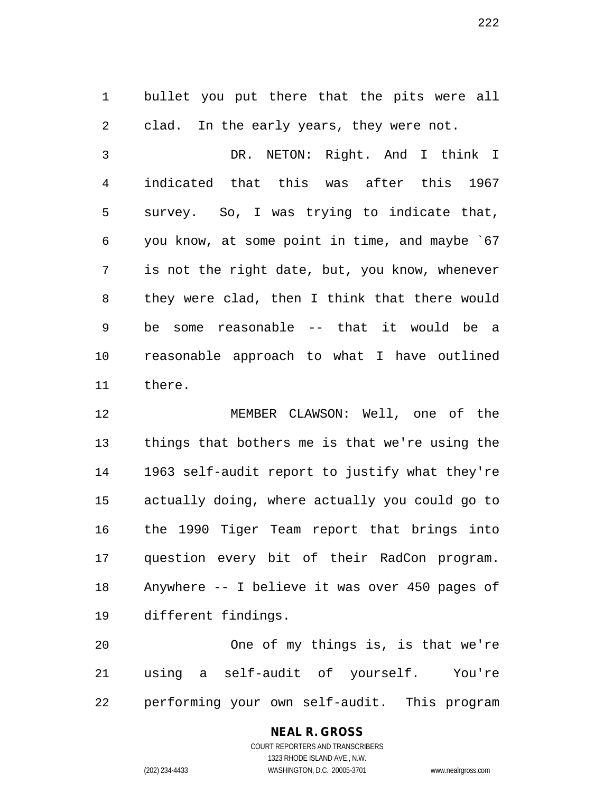1 bullet you put there that the pits were all 2 clad. In the early years, they were not.

3 DR. NETON: Right. And I think I 4 indicated that this was after this 1967 5 survey. So, I was trying to indicate that, 6 you know, at some point in time, and maybe `67 7 is not the right date, but, you know, whenever 8 they were clad, then I think that there would 9 be some reasonable -- that it would be a 10 reasonable approach to what I have outlined 11 there.

12 MEMBER CLAWSON: Well, one of the 13 things that bothers me is that we're using the 14 1963 self-audit report to justify what they're 15 actually doing, where actually you could go to 16 the 1990 Tiger Team report that brings into 17 question every bit of their RadCon program. 18 Anywhere -- I believe it was over 450 pages of 19 different findings.

20 One of my things is, is that we're 21 using a self-audit of yourself. You're 22 performing your own self-audit. This program

### **NEAL R. GROSS**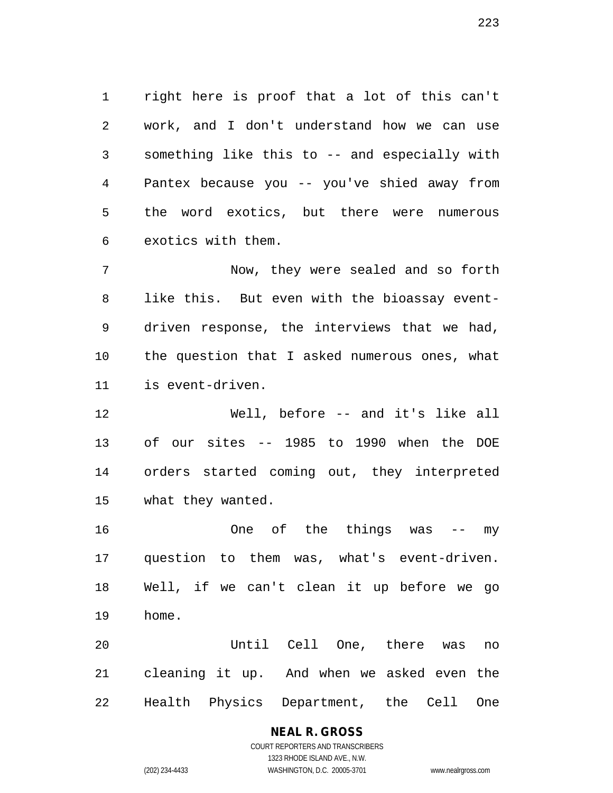1 right here is proof that a lot of this can't 2 work, and I don't understand how we can use 3 something like this to -- and especially with 4 Pantex because you -- you've shied away from 5 the word exotics, but there were numerous 6 exotics with them.

7 Now, they were sealed and so forth 8 like this. But even with the bioassay event-9 driven response, the interviews that we had, 10 the question that I asked numerous ones, what 11 is event-driven.

12 Well, before -- and it's like all 13 of our sites -- 1985 to 1990 when the DOE 14 orders started coming out, they interpreted 15 what they wanted.

16 One of the things was -- my 17 question to them was, what's event-driven. 18 Well, if we can't clean it up before we go 19 home.

20 Until Cell One, there was no 21 cleaning it up. And when we asked even the 22 Health Physics Department, the Cell One

# **NEAL R. GROSS**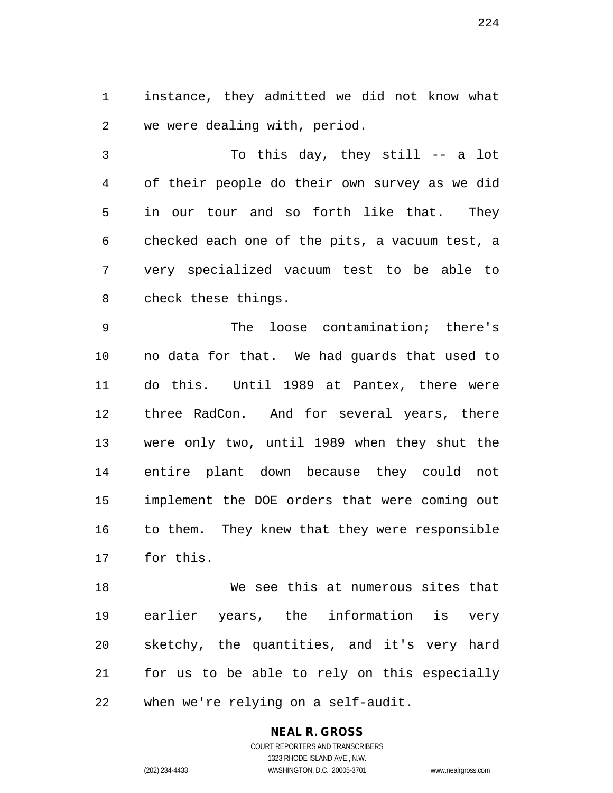1 instance, they admitted we did not know what 2 we were dealing with, period.

3 To this day, they still -- a lot 4 of their people do their own survey as we did 5 in our tour and so forth like that. They 6 checked each one of the pits, a vacuum test, a 7 very specialized vacuum test to be able to 8 check these things.

9 The loose contamination; there's 10 no data for that. We had guards that used to 11 do this. Until 1989 at Pantex, there were 12 three RadCon. And for several years, there 13 were only two, until 1989 when they shut the 14 entire plant down because they could not 15 implement the DOE orders that were coming out 16 to them. They knew that they were responsible 17 for this.

18 We see this at numerous sites that 19 earlier years, the information is very 20 sketchy, the quantities, and it's very hard 21 for us to be able to rely on this especially 22 when we're relying on a self-audit.

# **NEAL R. GROSS**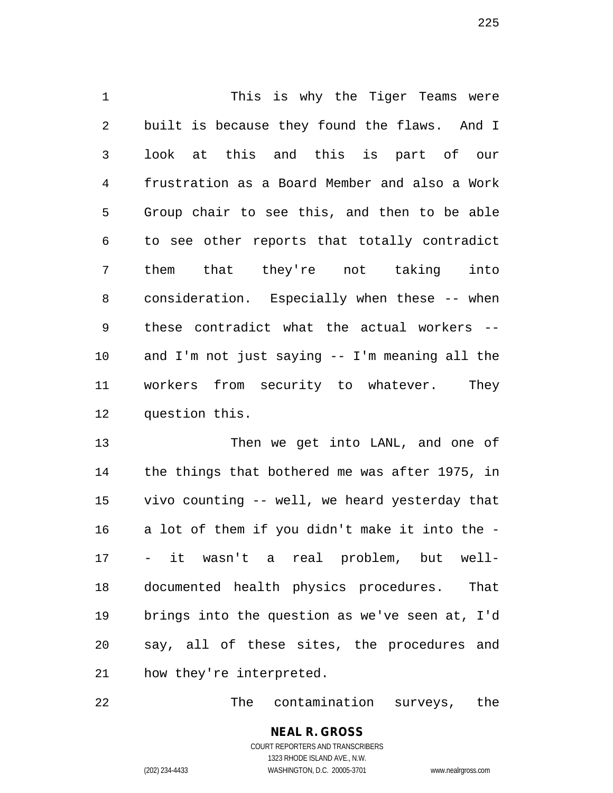1 This is why the Tiger Teams were 2 built is because they found the flaws. And I 3 look at this and this is part of our 4 frustration as a Board Member and also a Work 5 Group chair to see this, and then to be able 6 to see other reports that totally contradict 7 them that they're not taking into 8 consideration. Especially when these -- when 9 these contradict what the actual workers -- 10 and I'm not just saying -- I'm meaning all the 11 workers from security to whatever. They 12 question this.

13 Then we get into LANL, and one of 14 the things that bothered me was after 1975, in 15 vivo counting -- well, we heard yesterday that 16 a lot of them if you didn't make it into the - 17 - it wasn't a real problem, but well-18 documented health physics procedures. That 19 brings into the question as we've seen at, I'd 20 say, all of these sites, the procedures and 21 how they're interpreted.

22 The contamination surveys, the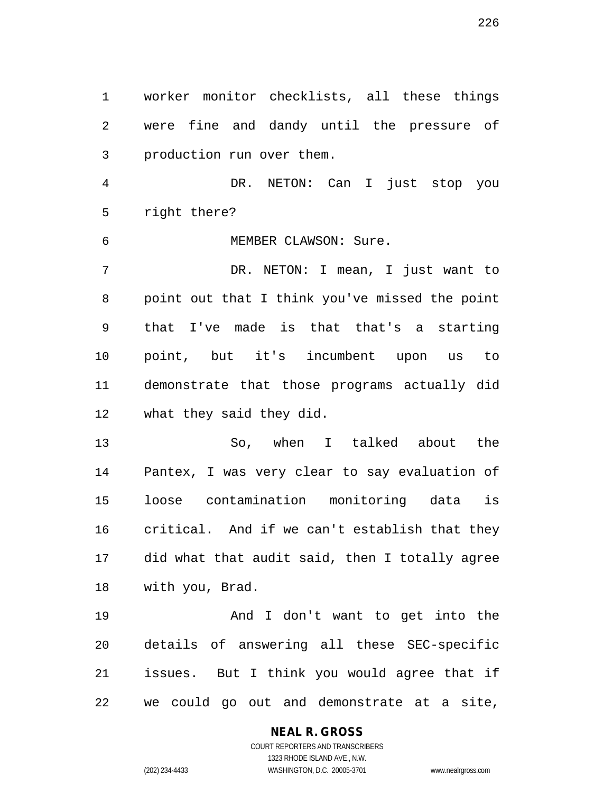1 worker monitor checklists, all these things 2 were fine and dandy until the pressure of 3 production run over them. 4 DR. NETON: Can I just stop you 5 right there? 6 MEMBER CLAWSON: Sure. 7 DR. NETON: I mean, I just want to 8 point out that I think you've missed the point 9 that I've made is that that's a starting 10 point, but it's incumbent upon us to 11 demonstrate that those programs actually did 12 what they said they did. 13 So, when I talked about the

14 Pantex, I was very clear to say evaluation of 15 loose contamination monitoring data is 16 critical. And if we can't establish that they 17 did what that audit said, then I totally agree 18 with you, Brad.

19 And I don't want to get into the 20 details of answering all these SEC-specific 21 issues. But I think you would agree that if 22 we could go out and demonstrate at a site,

### **NEAL R. GROSS**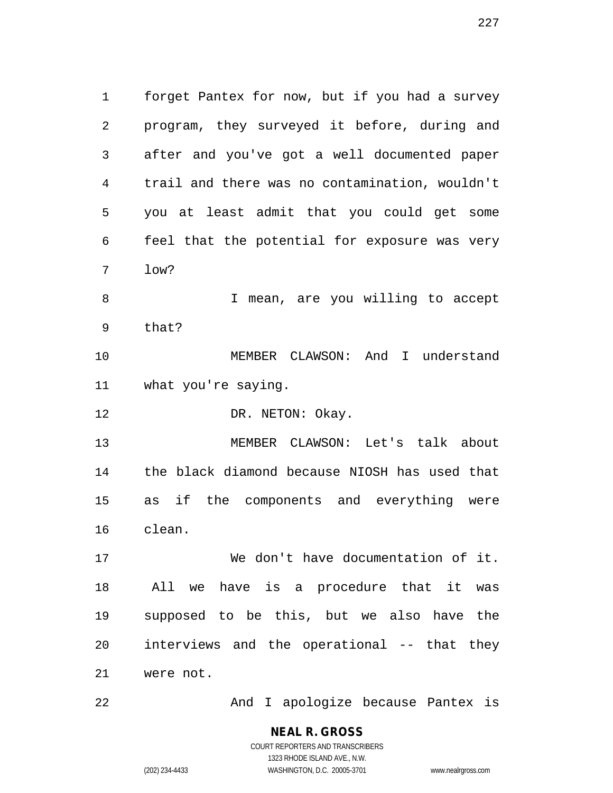1 forget Pantex for now, but if you had a survey 2 program, they surveyed it before, during and 3 after and you've got a well documented paper 4 trail and there was no contamination, wouldn't 5 you at least admit that you could get some 6 feel that the potential for exposure was very 7 low? 8 I mean, are you willing to accept 9 that? 10 MEMBER CLAWSON: And I understand 11 what you're saying. 12 DR. NETON: Okay.

13 MEMBER CLAWSON: Let's talk about 14 the black diamond because NIOSH has used that 15 as if the components and everything were 16 clean.

17 We don't have documentation of it. 18 All we have is a procedure that it was 19 supposed to be this, but we also have the 20 interviews and the operational -- that they 21 were not.

22 And I apologize because Pantex is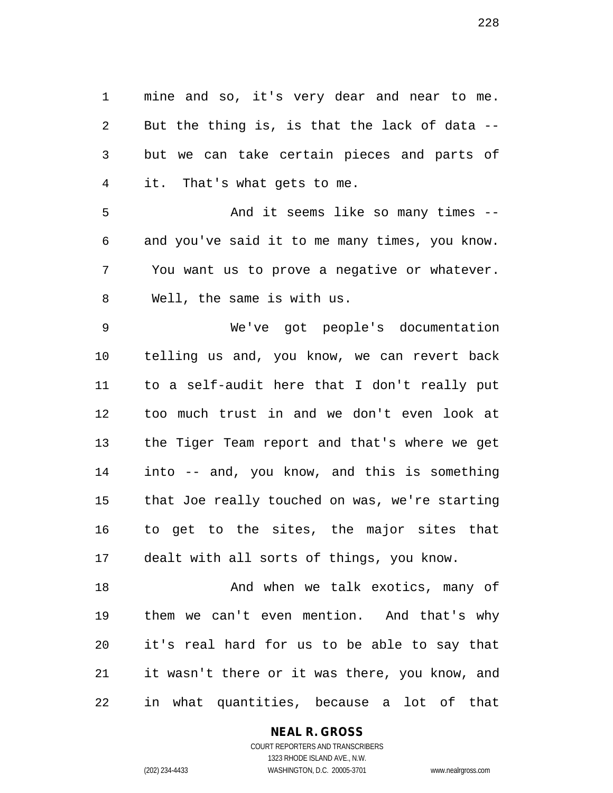1 mine and so, it's very dear and near to me. 2 But the thing is, is that the lack of data -- 3 but we can take certain pieces and parts of 4 it. That's what gets to me.

5 And it seems like so many times -- 6 and you've said it to me many times, you know. 7 You want us to prove a negative or whatever. 8 Well, the same is with us.

9 We've got people's documentation 10 telling us and, you know, we can revert back 11 to a self-audit here that I don't really put 12 too much trust in and we don't even look at 13 the Tiger Team report and that's where we get 14 into -- and, you know, and this is something 15 that Joe really touched on was, we're starting 16 to get to the sites, the major sites that 17 dealt with all sorts of things, you know.

18 And when we talk exotics, many of 19 them we can't even mention. And that's why 20 it's real hard for us to be able to say that 21 it wasn't there or it was there, you know, and 22 in what quantities, because a lot of that

**NEAL R. GROSS**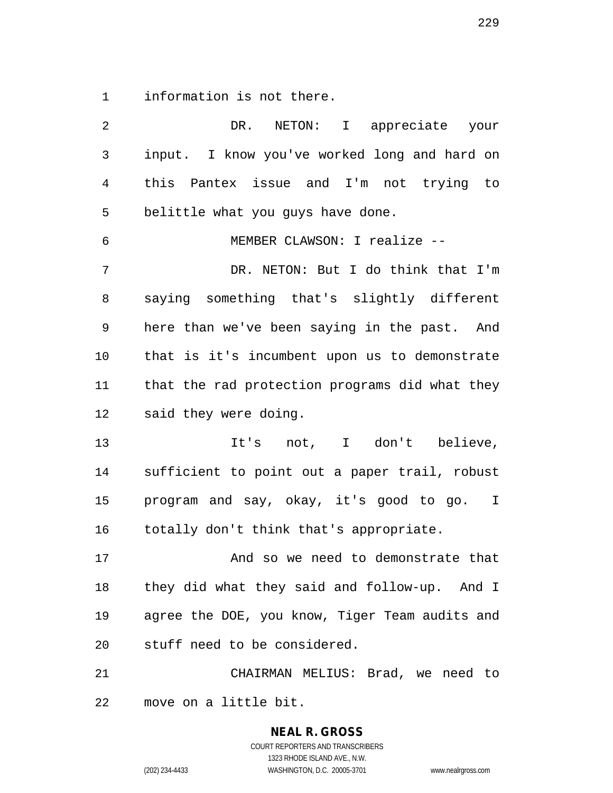1 information is not there.

2 DR. NETON: I appreciate your 3 input. I know you've worked long and hard on 4 this Pantex issue and I'm not trying to 5 belittle what you guys have done. 6 MEMBER CLAWSON: I realize -- 7 DR. NETON: But I do think that I'm 8 saying something that's slightly different 9 here than we've been saying in the past. And 10 that is it's incumbent upon us to demonstrate 11 that the rad protection programs did what they 12 said they were doing. 13 11's not, I don't believe, 14 sufficient to point out a paper trail, robust 15 program and say, okay, it's good to go. I 16 totally don't think that's appropriate. 17 And so we need to demonstrate that 18 they did what they said and follow-up. And I 19 agree the DOE, you know, Tiger Team audits and 20 stuff need to be considered. 21 CHAIRMAN MELIUS: Brad, we need to 22 move on a little bit.

> **NEAL R. GROSS** COURT REPORTERS AND TRANSCRIBERS 1323 RHODE ISLAND AVE., N.W. (202) 234-4433 WASHINGTON, D.C. 20005-3701 www.nealrgross.com

229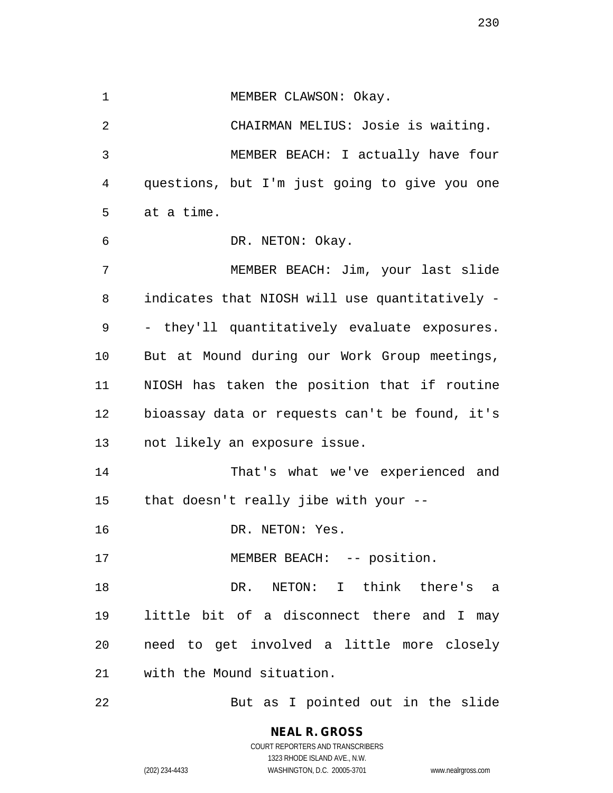1 MEMBER CLAWSON: Okay.

2 CHAIRMAN MELIUS: Josie is waiting. 3 MEMBER BEACH: I actually have four 4 questions, but I'm just going to give you one 5 at a time.

6 DR. NETON: Okay.

7 MEMBER BEACH: Jim, your last slide 8 indicates that NIOSH will use quantitatively - 9 - they'll quantitatively evaluate exposures. 10 But at Mound during our Work Group meetings, 11 NIOSH has taken the position that if routine 12 bioassay data or requests can't be found, it's 13 not likely an exposure issue.

14 That's what we've experienced and 15 that doesn't really jibe with your --

16 DR. NETON: Yes.

17 MEMBER BEACH: -- position.

18 DR. NETON: I think there's a 19 little bit of a disconnect there and I may 20 need to get involved a little more closely 21 with the Mound situation.

22 But as I pointed out in the slide

**NEAL R. GROSS** COURT REPORTERS AND TRANSCRIBERS 1323 RHODE ISLAND AVE., N.W.

(202) 234-4433 WASHINGTON, D.C. 20005-3701 www.nealrgross.com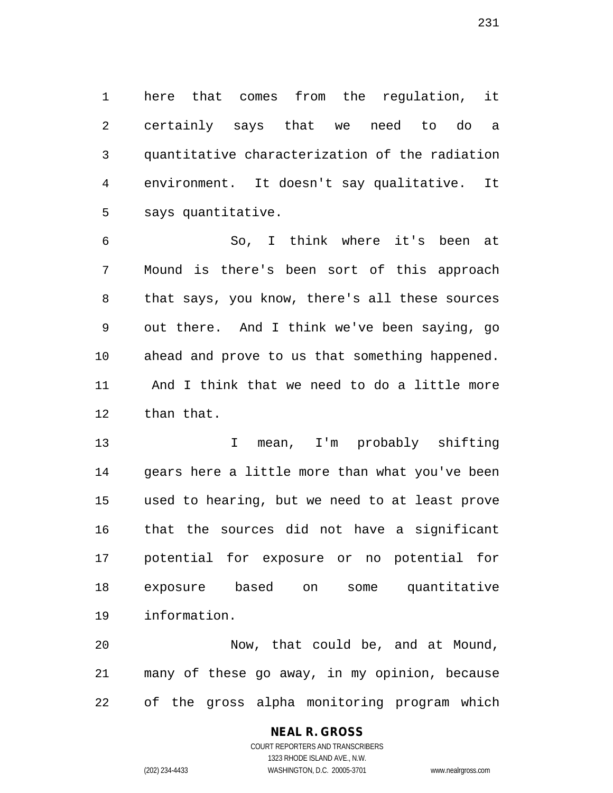1 here that comes from the regulation, it 2 certainly says that we need to do a 3 quantitative characterization of the radiation 4 environment. It doesn't say qualitative. It 5 says quantitative.

6 So, I think where it's been at 7 Mound is there's been sort of this approach 8 that says, you know, there's all these sources 9 out there. And I think we've been saying, go 10 ahead and prove to us that something happened. 11 And I think that we need to do a little more 12 than that.

13 I mean, I'm probably shifting 14 gears here a little more than what you've been 15 used to hearing, but we need to at least prove 16 that the sources did not have a significant 17 potential for exposure or no potential for 18 exposure based on some quantitative 19 information.

20 Now, that could be, and at Mound, 21 many of these go away, in my opinion, because 22 of the gross alpha monitoring program which

## COURT REPORTERS AND TRANSCRIBERS 1323 RHODE ISLAND AVE., N.W. (202) 234-4433 WASHINGTON, D.C. 20005-3701 www.nealrgross.com

**NEAL R. GROSS**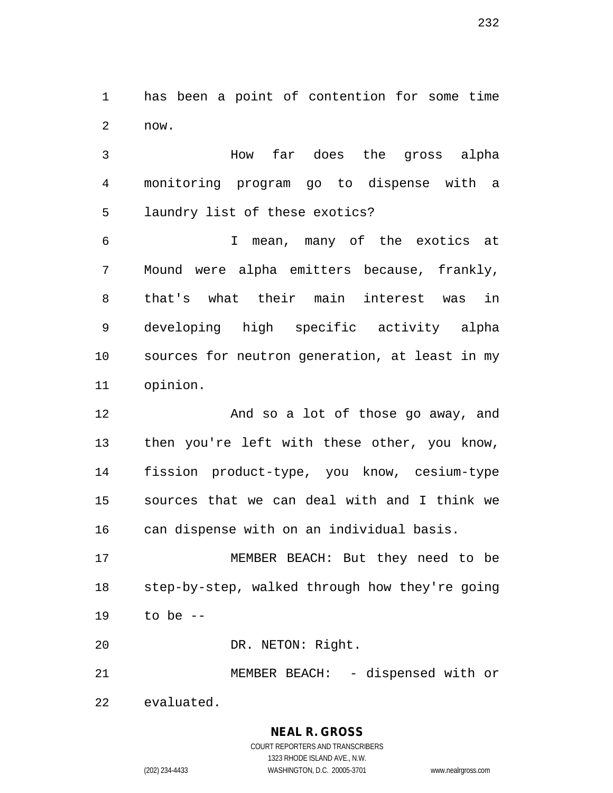1 has been a point of contention for some time 2 now.

3 How far does the gross alpha 4 monitoring program go to dispense with a 5 laundry list of these exotics?

6 I mean, many of the exotics at 7 Mound were alpha emitters because, frankly, 8 that's what their main interest was in 9 developing high specific activity alpha 10 sources for neutron generation, at least in my 11 opinion.

12 And so a lot of those go away, and 13 then you're left with these other, you know, 14 fission product-type, you know, cesium-type 15 sources that we can deal with and I think we 16 can dispense with on an individual basis.

17 MEMBER BEACH: But they need to be 18 step-by-step, walked through how they're going 19 to be --

20 DR. NETON: Right.

21 MEMBER BEACH: - dispensed with or 22 evaluated.

# **NEAL R. GROSS**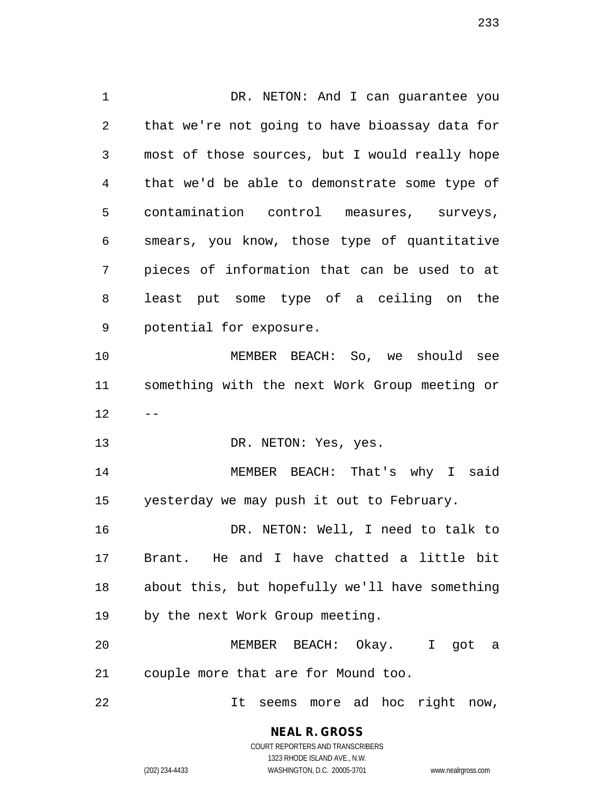1 DR. NETON: And I can guarantee you 2 that we're not going to have bioassay data for 3 most of those sources, but I would really hope 4 that we'd be able to demonstrate some type of 5 contamination control measures, surveys, 6 smears, you know, those type of quantitative 7 pieces of information that can be used to at 8 least put some type of a ceiling on the 9 potential for exposure. 10 MEMBER BEACH: So, we should see 11 something with the next Work Group meeting or  $12$ 13 DR. NETON: Yes, yes. 14 MEMBER BEACH: That's why I said 15 yesterday we may push it out to February. 16 DR. NETON: Well, I need to talk to 17 Brant. He and I have chatted a little bit 18 about this, but hopefully we'll have something 19 by the next Work Group meeting. 20 MEMBER BEACH: Okay. I got a 21 couple more that are for Mound too. 22 It seems more ad hoc right now,

**NEAL R. GROSS**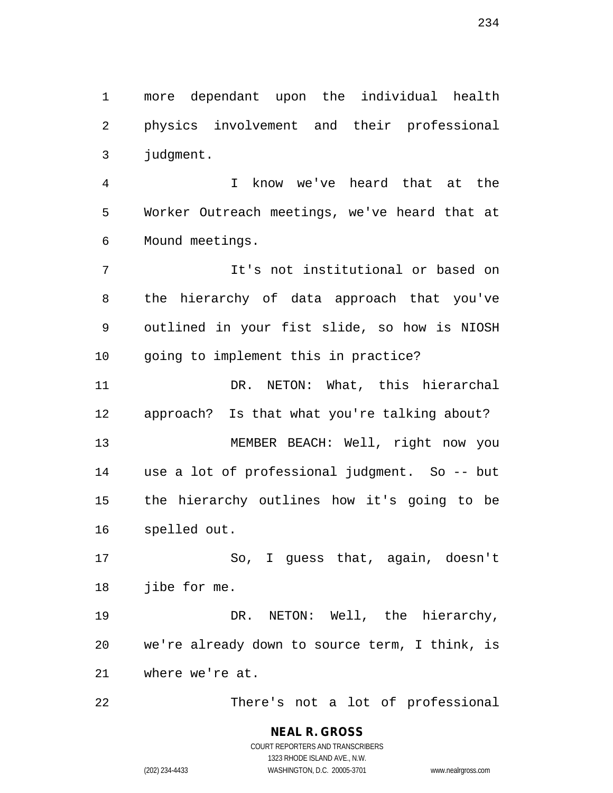1 more dependant upon the individual health 2 physics involvement and their professional 3 judgment.

4 I know we've heard that at the 5 Worker Outreach meetings, we've heard that at 6 Mound meetings.

7 It's not institutional or based on 8 the hierarchy of data approach that you've 9 outlined in your fist slide, so how is NIOSH 10 going to implement this in practice?

11 DR. NETON: What, this hierarchal 12 approach? Is that what you're talking about? 13 MEMBER BEACH: Well, right now you 14 use a lot of professional judgment. So -- but 15 the hierarchy outlines how it's going to be 16 spelled out.

17 So, I guess that, again, doesn't 18 jibe for me.

19 DR. NETON: Well, the hierarchy, 20 we're already down to source term, I think, is 21 where we're at.

22 There's not a lot of professional

**NEAL R. GROSS** COURT REPORTERS AND TRANSCRIBERS 1323 RHODE ISLAND AVE., N.W. (202) 234-4433 WASHINGTON, D.C. 20005-3701 www.nealrgross.com

234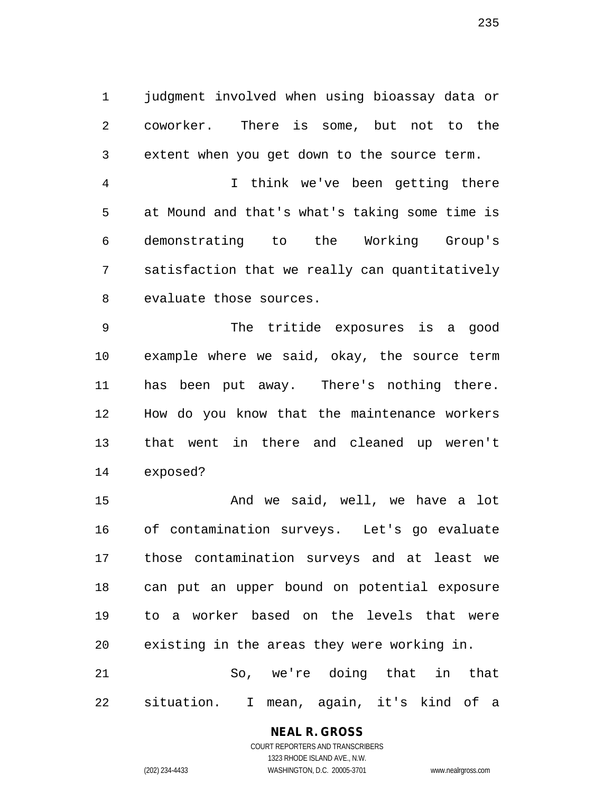1 judgment involved when using bioassay data or 2 coworker. There is some, but not to the 3 extent when you get down to the source term.

4 I think we've been getting there 5 at Mound and that's what's taking some time is 6 demonstrating to the Working Group's 7 satisfaction that we really can quantitatively 8 evaluate those sources.

9 The tritide exposures is a good 10 example where we said, okay, the source term 11 has been put away. There's nothing there. 12 How do you know that the maintenance workers 13 that went in there and cleaned up weren't 14 exposed?

15 And we said, well, we have a lot 16 of contamination surveys. Let's go evaluate 17 those contamination surveys and at least we 18 can put an upper bound on potential exposure 19 to a worker based on the levels that were 20 existing in the areas they were working in. 21 So, we're doing that in that

22 situation. I mean, again, it's kind of a

**NEAL R. GROSS** COURT REPORTERS AND TRANSCRIBERS

1323 RHODE ISLAND AVE., N.W. (202) 234-4433 WASHINGTON, D.C. 20005-3701 www.nealrgross.com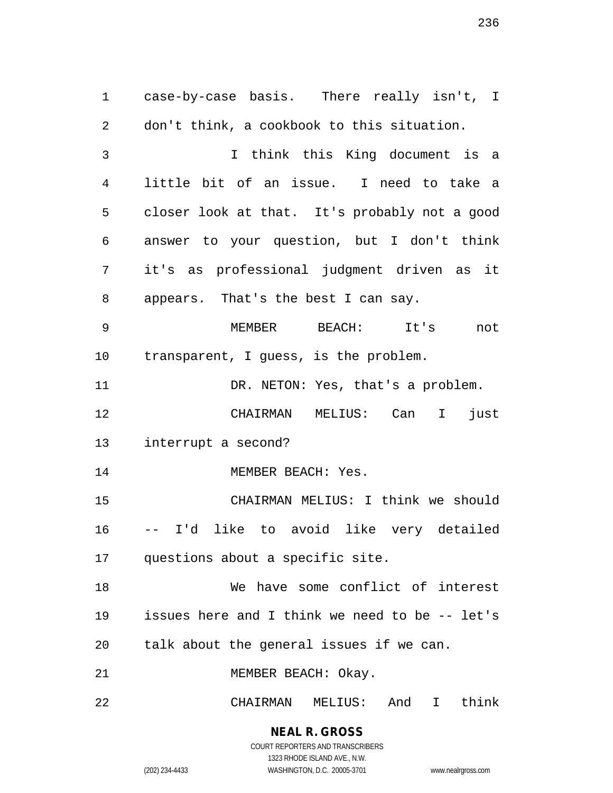1 case-by-case basis. There really isn't, I 2 don't think, a cookbook to this situation. 3 I think this King document is a 4 little bit of an issue. I need to take a 5 closer look at that. It's probably not a good 6 answer to your question, but I don't think 7 it's as professional judgment driven as it 8 appears. That's the best I can say. 9 MEMBER BEACH: It's not 10 transparent, I guess, is the problem. 11 DR. NETON: Yes, that's a problem. 12 CHAIRMAN MELIUS: Can I just 13 interrupt a second? 14 MEMBER BEACH: Yes. 15 CHAIRMAN MELIUS: I think we should 16 -- I'd like to avoid like very detailed 17 questions about a specific site. 18 We have some conflict of interest 19 issues here and I think we need to be -- let's

21 MEMBER BEACH: Okay.

22 CHAIRMAN MELIUS: And I think

20 talk about the general issues if we can.

**NEAL R. GROSS** COURT REPORTERS AND TRANSCRIBERS

1323 RHODE ISLAND AVE., N.W.

(202) 234-4433 WASHINGTON, D.C. 20005-3701 www.nealrgross.com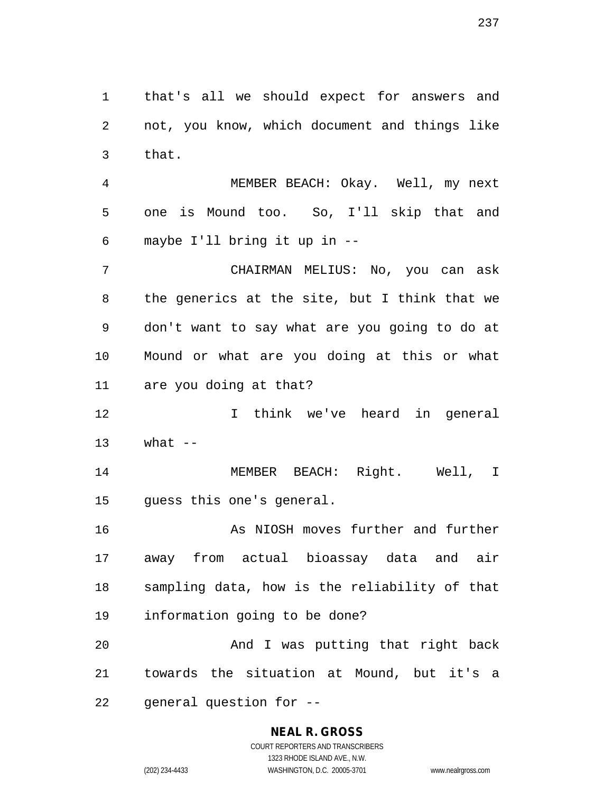1 that's all we should expect for answers and 2 not, you know, which document and things like 3 that.

4 MEMBER BEACH: Okay. Well, my next 5 one is Mound too. So, I'll skip that and 6 maybe I'll bring it up in --

7 CHAIRMAN MELIUS: No, you can ask 8 the generics at the site, but I think that we 9 don't want to say what are you going to do at 10 Mound or what are you doing at this or what 11 are you doing at that?

12 I think we've heard in general  $13$  what  $-$ 

14 MEMBER BEACH: Right. Well, I 15 guess this one's general.

16 As NIOSH moves further and further 17 away from actual bioassay data and air 18 sampling data, how is the reliability of that 19 information going to be done?

20 And I was putting that right back 21 towards the situation at Mound, but it's a 22 general question for --

### **NEAL R. GROSS**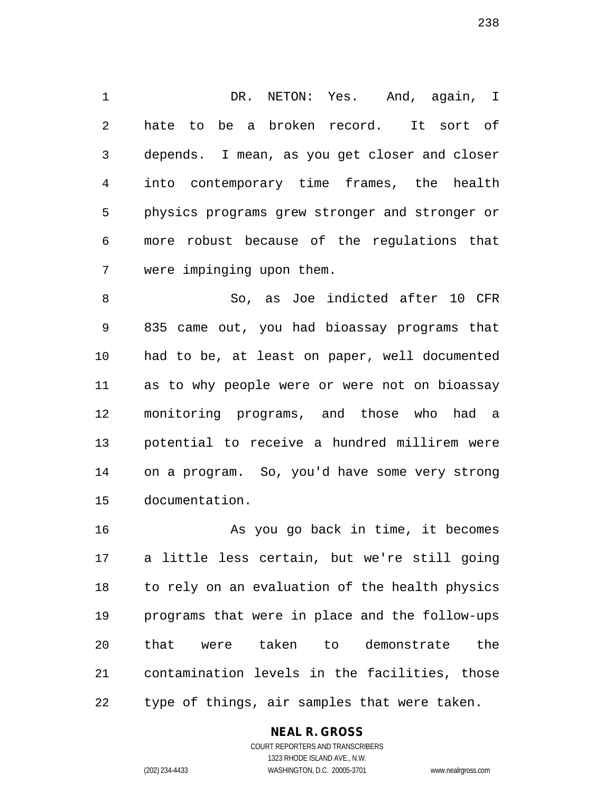1 DR. NETON: Yes. And, again, I 2 hate to be a broken record. It sort of 3 depends. I mean, as you get closer and closer 4 into contemporary time frames, the health 5 physics programs grew stronger and stronger or 6 more robust because of the regulations that 7 were impinging upon them.

8 So, as Joe indicted after 10 CFR 9 835 came out, you had bioassay programs that 10 had to be, at least on paper, well documented 11 as to why people were or were not on bioassay 12 monitoring programs, and those who had a 13 potential to receive a hundred millirem were 14 on a program. So, you'd have some very strong 15 documentation.

16 As you go back in time, it becomes 17 a little less certain, but we're still going 18 to rely on an evaluation of the health physics 19 programs that were in place and the follow-ups 20 that were taken to demonstrate the 21 contamination levels in the facilities, those 22 type of things, air samples that were taken.

### **NEAL R. GROSS**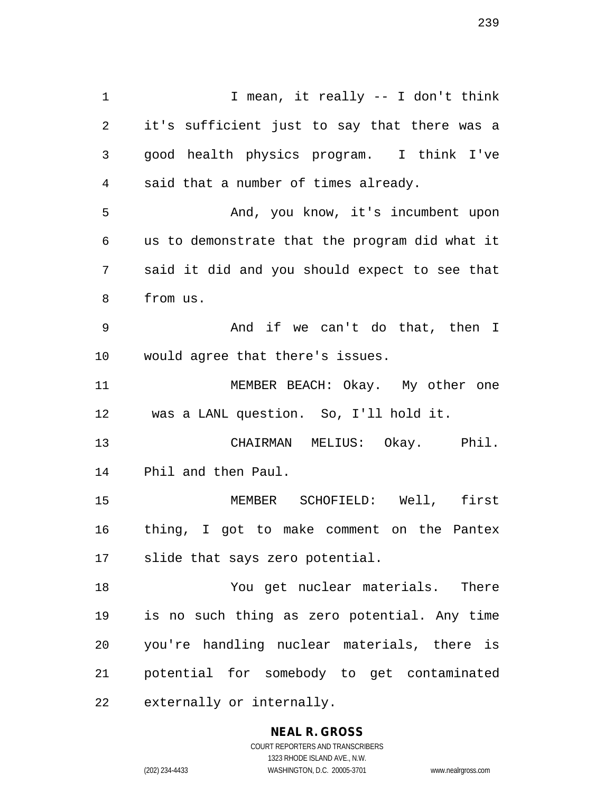1 I mean, it really -- I don't think 2 it's sufficient just to say that there was a 3 good health physics program. I think I've 4 said that a number of times already. 5 And, you know, it's incumbent upon 6 us to demonstrate that the program did what it 7 said it did and you should expect to see that 8 from us. 9 And if we can't do that, then I 10 would agree that there's issues. 11 MEMBER BEACH: Okay. My other one 12 was a LANL question. So, I'll hold it. 13 CHAIRMAN MELIUS: Okay. Phil. 14 Phil and then Paul. 15 MEMBER SCHOFIELD: Well, first 16 thing, I got to make comment on the Pantex 17 slide that says zero potential. 18 You get nuclear materials. There 19 is no such thing as zero potential. Any time 20 you're handling nuclear materials, there is 21 potential for somebody to get contaminated 22 externally or internally.

> **NEAL R. GROSS** COURT REPORTERS AND TRANSCRIBERS

> > 1323 RHODE ISLAND AVE., N.W.

(202) 234-4433 WASHINGTON, D.C. 20005-3701 www.nealrgross.com

239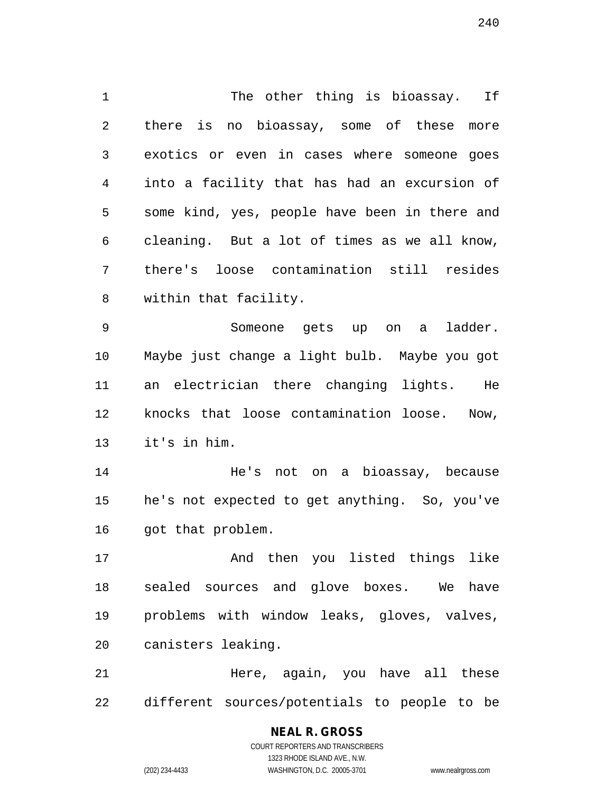1 The other thing is bioassay. If 2 there is no bioassay, some of these more 3 exotics or even in cases where someone goes 4 into a facility that has had an excursion of 5 some kind, yes, people have been in there and 6 cleaning. But a lot of times as we all know, 7 there's loose contamination still resides 8 within that facility.

9 Someone gets up on a ladder. 10 Maybe just change a light bulb. Maybe you got 11 an electrician there changing lights. He 12 knocks that loose contamination loose. Now, 13 it's in him.

14 He's not on a bioassay, because 15 he's not expected to get anything. So, you've 16 got that problem.

17 And then you listed things like 18 sealed sources and glove boxes. We have 19 problems with window leaks, gloves, valves, 20 canisters leaking.

21 Here, again, you have all these 22 different sources/potentials to people to be

> COURT REPORTERS AND TRANSCRIBERS 1323 RHODE ISLAND AVE., N.W. (202) 234-4433 WASHINGTON, D.C. 20005-3701 www.nealrgross.com

**NEAL R. GROSS**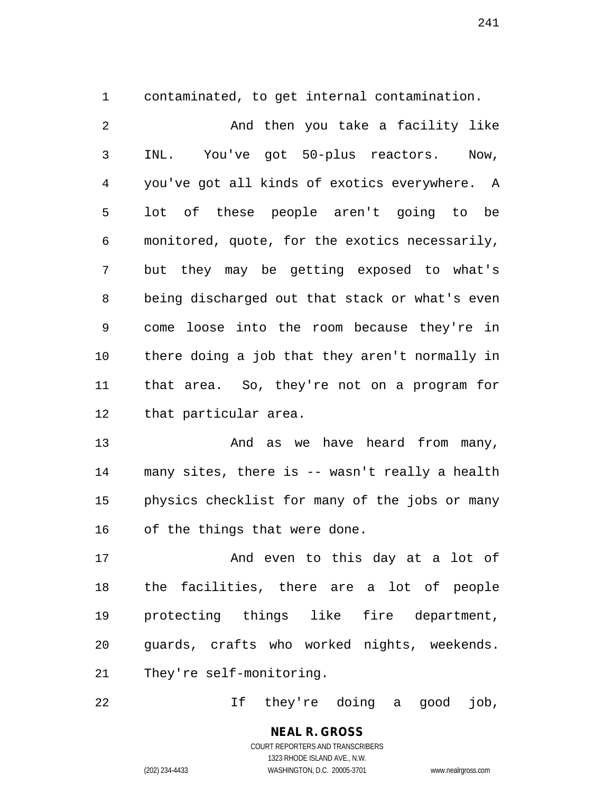1 contaminated, to get internal contamination.

2 And then you take a facility like 3 INL. You've got 50-plus reactors. Now, 4 you've got all kinds of exotics everywhere. A 5 lot of these people aren't going to be 6 monitored, quote, for the exotics necessarily, 7 but they may be getting exposed to what's 8 being discharged out that stack or what's even 9 come loose into the room because they're in 10 there doing a job that they aren't normally in 11 that area. So, they're not on a program for 12 that particular area.

13 And as we have heard from many, 14 many sites, there is -- wasn't really a health 15 physics checklist for many of the jobs or many 16 of the things that were done.

17 And even to this day at a lot of 18 the facilities, there are a lot of people 19 protecting things like fire department, 20 guards, crafts who worked nights, weekends. 21 They're self-monitoring.

22 If they're doing a good job,

**NEAL R. GROSS** COURT REPORTERS AND TRANSCRIBERS

1323 RHODE ISLAND AVE., N.W.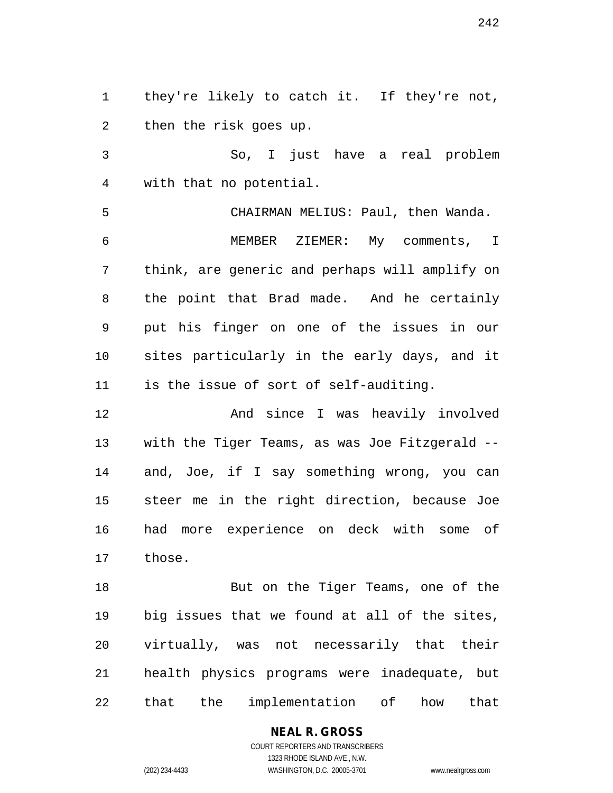1 they're likely to catch it. If they're not, 2 then the risk goes up.

3 So, I just have a real problem 4 with that no potential.

5 CHAIRMAN MELIUS: Paul, then Wanda. 6 MEMBER ZIEMER: My comments, I 7 think, are generic and perhaps will amplify on 8 the point that Brad made. And he certainly 9 put his finger on one of the issues in our 10 sites particularly in the early days, and it 11 is the issue of sort of self-auditing.

12 And since I was heavily involved 13 with the Tiger Teams, as was Joe Fitzgerald -- 14 and, Joe, if I say something wrong, you can 15 steer me in the right direction, because Joe 16 had more experience on deck with some of 17 those.

18 But on the Tiger Teams, one of the 19 big issues that we found at all of the sites, 20 virtually, was not necessarily that their 21 health physics programs were inadequate, but 22 that the implementation of how that

> **NEAL R. GROSS** COURT REPORTERS AND TRANSCRIBERS

1323 RHODE ISLAND AVE., N.W. (202) 234-4433 WASHINGTON, D.C. 20005-3701 www.nealrgross.com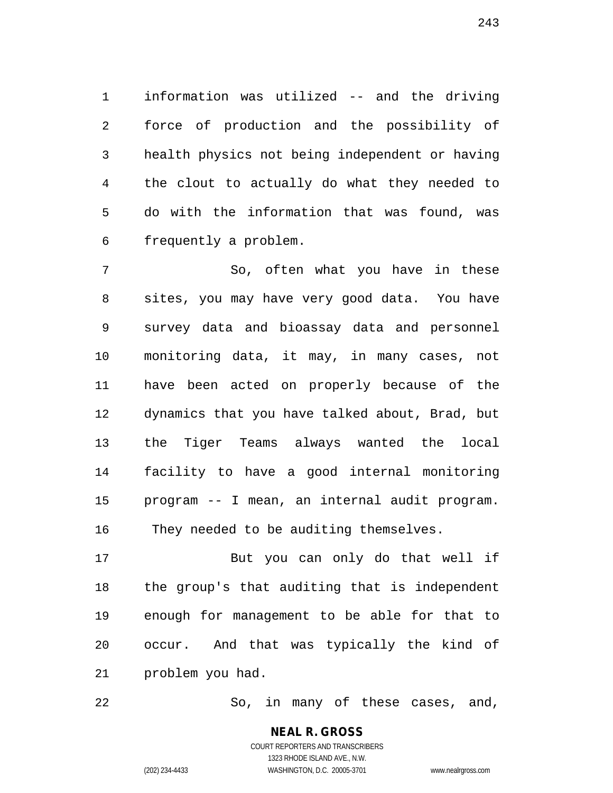1 information was utilized -- and the driving 2 force of production and the possibility of 3 health physics not being independent or having 4 the clout to actually do what they needed to 5 do with the information that was found, was 6 frequently a problem.

7 So, often what you have in these 8 sites, you may have very good data. You have 9 survey data and bioassay data and personnel 10 monitoring data, it may, in many cases, not 11 have been acted on properly because of the 12 dynamics that you have talked about, Brad, but 13 the Tiger Teams always wanted the local 14 facility to have a good internal monitoring 15 program -- I mean, an internal audit program. 16 They needed to be auditing themselves.

17 But you can only do that well if 18 the group's that auditing that is independent 19 enough for management to be able for that to 20 occur. And that was typically the kind of 21 problem you had.

22 So, in many of these cases, and,

243

COURT REPORTERS AND TRANSCRIBERS 1323 RHODE ISLAND AVE., N.W. (202) 234-4433 WASHINGTON, D.C. 20005-3701 www.nealrgross.com

**NEAL R. GROSS**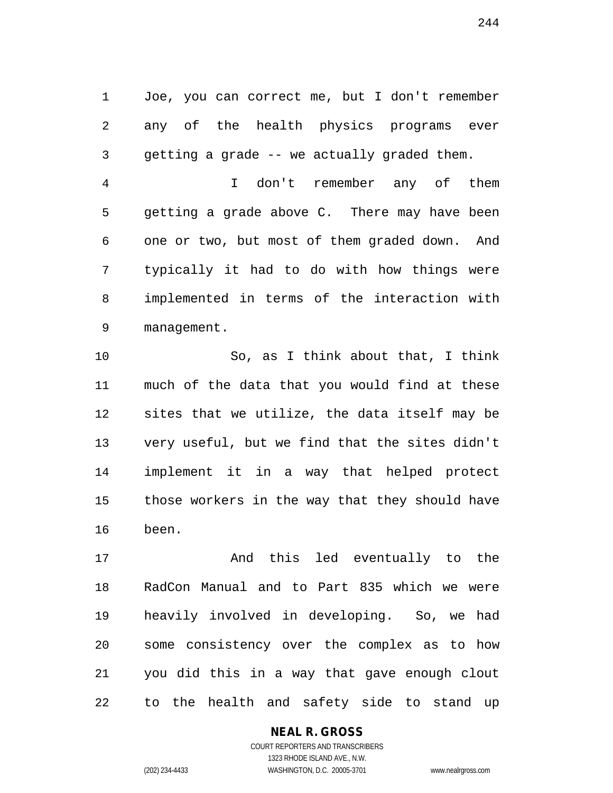1 Joe, you can correct me, but I don't remember 2 any of the health physics programs ever 3 getting a grade -- we actually graded them.

4 I don't remember any of them 5 getting a grade above C. There may have been 6 one or two, but most of them graded down. And 7 typically it had to do with how things were 8 implemented in terms of the interaction with 9 management.

10 So, as I think about that, I think 11 much of the data that you would find at these 12 sites that we utilize, the data itself may be 13 very useful, but we find that the sites didn't 14 implement it in a way that helped protect 15 those workers in the way that they should have 16 been.

17 And this led eventually to the 18 RadCon Manual and to Part 835 which we were 19 heavily involved in developing. So, we had 20 some consistency over the complex as to how 21 you did this in a way that gave enough clout 22 to the health and safety side to stand up

### **NEAL R. GROSS**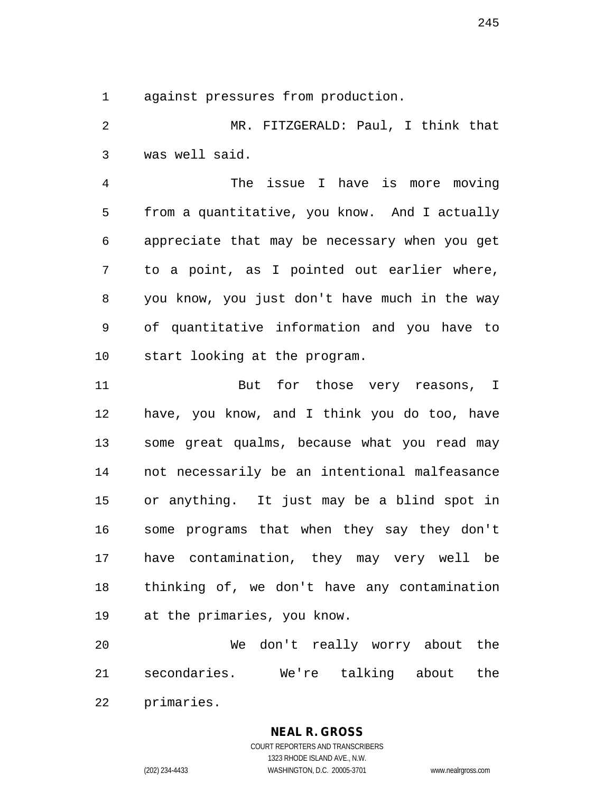1 against pressures from production.

2 MR. FITZGERALD: Paul, I think that 3 was well said.

4 The issue I have is more moving 5 from a quantitative, you know. And I actually 6 appreciate that may be necessary when you get 7 to a point, as I pointed out earlier where, 8 you know, you just don't have much in the way 9 of quantitative information and you have to 10 start looking at the program.

11 But for those very reasons, I 12 have, you know, and I think you do too, have 13 some great qualms, because what you read may 14 not necessarily be an intentional malfeasance 15 or anything. It just may be a blind spot in 16 some programs that when they say they don't 17 have contamination, they may very well be 18 thinking of, we don't have any contamination 19 at the primaries, you know.

20 We don't really worry about the 21 secondaries. We're talking about the 22 primaries.

# **NEAL R. GROSS**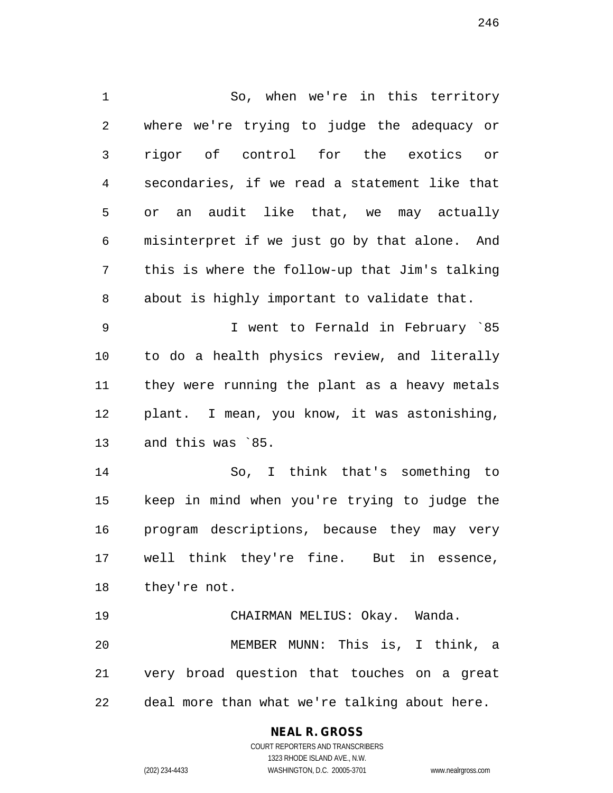1 So, when we're in this territory 2 where we're trying to judge the adequacy or 3 rigor of control for the exotics or 4 secondaries, if we read a statement like that 5 or an audit like that, we may actually 6 misinterpret if we just go by that alone. And 7 this is where the follow-up that Jim's talking 8 about is highly important to validate that. 9 I went to Fernald in February `85 10 to do a health physics review, and literally 11 they were running the plant as a heavy metals 12 plant. I mean, you know, it was astonishing, 13 and this was `85. 14 So, I think that's something to 15 keep in mind when you're trying to judge the 16 program descriptions, because they may very 17 well think they're fine. But in essence, 18 they're not. 19 CHAIRMAN MELIUS: Okay. Wanda. 20 MEMBER MUNN: This is, I think, a 21 very broad question that touches on a great

22 deal more than what we're talking about here.

### **NEAL R. GROSS**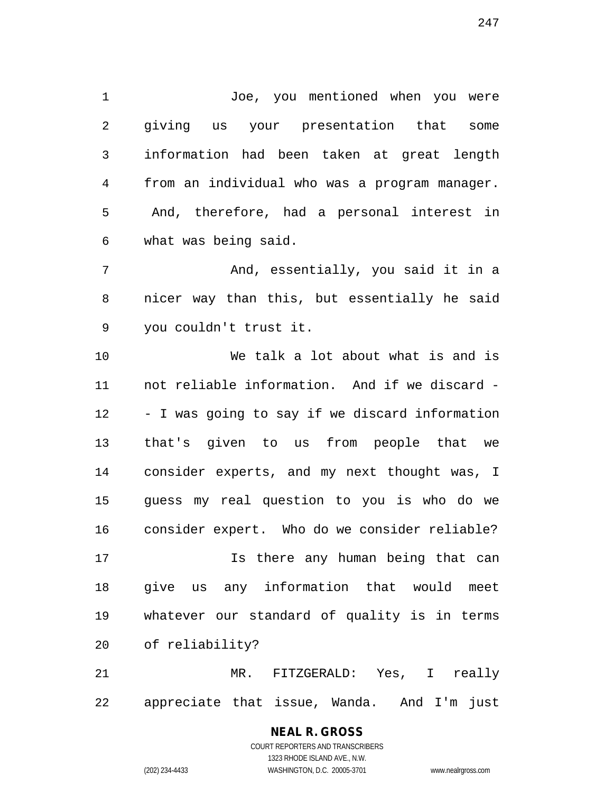1 Joe, you mentioned when you were 2 giving us your presentation that some 3 information had been taken at great length 4 from an individual who was a program manager. 5 And, therefore, had a personal interest in 6 what was being said.

7 And, essentially, you said it in a 8 nicer way than this, but essentially he said 9 you couldn't trust it.

10 We talk a lot about what is and is 11 not reliable information. And if we discard - 12 - I was going to say if we discard information 13 that's given to us from people that we 14 consider experts, and my next thought was, I 15 guess my real question to you is who do we 16 consider expert. Who do we consider reliable?

17 Is there any human being that can 18 give us any information that would meet 19 whatever our standard of quality is in terms 20 of reliability?

21 MR. FITZGERALD: Yes, I really 22 appreciate that issue, Wanda. And I'm just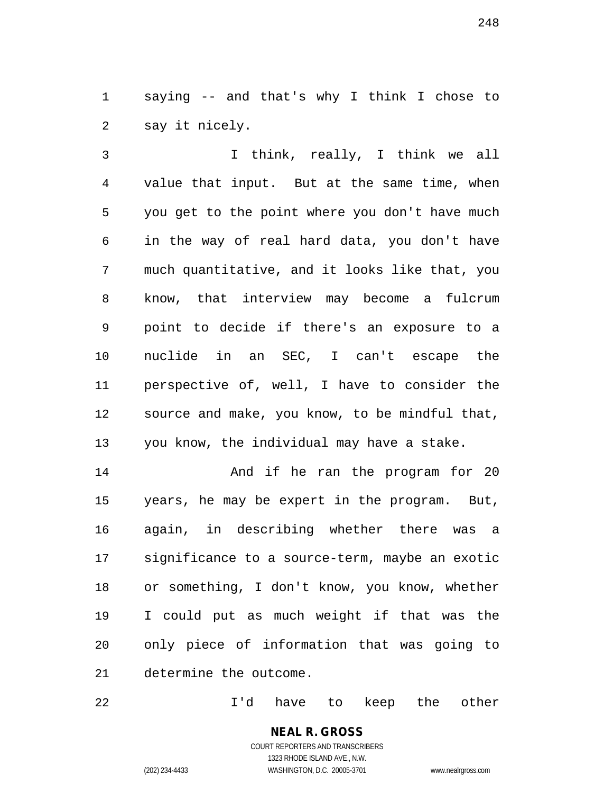1 saying -- and that's why I think I chose to 2 say it nicely.

3 I think, really, I think we all 4 value that input. But at the same time, when 5 you get to the point where you don't have much 6 in the way of real hard data, you don't have 7 much quantitative, and it looks like that, you 8 know, that interview may become a fulcrum 9 point to decide if there's an exposure to a 10 nuclide in an SEC, I can't escape the 11 perspective of, well, I have to consider the 12 source and make, you know, to be mindful that, 13 you know, the individual may have a stake.

14 **And if he ran the program for 20** 15 years, he may be expert in the program. But, 16 again, in describing whether there was a 17 significance to a source-term, maybe an exotic 18 or something, I don't know, you know, whether 19 I could put as much weight if that was the 20 only piece of information that was going to 21 determine the outcome.

22 I'd have to keep the other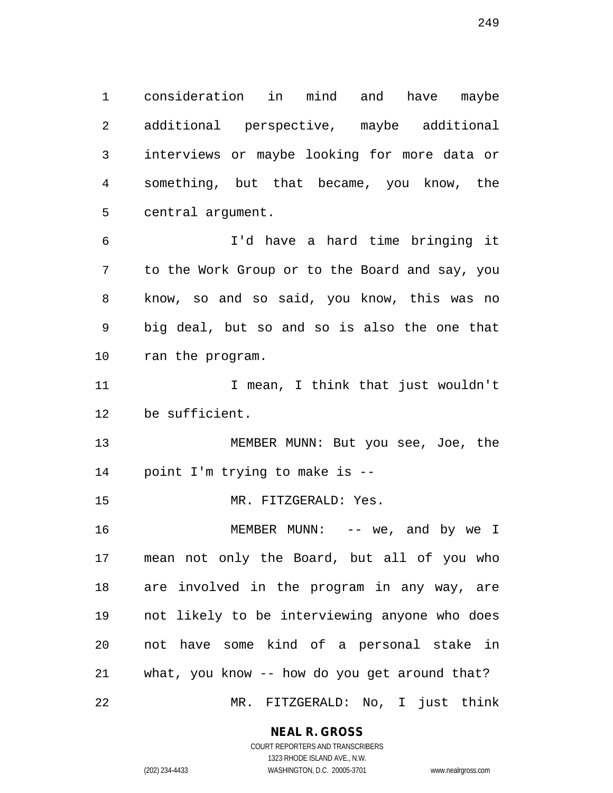1 consideration in mind and have maybe 2 additional perspective, maybe additional 3 interviews or maybe looking for more data or 4 something, but that became, you know, the 5 central argument.

6 I'd have a hard time bringing it 7 to the Work Group or to the Board and say, you 8 know, so and so said, you know, this was no 9 big deal, but so and so is also the one that 10 ran the program.

11 11 I mean, I think that just wouldn't 12 be sufficient.

13 MEMBER MUNN: But you see, Joe, the 14 point I'm trying to make is --

15 MR. FITZGERALD: Yes.

16 MEMBER MUNN: -- we, and by we I 17 mean not only the Board, but all of you who 18 are involved in the program in any way, are 19 not likely to be interviewing anyone who does 20 not have some kind of a personal stake in 21 what, you know -- how do you get around that? 22 MR. FITZGERALD: No, I just think

### **NEAL R. GROSS**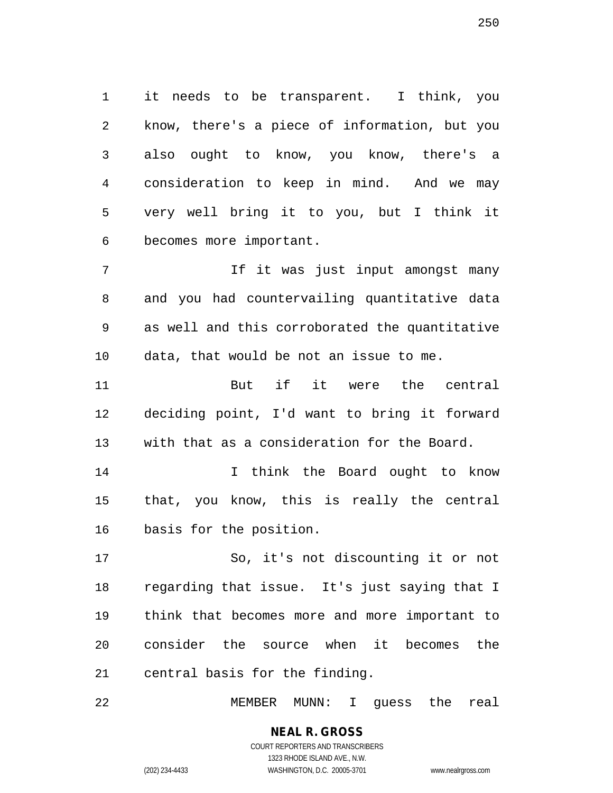1 it needs to be transparent. I think, you 2 know, there's a piece of information, but you 3 also ought to know, you know, there's a 4 consideration to keep in mind. And we may 5 very well bring it to you, but I think it 6 becomes more important.

7 If it was just input amongst many 8 and you had countervailing quantitative data 9 as well and this corroborated the quantitative 10 data, that would be not an issue to me.

11 But if it were the central 12 deciding point, I'd want to bring it forward 13 with that as a consideration for the Board.

14 I think the Board ought to know 15 that, you know, this is really the central 16 basis for the position.

17 So, it's not discounting it or not 18 regarding that issue. It's just saying that I 19 think that becomes more and more important to 20 consider the source when it becomes the 21 central basis for the finding.

22 MEMBER MUNN: I guess the real

**NEAL R. GROSS**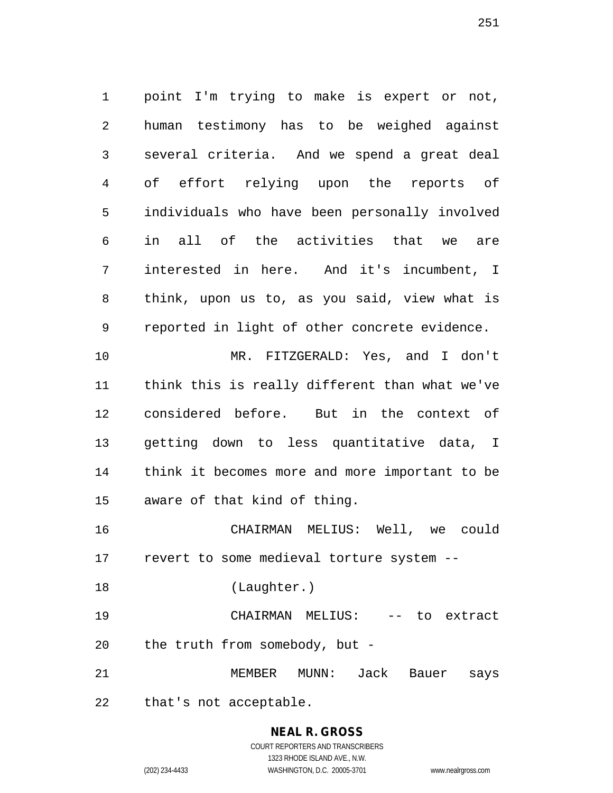1 point I'm trying to make is expert or not, 2 human testimony has to be weighed against 3 several criteria. And we spend a great deal 4 of effort relying upon the reports of 5 individuals who have been personally involved 6 in all of the activities that we are 7 interested in here. And it's incumbent, I 8 think, upon us to, as you said, view what is 9 reported in light of other concrete evidence. 10 MR. FITZGERALD: Yes, and I don't 11 think this is really different than what we've 12 considered before. But in the context of 13 getting down to less quantitative data, I 14 think it becomes more and more important to be 15 aware of that kind of thing. 16 CHAIRMAN MELIUS: Well, we could

17 revert to some medieval torture system --

18 (Laughter.)

19 CHAIRMAN MELIUS: -- to extract 20 the truth from somebody, but -

21 MEMBER MUNN: Jack Bauer says

22 that's not acceptable.

## **NEAL R. GROSS** COURT REPORTERS AND TRANSCRIBERS

1323 RHODE ISLAND AVE., N.W. (202) 234-4433 WASHINGTON, D.C. 20005-3701 www.nealrgross.com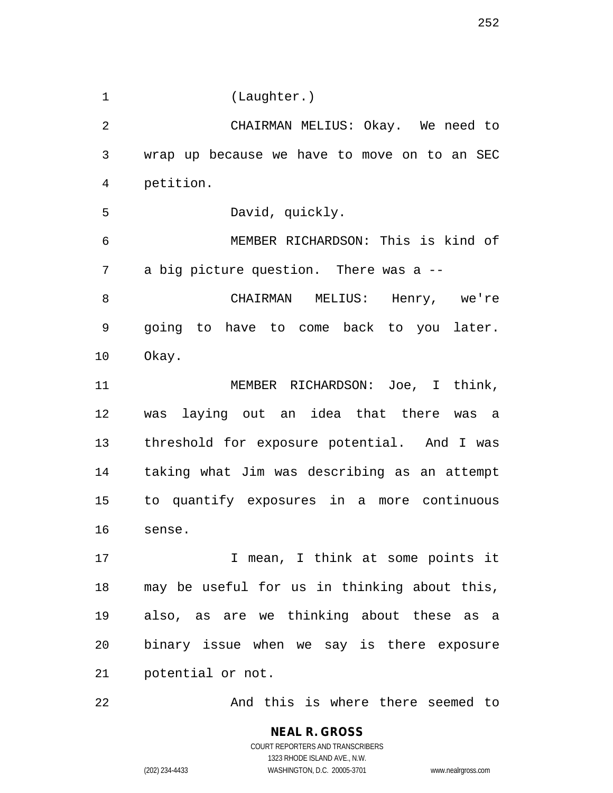1 (Laughter.) 2 CHAIRMAN MELIUS: Okay. We need to 3 wrap up because we have to move on to an SEC 4 petition. 5 David, quickly. 6 MEMBER RICHARDSON: This is kind of 7 a big picture question. There was a -- 8 CHAIRMAN MELIUS: Henry, we're 9 going to have to come back to you later. 10 Okay. 11 MEMBER RICHARDSON: Joe, I think, 12 was laying out an idea that there was a 13 threshold for exposure potential. And I was 14 taking what Jim was describing as an attempt 15 to quantify exposures in a more continuous 16 sense. 17 17 I mean, I think at some points it 18 may be useful for us in thinking about this, 19 also, as are we thinking about these as a 20 binary issue when we say is there exposure 21 potential or not. 22 And this is where there seemed to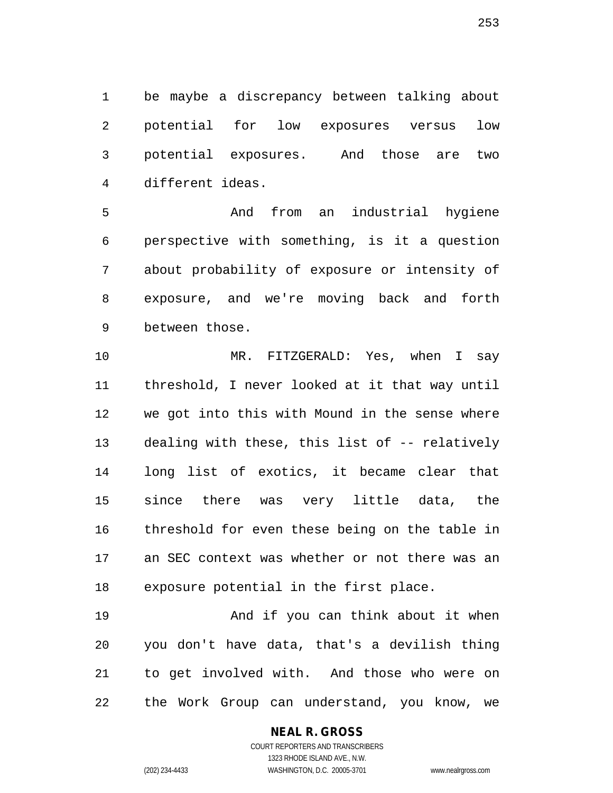1 be maybe a discrepancy between talking about 2 potential for low exposures versus low 3 potential exposures. And those are two 4 different ideas.

5 And from an industrial hygiene 6 perspective with something, is it a question 7 about probability of exposure or intensity of 8 exposure, and we're moving back and forth 9 between those.

10 MR. FITZGERALD: Yes, when I say 11 threshold, I never looked at it that way until 12 we got into this with Mound in the sense where 13 dealing with these, this list of -- relatively 14 long list of exotics, it became clear that 15 since there was very little data, the 16 threshold for even these being on the table in 17 an SEC context was whether or not there was an 18 exposure potential in the first place.

19 And if you can think about it when 20 you don't have data, that's a devilish thing 21 to get involved with. And those who were on 22 the Work Group can understand, you know, we

#### **NEAL R. GROSS**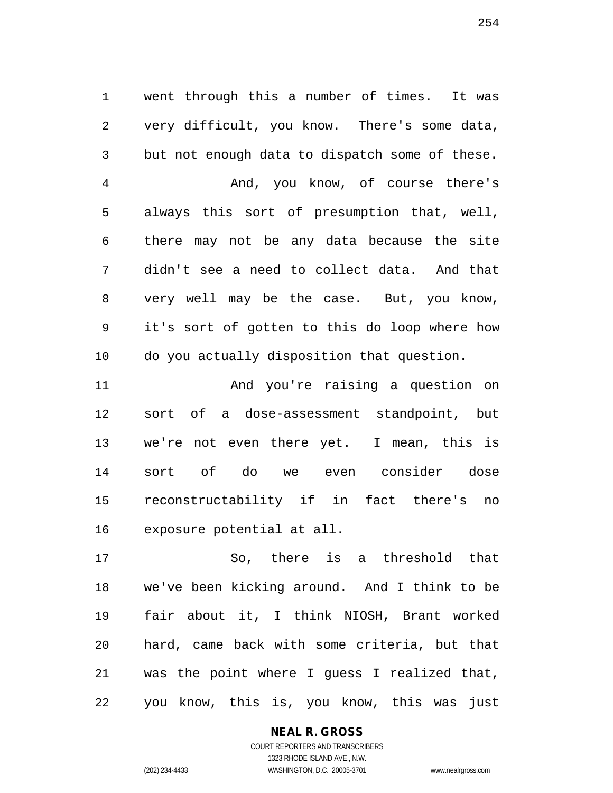1 went through this a number of times. It was 2 very difficult, you know. There's some data, 3 but not enough data to dispatch some of these. 4 And, you know, of course there's 5 always this sort of presumption that, well, 6 there may not be any data because the site 7 didn't see a need to collect data. And that 8 very well may be the case. But, you know, 9 it's sort of gotten to this do loop where how 10 do you actually disposition that question. 11 And you're raising a question on

12 sort of a dose-assessment standpoint, but 13 we're not even there yet. I mean, this is 14 sort of do we even consider dose 15 reconstructability if in fact there's no 16 exposure potential at all.

17 So, there is a threshold that 18 we've been kicking around. And I think to be 19 fair about it, I think NIOSH, Brant worked 20 hard, came back with some criteria, but that 21 was the point where I guess I realized that, 22 you know, this is, you know, this was just

**NEAL R. GROSS**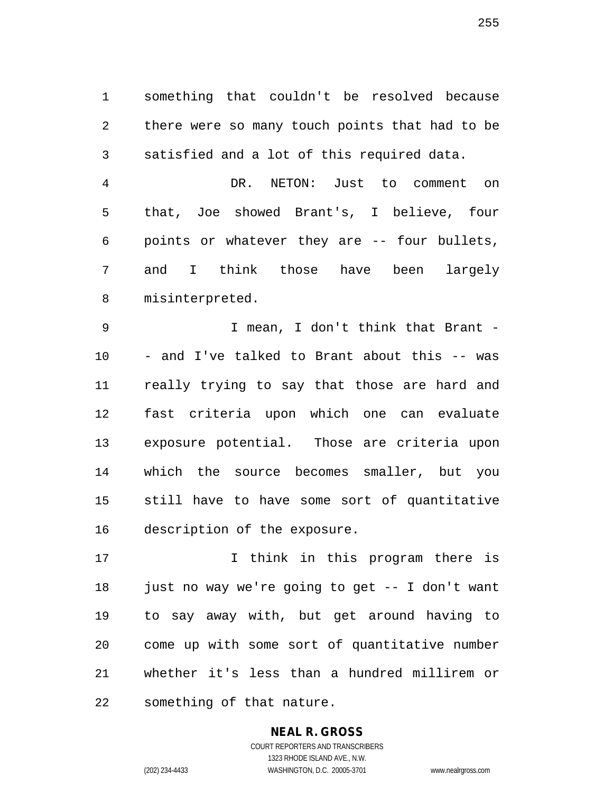1 something that couldn't be resolved because 2 there were so many touch points that had to be 3 satisfied and a lot of this required data.

4 DR. NETON: Just to comment on 5 that, Joe showed Brant's, I believe, four 6 points or whatever they are -- four bullets, 7 and I think those have been largely 8 misinterpreted.

9 I mean, I don't think that Brant - 10 - and I've talked to Brant about this -- was 11 really trying to say that those are hard and 12 fast criteria upon which one can evaluate 13 exposure potential. Those are criteria upon 14 which the source becomes smaller, but you 15 still have to have some sort of quantitative 16 description of the exposure.

17 I think in this program there is 18 just no way we're going to get -- I don't want 19 to say away with, but get around having to 20 come up with some sort of quantitative number 21 whether it's less than a hundred millirem or 22 something of that nature.

# **NEAL R. GROSS**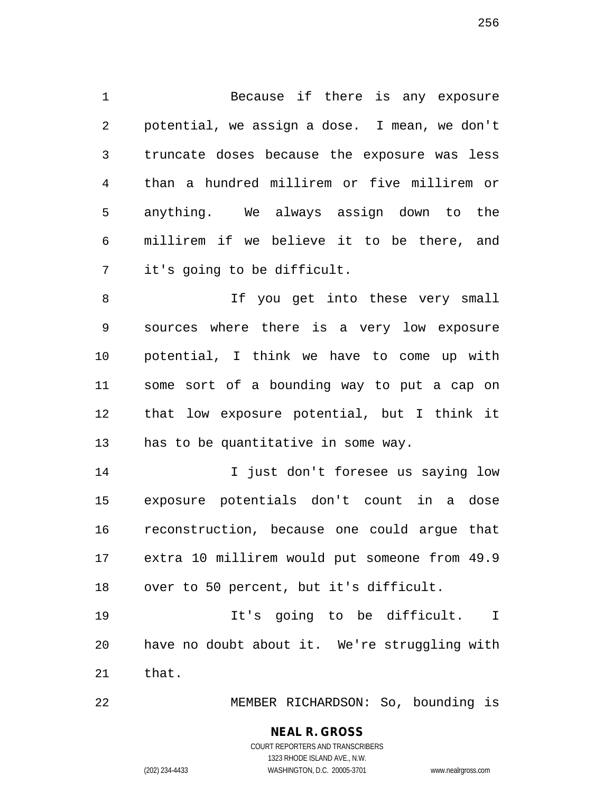1 Because if there is any exposure 2 potential, we assign a dose. I mean, we don't 3 truncate doses because the exposure was less 4 than a hundred millirem or five millirem or 5 anything. We always assign down to the 6 millirem if we believe it to be there, and 7 it's going to be difficult.

8 1f you get into these very small 9 sources where there is a very low exposure 10 potential, I think we have to come up with 11 some sort of a bounding way to put a cap on 12 that low exposure potential, but I think it 13 has to be quantitative in some way.

14 14 I just don't foresee us saying low 15 exposure potentials don't count in a dose 16 reconstruction, because one could argue that 17 extra 10 millirem would put someone from 49.9 18 over to 50 percent, but it's difficult.

19 It's going to be difficult. I 20 have no doubt about it. We're struggling with 21 that.

22 MEMBER RICHARDSON: So, bounding is

# **NEAL R. GROSS**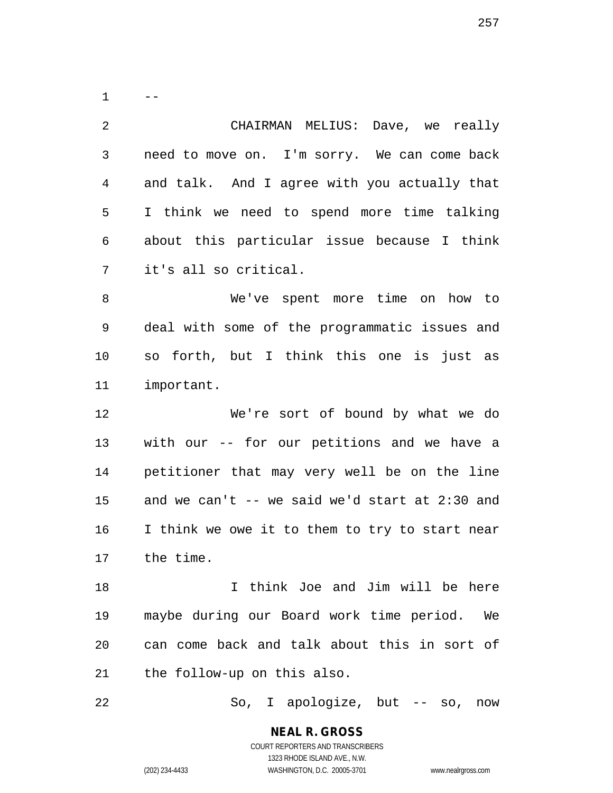$1 - -$ 2 CHAIRMAN MELIUS: Dave, we really 3 need to move on. I'm sorry. We can come back 4 and talk. And I agree with you actually that 5 I think we need to spend more time talking 6 about this particular issue because I think 7 it's all so critical. 8 We've spent more time on how to 9 deal with some of the programmatic issues and 10 so forth, but I think this one is just as 11 important. 12 We're sort of bound by what we do 13 with our -- for our petitions and we have a 14 petitioner that may very well be on the line 15 and we can't -- we said we'd start at 2:30 and 16 I think we owe it to them to try to start near 17 the time.

18 I think Joe and Jim will be here 19 maybe during our Board work time period. We 20 can come back and talk about this in sort of 21 the follow-up on this also.

22 So, I apologize, but -- so, now

**NEAL R. GROSS** COURT REPORTERS AND TRANSCRIBERS

1323 RHODE ISLAND AVE., N.W.

(202) 234-4433 WASHINGTON, D.C. 20005-3701 www.nealrgross.com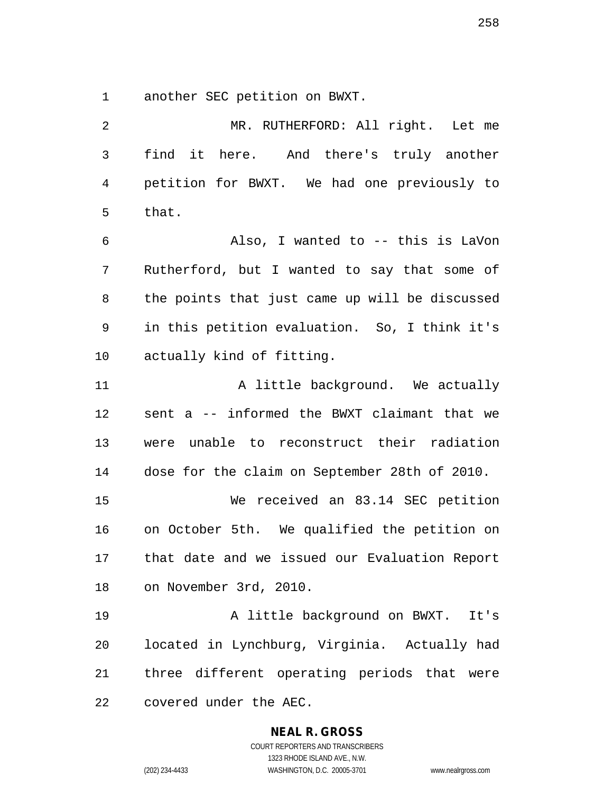1 another SEC petition on BWXT.

2 MR. RUTHERFORD: All right. Let me 3 find it here. And there's truly another 4 petition for BWXT. We had one previously to 5 that. 6 Also, I wanted to -- this is LaVon 7 Rutherford, but I wanted to say that some of 8 the points that just came up will be discussed 9 in this petition evaluation. So, I think it's 10 actually kind of fitting. 11 A little background. We actually 12 sent a -- informed the BWXT claimant that we 13 were unable to reconstruct their radiation 14 dose for the claim on September 28th of 2010. 15 We received an 83.14 SEC petition 16 on October 5th. We qualified the petition on 17 that date and we issued our Evaluation Report 18 on November 3rd, 2010. 19 A little background on BWXT. It's 20 located in Lynchburg, Virginia. Actually had 21 three different operating periods that were 22 covered under the AEC.

### **NEAL R. GROSS**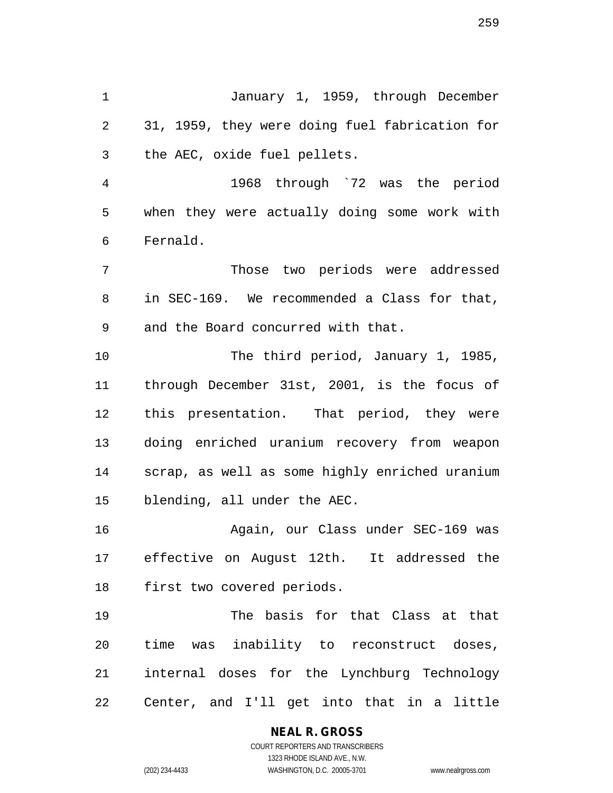1 January 1, 1959, through December 2 31, 1959, they were doing fuel fabrication for 3 the AEC, oxide fuel pellets.

4 1968 through `72 was the period 5 when they were actually doing some work with 6 Fernald.

7 Those two periods were addressed 8 in SEC-169. We recommended a Class for that, 9 and the Board concurred with that.

10 The third period, January 1, 1985, 11 through December 31st, 2001, is the focus of 12 this presentation. That period, they were 13 doing enriched uranium recovery from weapon 14 scrap, as well as some highly enriched uranium 15 blending, all under the AEC.

16 Again, our Class under SEC-169 was 17 effective on August 12th. It addressed the 18 first two covered periods.

19 The basis for that Class at that 20 time was inability to reconstruct doses, 21 internal doses for the Lynchburg Technology 22 Center, and I'll get into that in a little

# **NEAL R. GROSS**

COURT REPORTERS AND TRANSCRIBERS 1323 RHODE ISLAND AVE., N.W. (202) 234-4433 WASHINGTON, D.C. 20005-3701 www.nealrgross.com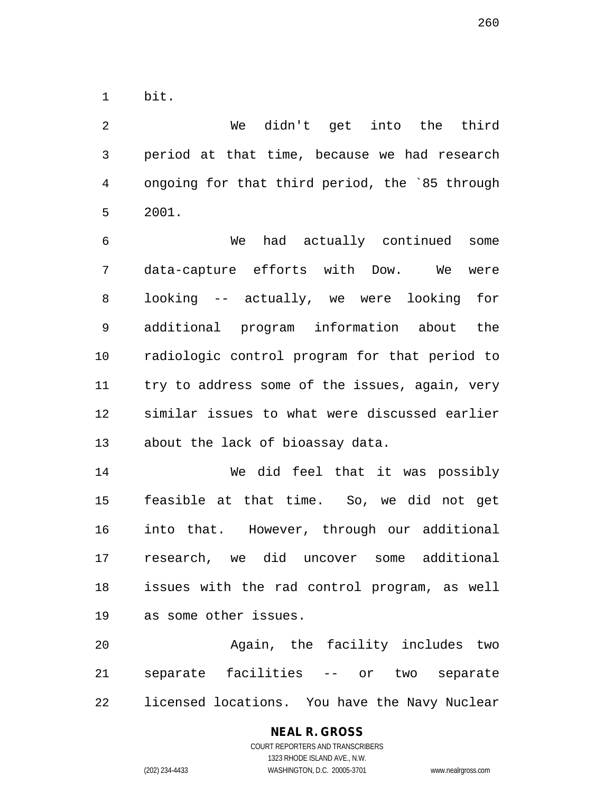1 bit.

2 We didn't get into the third 3 period at that time, because we had research 4 ongoing for that third period, the `85 through 5 2001.

6 We had actually continued some 7 data-capture efforts with Dow. We were 8 looking -- actually, we were looking for 9 additional program information about the 10 radiologic control program for that period to 11 try to address some of the issues, again, very 12 similar issues to what were discussed earlier 13 about the lack of bioassay data.

14 We did feel that it was possibly 15 feasible at that time. So, we did not get 16 into that. However, through our additional 17 research, we did uncover some additional 18 issues with the rad control program, as well 19 as some other issues.

20 Again, the facility includes two 21 separate facilities -- or two separate 22 licensed locations. You have the Navy Nuclear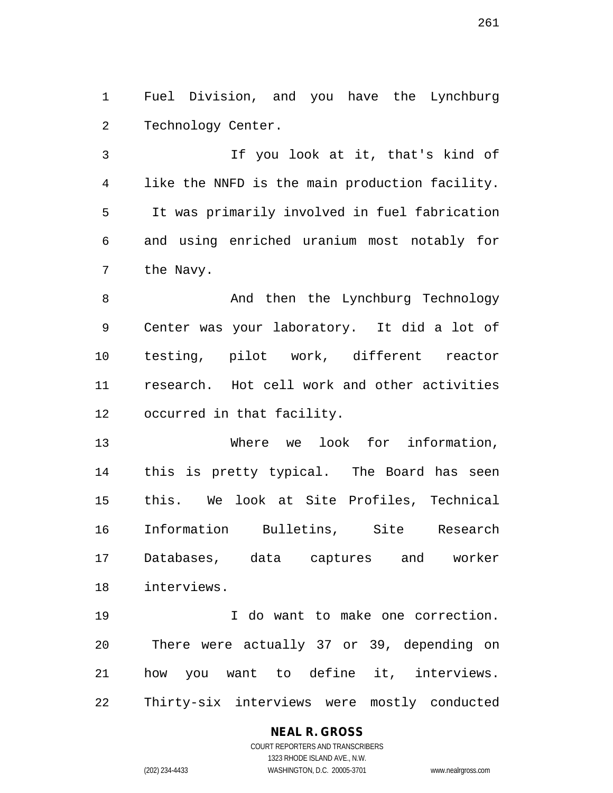1 Fuel Division, and you have the Lynchburg 2 Technology Center.

3 If you look at it, that's kind of 4 like the NNFD is the main production facility. 5 It was primarily involved in fuel fabrication 6 and using enriched uranium most notably for 7 the Navy.

8 And then the Lynchburg Technology 9 Center was your laboratory. It did a lot of 10 testing, pilot work, different reactor 11 research. Hot cell work and other activities 12 occurred in that facility.

13 Where we look for information, 14 this is pretty typical. The Board has seen 15 this. We look at Site Profiles, Technical 16 Information Bulletins, Site Research 17 Databases, data captures and worker 18 interviews.

19 I do want to make one correction. 20 There were actually 37 or 39, depending on 21 how you want to define it, interviews. 22 Thirty-six interviews were mostly conducted

## **NEAL R. GROSS**

COURT REPORTERS AND TRANSCRIBERS 1323 RHODE ISLAND AVE., N.W. (202) 234-4433 WASHINGTON, D.C. 20005-3701 www.nealrgross.com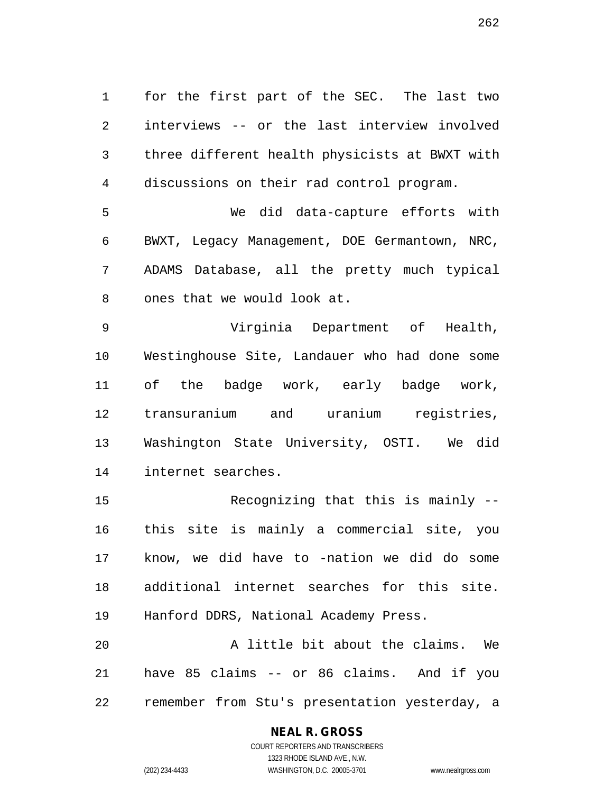1 for the first part of the SEC. The last two 2 interviews -- or the last interview involved 3 three different health physicists at BWXT with 4 discussions on their rad control program.

5 We did data-capture efforts with 6 BWXT, Legacy Management, DOE Germantown, NRC, 7 ADAMS Database, all the pretty much typical 8 ones that we would look at.

9 Virginia Department of Health, 10 Westinghouse Site, Landauer who had done some 11 of the badge work, early badge work, 12 transuranium and uranium registries, 13 Washington State University, OSTI. We did 14 internet searches.

15 Recognizing that this is mainly -- 16 this site is mainly a commercial site, you 17 know, we did have to -nation we did do some 18 additional internet searches for this site. 19 Hanford DDRS, National Academy Press. 20 A little bit about the claims. We

21 have 85 claims -- or 86 claims. And if you 22 remember from Stu's presentation yesterday, a

## **NEAL R. GROSS**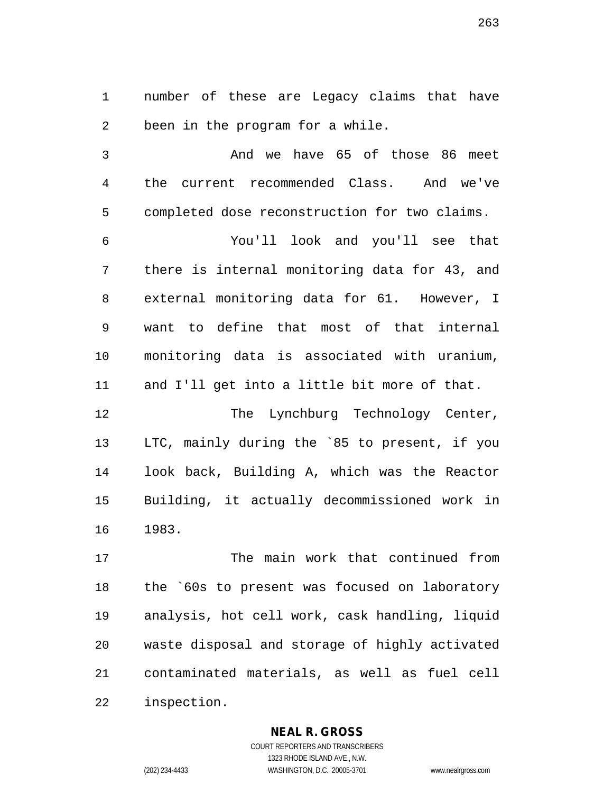1 number of these are Legacy claims that have 2 been in the program for a while.

3 And we have 65 of those 86 meet 4 the current recommended Class. And we've 5 completed dose reconstruction for two claims.

6 You'll look and you'll see that 7 there is internal monitoring data for 43, and 8 external monitoring data for 61. However, I 9 want to define that most of that internal 10 monitoring data is associated with uranium, 11 and I'll get into a little bit more of that.

12 The Lynchburg Technology Center, 13 LTC, mainly during the `85 to present, if you 14 look back, Building A, which was the Reactor 15 Building, it actually decommissioned work in 16 1983.

17 The main work that continued from 18 the `60s to present was focused on laboratory 19 analysis, hot cell work, cask handling, liquid 20 waste disposal and storage of highly activated 21 contaminated materials, as well as fuel cell 22 inspection.

**NEAL R. GROSS**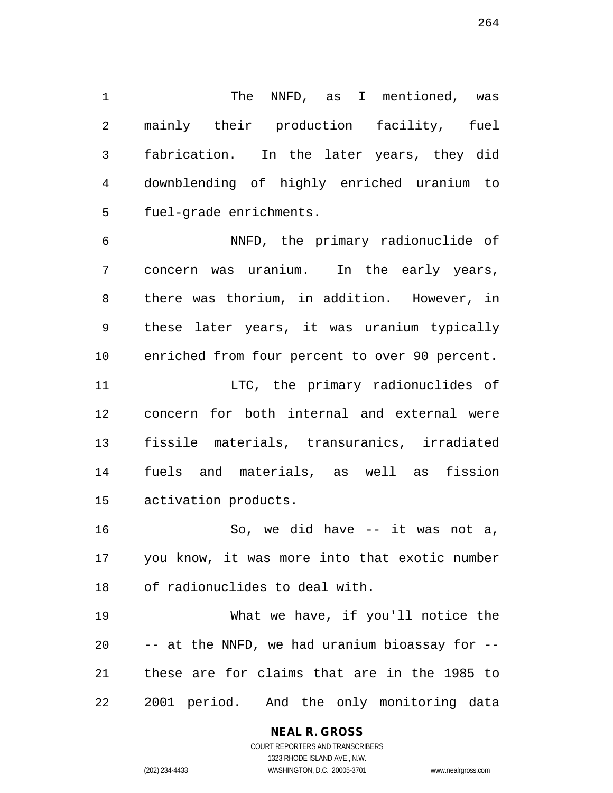1 The NNFD, as I mentioned, was 2 mainly their production facility, fuel 3 fabrication. In the later years, they did 4 downblending of highly enriched uranium to 5 fuel-grade enrichments.

6 NNFD, the primary radionuclide of 7 concern was uranium. In the early years, 8 there was thorium, in addition. However, in 9 these later years, it was uranium typically 10 enriched from four percent to over 90 percent. 11 LTC, the primary radionuclides of 12 concern for both internal and external were 13 fissile materials, transuranics, irradiated

15 activation products.

16 So, we did have -- it was not a, 17 you know, it was more into that exotic number 18 of radionuclides to deal with.

14 fuels and materials, as well as fission

19 What we have, if you'll notice the 20 -- at the NNFD, we had uranium bioassay for -- 21 these are for claims that are in the 1985 to 22 2001 period. And the only monitoring data

1323 RHODE ISLAND AVE., N.W. (202) 234-4433 WASHINGTON, D.C. 20005-3701 www.nealrgross.com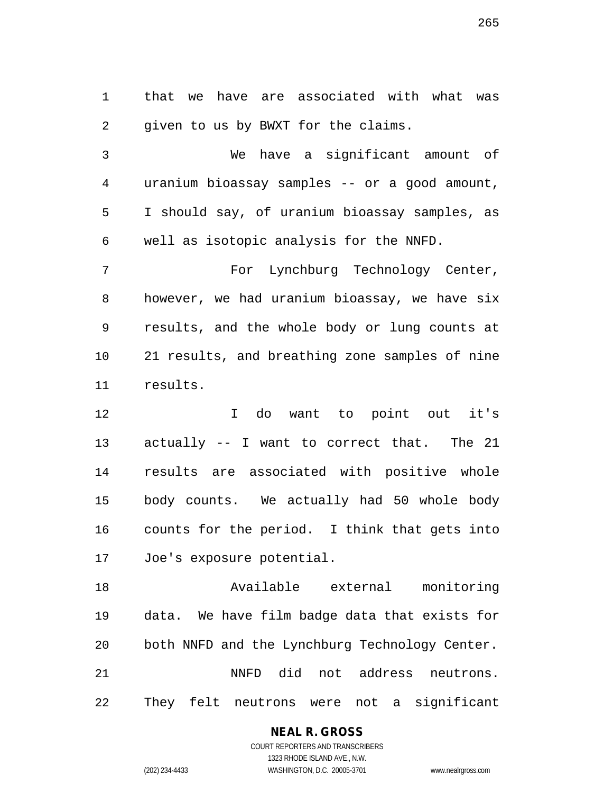1 that we have are associated with what was 2 given to us by BWXT for the claims.

3 We have a significant amount of 4 uranium bioassay samples -- or a good amount, 5 I should say, of uranium bioassay samples, as 6 well as isotopic analysis for the NNFD.

7 For Lynchburg Technology Center, 8 however, we had uranium bioassay, we have six 9 results, and the whole body or lung counts at 10 21 results, and breathing zone samples of nine 11 results.

12 I do want to point out it's 13 actually -- I want to correct that. The 21 14 results are associated with positive whole 15 body counts. We actually had 50 whole body 16 counts for the period. I think that gets into 17 Joe's exposure potential.

18 Available external monitoring 19 data. We have film badge data that exists for 20 both NNFD and the Lynchburg Technology Center. 21 NNFD did not address neutrons. 22 They felt neutrons were not a significant

#### **NEAL R. GROSS**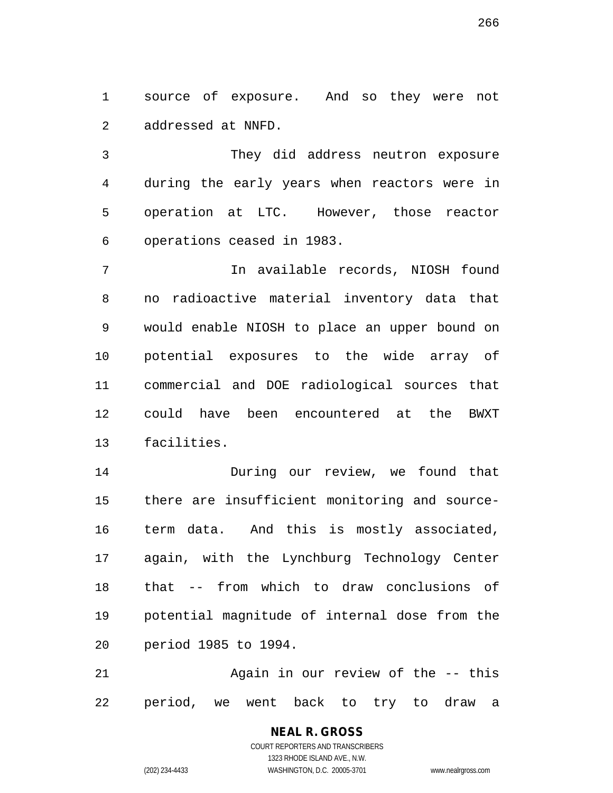1 source of exposure. And so they were not 2 addressed at NNFD.

3 They did address neutron exposure 4 during the early years when reactors were in 5 operation at LTC. However, those reactor 6 operations ceased in 1983.

7 In available records, NIOSH found 8 no radioactive material inventory data that 9 would enable NIOSH to place an upper bound on 10 potential exposures to the wide array of 11 commercial and DOE radiological sources that 12 could have been encountered at the BWXT 13 facilities.

14 During our review, we found that 15 there are insufficient monitoring and source-16 term data. And this is mostly associated, 17 again, with the Lynchburg Technology Center 18 that -- from which to draw conclusions of 19 potential magnitude of internal dose from the 20 period 1985 to 1994.

21 Again in our review of the -- this 22 period, we went back to try to draw a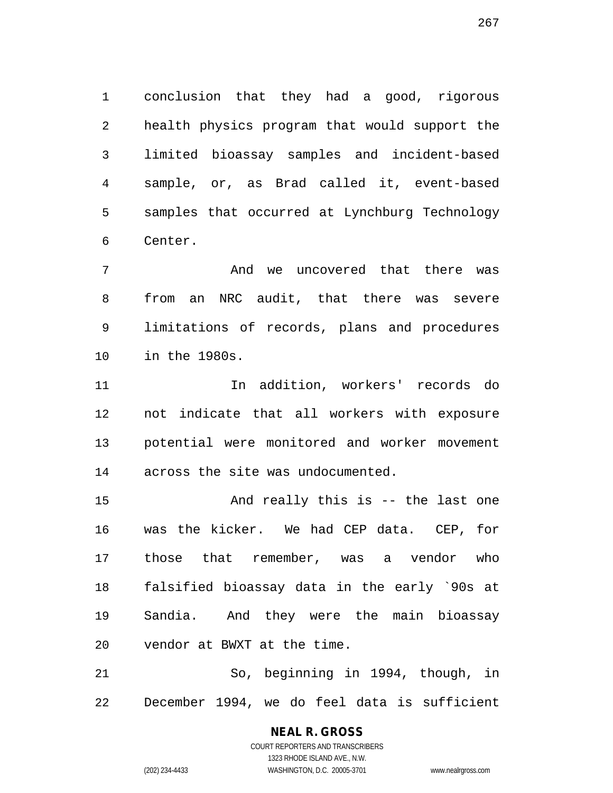1 conclusion that they had a good, rigorous 2 health physics program that would support the 3 limited bioassay samples and incident-based 4 sample, or, as Brad called it, event-based 5 samples that occurred at Lynchburg Technology 6 Center.

7 And we uncovered that there was 8 from an NRC audit, that there was severe 9 limitations of records, plans and procedures 10 in the 1980s.

11 In addition, workers' records do 12 not indicate that all workers with exposure 13 potential were monitored and worker movement 14 across the site was undocumented.

15 And really this is -- the last one 16 was the kicker. We had CEP data. CEP, for 17 those that remember, was a vendor who 18 falsified bioassay data in the early `90s at 19 Sandia. And they were the main bioassay 20 vendor at BWXT at the time.

21 So, beginning in 1994, though, in 22 December 1994, we do feel data is sufficient

> COURT REPORTERS AND TRANSCRIBERS 1323 RHODE ISLAND AVE., N.W. (202) 234-4433 WASHINGTON, D.C. 20005-3701 www.nealrgross.com

**NEAL R. GROSS**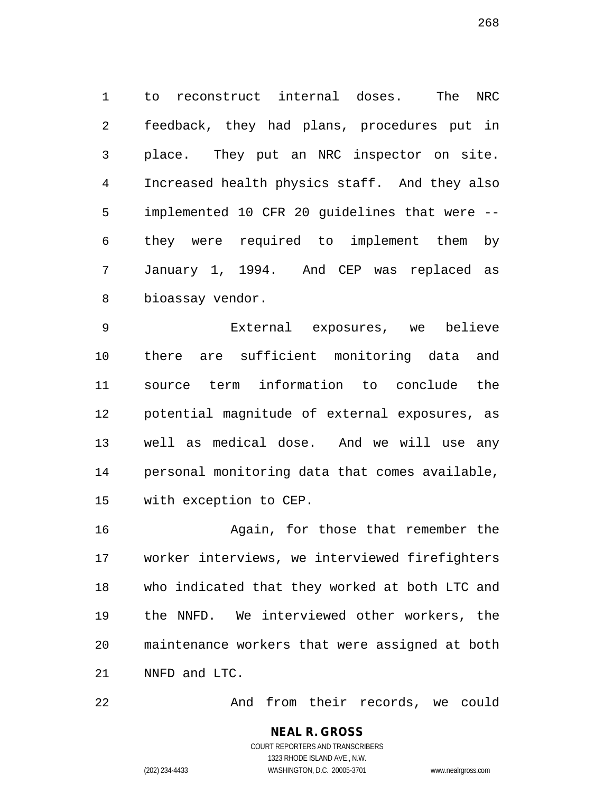1 to reconstruct internal doses. The NRC 2 feedback, they had plans, procedures put in 3 place. They put an NRC inspector on site. 4 Increased health physics staff. And they also 5 implemented 10 CFR 20 guidelines that were -- 6 they were required to implement them by 7 January 1, 1994. And CEP was replaced as 8 bioassay vendor.

9 External exposures, we believe 10 there are sufficient monitoring data and 11 source term information to conclude the 12 potential magnitude of external exposures, as 13 well as medical dose. And we will use any 14 personal monitoring data that comes available, 15 with exception to CEP.

16 Again, for those that remember the 17 worker interviews, we interviewed firefighters 18 who indicated that they worked at both LTC and 19 the NNFD. We interviewed other workers, the 20 maintenance workers that were assigned at both 21 NNFD and LTC.

22 And from their records, we could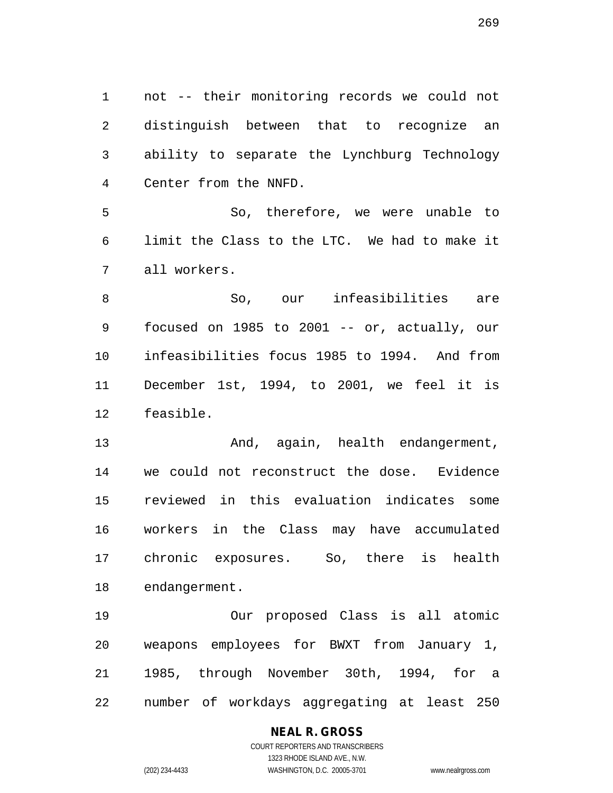1 not -- their monitoring records we could not 2 distinguish between that to recognize an 3 ability to separate the Lynchburg Technology 4 Center from the NNFD.

5 So, therefore, we were unable to 6 limit the Class to the LTC. We had to make it 7 all workers.

8 So, our infeasibilities are 9 focused on 1985 to 2001 -- or, actually, our 10 infeasibilities focus 1985 to 1994. And from 11 December 1st, 1994, to 2001, we feel it is 12 feasible.

13 And, again, health endangerment, 14 we could not reconstruct the dose. Evidence 15 reviewed in this evaluation indicates some 16 workers in the Class may have accumulated 17 chronic exposures. So, there is health 18 endangerment.

19 Our proposed Class is all atomic 20 weapons employees for BWXT from January 1, 21 1985, through November 30th, 1994, for a 22 number of workdays aggregating at least 250

### **NEAL R. GROSS**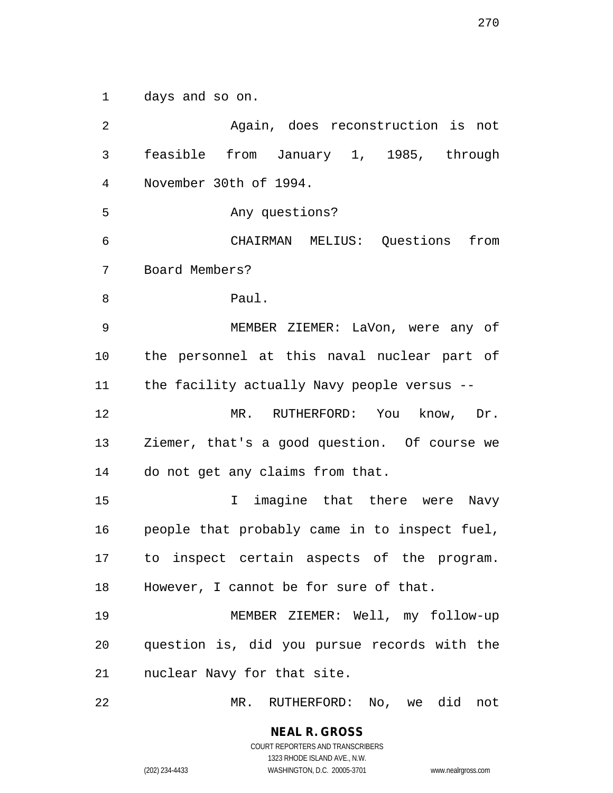1 days and so on.

2 Again, does reconstruction is not 3 feasible from January 1, 1985, through 4 November 30th of 1994. 5 Any questions? 6 CHAIRMAN MELIUS: Questions from 7 Board Members? 8 Paul. 9 MEMBER ZIEMER: LaVon, were any of 10 the personnel at this naval nuclear part of 11 the facility actually Navy people versus -- 12 MR. RUTHERFORD: You know, Dr. 13 Ziemer, that's a good question. Of course we 14 do not get any claims from that. 15 10 I imagine that there were Navy 16 people that probably came in to inspect fuel, 17 to inspect certain aspects of the program. 18 However, I cannot be for sure of that. 19 MEMBER ZIEMER: Well, my follow-up 20 question is, did you pursue records with the 21 nuclear Navy for that site. 22 MR. RUTHERFORD: No, we did not

> **NEAL R. GROSS** COURT REPORTERS AND TRANSCRIBERS

1323 RHODE ISLAND AVE., N.W. (202) 234-4433 WASHINGTON, D.C. 20005-3701 www.nealrgross.com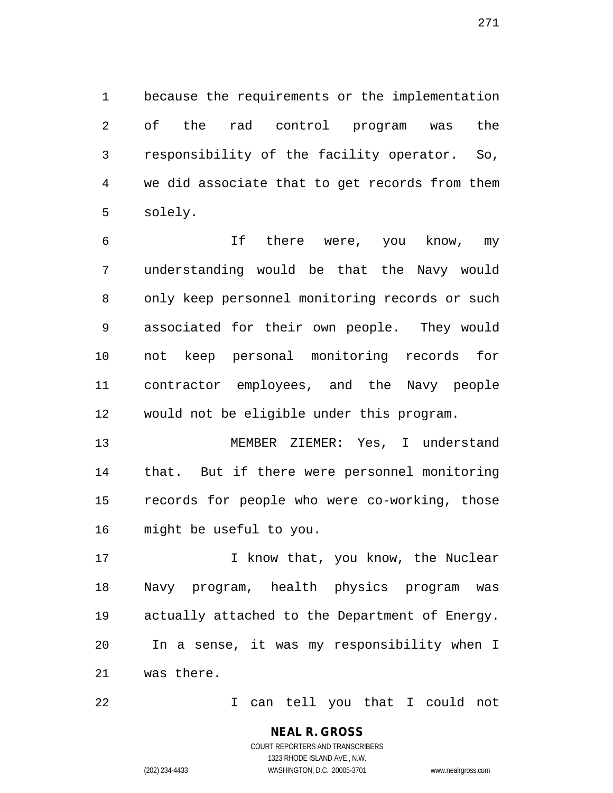1 because the requirements or the implementation 2 of the rad control program was the 3 responsibility of the facility operator. So, 4 we did associate that to get records from them 5 solely.

6 If there were, you know, my 7 understanding would be that the Navy would 8 only keep personnel monitoring records or such 9 associated for their own people. They would 10 not keep personal monitoring records for 11 contractor employees, and the Navy people 12 would not be eligible under this program.

13 MEMBER ZIEMER: Yes, I understand 14 that. But if there were personnel monitoring 15 records for people who were co-working, those 16 might be useful to you.

17 17 I know that, you know, the Nuclear 18 Navy program, health physics program was 19 actually attached to the Department of Energy. 20 In a sense, it was my responsibility when I 21 was there.

22 I can tell you that I could not

**NEAL R. GROSS**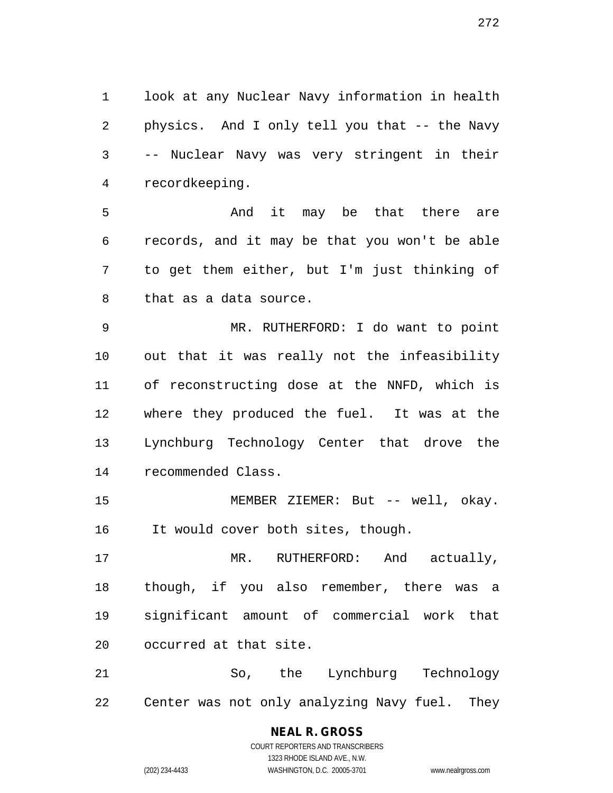1 look at any Nuclear Navy information in health 2 physics. And I only tell you that -- the Navy 3 -- Nuclear Navy was very stringent in their 4 recordkeeping.

5 And it may be that there are 6 records, and it may be that you won't be able 7 to get them either, but I'm just thinking of 8 that as a data source.

9 MR. RUTHERFORD: I do want to point 10 out that it was really not the infeasibility 11 of reconstructing dose at the NNFD, which is 12 where they produced the fuel. It was at the 13 Lynchburg Technology Center that drove the 14 recommended Class.

15 MEMBER ZIEMER: But -- well, okay. 16 It would cover both sites, though.

17 MR. RUTHERFORD: And actually, 18 though, if you also remember, there was a 19 significant amount of commercial work that 20 occurred at that site.

21 So, the Lynchburg Technology 22 Center was not only analyzing Navy fuel. They

# **NEAL R. GROSS**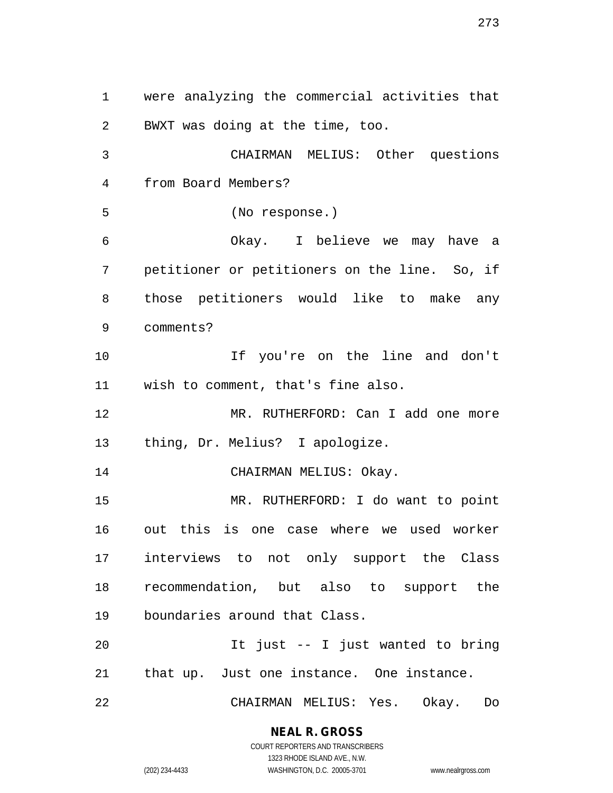1 were analyzing the commercial activities that 2 BWXT was doing at the time, too. 3 CHAIRMAN MELIUS: Other questions 4 from Board Members? 5 (No response.) 6 Okay. I believe we may have a 7 petitioner or petitioners on the line. So, if 8 those petitioners would like to make any 9 comments? 10 If you're on the line and don't 11 wish to comment, that's fine also. 12 MR. RUTHERFORD: Can I add one more 13 thing, Dr. Melius? I apologize. 14 CHAIRMAN MELIUS: Okay. 15 MR. RUTHERFORD: I do want to point 16 out this is one case where we used worker 17 interviews to not only support the Class 18 recommendation, but also to support the 19 boundaries around that Class. 20 It just -- I just wanted to bring 21 that up. Just one instance. One instance. 22 CHAIRMAN MELIUS: Yes. Okay. Do

### **NEAL R. GROSS**

COURT REPORTERS AND TRANSCRIBERS 1323 RHODE ISLAND AVE., N.W. (202) 234-4433 WASHINGTON, D.C. 20005-3701 www.nealrgross.com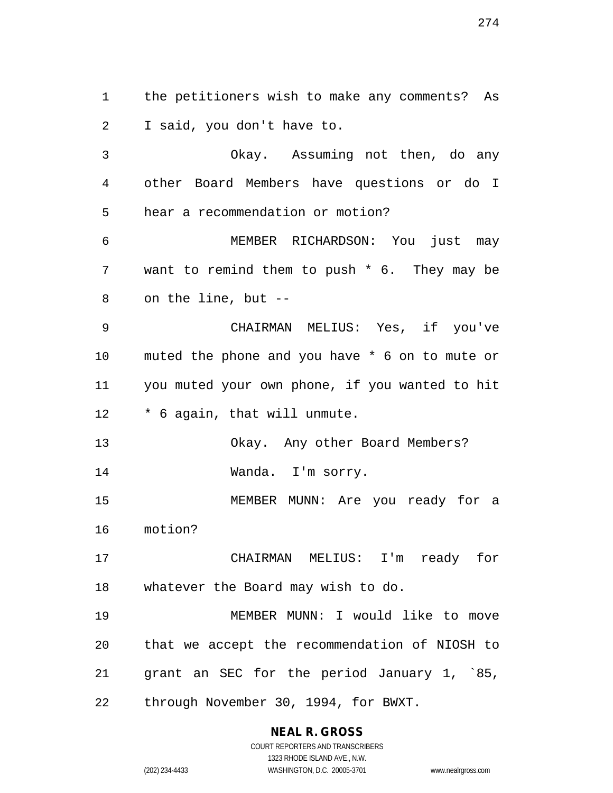1 the petitioners wish to make any comments? As 2 I said, you don't have to. 3 Okay. Assuming not then, do any 4 other Board Members have questions or do I 5 hear a recommendation or motion? 6 MEMBER RICHARDSON: You just may 7 want to remind them to push \* 6. They may be 8 on the line, but -- 9 CHAIRMAN MELIUS: Yes, if you've 10 muted the phone and you have \* 6 on to mute or 11 you muted your own phone, if you wanted to hit 12 \* 6 again, that will unmute. 13 Okay. Any other Board Members? 14 Wanda. I'm sorry. 15 MEMBER MUNN: Are you ready for a 16 motion? 17 CHAIRMAN MELIUS: I'm ready for 18 whatever the Board may wish to do. 19 MEMBER MUNN: I would like to move 20 that we accept the recommendation of NIOSH to 21 grant an SEC for the period January 1, `85, 22 through November 30, 1994, for BWXT.

## **NEAL R. GROSS**

COURT REPORTERS AND TRANSCRIBERS 1323 RHODE ISLAND AVE., N.W. (202) 234-4433 WASHINGTON, D.C. 20005-3701 www.nealrgross.com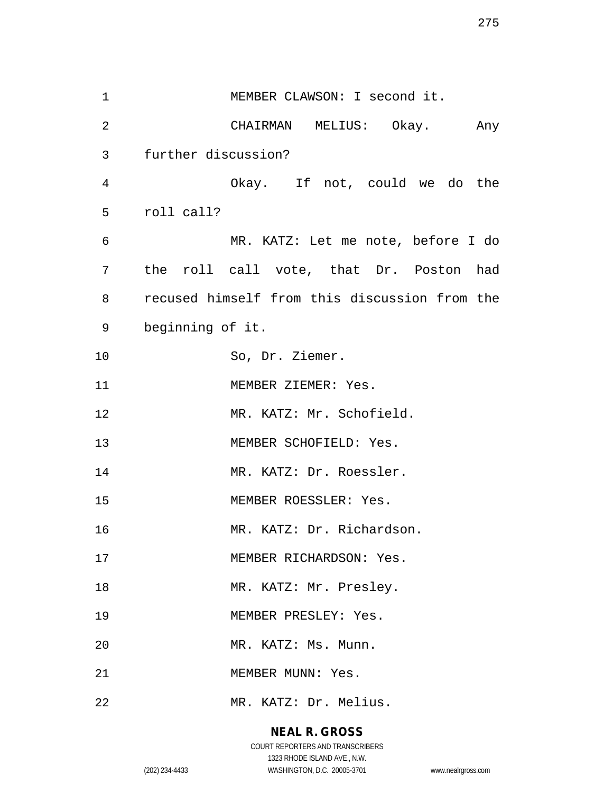1 MEMBER CLAWSON: I second it. 2 CHAIRMAN MELIUS: Okay. Any 3 further discussion? 4 Okay. If not, could we do the 5 roll call? 6 MR. KATZ: Let me note, before I do 7 the roll call vote, that Dr. Poston had 8 recused himself from this discussion from the 9 beginning of it. 10 So, Dr. Ziemer. 11 MEMBER ZIEMER: Yes. 12 MR. KATZ: Mr. Schofield. 13 MEMBER SCHOFIELD: Yes. 14 MR. KATZ: Dr. Roessler. 15 MEMBER ROESSLER: Yes. 16 MR. KATZ: Dr. Richardson. 17 MEMBER RICHARDSON: Yes. 18 MR. KATZ: Mr. Presley. 19 MEMBER PRESLEY: Yes. 20 MR. KATZ: Ms. Munn. 21 MEMBER MUNN: Yes. 22 MR. KATZ: Dr. Melius.

### **NEAL R. GROSS**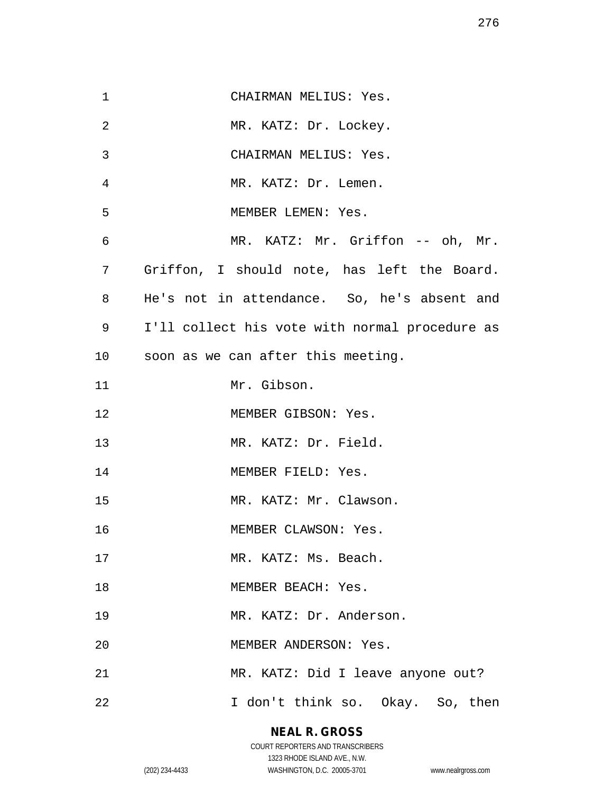| 1  | CHAIRMAN MELIUS: Yes.                          |
|----|------------------------------------------------|
| 2  | MR. KATZ: Dr. Lockey.                          |
| 3  | CHAIRMAN MELIUS: Yes.                          |
| 4  | MR. KATZ: Dr. Lemen.                           |
| 5  | MEMBER LEMEN: Yes.                             |
| 6  | MR. KATZ: Mr. Griffon -- oh, Mr.               |
| 7  | Griffon, I should note, has left the Board.    |
| 8  | He's not in attendance. So, he's absent and    |
| 9  | I'll collect his vote with normal procedure as |
| 10 | soon as we can after this meeting.             |
| 11 | Mr. Gibson.                                    |
| 12 | MEMBER GIBSON: Yes.                            |
| 13 | MR. KATZ: Dr. Field.                           |
| 14 | MEMBER FIELD: Yes.                             |
| 15 | MR. KATZ: Mr. Clawson.                         |
| 16 | MEMBER CLAWSON: Yes.                           |
| 17 | MR. KATZ: Ms. Beach.                           |
| 18 | MEMBER BEACH: Yes.                             |
| 19 | MR. KATZ: Dr. Anderson.                        |
| 20 | MEMBER ANDERSON: Yes.                          |
| 21 | MR. KATZ: Did I leave anyone out?              |
| 22 | I don't think so. Okay. So, then               |

**NEAL R. GROSS**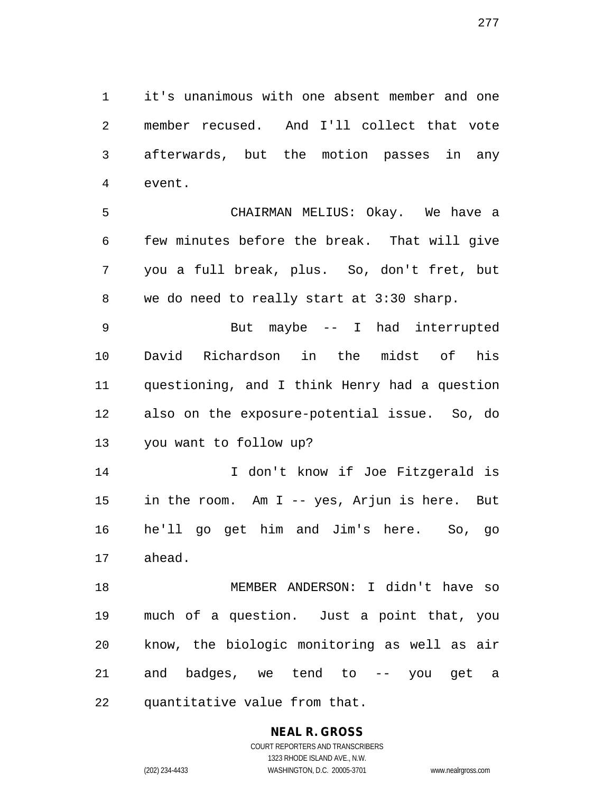1 it's unanimous with one absent member and one 2 member recused. And I'll collect that vote 3 afterwards, but the motion passes in any 4 event.

5 CHAIRMAN MELIUS: Okay. We have a 6 few minutes before the break. That will give 7 you a full break, plus. So, don't fret, but 8 we do need to really start at 3:30 sharp.

9 But maybe -- I had interrupted 10 David Richardson in the midst of his 11 questioning, and I think Henry had a question 12 also on the exposure-potential issue. So, do 13 you want to follow up?

14 I don't know if Joe Fitzgerald is 15 in the room. Am I -- yes, Arjun is here. But 16 he'll go get him and Jim's here. So, go 17 ahead.

18 MEMBER ANDERSON: I didn't have so 19 much of a question. Just a point that, you 20 know, the biologic monitoring as well as air 21 and badges, we tend to -- you get a 22 quantitative value from that.

# **NEAL R. GROSS**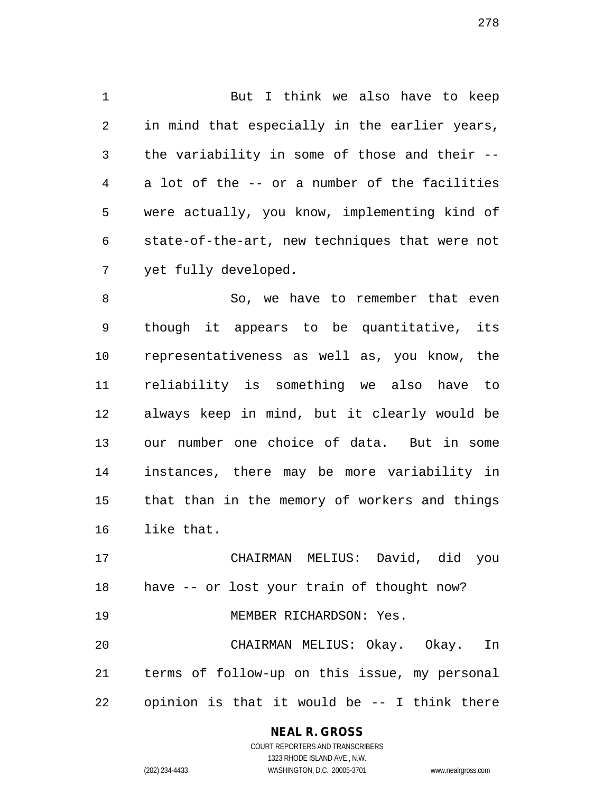1 But I think we also have to keep 2 in mind that especially in the earlier years, 3 the variability in some of those and their -- 4 a lot of the -- or a number of the facilities 5 were actually, you know, implementing kind of 6 state-of-the-art, new techniques that were not 7 yet fully developed.

8 So, we have to remember that even 9 though it appears to be quantitative, its 10 representativeness as well as, you know, the 11 reliability is something we also have to 12 always keep in mind, but it clearly would be 13 our number one choice of data. But in some 14 instances, there may be more variability in 15 that than in the memory of workers and things 16 like that.

17 CHAIRMAN MELIUS: David, did you 18 have -- or lost your train of thought now? 19 MEMBER RICHARDSON: Yes. 20 CHAIRMAN MELIUS: Okay. Okay. In 21 terms of follow-up on this issue, my personal 22 opinion is that it would be -- I think there

## **NEAL R. GROSS**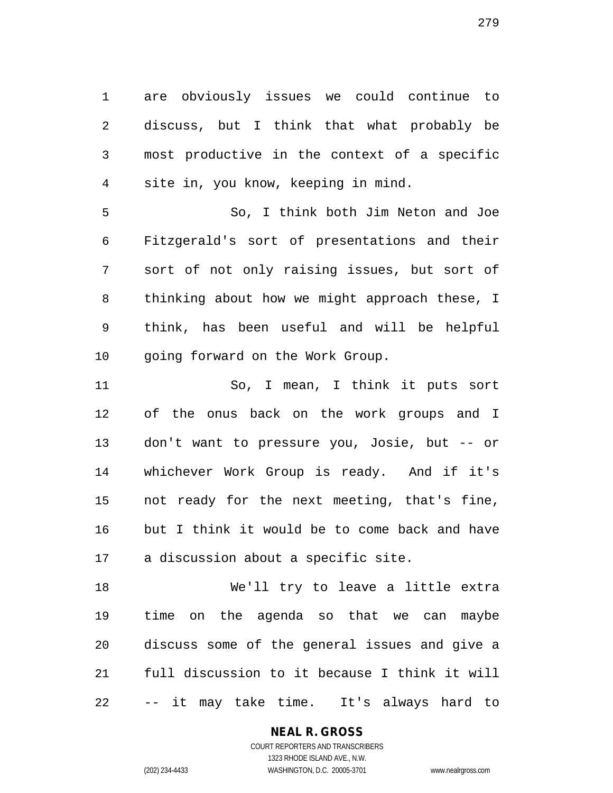1 are obviously issues we could continue to 2 discuss, but I think that what probably be 3 most productive in the context of a specific 4 site in, you know, keeping in mind.

5 So, I think both Jim Neton and Joe 6 Fitzgerald's sort of presentations and their 7 sort of not only raising issues, but sort of 8 thinking about how we might approach these, I 9 think, has been useful and will be helpful 10 going forward on the Work Group.

11 So, I mean, I think it puts sort 12 of the onus back on the work groups and I 13 don't want to pressure you, Josie, but -- or 14 whichever Work Group is ready. And if it's 15 not ready for the next meeting, that's fine, 16 but I think it would be to come back and have 17 a discussion about a specific site.

18 We'll try to leave a little extra 19 time on the agenda so that we can maybe 20 discuss some of the general issues and give a 21 full discussion to it because I think it will 22 -- it may take time. It's always hard to

> **NEAL R. GROSS** COURT REPORTERS AND TRANSCRIBERS

> > 1323 RHODE ISLAND AVE., N.W.

(202) 234-4433 WASHINGTON, D.C. 20005-3701 www.nealrgross.com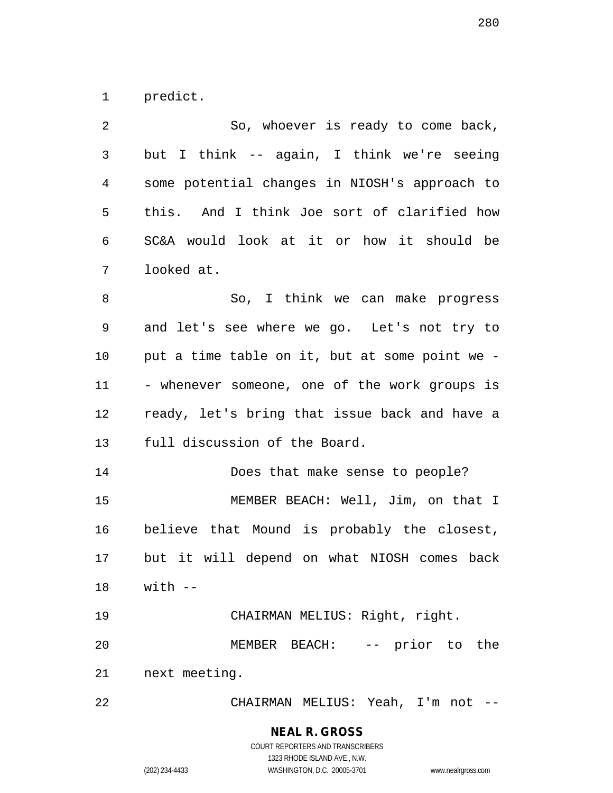1 predict.

| 2  | So, whoever is ready to come back,             |
|----|------------------------------------------------|
| 3  | but I think -- again, I think we're seeing     |
| 4  | some potential changes in NIOSH's approach to  |
| 5  | this. And I think Joe sort of clarified how    |
| 6  | SC&A would look at it or how it should be      |
| 7  | looked at.                                     |
| 8  | So, I think we can make progress               |
| 9  | and let's see where we go. Let's not try to    |
| 10 | put a time table on it, but at some point we - |
| 11 | - whenever someone, one of the work groups is  |
| 12 | ready, let's bring that issue back and have a  |
| 13 | full discussion of the Board.                  |
| 14 | Does that make sense to people?                |
| 15 | MEMBER BEACH: Well, Jim, on that I             |
| 16 | believe that Mound is probably the closest,    |
| 17 | but it will depend on what NIOSH comes back    |
|    | $18$ with $-$                                  |
| 19 | CHAIRMAN MELIUS: Right, right.                 |
| 20 | MEMBER BEACH: -- prior to the                  |
| 21 | next meeting.                                  |
| 22 | CHAIRMAN MELIUS: Yeah, I'm not --              |

**NEAL R. GROSS**

COURT REPORTERS AND TRANSCRIBERS 1323 RHODE ISLAND AVE., N.W. (202) 234-4433 WASHINGTON, D.C. 20005-3701 www.nealrgross.com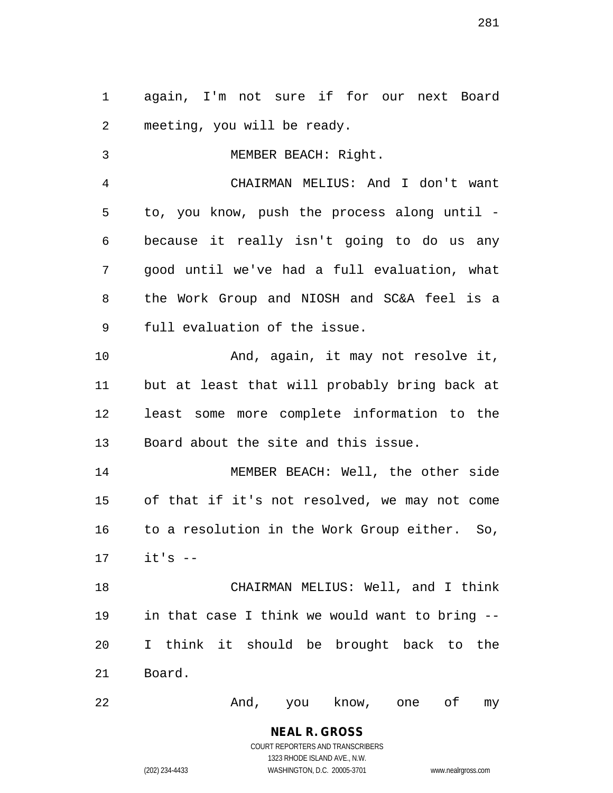1 again, I'm not sure if for our next Board 2 meeting, you will be ready.

3 MEMBER BEACH: Right. 4 CHAIRMAN MELIUS: And I don't want 5 to, you know, push the process along until - 6 because it really isn't going to do us any 7 good until we've had a full evaluation, what 8 the Work Group and NIOSH and SC&A feel is a 9 full evaluation of the issue. 10 And, again, it may not resolve it, 11 but at least that will probably bring back at 12 least some more complete information to the 13 Board about the site and this issue. 14 MEMBER BEACH: Well, the other side 15 of that if it's not resolved, we may not come 16 to a resolution in the Work Group either. So, 17 it's -- 18 CHAIRMAN MELIUS: Well, and I think 19 in that case I think we would want to bring -- 20 I think it should be brought back to the 21 Board.

22 And, you know, one of my

1323 RHODE ISLAND AVE., N.W.

(202) 234-4433 WASHINGTON, D.C. 20005-3701 www.nealrgross.com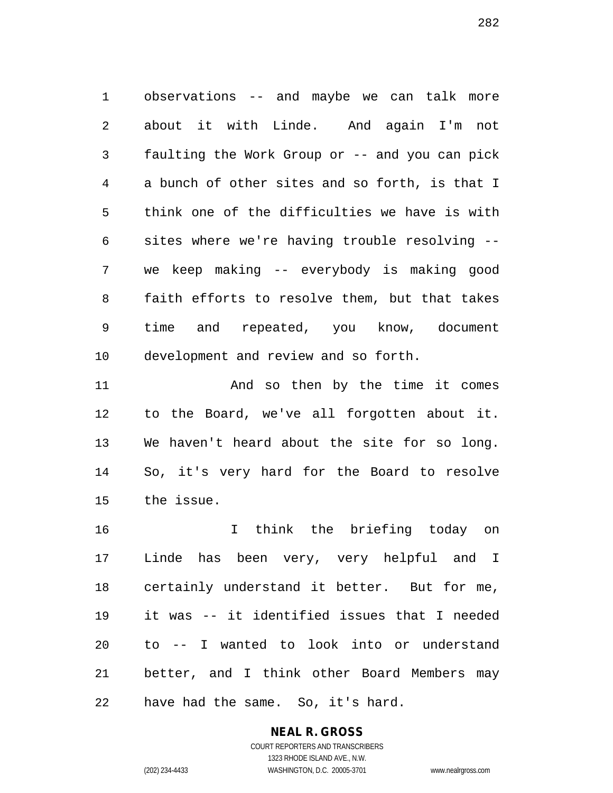1 observations -- and maybe we can talk more 2 about it with Linde. And again I'm not 3 faulting the Work Group or -- and you can pick 4 a bunch of other sites and so forth, is that I 5 think one of the difficulties we have is with 6 sites where we're having trouble resolving -- 7 we keep making -- everybody is making good 8 faith efforts to resolve them, but that takes 9 time and repeated, you know, document 10 development and review and so forth.

11 And so then by the time it comes 12 to the Board, we've all forgotten about it. 13 We haven't heard about the site for so long. 14 So, it's very hard for the Board to resolve 15 the issue.

16 I think the briefing today on 17 Linde has been very, very helpful and I 18 certainly understand it better. But for me, 19 it was -- it identified issues that I needed 20 to -- I wanted to look into or understand 21 better, and I think other Board Members may 22 have had the same. So, it's hard.

> **NEAL R. GROSS** COURT REPORTERS AND TRANSCRIBERS 1323 RHODE ISLAND AVE., N.W.

(202) 234-4433 WASHINGTON, D.C. 20005-3701 www.nealrgross.com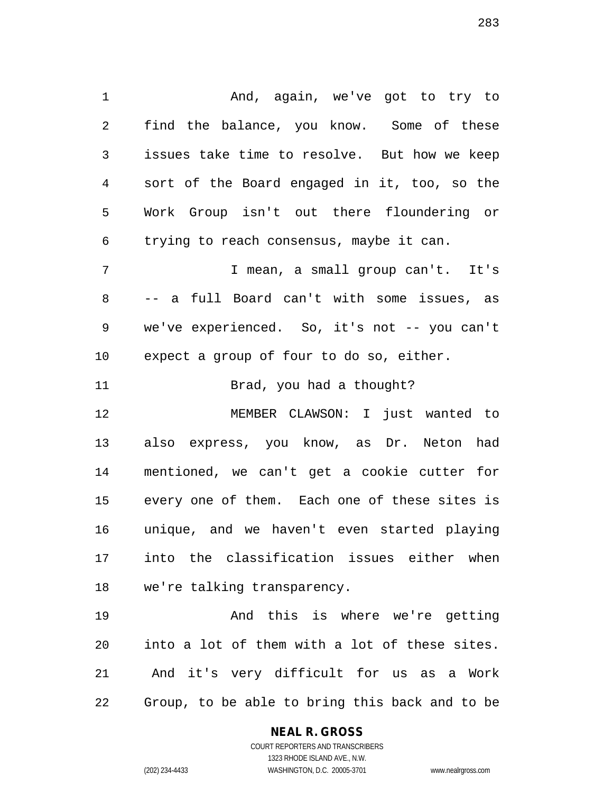1 And, again, we've got to try to 2 find the balance, you know. Some of these 3 issues take time to resolve. But how we keep 4 sort of the Board engaged in it, too, so the 5 Work Group isn't out there floundering or 6 trying to reach consensus, maybe it can. 7 I mean, a small group can't. It's 8 -- a full Board can't with some issues, as 9 we've experienced. So, it's not -- you can't 10 expect a group of four to do so, either. 11 Brad, you had a thought? 12 MEMBER CLAWSON: I just wanted to 13 also express, you know, as Dr. Neton had 14 mentioned, we can't get a cookie cutter for 15 every one of them. Each one of these sites is 16 unique, and we haven't even started playing 17 into the classification issues either when 18 we're talking transparency.

19 And this is where we're getting 20 into a lot of them with a lot of these sites. 21 And it's very difficult for us as a Work 22 Group, to be able to bring this back and to be

#### **NEAL R. GROSS**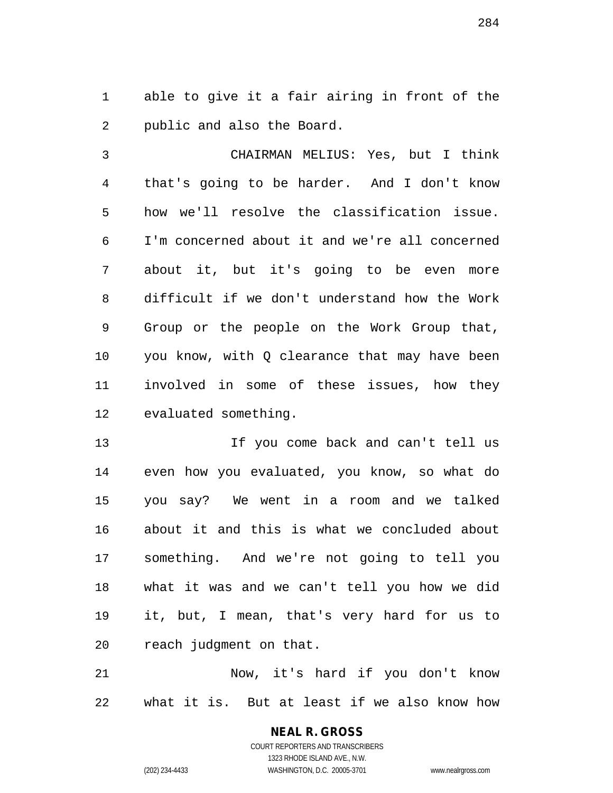1 able to give it a fair airing in front of the 2 public and also the Board.

3 CHAIRMAN MELIUS: Yes, but I think 4 that's going to be harder. And I don't know 5 how we'll resolve the classification issue. 6 I'm concerned about it and we're all concerned 7 about it, but it's going to be even more 8 difficult if we don't understand how the Work 9 Group or the people on the Work Group that, 10 you know, with Q clearance that may have been 11 involved in some of these issues, how they 12 evaluated something.

13 13 If you come back and can't tell us 14 even how you evaluated, you know, so what do 15 you say? We went in a room and we talked 16 about it and this is what we concluded about 17 something. And we're not going to tell you 18 what it was and we can't tell you how we did 19 it, but, I mean, that's very hard for us to 20 reach judgment on that.

21 Now, it's hard if you don't know 22 what it is. But at least if we also know how

> **NEAL R. GROSS** COURT REPORTERS AND TRANSCRIBERS 1323 RHODE ISLAND AVE., N.W.

(202) 234-4433 WASHINGTON, D.C. 20005-3701 www.nealrgross.com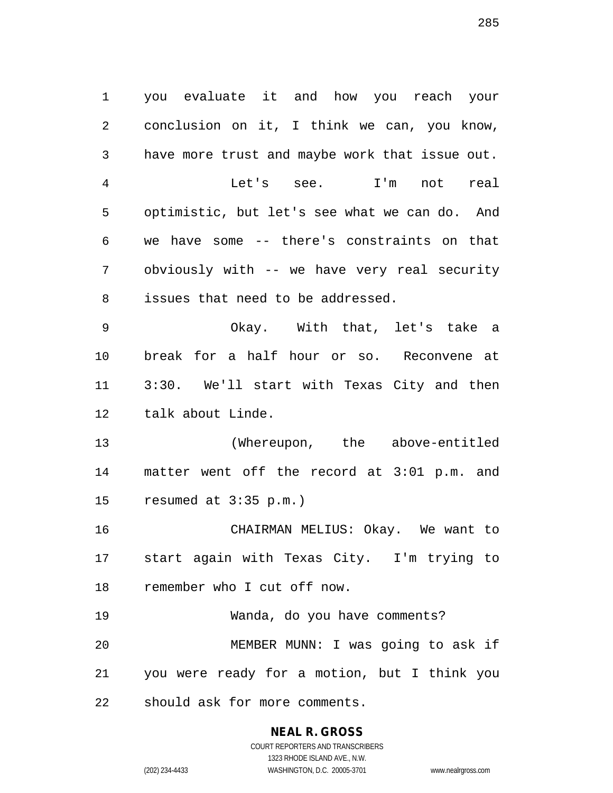1 you evaluate it and how you reach your 2 conclusion on it, I think we can, you know, 3 have more trust and maybe work that issue out. 4 Let's see. I'm not real 5 optimistic, but let's see what we can do. And 6 we have some -- there's constraints on that 7 obviously with -- we have very real security 8 issues that need to be addressed. 9 Okay. With that, let's take a 10 break for a half hour or so. Reconvene at 11 3:30. We'll start with Texas City and then 12 talk about Linde. 13 (Whereupon, the above-entitled 14 matter went off the record at 3:01 p.m. and 15 resumed at 3:35 p.m.) 16 CHAIRMAN MELIUS: Okay. We want to 17 start again with Texas City. I'm trying to 18 remember who I cut off now. 19 Wanda, do you have comments? 20 MEMBER MUNN: I was going to ask if 21 you were ready for a motion, but I think you 22 should ask for more comments.

**NEAL R. GROSS**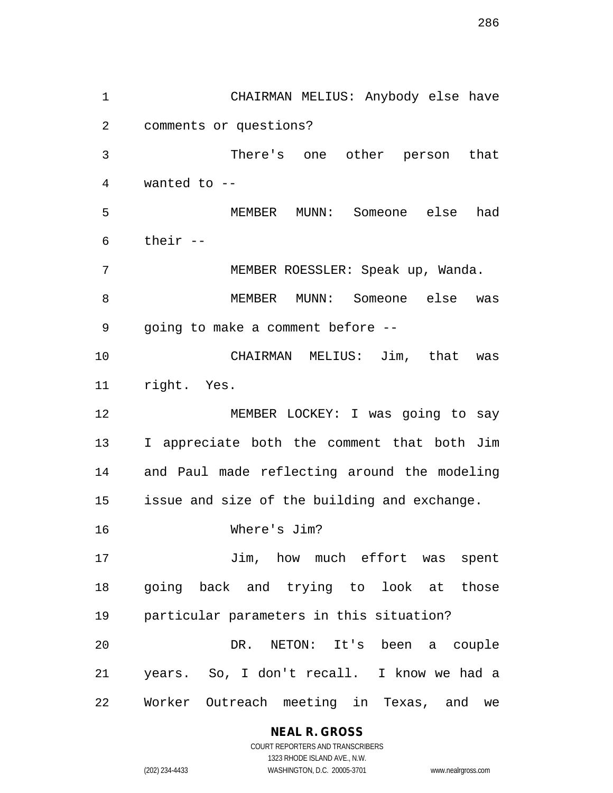1 CHAIRMAN MELIUS: Anybody else have 2 comments or questions? 3 There's one other person that 4 wanted to -- 5 MEMBER MUNN: Someone else had 6 their -- 7 MEMBER ROESSLER: Speak up, Wanda. 8 MEMBER MUNN: Someone else was 9 going to make a comment before -- 10 CHAIRMAN MELIUS: Jim, that was 11 right. Yes. 12 MEMBER LOCKEY: I was going to say 13 I appreciate both the comment that both Jim 14 and Paul made reflecting around the modeling 15 issue and size of the building and exchange. 16 Where's Jim? 17 Jim, how much effort was spent 18 going back and trying to look at those 19 particular parameters in this situation? 20 DR. NETON: It's been a couple 21 years. So, I don't recall. I know we had a 22 Worker Outreach meeting in Texas, and we

# **NEAL R. GROSS**

COURT REPORTERS AND TRANSCRIBERS 1323 RHODE ISLAND AVE., N.W. (202) 234-4433 WASHINGTON, D.C. 20005-3701 www.nealrgross.com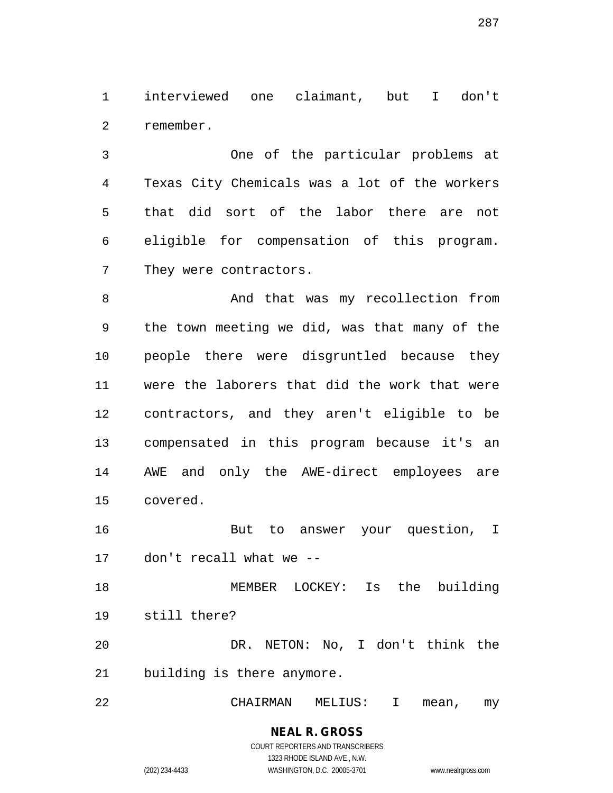1 interviewed one claimant, but I don't 2 remember.

3 One of the particular problems at 4 Texas City Chemicals was a lot of the workers 5 that did sort of the labor there are not 6 eligible for compensation of this program. 7 They were contractors.

8 And that was my recollection from 9 the town meeting we did, was that many of the 10 people there were disgruntled because they 11 were the laborers that did the work that were 12 contractors, and they aren't eligible to be 13 compensated in this program because it's an 14 AWE and only the AWE-direct employees are 15 covered.

16 But to answer your question, I 17 don't recall what we --

18 MEMBER LOCKEY: Is the building 19 still there? 20 DR. NETON: No, I don't think the

21 building is there anymore.

22 CHAIRMAN MELIUS: I mean, my

#### **NEAL R. GROSS** COURT REPORTERS AND TRANSCRIBERS

1323 RHODE ISLAND AVE., N.W. (202) 234-4433 WASHINGTON, D.C. 20005-3701 www.nealrgross.com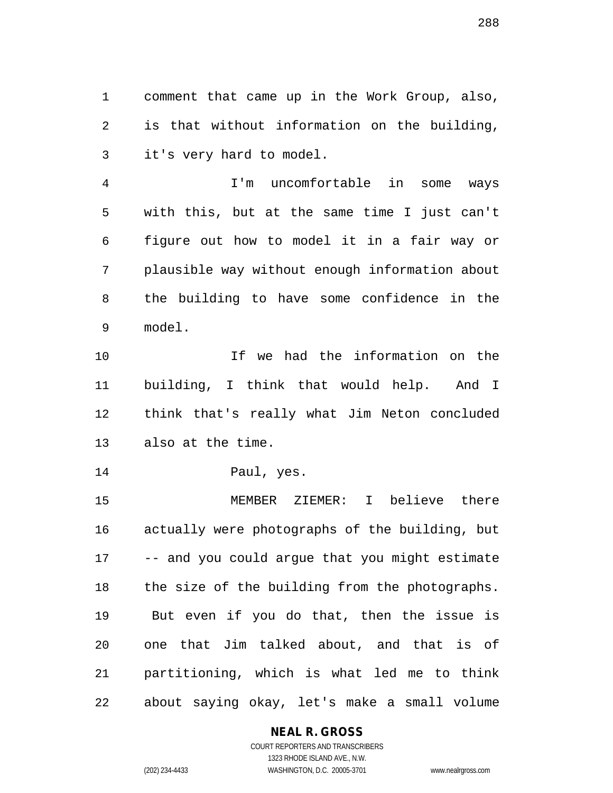1 comment that came up in the Work Group, also, 2 is that without information on the building, 3 it's very hard to model.

4 I'm uncomfortable in some ways 5 with this, but at the same time I just can't 6 figure out how to model it in a fair way or 7 plausible way without enough information about 8 the building to have some confidence in the 9 model.

10 If we had the information on the 11 building, I think that would help. And I 12 think that's really what Jim Neton concluded 13 also at the time.

14 Paul, yes.

15 MEMBER ZIEMER: I believe there 16 actually were photographs of the building, but 17 -- and you could argue that you might estimate 18 the size of the building from the photographs. 19 But even if you do that, then the issue is 20 one that Jim talked about, and that is of 21 partitioning, which is what led me to think 22 about saying okay, let's make a small volume

## **NEAL R. GROSS**

COURT REPORTERS AND TRANSCRIBERS 1323 RHODE ISLAND AVE., N.W. (202) 234-4433 WASHINGTON, D.C. 20005-3701 www.nealrgross.com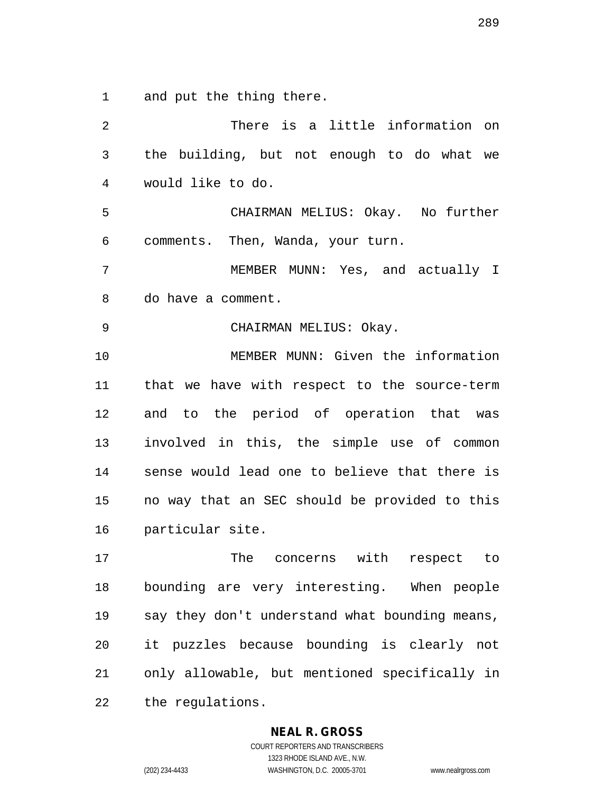1 and put the thing there.

2 There is a little information on 3 the building, but not enough to do what we 4 would like to do. 5 CHAIRMAN MELIUS: Okay. No further 6 comments. Then, Wanda, your turn. 7 MEMBER MUNN: Yes, and actually I 8 do have a comment. 9 CHAIRMAN MELIUS: Okay. 10 MEMBER MUNN: Given the information 11 that we have with respect to the source-term 12 and to the period of operation that was 13 involved in this, the simple use of common 14 sense would lead one to believe that there is 15 no way that an SEC should be provided to this 16 particular site. 17 The concerns with respect to 18 bounding are very interesting. When people 19 say they don't understand what bounding means, 20 it puzzles because bounding is clearly not 21 only allowable, but mentioned specifically in 22 the regulations.

#### **NEAL R. GROSS**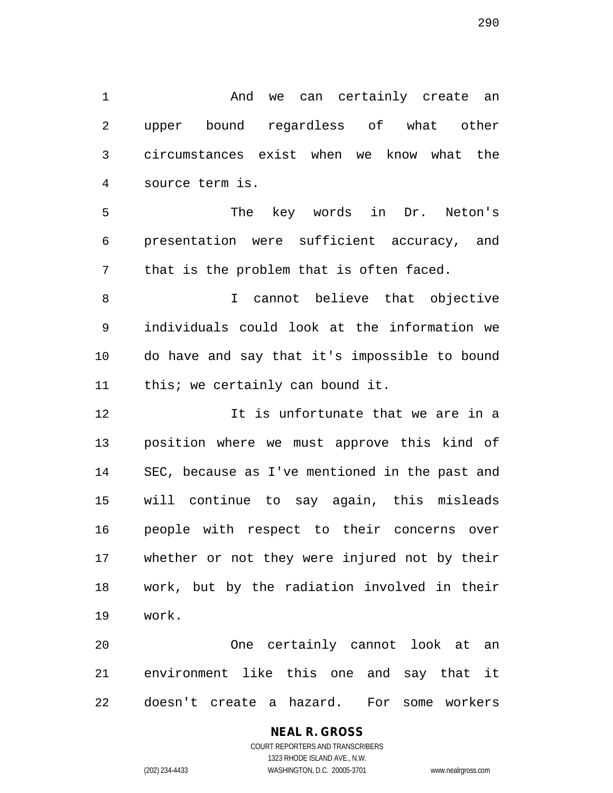1 And we can certainly create an 2 upper bound regardless of what other 3 circumstances exist when we know what the 4 source term is.

5 The key words in Dr. Neton's 6 presentation were sufficient accuracy, and 7 that is the problem that is often faced.

8 I cannot believe that objective 9 individuals could look at the information we 10 do have and say that it's impossible to bound 11 this; we certainly can bound it.

12 It is unfortunate that we are in a 13 position where we must approve this kind of 14 SEC, because as I've mentioned in the past and 15 will continue to say again, this misleads 16 people with respect to their concerns over 17 whether or not they were injured not by their 18 work, but by the radiation involved in their 19 work.

20 One certainly cannot look at an 21 environment like this one and say that it 22 doesn't create a hazard. For some workers

# **NEAL R. GROSS**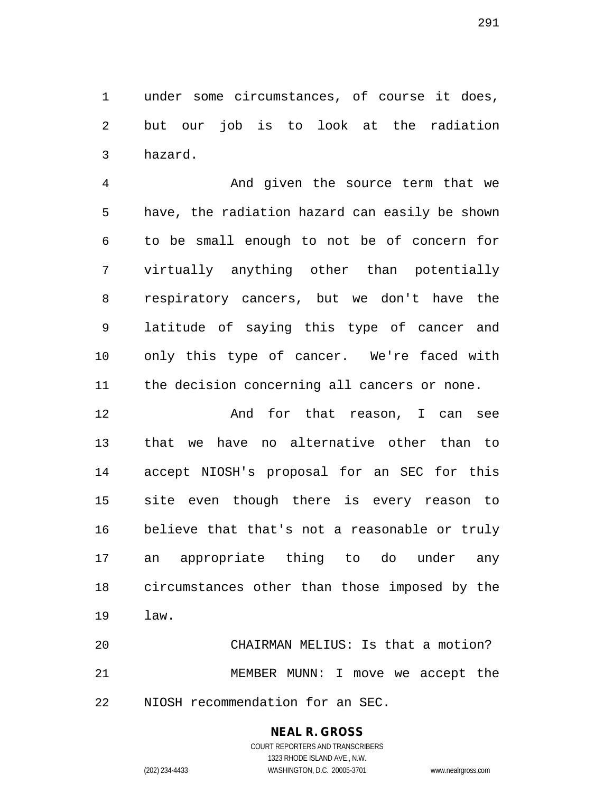1 under some circumstances, of course it does, 2 but our job is to look at the radiation 3 hazard.

4 And given the source term that we 5 have, the radiation hazard can easily be shown 6 to be small enough to not be of concern for 7 virtually anything other than potentially 8 respiratory cancers, but we don't have the 9 latitude of saying this type of cancer and 10 only this type of cancer. We're faced with 11 the decision concerning all cancers or none.

12 And for that reason, I can see 13 that we have no alternative other than to 14 accept NIOSH's proposal for an SEC for this 15 site even though there is every reason to 16 believe that that's not a reasonable or truly 17 an appropriate thing to do under any 18 circumstances other than those imposed by the 19 law.

20 CHAIRMAN MELIUS: Is that a motion? 21 MEMBER MUNN: I move we accept the 22 NIOSH recommendation for an SEC.

# **NEAL R. GROSS**

COURT REPORTERS AND TRANSCRIBERS 1323 RHODE ISLAND AVE., N.W. (202) 234-4433 WASHINGTON, D.C. 20005-3701 www.nealrgross.com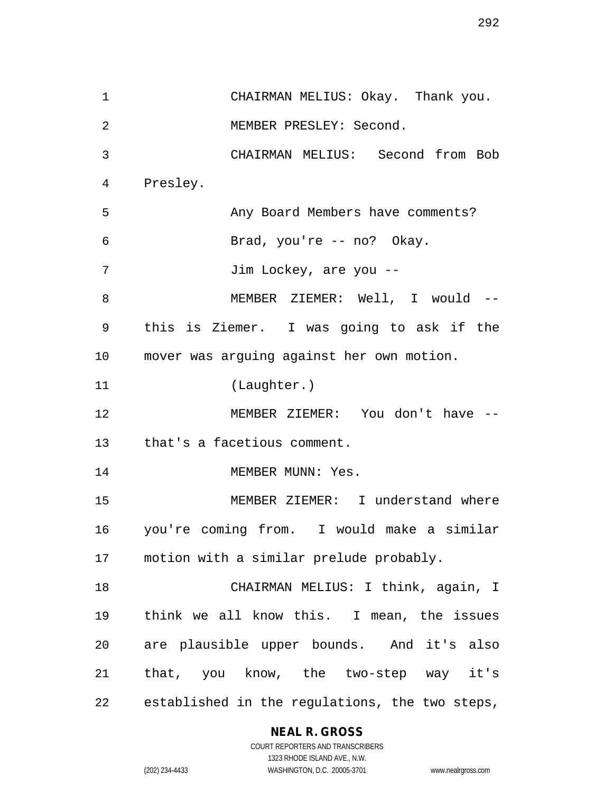1 CHAIRMAN MELIUS: Okay. Thank you. 2 MEMBER PRESLEY: Second. 3 CHAIRMAN MELIUS: Second from Bob 4 Presley. 5 Any Board Members have comments? 6 Brad, you're -- no? Okay. 7 Jim Lockey, are you --8 MEMBER ZIEMER: Well, I would --9 this is Ziemer. I was going to ask if the 10 mover was arguing against her own motion. 11 (Laughter.) 12 MEMBER ZIEMER: You don't have -- 13 that's a facetious comment. 14 MEMBER MUNN: Yes. 15 MEMBER ZIEMER: I understand where 16 you're coming from. I would make a similar 17 motion with a similar prelude probably. 18 CHAIRMAN MELIUS: I think, again, I 19 think we all know this. I mean, the issues 20 are plausible upper bounds. And it's also 21 that, you know, the two-step way it's 22 established in the regulations, the two steps,

# **NEAL R. GROSS**

COURT REPORTERS AND TRANSCRIBERS 1323 RHODE ISLAND AVE., N.W. (202) 234-4433 WASHINGTON, D.C. 20005-3701 www.nealrgross.com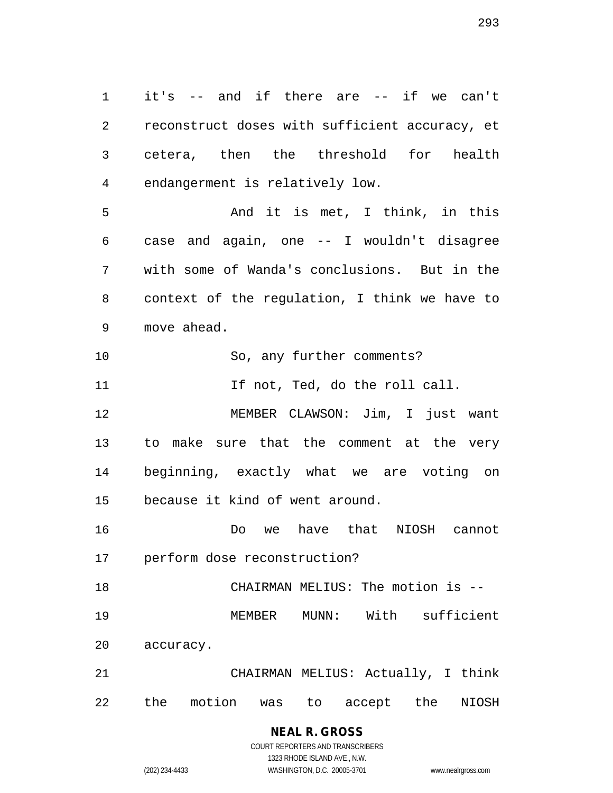1 it's -- and if there are -- if we can't 2 reconstruct doses with sufficient accuracy, et 3 cetera, then the threshold for health 4 endangerment is relatively low.

5 And it is met, I think, in this 6 case and again, one -- I wouldn't disagree 7 with some of Wanda's conclusions. But in the 8 context of the regulation, I think we have to 9 move ahead.

10 So, any further comments?

11 11 If not, Ted, do the roll call.

12 MEMBER CLAWSON: Jim, I just want 13 to make sure that the comment at the very 14 beginning, exactly what we are voting on 15 because it kind of went around.

16 Do we have that NIOSH cannot 17 perform dose reconstruction?

18 CHAIRMAN MELIUS: The motion is -- 19 MEMBER MUNN: With sufficient 20 accuracy.

21 CHAIRMAN MELIUS: Actually, I think 22 the motion was to accept the NIOSH

# **NEAL R. GROSS**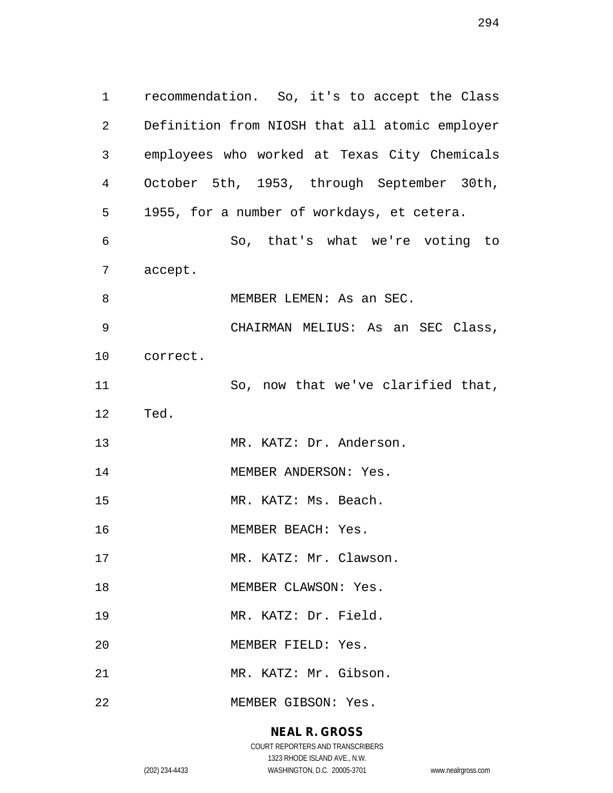1 recommendation. So, it's to accept the Class 2 Definition from NIOSH that all atomic employer 3 employees who worked at Texas City Chemicals 4 October 5th, 1953, through September 30th, 5 1955, for a number of workdays, et cetera. 6 So, that's what we're voting to 7 accept. 8 MEMBER LEMEN: As an SEC. 9 CHAIRMAN MELIUS: As an SEC Class, 10 correct. 11 So, now that we've clarified that, 12 Ted. 13 MR. KATZ: Dr. Anderson. 14 MEMBER ANDERSON: Yes. 15 MR. KATZ: Ms. Beach. 16 MEMBER BEACH: Yes. 17 MR. KATZ: Mr. Clawson. 18 MEMBER CLAWSON: Yes. 19 MR. KATZ: Dr. Field. 20 MEMBER FIELD: Yes. 21 MR. KATZ: Mr. Gibson. 22 MEMBER GIBSON: Yes.

# **NEAL R. GROSS**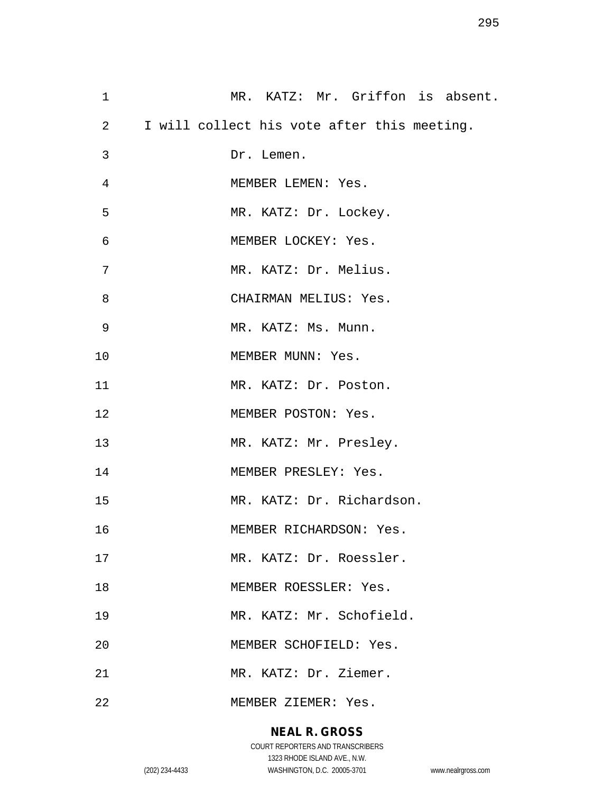| 1  | MR. KATZ: Mr. Griffon is absent.              |
|----|-----------------------------------------------|
|    | 2 I will collect his vote after this meeting. |
| 3  | Dr. Lemen.                                    |
| 4  | MEMBER LEMEN: Yes.                            |
| 5  | MR. KATZ: Dr. Lockey.                         |
| 6  | MEMBER LOCKEY: Yes.                           |
| 7  | MR. KATZ: Dr. Melius.                         |
| 8  | CHAIRMAN MELIUS: Yes.                         |
| 9  | MR. KATZ: Ms. Munn.                           |
| 10 | MEMBER MUNN: Yes.                             |
| 11 | MR. KATZ: Dr. Poston.                         |
| 12 | MEMBER POSTON: Yes.                           |
| 13 | MR. KATZ: Mr. Presley.                        |
| 14 | MEMBER PRESLEY: Yes.                          |
| 15 | MR. KATZ: Dr. Richardson.                     |
| 16 | MEMBER RICHARDSON: Yes.                       |
| 17 | MR. KATZ: Dr. Roessler.                       |
| 18 | MEMBER ROESSLER: Yes.                         |
| 19 | MR. KATZ: Mr. Schofield.                      |
| 20 | MEMBER SCHOFIELD: Yes.                        |
| 21 | MR. KATZ: Dr. Ziemer.                         |
| 22 | MEMBER ZIEMER: Yes.                           |

# **NEAL R. GROSS**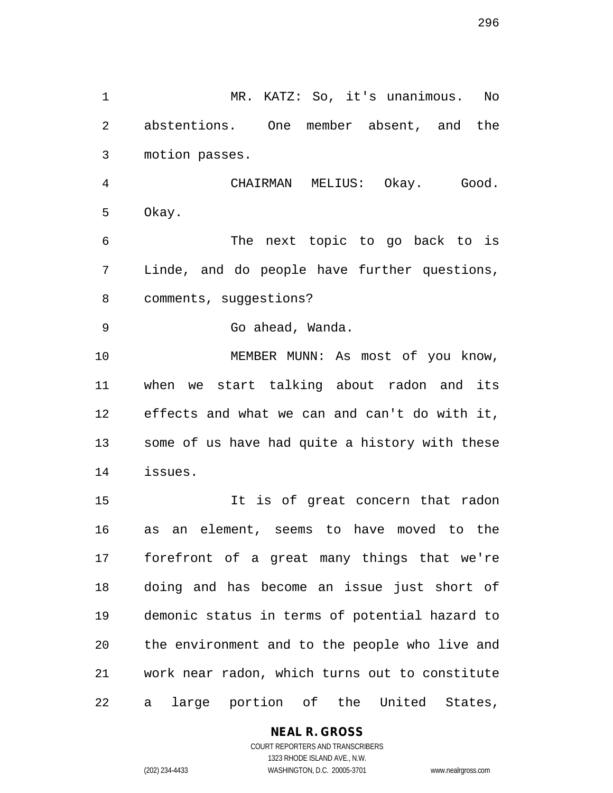296

1 MR. KATZ: So, it's unanimous. No 2 abstentions. One member absent, and the 3 motion passes. 4 CHAIRMAN MELIUS: Okay. Good.

5 Okay.

6 The next topic to go back to is 7 Linde, and do people have further questions, 8 comments, suggestions?

9 Go ahead, Wanda.

10 MEMBER MUNN: As most of you know, 11 when we start talking about radon and its 12 effects and what we can and can't do with it, 13 some of us have had quite a history with these 14 issues.

15 It is of great concern that radon 16 as an element, seems to have moved to the 17 forefront of a great many things that we're 18 doing and has become an issue just short of 19 demonic status in terms of potential hazard to 20 the environment and to the people who live and 21 work near radon, which turns out to constitute 22 a large portion of the United States,

**NEAL R. GROSS**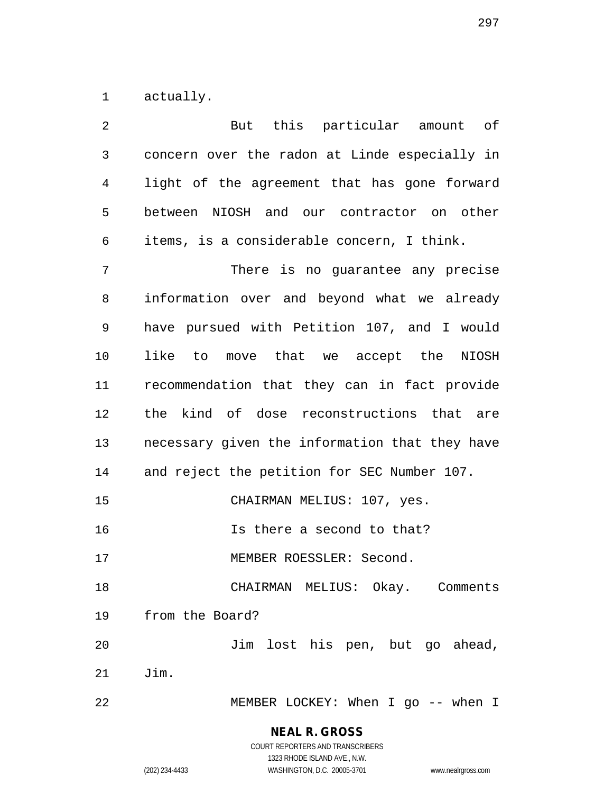1 actually.

| 2              | But this particular amount of                  |
|----------------|------------------------------------------------|
| $\mathfrak{Z}$ | concern over the radon at Linde especially in  |
| 4              | light of the agreement that has gone forward   |
| 5              | between NIOSH and our contractor on other      |
| 6              | items, is a considerable concern, I think.     |
| 7              | There is no guarantee any precise              |
| 8              | information over and beyond what we already    |
| 9              | have pursued with Petition 107, and I would    |
| 10             | like to move that we accept the NIOSH          |
| 11             | recommendation that they can in fact provide   |
| 12             | the kind of dose reconstructions that are      |
| 13             | necessary given the information that they have |
| 14             | and reject the petition for SEC Number 107.    |
| 15             | CHAIRMAN MELIUS: 107, yes.                     |
| 16             | Is there a second to that?                     |
| 17             | MEMBER ROESSLER: Second.                       |
| 18             | CHAIRMAN MELIUS: Okay. Comments                |
| 19             | from the Board?                                |
| 20             | Jim lost his pen, but go ahead,                |
| 21             | Jim.                                           |
| 22             | MEMBER LOCKEY: When I go -- when I             |

1323 RHODE ISLAND AVE., N.W.

(202) 234-4433 WASHINGTON, D.C. 20005-3701 www.nealrgross.com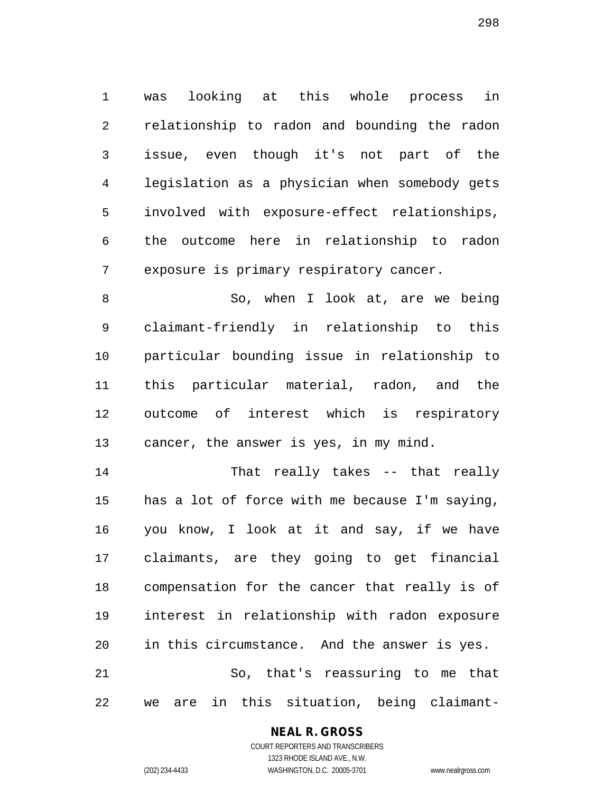1 was looking at this whole process in 2 relationship to radon and bounding the radon 3 issue, even though it's not part of the 4 legislation as a physician when somebody gets 5 involved with exposure-effect relationships, 6 the outcome here in relationship to radon 7 exposure is primary respiratory cancer.

8 So, when I look at, are we being 9 claimant-friendly in relationship to this 10 particular bounding issue in relationship to 11 this particular material, radon, and the 12 outcome of interest which is respiratory 13 cancer, the answer is yes, in my mind.

14 That really takes -- that really 15 has a lot of force with me because I'm saying, 16 you know, I look at it and say, if we have 17 claimants, are they going to get financial 18 compensation for the cancer that really is of 19 interest in relationship with radon exposure 20 in this circumstance. And the answer is yes. 21 So, that's reassuring to me that 22 we are in this situation, being claimant-

# **NEAL R. GROSS**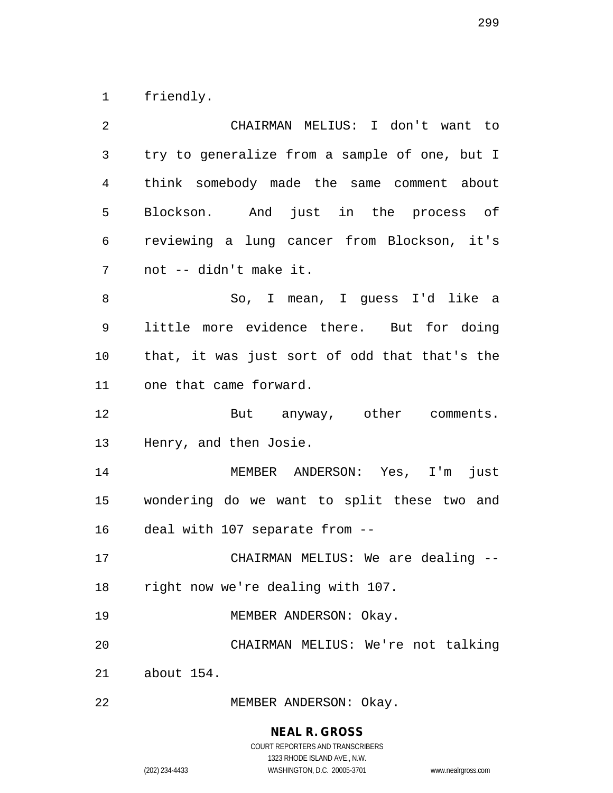1 friendly.

| 2  | CHAIRMAN MELIUS: I don't want to              |
|----|-----------------------------------------------|
| 3  | try to generalize from a sample of one, but I |
| 4  | think somebody made the same comment about    |
| 5  | Blockson. And just in the process of          |
| 6  | reviewing a lung cancer from Blockson, it's   |
| 7  | not -- didn't make it.                        |
| 8  | So, I mean, I guess I'd like a                |
| 9  | little more evidence there. But for doing     |
| 10 | that, it was just sort of odd that that's the |
| 11 | one that came forward.                        |
| 12 | But anyway, other comments.                   |
| 13 | Henry, and then Josie.                        |
| 14 | MEMBER ANDERSON: Yes, I'm just                |
| 15 | wondering do we want to split these two and   |
| 16 | deal with 107 separate from --                |
| 17 | CHAIRMAN MELIUS: We are dealing --            |
| 18 | right now we're dealing with 107.             |
| 19 | MEMBER ANDERSON: Okay.                        |
| 20 | CHAIRMAN MELIUS: We're not talking            |
| 21 | about 154.                                    |
| 22 | MEMBER ANDERSON: Okay.                        |

**NEAL R. GROSS**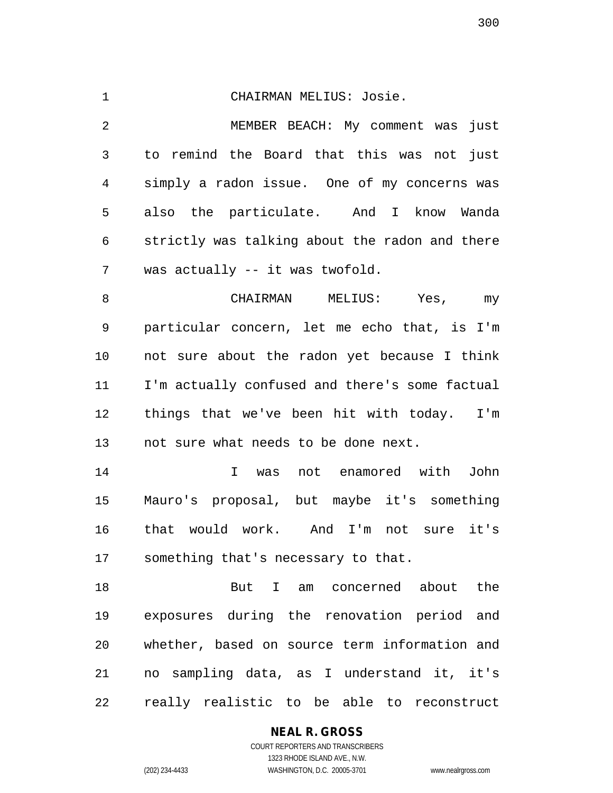| $\mathbf{1}$   | CHAIRMAN MELIUS: Josie.                        |
|----------------|------------------------------------------------|
| $\overline{2}$ | MEMBER BEACH: My comment was just              |
| 3              | to remind the Board that this was not just     |
| $\overline{4}$ | simply a radon issue. One of my concerns was   |
| 5              | also the particulate. And I know Wanda         |
| 6              | strictly was talking about the radon and there |
| 7              | was actually -- it was twofold.                |
| 8              | CHAIRMAN<br>MELIUS: Yes,<br>my                 |
| $\mathsf 9$    | particular concern, let me echo that, is I'm   |
| 10             | not sure about the radon yet because I think   |
| 11             | I'm actually confused and there's some factual |
| 12             | things that we've been hit with today. I'm     |
| 13             | not sure what needs to be done next.           |
| 14             | was not enamored with<br>John<br>$\mathbf{I}$  |
| 15             | Mauro's proposal, but maybe it's something     |
| 16             | that would work. And I'm not sure it's         |
| 17             | something that's necessary to that.            |
| 1 Q            | $P_{11}$ T am concerned about the              |

18 But I am concerned about the 19 exposures during the renovation period and 20 whether, based on source term information and 21 no sampling data, as I understand it, it's 22 really realistic to be able to reconstruct

# **NEAL R. GROSS**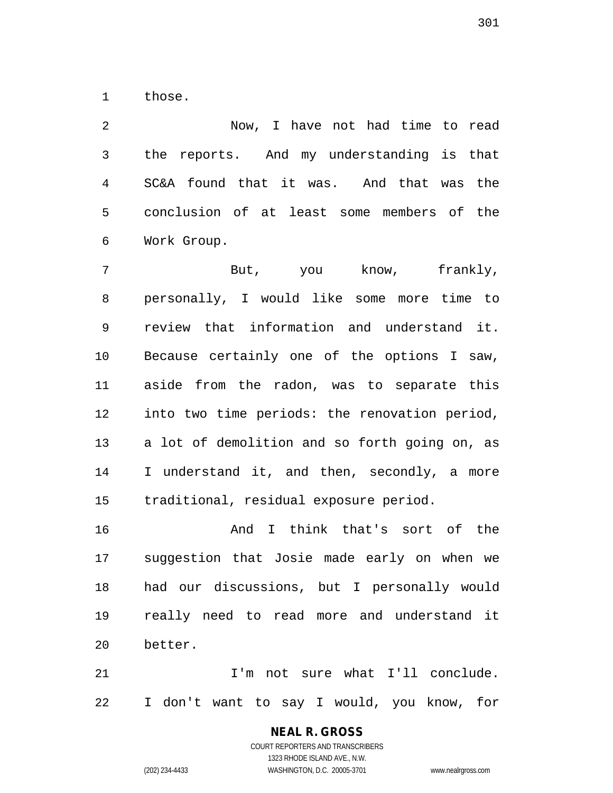1 those.

2 Now, I have not had time to read 3 the reports. And my understanding is that 4 SC&A found that it was. And that was the 5 conclusion of at least some members of the 6 Work Group.

7 But, you know, frankly, 8 personally, I would like some more time to 9 review that information and understand it. 10 Because certainly one of the options I saw, 11 aside from the radon, was to separate this 12 into two time periods: the renovation period, 13 a lot of demolition and so forth going on, as 14 I understand it, and then, secondly, a more 15 traditional, residual exposure period.

16 And I think that's sort of the 17 suggestion that Josie made early on when we 18 had our discussions, but I personally would 19 really need to read more and understand it 20 better.

21 I'm not sure what I'll conclude. 22 I don't want to say I would, you know, for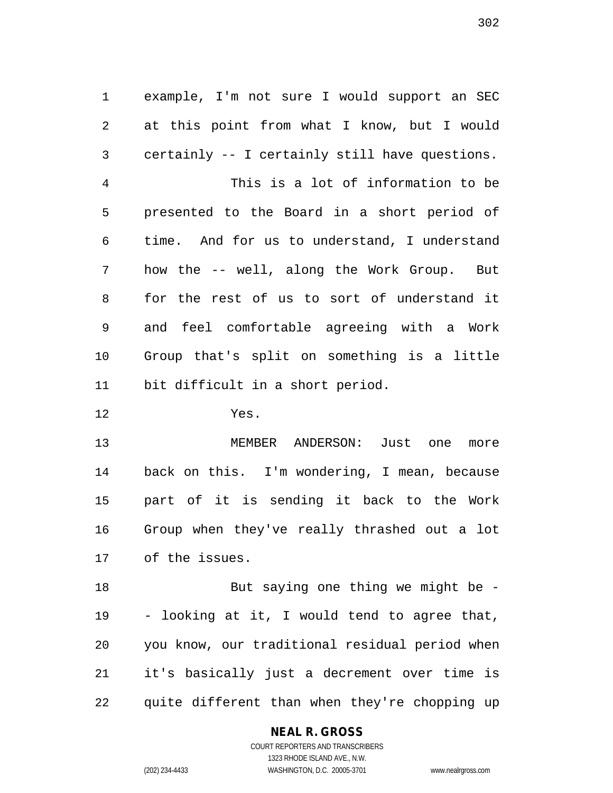1 example, I'm not sure I would support an SEC 2 at this point from what I know, but I would 3 certainly -- I certainly still have questions. 4 This is a lot of information to be 5 presented to the Board in a short period of 6 time. And for us to understand, I understand 7 how the -- well, along the Work Group. But 8 for the rest of us to sort of understand it 9 and feel comfortable agreeing with a Work 10 Group that's split on something is a little 11 bit difficult in a short period.

12 Yes.

13 MEMBER ANDERSON: Just one more 14 back on this. I'm wondering, I mean, because 15 part of it is sending it back to the Work 16 Group when they've really thrashed out a lot 17 of the issues.

18 But saying one thing we might be -19 - looking at it, I would tend to agree that, 20 you know, our traditional residual period when 21 it's basically just a decrement over time is 22 quite different than when they're chopping up

# **NEAL R. GROSS**

COURT REPORTERS AND TRANSCRIBERS 1323 RHODE ISLAND AVE., N.W. (202) 234-4433 WASHINGTON, D.C. 20005-3701 www.nealrgross.com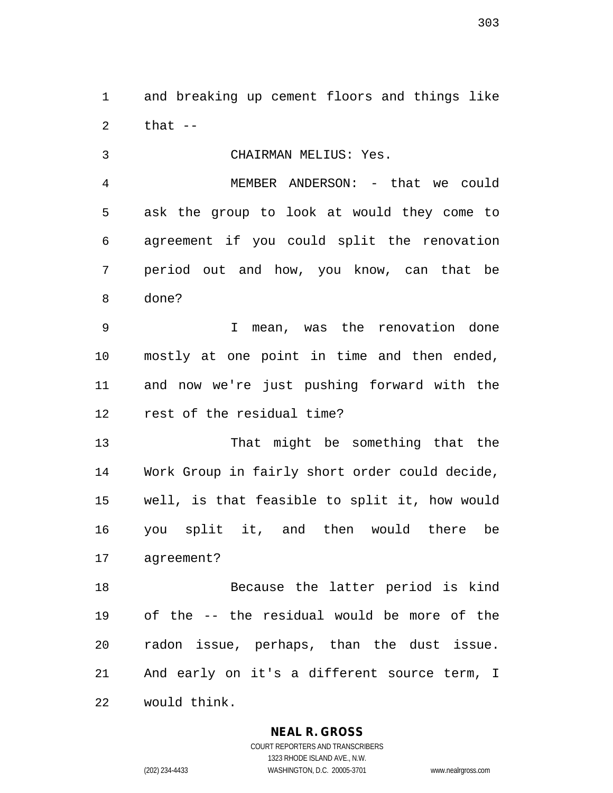1 and breaking up cement floors and things like  $2$  that  $-$ 

3 CHAIRMAN MELIUS: Yes.

4 MEMBER ANDERSON: - that we could 5 ask the group to look at would they come to 6 agreement if you could split the renovation 7 period out and how, you know, can that be 8 done?

9 I mean, was the renovation done 10 mostly at one point in time and then ended, 11 and now we're just pushing forward with the 12 rest of the residual time?

13 That might be something that the 14 Work Group in fairly short order could decide, 15 well, is that feasible to split it, how would 16 you split it, and then would there be 17 agreement?

18 Because the latter period is kind 19 of the -- the residual would be more of the 20 radon issue, perhaps, than the dust issue. 21 And early on it's a different source term, I 22 would think.

# **NEAL R. GROSS**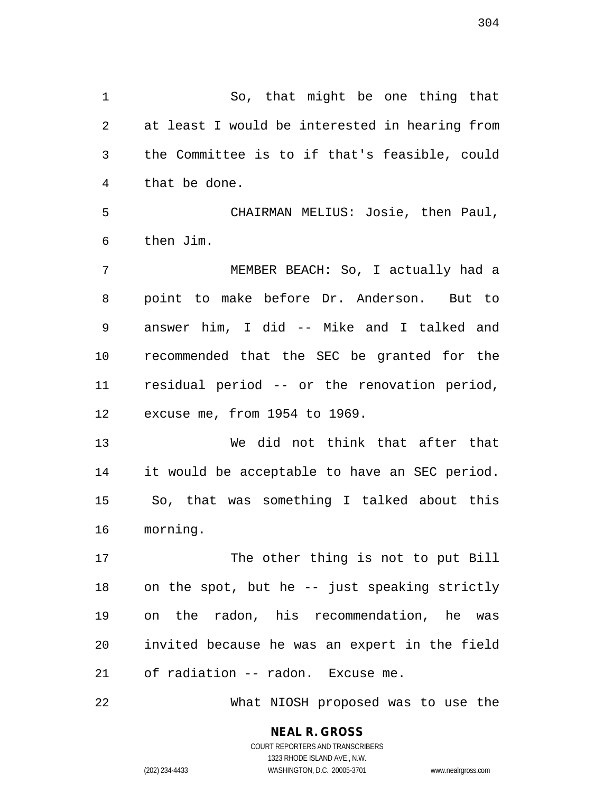1 So, that might be one thing that 2 at least I would be interested in hearing from 3 the Committee is to if that's feasible, could 4 that be done.

5 CHAIRMAN MELIUS: Josie, then Paul, 6 then Jim.

7 MEMBER BEACH: So, I actually had a 8 point to make before Dr. Anderson. But to 9 answer him, I did -- Mike and I talked and 10 recommended that the SEC be granted for the 11 residual period -- or the renovation period, 12 excuse me, from 1954 to 1969.

13 We did not think that after that 14 it would be acceptable to have an SEC period. 15 So, that was something I talked about this 16 morning.

17 The other thing is not to put Bill 18 on the spot, but he -- just speaking strictly 19 on the radon, his recommendation, he was 20 invited because he was an expert in the field 21 of radiation -- radon. Excuse me.

22 What NIOSH proposed was to use the

**NEAL R. GROSS** COURT REPORTERS AND TRANSCRIBERS 1323 RHODE ISLAND AVE., N.W.

(202) 234-4433 WASHINGTON, D.C. 20005-3701 www.nealrgross.com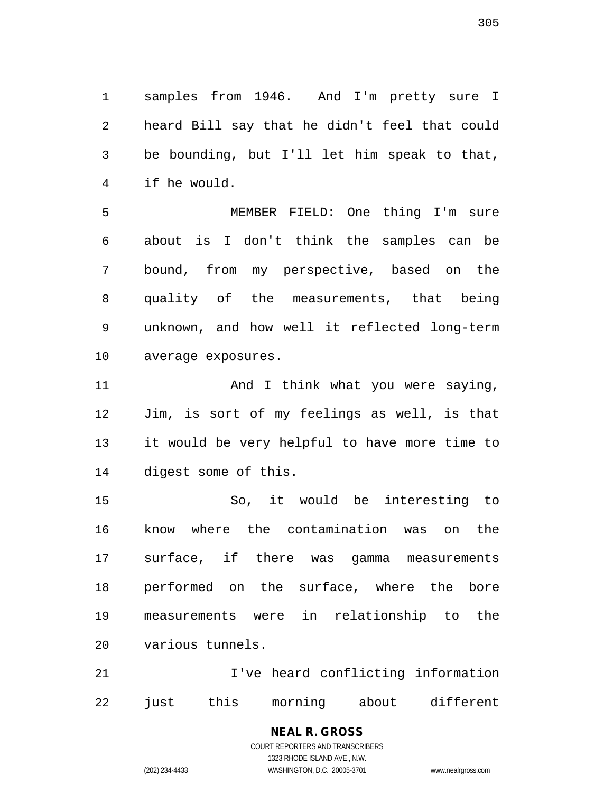1 samples from 1946. And I'm pretty sure I 2 heard Bill say that he didn't feel that could 3 be bounding, but I'll let him speak to that, 4 if he would.

5 MEMBER FIELD: One thing I'm sure 6 about is I don't think the samples can be 7 bound, from my perspective, based on the 8 quality of the measurements, that being 9 unknown, and how well it reflected long-term 10 average exposures.

11 And I think what you were saying, 12 Jim, is sort of my feelings as well, is that 13 it would be very helpful to have more time to 14 digest some of this.

15 So, it would be interesting to 16 know where the contamination was on the 17 surface, if there was gamma measurements 18 performed on the surface, where the bore 19 measurements were in relationship to the 20 various tunnels.

21 **I've heard conflicting information** 22 just this morning about different

# **NEAL R. GROSS**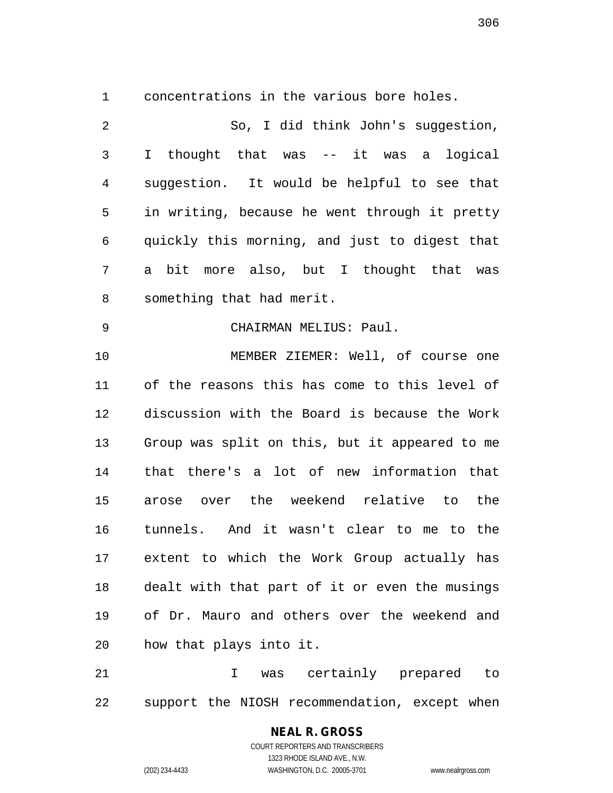1 concentrations in the various bore holes.

| $\overline{2}$ | So, I did think John's suggestion,             |
|----------------|------------------------------------------------|
| 3              | I thought that was -- it was a<br>logical      |
| $\overline{4}$ | suggestion. It would be helpful to see that    |
| 5              | in writing, because he went through it pretty  |
| 6              | quickly this morning, and just to digest that  |
| 7              | bit more also, but I thought that was<br>a     |
| 8              | something that had merit.                      |
| 9              | CHAIRMAN MELIUS: Paul.                         |
| 10             | MEMBER ZIEMER: Well, of course one             |
| 11             | of the reasons this has come to this level of  |
| 12             | discussion with the Board is because the Work  |
| 13             | Group was split on this, but it appeared to me |
| 14             | that there's a lot of new information that     |
| 15             | arose over the weekend relative to the         |
| 16             | tunnels. And it wasn't clear to me to the      |
| 17             | extent to which the Work Group actually has    |
| 18             | dealt with that part of it or even the musings |
| 19             | of Dr. Mauro and others over the weekend and   |
| 20             | how that plays into it.                        |
| 21             | was certainly prepared<br>I<br>to              |

22 support the NIOSH recommendation, except when

# **NEAL R. GROSS** COURT REPORTERS AND TRANSCRIBERS

1323 RHODE ISLAND AVE., N.W.

(202) 234-4433 WASHINGTON, D.C. 20005-3701 www.nealrgross.com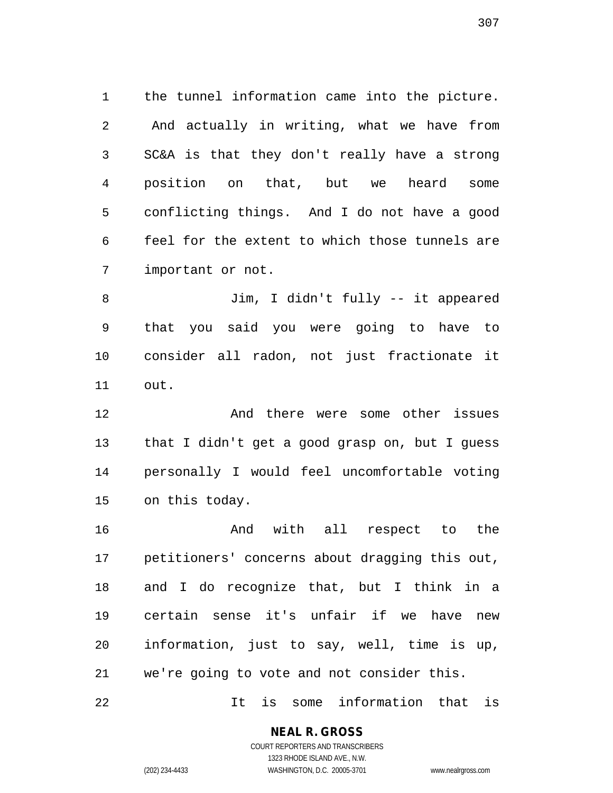1 the tunnel information came into the picture. 2 And actually in writing, what we have from 3 SC&A is that they don't really have a strong 4 position on that, but we heard some 5 conflicting things. And I do not have a good 6 feel for the extent to which those tunnels are 7 important or not.

8 Jim, I didn't fully -- it appeared 9 that you said you were going to have to 10 consider all radon, not just fractionate it 11 out.

12 And there were some other issues 13 that I didn't get a good grasp on, but I guess 14 personally I would feel uncomfortable voting 15 on this today.

16 And with all respect to the 17 petitioners' concerns about dragging this out, 18 and I do recognize that, but I think in a 19 certain sense it's unfair if we have new 20 information, just to say, well, time is up, 21 we're going to vote and not consider this.

22 It is some information that is

**NEAL R. GROSS** COURT REPORTERS AND TRANSCRIBERS

1323 RHODE ISLAND AVE., N.W. (202) 234-4433 WASHINGTON, D.C. 20005-3701 www.nealrgross.com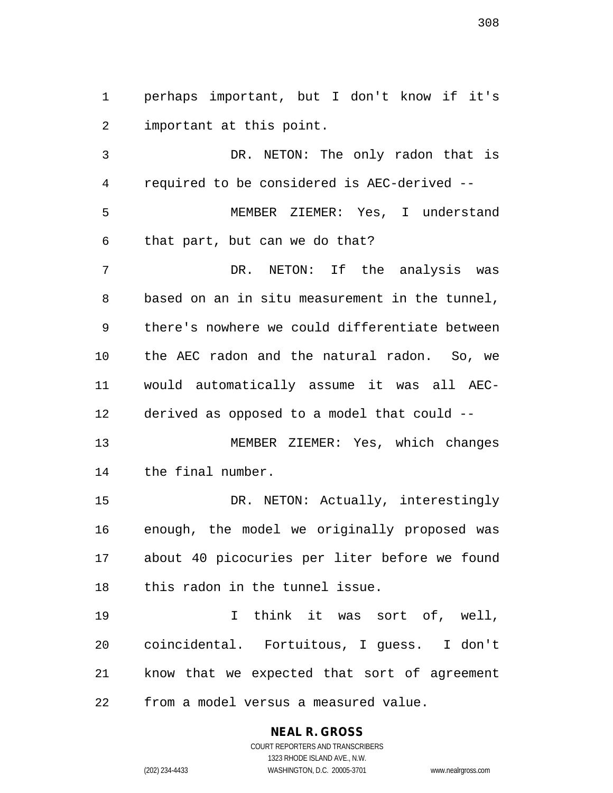1 perhaps important, but I don't know if it's 2 important at this point.

3 DR. NETON: The only radon that is 4 required to be considered is AEC-derived -- 5 MEMBER ZIEMER: Yes, I understand 6 that part, but can we do that? 7 DR. NETON: If the analysis was 8 based on an in situ measurement in the tunnel, 9 there's nowhere we could differentiate between 10 the AEC radon and the natural radon. So, we 11 would automatically assume it was all AEC-12 derived as opposed to a model that could -- 13 MEMBER ZIEMER: Yes, which changes 14 the final number. 15 DR. NETON: Actually, interestingly

16 enough, the model we originally proposed was 17 about 40 picocuries per liter before we found 18 this radon in the tunnel issue.

19 I think it was sort of, well, 20 coincidental. Fortuitous, I guess. I don't 21 know that we expected that sort of agreement 22 from a model versus a measured value.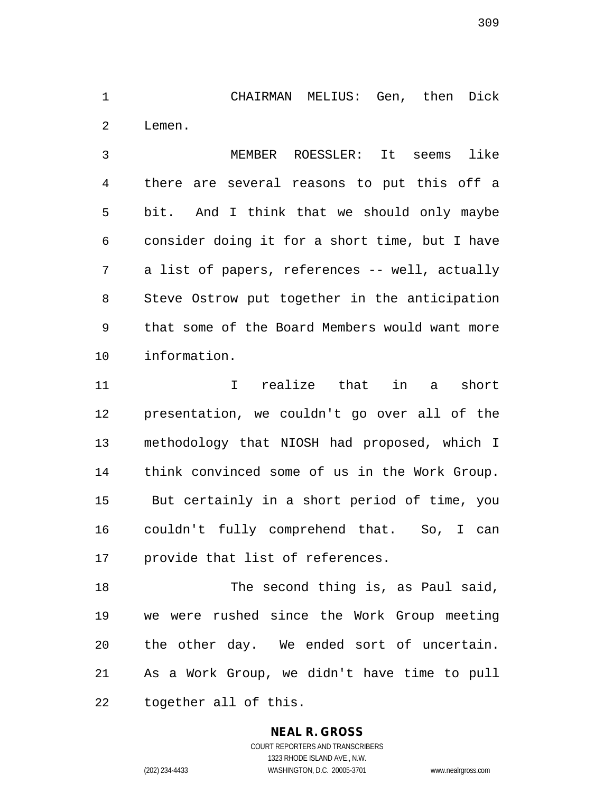1 CHAIRMAN MELIUS: Gen, then Dick 2 Lemen.

3 MEMBER ROESSLER: It seems like 4 there are several reasons to put this off a 5 bit. And I think that we should only maybe 6 consider doing it for a short time, but I have 7 a list of papers, references -- well, actually 8 Steve Ostrow put together in the anticipation 9 that some of the Board Members would want more 10 information.

11 I realize that in a short 12 presentation, we couldn't go over all of the 13 methodology that NIOSH had proposed, which I 14 think convinced some of us in the Work Group. 15 But certainly in a short period of time, you 16 couldn't fully comprehend that. So, I can 17 provide that list of references.

18 The second thing is, as Paul said, 19 we were rushed since the Work Group meeting 20 the other day. We ended sort of uncertain. 21 As a Work Group, we didn't have time to pull 22 together all of this.

# **NEAL R. GROSS**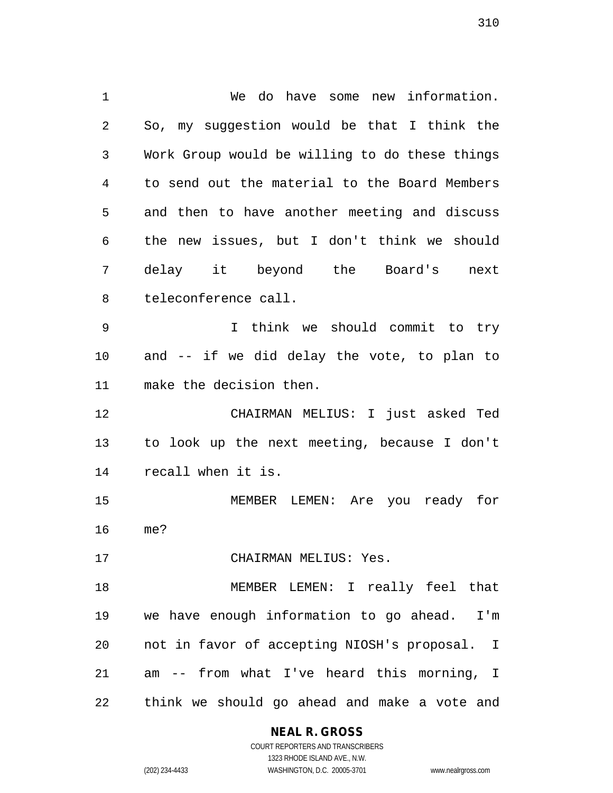1 We do have some new information. 2 So, my suggestion would be that I think the 3 Work Group would be willing to do these things 4 to send out the material to the Board Members 5 and then to have another meeting and discuss 6 the new issues, but I don't think we should 7 delay it beyond the Board's next 8 teleconference call. 9 I think we should commit to try 10 and -- if we did delay the vote, to plan to 11 make the decision then. 12 CHAIRMAN MELIUS: I just asked Ted 13 to look up the next meeting, because I don't 14 recall when it is. 15 MEMBER LEMEN: Are you ready for 16 me? 17 CHAIRMAN MELIUS: Yes. 18 MEMBER LEMEN: I really feel that 19 we have enough information to go ahead. I'm 20 not in favor of accepting NIOSH's proposal. I 21 am -- from what I've heard this morning, I 22 think we should go ahead and make a vote and

# **NEAL R. GROSS**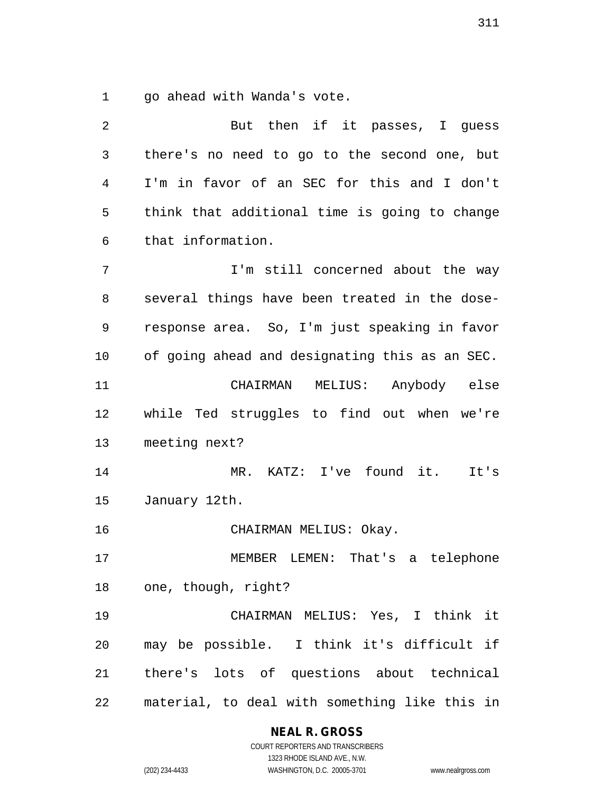1 go ahead with Wanda's vote.

| 2  | But then if it passes, I guess                 |
|----|------------------------------------------------|
| 3  | there's no need to go to the second one, but   |
| 4  | I'm in favor of an SEC for this and I don't    |
| 5  | think that additional time is going to change  |
| 6  | that information.                              |
| 7  | I'm still concerned about the way              |
| 8  | several things have been treated in the dose-  |
| 9  | response area. So, I'm just speaking in favor  |
| 10 | of going ahead and designating this as an SEC. |
| 11 | CHAIRMAN MELIUS: Anybody else                  |
| 12 | while Ted struggles to find out when we're     |
| 13 | meeting next?                                  |
| 14 | MR. KATZ: I've found it.<br>It's               |
| 15 | January 12th.                                  |
| 16 | CHAIRMAN MELIUS: Okay.                         |
| 17 | That's a telephone<br>MEMBER LEMEN:            |
| 18 | one, though, right?                            |
| 19 | CHAIRMAN MELIUS: Yes, I think it               |
| 20 | may be possible. I think it's difficult if     |
| 21 | there's lots of questions about technical      |
| 22 | material, to deal with something like this in  |

**NEAL R. GROSS**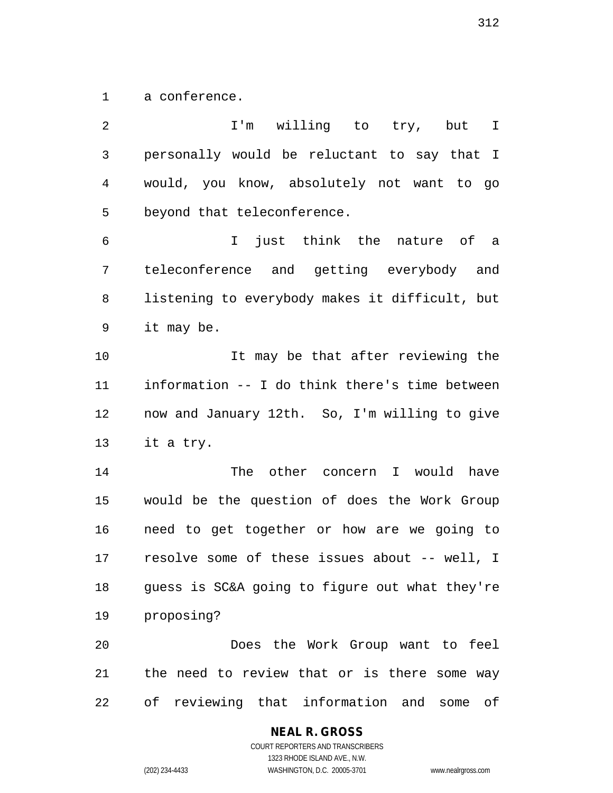1 a conference.

| $\overline{2}$ | I'm willing to try,<br>but<br>I                |
|----------------|------------------------------------------------|
| 3              | personally would be reluctant to say that I    |
| $\overline{4}$ | would, you know, absolutely not want to go     |
| 5              | beyond that teleconference.                    |
| $\epsilon$     | just think the nature of a<br>$\mathbf I$      |
| 7              | teleconference and getting everybody and       |
| 8              | listening to everybody makes it difficult, but |
| 9              | it may be.                                     |
| 10             | It may be that after reviewing the             |
| 11             | information -- I do think there's time between |
| 12             | now and January 12th. So, I'm willing to give  |
| 13             | it a try.                                      |
| 14             | The other concern I would have                 |
| 15             | would be the question of does the Work Group   |
| 16             | need to get together or how are we going to    |
| 17             | resolve some of these issues about -- well, I  |
| 18             | guess is SC&A going to figure out what they're |
| 19             | proposing?                                     |
| 20             | Does the Work Group want to feel               |
| 21             | the need to review that or is there some way   |
| 22             | of reviewing that information and some of      |

**NEAL R. GROSS**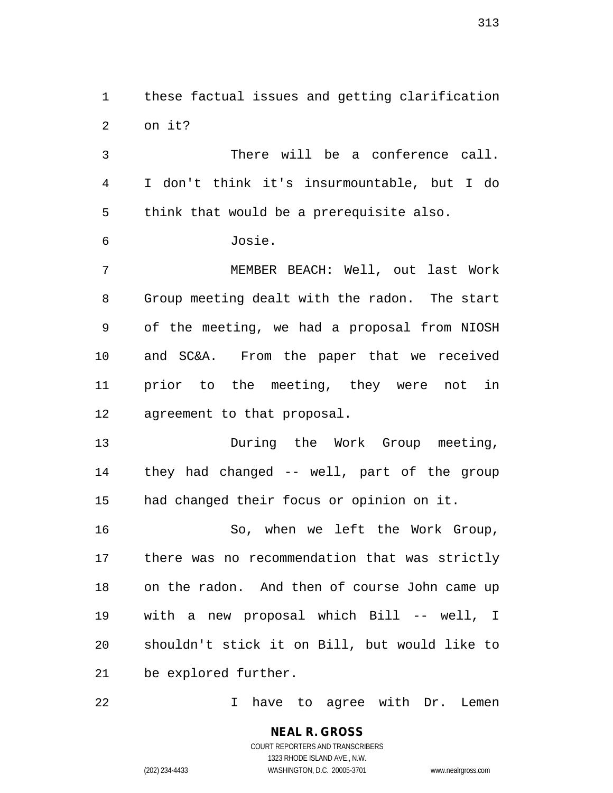1 these factual issues and getting clarification 2 on it?

3 There will be a conference call. 4 I don't think it's insurmountable, but I do 5 think that would be a prerequisite also.

6 Josie.

7 MEMBER BEACH: Well, out last Work 8 Group meeting dealt with the radon. The start 9 of the meeting, we had a proposal from NIOSH 10 and SC&A. From the paper that we received 11 prior to the meeting, they were not in 12 agreement to that proposal.

13 During the Work Group meeting, 14 they had changed -- well, part of the group 15 had changed their focus or opinion on it.

16 So, when we left the Work Group, 17 there was no recommendation that was strictly 18 on the radon. And then of course John came up 19 with a new proposal which Bill -- well, I 20 shouldn't stick it on Bill, but would like to 21 be explored further.

22 I have to agree with Dr. Lemen

**NEAL R. GROSS** COURT REPORTERS AND TRANSCRIBERS 1323 RHODE ISLAND AVE., N.W. (202) 234-4433 WASHINGTON, D.C. 20005-3701 www.nealrgross.com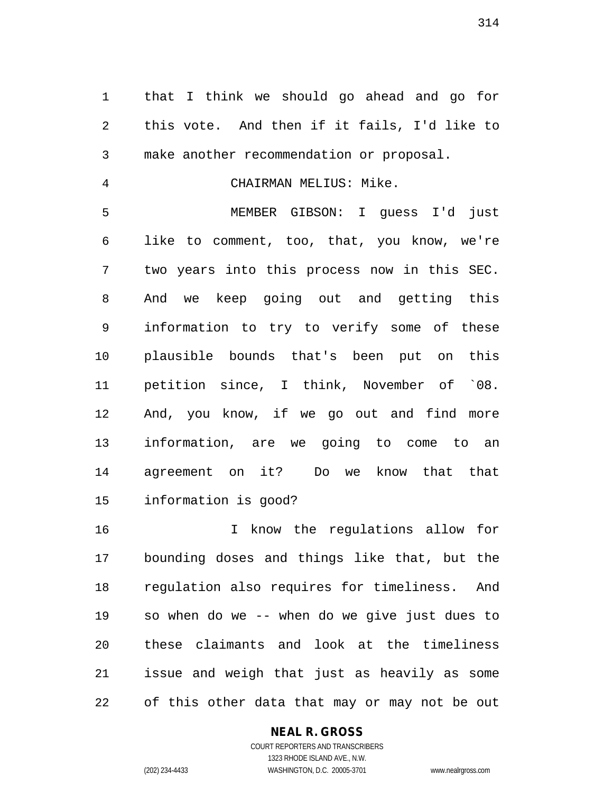1 that I think we should go ahead and go for 2 this vote. And then if it fails, I'd like to 3 make another recommendation or proposal.

4 CHAIRMAN MELIUS: Mike.

5 MEMBER GIBSON: I guess I'd just 6 like to comment, too, that, you know, we're 7 two years into this process now in this SEC. 8 And we keep going out and getting this 9 information to try to verify some of these 10 plausible bounds that's been put on this 11 petition since, I think, November of `08. 12 And, you know, if we go out and find more 13 information, are we going to come to an 14 agreement on it? Do we know that that 15 information is good?

16 I know the regulations allow for 17 bounding doses and things like that, but the 18 regulation also requires for timeliness. And 19 so when do we -- when do we give just dues to 20 these claimants and look at the timeliness 21 issue and weigh that just as heavily as some 22 of this other data that may or may not be out

# **NEAL R. GROSS**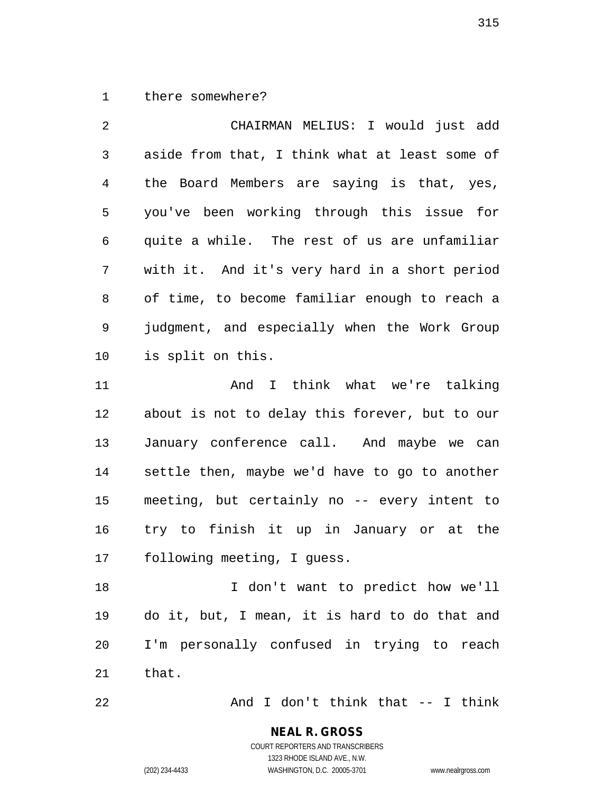1 there somewhere?

2 CHAIRMAN MELIUS: I would just add 3 aside from that, I think what at least some of 4 the Board Members are saying is that, yes, 5 you've been working through this issue for 6 quite a while. The rest of us are unfamiliar 7 with it. And it's very hard in a short period 8 of time, to become familiar enough to reach a 9 judgment, and especially when the Work Group 10 is split on this. 11 And I think what we're talking

12 about is not to delay this forever, but to our 13 January conference call. And maybe we can 14 settle then, maybe we'd have to go to another 15 meeting, but certainly no -- every intent to 16 try to finish it up in January or at the 17 following meeting, I guess.

18 I don't want to predict how we'll 19 do it, but, I mean, it is hard to do that and 20 I'm personally confused in trying to reach 21 that.

22 And I don't think that -- I think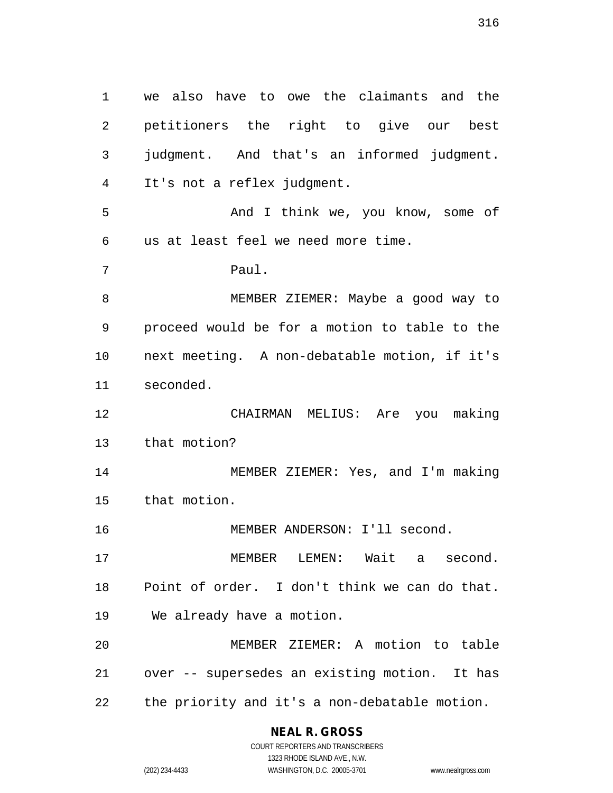1 we also have to owe the claimants and the 2 petitioners the right to give our best 3 judgment. And that's an informed judgment. 4 It's not a reflex judgment. 5 And I think we, you know, some of 6 us at least feel we need more time. 7 Paul. 8 MEMBER ZIEMER: Maybe a good way to 9 proceed would be for a motion to table to the 10 next meeting. A non-debatable motion, if it's 11 seconded. 12 CHAIRMAN MELIUS: Are you making 13 that motion? 14 MEMBER ZIEMER: Yes, and I'm making 15 that motion. 16 MEMBER ANDERSON: I'll second. 17 MEMBER LEMEN: Wait a second. 18 Point of order. I don't think we can do that. 19 We already have a motion. 20 MEMBER ZIEMER: A motion to table 21 over -- supersedes an existing motion. It has 22 the priority and it's a non-debatable motion.

# **NEAL R. GROSS**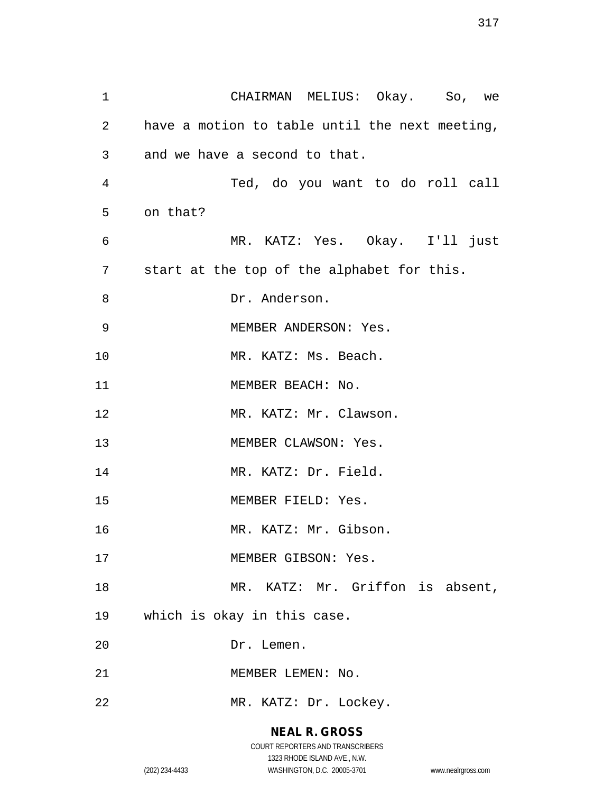1 CHAIRMAN MELIUS: Okay. So, we 2 have a motion to table until the next meeting, 3 and we have a second to that. 4 Ted, do you want to do roll call 5 on that? 6 MR. KATZ: Yes. Okay. I'll just 7 start at the top of the alphabet for this. 8 Dr. Anderson. 9 MEMBER ANDERSON: Yes. 10 MR. KATZ: Ms. Beach. 11 MEMBER BEACH: No. 12 MR. KATZ: Mr. Clawson. 13 MEMBER CLAWSON: Yes. 14 MR. KATZ: Dr. Field. 15 MEMBER FIELD: Yes. 16 MR. KATZ: Mr. Gibson. 17 MEMBER GIBSON: Yes. 18 MR. KATZ: Mr. Griffon is absent, 19 which is okay in this case. 20 Dr. Lemen. 21 MEMBER LEMEN: No. 22 MR. KATZ: Dr. Lockey.

# **NEAL R. GROSS** COURT REPORTERS AND TRANSCRIBERS

1323 RHODE ISLAND AVE., N.W.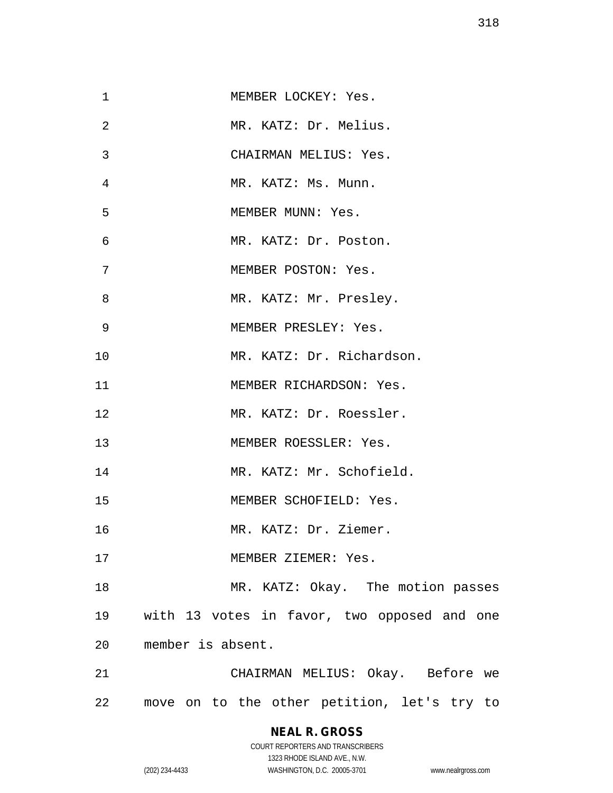| 1  | MEMBER LOCKEY: Yes.                         |
|----|---------------------------------------------|
| 2  | MR. KATZ: Dr. Melius.                       |
| 3  | CHAIRMAN MELIUS: Yes.                       |
| 4  | MR. KATZ: Ms. Munn.                         |
| 5  | MEMBER MUNN: Yes.                           |
| 6  | MR. KATZ: Dr. Poston.                       |
| 7  | MEMBER POSTON: Yes.                         |
| 8  | MR. KATZ: Mr. Presley.                      |
| 9  | MEMBER PRESLEY: Yes.                        |
| 10 | MR. KATZ: Dr. Richardson.                   |
| 11 | MEMBER RICHARDSON: Yes.                     |
| 12 | MR. KATZ: Dr. Roessler.                     |
| 13 | MEMBER ROESSLER: Yes.                       |
| 14 | MR. KATZ: Mr. Schofield.                    |
| 15 | MEMBER SCHOFIELD: Yes.                      |
| 16 | MR. KATZ: Dr. Ziemer.                       |
| 17 | MEMBER ZIEMER: Yes.                         |
| 18 | MR. KATZ: Okay. The motion passes           |
| 19 | with 13 votes in favor, two opposed and one |
| 20 | member is absent.                           |
| 21 | CHAIRMAN MELIUS: Okay. Before we            |
| 22 | move on to the other petition, let's try to |

# **NEAL R. GROSS** COURT REPORTERS AND TRANSCRIBERS

1323 RHODE ISLAND AVE., N.W.

(202) 234-4433 WASHINGTON, D.C. 20005-3701 www.nealrgross.com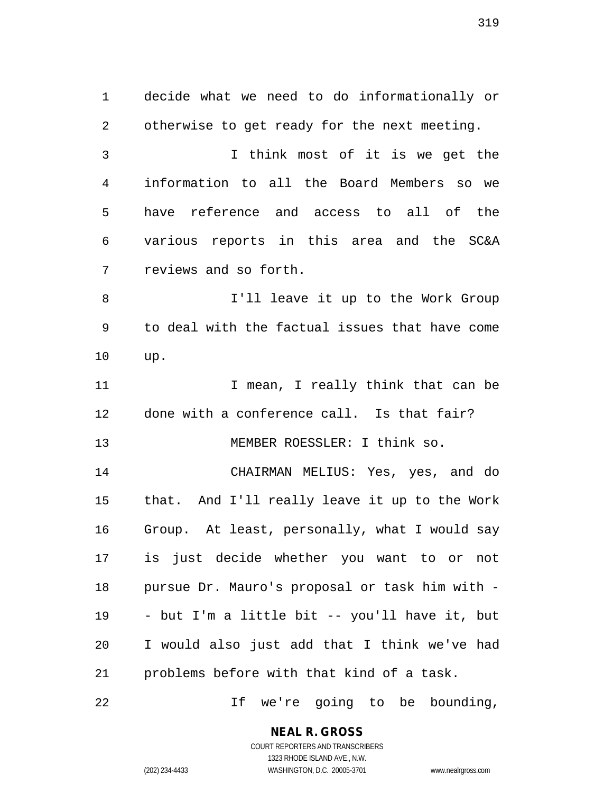1 decide what we need to do informationally or 2 otherwise to get ready for the next meeting. 3 I think most of it is we get the 4 information to all the Board Members so we 5 have reference and access to all of the 6 various reports in this area and the SC&A 7 reviews and so forth. 8 I'll leave it up to the Work Group 9 to deal with the factual issues that have come 10 up. 11 11 I mean, I really think that can be 12 done with a conference call. Is that fair? 13 MEMBER ROESSLER: I think so. 14 CHAIRMAN MELIUS: Yes, yes, and do 15 that. And I'll really leave it up to the Work 16 Group. At least, personally, what I would say 17 is just decide whether you want to or not 18 pursue Dr. Mauro's proposal or task him with - 19 - but I'm a little bit -- you'll have it, but 20 I would also just add that I think we've had 21 problems before with that kind of a task. 22 If we're going to be bounding,

> **NEAL R. GROSS** COURT REPORTERS AND TRANSCRIBERS

1323 RHODE ISLAND AVE., N.W. (202) 234-4433 WASHINGTON, D.C. 20005-3701 www.nealrgross.com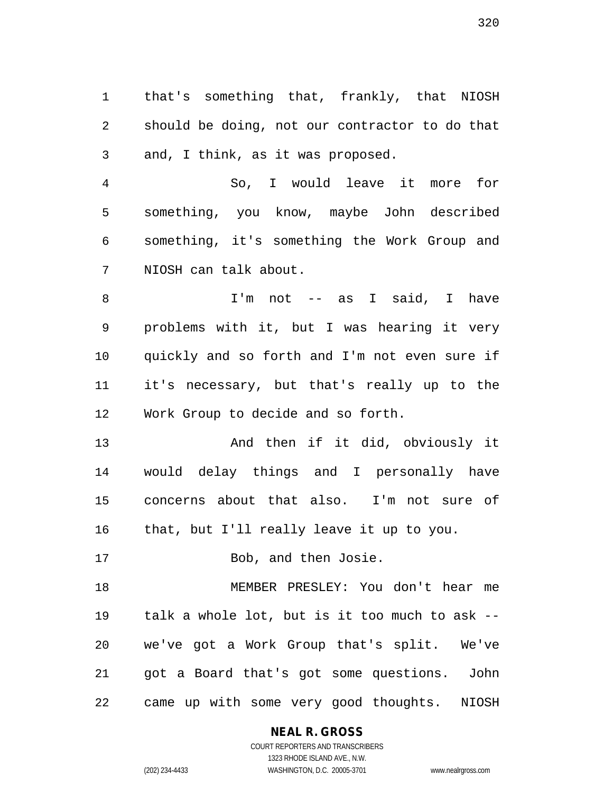1 that's something that, frankly, that NIOSH 2 should be doing, not our contractor to do that 3 and, I think, as it was proposed.

4 So, I would leave it more for 5 something, you know, maybe John described 6 something, it's something the Work Group and 7 NIOSH can talk about.

8 I'm not -- as I said, I have 9 problems with it, but I was hearing it very 10 quickly and so forth and I'm not even sure if 11 it's necessary, but that's really up to the 12 Work Group to decide and so forth.

13 And then if it did, obviously it 14 would delay things and I personally have 15 concerns about that also. I'm not sure of 16 that, but I'll really leave it up to you.

17 Bob, and then Josie.

18 MEMBER PRESLEY: You don't hear me 19 talk a whole lot, but is it too much to ask -- 20 we've got a Work Group that's split. We've 21 got a Board that's got some questions. John 22 came up with some very good thoughts. NIOSH

**NEAL R. GROSS**

COURT REPORTERS AND TRANSCRIBERS 1323 RHODE ISLAND AVE., N.W. (202) 234-4433 WASHINGTON, D.C. 20005-3701 www.nealrgross.com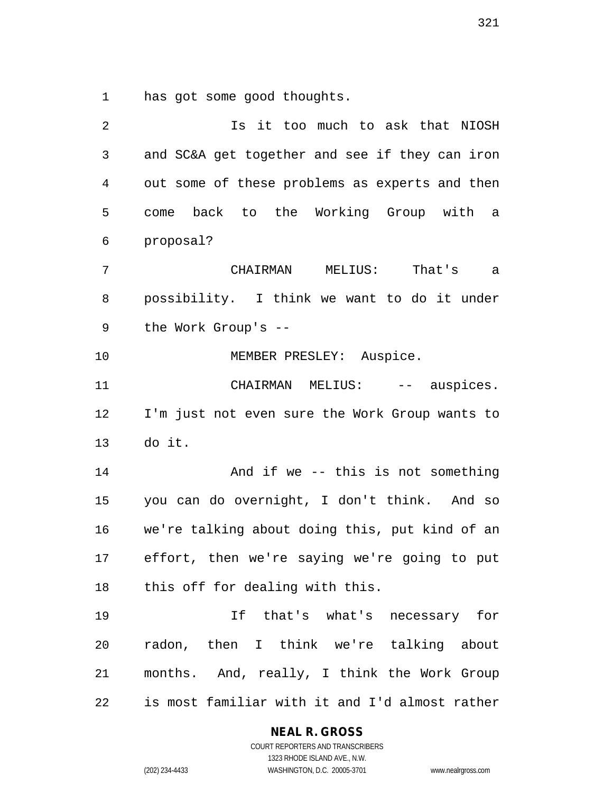1 has got some good thoughts.

| $\overline{2}$ | Is it too much to ask that NIOSH               |
|----------------|------------------------------------------------|
| $\mathfrak{Z}$ | and SC&A get together and see if they can iron |
| 4              | out some of these problems as experts and then |
| 5              | back to the Working Group with a<br>come       |
| 6              | proposal?                                      |
| 7              | CHAIRMAN MELIUS:<br>That's a                   |
| 8              | possibility. I think we want to do it under    |
| 9              | the Work Group's --                            |
| 10             | MEMBER PRESLEY: Auspice.                       |
| 11             | CHAIRMAN MELIUS: -- auspices.                  |
| 12             | I'm just not even sure the Work Group wants to |
| 13             | do it.                                         |
| 14             | And if we -- this is not something             |
| 15             | you can do overnight, I don't think. And so    |
| 16             | we're talking about doing this, put kind of an |
| 17             | effort, then we're saying we're going to put   |
| 18             | this off for dealing with this.                |
| 19             | If that's what's necessary for                 |
| 20             | radon, then I think we're talking about        |
| 21             | months. And, really, I think the Work Group    |
| 22             | is most familiar with it and I'd almost rather |

**NEAL R. GROSS**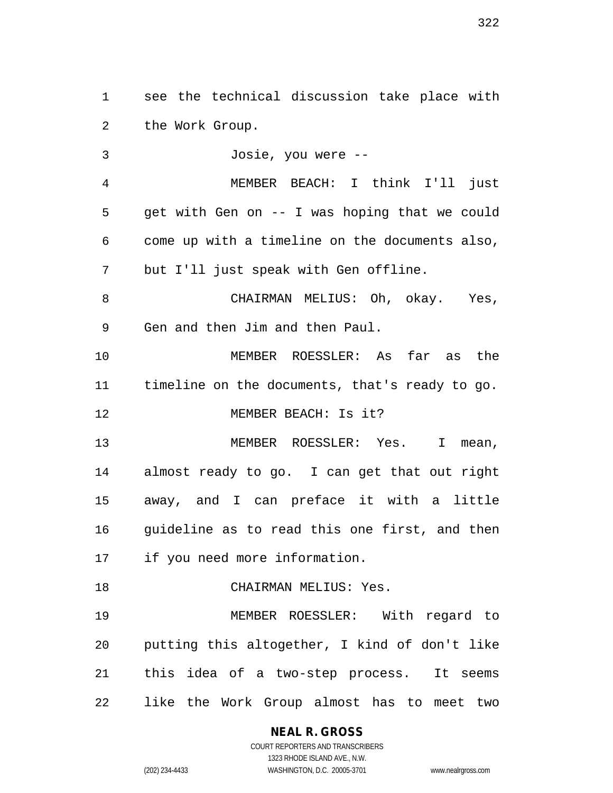1 see the technical discussion take place with 2 the Work Group.

3 Josie, you were -- 4 MEMBER BEACH: I think I'll just 5 get with Gen on -- I was hoping that we could 6 come up with a timeline on the documents also, 7 but I'll just speak with Gen offline. 8 CHAIRMAN MELIUS: Oh, okay. Yes, 9 Gen and then Jim and then Paul. 10 MEMBER ROESSLER: As far as the 11 timeline on the documents, that's ready to go. 12 MEMBER BEACH: Is it? 13 MEMBER ROESSLER: Yes. I mean, 14 almost ready to go. I can get that out right 15 away, and I can preface it with a little 16 quideline as to read this one first, and then 17 if you need more information. 18 CHAIRMAN MELIUS: Yes. 19 MEMBER ROESSLER: With regard to 20 putting this altogether, I kind of don't like 21 this idea of a two-step process. It seems

22 like the Work Group almost has to meet two

# **NEAL R. GROSS**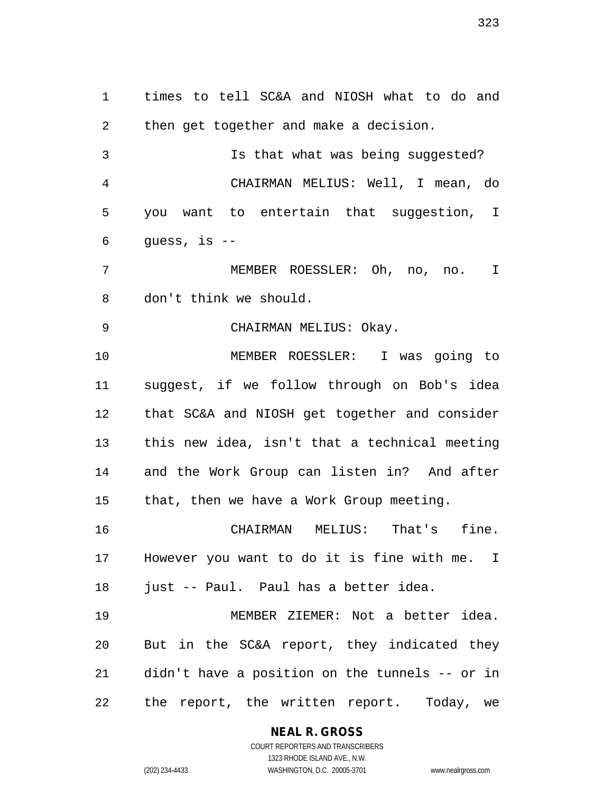1 times to tell SC&A and NIOSH what to do and 2 then get together and make a decision. 3 Is that what was being suggested? 4 CHAIRMAN MELIUS: Well, I mean, do 5 you want to entertain that suggestion, I 6 guess, is -- 7 MEMBER ROESSLER: Oh, no, no. I 8 don't think we should. 9 CHAIRMAN MELIUS: Okay. 10 MEMBER ROESSLER: I was going to 11 suggest, if we follow through on Bob's idea 12 that SC&A and NIOSH get together and consider 13 this new idea, isn't that a technical meeting 14 and the Work Group can listen in? And after 15 that, then we have a Work Group meeting. 16 CHAIRMAN MELIUS: That's fine. 17 However you want to do it is fine with me. I 18 just -- Paul. Paul has a better idea. 19 MEMBER ZIEMER: Not a better idea. 20 But in the SC&A report, they indicated they 21 didn't have a position on the tunnels -- or in 22 the report, the written report. Today, we

> **NEAL R. GROSS** COURT REPORTERS AND TRANSCRIBERS

1323 RHODE ISLAND AVE., N.W. (202) 234-4433 WASHINGTON, D.C. 20005-3701 www.nealrgross.com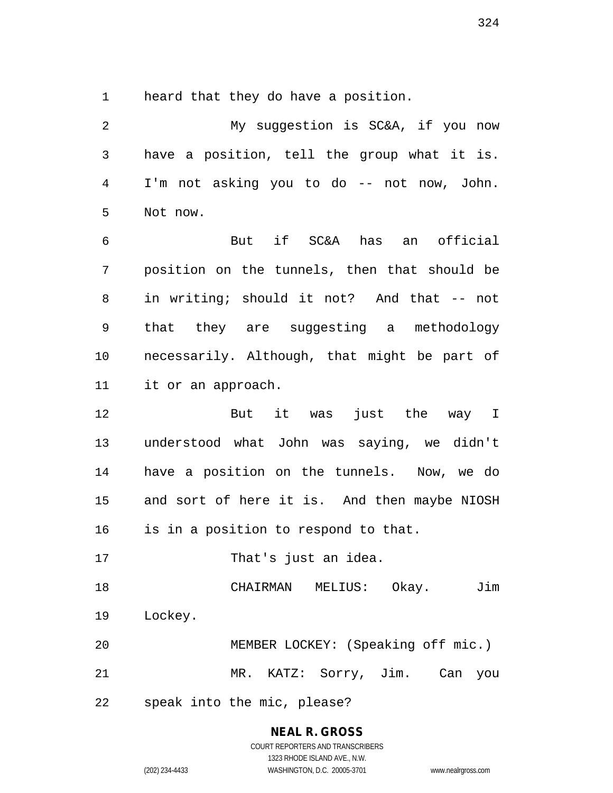1 heard that they do have a position.

2 My suggestion is SC&A, if you now 3 have a position, tell the group what it is. 4 I'm not asking you to do -- not now, John. 5 Not now. 6 But if SC&A has an official 7 position on the tunnels, then that should be 8 in writing; should it not? And that -- not 9 that they are suggesting a methodology 10 necessarily. Although, that might be part of 11 it or an approach. 12 But it was just the way I 13 understood what John was saying, we didn't 14 have a position on the tunnels. Now, we do 15 and sort of here it is. And then maybe NIOSH 16 is in a position to respond to that. 17 That's just an idea. 18 CHAIRMAN MELIUS: Okay. Jim 19 Lockey. 20 MEMBER LOCKEY: (Speaking off mic.) 21 MR. KATZ: Sorry, Jim. Can you 22 speak into the mic, please?

# **NEAL R. GROSS**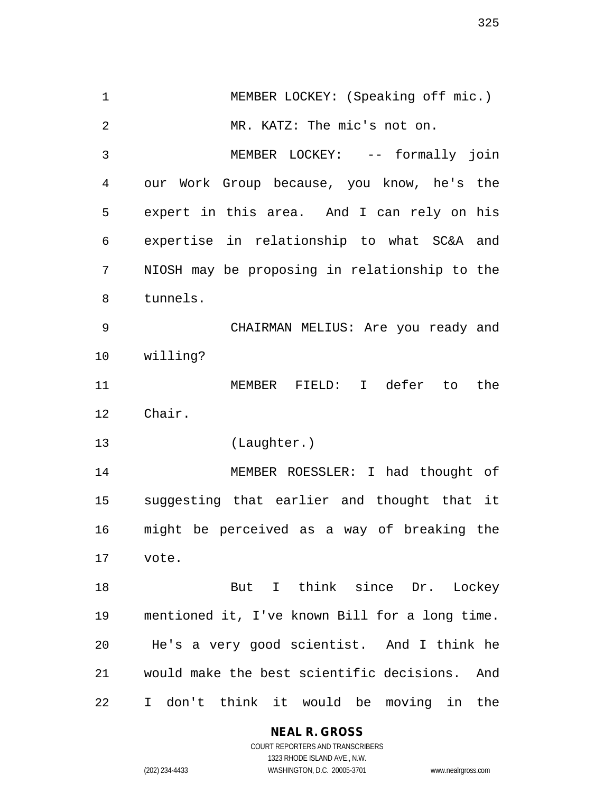1 MEMBER LOCKEY: (Speaking off mic.) 2 MR. KATZ: The mic's not on. 3 MEMBER LOCKEY: -- formally join 4 our Work Group because, you know, he's the 5 expert in this area. And I can rely on his 6 expertise in relationship to what SC&A and 7 NIOSH may be proposing in relationship to the 8 tunnels. 9 CHAIRMAN MELIUS: Are you ready and 10 willing? 11 MEMBER FIELD: I defer to the 12 Chair. 13 (Laughter.) 14 MEMBER ROESSLER: I had thought of 15 suggesting that earlier and thought that it 16 might be perceived as a way of breaking the 17 vote. 18 But I think since Dr. Lockey 19 mentioned it, I've known Bill for a long time. 20 He's a very good scientist. And I think he 21 would make the best scientific decisions. And 22 I don't think it would be moving in the

**NEAL R. GROSS**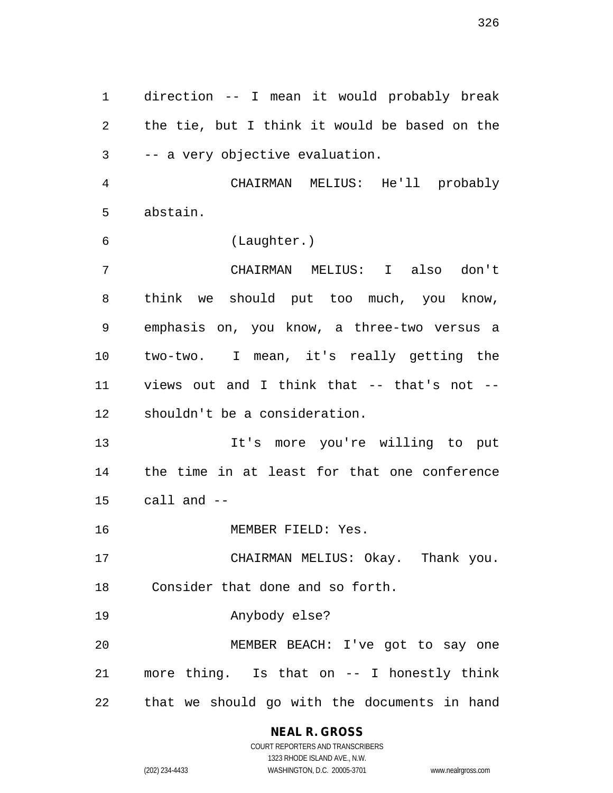1 direction -- I mean it would probably break 2 the tie, but I think it would be based on the 3 -- a very objective evaluation.

4 CHAIRMAN MELIUS: He'll probably 5 abstain.

6 (Laughter.)

7 CHAIRMAN MELIUS: I also don't 8 think we should put too much, you know, 9 emphasis on, you know, a three-two versus a 10 two-two. I mean, it's really getting the 11 views out and I think that -- that's not -- 12 shouldn't be a consideration.

13 It's more you're willing to put 14 the time in at least for that one conference 15 call and --

16 MEMBER FIELD: Yes.

17 CHAIRMAN MELIUS: Okay. Thank you. 18 Consider that done and so forth.

19 Anybody else?

20 MEMBER BEACH: I've got to say one 21 more thing. Is that on -- I honestly think 22 that we should go with the documents in hand

## **NEAL R. GROSS**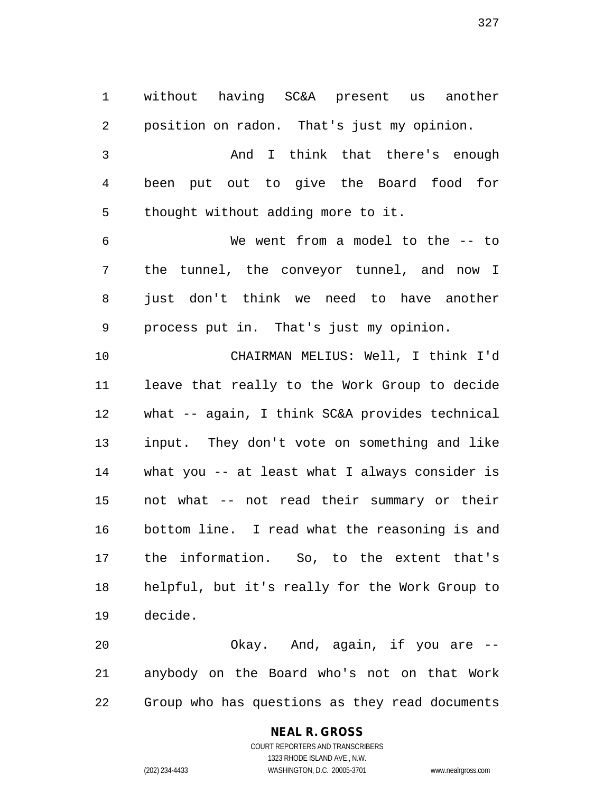1 without having SC&A present us another 2 position on radon. That's just my opinion. 3 And I think that there's enough 4 been put out to give the Board food for 5 thought without adding more to it. 6 We went from a model to the -- to 7 the tunnel, the conveyor tunnel, and now I 8 just don't think we need to have another 9 process put in. That's just my opinion. 10 CHAIRMAN MELIUS: Well, I think I'd 11 leave that really to the Work Group to decide 12 what -- again, I think SC&A provides technical 13 input. They don't vote on something and like 14 what you -- at least what I always consider is 15 not what -- not read their summary or their 16 bottom line. I read what the reasoning is and 17 the information. So, to the extent that's 18 helpful, but it's really for the Work Group to 19 decide.

20 Okay. And, again, if you are -- 21 anybody on the Board who's not on that Work 22 Group who has questions as they read documents

### **NEAL R. GROSS**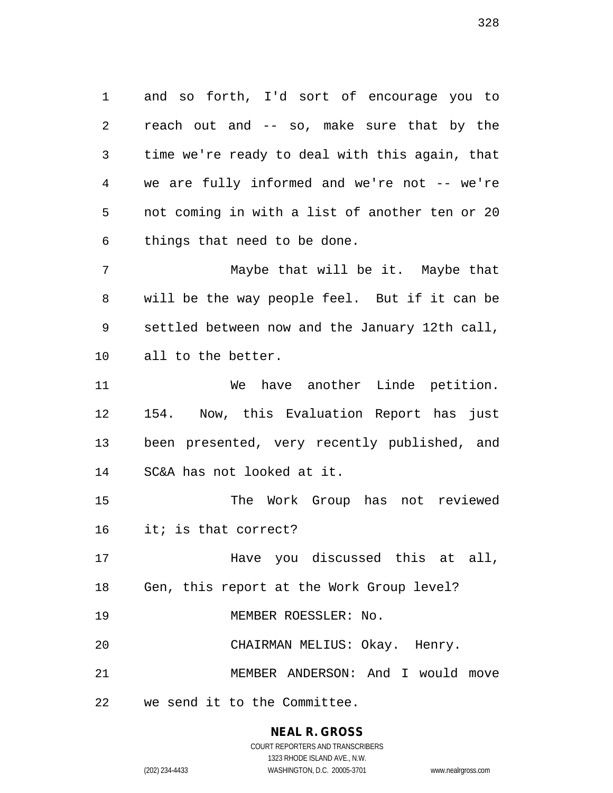1 and so forth, I'd sort of encourage you to 2 reach out and -- so, make sure that by the 3 time we're ready to deal with this again, that 4 we are fully informed and we're not -- we're 5 not coming in with a list of another ten or 20 6 things that need to be done.

7 Maybe that will be it. Maybe that 8 will be the way people feel. But if it can be 9 settled between now and the January 12th call, 10 all to the better.

11 We have another Linde petition. 12 154. Now, this Evaluation Report has just 13 been presented, very recently published, and 14 SC&A has not looked at it.

15 The Work Group has not reviewed 16 it; is that correct?

17 Have you discussed this at all, 18 Gen, this report at the Work Group level?

19 MEMBER ROESSLER: No.

20 CHAIRMAN MELIUS: Okay. Henry.

21 MEMBER ANDERSON: And I would move

22 we send it to the Committee.

#### **NEAL R. GROSS**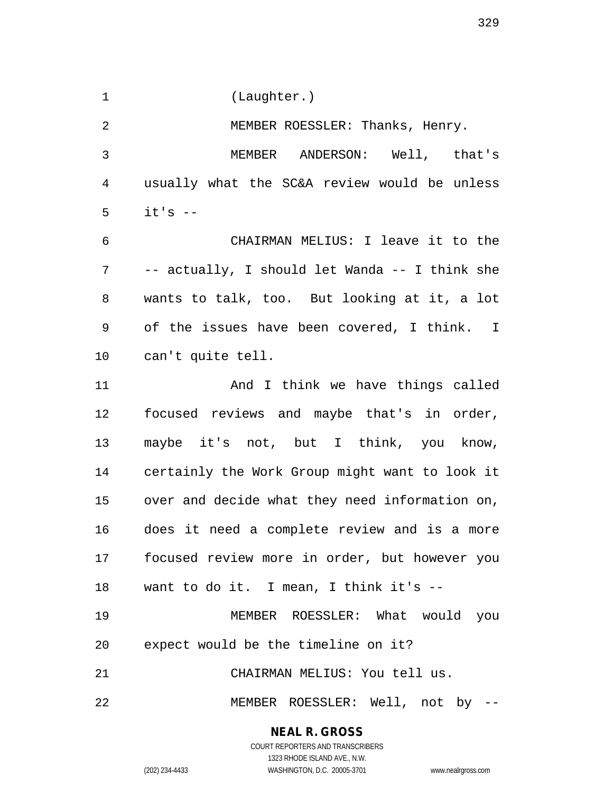1 (Laughter.)

2 MEMBER ROESSLER: Thanks, Henry. 3 MEMBER ANDERSON: Well, that's 4 usually what the SC&A review would be unless  $5$  it's  $-$ 

6 CHAIRMAN MELIUS: I leave it to the 7 -- actually, I should let Wanda -- I think she 8 wants to talk, too. But looking at it, a lot 9 of the issues have been covered, I think. I 10 can't quite tell.

11 And I think we have things called 12 focused reviews and maybe that's in order, 13 maybe it's not, but I think, you know, 14 certainly the Work Group might want to look it 15 over and decide what they need information on, 16 does it need a complete review and is a more 17 focused review more in order, but however you 18 want to do it. I mean, I think it's -- 19 MEMBER ROESSLER: What would you

20 expect would be the timeline on it?

21 CHAIRMAN MELIUS: You tell us.

22 MEMBER ROESSLER: Well, not by --

#### **NEAL R. GROSS**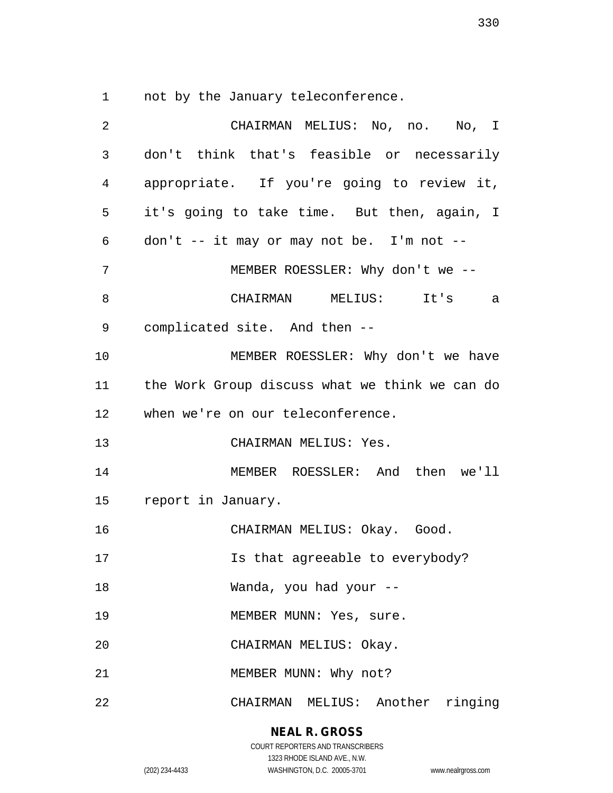1 not by the January teleconference.

| 2              | CHAIRMAN MELIUS: No, no. No, I                 |
|----------------|------------------------------------------------|
| 3              | don't think that's feasible or necessarily     |
| $\overline{4}$ | appropriate. If you're going to review it,     |
| 5              | it's going to take time. But then, again, I    |
| 6              | $don't$ -- it may or may not be. I'm not --    |
| 7              | MEMBER ROESSLER: Why don't we --               |
| 8              | CHAIRMAN MELIUS:<br>It's<br>a                  |
| 9              | complicated site. And then --                  |
| 10             | MEMBER ROESSLER: Why don't we have             |
| 11             | the Work Group discuss what we think we can do |
| 12             | when we're on our teleconference.              |
| 13             | CHAIRMAN MELIUS: Yes.                          |
| 14             | MEMBER ROESSLER: And then we'll                |
| 15             | report in January.                             |
| 16             | CHAIRMAN MELIUS: Okay. Good.                   |
| 17             | Is that agreeable to everybody?                |
| 18             | Wanda, you had your --                         |
| 19             | MEMBER MUNN: Yes, sure.                        |
| 20             | CHAIRMAN MELIUS: Okay.                         |
| 21             | MEMBER MUNN: Why not?                          |
| 22             | CHAIRMAN MELIUS: Another ringing               |

**NEAL R. GROSS** COURT REPORTERS AND TRANSCRIBERS

1323 RHODE ISLAND AVE., N.W.

(202) 234-4433 WASHINGTON, D.C. 20005-3701 www.nealrgross.com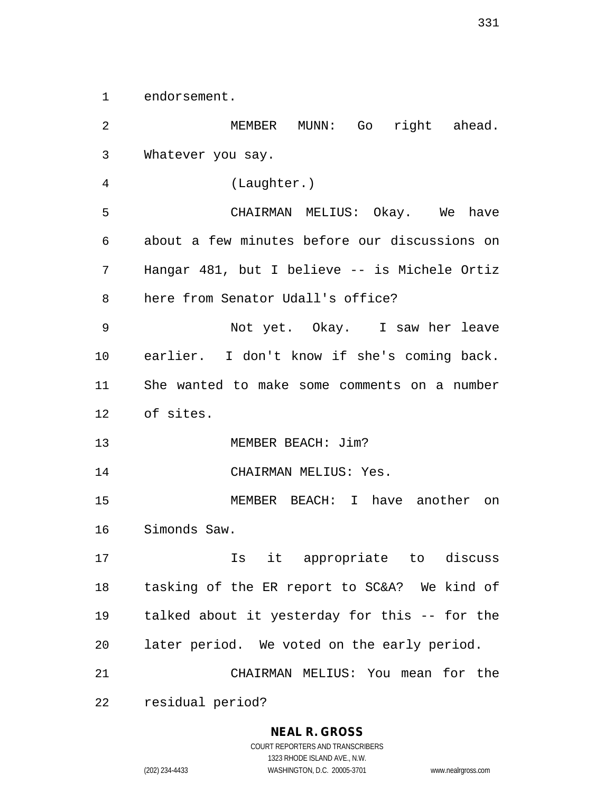1 endorsement.

2 MEMBER MUNN: Go right ahead. 3 Whatever you say. 4 (Laughter.) 5 CHAIRMAN MELIUS: Okay. We have 6 about a few minutes before our discussions on 7 Hangar 481, but I believe -- is Michele Ortiz 8 here from Senator Udall's office? 9 Not yet. Okay. I saw her leave 10 earlier. I don't know if she's coming back. 11 She wanted to make some comments on a number 12 of sites. 13 MEMBER BEACH: Jim? 14 CHAIRMAN MELIUS: Yes. 15 MEMBER BEACH: I have another on 16 Simonds Saw. 17 Is it appropriate to discuss 18 tasking of the ER report to SC&A? We kind of 19 talked about it yesterday for this -- for the 20 later period. We voted on the early period. 21 CHAIRMAN MELIUS: You mean for the 22 residual period?

**NEAL R. GROSS**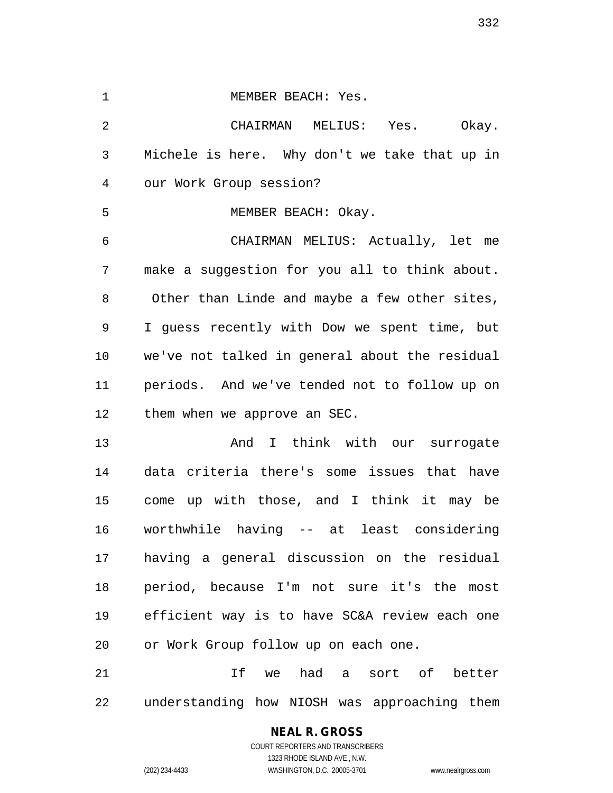1 MEMBER BEACH: Yes.

2 CHAIRMAN MELIUS: Yes. Okay. 3 Michele is here. Why don't we take that up in 4 our Work Group session? 5 MEMBER BEACH: Okay. 6 CHAIRMAN MELIUS: Actually, let me 7 make a suggestion for you all to think about. 8 Other than Linde and maybe a few other sites, 9 I guess recently with Dow we spent time, but 10 we've not talked in general about the residual 11 periods. And we've tended not to follow up on 12 them when we approve an SEC.

13 And I think with our surrogate 14 data criteria there's some issues that have 15 come up with those, and I think it may be 16 worthwhile having -- at least considering 17 having a general discussion on the residual 18 period, because I'm not sure it's the most 19 efficient way is to have SC&A review each one 20 or Work Group follow up on each one.

21 If we had a sort of better 22 understanding how NIOSH was approaching them

## **NEAL R. GROSS**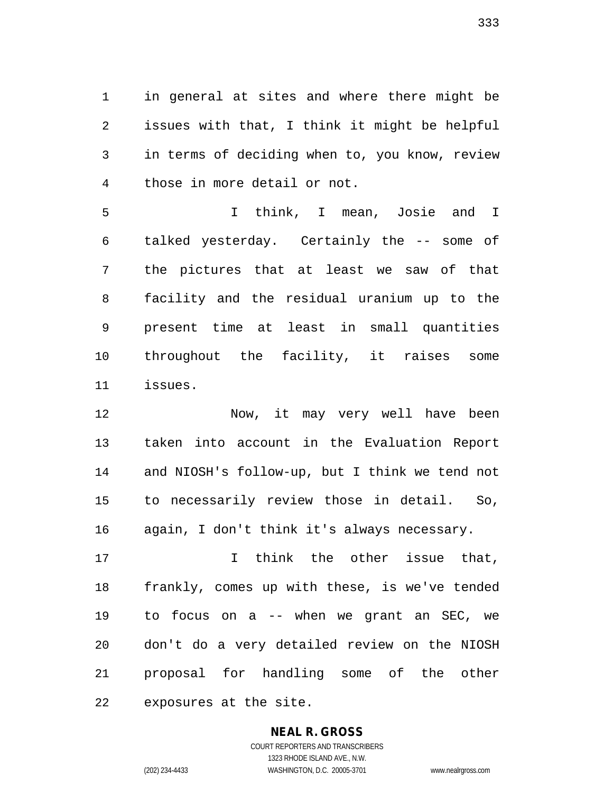1 in general at sites and where there might be 2 issues with that, I think it might be helpful 3 in terms of deciding when to, you know, review 4 those in more detail or not.

5 I think, I mean, Josie and I 6 talked yesterday. Certainly the -- some of 7 the pictures that at least we saw of that 8 facility and the residual uranium up to the 9 present time at least in small quantities 10 throughout the facility, it raises some 11 issues.

12 Now, it may very well have been 13 taken into account in the Evaluation Report 14 and NIOSH's follow-up, but I think we tend not 15 to necessarily review those in detail. So, 16 again, I don't think it's always necessary.

17 I think the other issue that, 18 frankly, comes up with these, is we've tended 19 to focus on a -- when we grant an SEC, we 20 don't do a very detailed review on the NIOSH 21 proposal for handling some of the other 22 exposures at the site.

#### **NEAL R. GROSS** COURT REPORTERS AND TRANSCRIBERS

1323 RHODE ISLAND AVE., N.W. (202) 234-4433 WASHINGTON, D.C. 20005-3701 www.nealrgross.com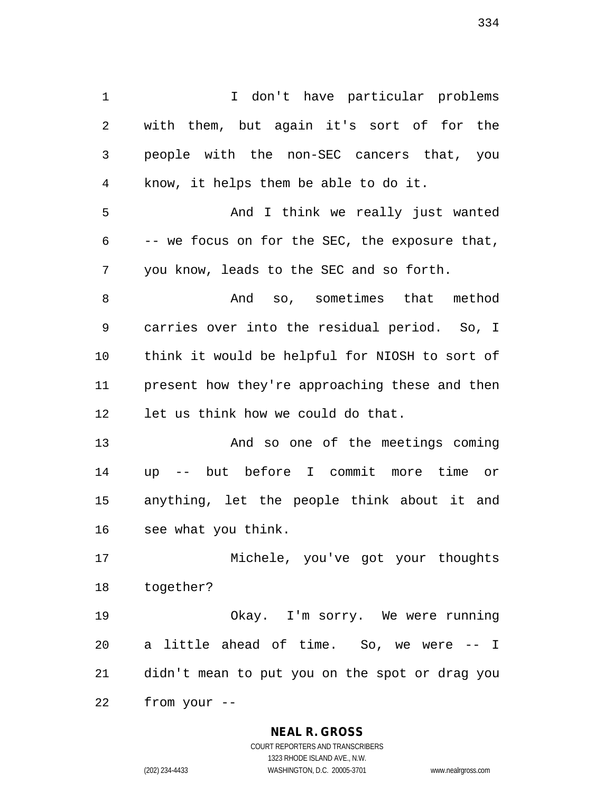1 I don't have particular problems 2 with them, but again it's sort of for the 3 people with the non-SEC cancers that, you 4 know, it helps them be able to do it. 5 And I think we really just wanted 6 -- we focus on for the SEC, the exposure that, 7 you know, leads to the SEC and so forth. 8 and so, sometimes that method 9 carries over into the residual period. So, I 10 think it would be helpful for NIOSH to sort of 11 present how they're approaching these and then 12 let us think how we could do that. 13 And so one of the meetings coming 14 up -- but before I commit more time or 15 anything, let the people think about it and 16 see what you think. 17 Michele, you've got your thoughts 18 together? 19 Okay. I'm sorry. We were running

20 a little ahead of time. So, we were -- I 21 didn't mean to put you on the spot or drag you 22 from your --

#### **NEAL R. GROSS**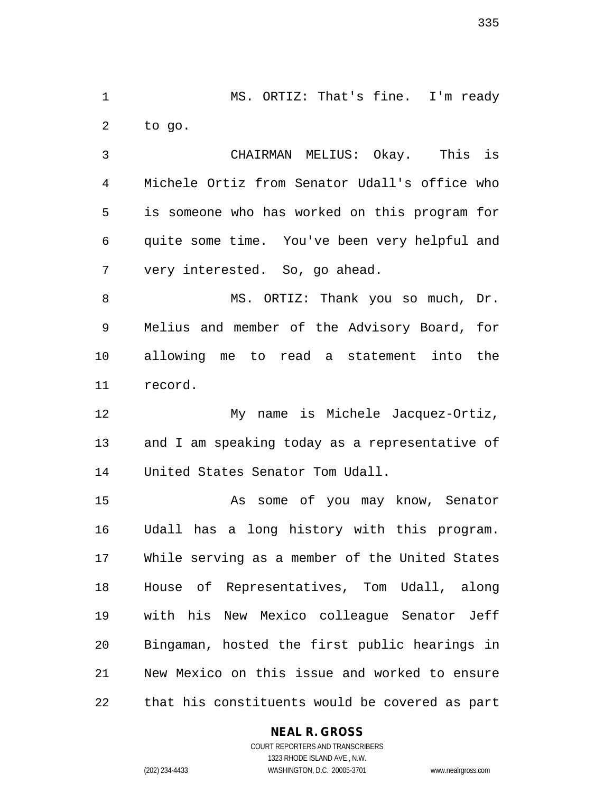1 MS. ORTIZ: That's fine. I'm ready 2 to go.

3 CHAIRMAN MELIUS: Okay. This is 4 Michele Ortiz from Senator Udall's office who 5 is someone who has worked on this program for 6 quite some time. You've been very helpful and 7 very interested. So, go ahead.

8 MS. ORTIZ: Thank you so much, Dr. 9 Melius and member of the Advisory Board, for 10 allowing me to read a statement into the 11 record.

12 My name is Michele Jacquez-Ortiz, 13 and I am speaking today as a representative of 14 United States Senator Tom Udall.

15 As some of you may know, Senator 16 Udall has a long history with this program. 17 While serving as a member of the United States 18 House of Representatives, Tom Udall, along 19 with his New Mexico colleague Senator Jeff 20 Bingaman, hosted the first public hearings in 21 New Mexico on this issue and worked to ensure 22 that his constituents would be covered as part

#### **NEAL R. GROSS**

COURT REPORTERS AND TRANSCRIBERS 1323 RHODE ISLAND AVE., N.W. (202) 234-4433 WASHINGTON, D.C. 20005-3701 www.nealrgross.com

335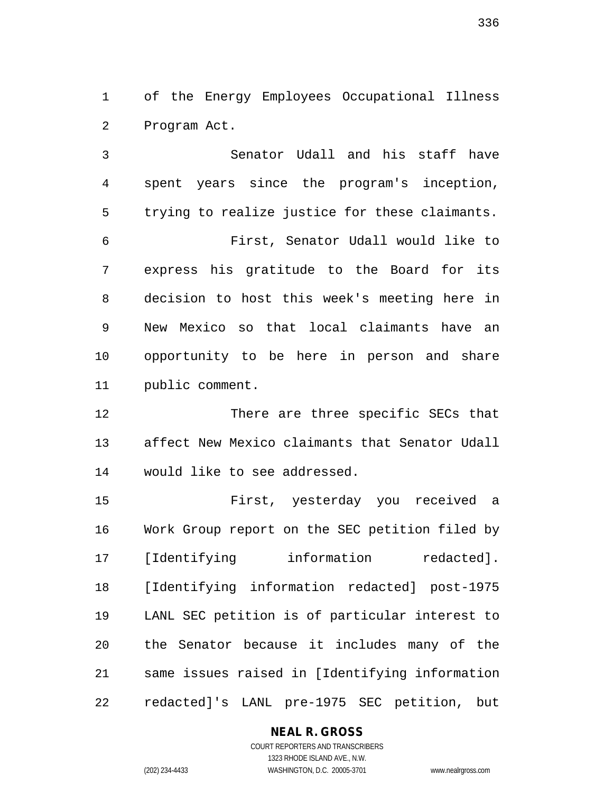1 of the Energy Employees Occupational Illness 2 Program Act.

3 Senator Udall and his staff have 4 spent years since the program's inception, 5 trying to realize justice for these claimants. 6 First, Senator Udall would like to 7 express his gratitude to the Board for its 8 decision to host this week's meeting here in 9 New Mexico so that local claimants have an 10 opportunity to be here in person and share 11 public comment.

12 There are three specific SECs that 13 affect New Mexico claimants that Senator Udall 14 would like to see addressed.

15 First, yesterday you received a 16 Work Group report on the SEC petition filed by 17 [Identifying information redacted]. 18 [Identifying information redacted] post-1975 19 LANL SEC petition is of particular interest to 20 the Senator because it includes many of the 21 same issues raised in [Identifying information 22 redacted]'s LANL pre-1975 SEC petition, but

#### **NEAL R. GROSS**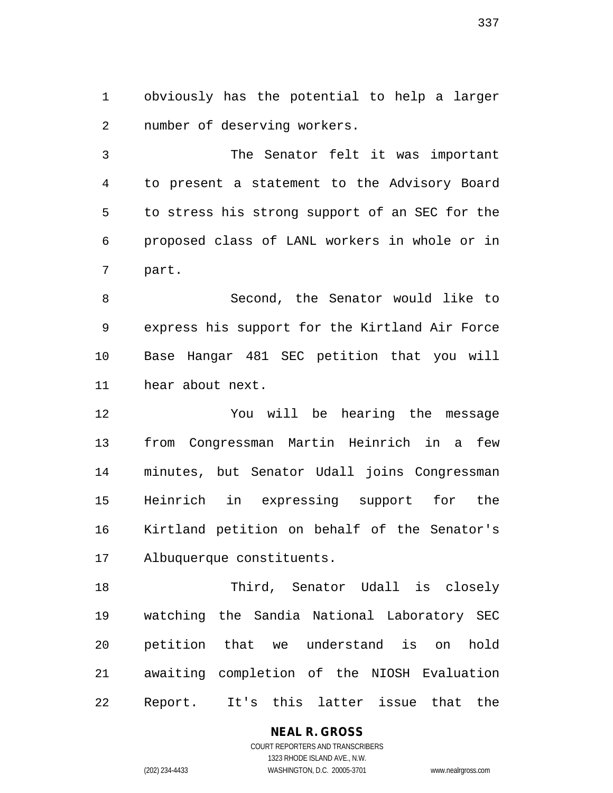1 obviously has the potential to help a larger 2 number of deserving workers.

3 The Senator felt it was important 4 to present a statement to the Advisory Board 5 to stress his strong support of an SEC for the 6 proposed class of LANL workers in whole or in 7 part.

8 Second, the Senator would like to 9 express his support for the Kirtland Air Force 10 Base Hangar 481 SEC petition that you will 11 hear about next.

12 You will be hearing the message 13 from Congressman Martin Heinrich in a few 14 minutes, but Senator Udall joins Congressman 15 Heinrich in expressing support for the 16 Kirtland petition on behalf of the Senator's 17 Albuquerque constituents.

18 Third, Senator Udall is closely 19 watching the Sandia National Laboratory SEC 20 petition that we understand is on hold 21 awaiting completion of the NIOSH Evaluation 22 Report. It's this latter issue that the

**NEAL R. GROSS**

COURT REPORTERS AND TRANSCRIBERS 1323 RHODE ISLAND AVE., N.W. (202) 234-4433 WASHINGTON, D.C. 20005-3701 www.nealrgross.com

337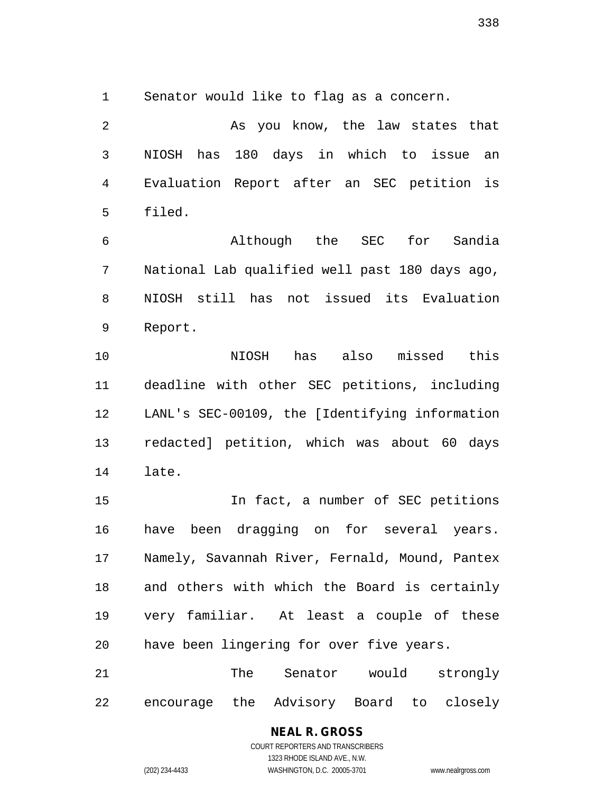1 Senator would like to flag as a concern.

2 As you know, the law states that 3 NIOSH has 180 days in which to issue an 4 Evaluation Report after an SEC petition is 5 filed.

6 Although the SEC for Sandia 7 National Lab qualified well past 180 days ago, 8 NIOSH still has not issued its Evaluation 9 Report.

10 NIOSH has also missed this 11 deadline with other SEC petitions, including 12 LANL's SEC-00109, the [Identifying information 13 redacted] petition, which was about 60 days 14 late.

15 In fact, a number of SEC petitions 16 have been dragging on for several years. 17 Namely, Savannah River, Fernald, Mound, Pantex 18 and others with which the Board is certainly 19 very familiar. At least a couple of these 20 have been lingering for over five years.

21 The Senator would strongly 22 encourage the Advisory Board to closely

### **NEAL R. GROSS**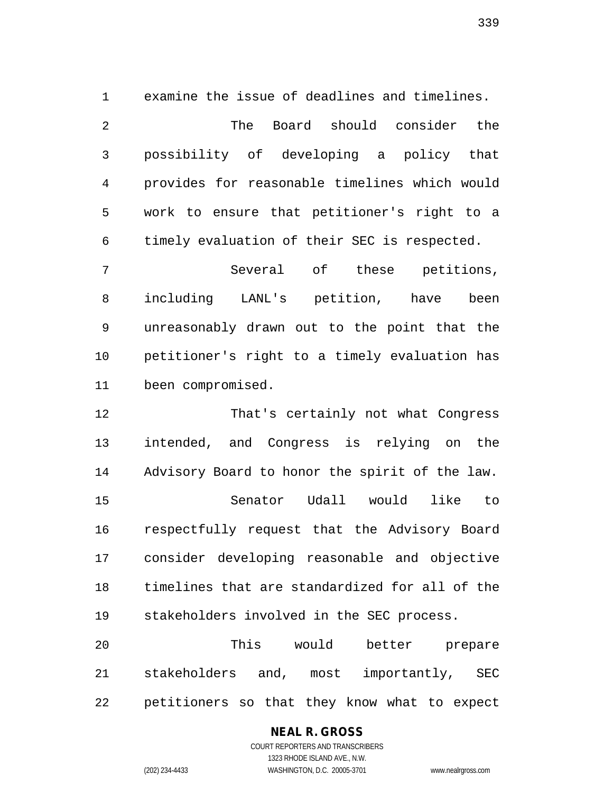1 examine the issue of deadlines and timelines. 2 The Board should consider the 3 possibility of developing a policy that 4 provides for reasonable timelines which would 5 work to ensure that petitioner's right to a 6 timely evaluation of their SEC is respected.

7 Several of these petitions, 8 including LANL's petition, have been 9 unreasonably drawn out to the point that the 10 petitioner's right to a timely evaluation has 11 been compromised.

12 That's certainly not what Congress 13 intended, and Congress is relying on the 14 Advisory Board to honor the spirit of the law. 15 Senator Udall would like to 16 respectfully request that the Advisory Board 17 consider developing reasonable and objective 18 timelines that are standardized for all of the 19 stakeholders involved in the SEC process.

20 This would better prepare 21 stakeholders and, most importantly, SEC 22 petitioners so that they know what to expect

## **NEAL R. GROSS**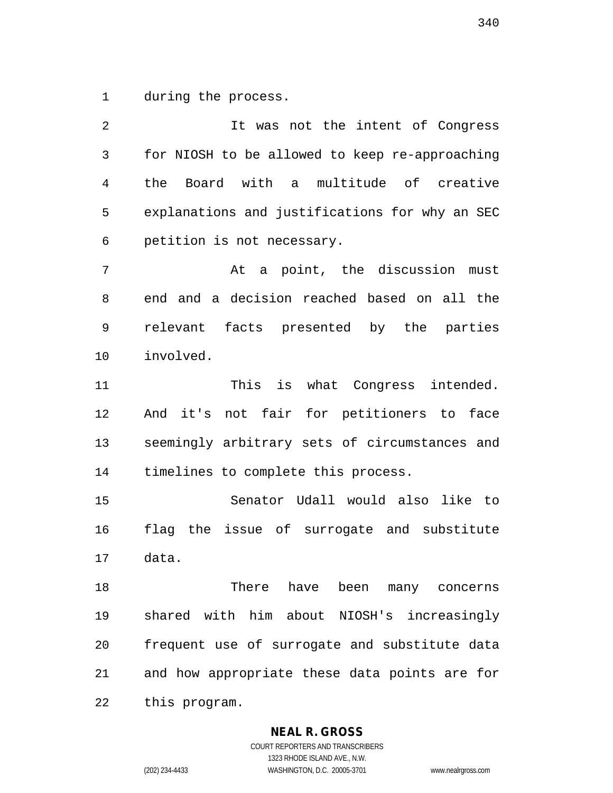1 during the process.

2 It was not the intent of Congress 3 for NIOSH to be allowed to keep re-approaching 4 the Board with a multitude of creative 5 explanations and justifications for why an SEC 6 petition is not necessary. 7 At a point, the discussion must 8 end and a decision reached based on all the 9 relevant facts presented by the parties 10 involved. 11 This is what Congress intended. 12 And it's not fair for petitioners to face 13 seemingly arbitrary sets of circumstances and 14 timelines to complete this process. 15 Senator Udall would also like to 16 flag the issue of surrogate and substitute 17 data. 18 There have been many concerns 19 shared with him about NIOSH's increasingly 20 frequent use of surrogate and substitute data 21 and how appropriate these data points are for 22 this program.

**NEAL R. GROSS**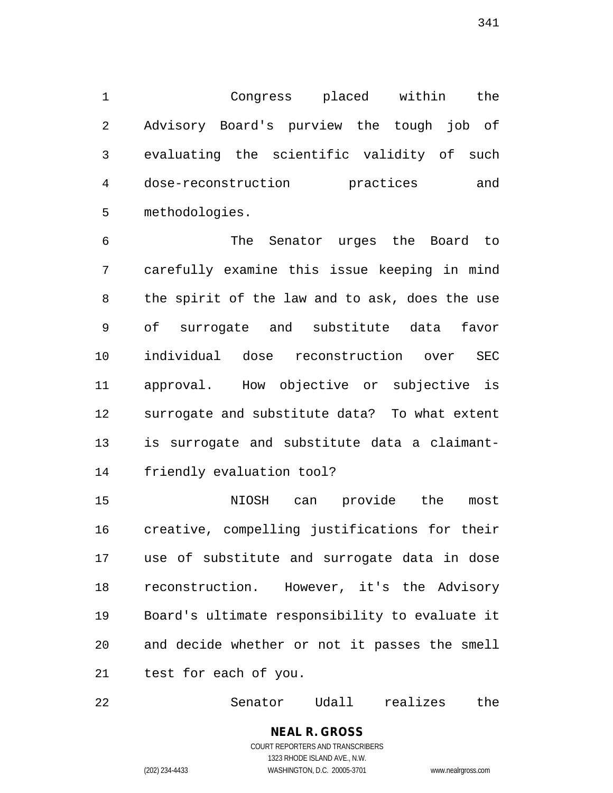1 Congress placed within the 2 Advisory Board's purview the tough job of 3 evaluating the scientific validity of such 4 dose-reconstruction practices and 5 methodologies.

6 The Senator urges the Board to 7 carefully examine this issue keeping in mind 8 the spirit of the law and to ask, does the use 9 of surrogate and substitute data favor 10 individual dose reconstruction over SEC 11 approval. How objective or subjective is 12 surrogate and substitute data? To what extent 13 is surrogate and substitute data a claimant-14 friendly evaluation tool?

15 NIOSH can provide the most 16 creative, compelling justifications for their 17 use of substitute and surrogate data in dose 18 reconstruction. However, it's the Advisory 19 Board's ultimate responsibility to evaluate it 20 and decide whether or not it passes the smell 21 test for each of you.

22 Senator Udall realizes the

**NEAL R. GROSS** COURT REPORTERS AND TRANSCRIBERS 1323 RHODE ISLAND AVE., N.W.

(202) 234-4433 WASHINGTON, D.C. 20005-3701 www.nealrgross.com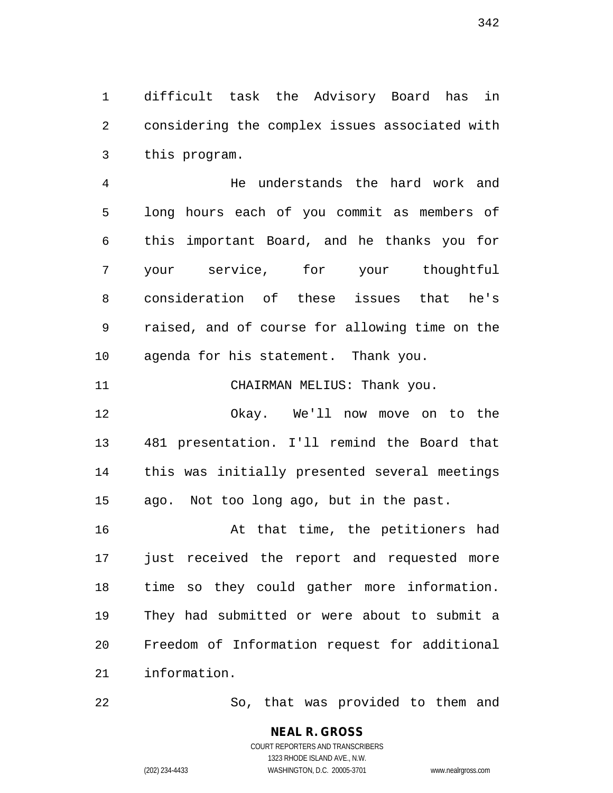1 difficult task the Advisory Board has in 2 considering the complex issues associated with 3 this program.

4 He understands the hard work and 5 long hours each of you commit as members of 6 this important Board, and he thanks you for 7 your service, for your thoughtful 8 consideration of these issues that he's 9 raised, and of course for allowing time on the 10 agenda for his statement. Thank you.

11 CHAIRMAN MELIUS: Thank you.

12 Okay. We'll now move on to the 13 481 presentation. I'll remind the Board that 14 this was initially presented several meetings 15 ago. Not too long ago, but in the past.

16 At that time, the petitioners had 17 just received the report and requested more 18 time so they could gather more information. 19 They had submitted or were about to submit a 20 Freedom of Information request for additional 21 information.

22 So, that was provided to them and

342

COURT REPORTERS AND TRANSCRIBERS 1323 RHODE ISLAND AVE., N.W. (202) 234-4433 WASHINGTON, D.C. 20005-3701 www.nealrgross.com

**NEAL R. GROSS**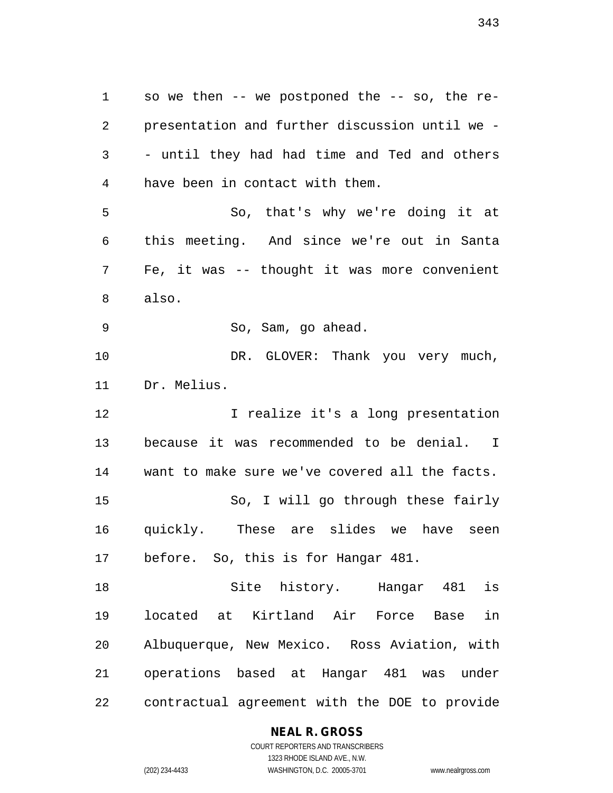1 so we then -- we postponed the -- so, the re-2 presentation and further discussion until we - 3 - until they had had time and Ted and others 4 have been in contact with them. 5 So, that's why we're doing it at 6 this meeting. And since we're out in Santa 7 Fe, it was -- thought it was more convenient 8 also. 9 So, Sam, go ahead. 10 DR. GLOVER: Thank you very much, 11 Dr. Melius. 12 12 I realize it's a long presentation 13 because it was recommended to be denial. I 14 want to make sure we've covered all the facts. 15 So, I will go through these fairly 16 quickly. These are slides we have seen 17 before. So, this is for Hangar 481. 18 Site history. Hangar 481 is 19 located at Kirtland Air Force Base in 20 Albuquerque, New Mexico. Ross Aviation, with 21 operations based at Hangar 481 was under

22 contractual agreement with the DOE to provide

**NEAL R. GROSS**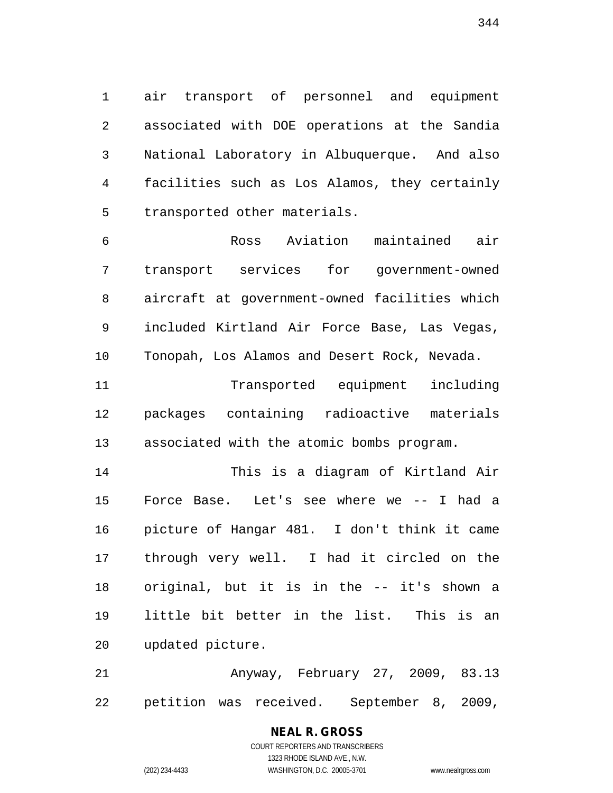1 air transport of personnel and equipment 2 associated with DOE operations at the Sandia 3 National Laboratory in Albuquerque. And also 4 facilities such as Los Alamos, they certainly 5 transported other materials.

6 Ross Aviation maintained air 7 transport services for government-owned 8 aircraft at government-owned facilities which 9 included Kirtland Air Force Base, Las Vegas, 10 Tonopah, Los Alamos and Desert Rock, Nevada.

11 Transported equipment including 12 packages containing radioactive materials 13 associated with the atomic bombs program.

14 This is a diagram of Kirtland Air 15 Force Base. Let's see where we -- I had a 16 picture of Hangar 481. I don't think it came 17 through very well. I had it circled on the 18 original, but it is in the -- it's shown a 19 little bit better in the list. This is an 20 updated picture.

21 Anyway, February 27, 2009, 83.13 22 petition was received. September 8, 2009,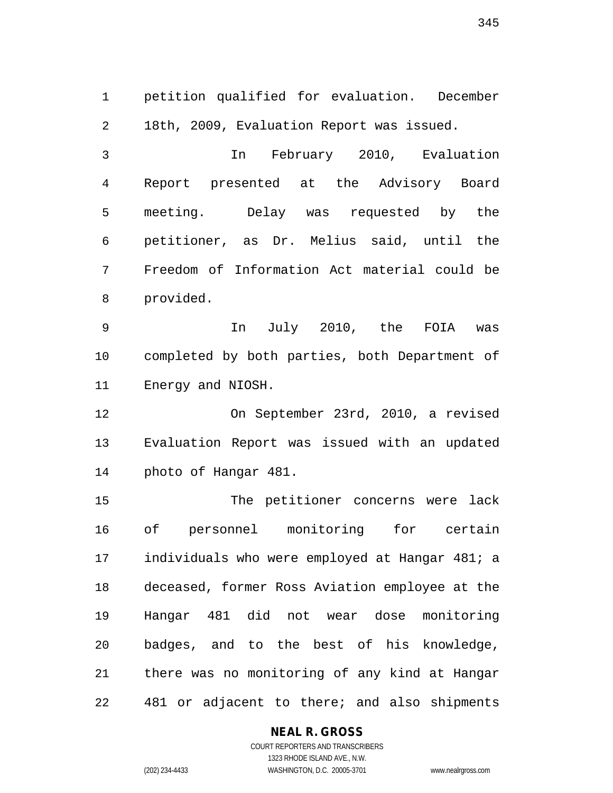1 petition qualified for evaluation. December 2 18th, 2009, Evaluation Report was issued.

3 In February 2010, Evaluation 4 Report presented at the Advisory Board 5 meeting. Delay was requested by the 6 petitioner, as Dr. Melius said, until the 7 Freedom of Information Act material could be 8 provided.

9 In July 2010, the FOIA was 10 completed by both parties, both Department of 11 Energy and NIOSH.

12 On September 23rd, 2010, a revised 13 Evaluation Report was issued with an updated 14 photo of Hangar 481.

15 The petitioner concerns were lack 16 of personnel monitoring for certain 17 individuals who were employed at Hangar 481; a 18 deceased, former Ross Aviation employee at the 19 Hangar 481 did not wear dose monitoring 20 badges, and to the best of his knowledge, 21 there was no monitoring of any kind at Hangar 22 481 or adjacent to there; and also shipments

#### **NEAL R. GROSS**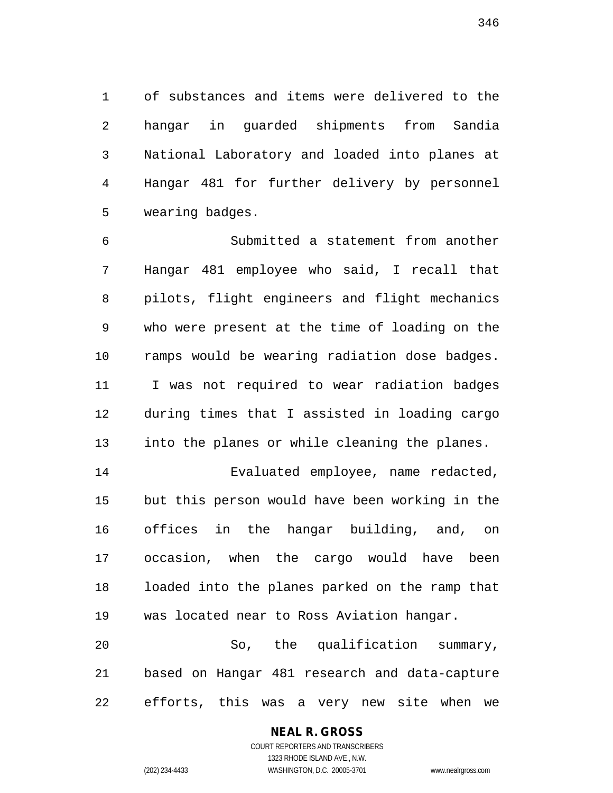1 of substances and items were delivered to the 2 hangar in guarded shipments from Sandia 3 National Laboratory and loaded into planes at 4 Hangar 481 for further delivery by personnel 5 wearing badges.

6 Submitted a statement from another 7 Hangar 481 employee who said, I recall that 8 pilots, flight engineers and flight mechanics 9 who were present at the time of loading on the 10 ramps would be wearing radiation dose badges. 11 I was not required to wear radiation badges 12 during times that I assisted in loading cargo 13 into the planes or while cleaning the planes.

14 Evaluated employee, name redacted, 15 but this person would have been working in the 16 offices in the hangar building, and, on 17 occasion, when the cargo would have been 18 loaded into the planes parked on the ramp that 19 was located near to Ross Aviation hangar.

20 So, the qualification summary, 21 based on Hangar 481 research and data-capture 22 efforts, this was a very new site when we

#### **NEAL R. GROSS**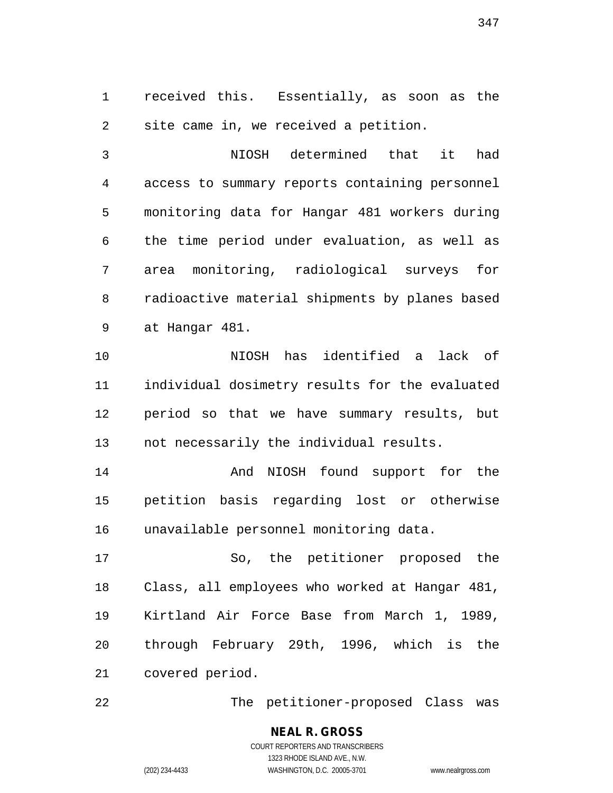1 received this. Essentially, as soon as the 2 site came in, we received a petition.

3 NIOSH determined that it had 4 access to summary reports containing personnel 5 monitoring data for Hangar 481 workers during 6 the time period under evaluation, as well as 7 area monitoring, radiological surveys for 8 radioactive material shipments by planes based 9 at Hangar 481.

10 NIOSH has identified a lack of 11 individual dosimetry results for the evaluated 12 period so that we have summary results, but 13 not necessarily the individual results.

14 And NIOSH found support for the 15 petition basis regarding lost or otherwise 16 unavailable personnel monitoring data.

17 So, the petitioner proposed the 18 Class, all employees who worked at Hangar 481, 19 Kirtland Air Force Base from March 1, 1989, 20 through February 29th, 1996, which is the 21 covered period.

22 The petitioner-proposed Class was

**NEAL R. GROSS** COURT REPORTERS AND TRANSCRIBERS 1323 RHODE ISLAND AVE., N.W. (202) 234-4433 WASHINGTON, D.C. 20005-3701 www.nealrgross.com

347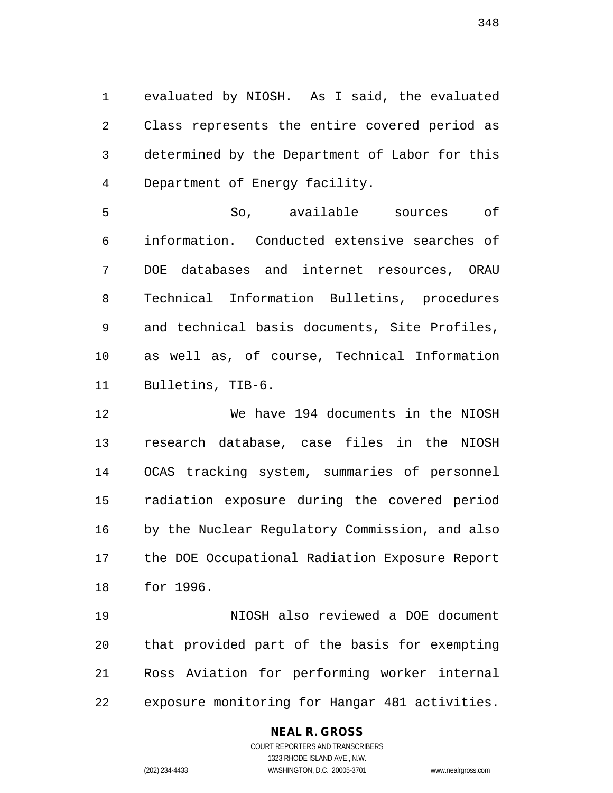1 evaluated by NIOSH. As I said, the evaluated 2 Class represents the entire covered period as 3 determined by the Department of Labor for this 4 Department of Energy facility.

5 So, available sources of 6 information. Conducted extensive searches of 7 DOE databases and internet resources, ORAU 8 Technical Information Bulletins, procedures 9 and technical basis documents, Site Profiles, 10 as well as, of course, Technical Information 11 Bulletins, TIB-6.

12 We have 194 documents in the NIOSH 13 research database, case files in the NIOSH 14 OCAS tracking system, summaries of personnel 15 radiation exposure during the covered period 16 by the Nuclear Regulatory Commission, and also 17 the DOE Occupational Radiation Exposure Report 18 for 1996.

19 NIOSH also reviewed a DOE document 20 that provided part of the basis for exempting 21 Ross Aviation for performing worker internal 22 exposure monitoring for Hangar 481 activities.

#### **NEAL R. GROSS**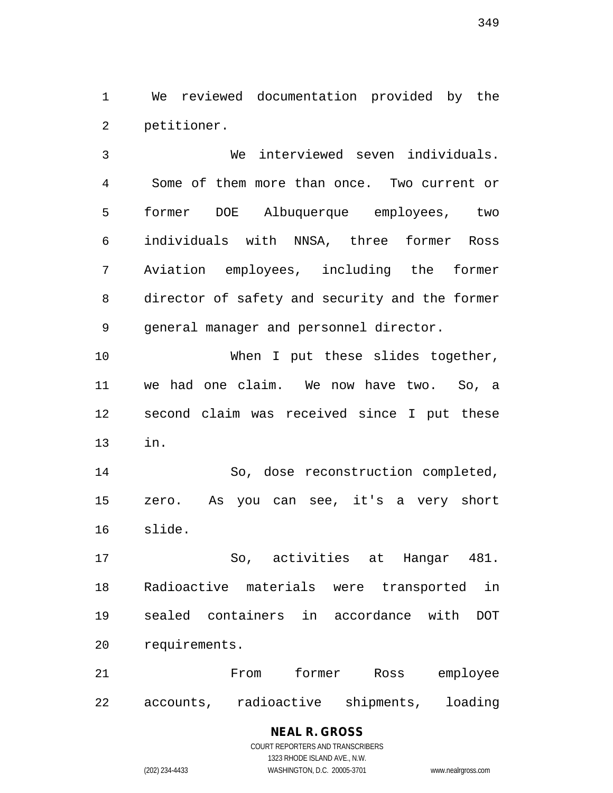1 We reviewed documentation provided by the 2 petitioner.

3 We interviewed seven individuals. 4 Some of them more than once. Two current or 5 former DOE Albuquerque employees, two 6 individuals with NNSA, three former Ross 7 Aviation employees, including the former 8 director of safety and security and the former 9 general manager and personnel director.

10 When I put these slides together, 11 we had one claim. We now have two. So, a 12 second claim was received since I put these 13 in.

14 So, dose reconstruction completed, 15 zero. As you can see, it's a very short 16 slide.

17 So, activities at Hangar 481. 18 Radioactive materials were transported in 19 sealed containers in accordance with DOT 20 requirements.

21 From former Ross employee 22 accounts, radioactive shipments, loading

# **NEAL R. GROSS**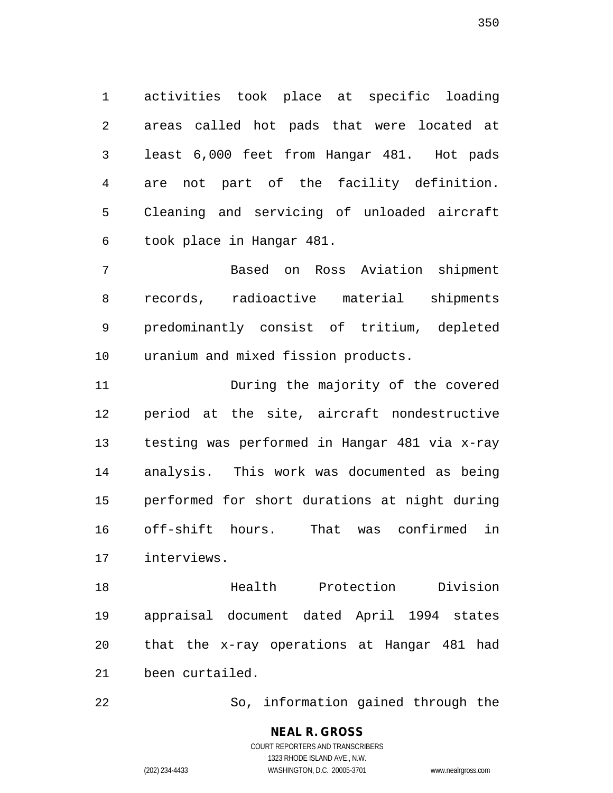1 activities took place at specific loading 2 areas called hot pads that were located at 3 least 6,000 feet from Hangar 481. Hot pads 4 are not part of the facility definition. 5 Cleaning and servicing of unloaded aircraft 6 took place in Hangar 481.

7 Based on Ross Aviation shipment 8 records, radioactive material shipments 9 predominantly consist of tritium, depleted 10 uranium and mixed fission products.

11 During the majority of the covered 12 period at the site, aircraft nondestructive 13 testing was performed in Hangar 481 via x-ray 14 analysis. This work was documented as being 15 performed for short durations at night during 16 off-shift hours. That was confirmed in 17 interviews.

18 Health Protection Division 19 appraisal document dated April 1994 states 20 that the x-ray operations at Hangar 481 had 21 been curtailed.

22 So, information gained through the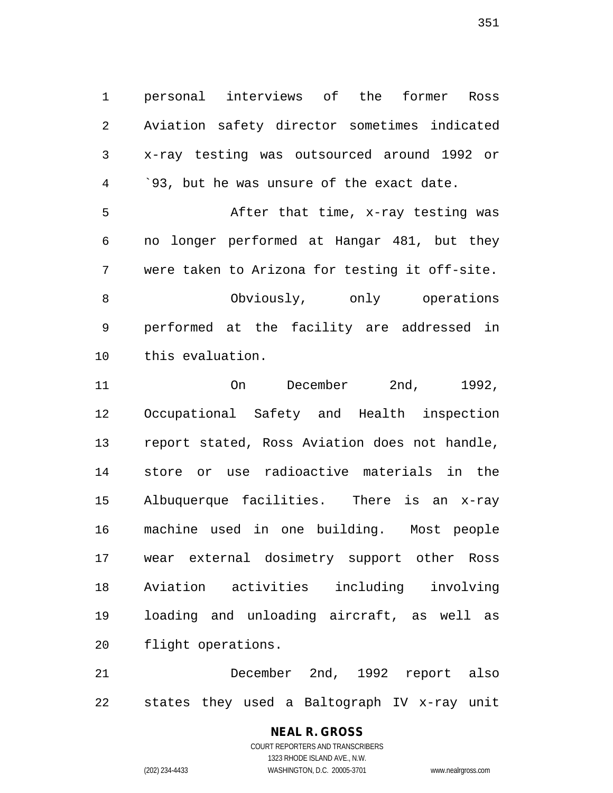1 personal interviews of the former Ross 2 Aviation safety director sometimes indicated 3 x-ray testing was outsourced around 1992 or 4 <sup>.93</sup>, but he was unsure of the exact date.

5 After that time, x-ray testing was 6 no longer performed at Hangar 481, but they 7 were taken to Arizona for testing it off-site. 8 Obviously, only operations 9 performed at the facility are addressed in 10 this evaluation.

11 On December 2nd, 1992, 12 Occupational Safety and Health inspection 13 report stated, Ross Aviation does not handle, 14 store or use radioactive materials in the 15 Albuquerque facilities. There is an x-ray 16 machine used in one building. Most people 17 wear external dosimetry support other Ross 18 Aviation activities including involving 19 loading and unloading aircraft, as well as 20 flight operations.

21 December 2nd, 1992 report also 22 states they used a Baltograph IV x-ray unit

#### **NEAL R. GROSS** COURT REPORTERS AND TRANSCRIBERS

1323 RHODE ISLAND AVE., N.W. (202) 234-4433 WASHINGTON, D.C. 20005-3701 www.nealrgross.com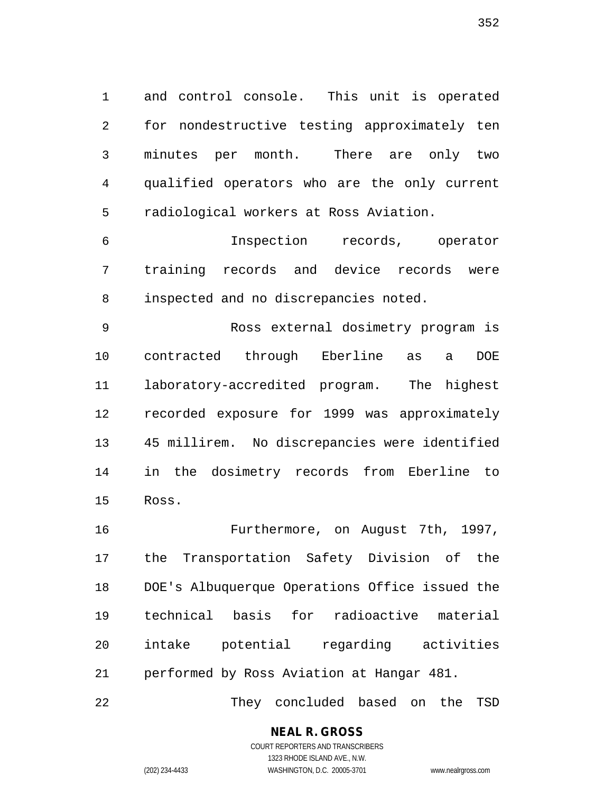1 and control console. This unit is operated 2 for nondestructive testing approximately ten 3 minutes per month. There are only two 4 qualified operators who are the only current 5 radiological workers at Ross Aviation.

6 Inspection records, operator 7 training records and device records were 8 inspected and no discrepancies noted.

9 Ross external dosimetry program is 10 contracted through Eberline as a DOE 11 laboratory-accredited program. The highest 12 recorded exposure for 1999 was approximately 13 45 millirem. No discrepancies were identified 14 in the dosimetry records from Eberline to 15 Ross.

16 Furthermore, on August 7th, 1997, 17 the Transportation Safety Division of the 18 DOE's Albuquerque Operations Office issued the 19 technical basis for radioactive material 20 intake potential regarding activities 21 performed by Ross Aviation at Hangar 481.

22 They concluded based on the TSD

**NEAL R. GROSS**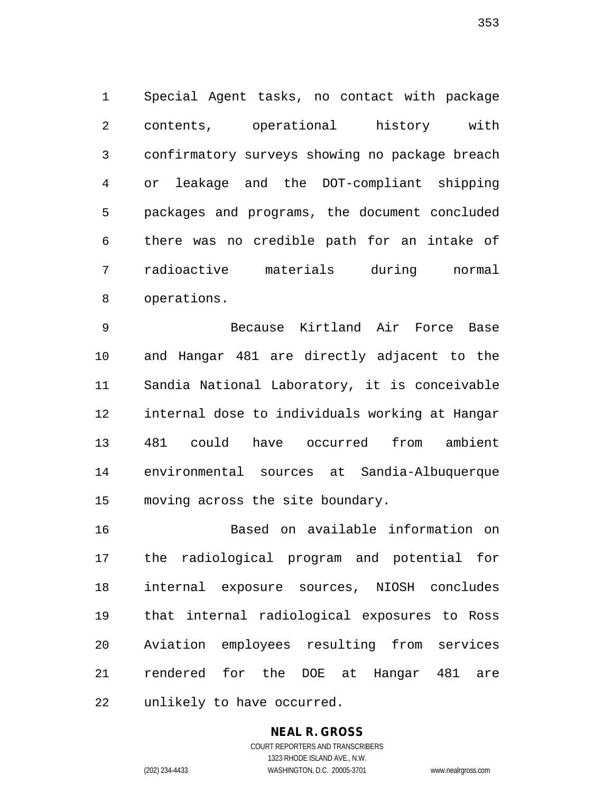1 Special Agent tasks, no contact with package 2 contents, operational history with 3 confirmatory surveys showing no package breach 4 or leakage and the DOT-compliant shipping 5 packages and programs, the document concluded 6 there was no credible path for an intake of 7 radioactive materials during normal 8 operations.

9 Because Kirtland Air Force Base 10 and Hangar 481 are directly adjacent to the 11 Sandia National Laboratory, it is conceivable 12 internal dose to individuals working at Hangar 13 481 could have occurred from ambient 14 environmental sources at Sandia-Albuquerque 15 moving across the site boundary.

16 Based on available information on 17 the radiological program and potential for 18 internal exposure sources, NIOSH concludes 19 that internal radiological exposures to Ross 20 Aviation employees resulting from services 21 rendered for the DOE at Hangar 481 are 22 unlikely to have occurred.

# **NEAL R. GROSS**

COURT REPORTERS AND TRANSCRIBERS 1323 RHODE ISLAND AVE., N.W. (202) 234-4433 WASHINGTON, D.C. 20005-3701 www.nealrgross.com

353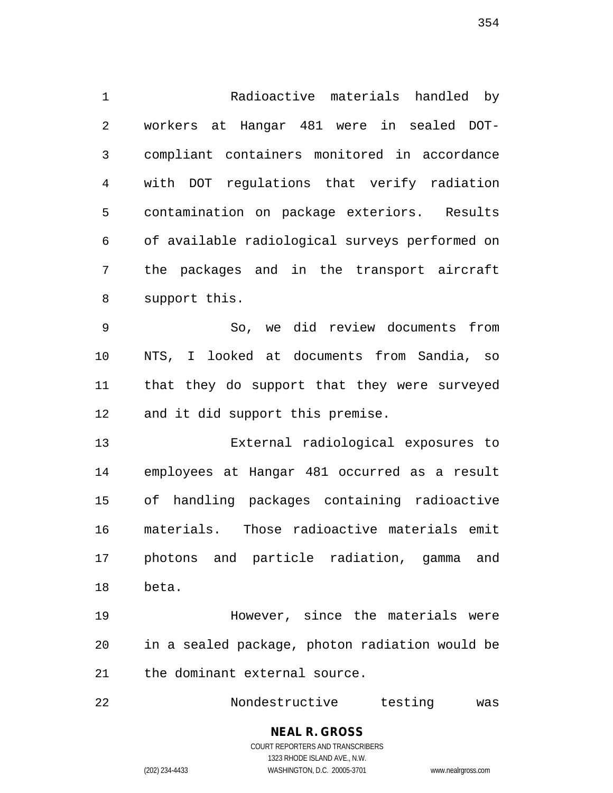1 Radioactive materials handled by 2 workers at Hangar 481 were in sealed DOT-3 compliant containers monitored in accordance 4 with DOT regulations that verify radiation 5 contamination on package exteriors. Results 6 of available radiological surveys performed on 7 the packages and in the transport aircraft 8 support this.

9 So, we did review documents from 10 NTS, I looked at documents from Sandia, so 11 that they do support that they were surveyed 12 and it did support this premise.

13 External radiological exposures to 14 employees at Hangar 481 occurred as a result 15 of handling packages containing radioactive 16 materials. Those radioactive materials emit 17 photons and particle radiation, gamma and 18 beta.

19 However, since the materials were 20 in a sealed package, photon radiation would be 21 the dominant external source.

22 Nondestructive testing was

#### **NEAL R. GROSS** COURT REPORTERS AND TRANSCRIBERS

1323 RHODE ISLAND AVE., N.W. (202) 234-4433 WASHINGTON, D.C. 20005-3701 www.nealrgross.com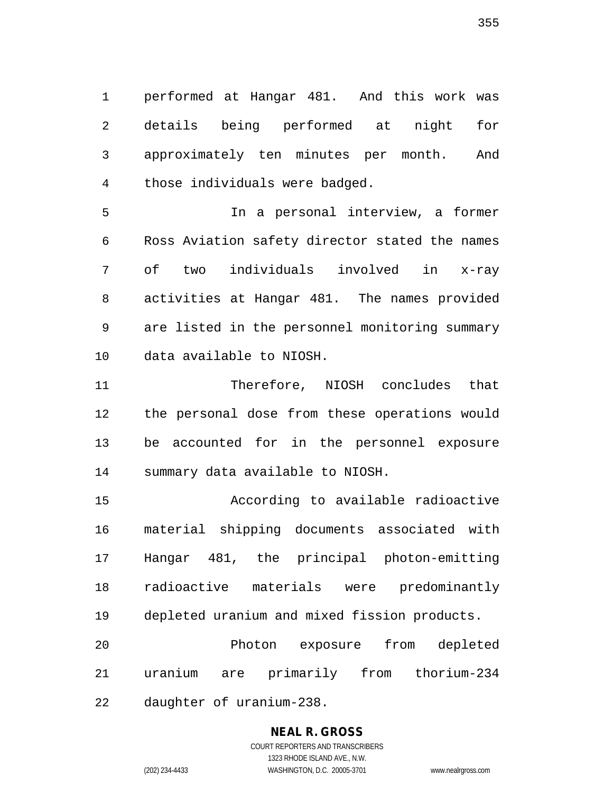1 performed at Hangar 481. And this work was 2 details being performed at night for 3 approximately ten minutes per month. And 4 those individuals were badged.

5 In a personal interview, a former 6 Ross Aviation safety director stated the names 7 of two individuals involved in x-ray 8 activities at Hangar 481. The names provided 9 are listed in the personnel monitoring summary 10 data available to NIOSH.

11 Therefore, NIOSH concludes that 12 the personal dose from these operations would 13 be accounted for in the personnel exposure 14 summary data available to NIOSH.

15 According to available radioactive 16 material shipping documents associated with 17 Hangar 481, the principal photon-emitting 18 radioactive materials were predominantly 19 depleted uranium and mixed fission products.

20 Photon exposure from depleted 21 uranium are primarily from thorium-234 22 daughter of uranium-238.

# **NEAL R. GROSS**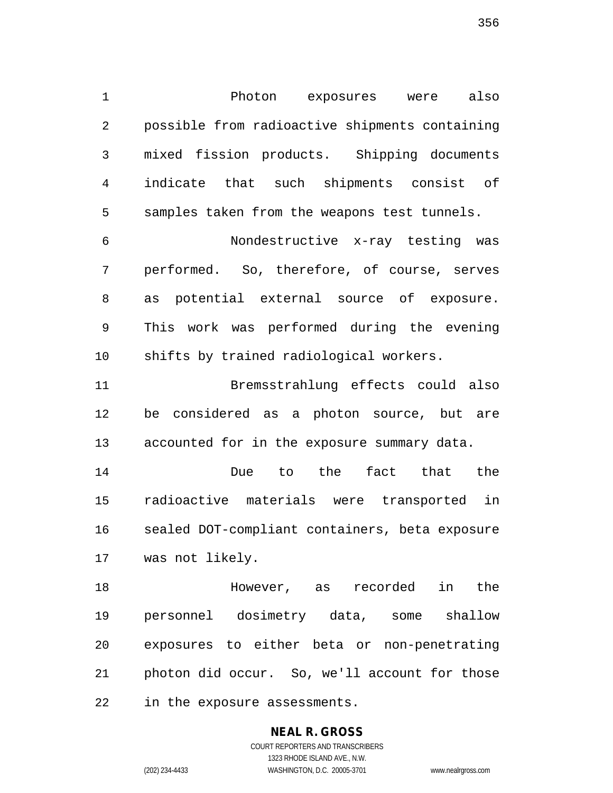1 Photon exposures were also 2 possible from radioactive shipments containing 3 mixed fission products. Shipping documents 4 indicate that such shipments consist of 5 samples taken from the weapons test tunnels.

6 Nondestructive x-ray testing was 7 performed. So, therefore, of course, serves 8 as potential external source of exposure. 9 This work was performed during the evening 10 shifts by trained radiological workers.

11 Bremsstrahlung effects could also 12 be considered as a photon source, but are 13 accounted for in the exposure summary data.

14 Due to the fact that the 15 radioactive materials were transported in 16 sealed DOT-compliant containers, beta exposure 17 was not likely.

18 However, as recorded in the 19 personnel dosimetry data, some shallow 20 exposures to either beta or non-penetrating 21 photon did occur. So, we'll account for those 22 in the exposure assessments.

# **NEAL R. GROSS**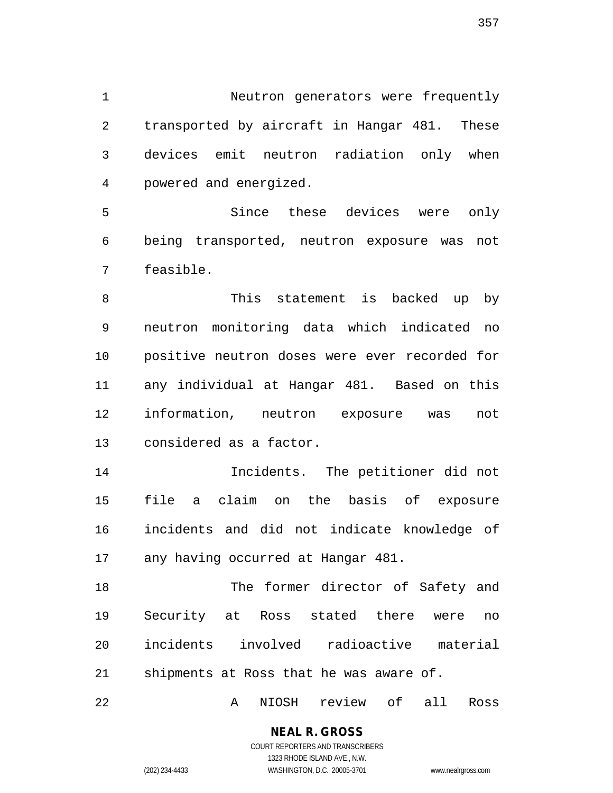1 Neutron generators were frequently 2 transported by aircraft in Hangar 481. These 3 devices emit neutron radiation only when 4 powered and energized.

5 Since these devices were only 6 being transported, neutron exposure was not 7 feasible.

8 This statement is backed up by 9 neutron monitoring data which indicated no 10 positive neutron doses were ever recorded for 11 any individual at Hangar 481. Based on this 12 information, neutron exposure was not 13 considered as a factor.

14 Incidents. The petitioner did not 15 file a claim on the basis of exposure 16 incidents and did not indicate knowledge of 17 any having occurred at Hangar 481.

18 The former director of Safety and 19 Security at Ross stated there were no 20 incidents involved radioactive material 21 shipments at Ross that he was aware of.

22 A NIOSH review of all Ross

### **NEAL R. GROSS**

357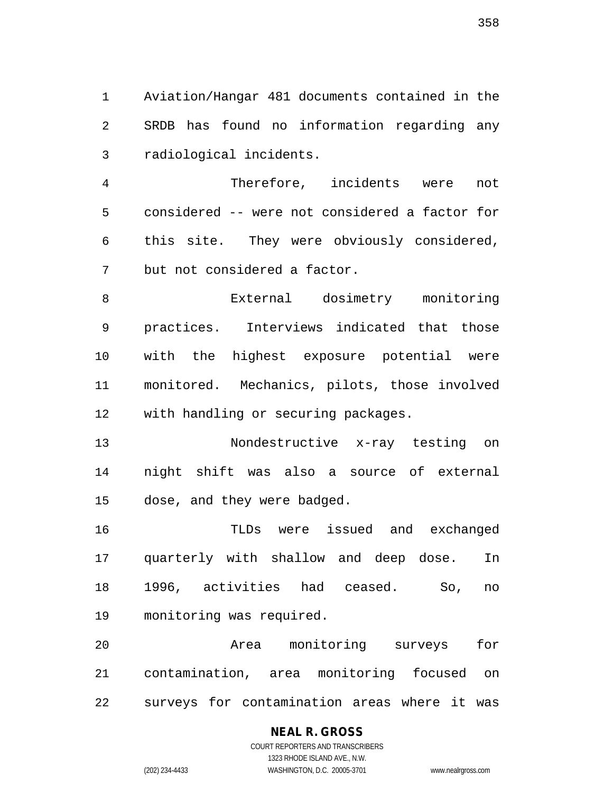1 Aviation/Hangar 481 documents contained in the 2 SRDB has found no information regarding any 3 radiological incidents.

4 Therefore, incidents were not 5 considered -- were not considered a factor for 6 this site. They were obviously considered, 7 but not considered a factor.

8 External dosimetry monitoring 9 practices. Interviews indicated that those 10 with the highest exposure potential were 11 monitored. Mechanics, pilots, those involved 12 with handling or securing packages.

13 Nondestructive x-ray testing on 14 night shift was also a source of external 15 dose, and they were badged.

16 TLDs were issued and exchanged 17 quarterly with shallow and deep dose. In 18 1996, activities had ceased. So, no 19 monitoring was required.

20 Area monitoring surveys for 21 contamination, area monitoring focused on 22 surveys for contamination areas where it was

#### **NEAL R. GROSS**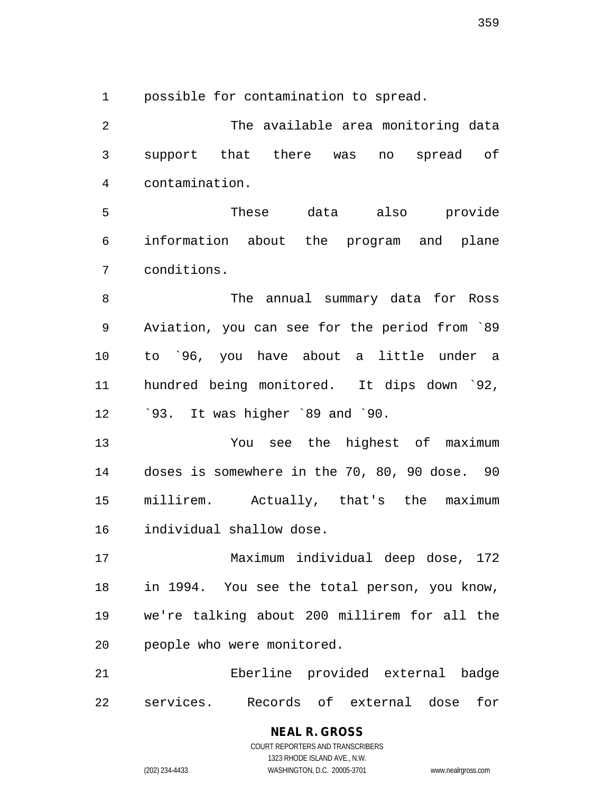1 possible for contamination to spread.

2 The available area monitoring data 3 support that there was no spread of 4 contamination. 5 These data also provide 6 information about the program and plane 7 conditions. 8 The annual summary data for Ross 9 Aviation, you can see for the period from `89 10 to `96, you have about a little under a 11 hundred being monitored. It dips down `92, 12 `93. It was higher `89 and `90. 13 You see the highest of maximum 14 doses is somewhere in the 70, 80, 90 dose. 90 15 millirem. Actually, that's the maximum 16 individual shallow dose. 17 Maximum individual deep dose, 172 18 in 1994. You see the total person, you know, 19 we're talking about 200 millirem for all the 20 people who were monitored. 21 Eberline provided external badge 22 services. Records of external dose for

359

COURT REPORTERS AND TRANSCRIBERS 1323 RHODE ISLAND AVE., N.W. (202) 234-4433 WASHINGTON, D.C. 20005-3701 www.nealrgross.com

**NEAL R. GROSS**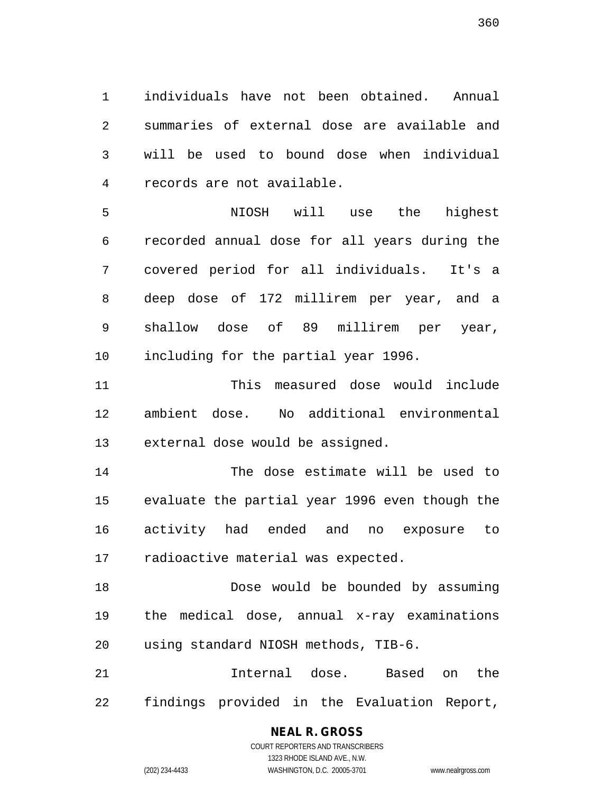1 individuals have not been obtained. Annual 2 summaries of external dose are available and 3 will be used to bound dose when individual 4 records are not available.

5 NIOSH will use the highest 6 recorded annual dose for all years during the 7 covered period for all individuals. It's a 8 deep dose of 172 millirem per year, and a 9 shallow dose of 89 millirem per year, 10 including for the partial year 1996.

11 This measured dose would include 12 ambient dose. No additional environmental 13 external dose would be assigned.

14 The dose estimate will be used to 15 evaluate the partial year 1996 even though the 16 activity had ended and no exposure to 17 radioactive material was expected.

18 Dose would be bounded by assuming 19 the medical dose, annual x-ray examinations 20 using standard NIOSH methods, TIB-6.

21 Internal dose. Based on the 22 findings provided in the Evaluation Report,

### **NEAL R. GROSS**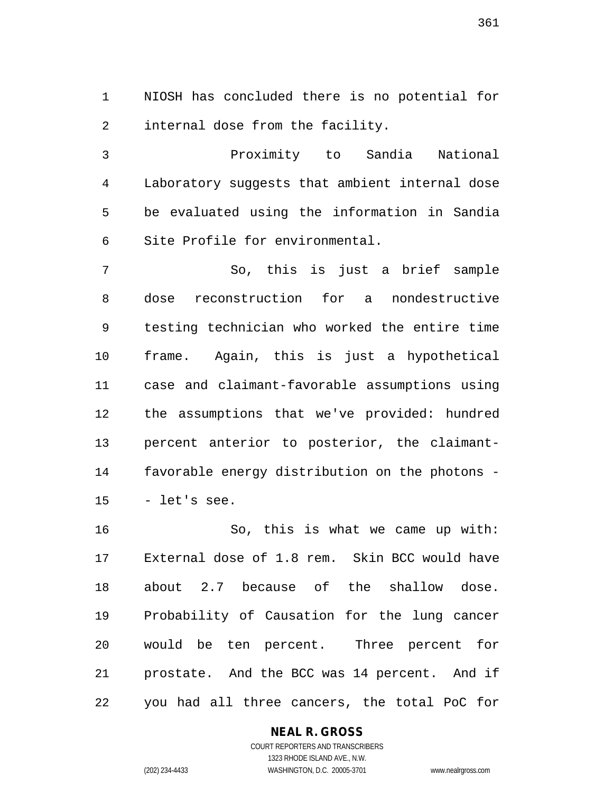1 NIOSH has concluded there is no potential for 2 internal dose from the facility.

3 Proximity to Sandia National 4 Laboratory suggests that ambient internal dose 5 be evaluated using the information in Sandia 6 Site Profile for environmental.

7 So, this is just a brief sample 8 dose reconstruction for a nondestructive 9 testing technician who worked the entire time 10 frame. Again, this is just a hypothetical 11 case and claimant-favorable assumptions using 12 the assumptions that we've provided: hundred 13 percent anterior to posterior, the claimant-14 favorable energy distribution on the photons - 15 - let's see.

16 So, this is what we came up with: 17 External dose of 1.8 rem. Skin BCC would have 18 about 2.7 because of the shallow dose. 19 Probability of Causation for the lung cancer 20 would be ten percent. Three percent for 21 prostate. And the BCC was 14 percent. And if 22 you had all three cancers, the total PoC for

# **NEAL R. GROSS**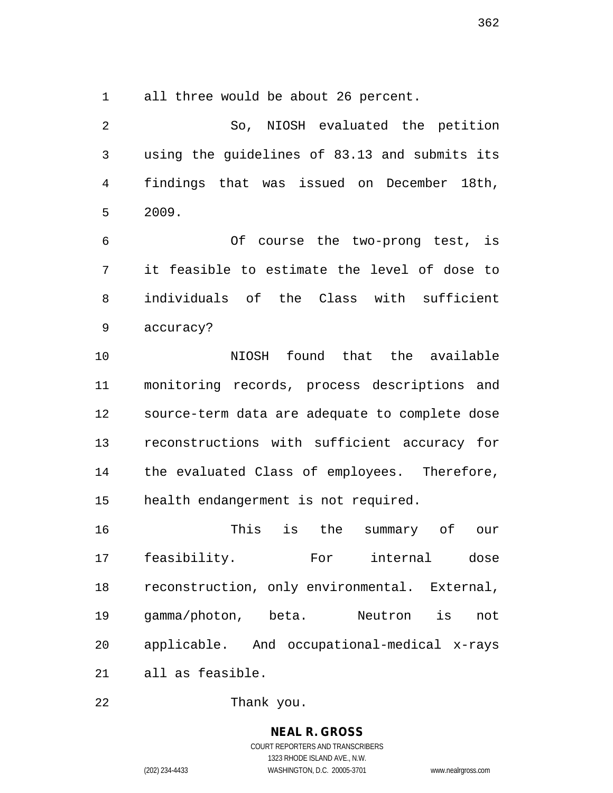1 all three would be about 26 percent.

2 So, NIOSH evaluated the petition 3 using the guidelines of 83.13 and submits its 4 findings that was issued on December 18th, 5 2009.

6 Of course the two-prong test, is 7 it feasible to estimate the level of dose to 8 individuals of the Class with sufficient 9 accuracy?

10 NIOSH found that the available 11 monitoring records, process descriptions and 12 source-term data are adequate to complete dose 13 reconstructions with sufficient accuracy for 14 the evaluated Class of employees. Therefore, 15 health endangerment is not required.

16 This is the summary of our 17 feasibility. For internal dose 18 reconstruction, only environmental. External, 19 gamma/photon, beta. Neutron is not 20 applicable. And occupational-medical x-rays 21 all as feasible.

22 Thank you.

**NEAL R. GROSS** COURT REPORTERS AND TRANSCRIBERS 1323 RHODE ISLAND AVE., N.W.

(202) 234-4433 WASHINGTON, D.C. 20005-3701 www.nealrgross.com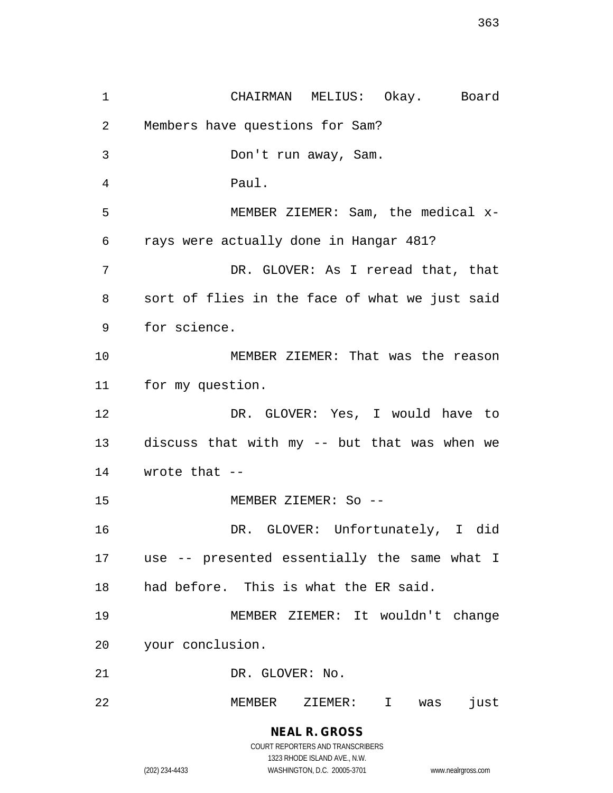1 CHAIRMAN MELIUS: Okay. Board 2 Members have questions for Sam? 3 Don't run away, Sam. 4 Paul. 5 MEMBER ZIEMER: Sam, the medical x-6 rays were actually done in Hangar 481? 7 DR. GLOVER: As I reread that, that 8 sort of flies in the face of what we just said 9 for science. 10 MEMBER ZIEMER: That was the reason 11 for my question. 12 DR. GLOVER: Yes, I would have to 13 discuss that with my -- but that was when we 14 wrote that -- 15 MEMBER ZIEMER: So -- 16 DR. GLOVER: Unfortunately, I did 17 use -- presented essentially the same what I 18 had before. This is what the ER said. 19 MEMBER ZIEMER: It wouldn't change 20 your conclusion. 21 DR. GLOVER: No. 22 MEMBER ZIEMER: I was just

1323 RHODE ISLAND AVE., N.W.

(202) 234-4433 WASHINGTON, D.C. 20005-3701 www.nealrgross.com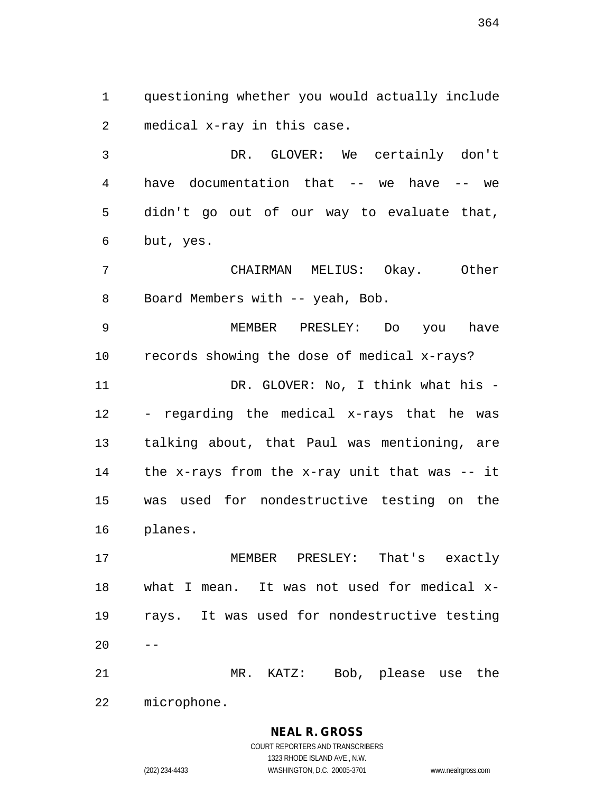1 questioning whether you would actually include 2 medical x-ray in this case.

3 DR. GLOVER: We certainly don't 4 have documentation that -- we have -- we 5 didn't go out of our way to evaluate that, 6 but, yes.

7 CHAIRMAN MELIUS: Okay. Other 8 Board Members with -- yeah, Bob.

9 MEMBER PRESLEY: Do you have 10 records showing the dose of medical x-rays? 11 DR. GLOVER: No, I think what his -12 - regarding the medical x-rays that he was 13 talking about, that Paul was mentioning, are 14 the x-rays from the x-ray unit that was -- it 15 was used for nondestructive testing on the 16 planes.

17 MEMBER PRESLEY: That's exactly 18 what I mean. It was not used for medical x-19 rays. It was used for nondestructive testing  $20$ 

21 MR. KATZ: Bob, please use the 22 microphone.

> **NEAL R. GROSS** COURT REPORTERS AND TRANSCRIBERS

1323 RHODE ISLAND AVE., N.W. (202) 234-4433 WASHINGTON, D.C. 20005-3701 www.nealrgross.com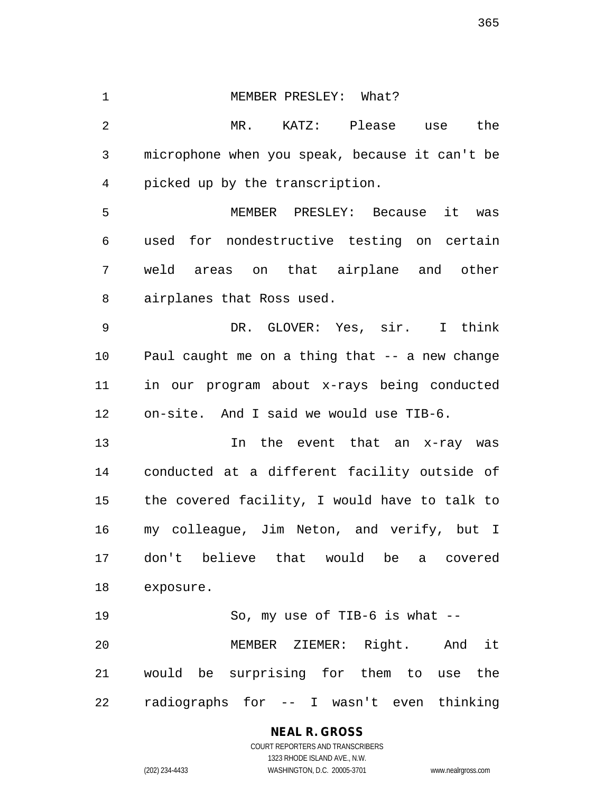1 MEMBER PRESLEY: What? 2 MR. KATZ: Please use the 3 microphone when you speak, because it can't be 4 picked up by the transcription. 5 MEMBER PRESLEY: Because it was 6 used for nondestructive testing on certain 7 weld areas on that airplane and other 8 airplanes that Ross used. 9 DR. GLOVER: Yes, sir. I think 10 Paul caught me on a thing that -- a new change 11 in our program about x-rays being conducted 12 on-site. And I said we would use TIB-6. 13 In the event that an x-ray was 14 conducted at a different facility outside of 15 the covered facility, I would have to talk to 16 my colleague, Jim Neton, and verify, but I 17 don't believe that would be a covered 18 exposure. 19 So, my use of TIB-6 is what -- 20 MEMBER ZIEMER: Right. And it 21 would be surprising for them to use the 22 radiographs for -- I wasn't even thinking

> **NEAL R. GROSS** COURT REPORTERS AND TRANSCRIBERS 1323 RHODE ISLAND AVE., N.W. (202) 234-4433 WASHINGTON, D.C. 20005-3701 www.nealrgross.com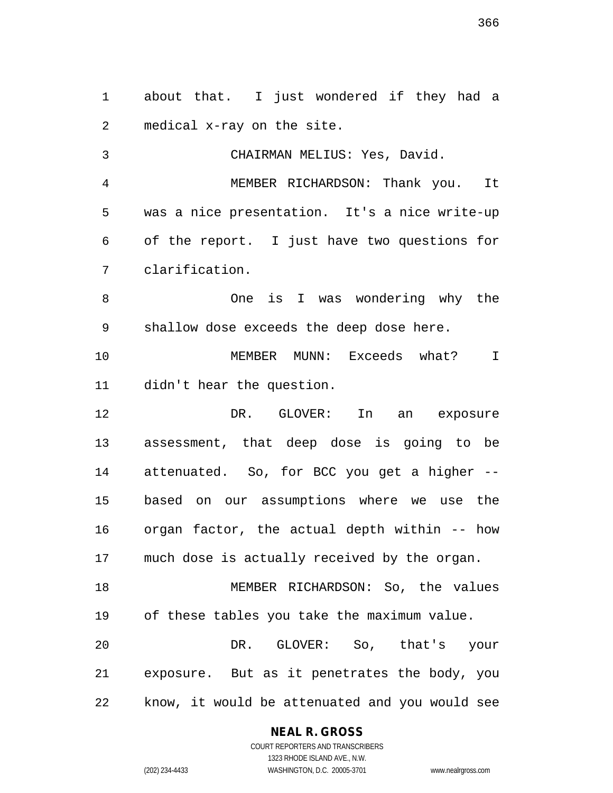1 about that. I just wondered if they had a 2 medical x-ray on the site. 3 CHAIRMAN MELIUS: Yes, David. 4 MEMBER RICHARDSON: Thank you. It 5 was a nice presentation. It's a nice write-up 6 of the report. I just have two questions for 7 clarification. 8 One is I was wondering why the 9 shallow dose exceeds the deep dose here. 10 MEMBER MUNN: Exceeds what? I 11 didn't hear the question. 12 DR. GLOVER: In an exposure 13 assessment, that deep dose is going to be 14 attenuated. So, for BCC you get a higher -- 15 based on our assumptions where we use the 16 organ factor, the actual depth within -- how 17 much dose is actually received by the organ. 18 MEMBER RICHARDSON: So, the values 19 of these tables you take the maximum value. 20 DR. GLOVER: So, that's your 21 exposure. But as it penetrates the body, you

22 know, it would be attenuated and you would see

#### **NEAL R. GROSS**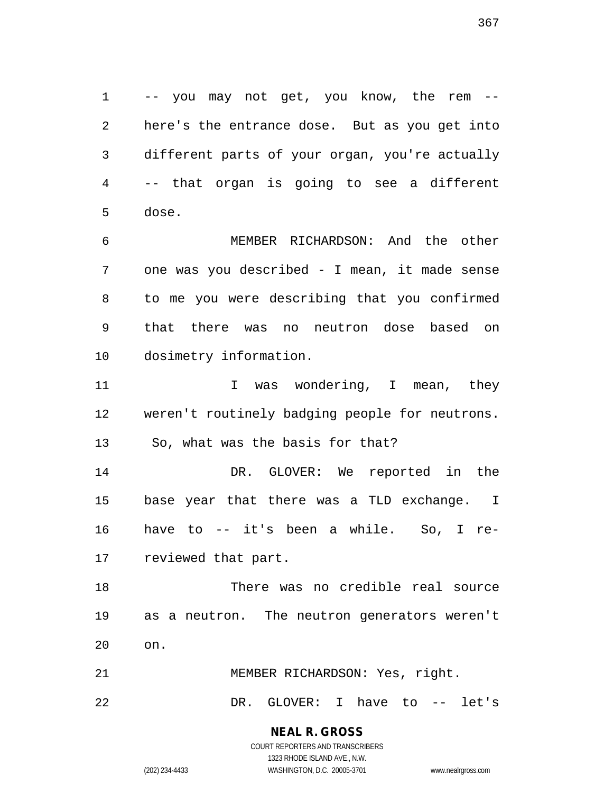1 -- you may not get, you know, the rem -- 2 here's the entrance dose. But as you get into 3 different parts of your organ, you're actually 4 -- that organ is going to see a different 5 dose.

6 MEMBER RICHARDSON: And the other 7 one was you described - I mean, it made sense 8 to me you were describing that you confirmed 9 that there was no neutron dose based on 10 dosimetry information.

11 1 I was wondering, I mean, they 12 weren't routinely badging people for neutrons. 13 So, what was the basis for that?

14 DR. GLOVER: We reported in the 15 base year that there was a TLD exchange. I 16 have to -- it's been a while. So, I re-17 reviewed that part.

18 There was no credible real source 19 as a neutron. The neutron generators weren't 20 on.

21 MEMBER RICHARDSON: Yes, right.

22 DR. GLOVER: I have to -- let's

# **NEAL R. GROSS**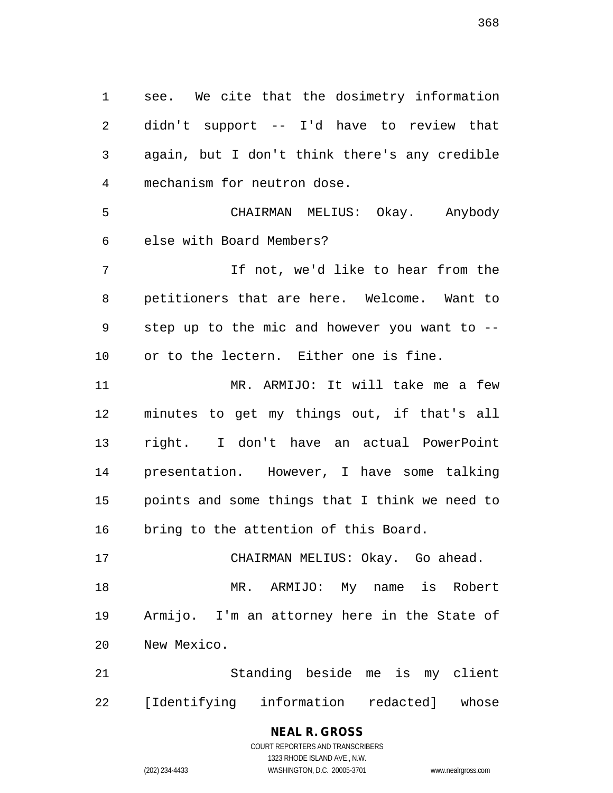1 see. We cite that the dosimetry information 2 didn't support -- I'd have to review that 3 again, but I don't think there's any credible 4 mechanism for neutron dose. 5 CHAIRMAN MELIUS: Okay. Anybody 6 else with Board Members? 7 If not, we'd like to hear from the 8 petitioners that are here. Welcome. Want to 9 step up to the mic and however you want to -- 10 or to the lectern. Either one is fine. 11 MR. ARMIJO: It will take me a few 12 minutes to get my things out, if that's all 13 right. I don't have an actual PowerPoint 14 presentation. However, I have some talking

15 points and some things that I think we need to 16 bring to the attention of this Board.

17 CHAIRMAN MELIUS: Okay. Go ahead. 18 MR. ARMIJO: My name is Robert 19 Armijo. I'm an attorney here in the State of 20 New Mexico.

21 Standing beside me is my client 22 [Identifying information redacted] whose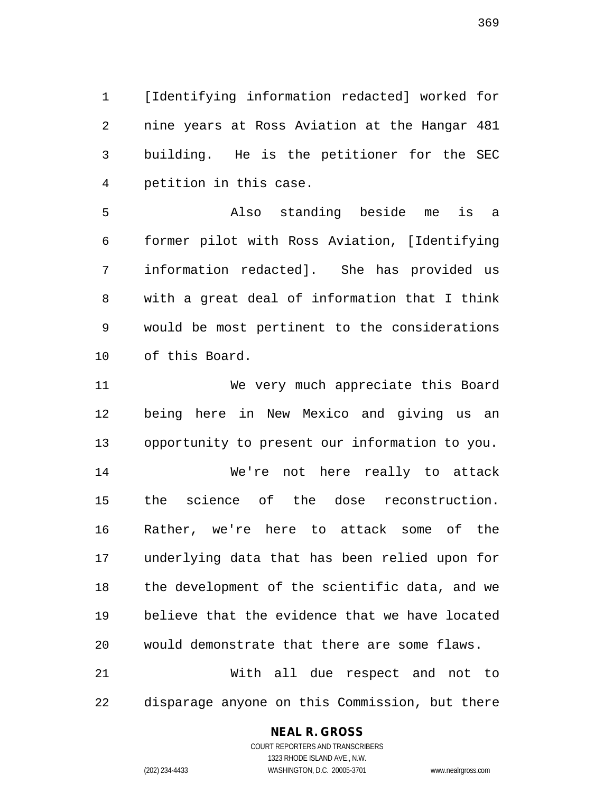1 [Identifying information redacted] worked for 2 nine years at Ross Aviation at the Hangar 481 3 building. He is the petitioner for the SEC 4 petition in this case.

5 Also standing beside me is a 6 former pilot with Ross Aviation, [Identifying 7 information redacted]. She has provided us 8 with a great deal of information that I think 9 would be most pertinent to the considerations 10 of this Board.

11 We very much appreciate this Board 12 being here in New Mexico and giving us an 13 opportunity to present our information to you.

14 We're not here really to attack 15 the science of the dose reconstruction. 16 Rather, we're here to attack some of the 17 underlying data that has been relied upon for 18 the development of the scientific data, and we 19 believe that the evidence that we have located 20 would demonstrate that there are some flaws. 21 With all due respect and not to

22 disparage anyone on this Commission, but there

#### **NEAL R. GROSS**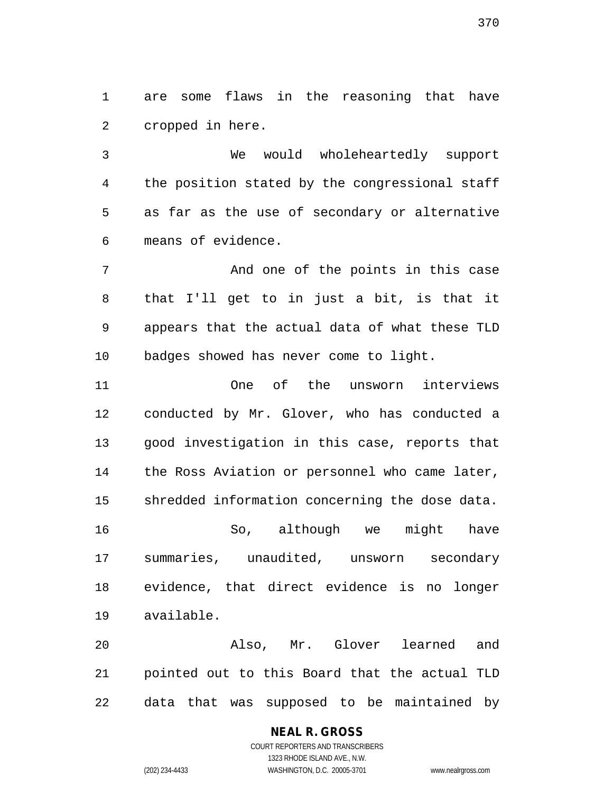1 are some flaws in the reasoning that have 2 cropped in here.

3 We would wholeheartedly support 4 the position stated by the congressional staff 5 as far as the use of secondary or alternative 6 means of evidence.

7 And one of the points in this case 8 that I'll get to in just a bit, is that it 9 appears that the actual data of what these TLD 10 badges showed has never come to light.

11 One of the unsworn interviews 12 conducted by Mr. Glover, who has conducted a 13 good investigation in this case, reports that 14 the Ross Aviation or personnel who came later, 15 shredded information concerning the dose data. 16 So, although we might have 17 summaries, unaudited, unsworn secondary 18 evidence, that direct evidence is no longer 19 available.

20 Also, Mr. Glover learned and 21 pointed out to this Board that the actual TLD 22 data that was supposed to be maintained by

> COURT REPORTERS AND TRANSCRIBERS 1323 RHODE ISLAND AVE., N.W. (202) 234-4433 WASHINGTON, D.C. 20005-3701 www.nealrgross.com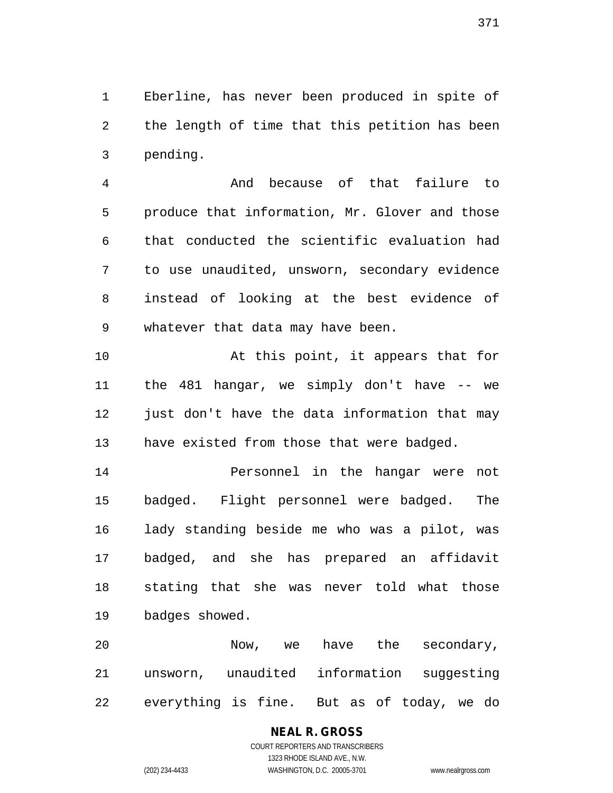1 Eberline, has never been produced in spite of 2 the length of time that this petition has been 3 pending.

4 And because of that failure to 5 produce that information, Mr. Glover and those 6 that conducted the scientific evaluation had 7 to use unaudited, unsworn, secondary evidence 8 instead of looking at the best evidence of 9 whatever that data may have been.

10 At this point, it appears that for 11 the 481 hangar, we simply don't have -- we 12 just don't have the data information that may 13 have existed from those that were badged.

14 Personnel in the hangar were not 15 badged. Flight personnel were badged. The 16 lady standing beside me who was a pilot, was 17 badged, and she has prepared an affidavit 18 stating that she was never told what those 19 badges showed.

20 Now, we have the secondary, 21 unsworn, unaudited information suggesting 22 everything is fine. But as of today, we do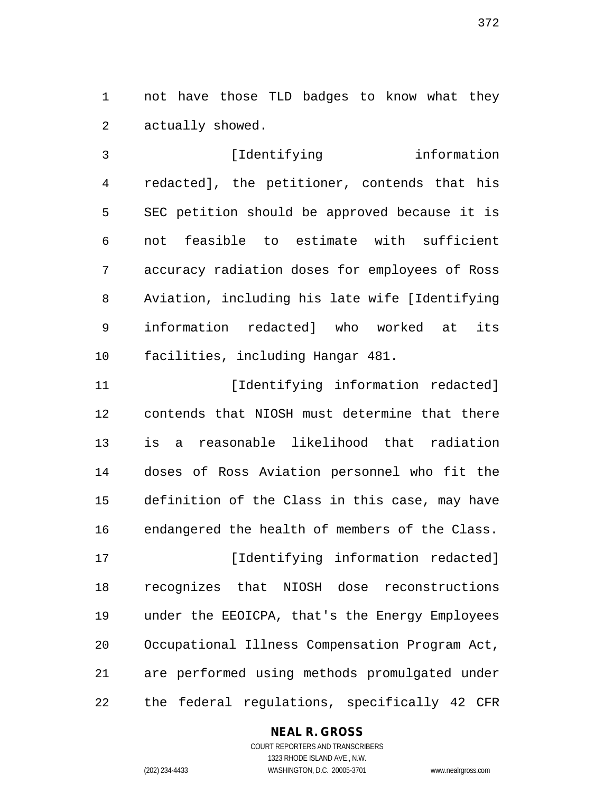1 not have those TLD badges to know what they 2 actually showed.

3 [Identifying information 4 redacted], the petitioner, contends that his 5 SEC petition should be approved because it is 6 not feasible to estimate with sufficient 7 accuracy radiation doses for employees of Ross 8 Aviation, including his late wife [Identifying 9 information redacted] who worked at its 10 facilities, including Hangar 481.

11 [Identifying information redacted] 12 contends that NIOSH must determine that there 13 is a reasonable likelihood that radiation 14 doses of Ross Aviation personnel who fit the 15 definition of the Class in this case, may have 16 endangered the health of members of the Class.

17 [Identifying information redacted] 18 recognizes that NIOSH dose reconstructions 19 under the EEOICPA, that's the Energy Employees 20 Occupational Illness Compensation Program Act, 21 are performed using methods promulgated under 22 the federal regulations, specifically 42 CFR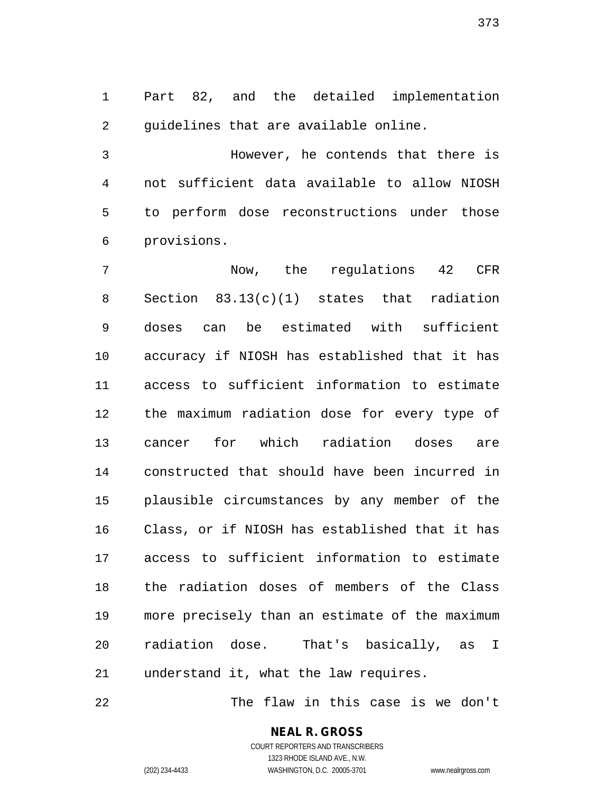1 Part 82, and the detailed implementation 2 guidelines that are available online.

3 However, he contends that there is 4 not sufficient data available to allow NIOSH 5 to perform dose reconstructions under those 6 provisions.

7 Now, the regulations 42 CFR 8 Section 83.13(c)(1) states that radiation 9 doses can be estimated with sufficient 10 accuracy if NIOSH has established that it has 11 access to sufficient information to estimate 12 the maximum radiation dose for every type of 13 cancer for which radiation doses are 14 constructed that should have been incurred in 15 plausible circumstances by any member of the 16 Class, or if NIOSH has established that it has 17 access to sufficient information to estimate 18 the radiation doses of members of the Class 19 more precisely than an estimate of the maximum 20 radiation dose. That's basically, as I 21 understand it, what the law requires.

22 The flaw in this case is we don't

#### **NEAL R. GROSS** COURT REPORTERS AND TRANSCRIBERS

1323 RHODE ISLAND AVE., N.W. (202) 234-4433 WASHINGTON, D.C. 20005-3701 www.nealrgross.com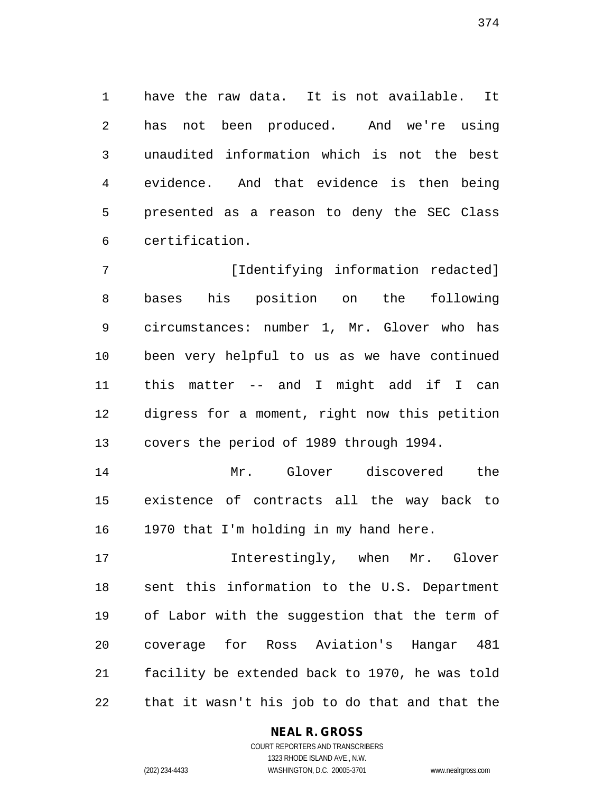1 have the raw data. It is not available. It 2 has not been produced. And we're using 3 unaudited information which is not the best 4 evidence. And that evidence is then being 5 presented as a reason to deny the SEC Class 6 certification.

7 [Identifying information redacted] 8 bases his position on the following 9 circumstances: number 1, Mr. Glover who has 10 been very helpful to us as we have continued 11 this matter -- and I might add if I can 12 digress for a moment, right now this petition 13 covers the period of 1989 through 1994.

14 Mr. Glover discovered the 15 existence of contracts all the way back to 16 1970 that I'm holding in my hand here.

17 Interestingly, when Mr. Glover 18 sent this information to the U.S. Department 19 of Labor with the suggestion that the term of 20 coverage for Ross Aviation's Hangar 481 21 facility be extended back to 1970, he was told 22 that it wasn't his job to do that and that the

#### **NEAL R. GROSS** COURT REPORTERS AND TRANSCRIBERS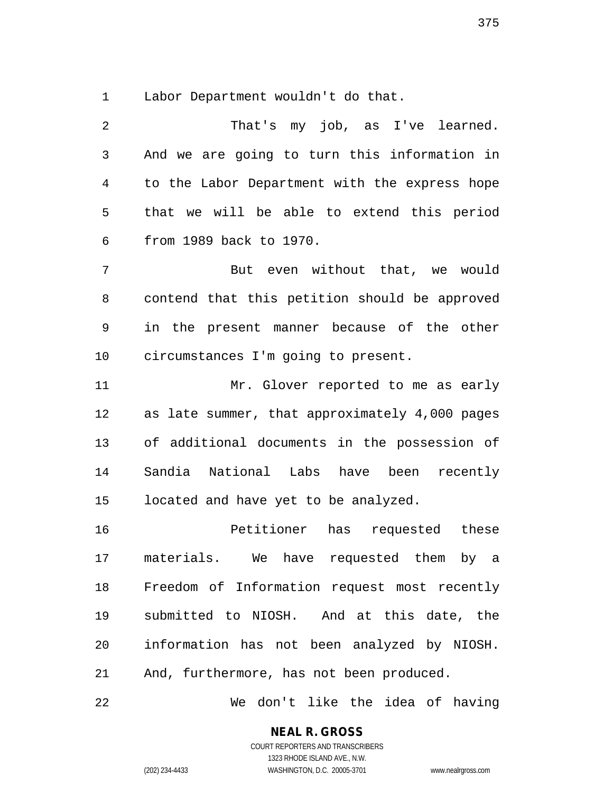1 Labor Department wouldn't do that.

| 2              | That's my job, as I've learned.                |
|----------------|------------------------------------------------|
| 3              | And we are going to turn this information in   |
| $\overline{4}$ | to the Labor Department with the express hope  |
| 5              | that we will be able to extend this period     |
| $\epsilon$     | from 1989 back to 1970.                        |
| 7              | But even without that, we would                |
| 8              | contend that this petition should be approved  |
| 9              | in the present manner because of the other     |
| 10             | circumstances I'm going to present.            |
| 11             | Mr. Glover reported to me as early             |
| 12             | as late summer, that approximately 4,000 pages |
| 13             | of additional documents in the possession of   |
| 14             | Sandia National Labs have been recently        |
| 15             | located and have yet to be analyzed.           |
| 16             | Petitioner<br>has requested these              |
| 17             | materials.<br>We have requested them by a      |
| 18             | Freedom of Information request most recently   |
| 19             | submitted to NIOSH. And at this date, the      |
| 20             | information has not been analyzed by NIOSH.    |
| 21             | And, furthermore, has not been produced.       |
| 22             | We don't like the idea of having               |

**NEAL R. GROSS** COURT REPORTERS AND TRANSCRIBERS

1323 RHODE ISLAND AVE., N.W.

(202) 234-4433 WASHINGTON, D.C. 20005-3701 www.nealrgross.com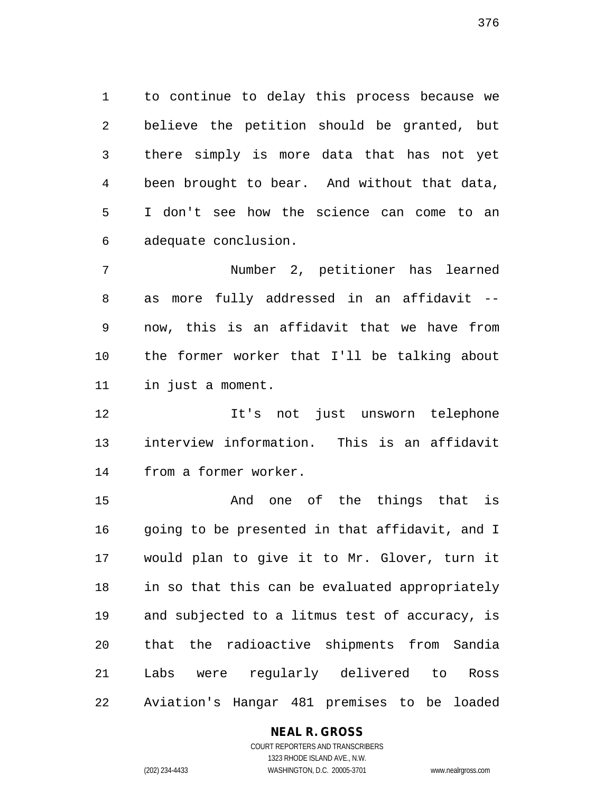1 to continue to delay this process because we 2 believe the petition should be granted, but 3 there simply is more data that has not yet 4 been brought to bear. And without that data, 5 I don't see how the science can come to an 6 adequate conclusion.

7 Number 2, petitioner has learned 8 as more fully addressed in an affidavit -- 9 now, this is an affidavit that we have from 10 the former worker that I'll be talking about 11 in just a moment.

12 It's not just unsworn telephone 13 interview information. This is an affidavit 14 from a former worker.

15 And one of the things that is 16 going to be presented in that affidavit, and I 17 would plan to give it to Mr. Glover, turn it 18 in so that this can be evaluated appropriately 19 and subjected to a litmus test of accuracy, is 20 that the radioactive shipments from Sandia 21 Labs were regularly delivered to Ross 22 Aviation's Hangar 481 premises to be loaded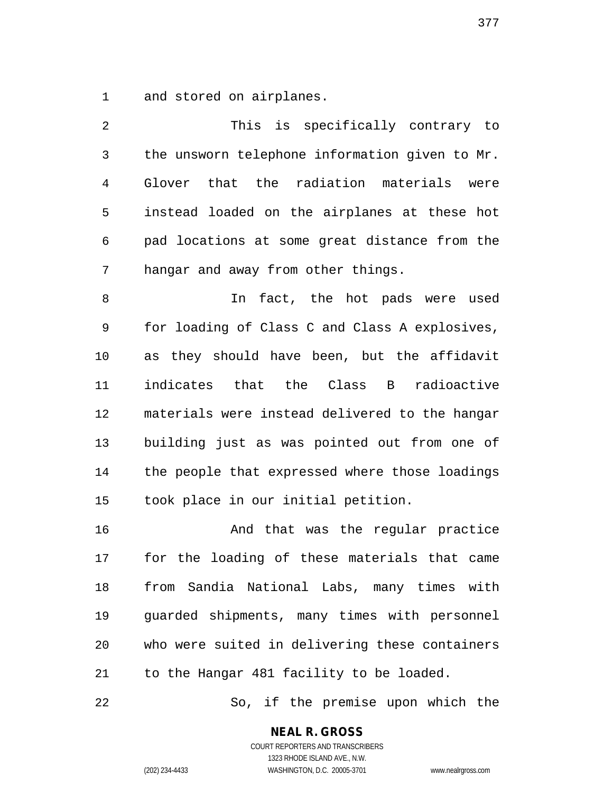1 and stored on airplanes.

2 This is specifically contrary to 3 the unsworn telephone information given to Mr. 4 Glover that the radiation materials were 5 instead loaded on the airplanes at these hot 6 pad locations at some great distance from the 7 hangar and away from other things. 8 10 In fact, the hot pads were used 9 for loading of Class C and Class A explosives, 10 as they should have been, but the affidavit 11 indicates that the Class B radioactive 12 materials were instead delivered to the hangar 13 building just as was pointed out from one of 14 the people that expressed where those loadings 15 took place in our initial petition. 16 And that was the regular practice

17 for the loading of these materials that came 18 from Sandia National Labs, many times with 19 guarded shipments, many times with personnel 20 who were suited in delivering these containers 21 to the Hangar 481 facility to be loaded.

22 So, if the premise upon which the

**NEAL R. GROSS** COURT REPORTERS AND TRANSCRIBERS

1323 RHODE ISLAND AVE., N.W. (202) 234-4433 WASHINGTON, D.C. 20005-3701 www.nealrgross.com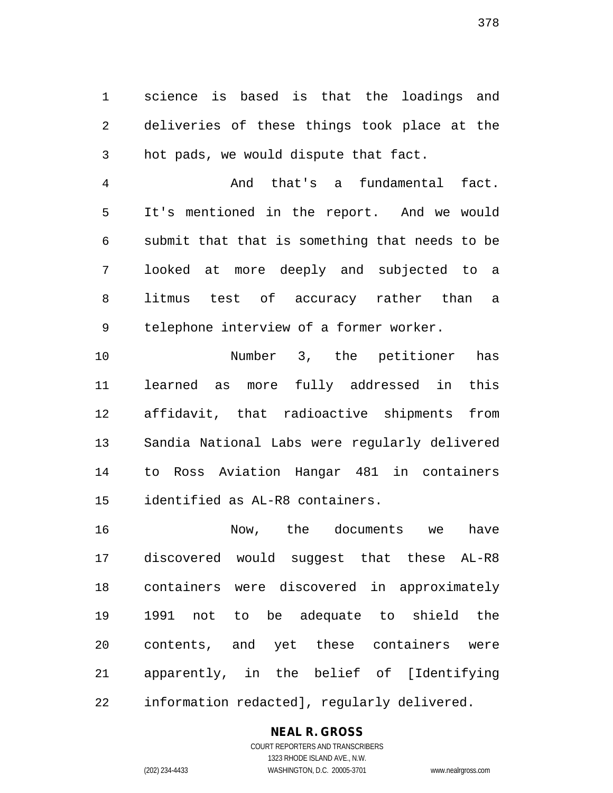1 science is based is that the loadings and 2 deliveries of these things took place at the 3 hot pads, we would dispute that fact.

4 And that's a fundamental fact. 5 It's mentioned in the report. And we would 6 submit that that is something that needs to be 7 looked at more deeply and subjected to a 8 litmus test of accuracy rather than a 9 telephone interview of a former worker.

10 Number 3, the petitioner has 11 learned as more fully addressed in this 12 affidavit, that radioactive shipments from 13 Sandia National Labs were regularly delivered 14 to Ross Aviation Hangar 481 in containers 15 identified as AL-R8 containers.

16 Now, the documents we have 17 discovered would suggest that these AL-R8 18 containers were discovered in approximately 19 1991 not to be adequate to shield the 20 contents, and yet these containers were 21 apparently, in the belief of [Identifying 22 information redacted], regularly delivered.

#### **NEAL R. GROSS**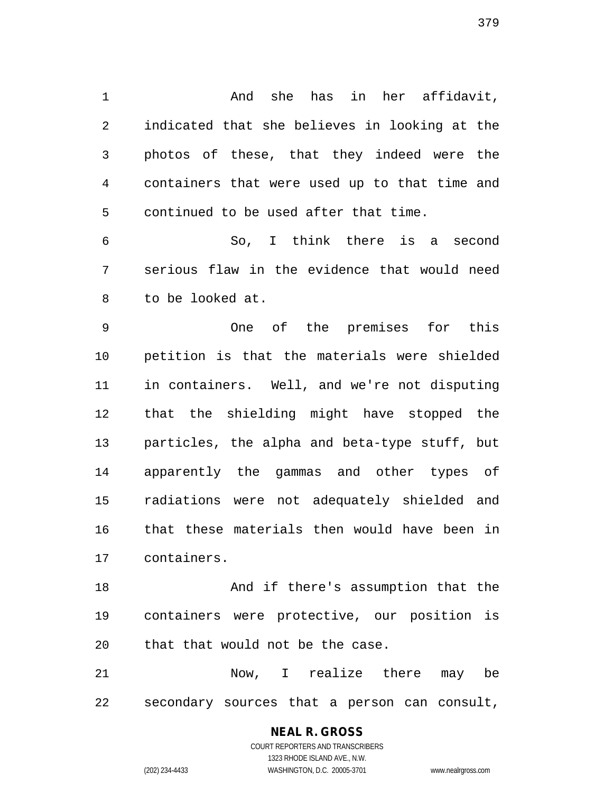1 And she has in her affidavit, 2 indicated that she believes in looking at the 3 photos of these, that they indeed were the 4 containers that were used up to that time and 5 continued to be used after that time.

6 So, I think there is a second 7 serious flaw in the evidence that would need 8 to be looked at.

9 One of the premises for this 10 petition is that the materials were shielded 11 in containers. Well, and we're not disputing 12 that the shielding might have stopped the 13 particles, the alpha and beta-type stuff, but 14 apparently the gammas and other types of 15 radiations were not adequately shielded and 16 that these materials then would have been in 17 containers.

18 And if there's assumption that the 19 containers were protective, our position is 20 that that would not be the case.

21 Now, I realize there may be 22 secondary sources that a person can consult,

> **NEAL R. GROSS** COURT REPORTERS AND TRANSCRIBERS

1323 RHODE ISLAND AVE., N.W. (202) 234-4433 WASHINGTON, D.C. 20005-3701 www.nealrgross.com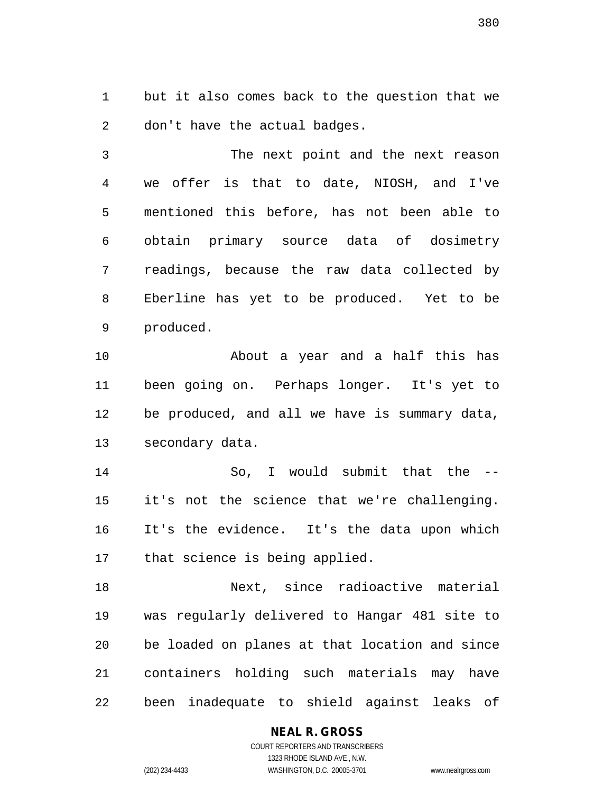1 but it also comes back to the question that we 2 don't have the actual badges.

3 The next point and the next reason 4 we offer is that to date, NIOSH, and I've 5 mentioned this before, has not been able to 6 obtain primary source data of dosimetry 7 readings, because the raw data collected by 8 Eberline has yet to be produced. Yet to be 9 produced.

10 About a year and a half this has 11 been going on. Perhaps longer. It's yet to 12 be produced, and all we have is summary data, 13 secondary data.

14 So, I would submit that the -- 15 it's not the science that we're challenging. 16 It's the evidence. It's the data upon which 17 that science is being applied.

18 Next, since radioactive material 19 was regularly delivered to Hangar 481 site to 20 be loaded on planes at that location and since 21 containers holding such materials may have 22 been inadequate to shield against leaks of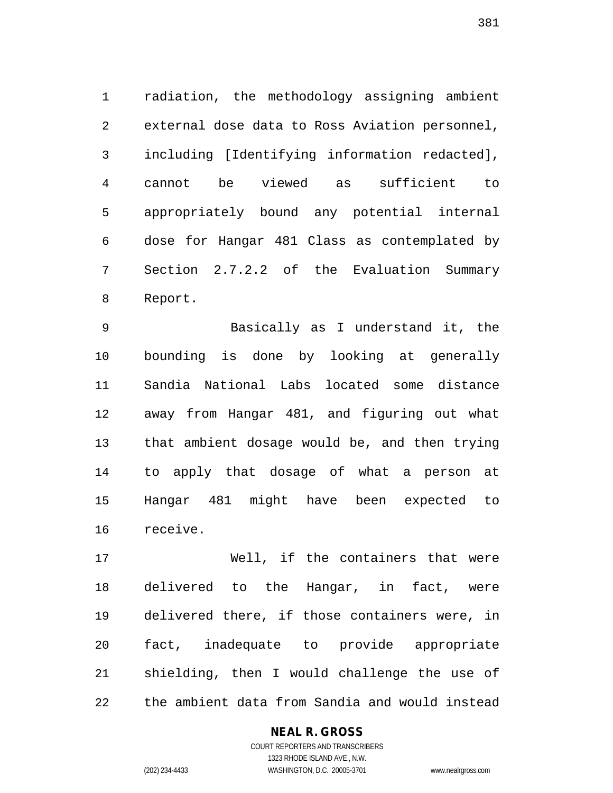1 radiation, the methodology assigning ambient 2 external dose data to Ross Aviation personnel, 3 including [Identifying information redacted], 4 cannot be viewed as sufficient to 5 appropriately bound any potential internal 6 dose for Hangar 481 Class as contemplated by 7 Section 2.7.2.2 of the Evaluation Summary 8 Report.

9 Basically as I understand it, the 10 bounding is done by looking at generally 11 Sandia National Labs located some distance 12 away from Hangar 481, and figuring out what 13 that ambient dosage would be, and then trying 14 to apply that dosage of what a person at 15 Hangar 481 might have been expected to 16 receive.

17 Well, if the containers that were 18 delivered to the Hangar, in fact, were 19 delivered there, if those containers were, in 20 fact, inadequate to provide appropriate 21 shielding, then I would challenge the use of 22 the ambient data from Sandia and would instead

#### **NEAL R. GROSS**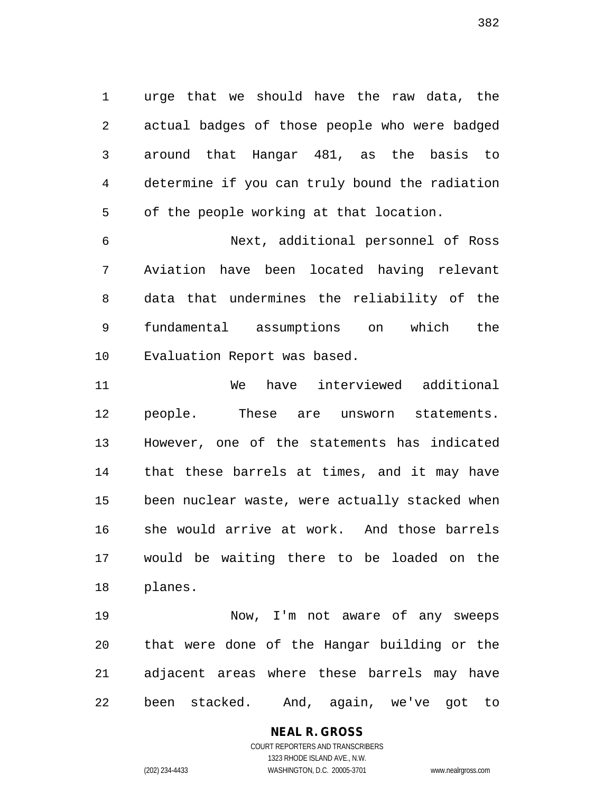1 urge that we should have the raw data, the 2 actual badges of those people who were badged 3 around that Hangar 481, as the basis to 4 determine if you can truly bound the radiation 5 of the people working at that location.

6 Next, additional personnel of Ross 7 Aviation have been located having relevant 8 data that undermines the reliability of the 9 fundamental assumptions on which the 10 Evaluation Report was based.

11 We have interviewed additional 12 people. These are unsworn statements. 13 However, one of the statements has indicated 14 that these barrels at times, and it may have 15 been nuclear waste, were actually stacked when 16 she would arrive at work. And those barrels 17 would be waiting there to be loaded on the 18 planes.

19 Now, I'm not aware of any sweeps 20 that were done of the Hangar building or the 21 adjacent areas where these barrels may have 22 been stacked. And, again, we've got to

**NEAL R. GROSS**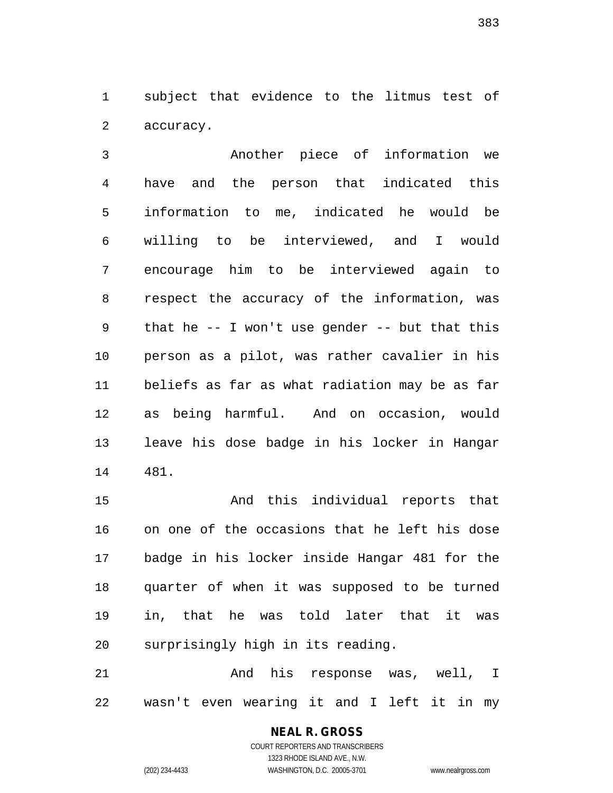1 subject that evidence to the litmus test of 2 accuracy.

3 Another piece of information we 4 have and the person that indicated this 5 information to me, indicated he would be 6 willing to be interviewed, and I would 7 encourage him to be interviewed again to 8 respect the accuracy of the information, was 9 that he -- I won't use gender -- but that this 10 person as a pilot, was rather cavalier in his 11 beliefs as far as what radiation may be as far 12 as being harmful. And on occasion, would 13 leave his dose badge in his locker in Hangar 14 481.

15 And this individual reports that 16 on one of the occasions that he left his dose 17 badge in his locker inside Hangar 481 for the 18 quarter of when it was supposed to be turned 19 in, that he was told later that it was 20 surprisingly high in its reading.

21 And his response was, well, I 22 wasn't even wearing it and I left it in my

# **NEAL R. GROSS**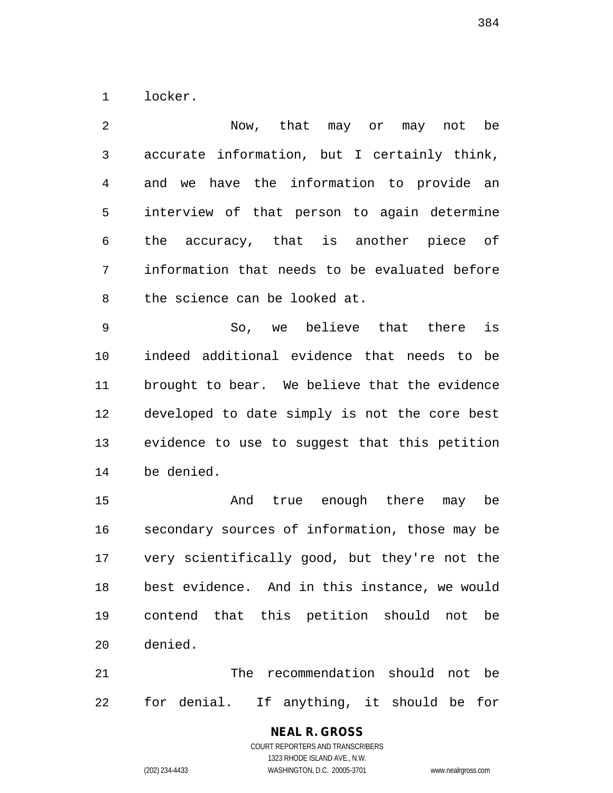1 locker.

2 Now, that may or may not be 3 accurate information, but I certainly think, 4 and we have the information to provide an 5 interview of that person to again determine 6 the accuracy, that is another piece of 7 information that needs to be evaluated before 8 the science can be looked at.

9 So, we believe that there is 10 indeed additional evidence that needs to be 11 brought to bear. We believe that the evidence 12 developed to date simply is not the core best 13 evidence to use to suggest that this petition 14 be denied.

15 And true enough there may be 16 secondary sources of information, those may be 17 very scientifically good, but they're not the 18 best evidence. And in this instance, we would 19 contend that this petition should not be 20 denied.

21 The recommendation should not be 22 for denial. If anything, it should be for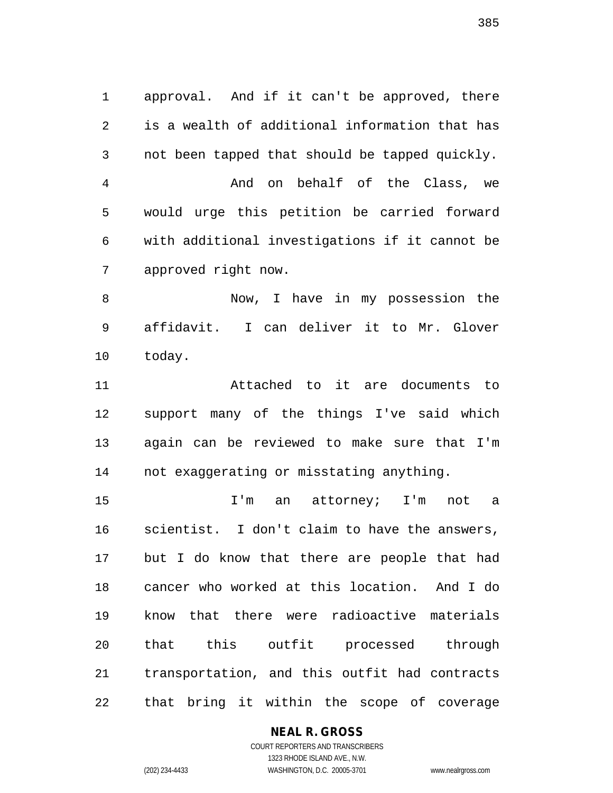1 approval. And if it can't be approved, there 2 is a wealth of additional information that has 3 not been tapped that should be tapped quickly. 4 And on behalf of the Class, we 5 would urge this petition be carried forward 6 with additional investigations if it cannot be 7 approved right now.

8 Now, I have in my possession the 9 affidavit. I can deliver it to Mr. Glover 10 today.

11 Attached to it are documents to 12 support many of the things I've said which 13 again can be reviewed to make sure that I'm 14 not exaggerating or misstating anything.

15 I'm an attorney; I'm not a 16 scientist. I don't claim to have the answers, 17 but I do know that there are people that had 18 cancer who worked at this location. And I do 19 know that there were radioactive materials 20 that this outfit processed through 21 transportation, and this outfit had contracts 22 that bring it within the scope of coverage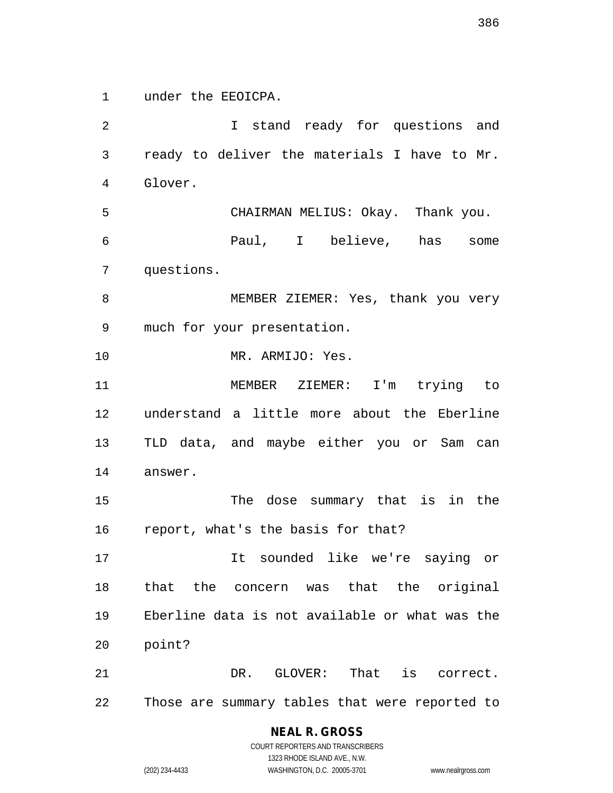1 under the EEOICPA.

2 I stand ready for questions and 3 ready to deliver the materials I have to Mr. 4 Glover. 5 CHAIRMAN MELIUS: Okay. Thank you. 6 Paul, I believe, has some 7 questions. 8 MEMBER ZIEMER: Yes, thank you very 9 much for your presentation. 10 MR. ARMIJO: Yes. 11 MEMBER ZIEMER: I'm trying to 12 understand a little more about the Eberline 13 TLD data, and maybe either you or Sam can 14 answer. 15 The dose summary that is in the 16 report, what's the basis for that? 17 It sounded like we're saying or 18 that the concern was that the original 19 Eberline data is not available or what was the 20 point? 21 DR. GLOVER: That is correct. 22 Those are summary tables that were reported to

# **NEAL R. GROSS**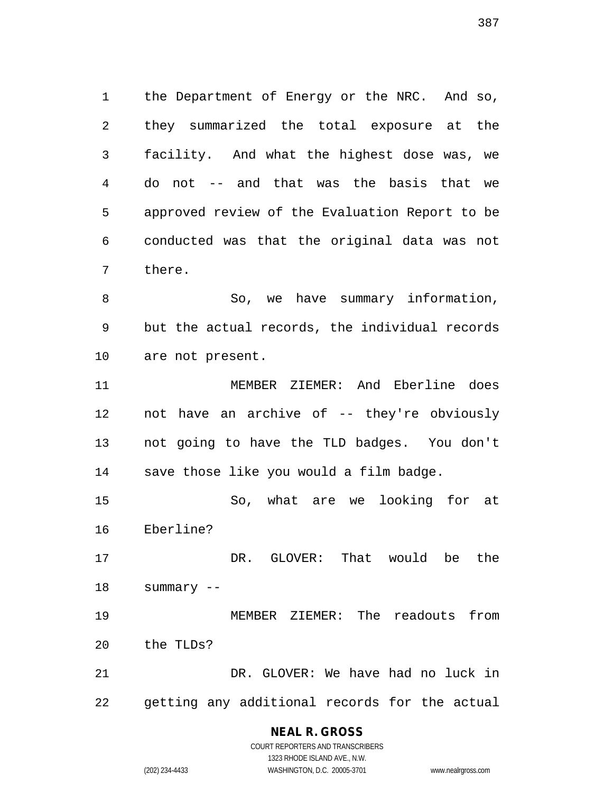1 the Department of Energy or the NRC. And so, 2 they summarized the total exposure at the 3 facility. And what the highest dose was, we 4 do not -- and that was the basis that we 5 approved review of the Evaluation Report to be 6 conducted was that the original data was not 7 there.

8 So, we have summary information, 9 but the actual records, the individual records 10 are not present.

11 MEMBER ZIEMER: And Eberline does 12 not have an archive of -- they're obviously 13 not going to have the TLD badges. You don't 14 save those like you would a film badge.

15 So, what are we looking for at 16 Eberline?

17 DR. GLOVER: That would be the 18 summary --

19 MEMBER ZIEMER: The readouts from 20 the TLDs?

21 DR. GLOVER: We have had no luck in 22 getting any additional records for the actual

# **NEAL R. GROSS**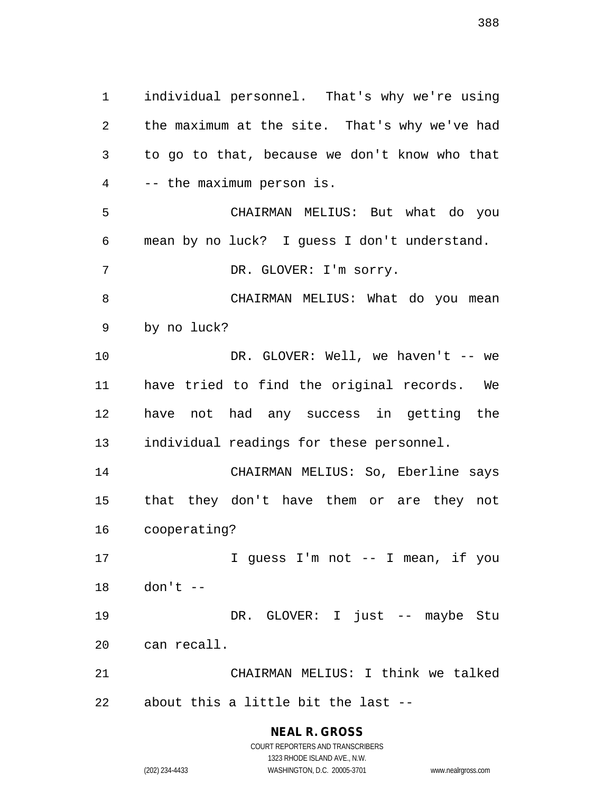1 individual personnel. That's why we're using 2 the maximum at the site. That's why we've had 3 to go to that, because we don't know who that 4 -- the maximum person is. 5 CHAIRMAN MELIUS: But what do you 6 mean by no luck? I guess I don't understand. 7 DR. GLOVER: I'm sorry. 8 CHAIRMAN MELIUS: What do you mean 9 by no luck? 10 DR. GLOVER: Well, we haven't -- we 11 have tried to find the original records. We 12 have not had any success in getting the 13 individual readings for these personnel. 14 CHAIRMAN MELIUS: So, Eberline says 15 that they don't have them or are they not 16 cooperating? 17 I guess I'm not -- I mean, if you 18 don't -- 19 DR. GLOVER: I just -- maybe Stu 20 can recall. 21 CHAIRMAN MELIUS: I think we talked 22 about this a little bit the last --

> **NEAL R. GROSS** COURT REPORTERS AND TRANSCRIBERS

> > 1323 RHODE ISLAND AVE., N.W.

(202) 234-4433 WASHINGTON, D.C. 20005-3701 www.nealrgross.com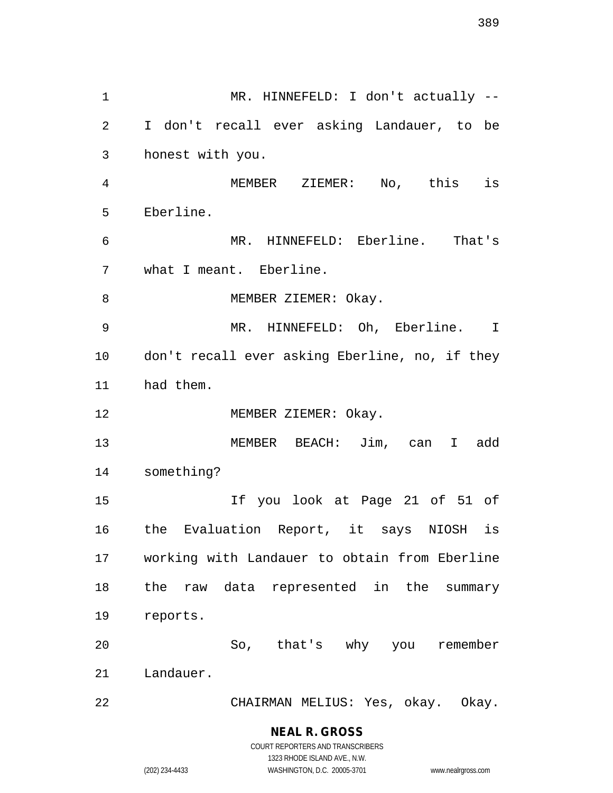1 MR. HINNEFELD: I don't actually --2 I don't recall ever asking Landauer, to be 3 honest with you. 4 MEMBER ZIEMER: No, this is 5 Eberline. 6 MR. HINNEFELD: Eberline. That's 7 what I meant. Eberline. 8 MEMBER ZIEMER: Okay. 9 MR. HINNEFELD: Oh, Eberline. I 10 don't recall ever asking Eberline, no, if they 11 had them. 12 MEMBER ZIEMER: Okay. 13 MEMBER BEACH: Jim, can I add 14 something? 15 If you look at Page 21 of 51 of 16 the Evaluation Report, it says NIOSH is 17 working with Landauer to obtain from Eberline 18 the raw data represented in the summary 19 reports. 20 So, that's why you remember 21 Landauer. 22 CHAIRMAN MELIUS: Yes, okay. Okay.

**NEAL R. GROSS**

COURT REPORTERS AND TRANSCRIBERS 1323 RHODE ISLAND AVE., N.W. (202) 234-4433 WASHINGTON, D.C. 20005-3701 www.nealrgross.com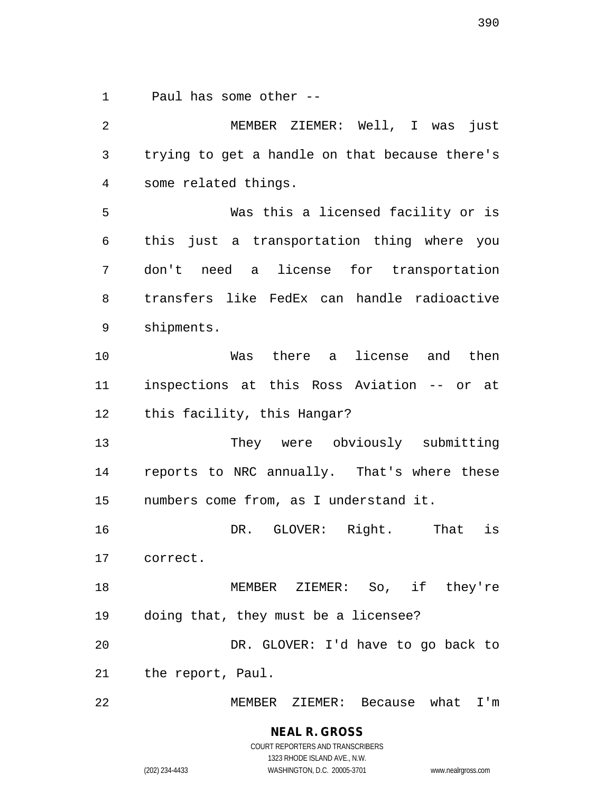1 Paul has some other --

2 MEMBER ZIEMER: Well, I was just 3 trying to get a handle on that because there's 4 some related things. 5 Was this a licensed facility or is 6 this just a transportation thing where you 7 don't need a license for transportation 8 transfers like FedEx can handle radioactive 9 shipments. 10 Was there a license and then 11 inspections at this Ross Aviation -- or at 12 this facility, this Hangar? 13 They were obviously submitting 14 reports to NRC annually. That's where these 15 numbers come from, as I understand it. 16 DR. GLOVER: Right. That is 17 correct. 18 MEMBER ZIEMER: So, if they're 19 doing that, they must be a licensee? 20 DR. GLOVER: I'd have to go back to 21 the report, Paul. 22 MEMBER ZIEMER: Because what I'm

> **NEAL R. GROSS** COURT REPORTERS AND TRANSCRIBERS 1323 RHODE ISLAND AVE., N.W. (202) 234-4433 WASHINGTON, D.C. 20005-3701 www.nealrgross.com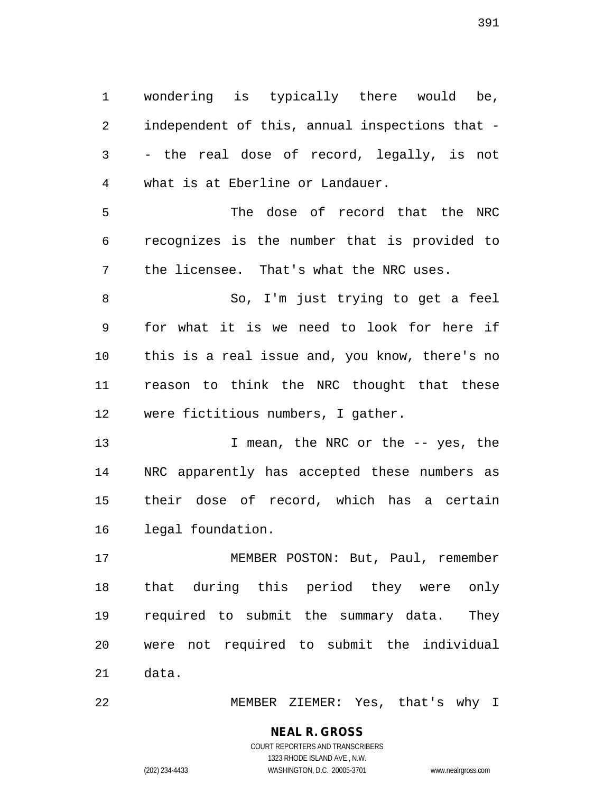1 wondering is typically there would be, 2 independent of this, annual inspections that - 3 - the real dose of record, legally, is not 4 what is at Eberline or Landauer.

5 The dose of record that the NRC 6 recognizes is the number that is provided to 7 the licensee. That's what the NRC uses.

8 So, I'm just trying to get a feel 9 for what it is we need to look for here if 10 this is a real issue and, you know, there's no 11 reason to think the NRC thought that these 12 were fictitious numbers, I gather.

13 I mean, the NRC or the -- yes, the 14 NRC apparently has accepted these numbers as 15 their dose of record, which has a certain 16 legal foundation.

17 MEMBER POSTON: But, Paul, remember 18 that during this period they were only 19 required to submit the summary data. They 20 were not required to submit the individual 21 data.

22 MEMBER ZIEMER: Yes, that's why I

#### **NEAL R. GROSS** COURT REPORTERS AND TRANSCRIBERS

1323 RHODE ISLAND AVE., N.W. (202) 234-4433 WASHINGTON, D.C. 20005-3701 www.nealrgross.com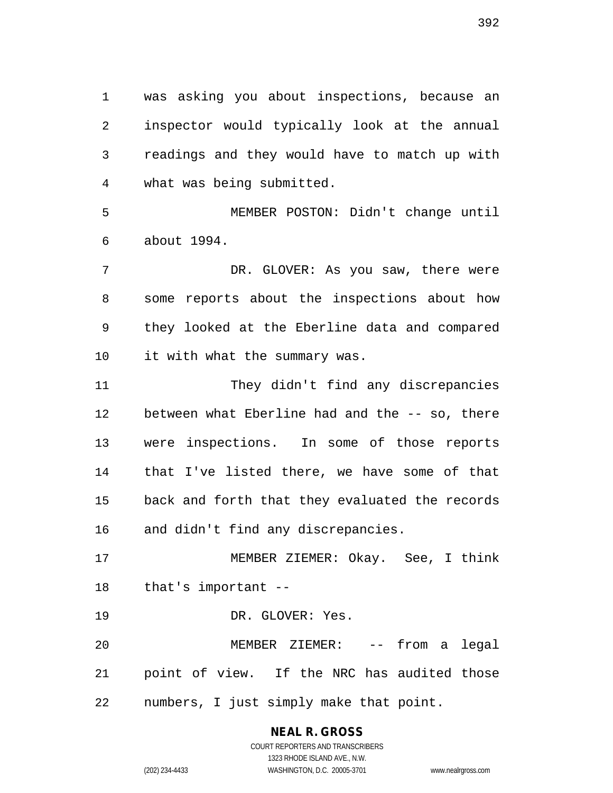1 was asking you about inspections, because an 2 inspector would typically look at the annual 3 readings and they would have to match up with 4 what was being submitted.

5 MEMBER POSTON: Didn't change until 6 about 1994.

7 DR. GLOVER: As you saw, there were 8 some reports about the inspections about how 9 they looked at the Eberline data and compared 10 it with what the summary was.

11 They didn't find any discrepancies 12 between what Eberline had and the -- so, there 13 were inspections. In some of those reports 14 that I've listed there, we have some of that 15 back and forth that they evaluated the records 16 and didn't find any discrepancies.

17 MEMBER ZIEMER: Okay. See, I think 18 that's important --

19 DR. GLOVER: Yes.

20 MEMBER ZIEMER: -- from a legal 21 point of view. If the NRC has audited those 22 numbers, I just simply make that point.

# **NEAL R. GROSS** COURT REPORTERS AND TRANSCRIBERS 1323 RHODE ISLAND AVE., N.W.

(202) 234-4433 WASHINGTON, D.C. 20005-3701 www.nealrgross.com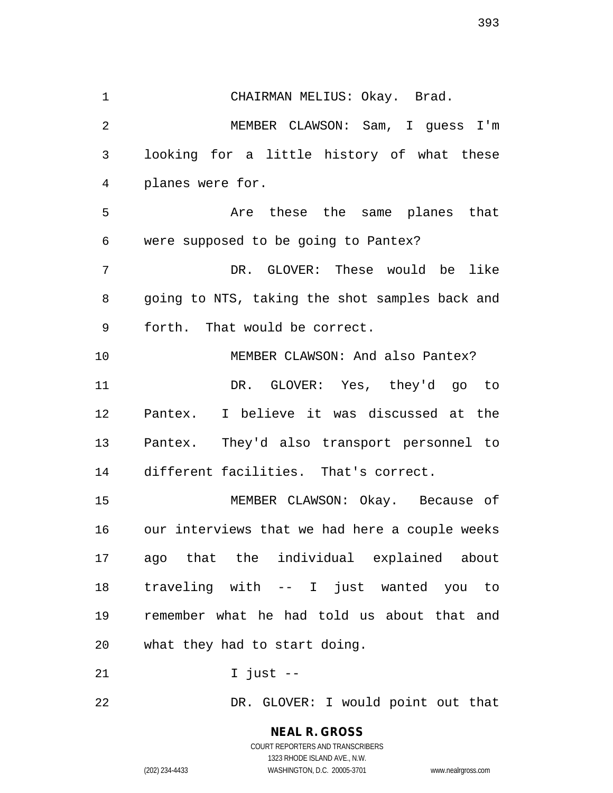393

1 CHAIRMAN MELIUS: Okay. Brad. 2 MEMBER CLAWSON: Sam, I guess I'm 3 looking for a little history of what these 4 planes were for. 5 Are these the same planes that 6 were supposed to be going to Pantex? 7 DR. GLOVER: These would be like 8 going to NTS, taking the shot samples back and 9 forth. That would be correct. 10 MEMBER CLAWSON: And also Pantex? 11 DR. GLOVER: Yes, they'd go to 12 Pantex. I believe it was discussed at the 13 Pantex. They'd also transport personnel to 14 different facilities. That's correct. 15 MEMBER CLAWSON: Okay. Because of 16 our interviews that we had here a couple weeks 17 ago that the individual explained about 18 traveling with -- I just wanted you to 19 remember what he had told us about that and 20 what they had to start doing. 21 I just --

22 DR. GLOVER: I would point out that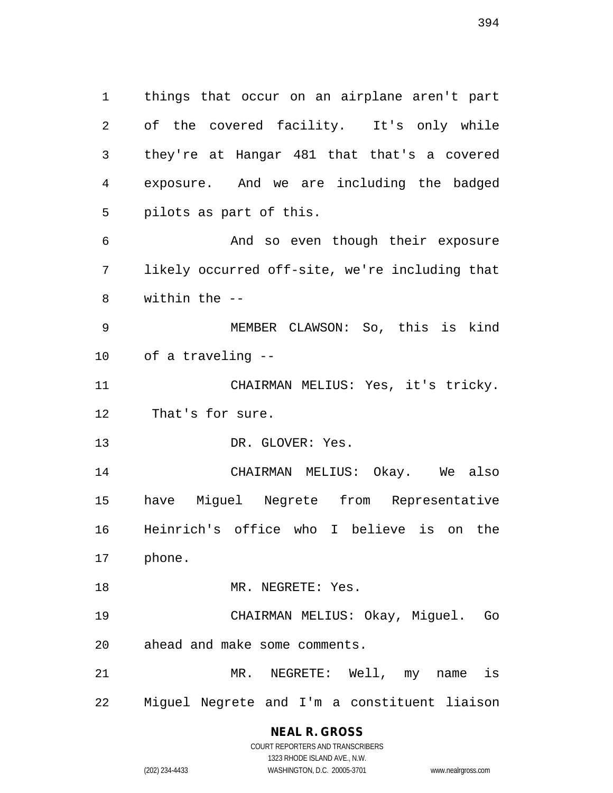1 things that occur on an airplane aren't part 2 of the covered facility. It's only while 3 they're at Hangar 481 that that's a covered 4 exposure. And we are including the badged 5 pilots as part of this. 6 And so even though their exposure 7 likely occurred off-site, we're including that 8 within the -- 9 MEMBER CLAWSON: So, this is kind 10 of a traveling -- 11 CHAIRMAN MELIUS: Yes, it's tricky. 12 That's for sure. 13 DR. GLOVER: Yes. 14 CHAIRMAN MELIUS: Okay. We also 15 have Miguel Negrete from Representative 16 Heinrich's office who I believe is on the 17 phone. 18 MR. NEGRETE: Yes. 19 CHAIRMAN MELIUS: Okay, Miguel. Go

20 ahead and make some comments. 21 MR. NEGRETE: Well, my name is 22 Miguel Negrete and I'm a constituent liaison

#### **NEAL R. GROSS** COURT REPORTERS AND TRANSCRIBERS

1323 RHODE ISLAND AVE., N.W.

(202) 234-4433 WASHINGTON, D.C. 20005-3701 www.nealrgross.com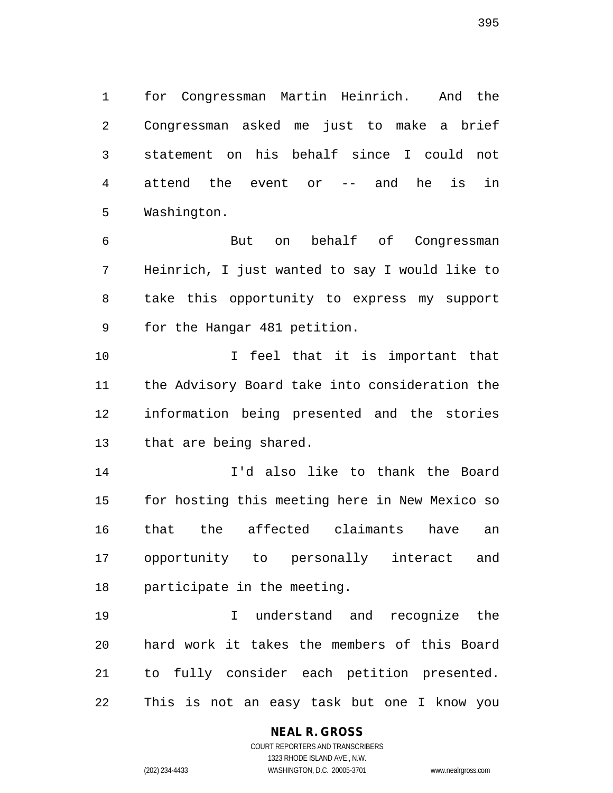1 for Congressman Martin Heinrich. And the 2 Congressman asked me just to make a brief 3 statement on his behalf since I could not 4 attend the event or -- and he is in 5 Washington.

6 But on behalf of Congressman 7 Heinrich, I just wanted to say I would like to 8 take this opportunity to express my support 9 for the Hangar 481 petition.

10 I feel that it is important that 11 the Advisory Board take into consideration the 12 information being presented and the stories 13 that are being shared.

14 I'd also like to thank the Board 15 for hosting this meeting here in New Mexico so 16 that the affected claimants have an 17 opportunity to personally interact and 18 participate in the meeting.

19 I understand and recognize the 20 hard work it takes the members of this Board 21 to fully consider each petition presented. 22 This is not an easy task but one I know you

#### **NEAL R. GROSS**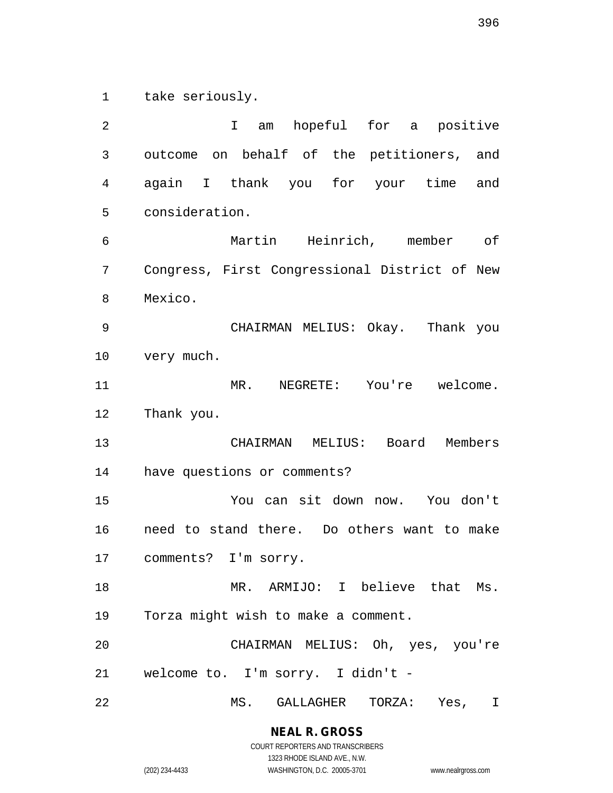1 take seriously.

2 I am hopeful for a positive 3 outcome on behalf of the petitioners, and 4 again I thank you for your time and 5 consideration. 6 Martin Heinrich, member of 7 Congress, First Congressional District of New 8 Mexico. 9 CHAIRMAN MELIUS: Okay. Thank you 10 very much. 11 MR. NEGRETE: You're welcome. 12 Thank you. 13 CHAIRMAN MELIUS: Board Members 14 have questions or comments? 15 You can sit down now. You don't 16 need to stand there. Do others want to make 17 comments? I'm sorry. 18 MR. ARMIJO: I believe that Ms. 19 Torza might wish to make a comment. 20 CHAIRMAN MELIUS: Oh, yes, you're 21 welcome to. I'm sorry. I didn't - 22 MS. GALLAGHER TORZA: Yes, I

1323 RHODE ISLAND AVE., N.W. (202) 234-4433 WASHINGTON, D.C. 20005-3701 www.nealrgross.com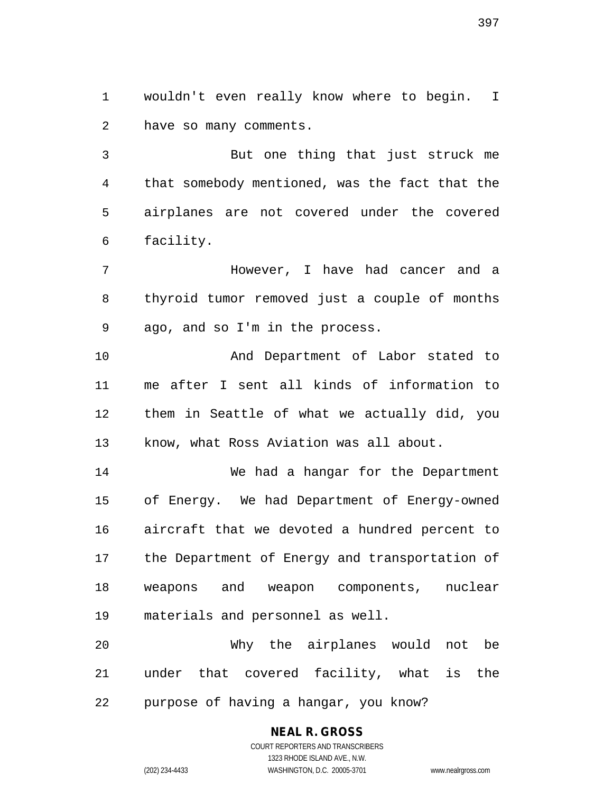1 wouldn't even really know where to begin. I 2 have so many comments.

3 But one thing that just struck me 4 that somebody mentioned, was the fact that the 5 airplanes are not covered under the covered 6 facility.

7 However, I have had cancer and a 8 thyroid tumor removed just a couple of months 9 ago, and so I'm in the process.

10 And Department of Labor stated to 11 me after I sent all kinds of information to 12 them in Seattle of what we actually did, you 13 know, what Ross Aviation was all about.

14 We had a hangar for the Department 15 of Energy. We had Department of Energy-owned 16 aircraft that we devoted a hundred percent to 17 the Department of Energy and transportation of 18 weapons and weapon components, nuclear 19 materials and personnel as well.

20 Why the airplanes would not be 21 under that covered facility, what is the 22 purpose of having a hangar, you know?

# **NEAL R. GROSS**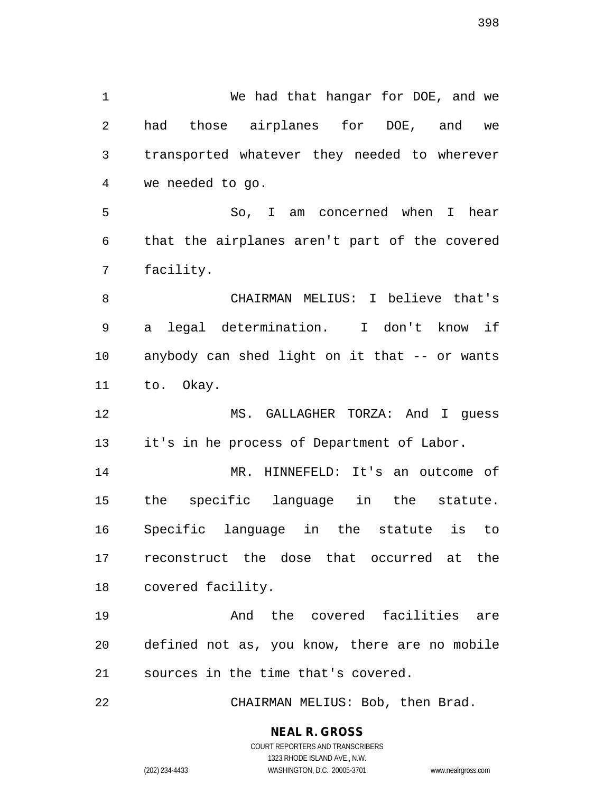1 We had that hangar for DOE, and we 2 had those airplanes for DOE, and we 3 transported whatever they needed to wherever 4 we needed to go. 5 So, I am concerned when I hear 6 that the airplanes aren't part of the covered 7 facility. 8 CHAIRMAN MELIUS: I believe that's 9 a legal determination. I don't know if 10 anybody can shed light on it that -- or wants 11 to. Okay. 12 MS. GALLAGHER TORZA: And I guess 13 it's in he process of Department of Labor. 14 MR. HINNEFELD: It's an outcome of 15 the specific language in the statute. 16 Specific language in the statute is to 17 reconstruct the dose that occurred at the 18 covered facility. 19 And the covered facilities are 20 defined not as, you know, there are no mobile 21 sources in the time that's covered. 22 CHAIRMAN MELIUS: Bob, then Brad.

**NEAL R. GROSS**

COURT REPORTERS AND TRANSCRIBERS 1323 RHODE ISLAND AVE., N.W. (202) 234-4433 WASHINGTON, D.C. 20005-3701 www.nealrgross.com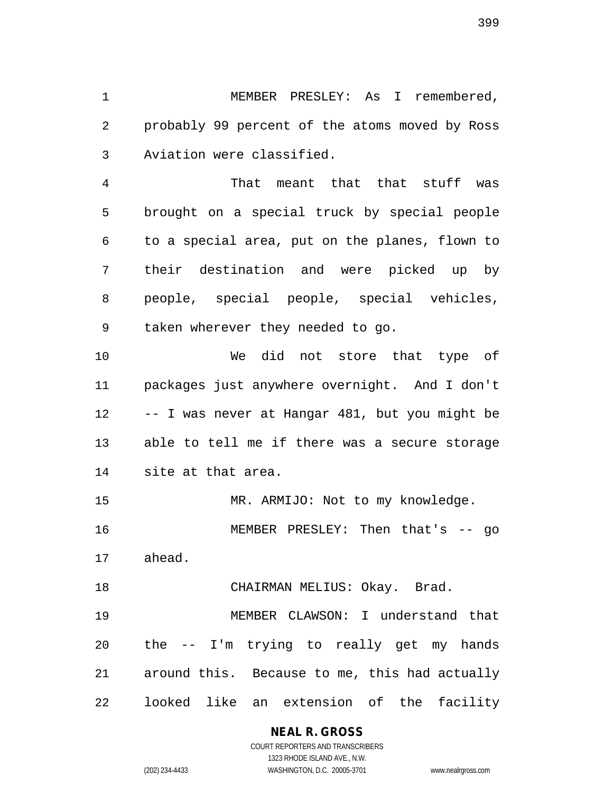1 MEMBER PRESLEY: As I remembered, 2 probably 99 percent of the atoms moved by Ross 3 Aviation were classified.

4 That meant that that stuff was 5 brought on a special truck by special people 6 to a special area, put on the planes, flown to 7 their destination and were picked up by 8 people, special people, special vehicles, 9 taken wherever they needed to go.

10 We did not store that type of 11 packages just anywhere overnight. And I don't 12 -- I was never at Hangar 481, but you might be 13 able to tell me if there was a secure storage 14 site at that area.

15 MR. ARMIJO: Not to my knowledge. 16 MEMBER PRESLEY: Then that's -- go 17 ahead.

18 CHAIRMAN MELIUS: Okay. Brad.

19 MEMBER CLAWSON: I understand that 20 the -- I'm trying to really get my hands 21 around this. Because to me, this had actually 22 looked like an extension of the facility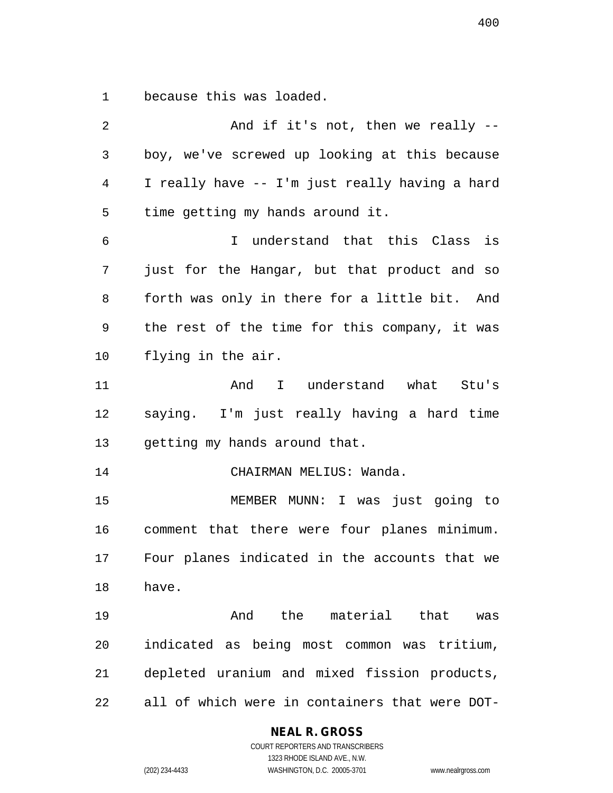1 because this was loaded.

| 2            | And if it's not, then we really --             |
|--------------|------------------------------------------------|
| $\mathbf{3}$ | boy, we've screwed up looking at this because  |
| 4            | I really have -- I'm just really having a hard |
| 5            | time getting my hands around it.               |
| 6            | I understand that this Class is                |
| 7            | just for the Hangar, but that product and so   |
| 8            | forth was only in there for a little bit. And  |
| 9            | the rest of the time for this company, it was  |
| 10           | flying in the air.                             |
| 11           | And I understand what Stu's                    |
| 12           | saying. I'm just really having a hard time     |
| 13           | getting my hands around that.                  |
| 14           | CHAIRMAN MELIUS: Wanda.                        |
| 15           | MEMBER MUNN: I was just going to               |
| 16           | comment that there were four planes minimum.   |
| 17           | Four planes indicated in the accounts that we  |
| 18           | have.                                          |
| 19           | And the material that was                      |
| 20           | indicated as being most common was tritium,    |
| 21           | depleted uranium and mixed fission products,   |
| 22           | all of which were in containers that were DOT- |

## **NEAL R. GROSS**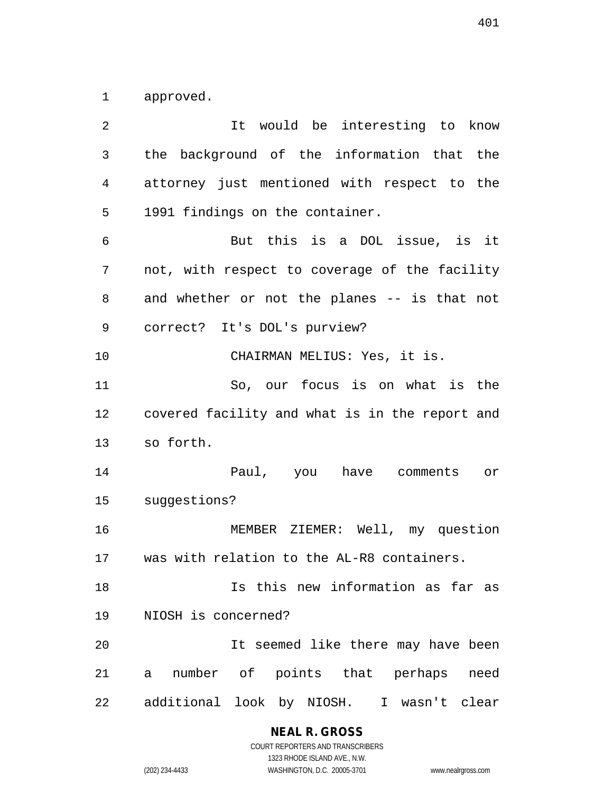1 approved.

2 It would be interesting to know 3 the background of the information that the 4 attorney just mentioned with respect to the 5 1991 findings on the container. 6 But this is a DOL issue, is it 7 not, with respect to coverage of the facility 8 and whether or not the planes -- is that not 9 correct? It's DOL's purview? 10 CHAIRMAN MELIUS: Yes, it is. 11 So, our focus is on what is the 12 covered facility and what is in the report and 13 so forth. 14 Paul, you have comments or 15 suggestions? 16 MEMBER ZIEMER: Well, my question 17 was with relation to the AL-R8 containers. 18 Is this new information as far as 19 NIOSH is concerned? 20 It seemed like there may have been 21 a number of points that perhaps need 22 additional look by NIOSH. I wasn't clear

> **NEAL R. GROSS** COURT REPORTERS AND TRANSCRIBERS

1323 RHODE ISLAND AVE., N.W. (202) 234-4433 WASHINGTON, D.C. 20005-3701 www.nealrgross.com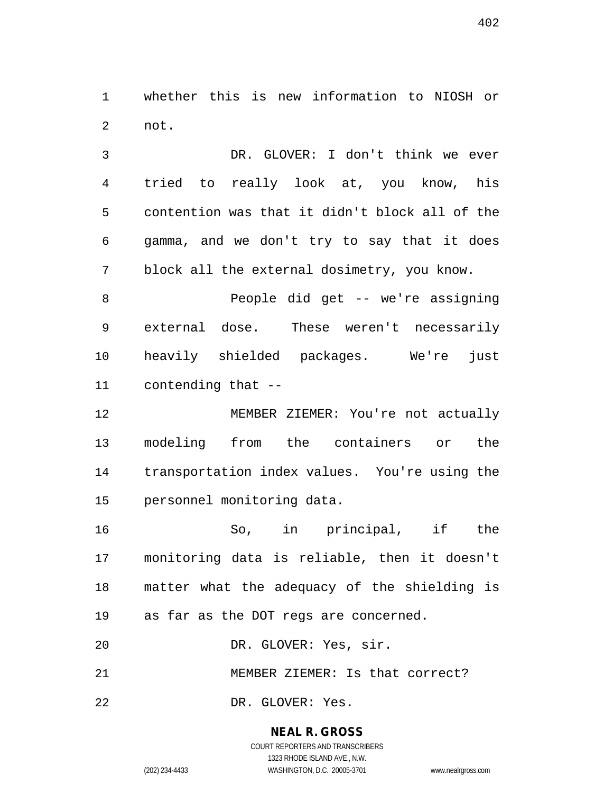1 whether this is new information to NIOSH or 2 not.

3 DR. GLOVER: I don't think we ever 4 tried to really look at, you know, his 5 contention was that it didn't block all of the 6 gamma, and we don't try to say that it does 7 block all the external dosimetry, you know.

8 People did get -- we're assigning 9 external dose. These weren't necessarily 10 heavily shielded packages. We're just 11 contending that --

12 MEMBER ZIEMER: You're not actually 13 modeling from the containers or the 14 transportation index values. You're using the 15 personnel monitoring data.

16 So, in principal, if the 17 monitoring data is reliable, then it doesn't 18 matter what the adequacy of the shielding is 19 as far as the DOT regs are concerned.

20 DR. GLOVER: Yes, sir.

21 MEMBER ZIEMER: Is that correct?

22 DR. GLOVER: Yes.

**NEAL R. GROSS** COURT REPORTERS AND TRANSCRIBERS

1323 RHODE ISLAND AVE., N.W. (202) 234-4433 WASHINGTON, D.C. 20005-3701 www.nealrgross.com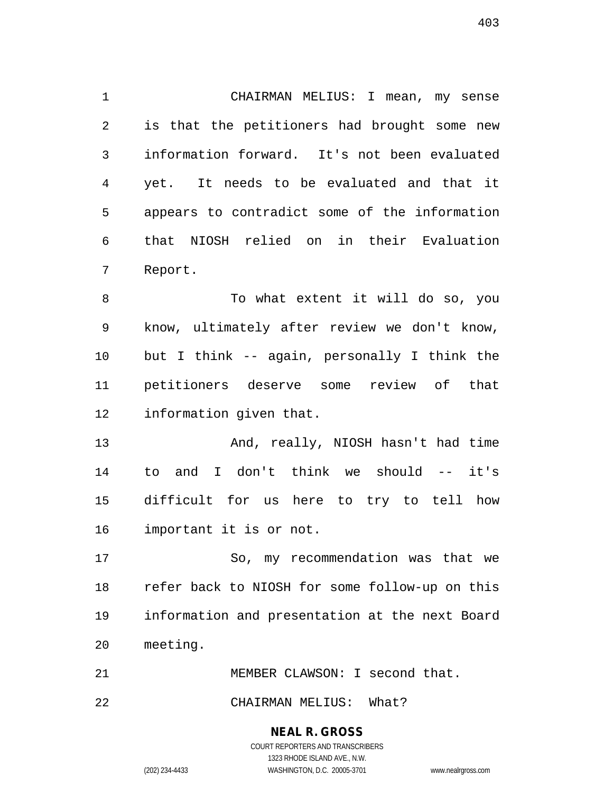1 CHAIRMAN MELIUS: I mean, my sense 2 is that the petitioners had brought some new 3 information forward. It's not been evaluated 4 yet. It needs to be evaluated and that it 5 appears to contradict some of the information 6 that NIOSH relied on in their Evaluation 7 Report.

8 To what extent it will do so, you 9 know, ultimately after review we don't know, 10 but I think -- again, personally I think the 11 petitioners deserve some review of that 12 information given that.

13 And, really, NIOSH hasn't had time 14 to and I don't think we should -- it's 15 difficult for us here to try to tell how 16 important it is or not.

17 So, my recommendation was that we 18 refer back to NIOSH for some follow-up on this 19 information and presentation at the next Board 20 meeting.

21 MEMBER CLAWSON: I second that.

22 CHAIRMAN MELIUS: What?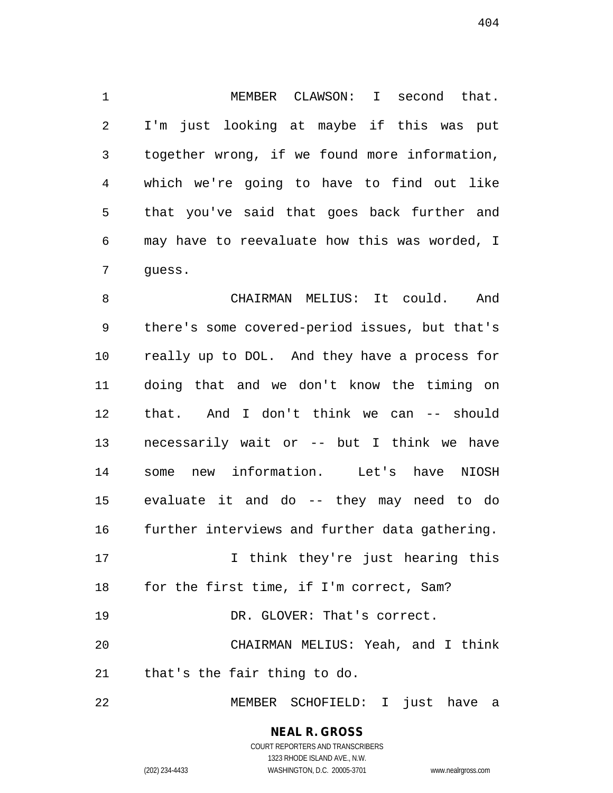1 MEMBER CLAWSON: I second that. 2 I'm just looking at maybe if this was put 3 together wrong, if we found more information, 4 which we're going to have to find out like 5 that you've said that goes back further and 6 may have to reevaluate how this was worded, I 7 guess.

8 CHAIRMAN MELIUS: It could. And 9 there's some covered-period issues, but that's 10 really up to DOL. And they have a process for 11 doing that and we don't know the timing on 12 that. And I don't think we can -- should 13 necessarily wait or -- but I think we have 14 some new information. Let's have NIOSH 15 evaluate it and do -- they may need to do 16 further interviews and further data gathering. 17 I think they're just hearing this 18 for the first time, if I'm correct, Sam?

20 CHAIRMAN MELIUS: Yeah, and I think 21 that's the fair thing to do.

19 DR. GLOVER: That's correct.

22 MEMBER SCHOFIELD: I just have a

**NEAL R. GROSS** COURT REPORTERS AND TRANSCRIBERS

1323 RHODE ISLAND AVE., N.W.

(202) 234-4433 WASHINGTON, D.C. 20005-3701 www.nealrgross.com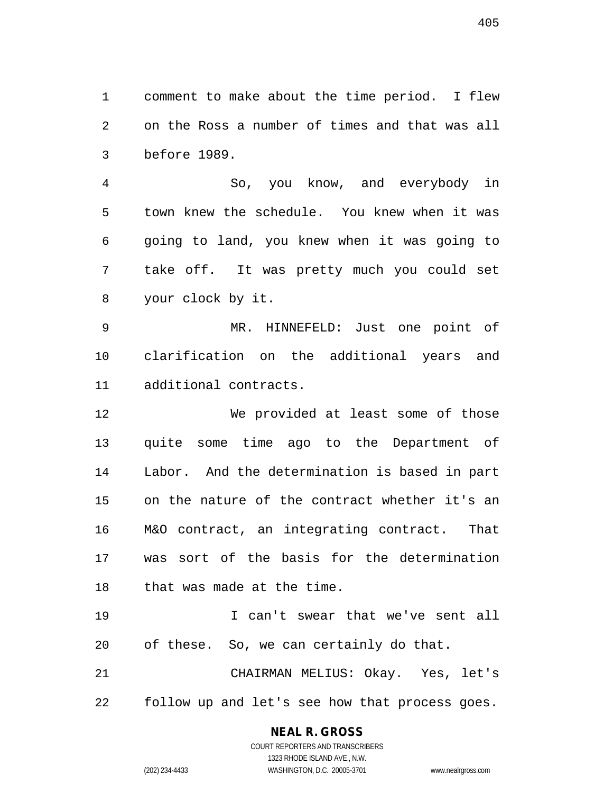1 comment to make about the time period. I flew 2 on the Ross a number of times and that was all 3 before 1989.

4 So, you know, and everybody in 5 town knew the schedule. You knew when it was 6 going to land, you knew when it was going to 7 take off. It was pretty much you could set 8 your clock by it.

9 MR. HINNEFELD: Just one point of 10 clarification on the additional years and 11 additional contracts.

12 We provided at least some of those 13 quite some time ago to the Department of 14 Labor. And the determination is based in part 15 on the nature of the contract whether it's an 16 M&O contract, an integrating contract. That 17 was sort of the basis for the determination 18 that was made at the time.

19 I can't swear that we've sent all 20 of these. So, we can certainly do that. 21 CHAIRMAN MELIUS: Okay. Yes, let's

22 follow up and let's see how that process goes.

**NEAL R. GROSS**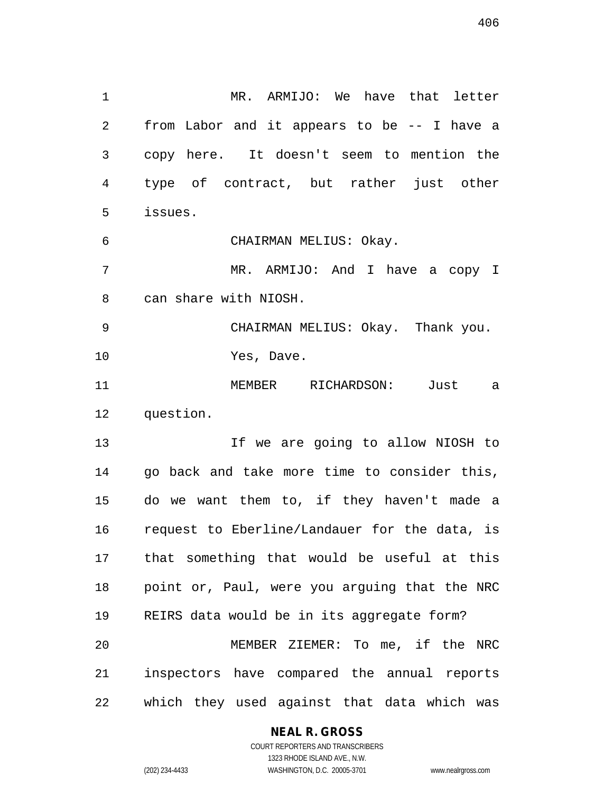1 MR. ARMIJO: We have that letter 2 from Labor and it appears to be -- I have a 3 copy here. It doesn't seem to mention the 4 type of contract, but rather just other 5 issues. 6 CHAIRMAN MELIUS: Okay. 7 MR. ARMIJO: And I have a copy I 8 can share with NIOSH. 9 CHAIRMAN MELIUS: Okay. Thank you. 10 Yes, Dave. 11 MEMBER RICHARDSON: Just a 12 question. 13 13 If we are going to allow NIOSH to 14 go back and take more time to consider this, 15 do we want them to, if they haven't made a 16 request to Eberline/Landauer for the data, is 17 that something that would be useful at this 18 point or, Paul, were you arguing that the NRC 19 REIRS data would be in its aggregate form? 20 MEMBER ZIEMER: To me, if the NRC 21 inspectors have compared the annual reports 22 which they used against that data which was

## **NEAL R. GROSS**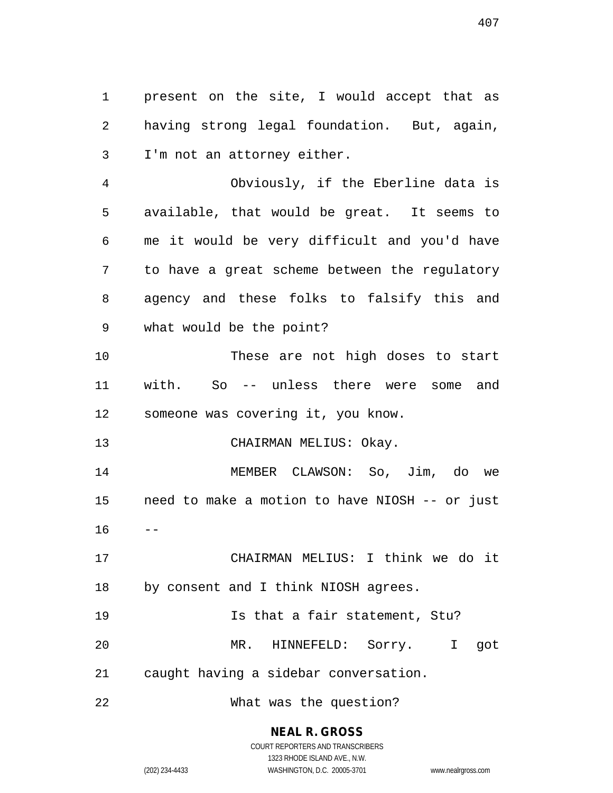1 present on the site, I would accept that as 2 having strong legal foundation. But, again, 3 I'm not an attorney either.

4 Obviously, if the Eberline data is 5 available, that would be great. It seems to 6 me it would be very difficult and you'd have 7 to have a great scheme between the regulatory 8 agency and these folks to falsify this and 9 what would be the point?

10 These are not high doses to start 11 with. So -- unless there were some and 12 someone was covering it, you know.

13 CHAIRMAN MELIUS: Okay.

14 MEMBER CLAWSON: So, Jim, do we 15 need to make a motion to have NIOSH -- or just  $16 - -$ 

17 CHAIRMAN MELIUS: I think we do it 18 by consent and I think NIOSH agrees.

19 Is that a fair statement, Stu?

20 MR. HINNEFELD: Sorry. I got

21 caught having a sidebar conversation.

22 What was the question?

**NEAL R. GROSS** COURT REPORTERS AND TRANSCRIBERS

1323 RHODE ISLAND AVE., N.W. (202) 234-4433 WASHINGTON, D.C. 20005-3701 www.nealrgross.com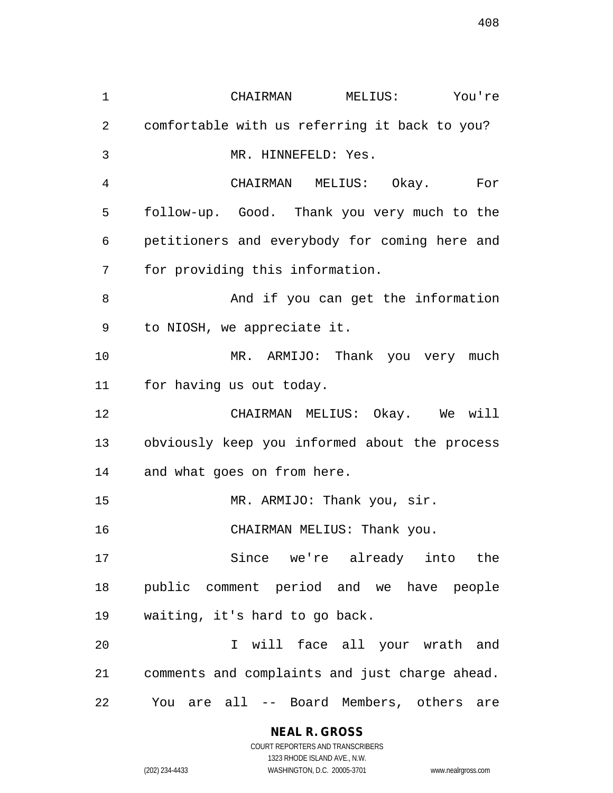1 CHAIRMAN MELIUS: You're 2 comfortable with us referring it back to you? 3 MR. HINNEFELD: Yes. 4 CHAIRMAN MELIUS: Okay. For 5 follow-up. Good. Thank you very much to the 6 petitioners and everybody for coming here and 7 for providing this information. 8 And if you can get the information 9 to NIOSH, we appreciate it. 10 MR. ARMIJO: Thank you very much 11 for having us out today. 12 CHAIRMAN MELIUS: Okay. We will 13 obviously keep you informed about the process 14 and what goes on from here. 15 MR. ARMIJO: Thank you, sir. 16 CHAIRMAN MELIUS: Thank you. 17 Since we're already into the 18 public comment period and we have people 19 waiting, it's hard to go back. 20 I will face all your wrath and 21 comments and complaints and just charge ahead. 22 You are all -- Board Members, others are

> **NEAL R. GROSS** COURT REPORTERS AND TRANSCRIBERS 1323 RHODE ISLAND AVE., N.W.

(202) 234-4433 WASHINGTON, D.C. 20005-3701 www.nealrgross.com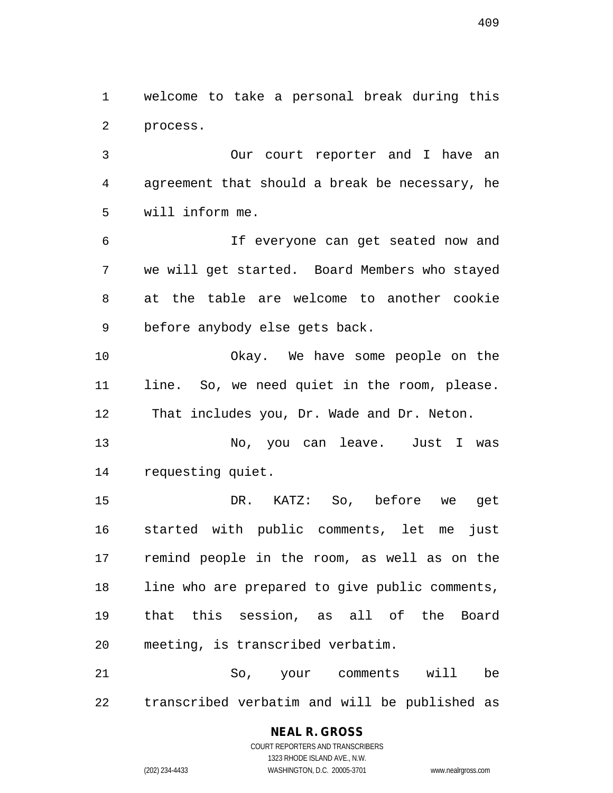1 welcome to take a personal break during this 2 process.

3 Our court reporter and I have an 4 agreement that should a break be necessary, he 5 will inform me.

6 If everyone can get seated now and 7 we will get started. Board Members who stayed 8 at the table are welcome to another cookie 9 before anybody else gets back.

10 Okay. We have some people on the 11 line. So, we need quiet in the room, please. 12 That includes you, Dr. Wade and Dr. Neton.

13 No, you can leave. Just I was 14 requesting quiet.

15 DR. KATZ: So, before we get 16 started with public comments, let me just 17 remind people in the room, as well as on the 18 line who are prepared to give public comments, 19 that this session, as all of the Board 20 meeting, is transcribed verbatim.

21 So, your comments will be 22 transcribed verbatim and will be published as

# **NEAL R. GROSS**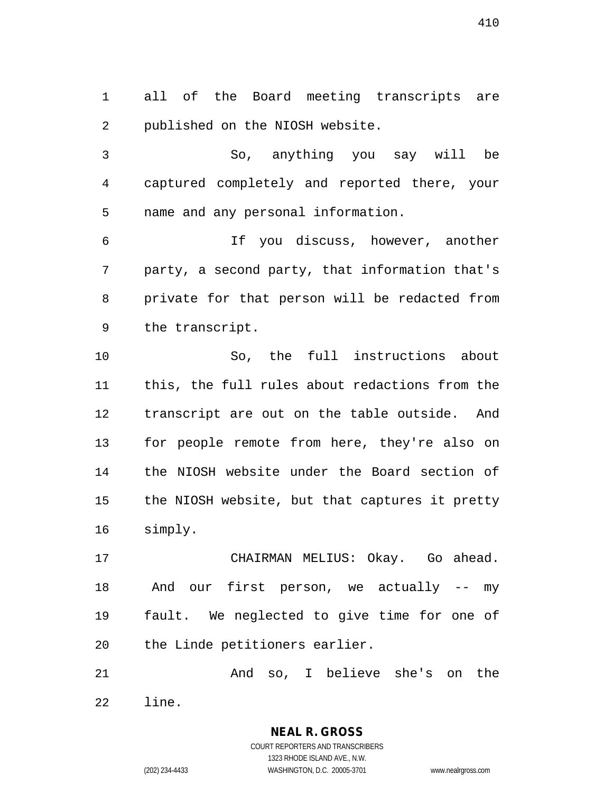1 all of the Board meeting transcripts are 2 published on the NIOSH website.

3 So, anything you say will be 4 captured completely and reported there, your 5 name and any personal information.

6 If you discuss, however, another 7 party, a second party, that information that's 8 private for that person will be redacted from 9 the transcript.

10 So, the full instructions about 11 this, the full rules about redactions from the 12 transcript are out on the table outside. And 13 for people remote from here, they're also on 14 the NIOSH website under the Board section of 15 the NIOSH website, but that captures it pretty 16 simply.

17 CHAIRMAN MELIUS: Okay. Go ahead. 18 And our first person, we actually -- my 19 fault. We neglected to give time for one of 20 the Linde petitioners earlier.

21 And so, I believe she's on the 22 line.

> COURT REPORTERS AND TRANSCRIBERS 1323 RHODE ISLAND AVE., N.W. (202) 234-4433 WASHINGTON, D.C. 20005-3701 www.nealrgross.com

**NEAL R. GROSS**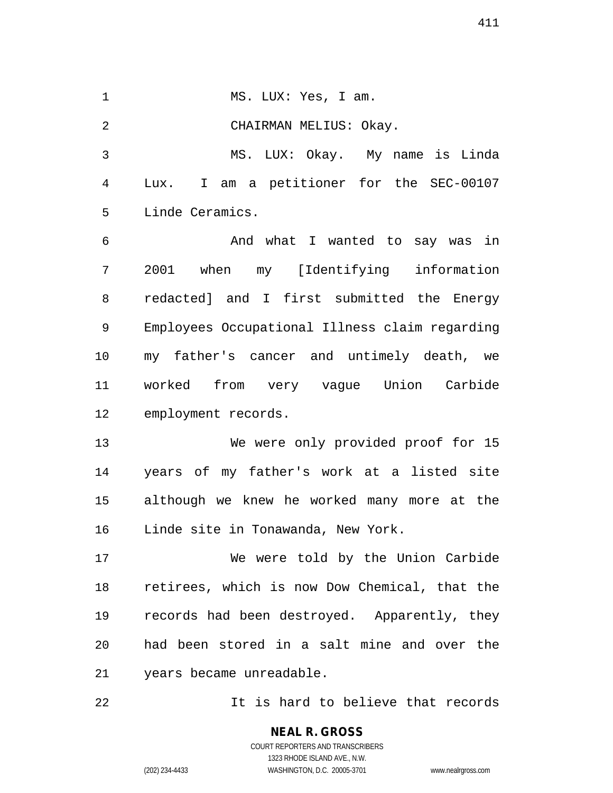1 MS. LUX: Yes, I am. 2 CHAIRMAN MELIUS: Okay. 3 MS. LUX: Okay. My name is Linda 4 Lux. I am a petitioner for the SEC-00107 5 Linde Ceramics. 6 And what I wanted to say was in 7 2001 when my [Identifying information 8 redacted] and I first submitted the Energy 9 Employees Occupational Illness claim regarding 10 my father's cancer and untimely death, we 11 worked from very vague Union Carbide 12 employment records. 13 We were only provided proof for 15 14 years of my father's work at a listed site 15 although we knew he worked many more at the 16 Linde site in Tonawanda, New York. 17 We were told by the Union Carbide 18 retirees, which is now Dow Chemical, that the 19 records had been destroyed. Apparently, they 20 had been stored in a salt mine and over the 21 years became unreadable. 22 It is hard to believe that records

> **NEAL R. GROSS** COURT REPORTERS AND TRANSCRIBERS 1323 RHODE ISLAND AVE., N.W. (202) 234-4433 WASHINGTON, D.C. 20005-3701 www.nealrgross.com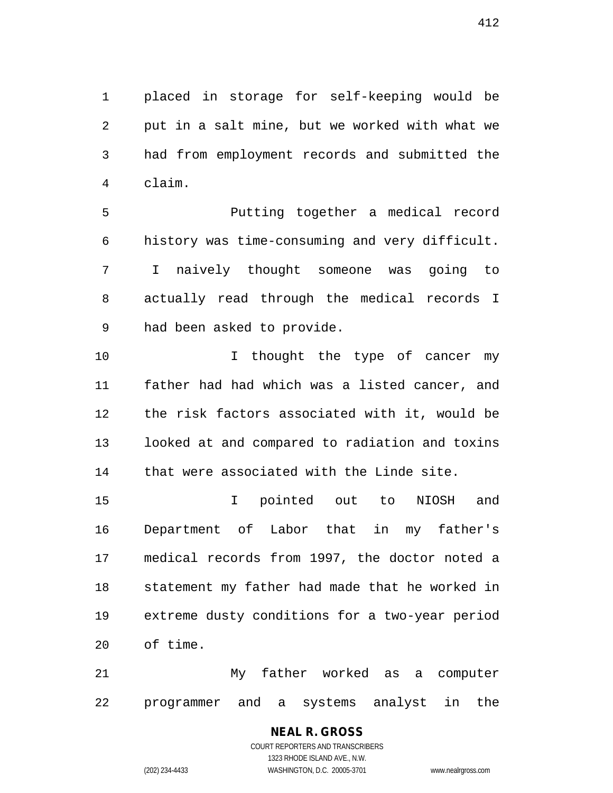1 placed in storage for self-keeping would be 2 put in a salt mine, but we worked with what we 3 had from employment records and submitted the 4 claim.

5 Putting together a medical record 6 history was time-consuming and very difficult. 7 I naively thought someone was going to 8 actually read through the medical records I 9 had been asked to provide.

10 10 I thought the type of cancer my 11 father had had which was a listed cancer, and 12 the risk factors associated with it, would be 13 looked at and compared to radiation and toxins 14 that were associated with the Linde site.

15 I pointed out to NIOSH and 16 Department of Labor that in my father's 17 medical records from 1997, the doctor noted a 18 statement my father had made that he worked in 19 extreme dusty conditions for a two-year period 20 of time.

21 My father worked as a computer 22 programmer and a systems analyst in the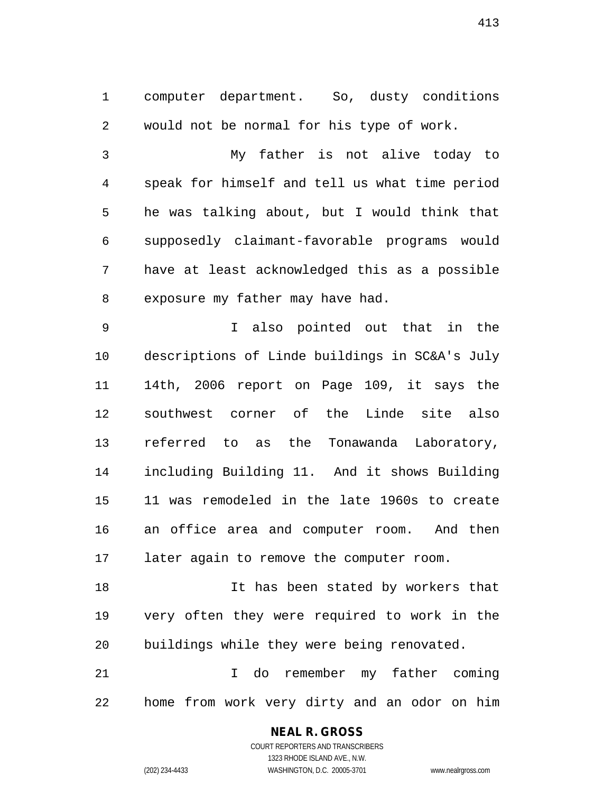1 computer department. So, dusty conditions 2 would not be normal for his type of work.

3 My father is not alive today to 4 speak for himself and tell us what time period 5 he was talking about, but I would think that 6 supposedly claimant-favorable programs would 7 have at least acknowledged this as a possible 8 exposure my father may have had.

9 I also pointed out that in the 10 descriptions of Linde buildings in SC&A's July 11 14th, 2006 report on Page 109, it says the 12 southwest corner of the Linde site also 13 referred to as the Tonawanda Laboratory, 14 including Building 11. And it shows Building 15 11 was remodeled in the late 1960s to create 16 an office area and computer room. And then 17 later again to remove the computer room.

18 It has been stated by workers that 19 very often they were required to work in the 20 buildings while they were being renovated.

21 I do remember my father coming 22 home from work very dirty and an odor on him

## **NEAL R. GROSS**

COURT REPORTERS AND TRANSCRIBERS 1323 RHODE ISLAND AVE., N.W. (202) 234-4433 WASHINGTON, D.C. 20005-3701 www.nealrgross.com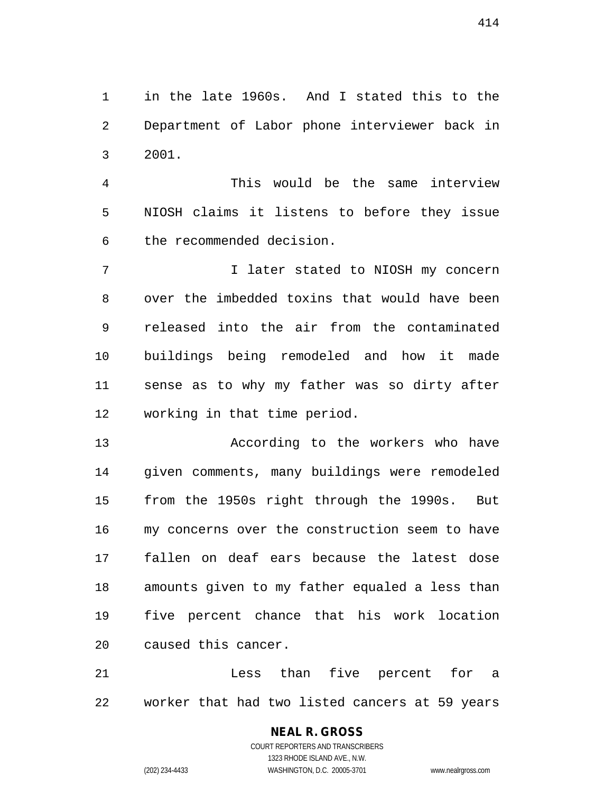1 in the late 1960s. And I stated this to the 2 Department of Labor phone interviewer back in 3 2001.

4 This would be the same interview 5 NIOSH claims it listens to before they issue 6 the recommended decision.

7 1 I later stated to NIOSH my concern 8 over the imbedded toxins that would have been 9 released into the air from the contaminated 10 buildings being remodeled and how it made 11 sense as to why my father was so dirty after 12 working in that time period.

13 According to the workers who have 14 given comments, many buildings were remodeled 15 from the 1950s right through the 1990s. But 16 my concerns over the construction seem to have 17 fallen on deaf ears because the latest dose 18 amounts given to my father equaled a less than 19 five percent chance that his work location 20 caused this cancer.

21 Less than five percent for a 22 worker that had two listed cancers at 59 years

> COURT REPORTERS AND TRANSCRIBERS 1323 RHODE ISLAND AVE., N.W. (202) 234-4433 WASHINGTON, D.C. 20005-3701 www.nealrgross.com

**NEAL R. GROSS**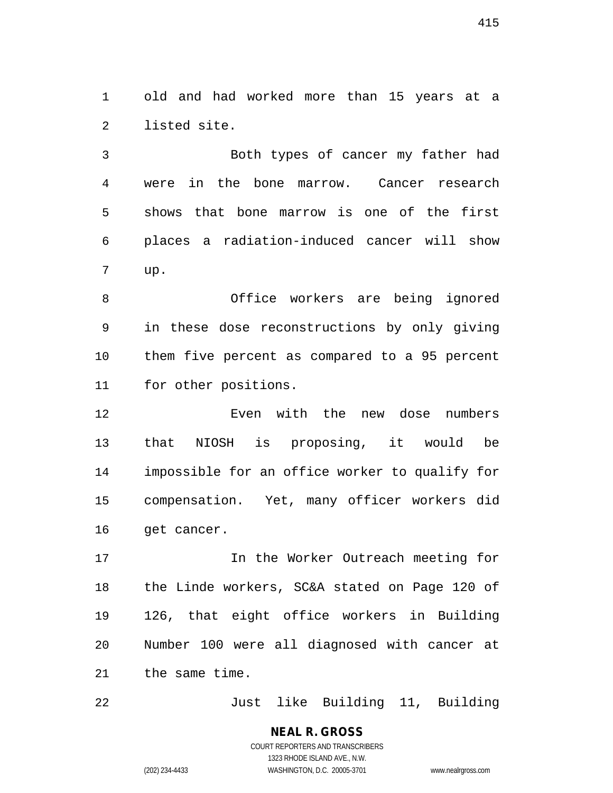1 old and had worked more than 15 years at a 2 listed site.

3 Both types of cancer my father had 4 were in the bone marrow. Cancer research 5 shows that bone marrow is one of the first 6 places a radiation-induced cancer will show 7 up.

8 Office workers are being ignored 9 in these dose reconstructions by only giving 10 them five percent as compared to a 95 percent 11 for other positions.

12 Even with the new dose numbers 13 that NIOSH is proposing, it would be 14 impossible for an office worker to qualify for 15 compensation. Yet, many officer workers did 16 get cancer.

17 **In the Worker Outreach meeting for** 18 the Linde workers, SC&A stated on Page 120 of 19 126, that eight office workers in Building 20 Number 100 were all diagnosed with cancer at 21 the same time.

22 Just like Building 11, Building

# **NEAL R. GROSS**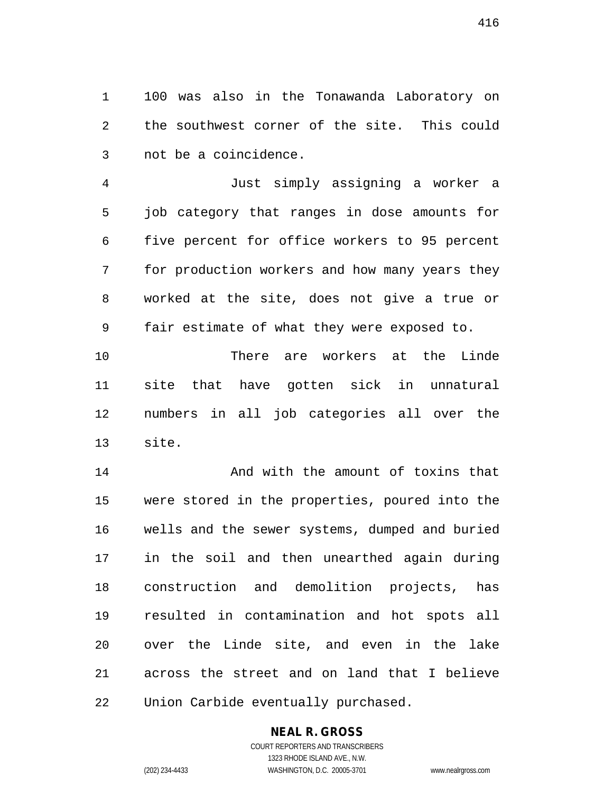1 100 was also in the Tonawanda Laboratory on 2 the southwest corner of the site. This could 3 not be a coincidence.

4 Just simply assigning a worker a 5 job category that ranges in dose amounts for 6 five percent for office workers to 95 percent 7 for production workers and how many years they 8 worked at the site, does not give a true or 9 fair estimate of what they were exposed to.

10 There are workers at the Linde 11 site that have gotten sick in unnatural 12 numbers in all job categories all over the 13 site.

14 And with the amount of toxins that 15 were stored in the properties, poured into the 16 wells and the sewer systems, dumped and buried 17 in the soil and then unearthed again during 18 construction and demolition projects, has 19 resulted in contamination and hot spots all 20 over the Linde site, and even in the lake 21 across the street and on land that I believe 22 Union Carbide eventually purchased.

# **NEAL R. GROSS**

COURT REPORTERS AND TRANSCRIBERS 1323 RHODE ISLAND AVE., N.W. (202) 234-4433 WASHINGTON, D.C. 20005-3701 www.nealrgross.com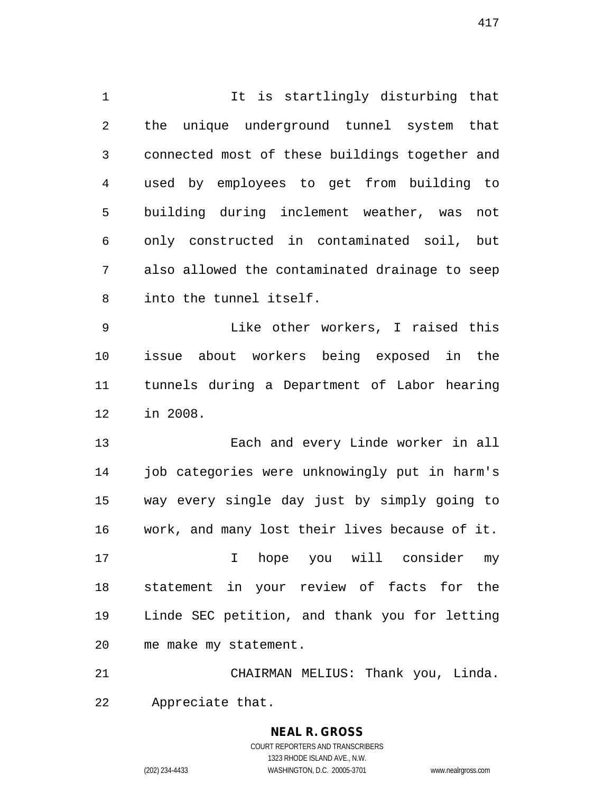1 It is startlingly disturbing that 2 the unique underground tunnel system that 3 connected most of these buildings together and 4 used by employees to get from building to 5 building during inclement weather, was not 6 only constructed in contaminated soil, but 7 also allowed the contaminated drainage to seep 8 into the tunnel itself.

9 Like other workers, I raised this 10 issue about workers being exposed in the 11 tunnels during a Department of Labor hearing 12 in 2008.

13 Each and every Linde worker in all 14 job categories were unknowingly put in harm's 15 way every single day just by simply going to 16 work, and many lost their lives because of it.

17 I hope you will consider my 18 statement in your review of facts for the 19 Linde SEC petition, and thank you for letting 20 me make my statement.

21 CHAIRMAN MELIUS: Thank you, Linda. 22 Appreciate that.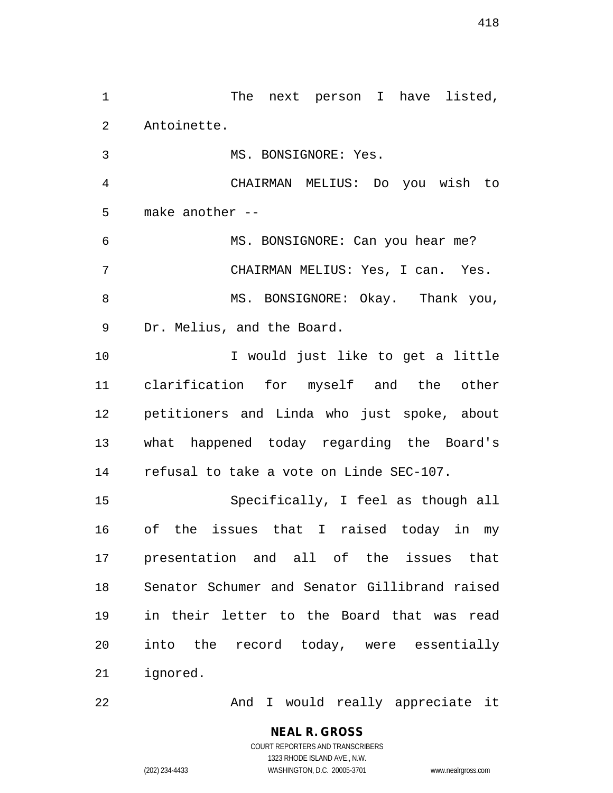1 The next person I have listed, 2 Antoinette. 3 MS. BONSIGNORE: Yes. 4 CHAIRMAN MELIUS: Do you wish to 5 make another -- 6 MS. BONSIGNORE: Can you hear me? 7 CHAIRMAN MELIUS: Yes, I can. Yes. 8 MS. BONSIGNORE: Okay. Thank you, 9 Dr. Melius, and the Board. 10 I would just like to get a little 11 clarification for myself and the other 12 petitioners and Linda who just spoke, about 13 what happened today regarding the Board's 14 refusal to take a vote on Linde SEC-107. 15 Specifically, I feel as though all 16 of the issues that I raised today in my 17 presentation and all of the issues that 18 Senator Schumer and Senator Gillibrand raised 19 in their letter to the Board that was read 20 into the record today, were essentially 21 ignored.

22 And I would really appreciate it

**NEAL R. GROSS** COURT REPORTERS AND TRANSCRIBERS

1323 RHODE ISLAND AVE., N.W.

(202) 234-4433 WASHINGTON, D.C. 20005-3701 www.nealrgross.com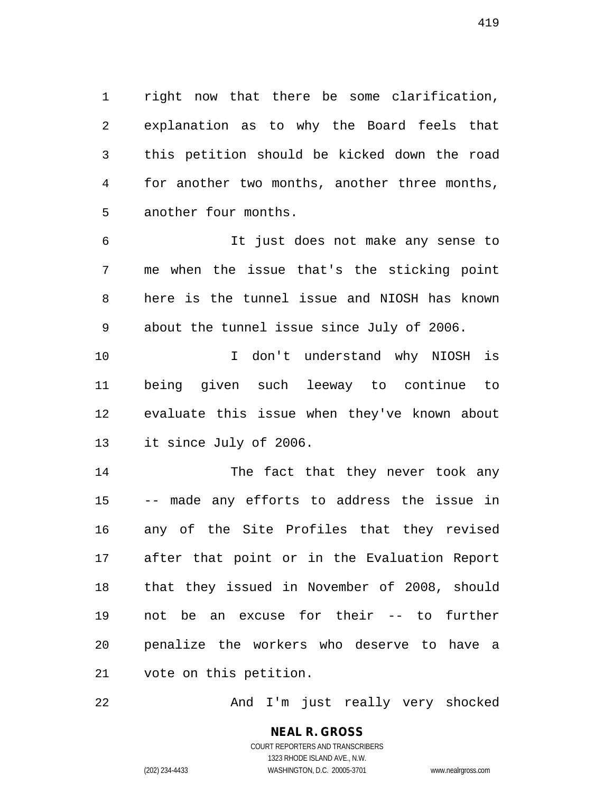1 right now that there be some clarification, 2 explanation as to why the Board feels that 3 this petition should be kicked down the road 4 for another two months, another three months, 5 another four months.

6 It just does not make any sense to 7 me when the issue that's the sticking point 8 here is the tunnel issue and NIOSH has known 9 about the tunnel issue since July of 2006.

10 I don't understand why NIOSH is 11 being given such leeway to continue to 12 evaluate this issue when they've known about 13 it since July of 2006.

14 The fact that they never took any 15 -- made any efforts to address the issue in 16 any of the Site Profiles that they revised 17 after that point or in the Evaluation Report 18 that they issued in November of 2008, should 19 not be an excuse for their -- to further 20 penalize the workers who deserve to have a 21 vote on this petition.

22 And I'm just really very shocked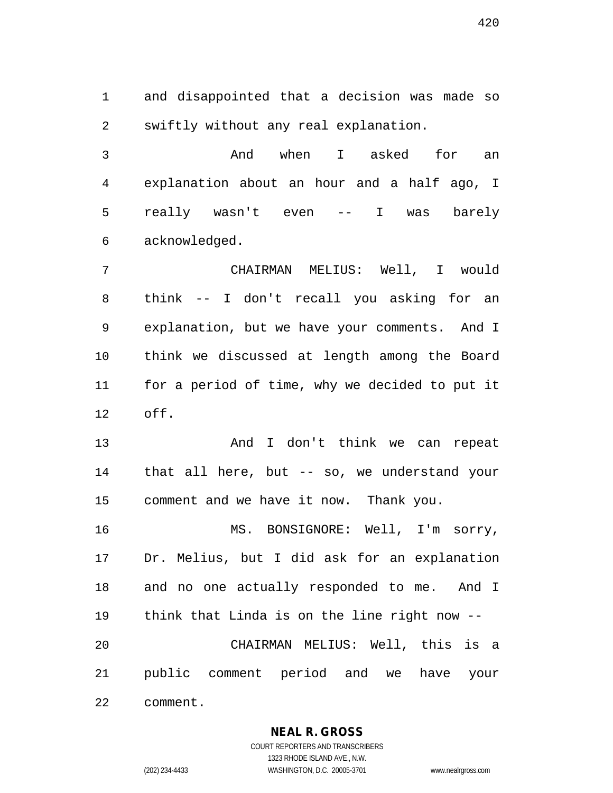1 and disappointed that a decision was made so 2 swiftly without any real explanation.

3 And when I asked for an 4 explanation about an hour and a half ago, I 5 really wasn't even -- I was barely 6 acknowledged.

7 CHAIRMAN MELIUS: Well, I would 8 think -- I don't recall you asking for an 9 explanation, but we have your comments. And I 10 think we discussed at length among the Board 11 for a period of time, why we decided to put it 12 off.

13 And I don't think we can repeat 14 that all here, but -- so, we understand your 15 comment and we have it now. Thank you.

16 MS. BONSIGNORE: Well, I'm sorry, 17 Dr. Melius, but I did ask for an explanation 18 and no one actually responded to me. And I 19 think that Linda is on the line right now -- 20 CHAIRMAN MELIUS: Well, this is a 21 public comment period and we have your 22 comment.

**NEAL R. GROSS**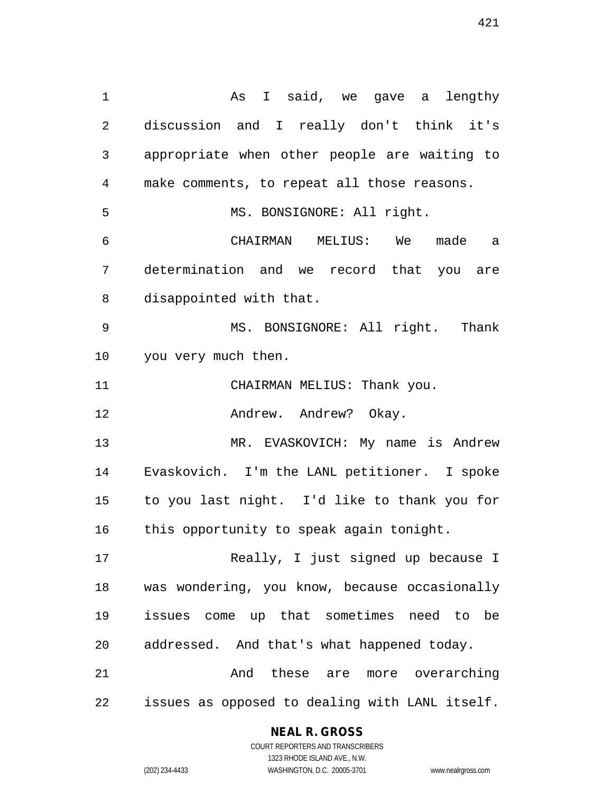1 As I said, we gave a lengthy 2 discussion and I really don't think it's 3 appropriate when other people are waiting to 4 make comments, to repeat all those reasons. 5 MS. BONSIGNORE: All right. 6 CHAIRMAN MELIUS: We made a 7 determination and we record that you are 8 disappointed with that. 9 MS. BONSIGNORE: All right. Thank 10 you very much then. 11 CHAIRMAN MELIUS: Thank you. 12 Andrew. Andrew? Okay. 13 MR. EVASKOVICH: My name is Andrew 14 Evaskovich. I'm the LANL petitioner. I spoke 15 to you last night. I'd like to thank you for 16 this opportunity to speak again tonight. 17 Really, I just signed up because I 18 was wondering, you know, because occasionally 19 issues come up that sometimes need to be 20 addressed. And that's what happened today. 21 And these are more overarching 22 issues as opposed to dealing with LANL itself.

#### **NEAL R. GROSS**

COURT REPORTERS AND TRANSCRIBERS 1323 RHODE ISLAND AVE., N.W. (202) 234-4433 WASHINGTON, D.C. 20005-3701 www.nealrgross.com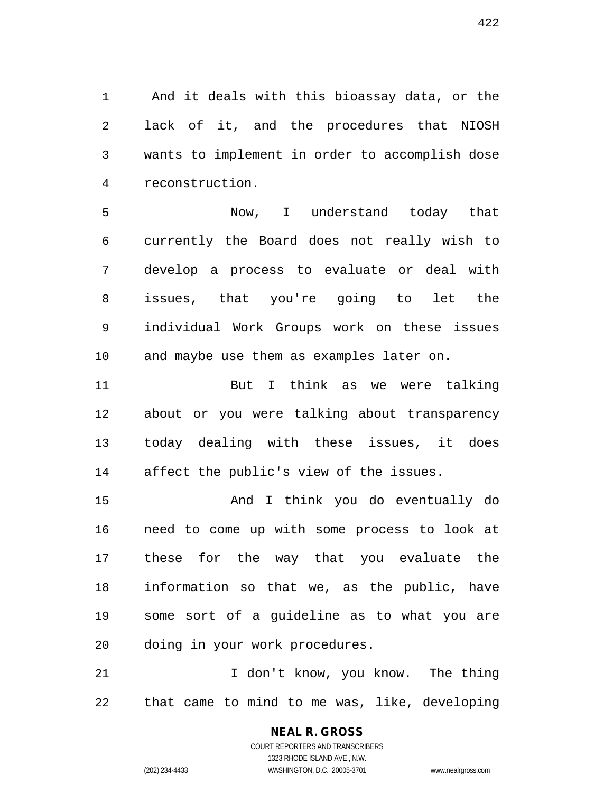1 And it deals with this bioassay data, or the 2 lack of it, and the procedures that NIOSH 3 wants to implement in order to accomplish dose 4 reconstruction.

5 Now, I understand today that 6 currently the Board does not really wish to 7 develop a process to evaluate or deal with 8 issues, that you're going to let the 9 individual Work Groups work on these issues 10 and maybe use them as examples later on.

11 But I think as we were talking 12 about or you were talking about transparency 13 today dealing with these issues, it does 14 affect the public's view of the issues.

15 And I think you do eventually do 16 need to come up with some process to look at 17 these for the way that you evaluate the 18 information so that we, as the public, have 19 some sort of a guideline as to what you are 20 doing in your work procedures.

21 I don't know, you know. The thing 22 that came to mind to me was, like, developing

> COURT REPORTERS AND TRANSCRIBERS 1323 RHODE ISLAND AVE., N.W. (202) 234-4433 WASHINGTON, D.C. 20005-3701 www.nealrgross.com

**NEAL R. GROSS**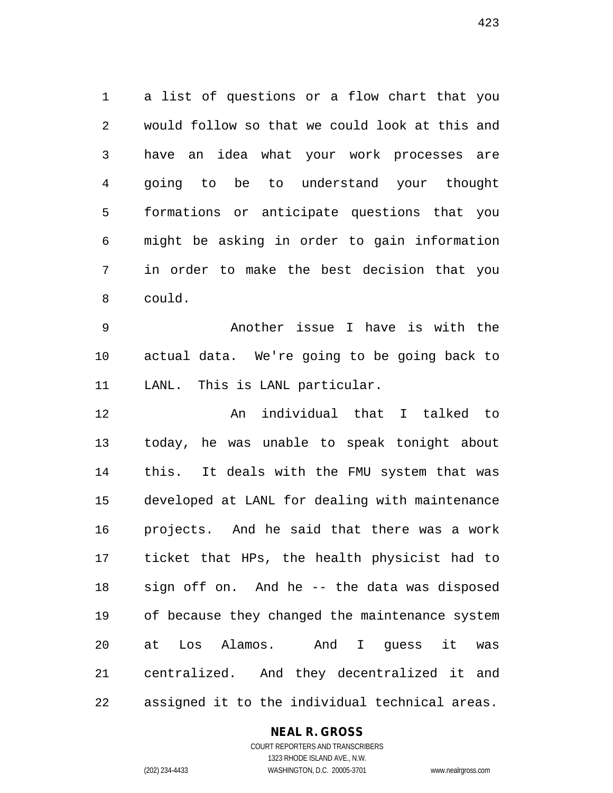1 a list of questions or a flow chart that you 2 would follow so that we could look at this and 3 have an idea what your work processes are 4 going to be to understand your thought 5 formations or anticipate questions that you 6 might be asking in order to gain information 7 in order to make the best decision that you 8 could.

9 Another issue I have is with the 10 actual data. We're going to be going back to 11 LANL. This is LANL particular.

12 An individual that I talked to 13 today, he was unable to speak tonight about 14 this. It deals with the FMU system that was 15 developed at LANL for dealing with maintenance 16 projects. And he said that there was a work 17 ticket that HPs, the health physicist had to 18 sign off on. And he -- the data was disposed 19 of because they changed the maintenance system 20 at Los Alamos. And I guess it was 21 centralized. And they decentralized it and 22 assigned it to the individual technical areas.

#### **NEAL R. GROSS**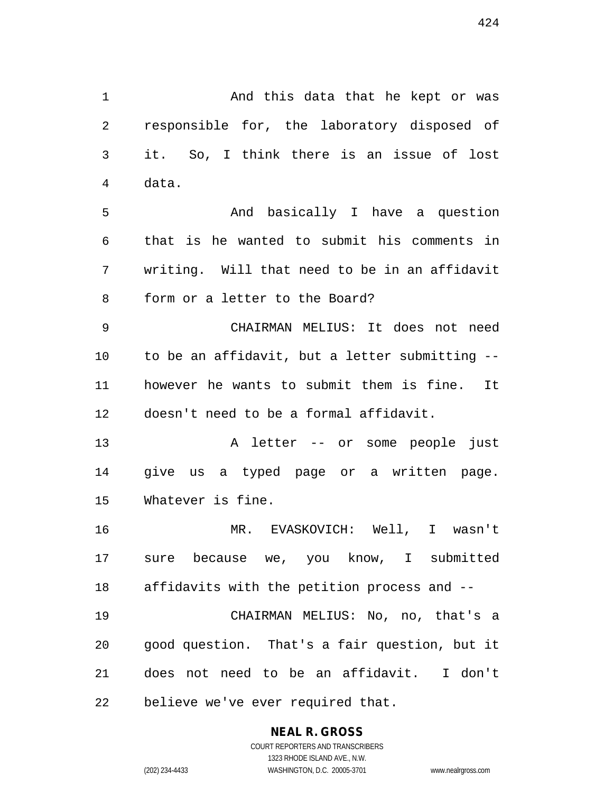1 And this data that he kept or was 2 responsible for, the laboratory disposed of 3 it. So, I think there is an issue of lost 5 And basically I have a question 6 that is he wanted to submit his comments in 7 writing. Will that need to be in an affidavit 8 form or a letter to the Board?

9 CHAIRMAN MELIUS: It does not need 10 to be an affidavit, but a letter submitting -- 11 however he wants to submit them is fine. It 12 doesn't need to be a formal affidavit.

13 A letter -- or some people just 14 give us a typed page or a written page. 15 Whatever is fine.

16 MR. EVASKOVICH: Well, I wasn't 17 sure because we, you know, I submitted 18 affidavits with the petition process and --

19 CHAIRMAN MELIUS: No, no, that's a 20 good question. That's a fair question, but it 21 does not need to be an affidavit. I don't 22 believe we've ever required that.

# **NEAL R. GROSS**

4 data.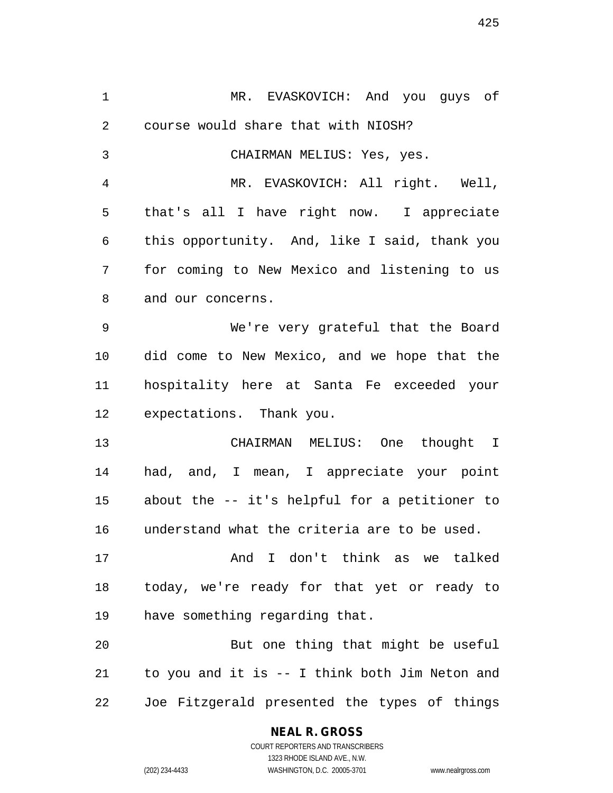1 MR. EVASKOVICH: And you guys of 2 course would share that with NIOSH? 3 CHAIRMAN MELIUS: Yes, yes. 4 MR. EVASKOVICH: All right. Well, 5 that's all I have right now. I appreciate 6 this opportunity. And, like I said, thank you 7 for coming to New Mexico and listening to us 8 and our concerns. 9 We're very grateful that the Board 10 did come to New Mexico, and we hope that the 11 hospitality here at Santa Fe exceeded your 12 expectations. Thank you. 13 CHAIRMAN MELIUS: One thought I 14 had, and, I mean, I appreciate your point 15 about the -- it's helpful for a petitioner to 16 understand what the criteria are to be used. 17 And I don't think as we talked 18 today, we're ready for that yet or ready to 19 have something regarding that. 20 But one thing that might be useful 21 to you and it is -- I think both Jim Neton and 22 Joe Fitzgerald presented the types of things

**NEAL R. GROSS**

COURT REPORTERS AND TRANSCRIBERS 1323 RHODE ISLAND AVE., N.W. (202) 234-4433 WASHINGTON, D.C. 20005-3701 www.nealrgross.com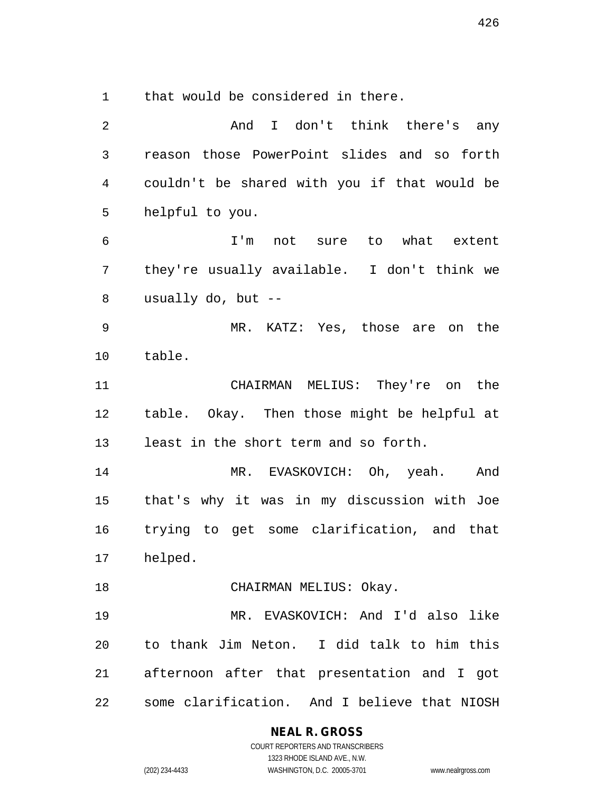1 that would be considered in there.

| 2            | And I don't think there's any                  |
|--------------|------------------------------------------------|
| $\mathbf{3}$ | reason those PowerPoint slides and so forth    |
| 4            | couldn't be shared with you if that would be   |
| 5            | helpful to you.                                |
| 6            | I'm not sure<br>to what extent                 |
| 7            | they're usually available. I don't think we    |
| 8            | usually do, but $-$                            |
| $\mathsf 9$  | MR. KATZ: Yes, those are on the                |
| 10           | table.                                         |
| 11           | CHAIRMAN MELIUS: They're on the                |
| 12           | table. Okay. Then those might be helpful at    |
| 13           | least in the short term and so forth.          |
| 14           | MR. EVASKOVICH: Oh, yeah. And                  |
| 15           | that's why it was in my discussion with Joe    |
| 16           | trying to get some clarification, and that     |
| 17           | helped.                                        |
| 18           | CHAIRMAN MELIUS: Okay.                         |
| 19           | MR. EVASKOVICH: And I'd also like              |
| 20           | to thank Jim Neton. I did talk to him this     |
|              | 21 afternoon after that presentation and I got |
| 22           | some clarification. And I believe that NIOSH   |

**NEAL R. GROSS**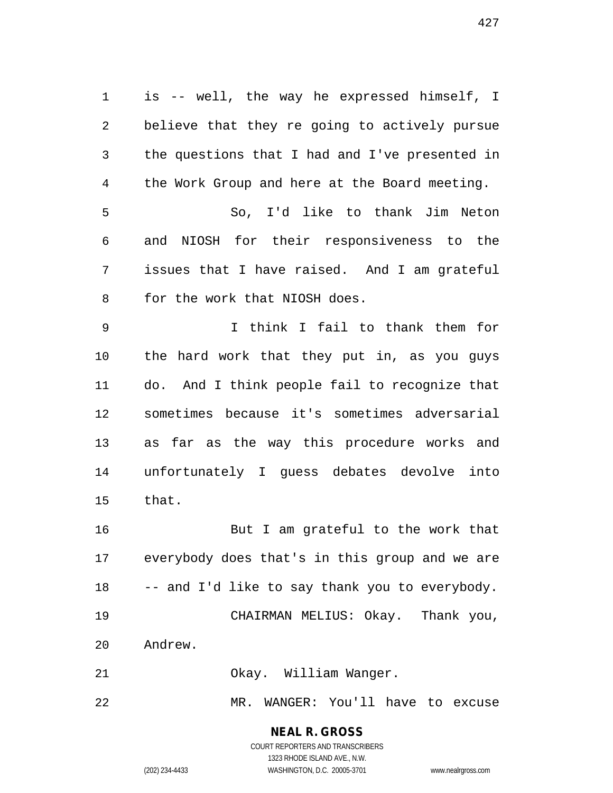1 is -- well, the way he expressed himself, I 2 believe that they re going to actively pursue 3 the questions that I had and I've presented in 4 the Work Group and here at the Board meeting. 5 So, I'd like to thank Jim Neton 6 and NIOSH for their responsiveness to the 7 issues that I have raised. And I am grateful 8 for the work that NIOSH does. 9 I think I fail to thank them for 10 the hard work that they put in, as you guys 11 do. And I think people fail to recognize that 12 sometimes because it's sometimes adversarial 13 as far as the way this procedure works and 14 unfortunately I guess debates devolve into 15 that. 16 But I am grateful to the work that 17 everybody does that's in this group and we are 18 -- and I'd like to say thank you to everybody.

19 CHAIRMAN MELIUS: Okay. Thank you, 20 Andrew.

21 Okay. William Wanger.

22 MR. WANGER: You'll have to excuse

# **NEAL R. GROSS**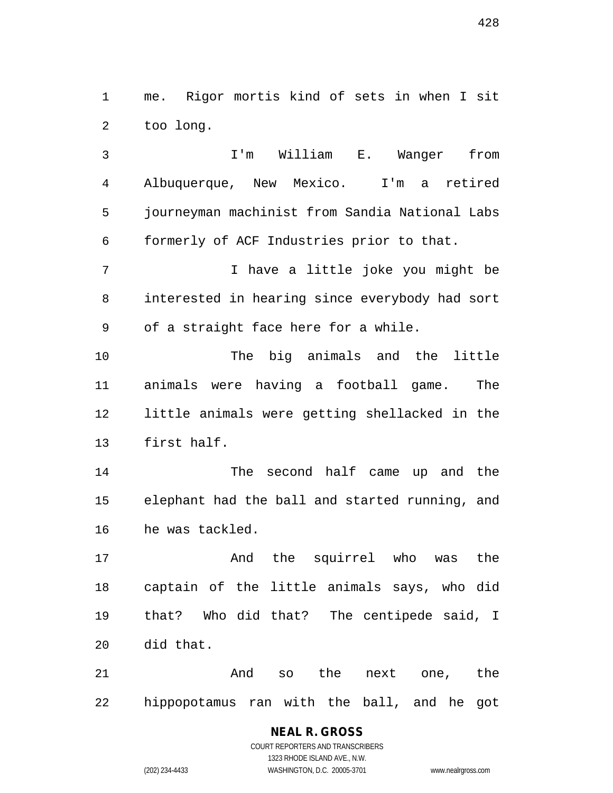1 me. Rigor mortis kind of sets in when I sit 2 too long.

3 I'm William E. Wanger from 4 Albuquerque, New Mexico. I'm a retired 5 journeyman machinist from Sandia National Labs 6 formerly of ACF Industries prior to that. 7 I have a little joke you might be 8 interested in hearing since everybody had sort 9 of a straight face here for a while.

10 The big animals and the little 11 animals were having a football game. The 12 little animals were getting shellacked in the 13 first half.

14 The second half came up and the 15 elephant had the ball and started running, and 16 he was tackled.

17 And the squirrel who was the 18 captain of the little animals says, who did 19 that? Who did that? The centipede said, I 20 did that.

21 And so the next one, the 22 hippopotamus ran with the ball, and he got

## **NEAL R. GROSS** COURT REPORTERS AND TRANSCRIBERS

1323 RHODE ISLAND AVE., N.W.

(202) 234-4433 WASHINGTON, D.C. 20005-3701 www.nealrgross.com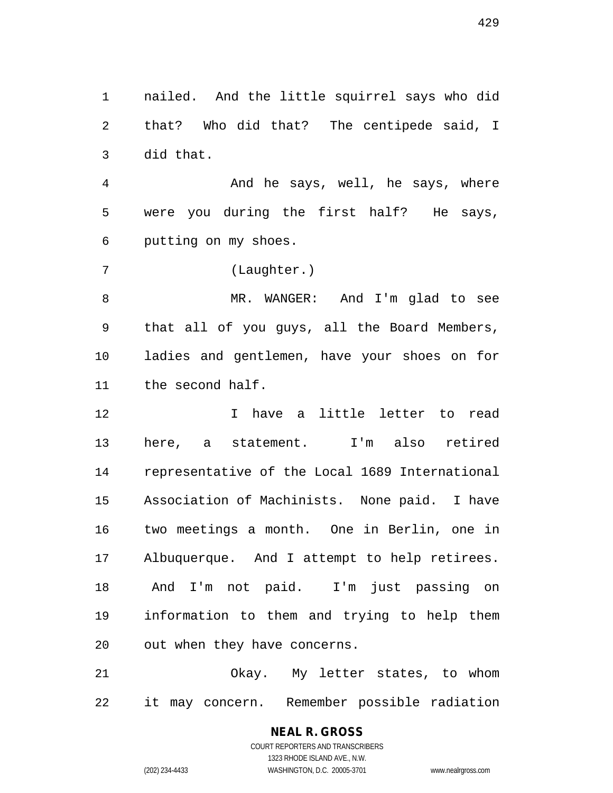1 nailed. And the little squirrel says who did 2 that? Who did that? The centipede said, I 3 did that.

4 And he says, well, he says, where 5 were you during the first half? He says, 6 putting on my shoes.

7 (Laughter.)

8 MR. WANGER: And I'm glad to see 9 that all of you guys, all the Board Members, 10 ladies and gentlemen, have your shoes on for 11 the second half.

12 I have a little letter to read 13 here, a statement. I'm also retired 14 representative of the Local 1689 International 15 Association of Machinists. None paid. I have 16 two meetings a month. One in Berlin, one in 17 Albuquerque. And I attempt to help retirees. 18 And I'm not paid. I'm just passing on 19 information to them and trying to help them 20 out when they have concerns.

21 Okay. My letter states, to whom 22 it may concern. Remember possible radiation

# **NEAL R. GROSS**

COURT REPORTERS AND TRANSCRIBERS 1323 RHODE ISLAND AVE., N.W. (202) 234-4433 WASHINGTON, D.C. 20005-3701 www.nealrgross.com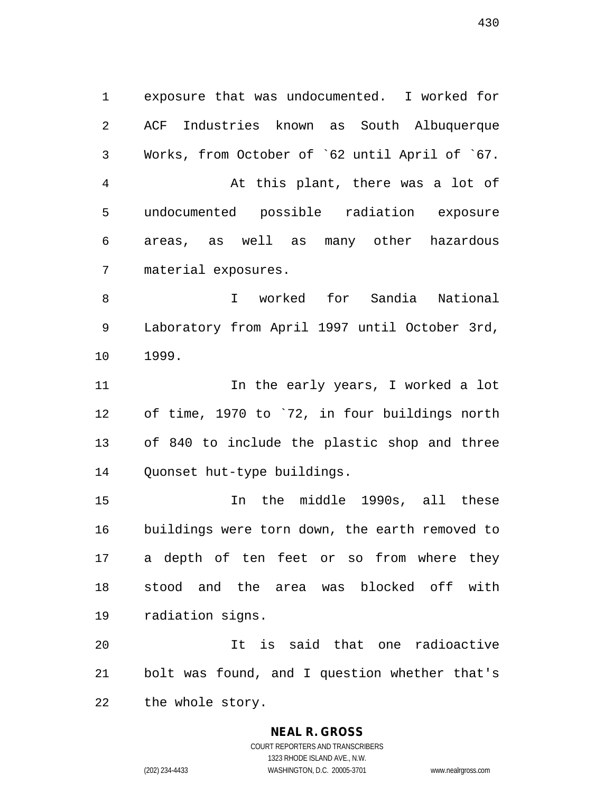1 exposure that was undocumented. I worked for 2 ACF Industries known as South Albuquerque 3 Works, from October of `62 until April of `67. 4 At this plant, there was a lot of 5 undocumented possible radiation exposure 6 areas, as well as many other hazardous 7 material exposures.

8 I worked for Sandia National 9 Laboratory from April 1997 until October 3rd, 10 1999.

11 11 In the early years, I worked a lot 12 of time, 1970 to `72, in four buildings north 13 of 840 to include the plastic shop and three 14 Quonset hut-type buildings.

15 In the middle 1990s, all these 16 buildings were torn down, the earth removed to 17 a depth of ten feet or so from where they 18 stood and the area was blocked off with 19 radiation signs.

20 It is said that one radioactive 21 bolt was found, and I question whether that's 22 the whole story.

## **NEAL R. GROSS**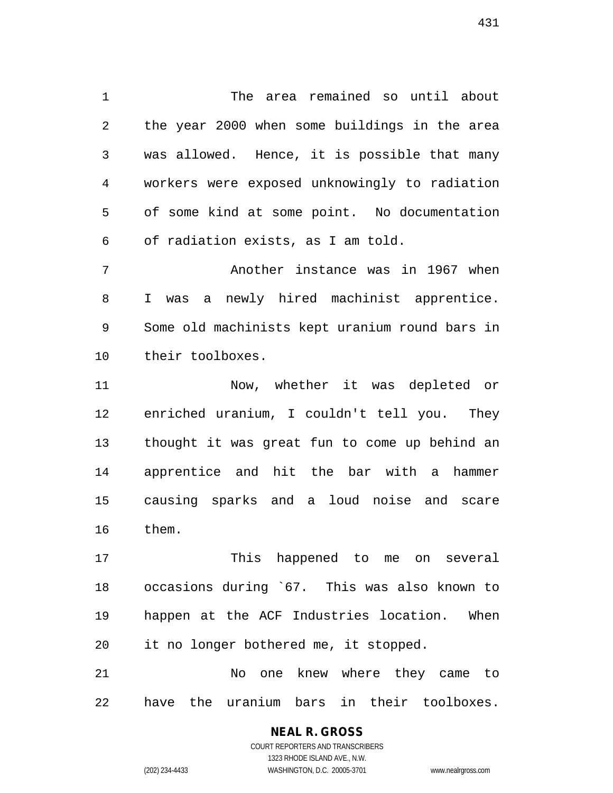1 The area remained so until about 2 the year 2000 when some buildings in the area 3 was allowed. Hence, it is possible that many 4 workers were exposed unknowingly to radiation 5 of some kind at some point. No documentation 6 of radiation exists, as I am told.

7 Another instance was in 1967 when 8 I was a newly hired machinist apprentice. 9 Some old machinists kept uranium round bars in 10 their toolboxes.

11 Now, whether it was depleted or 12 enriched uranium, I couldn't tell you. They 13 thought it was great fun to come up behind an 14 apprentice and hit the bar with a hammer 15 causing sparks and a loud noise and scare 16 them.

17 This happened to me on several 18 occasions during `67. This was also known to 19 happen at the ACF Industries location. When 20 it no longer bothered me, it stopped.

21 No one knew where they came to 22 have the uranium bars in their toolboxes.

#### **NEAL R. GROSS** COURT REPORTERS AND TRANSCRIBERS

1323 RHODE ISLAND AVE., N.W. (202) 234-4433 WASHINGTON, D.C. 20005-3701 www.nealrgross.com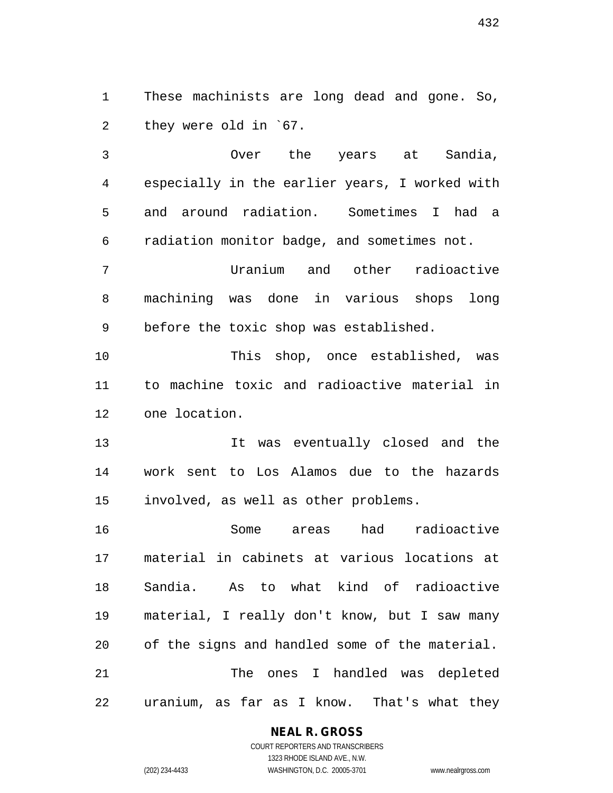1 These machinists are long dead and gone. So, 2 they were old in `67.

3 Over the years at Sandia, 4 especially in the earlier years, I worked with 5 and around radiation. Sometimes I had a 6 radiation monitor badge, and sometimes not. 7 Uranium and other radioactive 8 machining was done in various shops long 9 before the toxic shop was established. 10 This shop, once established, was 11 to machine toxic and radioactive material in 12 one location. 13 It was eventually closed and the

14 work sent to Los Alamos due to the hazards 15 involved, as well as other problems.

16 Some areas had radioactive 17 material in cabinets at various locations at 18 Sandia. As to what kind of radioactive 19 material, I really don't know, but I saw many 20 of the signs and handled some of the material. 21 The ones I handled was depleted 22 uranium, as far as I know. That's what they

## **NEAL R. GROSS**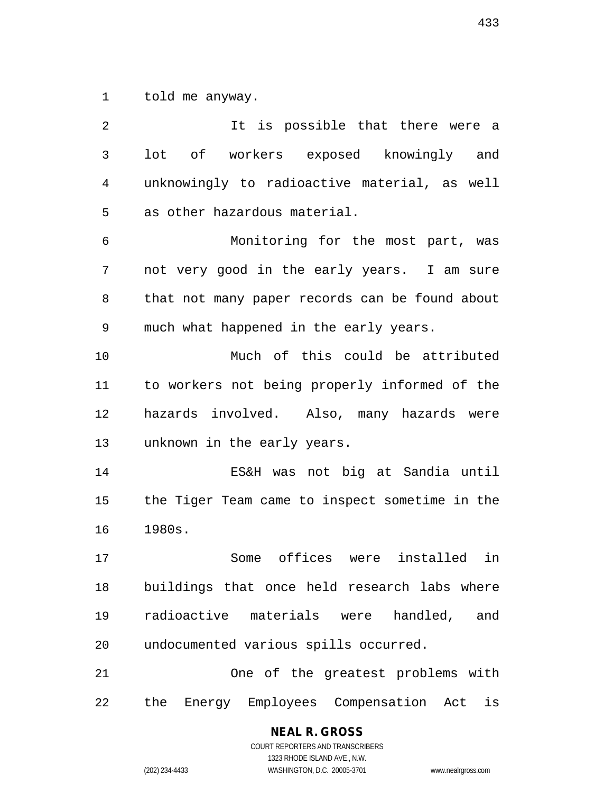1 told me anyway.

2 It is possible that there were a 3 lot of workers exposed knowingly and 4 unknowingly to radioactive material, as well 5 as other hazardous material. 6 Monitoring for the most part, was 7 not very good in the early years. I am sure 8 that not many paper records can be found about 9 much what happened in the early years. 10 Much of this could be attributed 11 to workers not being properly informed of the 12 hazards involved. Also, many hazards were 13 unknown in the early years. 14 ES&H was not big at Sandia until 15 the Tiger Team came to inspect sometime in the 16 1980s. 17 Some offices were installed in 18 buildings that once held research labs where 19 radioactive materials were handled, and 20 undocumented various spills occurred. 21 One of the greatest problems with 22 the Energy Employees Compensation Act is

433

COURT REPORTERS AND TRANSCRIBERS 1323 RHODE ISLAND AVE., N.W. (202) 234-4433 WASHINGTON, D.C. 20005-3701 www.nealrgross.com

**NEAL R. GROSS**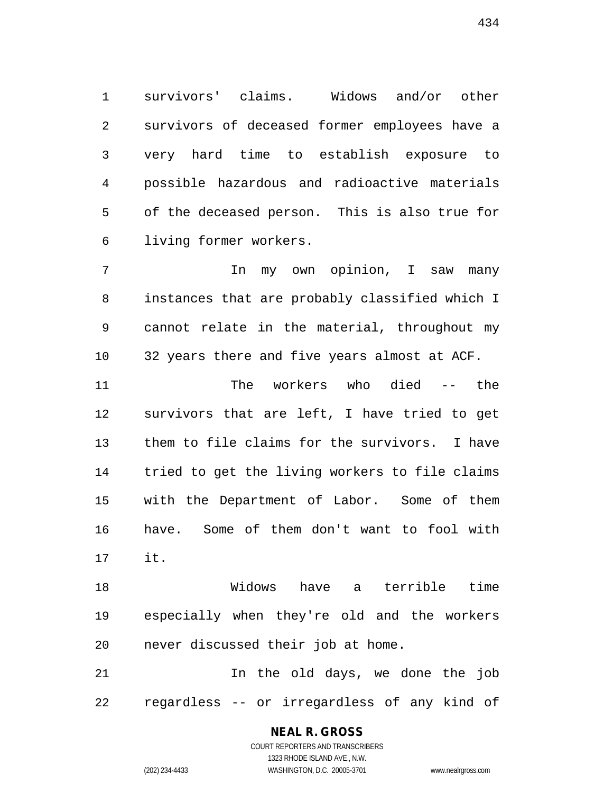1 survivors' claims. Widows and/or other 2 survivors of deceased former employees have a 3 very hard time to establish exposure to 4 possible hazardous and radioactive materials 5 of the deceased person. This is also true for 6 living former workers.

7 1 In my own opinion, I saw many 8 instances that are probably classified which I 9 cannot relate in the material, throughout my 10 32 years there and five years almost at ACF.

11 The workers who died -- the 12 survivors that are left, I have tried to get 13 them to file claims for the survivors. I have 14 tried to get the living workers to file claims 15 with the Department of Labor. Some of them 16 have. Some of them don't want to fool with 17 it.

18 Widows have a terrible time 19 especially when they're old and the workers 20 never discussed their job at home.

21 In the old days, we done the job 22 regardless -- or irregardless of any kind of

> **NEAL R. GROSS** COURT REPORTERS AND TRANSCRIBERS 1323 RHODE ISLAND AVE., N.W.

(202) 234-4433 WASHINGTON, D.C. 20005-3701 www.nealrgross.com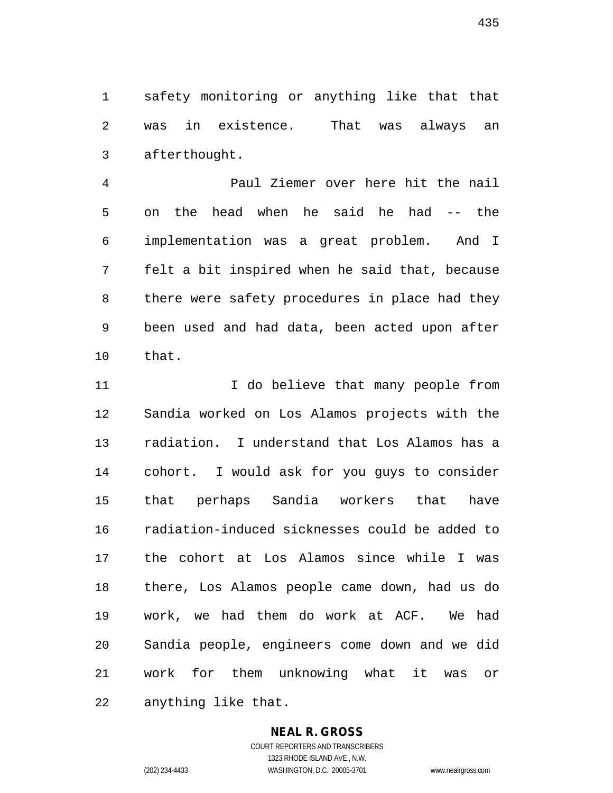1 safety monitoring or anything like that that 2 was in existence. That was always an 3 afterthought.

4 Paul Ziemer over here hit the nail 5 on the head when he said he had -- the 6 implementation was a great problem. And I 7 felt a bit inspired when he said that, because 8 there were safety procedures in place had they 9 been used and had data, been acted upon after 10 that.

11 11 I do believe that many people from 12 Sandia worked on Los Alamos projects with the 13 radiation. I understand that Los Alamos has a 14 cohort. I would ask for you guys to consider 15 that perhaps Sandia workers that have 16 radiation-induced sicknesses could be added to 17 the cohort at Los Alamos since while I was 18 there, Los Alamos people came down, had us do 19 work, we had them do work at ACF. We had 20 Sandia people, engineers come down and we did 21 work for them unknowing what it was or 22 anything like that.

#### **NEAL R. GROSS**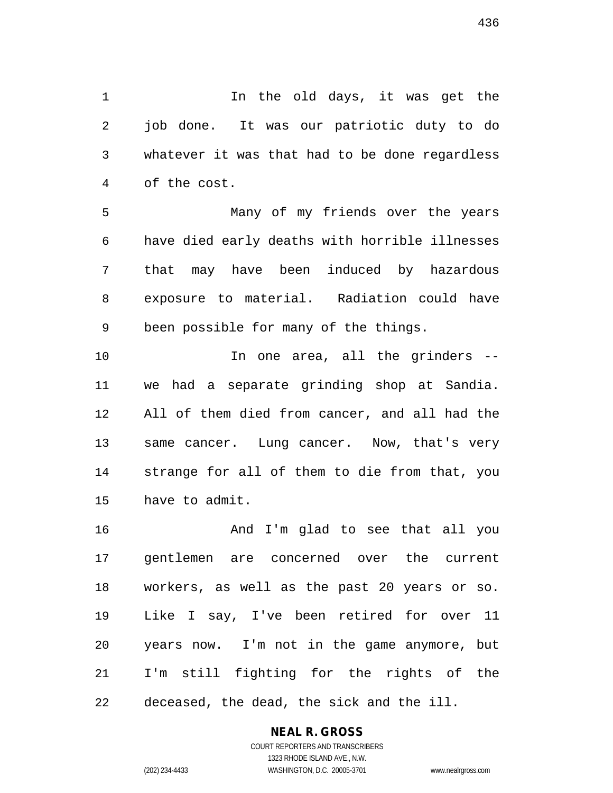1 1 In the old days, it was get the 2 job done. It was our patriotic duty to do 3 whatever it was that had to be done regardless 4 of the cost.

5 Many of my friends over the years 6 have died early deaths with horrible illnesses 7 that may have been induced by hazardous 8 exposure to material. Radiation could have 9 been possible for many of the things.

10 In one area, all the grinders -- 11 we had a separate grinding shop at Sandia. 12 All of them died from cancer, and all had the 13 same cancer. Lung cancer. Now, that's very 14 strange for all of them to die from that, you 15 have to admit.

16 And I'm glad to see that all you 17 gentlemen are concerned over the current 18 workers, as well as the past 20 years or so. 19 Like I say, I've been retired for over 11 20 years now. I'm not in the game anymore, but 21 I'm still fighting for the rights of the 22 deceased, the dead, the sick and the ill.

#### **NEAL R. GROSS**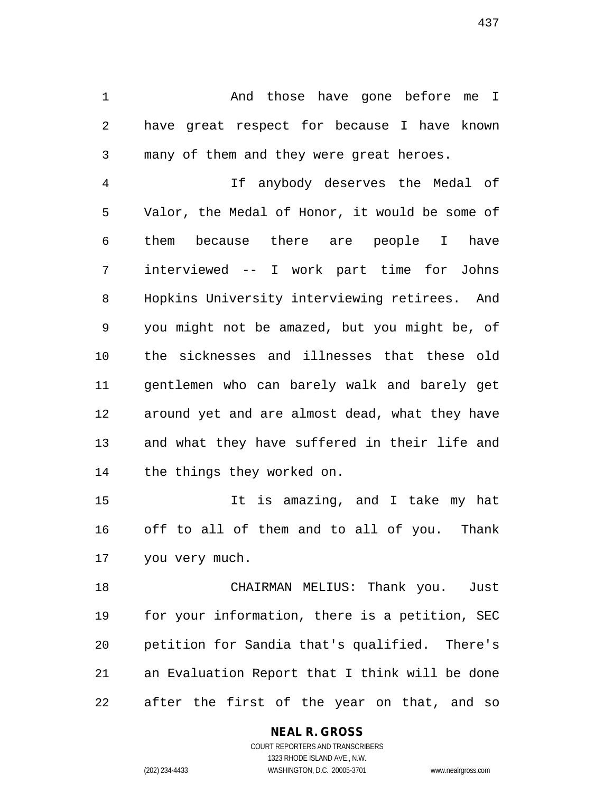1 And those have gone before me I 2 have great respect for because I have known 3 many of them and they were great heroes.

4 If anybody deserves the Medal of 5 Valor, the Medal of Honor, it would be some of 6 them because there are people I have 7 interviewed -- I work part time for Johns 8 Hopkins University interviewing retirees. And 9 you might not be amazed, but you might be, of 10 the sicknesses and illnesses that these old 11 gentlemen who can barely walk and barely get 12 around yet and are almost dead, what they have 13 and what they have suffered in their life and 14 the things they worked on.

15 It is amazing, and I take my hat 16 off to all of them and to all of you. Thank 17 you very much.

18 CHAIRMAN MELIUS: Thank you. Just 19 for your information, there is a petition, SEC 20 petition for Sandia that's qualified. There's 21 an Evaluation Report that I think will be done 22 after the first of the year on that, and so

> **NEAL R. GROSS** COURT REPORTERS AND TRANSCRIBERS 1323 RHODE ISLAND AVE., N.W.

(202) 234-4433 WASHINGTON, D.C. 20005-3701 www.nealrgross.com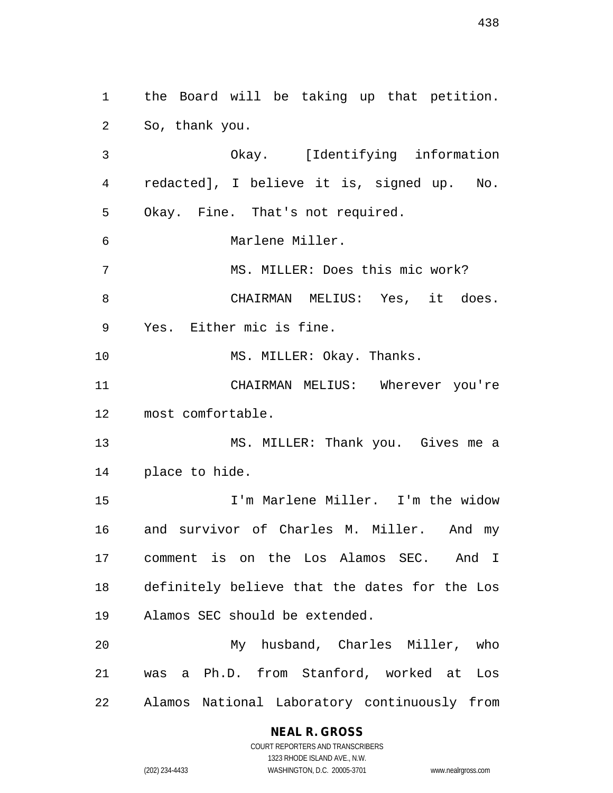1 the Board will be taking up that petition. 2 So, thank you. 3 Okay. [Identifying information 4 redacted], I believe it is, signed up. No. 5 Okay. Fine. That's not required. 6 Marlene Miller. 7 MS. MILLER: Does this mic work? 8 CHAIRMAN MELIUS: Yes, it does. 9 Yes. Either mic is fine. 10 MS. MILLER: Okay. Thanks. 11 CHAIRMAN MELIUS: Wherever you're 12 most comfortable. 13 MS. MILLER: Thank you. Gives me a 14 place to hide. 15 I'm Marlene Miller. I'm the widow 16 and survivor of Charles M. Miller. And my 17 comment is on the Los Alamos SEC. And I 18 definitely believe that the dates for the Los 19 Alamos SEC should be extended. 20 My husband, Charles Miller, who 21 was a Ph.D. from Stanford, worked at Los 22 Alamos National Laboratory continuously from

#### **NEAL R. GROSS**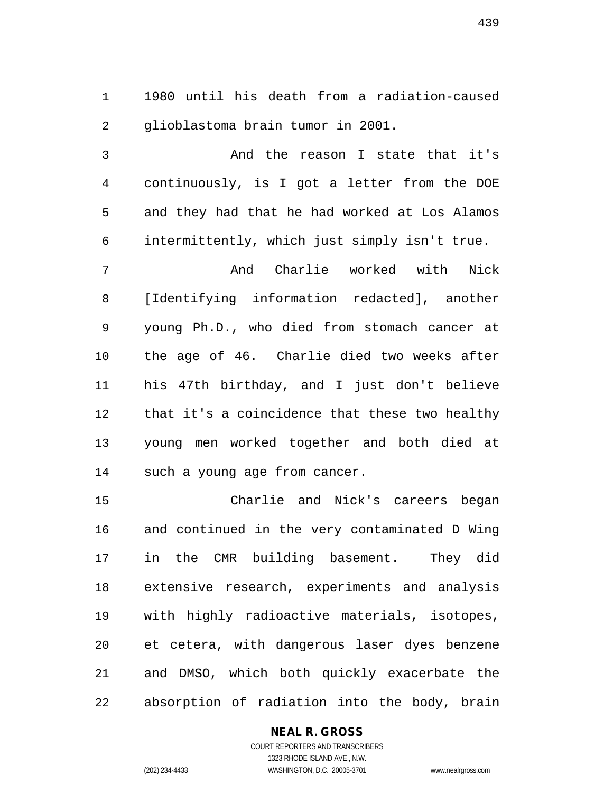1 1980 until his death from a radiation-caused 2 glioblastoma brain tumor in 2001.

3 And the reason I state that it's 4 continuously, is I got a letter from the DOE 5 and they had that he had worked at Los Alamos 6 intermittently, which just simply isn't true.

7 And Charlie worked with Nick 8 [Identifying information redacted], another 9 young Ph.D., who died from stomach cancer at 10 the age of 46. Charlie died two weeks after 11 his 47th birthday, and I just don't believe 12 that it's a coincidence that these two healthy 13 young men worked together and both died at 14 such a young age from cancer.

15 Charlie and Nick's careers began 16 and continued in the very contaminated D Wing 17 in the CMR building basement. They did 18 extensive research, experiments and analysis 19 with highly radioactive materials, isotopes, 20 et cetera, with dangerous laser dyes benzene 21 and DMSO, which both quickly exacerbate the 22 absorption of radiation into the body, brain

#### **NEAL R. GROSS**

439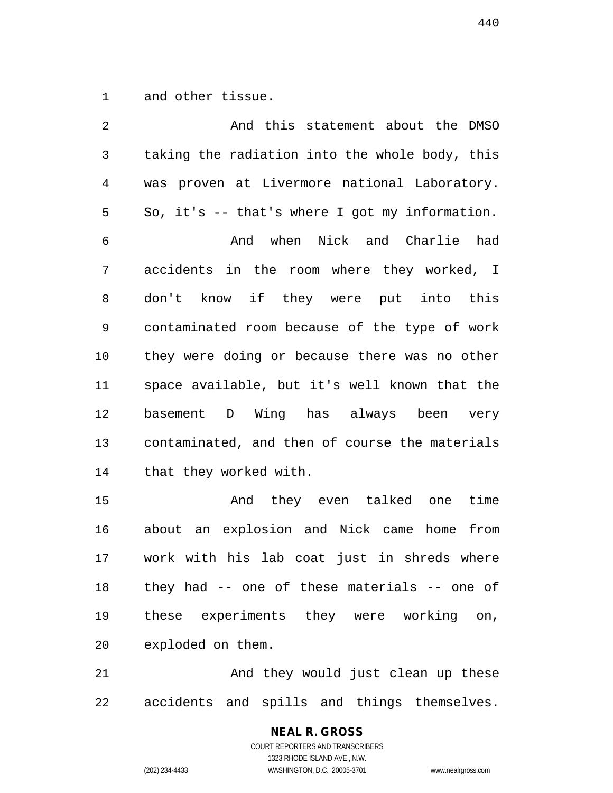1 and other tissue.

2 And this statement about the DMSO 3 taking the radiation into the whole body, this 4 was proven at Livermore national Laboratory. 5 So, it's -- that's where I got my information. 6 And when Nick and Charlie had 7 accidents in the room where they worked, I 8 don't know if they were put into this 9 contaminated room because of the type of work 10 they were doing or because there was no other 11 space available, but it's well known that the 12 basement D Wing has always been very 13 contaminated, and then of course the materials 14 that they worked with. 15 And they even talked one time

16 about an explosion and Nick came home from 17 work with his lab coat just in shreds where 18 they had -- one of these materials -- one of 19 these experiments they were working on, 20 exploded on them.

21 And they would just clean up these 22 accidents and spills and things themselves.

# **NEAL R. GROSS**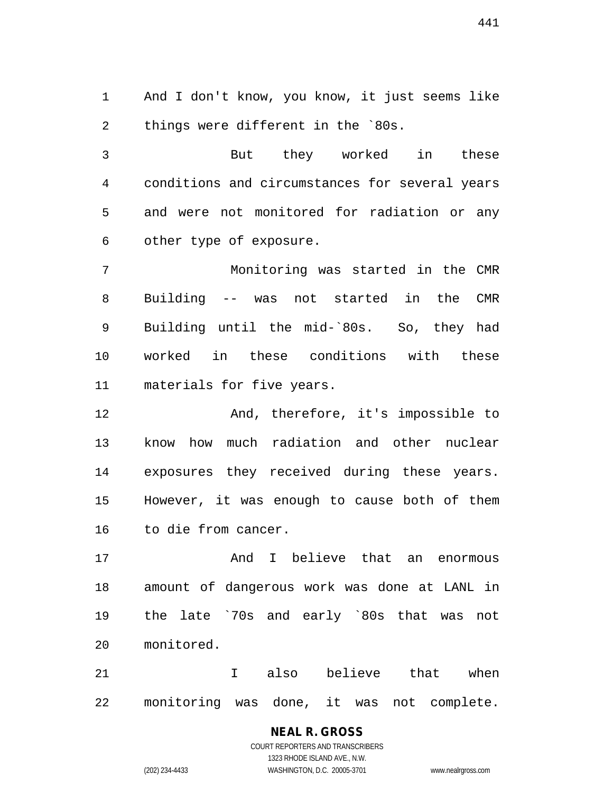1 And I don't know, you know, it just seems like 2 things were different in the `80s.

3 But they worked in these 4 conditions and circumstances for several years 5 and were not monitored for radiation or any 6 other type of exposure.

7 Monitoring was started in the CMR 8 Building -- was not started in the CMR 9 Building until the mid-`80s. So, they had 10 worked in these conditions with these 11 materials for five years.

12 And, therefore, it's impossible to 13 know how much radiation and other nuclear 14 exposures they received during these years. 15 However, it was enough to cause both of them 16 to die from cancer.

17 and I believe that an enormous 18 amount of dangerous work was done at LANL in 19 the late `70s and early `80s that was not 20 monitored.

21 I also believe that when 22 monitoring was done, it was not complete.

# **NEAL R. GROSS**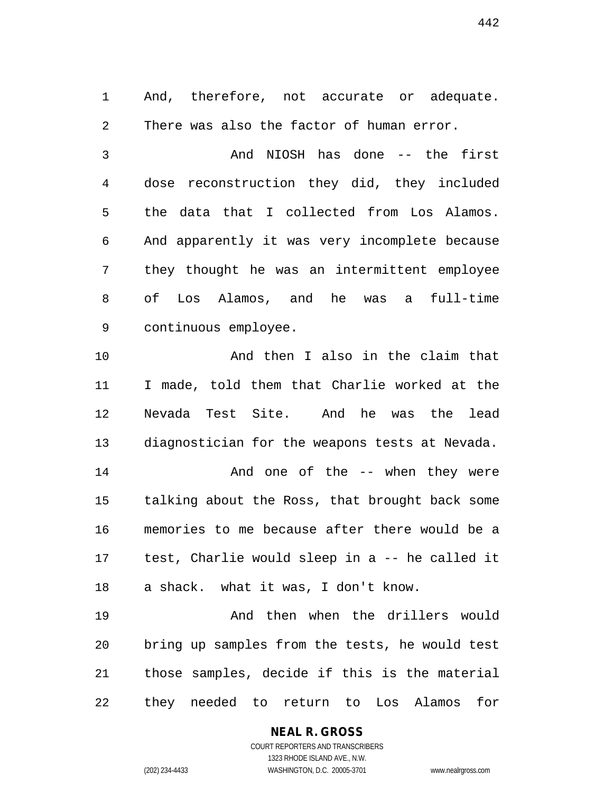1 And, therefore, not accurate or adequate. 2 There was also the factor of human error.

3 And NIOSH has done -- the first 4 dose reconstruction they did, they included 5 the data that I collected from Los Alamos. 6 And apparently it was very incomplete because 7 they thought he was an intermittent employee 8 of Los Alamos, and he was a full-time 9 continuous employee.

10 And then I also in the claim that 11 I made, told them that Charlie worked at the 12 Nevada Test Site. And he was the lead 13 diagnostician for the weapons tests at Nevada. 14 And one of the -- when they were

15 talking about the Ross, that brought back some 16 memories to me because after there would be a 17 test, Charlie would sleep in a -- he called it 18 a shack. what it was, I don't know.

19 And then when the drillers would 20 bring up samples from the tests, he would test 21 those samples, decide if this is the material 22 they needed to return to Los Alamos for

#### **NEAL R. GROSS**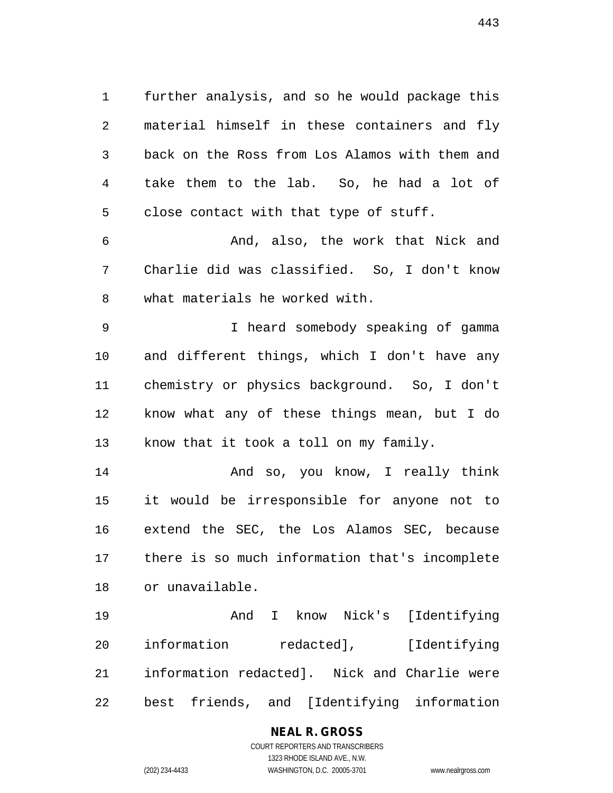1 further analysis, and so he would package this 2 material himself in these containers and fly 3 back on the Ross from Los Alamos with them and 4 take them to the lab. So, he had a lot of 5 close contact with that type of stuff.

6 And, also, the work that Nick and 7 Charlie did was classified. So, I don't know 8 what materials he worked with.

9 I heard somebody speaking of gamma 10 and different things, which I don't have any 11 chemistry or physics background. So, I don't 12 know what any of these things mean, but I do 13 know that it took a toll on my family.

14 And so, you know, I really think 15 it would be irresponsible for anyone not to 16 extend the SEC, the Los Alamos SEC, because 17 there is so much information that's incomplete 18 or unavailable.

19 And I know Nick's [Identifying 20 information redacted], [Identifying 21 information redacted]. Nick and Charlie were 22 best friends, and [Identifying information

### **NEAL R. GROSS**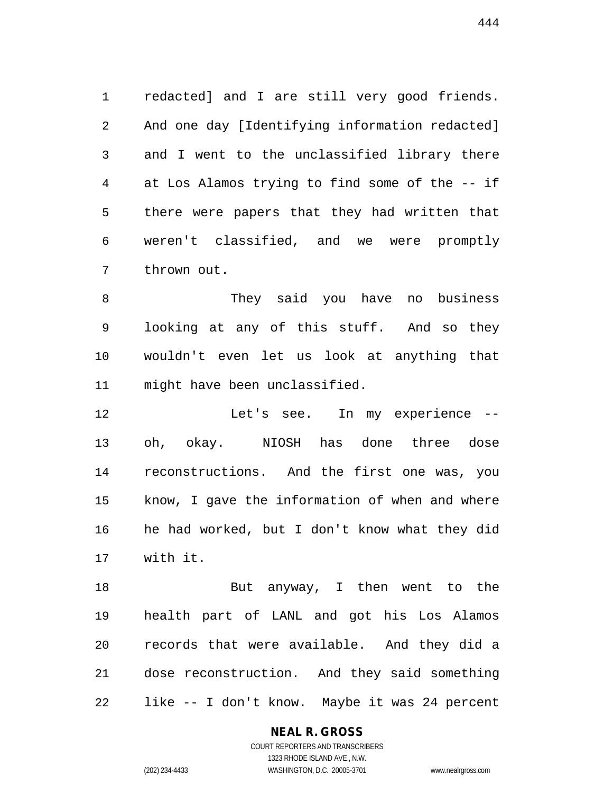1 redacted] and I are still very good friends. 2 And one day [Identifying information redacted] 3 and I went to the unclassified library there 4 at Los Alamos trying to find some of the -- if 5 there were papers that they had written that 6 weren't classified, and we were promptly 7 thrown out.

8 They said you have no business 9 looking at any of this stuff. And so they 10 wouldn't even let us look at anything that 11 might have been unclassified.

12 Let's see. In my experience -- 13 oh, okay. NIOSH has done three dose 14 reconstructions. And the first one was, you 15 know, I gave the information of when and where 16 he had worked, but I don't know what they did 17 with it.

18 But anyway, I then went to the 19 health part of LANL and got his Los Alamos 20 records that were available. And they did a 21 dose reconstruction. And they said something 22 like -- I don't know. Maybe it was 24 percent

**NEAL R. GROSS**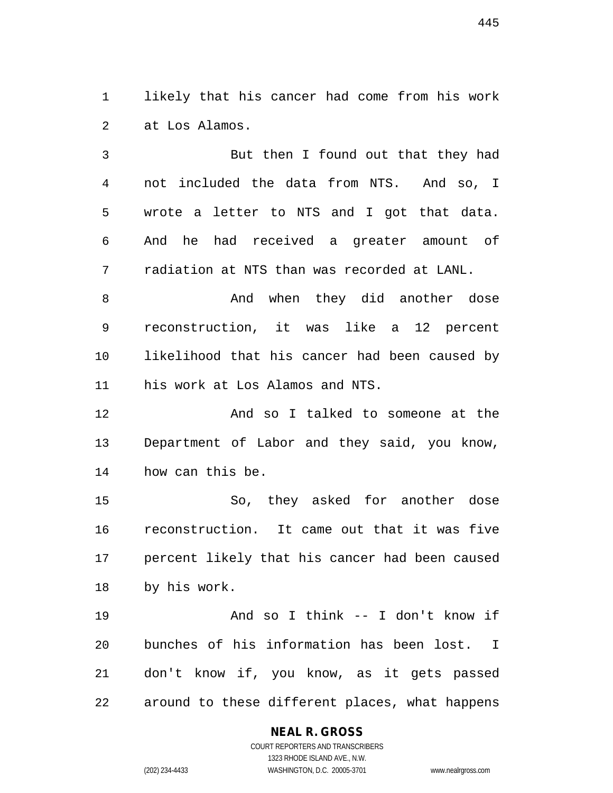1 likely that his cancer had come from his work 2 at Los Alamos.

3 But then I found out that they had 4 not included the data from NTS. And so, I 5 wrote a letter to NTS and I got that data. 6 And he had received a greater amount of 7 radiation at NTS than was recorded at LANL.

8 And when they did another dose 9 reconstruction, it was like a 12 percent 10 likelihood that his cancer had been caused by 11 his work at Los Alamos and NTS.

12 And so I talked to someone at the 13 Department of Labor and they said, you know, 14 how can this be.

15 So, they asked for another dose 16 reconstruction. It came out that it was five 17 percent likely that his cancer had been caused 18 by his work.

19 And so I think -- I don't know if 20 bunches of his information has been lost. I 21 don't know if, you know, as it gets passed 22 around to these different places, what happens

### **NEAL R. GROSS**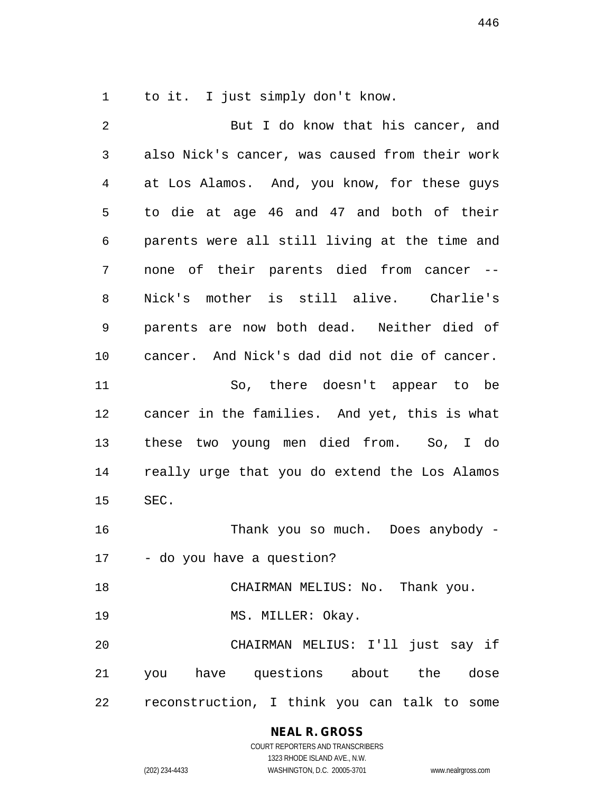1 to it. I just simply don't know.

2 But I do know that his cancer, and 3 also Nick's cancer, was caused from their work 4 at Los Alamos. And, you know, for these guys 5 to die at age 46 and 47 and both of their 6 parents were all still living at the time and 7 none of their parents died from cancer -- 8 Nick's mother is still alive. Charlie's 9 parents are now both dead. Neither died of 10 cancer. And Nick's dad did not die of cancer. 11 So, there doesn't appear to be 12 cancer in the families. And yet, this is what 13 these two young men died from. So, I do 14 really urge that you do extend the Los Alamos 15 SEC. 16 Thank you so much. Does anybody - 17 - do you have a question? 18 CHAIRMAN MELIUS: No. Thank you. 19 MS. MILLER: Okay. 20 CHAIRMAN MELIUS: I'll just say if 21 you have questions about the dose 22 reconstruction, I think you can talk to some

> **NEAL R. GROSS** COURT REPORTERS AND TRANSCRIBERS

1323 RHODE ISLAND AVE., N.W. (202) 234-4433 WASHINGTON, D.C. 20005-3701 www.nealrgross.com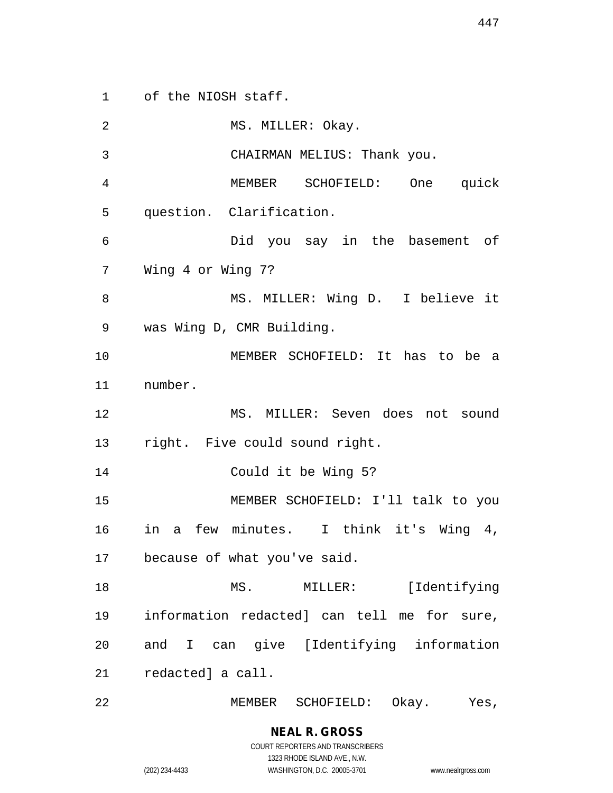1 of the NIOSH staff.

2 MS. MILLER: Okay. 3 CHAIRMAN MELIUS: Thank you. 4 MEMBER SCHOFIELD: One quick 5 question. Clarification. 6 Did you say in the basement of 7 Wing 4 or Wing 7? 8 MS. MILLER: Wing D. I believe it 9 was Wing D, CMR Building. 10 MEMBER SCHOFIELD: It has to be a 11 number. 12 MS. MILLER: Seven does not sound 13 right. Five could sound right. 14 Could it be Wing 5? 15 MEMBER SCHOFIELD: I'll talk to you 16 in a few minutes. I think it's Wing 4, 17 because of what you've said. 18 MS. MILLER: [Identifying 19 information redacted] can tell me for sure, 20 and I can give [Identifying information 21 redacted] a call.

22 MEMBER SCHOFIELD: Okay. Yes,

**NEAL R. GROSS**

COURT REPORTERS AND TRANSCRIBERS

1323 RHODE ISLAND AVE., N.W. (202) 234-4433 WASHINGTON, D.C. 20005-3701 www.nealrgross.com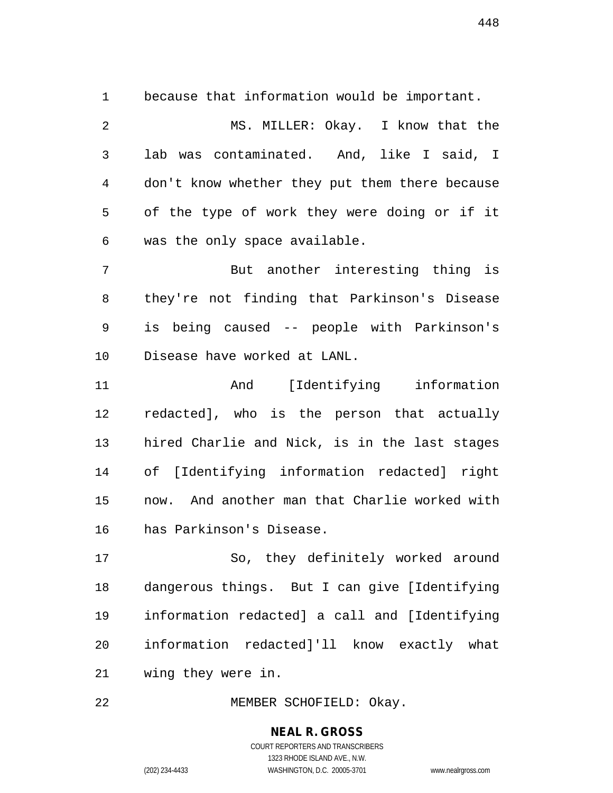1 because that information would be important.

2 MS. MILLER: Okay. I know that the 3 lab was contaminated. And, like I said, I 4 don't know whether they put them there because 5 of the type of work they were doing or if it 6 was the only space available.

7 But another interesting thing is 8 they're not finding that Parkinson's Disease 9 is being caused -- people with Parkinson's 10 Disease have worked at LANL.

11 And [Identifying information 12 redacted], who is the person that actually 13 hired Charlie and Nick, is in the last stages 14 of [Identifying information redacted] right 15 now. And another man that Charlie worked with 16 has Parkinson's Disease.

17 So, they definitely worked around 18 dangerous things. But I can give [Identifying 19 information redacted] a call and [Identifying 20 information redacted]'ll know exactly what 21 wing they were in.

22 MEMBER SCHOFIELD: Okay.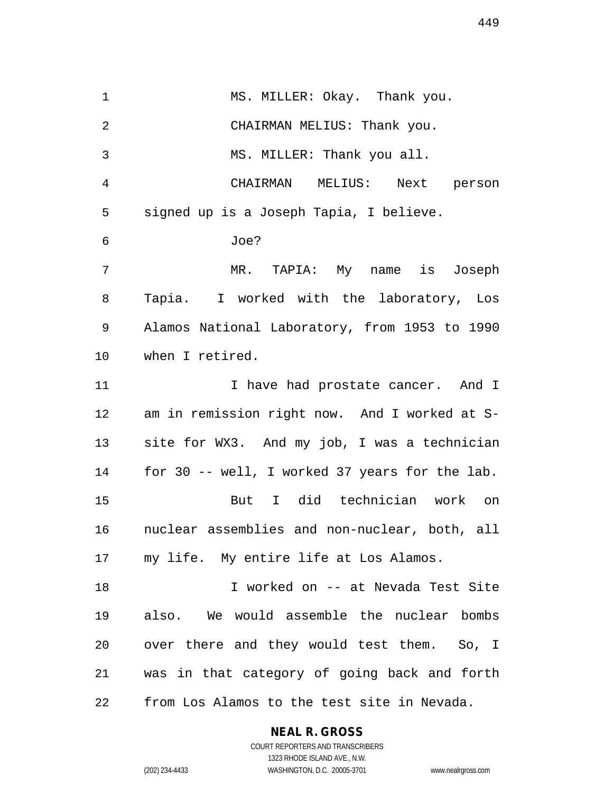1 MS. MILLER: Okay. Thank you. 2 CHAIRMAN MELIUS: Thank you. 3 MS. MILLER: Thank you all. 4 CHAIRMAN MELIUS: Next person 5 signed up is a Joseph Tapia, I believe. 6 Joe? 7 MR. TAPIA: My name is Joseph 8 Tapia. I worked with the laboratory, Los 9 Alamos National Laboratory, from 1953 to 1990 10 when I retired. 11 11 I have had prostate cancer. And I 12 am in remission right now. And I worked at S-13 site for WX3. And my job, I was a technician 14 for 30 -- well, I worked 37 years for the lab. 15 But I did technician work on 16 nuclear assemblies and non-nuclear, both, all 17 my life. My entire life at Los Alamos. 18 I worked on -- at Nevada Test Site 19 also. We would assemble the nuclear bombs 20 over there and they would test them. So, I 21 was in that category of going back and forth 22 from Los Alamos to the test site in Nevada.

**NEAL R. GROSS**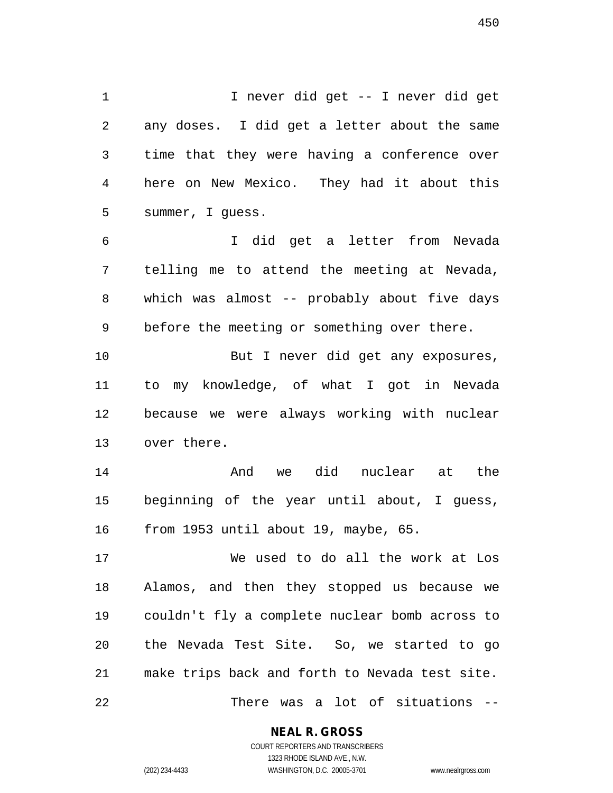1 I never did get -- I never did get 2 any doses. I did get a letter about the same 3 time that they were having a conference over 4 here on New Mexico. They had it about this 5 summer, I guess.

6 I did get a letter from Nevada 7 telling me to attend the meeting at Nevada, 8 which was almost -- probably about five days 9 before the meeting or something over there.

10 But I never did get any exposures, 11 to my knowledge, of what I got in Nevada 12 because we were always working with nuclear 13 over there.

14 And we did nuclear at the 15 beginning of the year until about, I guess, 16 from 1953 until about 19, maybe, 65.

17 We used to do all the work at Los 18 Alamos, and then they stopped us because we 19 couldn't fly a complete nuclear bomb across to 20 the Nevada Test Site. So, we started to go 21 make trips back and forth to Nevada test site. 22 There was a lot of situations --

**NEAL R. GROSS**

COURT REPORTERS AND TRANSCRIBERS 1323 RHODE ISLAND AVE., N.W. (202) 234-4433 WASHINGTON, D.C. 20005-3701 www.nealrgross.com

450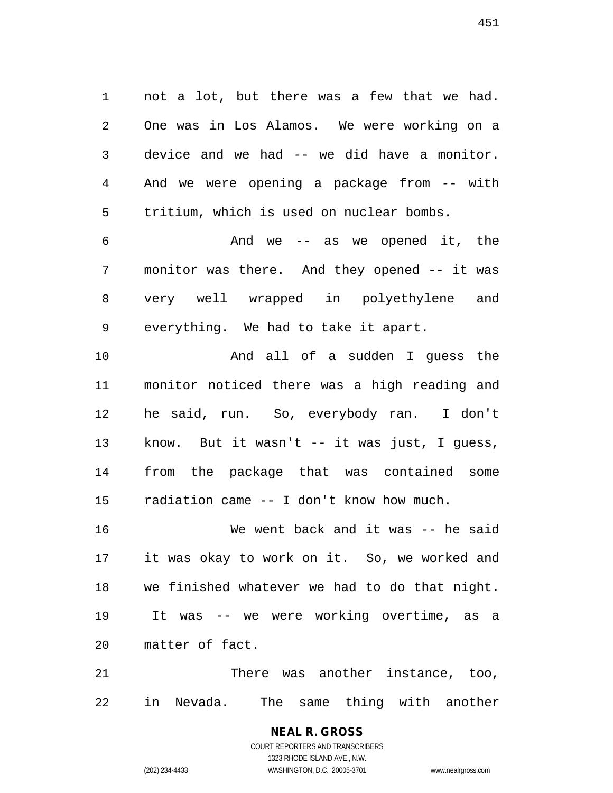1 not a lot, but there was a few that we had. 2 One was in Los Alamos. We were working on a 3 device and we had -- we did have a monitor. 4 And we were opening a package from -- with 5 tritium, which is used on nuclear bombs.

6 And we -- as we opened it, the 7 monitor was there. And they opened -- it was 8 very well wrapped in polyethylene and 9 everything. We had to take it apart.

10 And all of a sudden I guess the 11 monitor noticed there was a high reading and 12 he said, run. So, everybody ran. I don't 13 know. But it wasn't -- it was just, I guess, 14 from the package that was contained some 15 radiation came -- I don't know how much.

16 We went back and it was -- he said 17 it was okay to work on it. So, we worked and 18 we finished whatever we had to do that night. 19 It was -- we were working overtime, as a 20 matter of fact.

21 There was another instance, too, 22 in Nevada. The same thing with another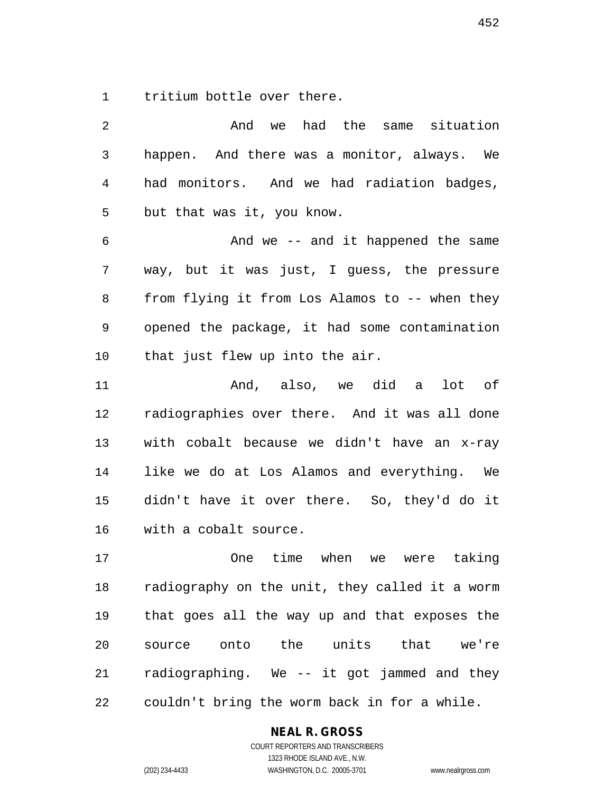1 tritium bottle over there.

| 2              | And we had the same situation                  |
|----------------|------------------------------------------------|
| 3              | happen. And there was a monitor, always. We    |
| $\overline{4}$ | had monitors. And we had radiation badges,     |
| 5              | but that was it, you know.                     |
| 6              | And we -- and it happened the same             |
| 7              | way, but it was just, I guess, the pressure    |
| 8              | from flying it from Los Alamos to -- when they |
| 9              | opened the package, it had some contamination  |
| 10             | that just flew up into the air.                |
| 11             | And, also, we did a lot of                     |
| 12             | radiographies over there. And it was all done  |
| 13             | with cobalt because we didn't have an x-ray    |
| 14             | like we do at Los Alamos and everything. We    |
| 15             | didn't have it over there. So, they'd do it    |
| 16             | with a cobalt source.                          |
| 17             | One time when<br>we were taking                |
| 18             | radiography on the unit, they called it a worm |
| 19             | that goes all the way up and that exposes the  |
| 20             | source onto the units that we're               |
| 21             | radiographing. We -- it got jammed and they    |
| 22             | couldn't bring the worm back in for a while.   |

**NEAL R. GROSS**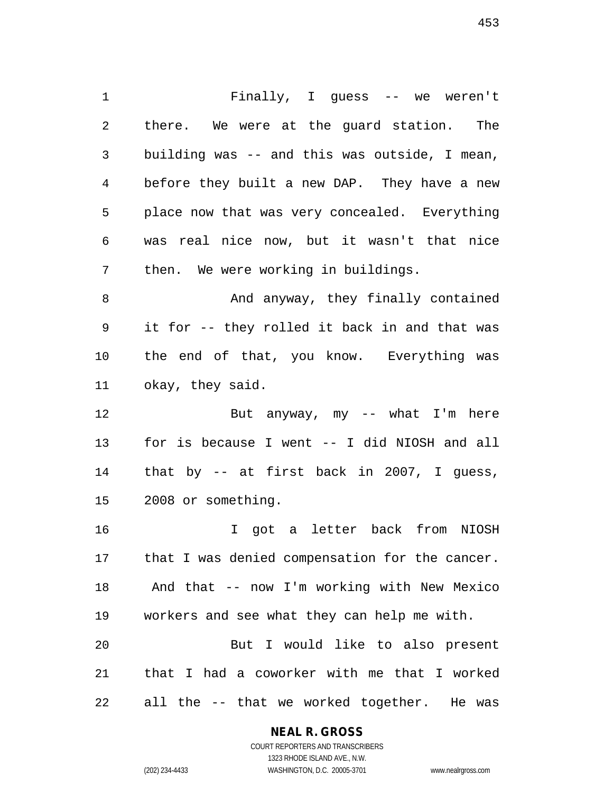1 Finally, I guess -- we weren't 2 there. We were at the guard station. The 3 building was -- and this was outside, I mean, 4 before they built a new DAP. They have a new 5 place now that was very concealed. Everything 6 was real nice now, but it wasn't that nice 7 then. We were working in buildings. 8 And anyway, they finally contained

9 it for -- they rolled it back in and that was 10 the end of that, you know. Everything was 11 okay, they said.

12 But anyway, my -- what I'm here 13 for is because I went -- I did NIOSH and all 14 that by -- at first back in 2007, I guess, 15 2008 or something.

16 I got a letter back from NIOSH 17 that I was denied compensation for the cancer. 18 And that -- now I'm working with New Mexico 19 workers and see what they can help me with. 20 But I would like to also present 21 that I had a coworker with me that I worked

22 all the -- that we worked together. He was

#### **NEAL R. GROSS**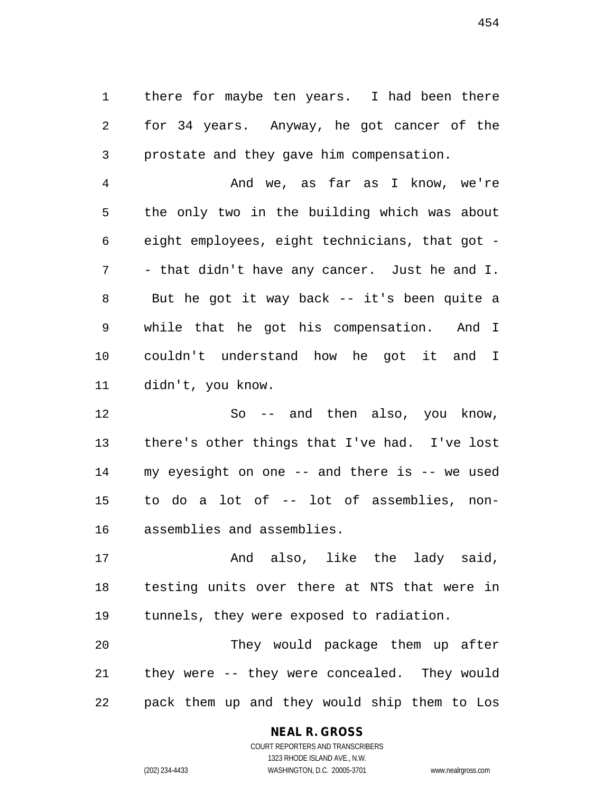1 there for maybe ten years. I had been there 2 for 34 years. Anyway, he got cancer of the 3 prostate and they gave him compensation.

4 And we, as far as I know, we're 5 the only two in the building which was about 6 eight employees, eight technicians, that got - 7 - that didn't have any cancer. Just he and I. 8 But he got it way back -- it's been quite a 9 while that he got his compensation. And I 10 couldn't understand how he got it and I 11 didn't, you know.

12 So -- and then also, you know, 13 there's other things that I've had. I've lost 14 my eyesight on one -- and there is -- we used 15 to do a lot of -- lot of assemblies, non-16 assemblies and assemblies.

17 and also, like the lady said, 18 testing units over there at NTS that were in 19 tunnels, they were exposed to radiation.

20 They would package them up after 21 they were -- they were concealed. They would 22 pack them up and they would ship them to Los

#### **NEAL R. GROSS**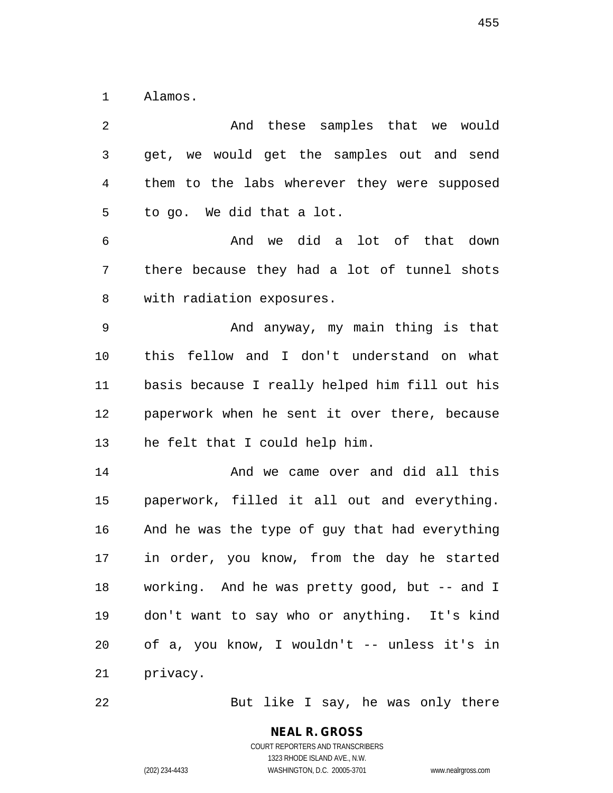1 Alamos.

2 And these samples that we would 3 get, we would get the samples out and send 4 them to the labs wherever they were supposed 5 to go. We did that a lot. 6 And we did a lot of that down 7 there because they had a lot of tunnel shots 8 with radiation exposures. 9 And anyway, my main thing is that 10 this fellow and I don't understand on what 11 basis because I really helped him fill out his 12 paperwork when he sent it over there, because 13 he felt that I could help him. 14 And we came over and did all this 15 paperwork, filled it all out and everything. 16 And he was the type of guy that had everything 17 in order, you know, from the day he started 18 working. And he was pretty good, but -- and I 19 don't want to say who or anything. It's kind 20 of a, you know, I wouldn't -- unless it's in 21 privacy.

22 But like I say, he was only there

**NEAL R. GROSS** COURT REPORTERS AND TRANSCRIBERS 1323 RHODE ISLAND AVE., N.W. (202) 234-4433 WASHINGTON, D.C. 20005-3701 www.nealrgross.com

455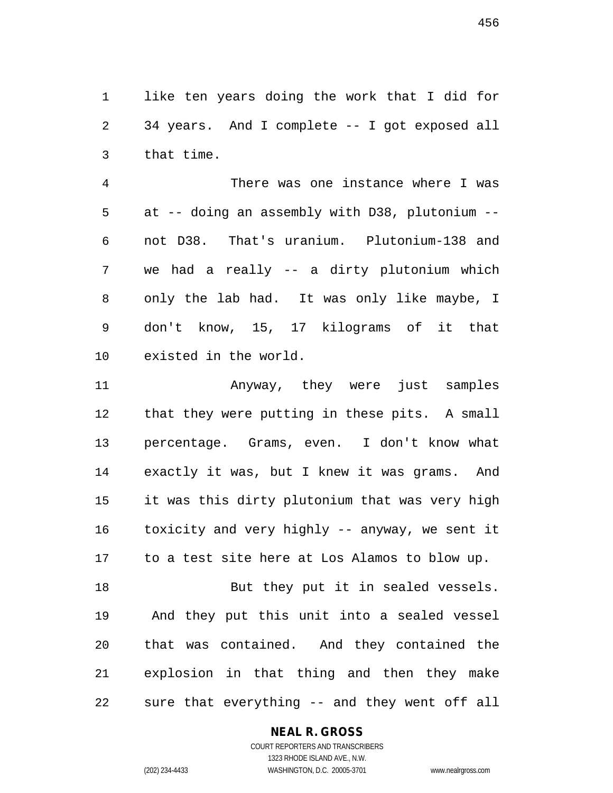1 like ten years doing the work that I did for 2 34 years. And I complete -- I got exposed all 3 that time.

4 There was one instance where I was 5 at -- doing an assembly with D38, plutonium -- 6 not D38. That's uranium. Plutonium-138 and 7 we had a really -- a dirty plutonium which 8 only the lab had. It was only like maybe, I 9 don't know, 15, 17 kilograms of it that 10 existed in the world.

11 Anyway, they were just samples 12 that they were putting in these pits. A small 13 percentage. Grams, even. I don't know what 14 exactly it was, but I knew it was grams. And 15 it was this dirty plutonium that was very high 16 toxicity and very highly -- anyway, we sent it 17 to a test site here at Los Alamos to blow up.

18 But they put it in sealed vessels. 19 And they put this unit into a sealed vessel 20 that was contained. And they contained the 21 explosion in that thing and then they make 22 sure that everything -- and they went off all

#### **NEAL R. GROSS**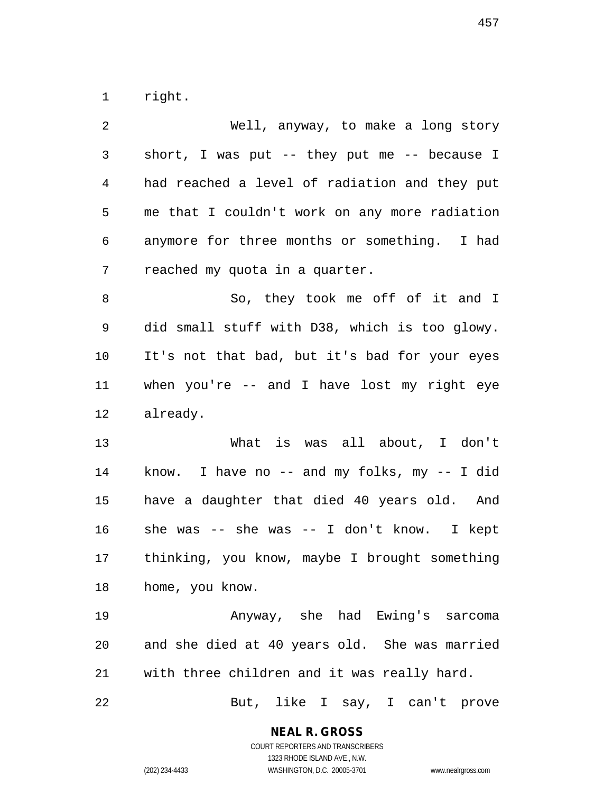1 right.

| 2  | Well, anyway, to make a long story             |
|----|------------------------------------------------|
| 3  | short, I was put -- they put me -- because I   |
| 4  | had reached a level of radiation and they put  |
| 5  | me that I couldn't work on any more radiation  |
| 6  | anymore for three months or something. I had   |
| 7  | reached my quota in a quarter.                 |
| 8  | So, they took me off of it and I               |
| 9  | did small stuff with D38, which is too glowy.  |
| 10 | It's not that bad, but it's bad for your eyes  |
| 11 | when you're $--$ and I have lost my right eye  |
| 12 | already.                                       |
| 13 | What is was all about, I don't                 |
| 14 | know. I have no $-$ and my folks, my $-$ I did |
| 15 | have a daughter that died 40 years old. And    |
| 16 | she was $-$ she was $-$ I don't know. I kept   |
| 17 | thinking, you know, maybe I brought something  |
| 18 | home, you know.                                |
| 19 | Anyway, she had Ewing's sarcoma                |
| 20 | and she died at 40 years old. She was married  |
| 21 | with three children and it was really hard.    |
| 22 | But, like I say, I can't prove                 |

1323 RHODE ISLAND AVE., N.W.

(202) 234-4433 WASHINGTON, D.C. 20005-3701 www.nealrgross.com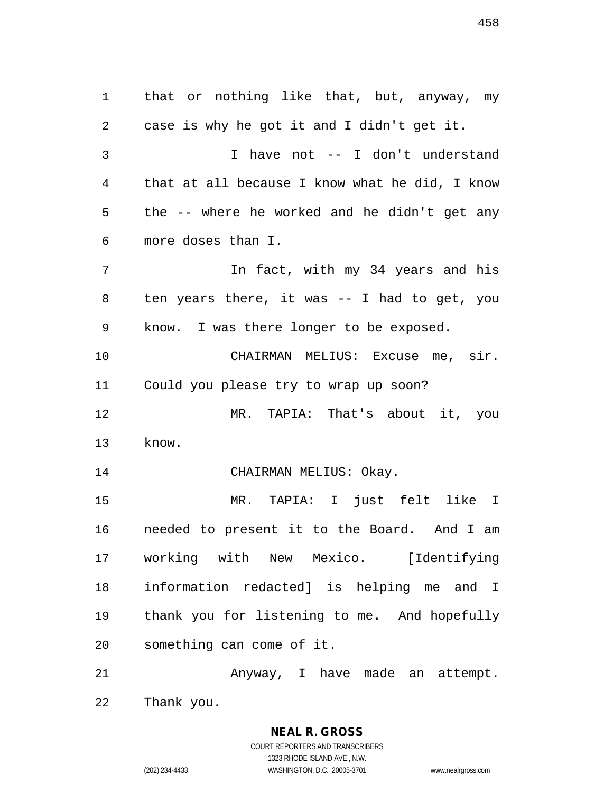1 that or nothing like that, but, anyway, my 2 case is why he got it and I didn't get it. 3 I have not -- I don't understand 4 that at all because I know what he did, I know 5 the -- where he worked and he didn't get any 6 more doses than I. 7 In fact, with my 34 years and his 8 ten years there, it was -- I had to get, you 9 know. I was there longer to be exposed. 10 CHAIRMAN MELIUS: Excuse me, sir. 11 Could you please try to wrap up soon? 12 MR. TAPIA: That's about it, you 13 know. 14 CHAIRMAN MELIUS: Okay. 15 MR. TAPIA: I just felt like I 16 needed to present it to the Board. And I am 17 working with New Mexico. [Identifying 18 information redacted] is helping me and I 19 thank you for listening to me. And hopefully 20 something can come of it. 21 Anyway, I have made an attempt.

> **NEAL R. GROSS** COURT REPORTERS AND TRANSCRIBERS 1323 RHODE ISLAND AVE., N.W.

22 Thank you.

(202) 234-4433 WASHINGTON, D.C. 20005-3701 www.nealrgross.com

458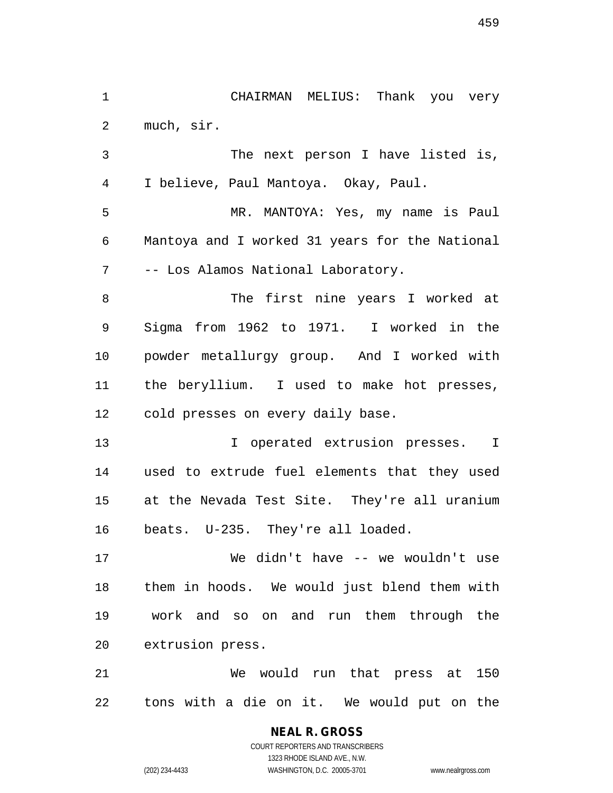2 much, sir. 3 The next person I have listed is, 4 I believe, Paul Mantoya. Okay, Paul. 5 MR. MANTOYA: Yes, my name is Paul 6 Mantoya and I worked 31 years for the National 7 -- Los Alamos National Laboratory. 8 The first nine years I worked at 9 Sigma from 1962 to 1971. I worked in the

1 CHAIRMAN MELIUS: Thank you very

10 powder metallurgy group. And I worked with 11 the beryllium. I used to make hot presses, 12 cold presses on every daily base.

13 13 I operated extrusion presses. I 14 used to extrude fuel elements that they used 15 at the Nevada Test Site. They're all uranium 16 beats. U-235. They're all loaded.

17 We didn't have -- we wouldn't use 18 them in hoods. We would just blend them with 19 work and so on and run them through the 20 extrusion press.

21 We would run that press at 150 22 tons with a die on it. We would put on the

> COURT REPORTERS AND TRANSCRIBERS 1323 RHODE ISLAND AVE., N.W. (202) 234-4433 WASHINGTON, D.C. 20005-3701 www.nealrgross.com

**NEAL R. GROSS**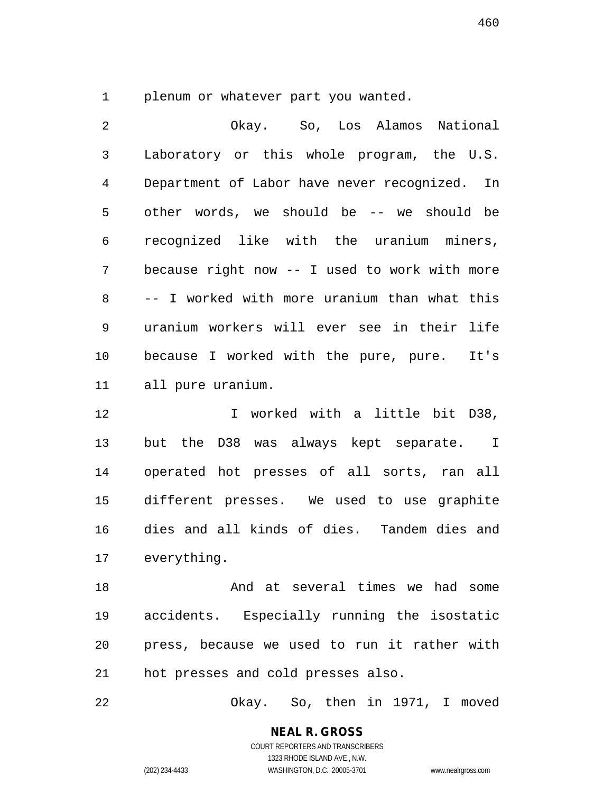1 plenum or whatever part you wanted.

2 Okay. So, Los Alamos National 3 Laboratory or this whole program, the U.S. 4 Department of Labor have never recognized. In 5 other words, we should be -- we should be 6 recognized like with the uranium miners, 7 because right now -- I used to work with more 8 -- I worked with more uranium than what this 9 uranium workers will ever see in their life 10 because I worked with the pure, pure. It's 11 all pure uranium.

12 I worked with a little bit D38, 13 but the D38 was always kept separate. I 14 operated hot presses of all sorts, ran all 15 different presses. We used to use graphite 16 dies and all kinds of dies. Tandem dies and 17 everything.

18 And at several times we had some 19 accidents. Especially running the isostatic 20 press, because we used to run it rather with 21 hot presses and cold presses also.

22 Okay. So, then in 1971, I moved

**NEAL R. GROSS** COURT REPORTERS AND TRANSCRIBERS 1323 RHODE ISLAND AVE., N.W.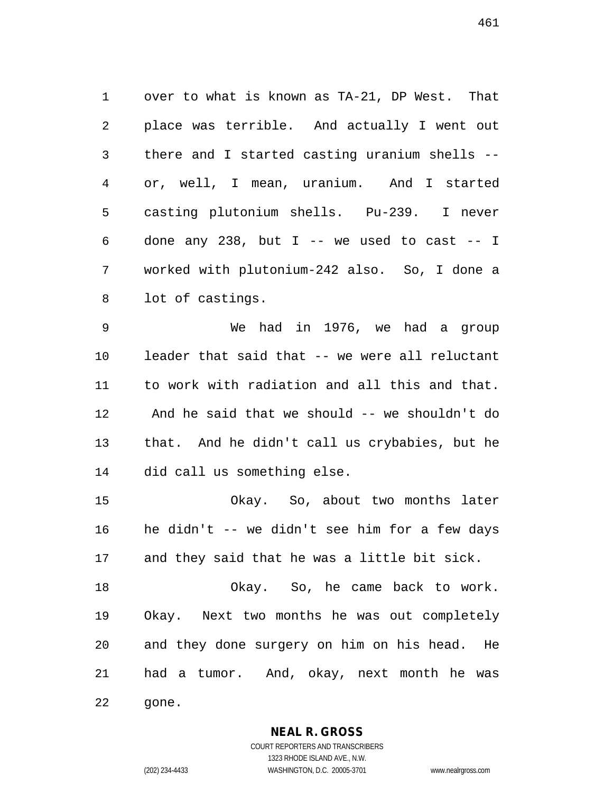1 over to what is known as TA-21, DP West. That 2 place was terrible. And actually I went out 3 there and I started casting uranium shells -- 4 or, well, I mean, uranium. And I started 5 casting plutonium shells. Pu-239. I never 6 done any 238, but  $I$  -- we used to cast -- I 7 worked with plutonium-242 also. So, I done a 8 lot of castings.

9 We had in 1976, we had a group 10 leader that said that -- we were all reluctant 11 to work with radiation and all this and that. 12 And he said that we should -- we shouldn't do 13 that. And he didn't call us crybabies, but he 14 did call us something else.

15 Okay. So, about two months later 16 he didn't -- we didn't see him for a few days 17 and they said that he was a little bit sick.

18 Okay. So, he came back to work. 19 Okay. Next two months he was out completely 20 and they done surgery on him on his head. He 21 had a tumor. And, okay, next month he was 22 gone.

**NEAL R. GROSS**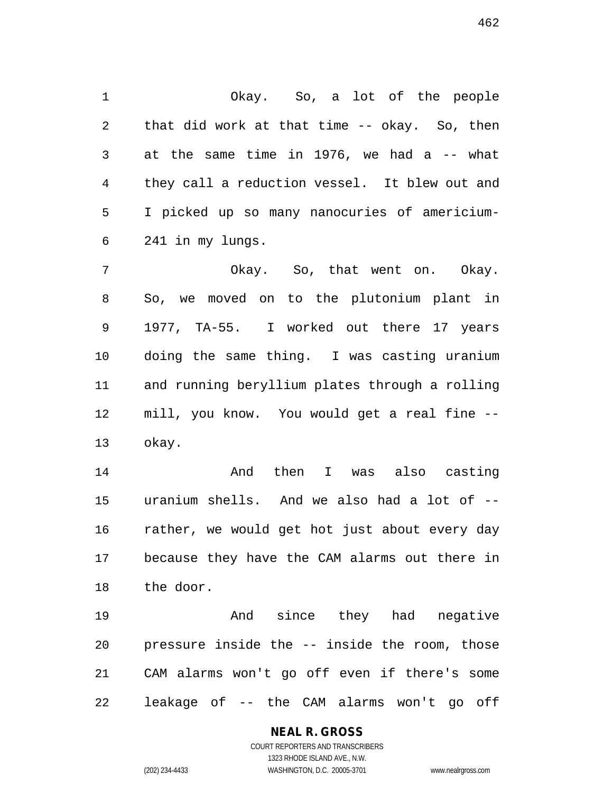1 Okay. So, a lot of the people 2 that did work at that time -- okay. So, then 3 at the same time in 1976, we had a -- what 4 they call a reduction vessel. It blew out and 5 I picked up so many nanocuries of americium-6 241 in my lungs.

7 Okay. So, that went on. Okay. 8 So, we moved on to the plutonium plant in 9 1977, TA-55. I worked out there 17 years 10 doing the same thing. I was casting uranium 11 and running beryllium plates through a rolling 12 mill, you know. You would get a real fine -- 13 okay.

14 And then I was also casting 15 uranium shells. And we also had a lot of -- 16 rather, we would get hot just about every day 17 because they have the CAM alarms out there in 18 the door.

19 And since they had negative 20 pressure inside the -- inside the room, those 21 CAM alarms won't go off even if there's some 22 leakage of -- the CAM alarms won't go off

# **NEAL R. GROSS**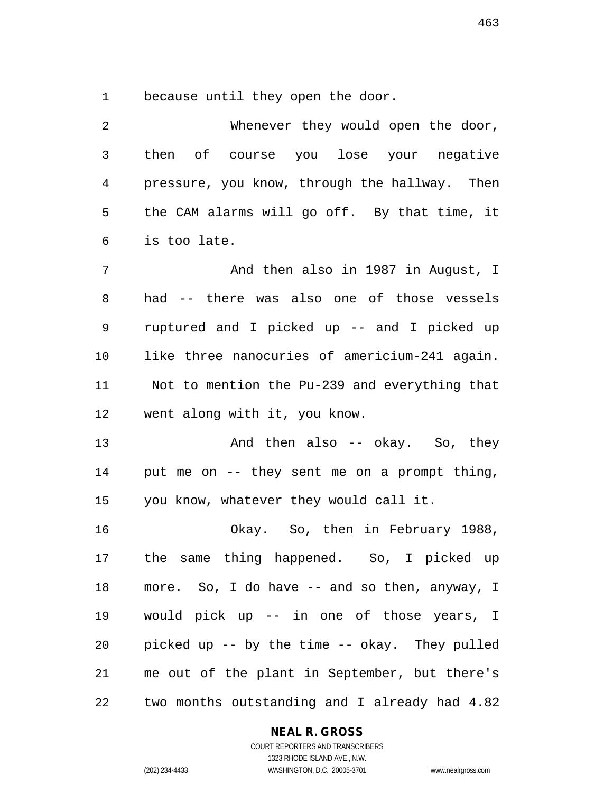1 because until they open the door.

| 2              | Whenever they would open the door,            |
|----------------|-----------------------------------------------|
| $\mathfrak{Z}$ | then of course you lose your negative         |
| 4              | pressure, you know, through the hallway. Then |
| 5              | the CAM alarms will go off. By that time, it  |
| 6              | is too late.                                  |
| 7              | And then also in 1987 in August, I            |
| 8              | had -- there was also one of those vessels    |
| 9              | ruptured and I picked up -- and I picked up   |
| 10             | like three nanocuries of americium-241 again. |
| 11             | Not to mention the Pu-239 and everything that |
| 12             | went along with it, you know.                 |
| 13             | And then also -- okay. So, they               |
| 14             | put me on -- they sent me on a prompt thing,  |
| 15             | you know, whatever they would call it.        |
| 16             | Okay. So, then in February 1988,              |
| 17             | same thing happened. So, I picked up<br>the   |
| 18             | more. So, I do have -- and so then, anyway, I |
| 19             | would pick up -- in one of those years, I     |
| 20             | picked up -- by the time -- okay. They pulled |
| 21             | me out of the plant in September, but there's |
| 22             | two months outstanding and I already had 4.82 |

### **NEAL R. GROSS**

463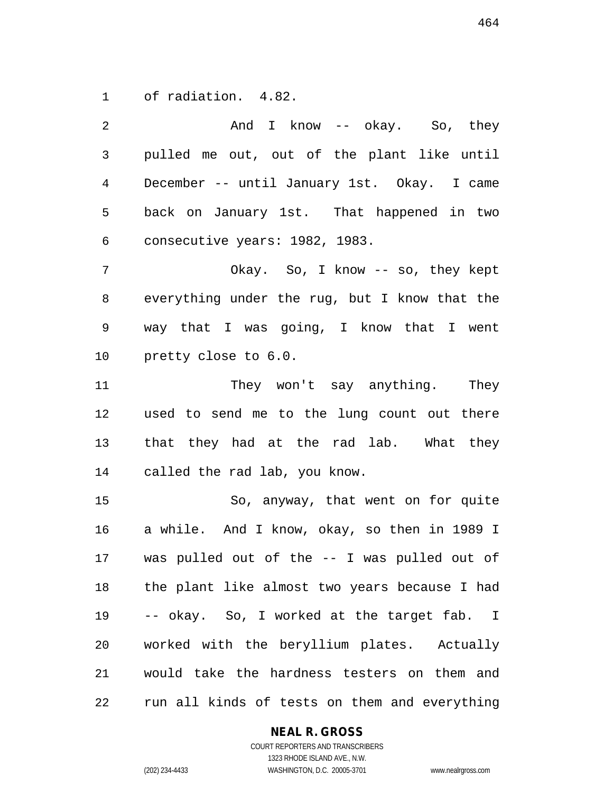1 of radiation. 4.82.

2 And I know -- okay. So, they 3 pulled me out, out of the plant like until 4 December -- until January 1st. Okay. I came 5 back on January 1st. That happened in two 6 consecutive years: 1982, 1983. 7 Okay. So, I know -- so, they kept 8 everything under the rug, but I know that the 9 way that I was going, I know that I went 10 pretty close to 6.0. 11 They won't say anything. They 12 used to send me to the lung count out there 13 that they had at the rad lab. What they 14 called the rad lab, you know. 15 So, anyway, that went on for quite 16 a while. And I know, okay, so then in 1989 I 17 was pulled out of the -- I was pulled out of 18 the plant like almost two years because I had 19 -- okay. So, I worked at the target fab. I 20 worked with the beryllium plates. Actually 21 would take the hardness testers on them and 22 run all kinds of tests on them and everything

#### **NEAL R. GROSS**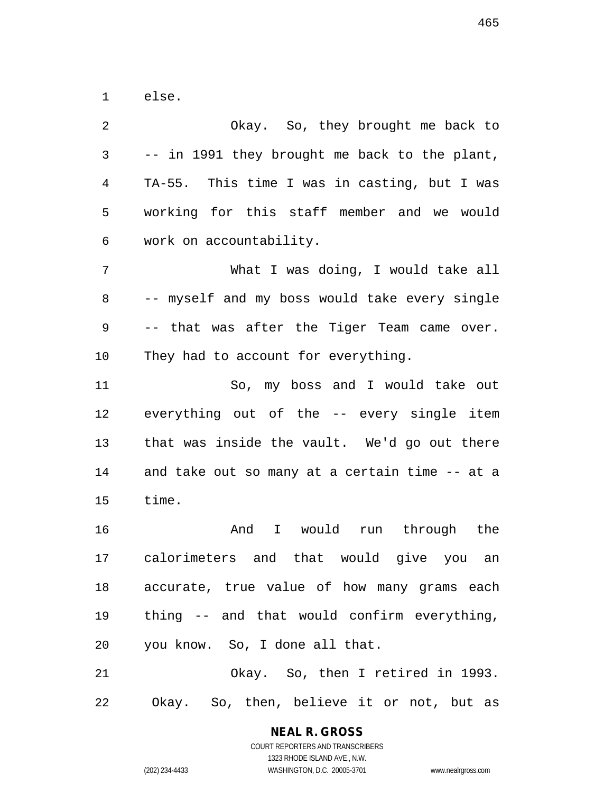1 else.

2 Okay. So, they brought me back to 3 -- in 1991 they brought me back to the plant, 4 TA-55. This time I was in casting, but I was 5 working for this staff member and we would 6 work on accountability. 7 What I was doing, I would take all 8 -- myself and my boss would take every single 9 -- that was after the Tiger Team came over. 10 They had to account for everything. 11 So, my boss and I would take out 12 everything out of the -- every single item 13 that was inside the vault. We'd go out there 14 and take out so many at a certain time -- at a 15 time. 16 And I would run through the 17 calorimeters and that would give you an 18 accurate, true value of how many grams each 19 thing -- and that would confirm everything, 20 you know. So, I done all that. 21 Okay. So, then I retired in 1993. 22 Okay. So, then, believe it or not, but as

COURT REPORTERS AND TRANSCRIBERS 1323 RHODE ISLAND AVE., N.W. (202) 234-4433 WASHINGTON, D.C. 20005-3701 www.nealrgross.com

465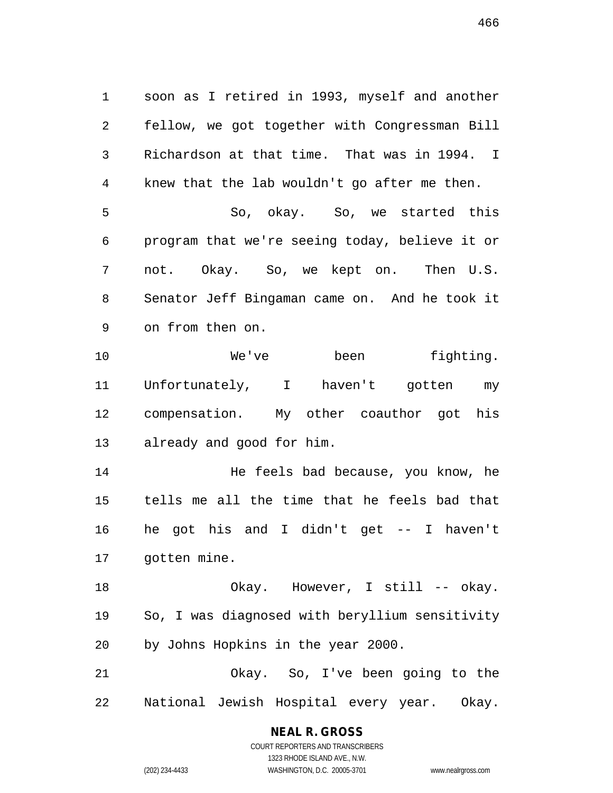1 soon as I retired in 1993, myself and another 2 fellow, we got together with Congressman Bill 3 Richardson at that time. That was in 1994. I 4 knew that the lab wouldn't go after me then. 5 So, okay. So, we started this 6 program that we're seeing today, believe it or 7 not. Okay. So, we kept on. Then U.S. 8 Senator Jeff Bingaman came on. And he took it 9 on from then on.

10 We've been fighting. 11 Unfortunately, I haven't gotten my 12 compensation. My other coauthor got his 13 already and good for him.

14 He feels bad because, you know, he 15 tells me all the time that he feels bad that 16 he got his and I didn't get -- I haven't 17 gotten mine.

18 Okay. However, I still -- okay. 19 So, I was diagnosed with beryllium sensitivity 20 by Johns Hopkins in the year 2000.

21 Okay. So, I've been going to the 22 National Jewish Hospital every year. Okay.

# **NEAL R. GROSS**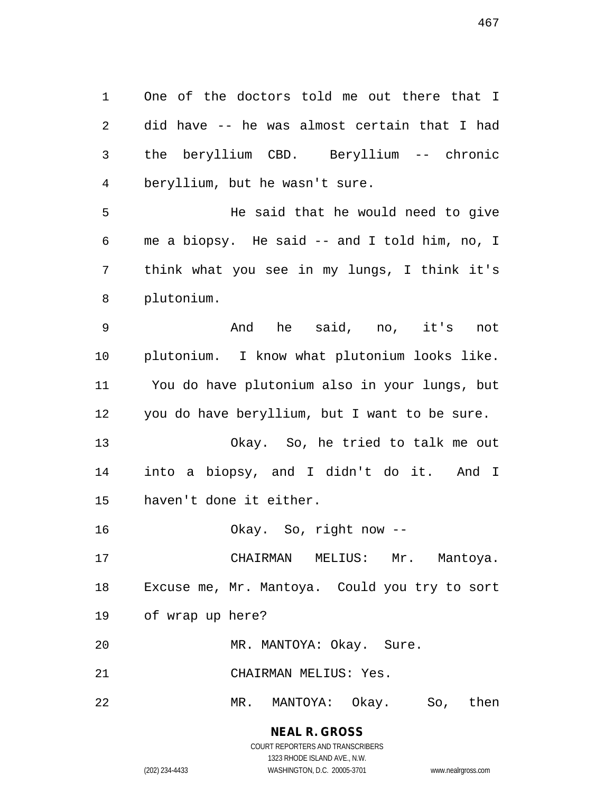1 One of the doctors told me out there that I 2 did have -- he was almost certain that I had 3 the beryllium CBD. Beryllium -- chronic 4 beryllium, but he wasn't sure.

5 He said that he would need to give 6 me a biopsy. He said -- and I told him, no, I 7 think what you see in my lungs, I think it's 8 plutonium.

9 And he said, no, it's not 10 plutonium. I know what plutonium looks like. 11 You do have plutonium also in your lungs, but 12 you do have beryllium, but I want to be sure.

13 Okay. So, he tried to talk me out 14 into a biopsy, and I didn't do it. And I 15 haven't done it either.

16 Okay. So, right now --

17 CHAIRMAN MELIUS: Mr. Mantoya. 18 Excuse me, Mr. Mantoya. Could you try to sort 19 of wrap up here?

20 MR. MANTOYA: Okay. Sure.

21 CHAIRMAN MELIUS: Yes.

22 MR. MANTOYA: Okay. So, then

# **NEAL R. GROSS**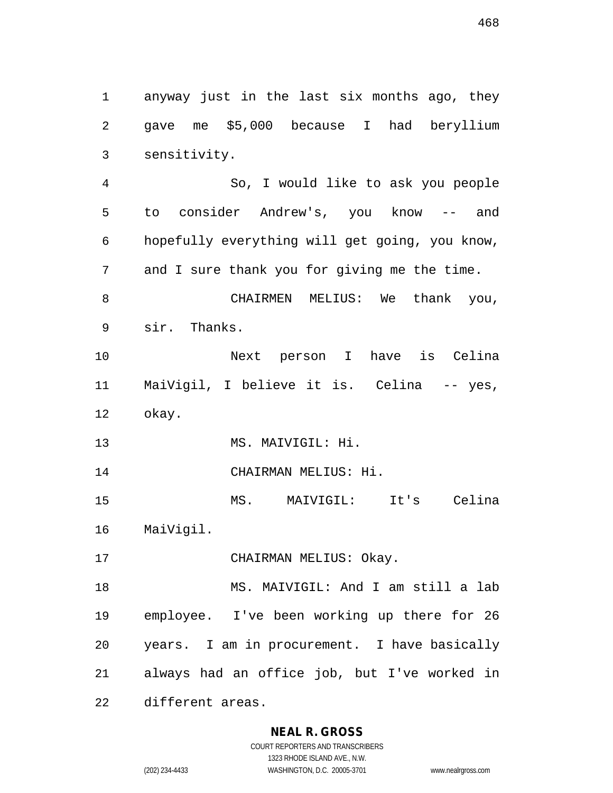1 anyway just in the last six months ago, they 2 gave me \$5,000 because I had beryllium

3 sensitivity.

4 So, I would like to ask you people 5 to consider Andrew's, you know -- and 6 hopefully everything will get going, you know, 7 and I sure thank you for giving me the time. 8 CHAIRMEN MELIUS: We thank you, 9 sir. Thanks. 10 Next person I have is Celina 11 MaiVigil, I believe it is. Celina -- yes, 12 okay. 13 MS. MAIVIGIL: Hi. 14 CHAIRMAN MELIUS: Hi. 15 MS. MAIVIGIL: It's Celina 16 MaiVigil. 17 CHAIRMAN MELIUS: Okay. 18 MS. MAIVIGIL: And I am still a lab 19 employee. I've been working up there for 26

20 years. I am in procurement. I have basically

21 always had an office job, but I've worked in

22 different areas.

### **NEAL R. GROSS**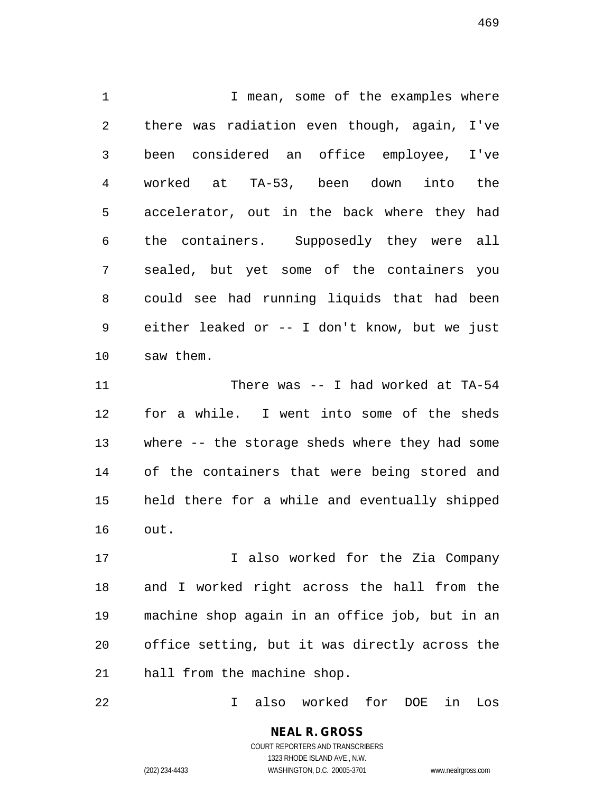1 1 I mean, some of the examples where 2 there was radiation even though, again, I've 3 been considered an office employee, I've 4 worked at TA-53, been down into the 5 accelerator, out in the back where they had 6 the containers. Supposedly they were all 7 sealed, but yet some of the containers you 8 could see had running liquids that had been 9 either leaked or -- I don't know, but we just 10 saw them.

11 There was -- I had worked at TA-54 12 for a while. I went into some of the sheds 13 where -- the storage sheds where they had some 14 of the containers that were being stored and 15 held there for a while and eventually shipped 16 out.

17 17 I also worked for the Zia Company 18 and I worked right across the hall from the 19 machine shop again in an office job, but in an 20 office setting, but it was directly across the 21 hall from the machine shop.

22 I also worked for DOE in Los

#### **NEAL R. GROSS** COURT REPORTERS AND TRANSCRIBERS 1323 RHODE ISLAND AVE., N.W.

(202) 234-4433 WASHINGTON, D.C. 20005-3701 www.nealrgross.com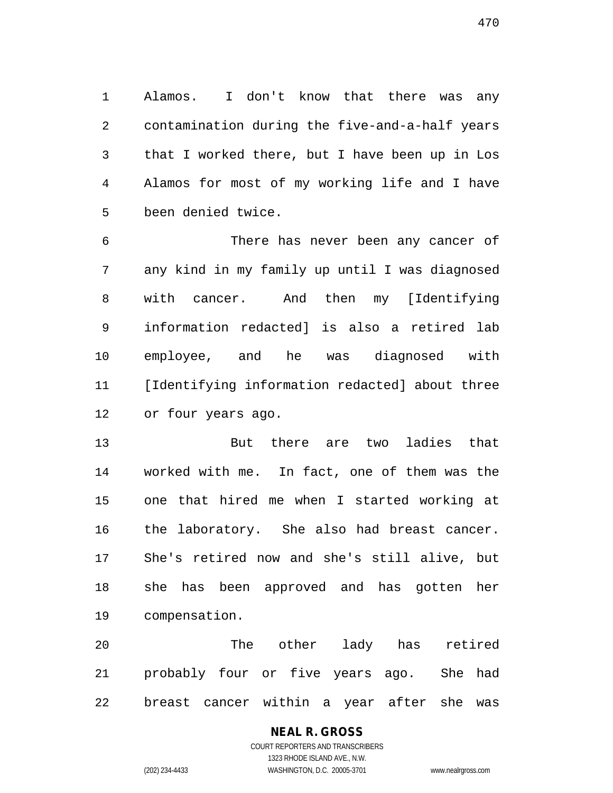1 Alamos. I don't know that there was any 2 contamination during the five-and-a-half years 3 that I worked there, but I have been up in Los 4 Alamos for most of my working life and I have 5 been denied twice.

6 There has never been any cancer of 7 any kind in my family up until I was diagnosed 8 with cancer. And then my [Identifying 9 information redacted] is also a retired lab 10 employee, and he was diagnosed with 11 [Identifying information redacted] about three 12 or four years ago.

13 But there are two ladies that 14 worked with me. In fact, one of them was the 15 one that hired me when I started working at 16 the laboratory. She also had breast cancer. 17 She's retired now and she's still alive, but 18 she has been approved and has gotten her 19 compensation.

20 The other lady has retired 21 probably four or five years ago. She had 22 breast cancer within a year after she was

# **NEAL R. GROSS**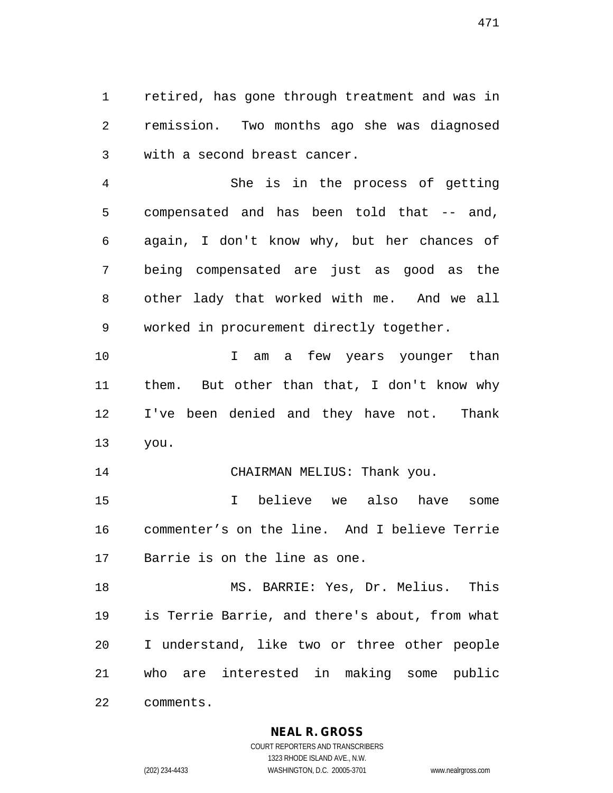1 retired, has gone through treatment and was in 2 remission. Two months ago she was diagnosed 3 with a second breast cancer.

4 She is in the process of getting 5 compensated and has been told that -- and, 6 again, I don't know why, but her chances of 7 being compensated are just as good as the 8 other lady that worked with me. And we all 9 worked in procurement directly together.

10 10 I am a few years younger than 11 them. But other than that, I don't know why 12 I've been denied and they have not. Thank 13 you.

14 CHAIRMAN MELIUS: Thank you.

15 I believe we also have some 16 commenter's on the line. And I believe Terrie 17 Barrie is on the line as one.

18 MS. BARRIE: Yes, Dr. Melius. This 19 is Terrie Barrie, and there's about, from what 20 I understand, like two or three other people 21 who are interested in making some public 22 comments.

**NEAL R. GROSS**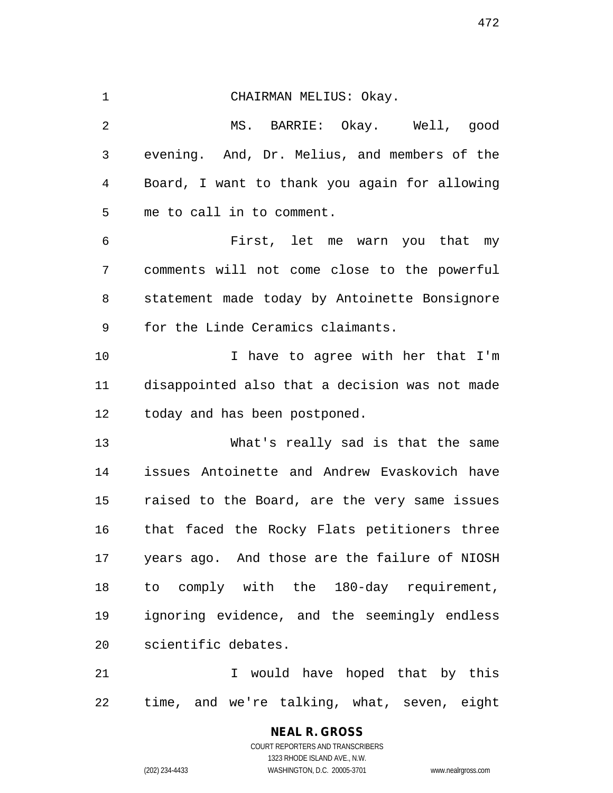1 CHAIRMAN MELIUS: Okay. 2 MS. BARRIE: Okay. Well, good 3 evening. And, Dr. Melius, and members of the 4 Board, I want to thank you again for allowing 5 me to call in to comment. 6 First, let me warn you that my 7 comments will not come close to the powerful 8 statement made today by Antoinette Bonsignore 9 for the Linde Ceramics claimants. 10 I have to agree with her that I'm 11 disappointed also that a decision was not made 12 today and has been postponed. 13 What's really sad is that the same 14 issues Antoinette and Andrew Evaskovich have 15 raised to the Board, are the very same issues 16 that faced the Rocky Flats petitioners three 17 years ago. And those are the failure of NIOSH 18 to comply with the 180-day requirement, 19 ignoring evidence, and the seemingly endless 20 scientific debates. 21 I would have hoped that by this 22 time, and we're talking, what, seven, eight

> **NEAL R. GROSS** COURT REPORTERS AND TRANSCRIBERS 1323 RHODE ISLAND AVE., N.W. (202) 234-4433 WASHINGTON, D.C. 20005-3701 www.nealrgross.com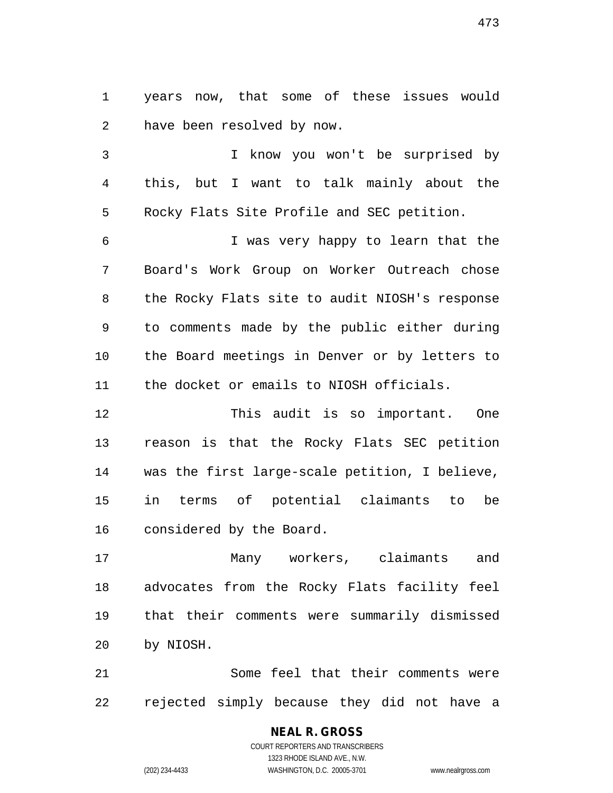1 years now, that some of these issues would 2 have been resolved by now.

3 I know you won't be surprised by 4 this, but I want to talk mainly about the 5 Rocky Flats Site Profile and SEC petition.

6 I was very happy to learn that the 7 Board's Work Group on Worker Outreach chose 8 the Rocky Flats site to audit NIOSH's response 9 to comments made by the public either during 10 the Board meetings in Denver or by letters to 11 the docket or emails to NIOSH officials.

12 This audit is so important. One 13 reason is that the Rocky Flats SEC petition 14 was the first large-scale petition, I believe, 15 in terms of potential claimants to be 16 considered by the Board.

17 Many workers, claimants and 18 advocates from the Rocky Flats facility feel 19 that their comments were summarily dismissed 20 by NIOSH.

21 Some feel that their comments were 22 rejected simply because they did not have a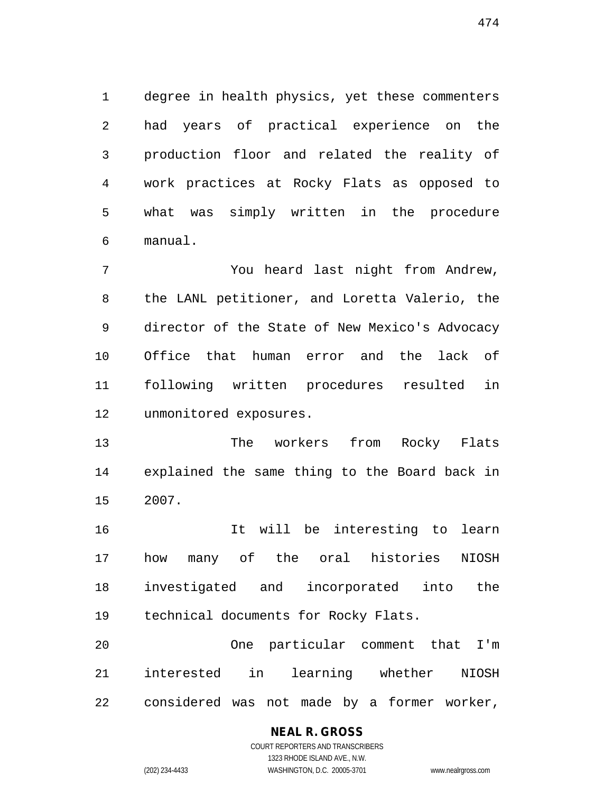1 degree in health physics, yet these commenters 2 had years of practical experience on the 3 production floor and related the reality of 4 work practices at Rocky Flats as opposed to 5 what was simply written in the procedure 6 manual.

7 You heard last night from Andrew, 8 the LANL petitioner, and Loretta Valerio, the 9 director of the State of New Mexico's Advocacy 10 Office that human error and the lack of 11 following written procedures resulted in 12 unmonitored exposures.

13 The workers from Rocky Flats 14 explained the same thing to the Board back in 15 2007.

16 It will be interesting to learn 17 how many of the oral histories NIOSH 18 investigated and incorporated into the 19 technical documents for Rocky Flats.

20 One particular comment that I'm 21 interested in learning whether NIOSH 22 considered was not made by a former worker,

### **NEAL R. GROSS**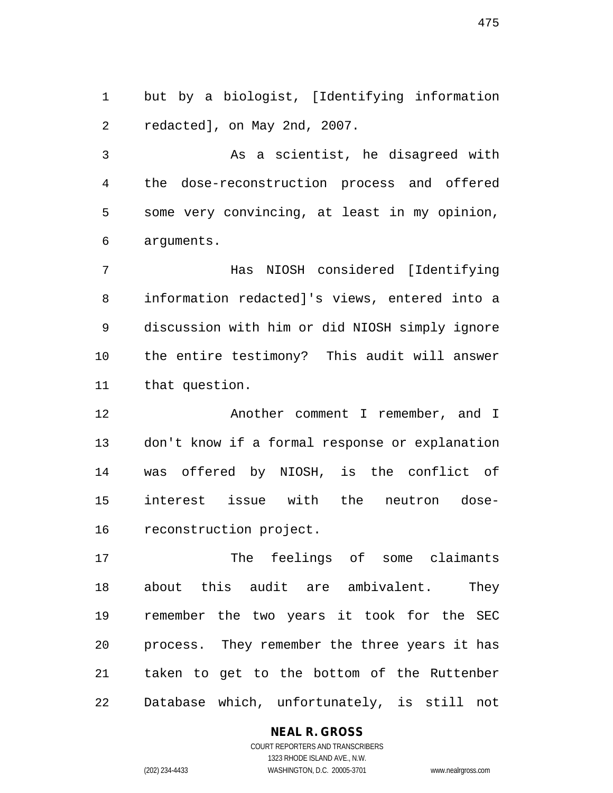1 but by a biologist, [Identifying information 2 redacted], on May 2nd, 2007.

3 As a scientist, he disagreed with 4 the dose-reconstruction process and offered 5 some very convincing, at least in my opinion, 6 arguments.

7 Has NIOSH considered [Identifying 8 information redacted]'s views, entered into a 9 discussion with him or did NIOSH simply ignore 10 the entire testimony? This audit will answer 11 that question.

12 Another comment I remember, and I 13 don't know if a formal response or explanation 14 was offered by NIOSH, is the conflict of 15 interest issue with the neutron dose-16 reconstruction project.

17 The feelings of some claimants 18 about this audit are ambivalent. They 19 remember the two years it took for the SEC 20 process. They remember the three years it has 21 taken to get to the bottom of the Ruttenber 22 Database which, unfortunately, is still not

#### **NEAL R. GROSS**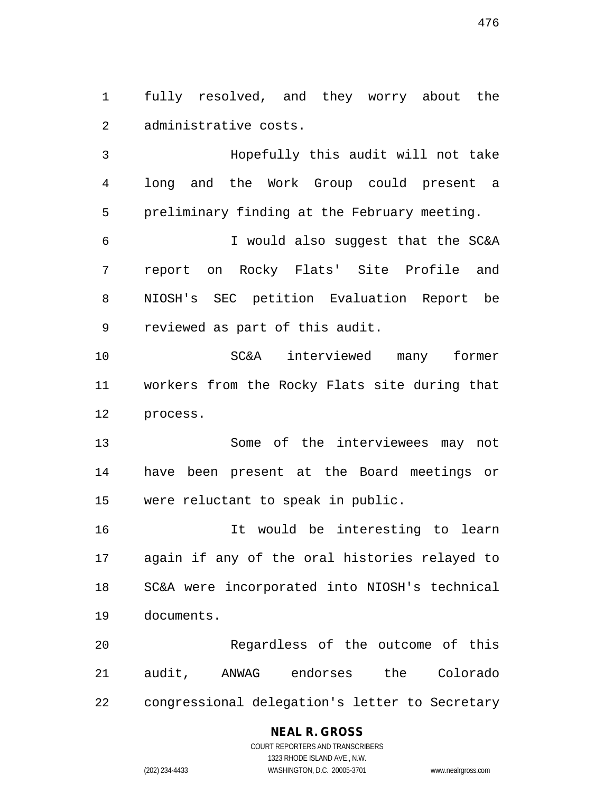1 fully resolved, and they worry about the 2 administrative costs.

3 Hopefully this audit will not take 4 long and the Work Group could present a 5 preliminary finding at the February meeting.

6 I would also suggest that the SC&A 7 report on Rocky Flats' Site Profile and 8 NIOSH's SEC petition Evaluation Report be 9 reviewed as part of this audit.

10 SC&A interviewed many former 11 workers from the Rocky Flats site during that 12 process.

13 Some of the interviewees may not 14 have been present at the Board meetings or 15 were reluctant to speak in public.

16 It would be interesting to learn 17 again if any of the oral histories relayed to 18 SC&A were incorporated into NIOSH's technical 19 documents.

20 Regardless of the outcome of this 21 audit, ANWAG endorses the Colorado 22 congressional delegation's letter to Secretary

#### **NEAL R. GROSS**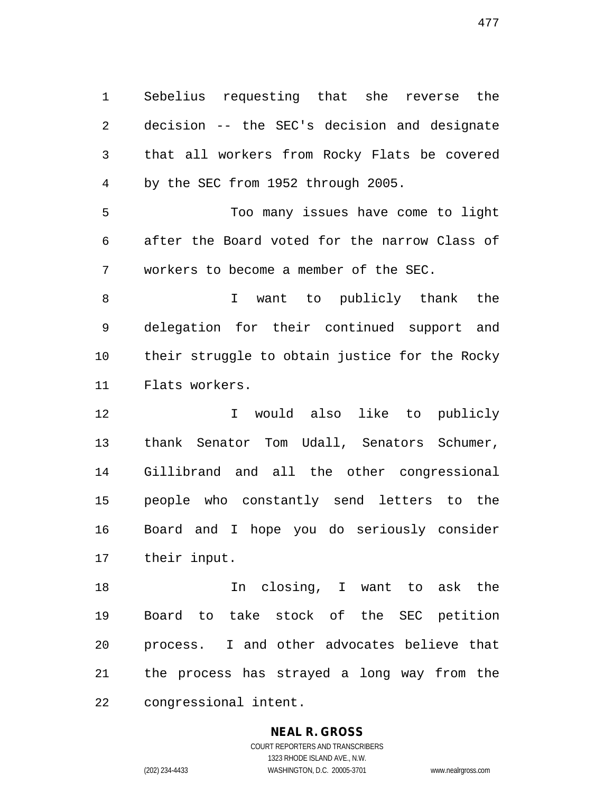1 Sebelius requesting that she reverse the 2 decision -- the SEC's decision and designate 3 that all workers from Rocky Flats be covered 4 by the SEC from 1952 through 2005.

5 Too many issues have come to light 6 after the Board voted for the narrow Class of 7 workers to become a member of the SEC.

8 I want to publicly thank the 9 delegation for their continued support and 10 their struggle to obtain justice for the Rocky 11 Flats workers.

12 I would also like to publicly 13 thank Senator Tom Udall, Senators Schumer, 14 Gillibrand and all the other congressional 15 people who constantly send letters to the 16 Board and I hope you do seriously consider 17 their input.

18 In closing, I want to ask the 19 Board to take stock of the SEC petition 20 process. I and other advocates believe that 21 the process has strayed a long way from the 22 congressional intent.

### **NEAL R. GROSS**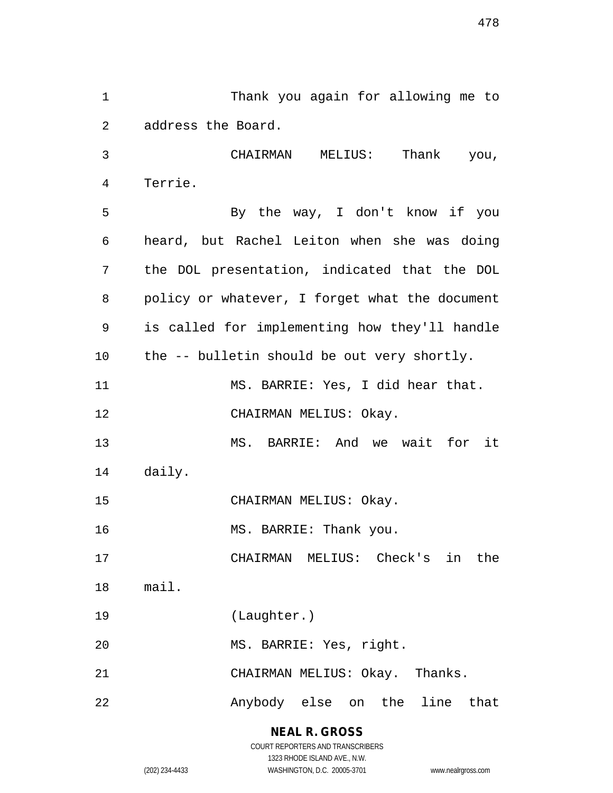1 Thank you again for allowing me to 2 address the Board. 3 CHAIRMAN MELIUS: Thank you, 4 Terrie. 5 By the way, I don't know if you 6 heard, but Rachel Leiton when she was doing 7 the DOL presentation, indicated that the DOL 8 policy or whatever, I forget what the document 9 is called for implementing how they'll handle 10 the -- bulletin should be out very shortly. 11 MS. BARRIE: Yes, I did hear that. 12 CHAIRMAN MELIUS: Okay. 13 MS. BARRIE: And we wait for it 14 daily. 15 CHAIRMAN MELIUS: Okay. 16 MS. BARRIE: Thank you. 17 CHAIRMAN MELIUS: Check's in the 18 mail. 19 (Laughter.) 20 MS. BARRIE: Yes, right. 21 CHAIRMAN MELIUS: Okay. Thanks. 22 Anybody else on the line that

> **NEAL R. GROSS** COURT REPORTERS AND TRANSCRIBERS 1323 RHODE ISLAND AVE., N.W. (202) 234-4433 WASHINGTON, D.C. 20005-3701 www.nealrgross.com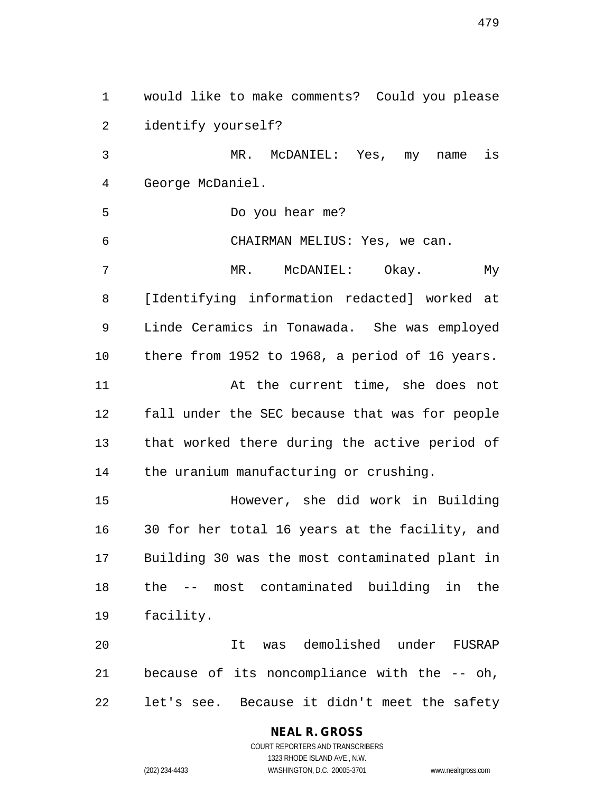1 would like to make comments? Could you please 2 identify yourself? 3 MR. McDANIEL: Yes, my name is 4 George McDaniel. 5 Do you hear me? 6 CHAIRMAN MELIUS: Yes, we can. 7 MR. McDANIEL: Okay. My 8 [Identifying information redacted] worked at 9 Linde Ceramics in Tonawada. She was employed 10 there from 1952 to 1968, a period of 16 years. 11 At the current time, she does not 12 fall under the SEC because that was for people 13 that worked there during the active period of 14 the uranium manufacturing or crushing. 15 However, she did work in Building 16 30 for her total 16 years at the facility, and 17 Building 30 was the most contaminated plant in 18 the -- most contaminated building in the 19 facility. 20 It was demolished under FUSRAP 21 because of its noncompliance with the -- oh, 22 let's see. Because it didn't meet the safety

#### **NEAL R. GROSS**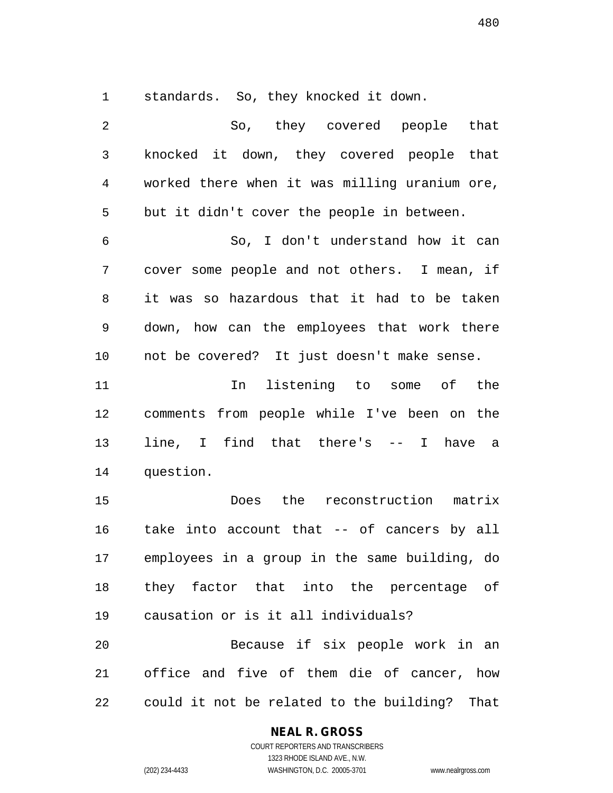1 standards. So, they knocked it down.

2 So, they covered people that 3 knocked it down, they covered people that 4 worked there when it was milling uranium ore, 5 but it didn't cover the people in between. 6 So, I don't understand how it can 7 cover some people and not others. I mean, if 8 it was so hazardous that it had to be taken 9 down, how can the employees that work there 10 not be covered? It just doesn't make sense. 11 In listening to some of the 12 comments from people while I've been on the 13 line, I find that there's -- I have a 14 question. 15 Does the reconstruction matrix 16 take into account that -- of cancers by all 17 employees in a group in the same building, do 18 they factor that into the percentage of 19 causation or is it all individuals? 20 Because if six people work in an 21 office and five of them die of cancer, how 22 could it not be related to the building? That

#### **NEAL R. GROSS**

COURT REPORTERS AND TRANSCRIBERS 1323 RHODE ISLAND AVE., N.W. (202) 234-4433 WASHINGTON, D.C. 20005-3701 www.nealrgross.com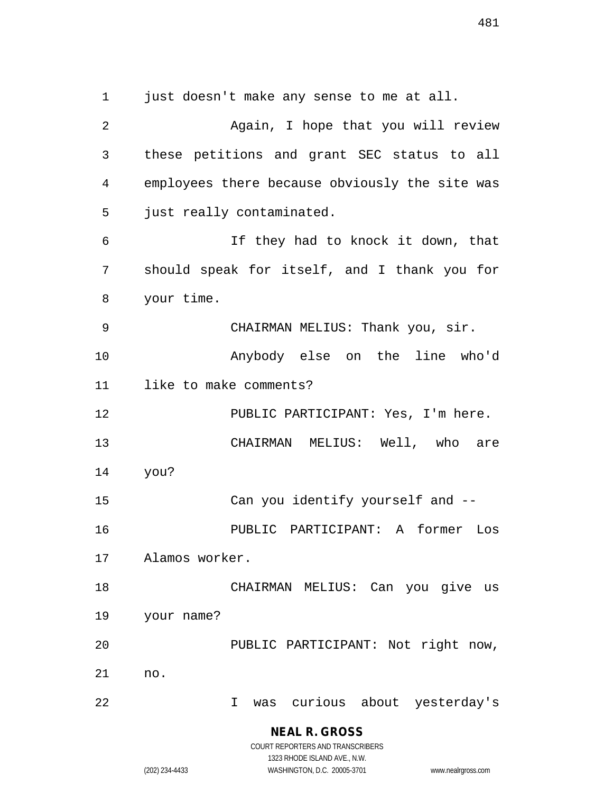**NEAL R. GROSS** 1 just doesn't make any sense to me at all. 2 Again, I hope that you will review 3 these petitions and grant SEC status to all 4 employees there because obviously the site was 5 just really contaminated. 6 If they had to knock it down, that 7 should speak for itself, and I thank you for 8 your time. 9 CHAIRMAN MELIUS: Thank you, sir. 10 Anybody else on the line who'd 11 like to make comments? 12 PUBLIC PARTICIPANT: Yes, I'm here. 13 CHAIRMAN MELIUS: Well, who are 14 you? 15 Can you identify yourself and -- 16 PUBLIC PARTICIPANT: A former Los 17 Alamos worker. 18 CHAIRMAN MELIUS: Can you give us 19 your name? 20 PUBLIC PARTICIPANT: Not right now, 21 no. 22 I was curious about yesterday's

COURT REPORTERS AND TRANSCRIBERS 1323 RHODE ISLAND AVE., N.W.

(202) 234-4433 WASHINGTON, D.C. 20005-3701 www.nealrgross.com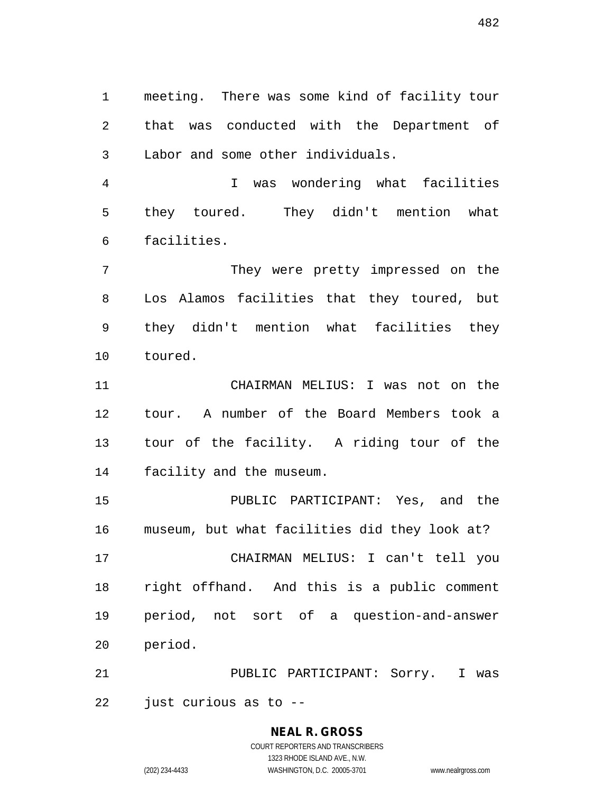1 meeting. There was some kind of facility tour 2 that was conducted with the Department of 3 Labor and some other individuals.

4 I was wondering what facilities 5 they toured. They didn't mention what 6 facilities.

7 They were pretty impressed on the 8 Los Alamos facilities that they toured, but 9 they didn't mention what facilities they 10 toured.

11 CHAIRMAN MELIUS: I was not on the 12 tour. A number of the Board Members took a 13 tour of the facility. A riding tour of the 14 facility and the museum.

15 PUBLIC PARTICIPANT: Yes, and the 16 museum, but what facilities did they look at? 17 CHAIRMAN MELIUS: I can't tell you 18 right offhand. And this is a public comment 19 period, not sort of a question-and-answer 20 period.

21 PUBLIC PARTICIPANT: Sorry. I was 22 just curious as to --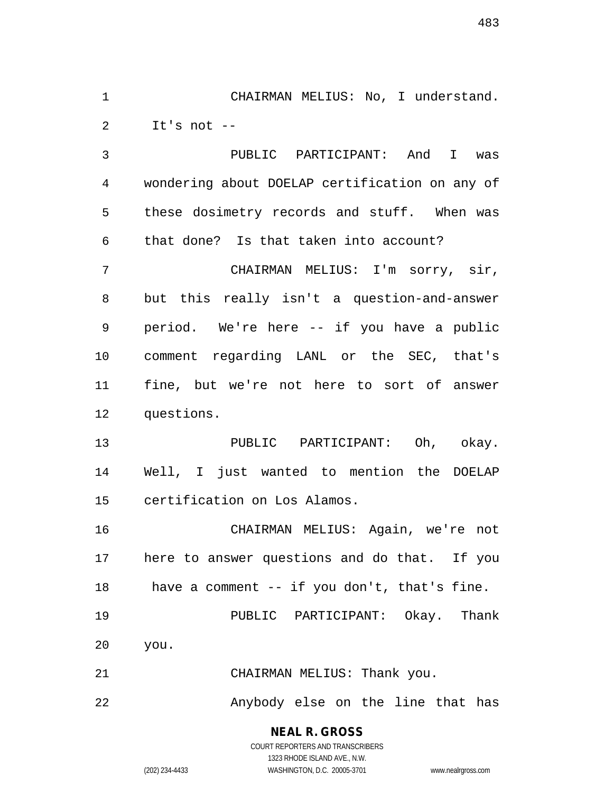1 CHAIRMAN MELIUS: No, I understand. 2 It's not --

3 PUBLIC PARTICIPANT: And I was 4 wondering about DOELAP certification on any of 5 these dosimetry records and stuff. When was 6 that done? Is that taken into account? 7 CHAIRMAN MELIUS: I'm sorry, sir,

8 but this really isn't a question-and-answer 9 period. We're here -- if you have a public 10 comment regarding LANL or the SEC, that's 11 fine, but we're not here to sort of answer 12 questions.

13 PUBLIC PARTICIPANT: Oh, okay. 14 Well, I just wanted to mention the DOELAP 15 certification on Los Alamos.

16 CHAIRMAN MELIUS: Again, we're not 17 here to answer questions and do that. If you 18 have a comment -- if you don't, that's fine.

19 PUBLIC PARTICIPANT: Okay. Thank 20 you.

21 CHAIRMAN MELIUS: Thank you.

22 Anybody else on the line that has

**NEAL R. GROSS** COURT REPORTERS AND TRANSCRIBERS

1323 RHODE ISLAND AVE., N.W.

(202) 234-4433 WASHINGTON, D.C. 20005-3701 www.nealrgross.com